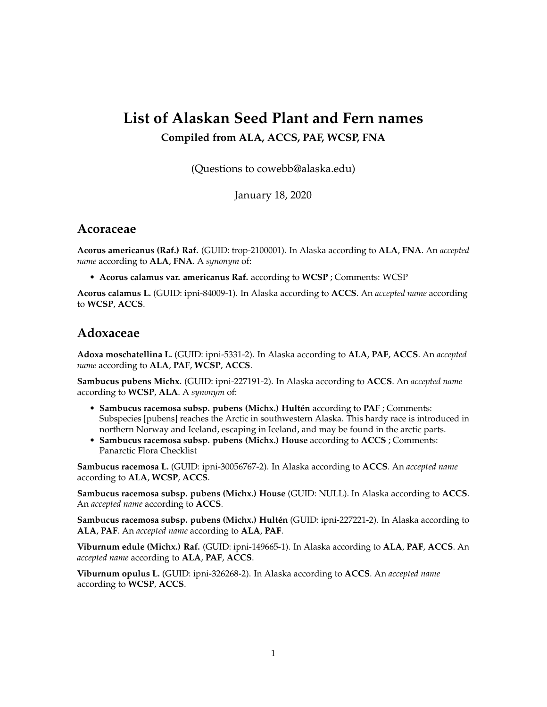# **List of Alaskan Seed Plant and Fern names**

#### **Compiled from ALA, ACCS, PAF, WCSP, FNA**

(Questions to cowebb@alaska.edu)

January 18, 2020

#### **Acoraceae**

**Acorus americanus (Raf.) Raf.** (GUID: trop-2100001). In Alaska according to **ALA**, **FNA**. An *accepted name* according to **ALA**, **FNA**. A *synonym* of:

• **Acorus calamus var. americanus Raf.** according to **WCSP** ; Comments: WCSP

**Acorus calamus L.** (GUID: ipni-84009-1). In Alaska according to **ACCS**. An *accepted name* according to **WCSP**, **ACCS**.

#### **Adoxaceae**

**Adoxa moschatellina L.** (GUID: ipni-5331-2). In Alaska according to **ALA**, **PAF**, **ACCS**. An *accepted name* according to **ALA**, **PAF**, **WCSP**, **ACCS**.

**Sambucus pubens Michx.** (GUID: ipni-227191-2). In Alaska according to **ACCS**. An *accepted name* according to **WCSP**, **ALA**. A *synonym* of:

- **Sambucus racemosa subsp. pubens (Michx.) Hultén** according to **PAF** ; Comments: Subspecies [pubens] reaches the Arctic in southwestern Alaska. This hardy race is introduced in northern Norway and Iceland, escaping in Iceland, and may be found in the arctic parts.
- **Sambucus racemosa subsp. pubens (Michx.) House** according to **ACCS** ; Comments: Panarctic Flora Checklist

**Sambucus racemosa L.** (GUID: ipni-30056767-2). In Alaska according to **ACCS**. An *accepted name* according to **ALA**, **WCSP**, **ACCS**.

**Sambucus racemosa subsp. pubens (Michx.) House** (GUID: NULL). In Alaska according to **ACCS**. An *accepted name* according to **ACCS**.

**Sambucus racemosa subsp. pubens (Michx.) Hultén** (GUID: ipni-227221-2). In Alaska according to **ALA**, **PAF**. An *accepted name* according to **ALA**, **PAF**.

**Viburnum edule (Michx.) Raf.** (GUID: ipni-149665-1). In Alaska according to **ALA**, **PAF**, **ACCS**. An *accepted name* according to **ALA**, **PAF**, **ACCS**.

**Viburnum opulus L.** (GUID: ipni-326268-2). In Alaska according to **ACCS**. An *accepted name* according to **WCSP**, **ACCS**.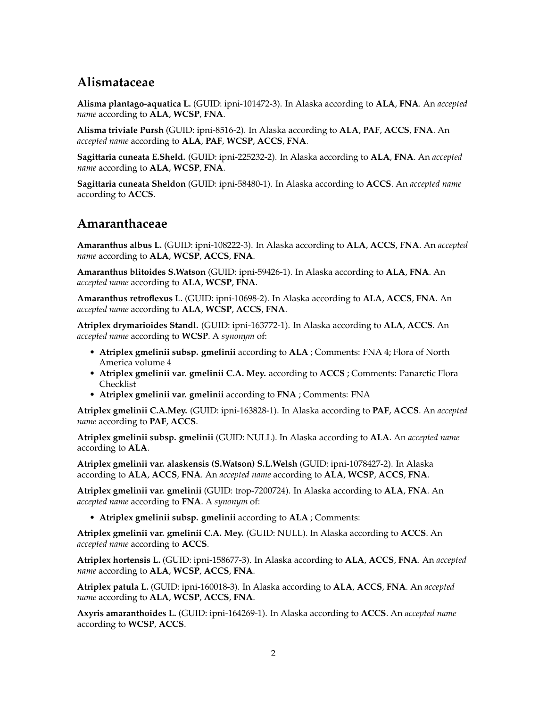# **Alismataceae**

**Alisma plantago-aquatica L.** (GUID: ipni-101472-3). In Alaska according to **ALA**, **FNA**. An *accepted name* according to **ALA**, **WCSP**, **FNA**.

**Alisma triviale Pursh** (GUID: ipni-8516-2). In Alaska according to **ALA**, **PAF**, **ACCS**, **FNA**. An *accepted name* according to **ALA**, **PAF**, **WCSP**, **ACCS**, **FNA**.

**Sagittaria cuneata E.Sheld.** (GUID: ipni-225232-2). In Alaska according to **ALA**, **FNA**. An *accepted name* according to **ALA**, **WCSP**, **FNA**.

**Sagittaria cuneata Sheldon** (GUID: ipni-58480-1). In Alaska according to **ACCS**. An *accepted name* according to **ACCS**.

## **Amaranthaceae**

**Amaranthus albus L.** (GUID: ipni-108222-3). In Alaska according to **ALA**, **ACCS**, **FNA**. An *accepted name* according to **ALA**, **WCSP**, **ACCS**, **FNA**.

**Amaranthus blitoides S.Watson** (GUID: ipni-59426-1). In Alaska according to **ALA**, **FNA**. An *accepted name* according to **ALA**, **WCSP**, **FNA**.

**Amaranthus retroflexus L.** (GUID: ipni-10698-2). In Alaska according to **ALA**, **ACCS**, **FNA**. An *accepted name* according to **ALA**, **WCSP**, **ACCS**, **FNA**.

**Atriplex drymarioides Standl.** (GUID: ipni-163772-1). In Alaska according to **ALA**, **ACCS**. An *accepted name* according to **WCSP**. A *synonym* of:

- **Atriplex gmelinii subsp. gmelinii** according to **ALA** ; Comments: FNA 4; Flora of North America volume 4
- **Atriplex gmelinii var. gmelinii C.A. Mey.** according to **ACCS** ; Comments: Panarctic Flora Checklist
- **Atriplex gmelinii var. gmelinii** according to **FNA** ; Comments: FNA

**Atriplex gmelinii C.A.Mey.** (GUID: ipni-163828-1). In Alaska according to **PAF**, **ACCS**. An *accepted name* according to **PAF**, **ACCS**.

**Atriplex gmelinii subsp. gmelinii** (GUID: NULL). In Alaska according to **ALA**. An *accepted name* according to **ALA**.

**Atriplex gmelinii var. alaskensis (S.Watson) S.L.Welsh** (GUID: ipni-1078427-2). In Alaska according to **ALA**, **ACCS**, **FNA**. An *accepted name* according to **ALA**, **WCSP**, **ACCS**, **FNA**.

**Atriplex gmelinii var. gmelinii** (GUID: trop-7200724). In Alaska according to **ALA**, **FNA**. An *accepted name* according to **FNA**. A *synonym* of:

• **Atriplex gmelinii subsp. gmelinii** according to **ALA** ; Comments:

**Atriplex gmelinii var. gmelinii C.A. Mey.** (GUID: NULL). In Alaska according to **ACCS**. An *accepted name* according to **ACCS**.

**Atriplex hortensis L.** (GUID: ipni-158677-3). In Alaska according to **ALA**, **ACCS**, **FNA**. An *accepted name* according to **ALA**, **WCSP**, **ACCS**, **FNA**.

**Atriplex patula L.** (GUID: ipni-160018-3). In Alaska according to **ALA**, **ACCS**, **FNA**. An *accepted name* according to **ALA**, **WCSP**, **ACCS**, **FNA**.

**Axyris amaranthoides L.** (GUID: ipni-164269-1). In Alaska according to **ACCS**. An *accepted name* according to **WCSP**, **ACCS**.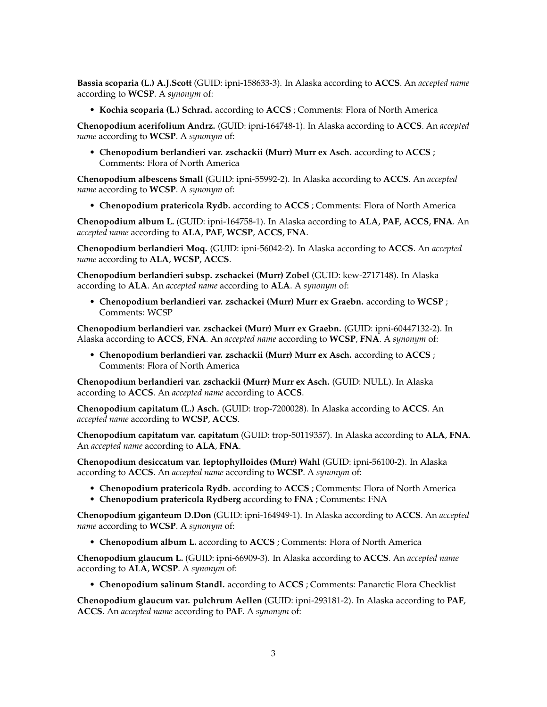**Bassia scoparia (L.) A.J.Scott** (GUID: ipni-158633-3). In Alaska according to **ACCS**. An *accepted name* according to **WCSP**. A *synonym* of:

• **Kochia scoparia (L.) Schrad.** according to **ACCS** ; Comments: Flora of North America

**Chenopodium acerifolium Andrz.** (GUID: ipni-164748-1). In Alaska according to **ACCS**. An *accepted name* according to **WCSP**. A *synonym* of:

• **Chenopodium berlandieri var. zschackii (Murr) Murr ex Asch.** according to **ACCS** ; Comments: Flora of North America

**Chenopodium albescens Small** (GUID: ipni-55992-2). In Alaska according to **ACCS**. An *accepted name* according to **WCSP**. A *synonym* of:

• **Chenopodium pratericola Rydb.** according to **ACCS** ; Comments: Flora of North America

**Chenopodium album L.** (GUID: ipni-164758-1). In Alaska according to **ALA**, **PAF**, **ACCS**, **FNA**. An *accepted name* according to **ALA**, **PAF**, **WCSP**, **ACCS**, **FNA**.

**Chenopodium berlandieri Moq.** (GUID: ipni-56042-2). In Alaska according to **ACCS**. An *accepted name* according to **ALA**, **WCSP**, **ACCS**.

**Chenopodium berlandieri subsp. zschackei (Murr) Zobel** (GUID: kew-2717148). In Alaska according to **ALA**. An *accepted name* according to **ALA**. A *synonym* of:

• **Chenopodium berlandieri var. zschackei (Murr) Murr ex Graebn.** according to **WCSP** ; Comments: WCSP

**Chenopodium berlandieri var. zschackei (Murr) Murr ex Graebn.** (GUID: ipni-60447132-2). In Alaska according to **ACCS**, **FNA**. An *accepted name* according to **WCSP**, **FNA**. A *synonym* of:

• **Chenopodium berlandieri var. zschackii (Murr) Murr ex Asch.** according to **ACCS** ; Comments: Flora of North America

**Chenopodium berlandieri var. zschackii (Murr) Murr ex Asch.** (GUID: NULL). In Alaska according to **ACCS**. An *accepted name* according to **ACCS**.

**Chenopodium capitatum (L.) Asch.** (GUID: trop-7200028). In Alaska according to **ACCS**. An *accepted name* according to **WCSP**, **ACCS**.

**Chenopodium capitatum var. capitatum** (GUID: trop-50119357). In Alaska according to **ALA**, **FNA**. An *accepted name* according to **ALA**, **FNA**.

**Chenopodium desiccatum var. leptophylloides (Murr) Wahl** (GUID: ipni-56100-2). In Alaska according to **ACCS**. An *accepted name* according to **WCSP**. A *synonym* of:

- **Chenopodium pratericola Rydb.** according to **ACCS** ; Comments: Flora of North America
- **Chenopodium pratericola Rydberg** according to **FNA** ; Comments: FNA

**Chenopodium giganteum D.Don** (GUID: ipni-164949-1). In Alaska according to **ACCS**. An *accepted name* according to **WCSP**. A *synonym* of:

• **Chenopodium album L.** according to **ACCS** ; Comments: Flora of North America

**Chenopodium glaucum L.** (GUID: ipni-66909-3). In Alaska according to **ACCS**. An *accepted name* according to **ALA**, **WCSP**. A *synonym* of:

• **Chenopodium salinum Standl.** according to **ACCS** ; Comments: Panarctic Flora Checklist

**Chenopodium glaucum var. pulchrum Aellen** (GUID: ipni-293181-2). In Alaska according to **PAF**, **ACCS**. An *accepted name* according to **PAF**. A *synonym* of: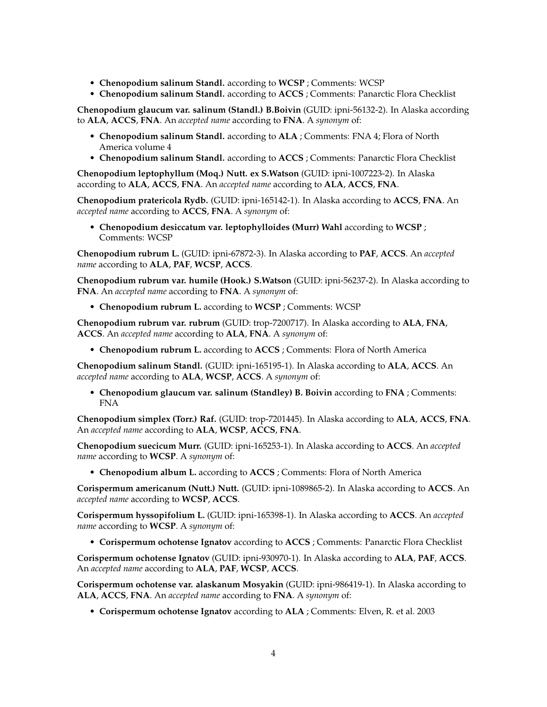- **Chenopodium salinum Standl.** according to **WCSP** ; Comments: WCSP
- **Chenopodium salinum Standl.** according to **ACCS** ; Comments: Panarctic Flora Checklist

**Chenopodium glaucum var. salinum (Standl.) B.Boivin** (GUID: ipni-56132-2). In Alaska according to **ALA**, **ACCS**, **FNA**. An *accepted name* according to **FNA**. A *synonym* of:

- **Chenopodium salinum Standl.** according to **ALA** ; Comments: FNA 4; Flora of North America volume 4
- **Chenopodium salinum Standl.** according to **ACCS** ; Comments: Panarctic Flora Checklist

**Chenopodium leptophyllum (Moq.) Nutt. ex S.Watson** (GUID: ipni-1007223-2). In Alaska according to **ALA**, **ACCS**, **FNA**. An *accepted name* according to **ALA**, **ACCS**, **FNA**.

**Chenopodium pratericola Rydb.** (GUID: ipni-165142-1). In Alaska according to **ACCS**, **FNA**. An *accepted name* according to **ACCS**, **FNA**. A *synonym* of:

• **Chenopodium desiccatum var. leptophylloides (Murr) Wahl** according to **WCSP** ; Comments: WCSP

**Chenopodium rubrum L.** (GUID: ipni-67872-3). In Alaska according to **PAF**, **ACCS**. An *accepted name* according to **ALA**, **PAF**, **WCSP**, **ACCS**.

**Chenopodium rubrum var. humile (Hook.) S.Watson** (GUID: ipni-56237-2). In Alaska according to **FNA**. An *accepted name* according to **FNA**. A *synonym* of:

• **Chenopodium rubrum L.** according to **WCSP** ; Comments: WCSP

**Chenopodium rubrum var. rubrum** (GUID: trop-7200717). In Alaska according to **ALA**, **FNA**, **ACCS**. An *accepted name* according to **ALA**, **FNA**. A *synonym* of:

• **Chenopodium rubrum L.** according to **ACCS** ; Comments: Flora of North America

**Chenopodium salinum Standl.** (GUID: ipni-165195-1). In Alaska according to **ALA**, **ACCS**. An *accepted name* according to **ALA**, **WCSP**, **ACCS**. A *synonym* of:

• **Chenopodium glaucum var. salinum (Standley) B. Boivin** according to **FNA** ; Comments: FNA

**Chenopodium simplex (Torr.) Raf.** (GUID: trop-7201445). In Alaska according to **ALA**, **ACCS**, **FNA**. An *accepted name* according to **ALA**, **WCSP**, **ACCS**, **FNA**.

**Chenopodium suecicum Murr.** (GUID: ipni-165253-1). In Alaska according to **ACCS**. An *accepted name* according to **WCSP**. A *synonym* of:

• **Chenopodium album L.** according to **ACCS** ; Comments: Flora of North America

**Corispermum americanum (Nutt.) Nutt.** (GUID: ipni-1089865-2). In Alaska according to **ACCS**. An *accepted name* according to **WCSP**, **ACCS**.

**Corispermum hyssopifolium L.** (GUID: ipni-165398-1). In Alaska according to **ACCS**. An *accepted name* according to **WCSP**. A *synonym* of:

• **Corispermum ochotense Ignatov** according to **ACCS** ; Comments: Panarctic Flora Checklist

**Corispermum ochotense Ignatov** (GUID: ipni-930970-1). In Alaska according to **ALA**, **PAF**, **ACCS**. An *accepted name* according to **ALA**, **PAF**, **WCSP**, **ACCS**.

**Corispermum ochotense var. alaskanum Mosyakin** (GUID: ipni-986419-1). In Alaska according to **ALA**, **ACCS**, **FNA**. An *accepted name* according to **FNA**. A *synonym* of:

• **Corispermum ochotense Ignatov** according to **ALA** ; Comments: Elven, R. et al. 2003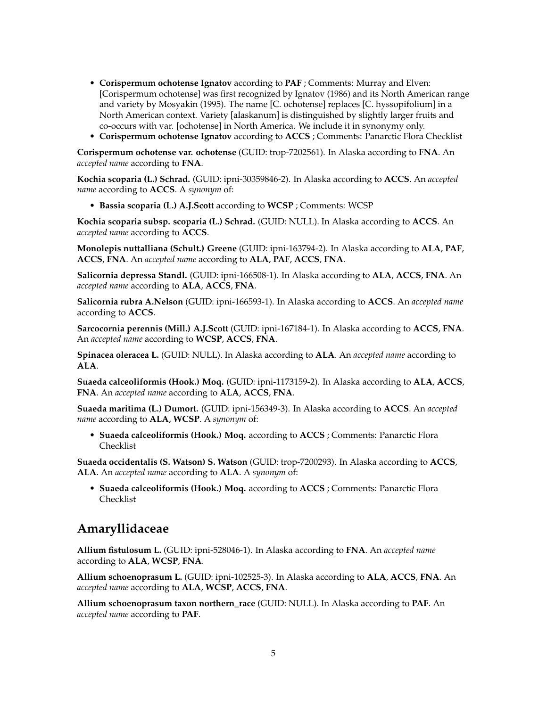- **Corispermum ochotense Ignatov** according to **PAF** ; Comments: Murray and Elven: [Corispermum ochotense] was first recognized by Ignatov (1986) and its North American range and variety by Mosyakin (1995). The name [C. ochotense] replaces [C. hyssopifolium] in a North American context. Variety [alaskanum] is distinguished by slightly larger fruits and co-occurs with var. [ochotense] in North America. We include it in synonymy only.
- **Corispermum ochotense Ignatov** according to **ACCS** ; Comments: Panarctic Flora Checklist

**Corispermum ochotense var. ochotense** (GUID: trop-7202561). In Alaska according to **FNA**. An *accepted name* according to **FNA**.

**Kochia scoparia (L.) Schrad.** (GUID: ipni-30359846-2). In Alaska according to **ACCS**. An *accepted name* according to **ACCS**. A *synonym* of:

• **Bassia scoparia (L.) A.J.Scott** according to **WCSP** ; Comments: WCSP

**Kochia scoparia subsp. scoparia (L.) Schrad.** (GUID: NULL). In Alaska according to **ACCS**. An *accepted name* according to **ACCS**.

**Monolepis nuttalliana (Schult.) Greene** (GUID: ipni-163794-2). In Alaska according to **ALA**, **PAF**, **ACCS**, **FNA**. An *accepted name* according to **ALA**, **PAF**, **ACCS**, **FNA**.

**Salicornia depressa Standl.** (GUID: ipni-166508-1). In Alaska according to **ALA**, **ACCS**, **FNA**. An *accepted name* according to **ALA**, **ACCS**, **FNA**.

**Salicornia rubra A.Nelson** (GUID: ipni-166593-1). In Alaska according to **ACCS**. An *accepted name* according to **ACCS**.

**Sarcocornia perennis (Mill.) A.J.Scott** (GUID: ipni-167184-1). In Alaska according to **ACCS**, **FNA**. An *accepted name* according to **WCSP**, **ACCS**, **FNA**.

**Spinacea oleracea L.** (GUID: NULL). In Alaska according to **ALA**. An *accepted name* according to **ALA**.

**Suaeda calceoliformis (Hook.) Moq.** (GUID: ipni-1173159-2). In Alaska according to **ALA**, **ACCS**, **FNA**. An *accepted name* according to **ALA**, **ACCS**, **FNA**.

**Suaeda maritima (L.) Dumort.** (GUID: ipni-156349-3). In Alaska according to **ACCS**. An *accepted name* according to **ALA**, **WCSP**. A *synonym* of:

• **Suaeda calceoliformis (Hook.) Moq.** according to **ACCS** ; Comments: Panarctic Flora Checklist

**Suaeda occidentalis (S. Watson) S. Watson** (GUID: trop-7200293). In Alaska according to **ACCS**, **ALA**. An *accepted name* according to **ALA**. A *synonym* of:

• **Suaeda calceoliformis (Hook.) Moq.** according to **ACCS** ; Comments: Panarctic Flora Checklist

## **Amaryllidaceae**

**Allium fistulosum L.** (GUID: ipni-528046-1). In Alaska according to **FNA**. An *accepted name* according to **ALA**, **WCSP**, **FNA**.

**Allium schoenoprasum L.** (GUID: ipni-102525-3). In Alaska according to **ALA**, **ACCS**, **FNA**. An *accepted name* according to **ALA**, **WCSP**, **ACCS**, **FNA**.

**Allium schoenoprasum taxon northern\_race** (GUID: NULL). In Alaska according to **PAF**. An *accepted name* according to **PAF**.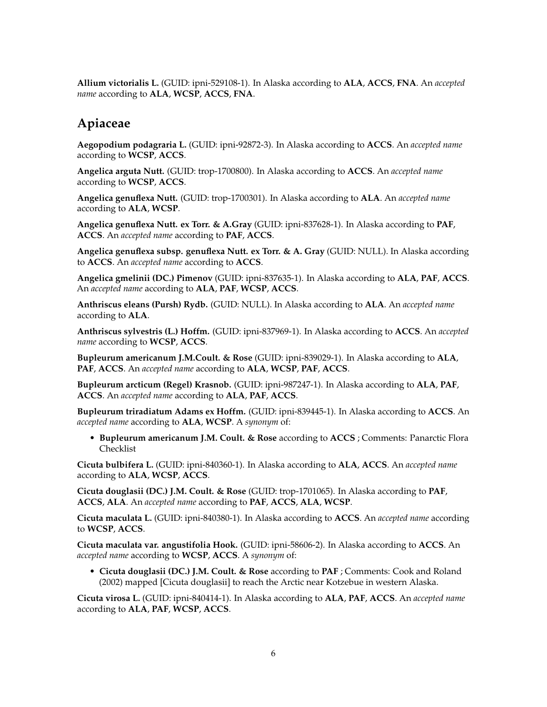**Allium victorialis L.** (GUID: ipni-529108-1). In Alaska according to **ALA**, **ACCS**, **FNA**. An *accepted name* according to **ALA**, **WCSP**, **ACCS**, **FNA**.

## **Apiaceae**

**Aegopodium podagraria L.** (GUID: ipni-92872-3). In Alaska according to **ACCS**. An *accepted name* according to **WCSP**, **ACCS**.

**Angelica arguta Nutt.** (GUID: trop-1700800). In Alaska according to **ACCS**. An *accepted name* according to **WCSP**, **ACCS**.

**Angelica genuflexa Nutt.** (GUID: trop-1700301). In Alaska according to **ALA**. An *accepted name* according to **ALA**, **WCSP**.

**Angelica genuflexa Nutt. ex Torr. & A.Gray** (GUID: ipni-837628-1). In Alaska according to **PAF**, **ACCS**. An *accepted name* according to **PAF**, **ACCS**.

**Angelica genuflexa subsp. genuflexa Nutt. ex Torr. & A. Gray** (GUID: NULL). In Alaska according to **ACCS**. An *accepted name* according to **ACCS**.

**Angelica gmelinii (DC.) Pimenov** (GUID: ipni-837635-1). In Alaska according to **ALA**, **PAF**, **ACCS**. An *accepted name* according to **ALA**, **PAF**, **WCSP**, **ACCS**.

**Anthriscus eleans (Pursh) Rydb.** (GUID: NULL). In Alaska according to **ALA**. An *accepted name* according to **ALA**.

**Anthriscus sylvestris (L.) Hoffm.** (GUID: ipni-837969-1). In Alaska according to **ACCS**. An *accepted name* according to **WCSP**, **ACCS**.

**Bupleurum americanum J.M.Coult. & Rose** (GUID: ipni-839029-1). In Alaska according to **ALA**, **PAF**, **ACCS**. An *accepted name* according to **ALA**, **WCSP**, **PAF**, **ACCS**.

**Bupleurum arcticum (Regel) Krasnob.** (GUID: ipni-987247-1). In Alaska according to **ALA**, **PAF**, **ACCS**. An *accepted name* according to **ALA**, **PAF**, **ACCS**.

**Bupleurum triradiatum Adams ex Hoffm.** (GUID: ipni-839445-1). In Alaska according to **ACCS**. An *accepted name* according to **ALA**, **WCSP**. A *synonym* of:

• **Bupleurum americanum J.M. Coult. & Rose** according to **ACCS** ; Comments: Panarctic Flora Checklist

**Cicuta bulbifera L.** (GUID: ipni-840360-1). In Alaska according to **ALA**, **ACCS**. An *accepted name* according to **ALA**, **WCSP**, **ACCS**.

**Cicuta douglasii (DC.) J.M. Coult. & Rose** (GUID: trop-1701065). In Alaska according to **PAF**, **ACCS**, **ALA**. An *accepted name* according to **PAF**, **ACCS**, **ALA**, **WCSP**.

**Cicuta maculata L.** (GUID: ipni-840380-1). In Alaska according to **ACCS**. An *accepted name* according to **WCSP**, **ACCS**.

**Cicuta maculata var. angustifolia Hook.** (GUID: ipni-58606-2). In Alaska according to **ACCS**. An *accepted name* according to **WCSP**, **ACCS**. A *synonym* of:

• **Cicuta douglasii (DC.) J.M. Coult. & Rose** according to **PAF** ; Comments: Cook and Roland (2002) mapped [Cicuta douglasii] to reach the Arctic near Kotzebue in western Alaska.

**Cicuta virosa L.** (GUID: ipni-840414-1). In Alaska according to **ALA**, **PAF**, **ACCS**. An *accepted name* according to **ALA**, **PAF**, **WCSP**, **ACCS**.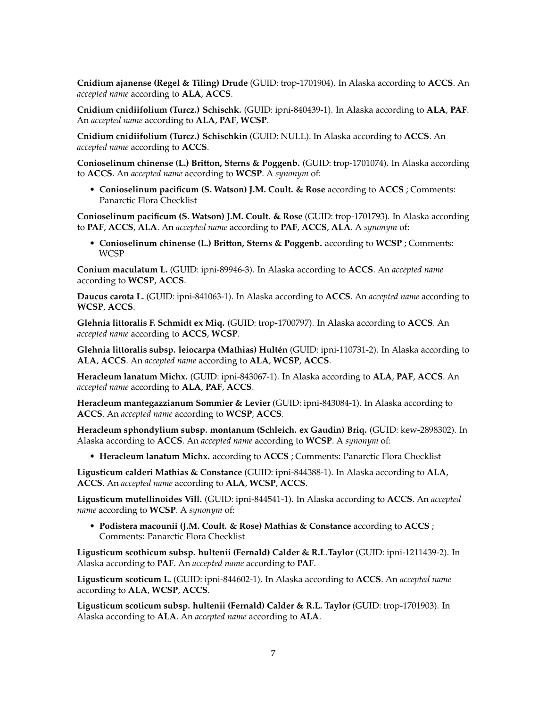**Cnidium ajanense (Regel & Tiling) Drude** (GUID: trop-1701904). In Alaska according to **ACCS**. An *accepted name* according to **ALA**, **ACCS**.

**Cnidium cnidiifolium (Turcz.) Schischk.** (GUID: ipni-840439-1). In Alaska according to **ALA**, **PAF**. An *accepted name* according to **ALA**, **PAF**, **WCSP**.

**Cnidium cnidiifolium (Turcz.) Schischkin** (GUID: NULL). In Alaska according to **ACCS**. An *accepted name* according to **ACCS**.

**Conioselinum chinense (L.) Britton, Sterns & Poggenb.** (GUID: trop-1701074). In Alaska according to **ACCS**. An *accepted name* according to **WCSP**. A *synonym* of:

• **Conioselinum pacificum (S. Watson) J.M. Coult. & Rose** according to **ACCS** ; Comments: Panarctic Flora Checklist

**Conioselinum pacificum (S. Watson) J.M. Coult. & Rose** (GUID: trop-1701793). In Alaska according to **PAF**, **ACCS**, **ALA**. An *accepted name* according to **PAF**, **ACCS**, **ALA**. A *synonym* of:

• **Conioselinum chinense (L.) Britton, Sterns & Poggenb.** according to **WCSP** ; Comments: WCSP

**Conium maculatum L.** (GUID: ipni-89946-3). In Alaska according to **ACCS**. An *accepted name* according to **WCSP**, **ACCS**.

**Daucus carota L.** (GUID: ipni-841063-1). In Alaska according to **ACCS**. An *accepted name* according to **WCSP**, **ACCS**.

**Glehnia littoralis F. Schmidt ex Miq.** (GUID: trop-1700797). In Alaska according to **ACCS**. An *accepted name* according to **ACCS**, **WCSP**.

**Glehnia littoralis subsp. leiocarpa (Mathias) Hultén** (GUID: ipni-110731-2). In Alaska according to **ALA**, **ACCS**. An *accepted name* according to **ALA**, **WCSP**, **ACCS**.

**Heracleum lanatum Michx.** (GUID: ipni-843067-1). In Alaska according to **ALA**, **PAF**, **ACCS**. An *accepted name* according to **ALA**, **PAF**, **ACCS**.

**Heracleum mantegazzianum Sommier & Levier** (GUID: ipni-843084-1). In Alaska according to **ACCS**. An *accepted name* according to **WCSP**, **ACCS**.

**Heracleum sphondylium subsp. montanum (Schleich. ex Gaudin) Briq.** (GUID: kew-2898302). In Alaska according to **ACCS**. An *accepted name* according to **WCSP**. A *synonym* of:

• **Heracleum lanatum Michx.** according to **ACCS** ; Comments: Panarctic Flora Checklist

**Ligusticum calderi Mathias & Constance** (GUID: ipni-844388-1). In Alaska according to **ALA**, **ACCS**. An *accepted name* according to **ALA**, **WCSP**, **ACCS**.

**Ligusticum mutellinoides Vill.** (GUID: ipni-844541-1). In Alaska according to **ACCS**. An *accepted name* according to **WCSP**. A *synonym* of:

• **Podistera macounii (J.M. Coult. & Rose) Mathias & Constance** according to **ACCS** ; Comments: Panarctic Flora Checklist

**Ligusticum scothicum subsp. hultenii (Fernald) Calder & R.L.Taylor** (GUID: ipni-1211439-2). In Alaska according to **PAF**. An *accepted name* according to **PAF**.

**Ligusticum scoticum L.** (GUID: ipni-844602-1). In Alaska according to **ACCS**. An *accepted name* according to **ALA**, **WCSP**, **ACCS**.

**Ligusticum scoticum subsp. hultenii (Fernald) Calder & R.L. Taylor** (GUID: trop-1701903). In Alaska according to **ALA**. An *accepted name* according to **ALA**.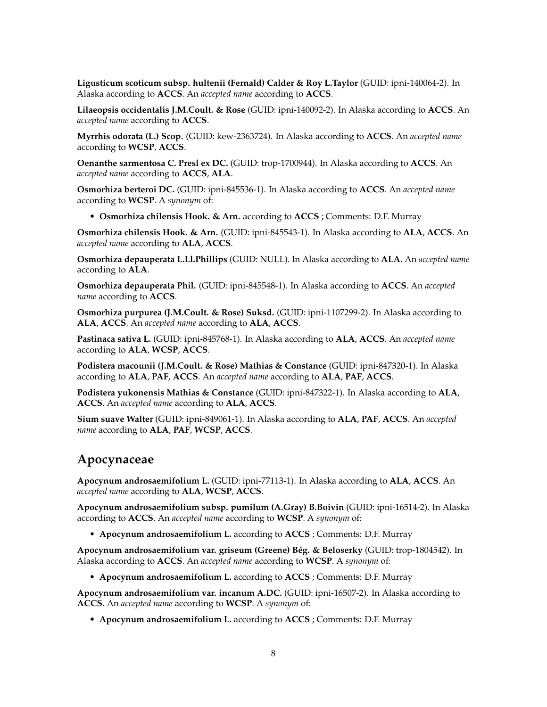**Ligusticum scoticum subsp. hultenii (Fernald) Calder & Roy L.Taylor** (GUID: ipni-140064-2). In Alaska according to **ACCS**. An *accepted name* according to **ACCS**.

**Lilaeopsis occidentalis J.M.Coult. & Rose** (GUID: ipni-140092-2). In Alaska according to **ACCS**. An *accepted name* according to **ACCS**.

**Myrrhis odorata (L.) Scop.** (GUID: kew-2363724). In Alaska according to **ACCS**. An *accepted name* according to **WCSP**, **ACCS**.

**Oenanthe sarmentosa C. Presl ex DC.** (GUID: trop-1700944). In Alaska according to **ACCS**. An *accepted name* according to **ACCS**, **ALA**.

**Osmorhiza berteroi DC.** (GUID: ipni-845536-1). In Alaska according to **ACCS**. An *accepted name* according to **WCSP**. A *synonym* of:

• **Osmorhiza chilensis Hook. & Arn.** according to **ACCS** ; Comments: D.F. Murray

**Osmorhiza chilensis Hook. & Arn.** (GUID: ipni-845543-1). In Alaska according to **ALA**, **ACCS**. An *accepted name* according to **ALA**, **ACCS**.

**Osmorhiza depauperata L.Ll.Phillips** (GUID: NULL). In Alaska according to **ALA**. An *accepted name* according to **ALA**.

**Osmorhiza depauperata Phil.** (GUID: ipni-845548-1). In Alaska according to **ACCS**. An *accepted name* according to **ACCS**.

**Osmorhiza purpurea (J.M.Coult. & Rose) Suksd.** (GUID: ipni-1107299-2). In Alaska according to **ALA**, **ACCS**. An *accepted name* according to **ALA**, **ACCS**.

**Pastinaca sativa L.** (GUID: ipni-845768-1). In Alaska according to **ALA**, **ACCS**. An *accepted name* according to **ALA**, **WCSP**, **ACCS**.

**Podistera macounii (J.M.Coult. & Rose) Mathias & Constance** (GUID: ipni-847320-1). In Alaska according to **ALA**, **PAF**, **ACCS**. An *accepted name* according to **ALA**, **PAF**, **ACCS**.

**Podistera yukonensis Mathias & Constance** (GUID: ipni-847322-1). In Alaska according to **ALA**, **ACCS**. An *accepted name* according to **ALA**, **ACCS**.

**Sium suave Walter** (GUID: ipni-849061-1). In Alaska according to **ALA**, **PAF**, **ACCS**. An *accepted name* according to **ALA**, **PAF**, **WCSP**, **ACCS**.

#### **Apocynaceae**

**Apocynum androsaemifolium L.** (GUID: ipni-77113-1). In Alaska according to **ALA**, **ACCS**. An *accepted name* according to **ALA**, **WCSP**, **ACCS**.

**Apocynum androsaemifolium subsp. pumilum (A.Gray) B.Boivin** (GUID: ipni-16514-2). In Alaska according to **ACCS**. An *accepted name* according to **WCSP**. A *synonym* of:

• **Apocynum androsaemifolium L.** according to **ACCS** ; Comments: D.F. Murray

**Apocynum androsaemifolium var. griseum (Greene) Bég. & Beloserky** (GUID: trop-1804542). In Alaska according to **ACCS**. An *accepted name* according to **WCSP**. A *synonym* of:

• **Apocynum androsaemifolium L.** according to **ACCS** ; Comments: D.F. Murray

**Apocynum androsaemifolium var. incanum A.DC.** (GUID: ipni-16507-2). In Alaska according to **ACCS**. An *accepted name* according to **WCSP**. A *synonym* of:

• **Apocynum androsaemifolium L.** according to **ACCS** ; Comments: D.F. Murray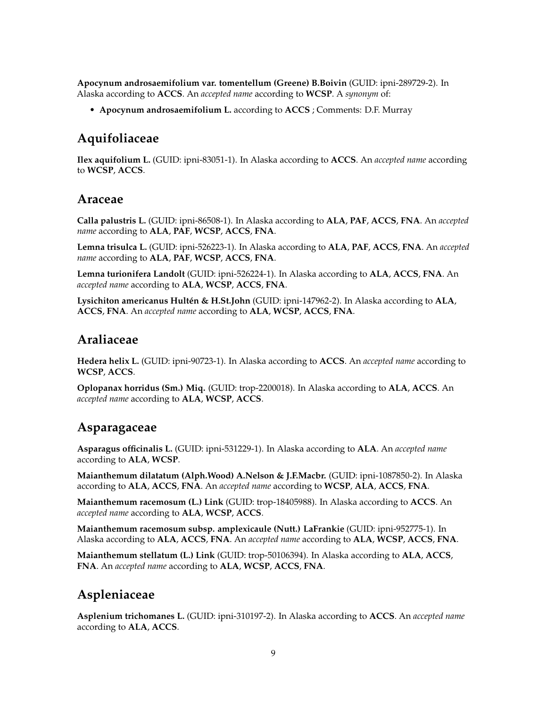**Apocynum androsaemifolium var. tomentellum (Greene) B.Boivin** (GUID: ipni-289729-2). In Alaska according to **ACCS**. An *accepted name* according to **WCSP**. A *synonym* of:

• **Apocynum androsaemifolium L.** according to **ACCS** ; Comments: D.F. Murray

## **Aquifoliaceae**

**Ilex aquifolium L.** (GUID: ipni-83051-1). In Alaska according to **ACCS**. An *accepted name* according to **WCSP**, **ACCS**.

#### **Araceae**

**Calla palustris L.** (GUID: ipni-86508-1). In Alaska according to **ALA**, **PAF**, **ACCS**, **FNA**. An *accepted name* according to **ALA**, **PAF**, **WCSP**, **ACCS**, **FNA**.

**Lemna trisulca L.** (GUID: ipni-526223-1). In Alaska according to **ALA**, **PAF**, **ACCS**, **FNA**. An *accepted name* according to **ALA**, **PAF**, **WCSP**, **ACCS**, **FNA**.

**Lemna turionifera Landolt** (GUID: ipni-526224-1). In Alaska according to **ALA**, **ACCS**, **FNA**. An *accepted name* according to **ALA**, **WCSP**, **ACCS**, **FNA**.

**Lysichiton americanus Hultén & H.St.John** (GUID: ipni-147962-2). In Alaska according to **ALA**, **ACCS**, **FNA**. An *accepted name* according to **ALA**, **WCSP**, **ACCS**, **FNA**.

#### **Araliaceae**

**Hedera helix L.** (GUID: ipni-90723-1). In Alaska according to **ACCS**. An *accepted name* according to **WCSP**, **ACCS**.

**Oplopanax horridus (Sm.) Miq.** (GUID: trop-2200018). In Alaska according to **ALA**, **ACCS**. An *accepted name* according to **ALA**, **WCSP**, **ACCS**.

#### **Asparagaceae**

**Asparagus officinalis L.** (GUID: ipni-531229-1). In Alaska according to **ALA**. An *accepted name* according to **ALA**, **WCSP**.

**Maianthemum dilatatum (Alph.Wood) A.Nelson & J.F.Macbr.** (GUID: ipni-1087850-2). In Alaska according to **ALA**, **ACCS**, **FNA**. An *accepted name* according to **WCSP**, **ALA**, **ACCS**, **FNA**.

**Maianthemum racemosum (L.) Link** (GUID: trop-18405988). In Alaska according to **ACCS**. An *accepted name* according to **ALA**, **WCSP**, **ACCS**.

**Maianthemum racemosum subsp. amplexicaule (Nutt.) LaFrankie** (GUID: ipni-952775-1). In Alaska according to **ALA**, **ACCS**, **FNA**. An *accepted name* according to **ALA**, **WCSP**, **ACCS**, **FNA**.

**Maianthemum stellatum (L.) Link** (GUID: trop-50106394). In Alaska according to **ALA**, **ACCS**, **FNA**. An *accepted name* according to **ALA**, **WCSP**, **ACCS**, **FNA**.

## **Aspleniaceae**

**Asplenium trichomanes L.** (GUID: ipni-310197-2). In Alaska according to **ACCS**. An *accepted name* according to **ALA**, **ACCS**.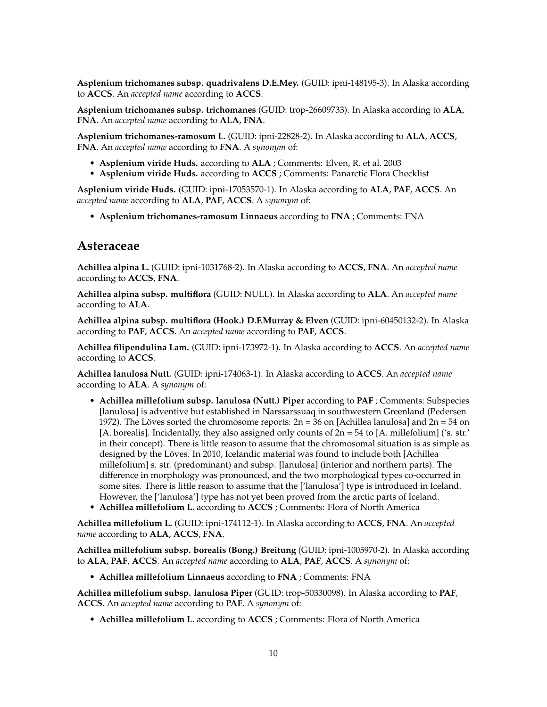**Asplenium trichomanes subsp. quadrivalens D.E.Mey.** (GUID: ipni-148195-3). In Alaska according to **ACCS**. An *accepted name* according to **ACCS**.

**Asplenium trichomanes subsp. trichomanes** (GUID: trop-26609733). In Alaska according to **ALA**, **FNA**. An *accepted name* according to **ALA**, **FNA**.

**Asplenium trichomanes-ramosum L.** (GUID: ipni-22828-2). In Alaska according to **ALA**, **ACCS**, **FNA**. An *accepted name* according to **FNA**. A *synonym* of:

- **Asplenium viride Huds.** according to **ALA** ; Comments: Elven, R. et al. 2003
- **Asplenium viride Huds.** according to **ACCS** ; Comments: Panarctic Flora Checklist

**Asplenium viride Huds.** (GUID: ipni-17053570-1). In Alaska according to **ALA**, **PAF**, **ACCS**. An *accepted name* according to **ALA**, **PAF**, **ACCS**. A *synonym* of:

• **Asplenium trichomanes-ramosum Linnaeus** according to **FNA** ; Comments: FNA

#### **Asteraceae**

**Achillea alpina L.** (GUID: ipni-1031768-2). In Alaska according to **ACCS**, **FNA**. An *accepted name* according to **ACCS**, **FNA**.

**Achillea alpina subsp. multiflora** (GUID: NULL). In Alaska according to **ALA**. An *accepted name* according to **ALA**.

**Achillea alpina subsp. multiflora (Hook.) D.F.Murray & Elven** (GUID: ipni-60450132-2). In Alaska according to **PAF**, **ACCS**. An *accepted name* according to **PAF**, **ACCS**.

**Achillea filipendulina Lam.** (GUID: ipni-173972-1). In Alaska according to **ACCS**. An *accepted name* according to **ACCS**.

**Achillea lanulosa Nutt.** (GUID: ipni-174063-1). In Alaska according to **ACCS**. An *accepted name* according to **ALA**. A *synonym* of:

- **Achillea millefolium subsp. lanulosa (Nutt.) Piper** according to **PAF** ; Comments: Subspecies [lanulosa] is adventive but established in Narssarssuaq in southwestern Greenland (Pedersen 1972). The Löves sorted the chromosome reports:  $2n = 36$  on [Achillea lanulosa] and  $2n = 54$  on [A. borealis]. Incidentally, they also assigned only counts of  $2n = 54$  to [A. millefolium] ('s. str.' in their concept). There is little reason to assume that the chromosomal situation is as simple as designed by the Löves. In 2010, Icelandic material was found to include both [Achillea millefolium] s. str. (predominant) and subsp. [lanulosa] (interior and northern parts). The difference in morphology was pronounced, and the two morphological types co-occurred in some sites. There is little reason to assume that the ['lanulosa'] type is introduced in Iceland. However, the ['lanulosa'] type has not yet been proved from the arctic parts of Iceland.
- **Achillea millefolium L.** according to **ACCS** ; Comments: Flora of North America

**Achillea millefolium L.** (GUID: ipni-174112-1). In Alaska according to **ACCS**, **FNA**. An *accepted name* according to **ALA**, **ACCS**, **FNA**.

**Achillea millefolium subsp. borealis (Bong.) Breitung** (GUID: ipni-1005970-2). In Alaska according to **ALA**, **PAF**, **ACCS**. An *accepted name* according to **ALA**, **PAF**, **ACCS**. A *synonym* of:

• **Achillea millefolium Linnaeus** according to **FNA** ; Comments: FNA

**Achillea millefolium subsp. lanulosa Piper** (GUID: trop-50330098). In Alaska according to **PAF**, **ACCS**. An *accepted name* according to **PAF**. A *synonym* of:

• **Achillea millefolium L.** according to **ACCS** ; Comments: Flora of North America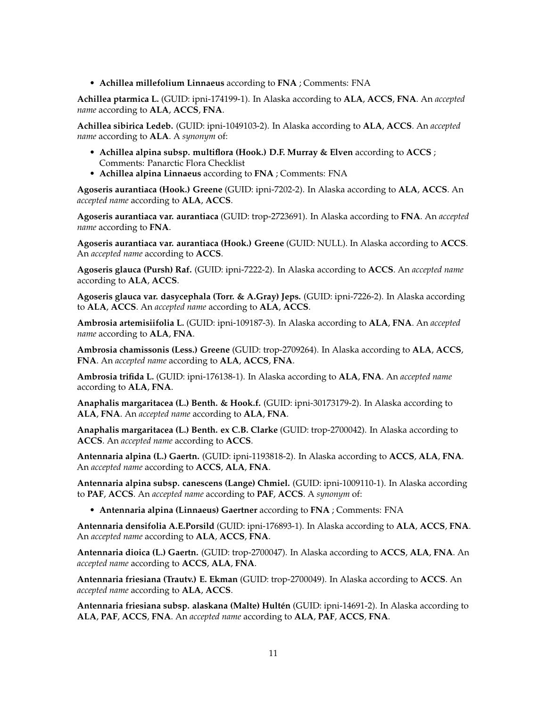• **Achillea millefolium Linnaeus** according to **FNA** ; Comments: FNA

**Achillea ptarmica L.** (GUID: ipni-174199-1). In Alaska according to **ALA**, **ACCS**, **FNA**. An *accepted name* according to **ALA**, **ACCS**, **FNA**.

**Achillea sibirica Ledeb.** (GUID: ipni-1049103-2). In Alaska according to **ALA**, **ACCS**. An *accepted name* according to **ALA**. A *synonym* of:

- **Achillea alpina subsp. multiflora (Hook.) D.F. Murray & Elven** according to **ACCS** ; Comments: Panarctic Flora Checklist
- **Achillea alpina Linnaeus** according to **FNA** ; Comments: FNA

**Agoseris aurantiaca (Hook.) Greene** (GUID: ipni-7202-2). In Alaska according to **ALA**, **ACCS**. An *accepted name* according to **ALA**, **ACCS**.

**Agoseris aurantiaca var. aurantiaca** (GUID: trop-2723691). In Alaska according to **FNA**. An *accepted name* according to **FNA**.

**Agoseris aurantiaca var. aurantiaca (Hook.) Greene** (GUID: NULL). In Alaska according to **ACCS**. An *accepted name* according to **ACCS**.

**Agoseris glauca (Pursh) Raf.** (GUID: ipni-7222-2). In Alaska according to **ACCS**. An *accepted name* according to **ALA**, **ACCS**.

**Agoseris glauca var. dasycephala (Torr. & A.Gray) Jeps.** (GUID: ipni-7226-2). In Alaska according to **ALA**, **ACCS**. An *accepted name* according to **ALA**, **ACCS**.

**Ambrosia artemisiifolia L.** (GUID: ipni-109187-3). In Alaska according to **ALA**, **FNA**. An *accepted name* according to **ALA**, **FNA**.

**Ambrosia chamissonis (Less.) Greene** (GUID: trop-2709264). In Alaska according to **ALA**, **ACCS**, **FNA**. An *accepted name* according to **ALA**, **ACCS**, **FNA**.

**Ambrosia trifida L.** (GUID: ipni-176138-1). In Alaska according to **ALA**, **FNA**. An *accepted name* according to **ALA**, **FNA**.

**Anaphalis margaritacea (L.) Benth. & Hook.f.** (GUID: ipni-30173179-2). In Alaska according to **ALA**, **FNA**. An *accepted name* according to **ALA**, **FNA**.

**Anaphalis margaritacea (L.) Benth. ex C.B. Clarke** (GUID: trop-2700042). In Alaska according to **ACCS**. An *accepted name* according to **ACCS**.

**Antennaria alpina (L.) Gaertn.** (GUID: ipni-1193818-2). In Alaska according to **ACCS**, **ALA**, **FNA**. An *accepted name* according to **ACCS**, **ALA**, **FNA**.

**Antennaria alpina subsp. canescens (Lange) Chmiel.** (GUID: ipni-1009110-1). In Alaska according to **PAF**, **ACCS**. An *accepted name* according to **PAF**, **ACCS**. A *synonym* of:

• **Antennaria alpina (Linnaeus) Gaertner** according to **FNA** ; Comments: FNA

**Antennaria densifolia A.E.Porsild** (GUID: ipni-176893-1). In Alaska according to **ALA**, **ACCS**, **FNA**. An *accepted name* according to **ALA**, **ACCS**, **FNA**.

**Antennaria dioica (L.) Gaertn.** (GUID: trop-2700047). In Alaska according to **ACCS**, **ALA**, **FNA**. An *accepted name* according to **ACCS**, **ALA**, **FNA**.

**Antennaria friesiana (Trautv.) E. Ekman** (GUID: trop-2700049). In Alaska according to **ACCS**. An *accepted name* according to **ALA**, **ACCS**.

**Antennaria friesiana subsp. alaskana (Malte) Hultén** (GUID: ipni-14691-2). In Alaska according to **ALA**, **PAF**, **ACCS**, **FNA**. An *accepted name* according to **ALA**, **PAF**, **ACCS**, **FNA**.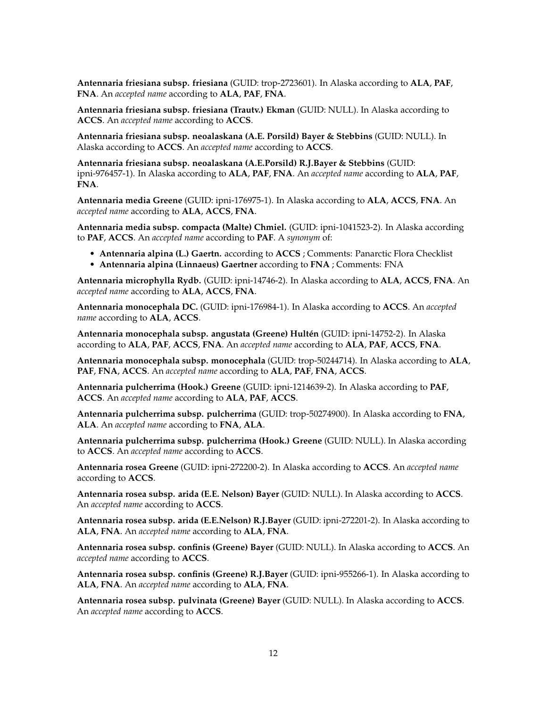**Antennaria friesiana subsp. friesiana** (GUID: trop-2723601). In Alaska according to **ALA**, **PAF**, **FNA**. An *accepted name* according to **ALA**, **PAF**, **FNA**.

**Antennaria friesiana subsp. friesiana (Trautv.) Ekman** (GUID: NULL). In Alaska according to **ACCS**. An *accepted name* according to **ACCS**.

**Antennaria friesiana subsp. neoalaskana (A.E. Porsild) Bayer & Stebbins** (GUID: NULL). In Alaska according to **ACCS**. An *accepted name* according to **ACCS**.

**Antennaria friesiana subsp. neoalaskana (A.E.Porsild) R.J.Bayer & Stebbins** (GUID: ipni-976457-1). In Alaska according to **ALA**, **PAF**, **FNA**. An *accepted name* according to **ALA**, **PAF**, **FNA**.

**Antennaria media Greene** (GUID: ipni-176975-1). In Alaska according to **ALA**, **ACCS**, **FNA**. An *accepted name* according to **ALA**, **ACCS**, **FNA**.

**Antennaria media subsp. compacta (Malte) Chmiel.** (GUID: ipni-1041523-2). In Alaska according to **PAF**, **ACCS**. An *accepted name* according to **PAF**. A *synonym* of:

- **Antennaria alpina (L.) Gaertn.** according to **ACCS** ; Comments: Panarctic Flora Checklist
- **Antennaria alpina (Linnaeus) Gaertner** according to **FNA** ; Comments: FNA

**Antennaria microphylla Rydb.** (GUID: ipni-14746-2). In Alaska according to **ALA**, **ACCS**, **FNA**. An *accepted name* according to **ALA**, **ACCS**, **FNA**.

**Antennaria monocephala DC.** (GUID: ipni-176984-1). In Alaska according to **ACCS**. An *accepted name* according to **ALA**, **ACCS**.

**Antennaria monocephala subsp. angustata (Greene) Hultén** (GUID: ipni-14752-2). In Alaska according to **ALA**, **PAF**, **ACCS**, **FNA**. An *accepted name* according to **ALA**, **PAF**, **ACCS**, **FNA**.

**Antennaria monocephala subsp. monocephala** (GUID: trop-50244714). In Alaska according to **ALA**, **PAF**, **FNA**, **ACCS**. An *accepted name* according to **ALA**, **PAF**, **FNA**, **ACCS**.

**Antennaria pulcherrima (Hook.) Greene** (GUID: ipni-1214639-2). In Alaska according to **PAF**, **ACCS**. An *accepted name* according to **ALA**, **PAF**, **ACCS**.

**Antennaria pulcherrima subsp. pulcherrima** (GUID: trop-50274900). In Alaska according to **FNA**, **ALA**. An *accepted name* according to **FNA**, **ALA**.

**Antennaria pulcherrima subsp. pulcherrima (Hook.) Greene** (GUID: NULL). In Alaska according to **ACCS**. An *accepted name* according to **ACCS**.

**Antennaria rosea Greene** (GUID: ipni-272200-2). In Alaska according to **ACCS**. An *accepted name* according to **ACCS**.

**Antennaria rosea subsp. arida (E.E. Nelson) Bayer** (GUID: NULL). In Alaska according to **ACCS**. An *accepted name* according to **ACCS**.

**Antennaria rosea subsp. arida (E.E.Nelson) R.J.Bayer** (GUID: ipni-272201-2). In Alaska according to **ALA**, **FNA**. An *accepted name* according to **ALA**, **FNA**.

**Antennaria rosea subsp. confinis (Greene) Bayer** (GUID: NULL). In Alaska according to **ACCS**. An *accepted name* according to **ACCS**.

**Antennaria rosea subsp. confinis (Greene) R.J.Bayer** (GUID: ipni-955266-1). In Alaska according to **ALA**, **FNA**. An *accepted name* according to **ALA**, **FNA**.

**Antennaria rosea subsp. pulvinata (Greene) Bayer** (GUID: NULL). In Alaska according to **ACCS**. An *accepted name* according to **ACCS**.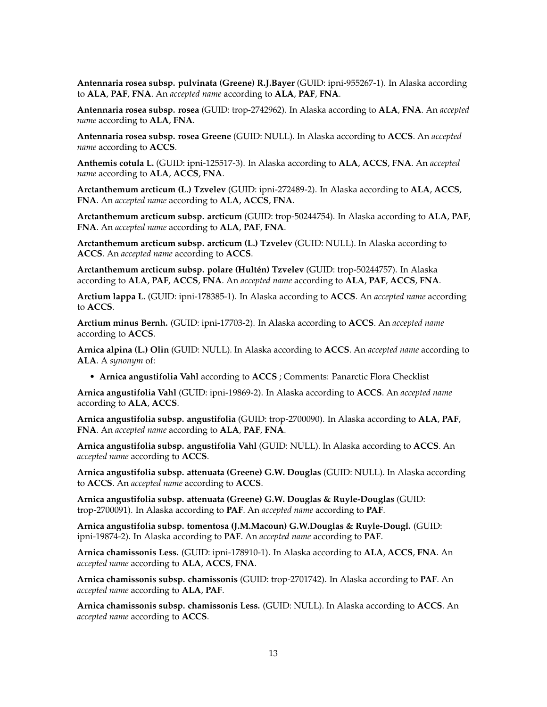**Antennaria rosea subsp. pulvinata (Greene) R.J.Bayer** (GUID: ipni-955267-1). In Alaska according to **ALA**, **PAF**, **FNA**. An *accepted name* according to **ALA**, **PAF**, **FNA**.

**Antennaria rosea subsp. rosea** (GUID: trop-2742962). In Alaska according to **ALA**, **FNA**. An *accepted name* according to **ALA**, **FNA**.

**Antennaria rosea subsp. rosea Greene** (GUID: NULL). In Alaska according to **ACCS**. An *accepted name* according to **ACCS**.

**Anthemis cotula L.** (GUID: ipni-125517-3). In Alaska according to **ALA**, **ACCS**, **FNA**. An *accepted name* according to **ALA**, **ACCS**, **FNA**.

**Arctanthemum arcticum (L.) Tzvelev** (GUID: ipni-272489-2). In Alaska according to **ALA**, **ACCS**, **FNA**. An *accepted name* according to **ALA**, **ACCS**, **FNA**.

**Arctanthemum arcticum subsp. arcticum** (GUID: trop-50244754). In Alaska according to **ALA**, **PAF**, **FNA**. An *accepted name* according to **ALA**, **PAF**, **FNA**.

**Arctanthemum arcticum subsp. arcticum (L.) Tzvelev** (GUID: NULL). In Alaska according to **ACCS**. An *accepted name* according to **ACCS**.

**Arctanthemum arcticum subsp. polare (Hultén) Tzvelev** (GUID: trop-50244757). In Alaska according to **ALA**, **PAF**, **ACCS**, **FNA**. An *accepted name* according to **ALA**, **PAF**, **ACCS**, **FNA**.

**Arctium lappa L.** (GUID: ipni-178385-1). In Alaska according to **ACCS**. An *accepted name* according to **ACCS**.

**Arctium minus Bernh.** (GUID: ipni-17703-2). In Alaska according to **ACCS**. An *accepted name* according to **ACCS**.

**Arnica alpina (L.) Olin** (GUID: NULL). In Alaska according to **ACCS**. An *accepted name* according to **ALA**. A *synonym* of:

• **Arnica angustifolia Vahl** according to **ACCS** ; Comments: Panarctic Flora Checklist

**Arnica angustifolia Vahl** (GUID: ipni-19869-2). In Alaska according to **ACCS**. An *accepted name* according to **ALA**, **ACCS**.

**Arnica angustifolia subsp. angustifolia** (GUID: trop-2700090). In Alaska according to **ALA**, **PAF**, **FNA**. An *accepted name* according to **ALA**, **PAF**, **FNA**.

**Arnica angustifolia subsp. angustifolia Vahl** (GUID: NULL). In Alaska according to **ACCS**. An *accepted name* according to **ACCS**.

**Arnica angustifolia subsp. attenuata (Greene) G.W. Douglas** (GUID: NULL). In Alaska according to **ACCS**. An *accepted name* according to **ACCS**.

**Arnica angustifolia subsp. attenuata (Greene) G.W. Douglas & Ruyle-Douglas** (GUID: trop-2700091). In Alaska according to **PAF**. An *accepted name* according to **PAF**.

**Arnica angustifolia subsp. tomentosa (J.M.Macoun) G.W.Douglas & Ruyle-Dougl.** (GUID: ipni-19874-2). In Alaska according to **PAF**. An *accepted name* according to **PAF**.

**Arnica chamissonis Less.** (GUID: ipni-178910-1). In Alaska according to **ALA**, **ACCS**, **FNA**. An *accepted name* according to **ALA**, **ACCS**, **FNA**.

**Arnica chamissonis subsp. chamissonis** (GUID: trop-2701742). In Alaska according to **PAF**. An *accepted name* according to **ALA**, **PAF**.

**Arnica chamissonis subsp. chamissonis Less.** (GUID: NULL). In Alaska according to **ACCS**. An *accepted name* according to **ACCS**.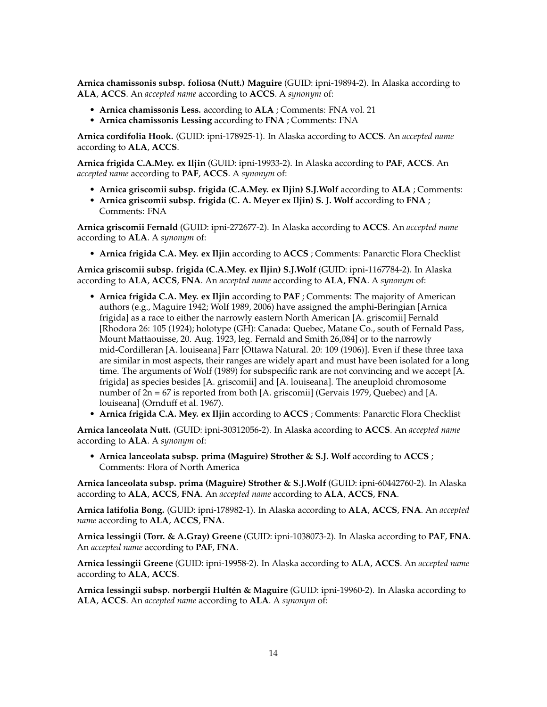**Arnica chamissonis subsp. foliosa (Nutt.) Maguire** (GUID: ipni-19894-2). In Alaska according to **ALA**, **ACCS**. An *accepted name* according to **ACCS**. A *synonym* of:

- **Arnica chamissonis Less.** according to **ALA** ; Comments: FNA vol. 21
- **Arnica chamissonis Lessing** according to **FNA** ; Comments: FNA

**Arnica cordifolia Hook.** (GUID: ipni-178925-1). In Alaska according to **ACCS**. An *accepted name* according to **ALA**, **ACCS**.

**Arnica frigida C.A.Mey. ex Iljin** (GUID: ipni-19933-2). In Alaska according to **PAF**, **ACCS**. An *accepted name* according to **PAF**, **ACCS**. A *synonym* of:

- **Arnica griscomii subsp. frigida (C.A.Mey. ex Iljin) S.J.Wolf** according to **ALA** ; Comments:
- **Arnica griscomii subsp. frigida (C. A. Meyer ex Iljin) S. J. Wolf** according to **FNA** ; Comments: FNA

**Arnica griscomii Fernald** (GUID: ipni-272677-2). In Alaska according to **ACCS**. An *accepted name* according to **ALA**. A *synonym* of:

• **Arnica frigida C.A. Mey. ex Iljin** according to **ACCS** ; Comments: Panarctic Flora Checklist

**Arnica griscomii subsp. frigida (C.A.Mey. ex Iljin) S.J.Wolf** (GUID: ipni-1167784-2). In Alaska according to **ALA**, **ACCS**, **FNA**. An *accepted name* according to **ALA**, **FNA**. A *synonym* of:

- **Arnica frigida C.A. Mey. ex Iljin** according to **PAF** ; Comments: The majority of American authors (e.g., Maguire 1942; Wolf 1989, 2006) have assigned the amphi-Beringian [Arnica frigida] as a race to either the narrowly eastern North American [A. griscomii] Fernald [Rhodora 26: 105 (1924); holotype (GH): Canada: Quebec, Matane Co., south of Fernald Pass, Mount Mattaouisse, 20. Aug. 1923, leg. Fernald and Smith 26,084] or to the narrowly mid-Cordilleran [A. louiseana] Farr [Ottawa Natural. 20: 109 (1906)]. Even if these three taxa are similar in most aspects, their ranges are widely apart and must have been isolated for a long time. The arguments of Wolf (1989) for subspecific rank are not convincing and we accept [A. frigida] as species besides [A. griscomii] and [A. louiseana]. The aneuploid chromosome number of 2n = 67 is reported from both [A. griscomii] (Gervais 1979, Quebec) and [A. louiseana] (Ornduff et al. 1967).
- **Arnica frigida C.A. Mey. ex Iljin** according to **ACCS** ; Comments: Panarctic Flora Checklist

**Arnica lanceolata Nutt.** (GUID: ipni-30312056-2). In Alaska according to **ACCS**. An *accepted name* according to **ALA**. A *synonym* of:

• **Arnica lanceolata subsp. prima (Maguire) Strother & S.J. Wolf** according to **ACCS** ; Comments: Flora of North America

**Arnica lanceolata subsp. prima (Maguire) Strother & S.J.Wolf** (GUID: ipni-60442760-2). In Alaska according to **ALA**, **ACCS**, **FNA**. An *accepted name* according to **ALA**, **ACCS**, **FNA**.

**Arnica latifolia Bong.** (GUID: ipni-178982-1). In Alaska according to **ALA**, **ACCS**, **FNA**. An *accepted name* according to **ALA**, **ACCS**, **FNA**.

**Arnica lessingii (Torr. & A.Gray) Greene** (GUID: ipni-1038073-2). In Alaska according to **PAF**, **FNA**. An *accepted name* according to **PAF**, **FNA**.

**Arnica lessingii Greene** (GUID: ipni-19958-2). In Alaska according to **ALA**, **ACCS**. An *accepted name* according to **ALA**, **ACCS**.

**Arnica lessingii subsp. norbergii Hultén & Maguire** (GUID: ipni-19960-2). In Alaska according to **ALA**, **ACCS**. An *accepted name* according to **ALA**. A *synonym* of: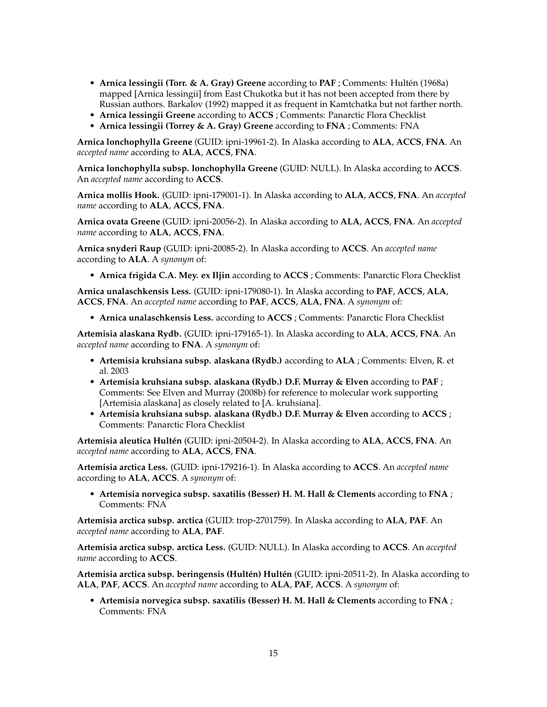- **Arnica lessingii (Torr. & A. Gray) Greene** according to **PAF** ; Comments: Hultén (1968a) mapped [Arnica lessingii] from East Chukotka but it has not been accepted from there by Russian authors. Barkalov (1992) mapped it as frequent in Kamtchatka but not farther north.
- **Arnica lessingii Greene** according to **ACCS** ; Comments: Panarctic Flora Checklist
- **Arnica lessingii (Torrey & A. Gray) Greene** according to **FNA** ; Comments: FNA

**Arnica lonchophylla Greene** (GUID: ipni-19961-2). In Alaska according to **ALA**, **ACCS**, **FNA**. An *accepted name* according to **ALA**, **ACCS**, **FNA**.

**Arnica lonchophylla subsp. lonchophylla Greene** (GUID: NULL). In Alaska according to **ACCS**. An *accepted name* according to **ACCS**.

**Arnica mollis Hook.** (GUID: ipni-179001-1). In Alaska according to **ALA**, **ACCS**, **FNA**. An *accepted name* according to **ALA**, **ACCS**, **FNA**.

**Arnica ovata Greene** (GUID: ipni-20056-2). In Alaska according to **ALA**, **ACCS**, **FNA**. An *accepted name* according to **ALA**, **ACCS**, **FNA**.

**Arnica snyderi Raup** (GUID: ipni-20085-2). In Alaska according to **ACCS**. An *accepted name* according to **ALA**. A *synonym* of:

• **Arnica frigida C.A. Mey. ex Iljin** according to **ACCS** ; Comments: Panarctic Flora Checklist

**Arnica unalaschkensis Less.** (GUID: ipni-179080-1). In Alaska according to **PAF**, **ACCS**, **ALA**, **ACCS**, **FNA**. An *accepted name* according to **PAF**, **ACCS**, **ALA**, **FNA**. A *synonym* of:

• **Arnica unalaschkensis Less.** according to **ACCS** ; Comments: Panarctic Flora Checklist

**Artemisia alaskana Rydb.** (GUID: ipni-179165-1). In Alaska according to **ALA**, **ACCS**, **FNA**. An *accepted name* according to **FNA**. A *synonym* of:

- **Artemisia kruhsiana subsp. alaskana (Rydb.)** according to **ALA** ; Comments: Elven, R. et al. 2003
- **Artemisia kruhsiana subsp. alaskana (Rydb.) D.F. Murray & Elven** according to **PAF** ; Comments: See Elven and Murray (2008b) for reference to molecular work supporting [Artemisia alaskana] as closely related to [A. kruhsiana].
- **Artemisia kruhsiana subsp. alaskana (Rydb.) D.F. Murray & Elven** according to **ACCS** ; Comments: Panarctic Flora Checklist

**Artemisia aleutica Hultén** (GUID: ipni-20504-2). In Alaska according to **ALA**, **ACCS**, **FNA**. An *accepted name* according to **ALA**, **ACCS**, **FNA**.

**Artemisia arctica Less.** (GUID: ipni-179216-1). In Alaska according to **ACCS**. An *accepted name* according to **ALA**, **ACCS**. A *synonym* of:

• **Artemisia norvegica subsp. saxatilis (Besser) H. M. Hall & Clements** according to **FNA** ; Comments: FNA

**Artemisia arctica subsp. arctica** (GUID: trop-2701759). In Alaska according to **ALA**, **PAF**. An *accepted name* according to **ALA**, **PAF**.

**Artemisia arctica subsp. arctica Less.** (GUID: NULL). In Alaska according to **ACCS**. An *accepted name* according to **ACCS**.

**Artemisia arctica subsp. beringensis (Hultén) Hultén** (GUID: ipni-20511-2). In Alaska according to **ALA**, **PAF**, **ACCS**. An *accepted name* according to **ALA**, **PAF**, **ACCS**. A *synonym* of:

• **Artemisia norvegica subsp. saxatilis (Besser) H. M. Hall & Clements** according to **FNA** ; Comments: FNA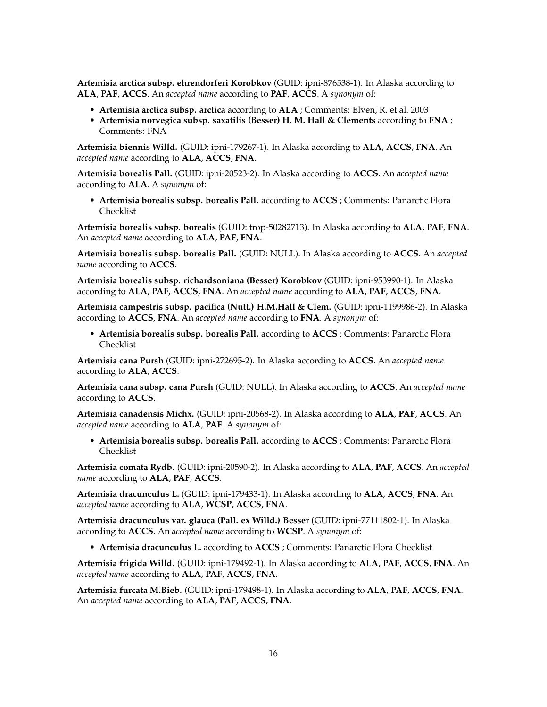**Artemisia arctica subsp. ehrendorferi Korobkov** (GUID: ipni-876538-1). In Alaska according to **ALA**, **PAF**, **ACCS**. An *accepted name* according to **PAF**, **ACCS**. A *synonym* of:

- **Artemisia arctica subsp. arctica** according to **ALA** ; Comments: Elven, R. et al. 2003
- **Artemisia norvegica subsp. saxatilis (Besser) H. M. Hall & Clements** according to **FNA** ; Comments: FNA

**Artemisia biennis Willd.** (GUID: ipni-179267-1). In Alaska according to **ALA**, **ACCS**, **FNA**. An *accepted name* according to **ALA**, **ACCS**, **FNA**.

**Artemisia borealis Pall.** (GUID: ipni-20523-2). In Alaska according to **ACCS**. An *accepted name* according to **ALA**. A *synonym* of:

• **Artemisia borealis subsp. borealis Pall.** according to **ACCS** ; Comments: Panarctic Flora Checklist

**Artemisia borealis subsp. borealis** (GUID: trop-50282713). In Alaska according to **ALA**, **PAF**, **FNA**. An *accepted name* according to **ALA**, **PAF**, **FNA**.

**Artemisia borealis subsp. borealis Pall.** (GUID: NULL). In Alaska according to **ACCS**. An *accepted name* according to **ACCS**.

**Artemisia borealis subsp. richardsoniana (Besser) Korobkov** (GUID: ipni-953990-1). In Alaska according to **ALA**, **PAF**, **ACCS**, **FNA**. An *accepted name* according to **ALA**, **PAF**, **ACCS**, **FNA**.

**Artemisia campestris subsp. pacifica (Nutt.) H.M.Hall & Clem.** (GUID: ipni-1199986-2). In Alaska according to **ACCS**, **FNA**. An *accepted name* according to **FNA**. A *synonym* of:

• **Artemisia borealis subsp. borealis Pall.** according to **ACCS** ; Comments: Panarctic Flora Checklist

**Artemisia cana Pursh** (GUID: ipni-272695-2). In Alaska according to **ACCS**. An *accepted name* according to **ALA**, **ACCS**.

**Artemisia cana subsp. cana Pursh** (GUID: NULL). In Alaska according to **ACCS**. An *accepted name* according to **ACCS**.

**Artemisia canadensis Michx.** (GUID: ipni-20568-2). In Alaska according to **ALA**, **PAF**, **ACCS**. An *accepted name* according to **ALA**, **PAF**. A *synonym* of:

• **Artemisia borealis subsp. borealis Pall.** according to **ACCS** ; Comments: Panarctic Flora Checklist

**Artemisia comata Rydb.** (GUID: ipni-20590-2). In Alaska according to **ALA**, **PAF**, **ACCS**. An *accepted name* according to **ALA**, **PAF**, **ACCS**.

**Artemisia dracunculus L.** (GUID: ipni-179433-1). In Alaska according to **ALA**, **ACCS**, **FNA**. An *accepted name* according to **ALA**, **WCSP**, **ACCS**, **FNA**.

**Artemisia dracunculus var. glauca (Pall. ex Willd.) Besser** (GUID: ipni-77111802-1). In Alaska according to **ACCS**. An *accepted name* according to **WCSP**. A *synonym* of:

• **Artemisia dracunculus L.** according to **ACCS** ; Comments: Panarctic Flora Checklist

**Artemisia frigida Willd.** (GUID: ipni-179492-1). In Alaska according to **ALA**, **PAF**, **ACCS**, **FNA**. An *accepted name* according to **ALA**, **PAF**, **ACCS**, **FNA**.

**Artemisia furcata M.Bieb.** (GUID: ipni-179498-1). In Alaska according to **ALA**, **PAF**, **ACCS**, **FNA**. An *accepted name* according to **ALA**, **PAF**, **ACCS**, **FNA**.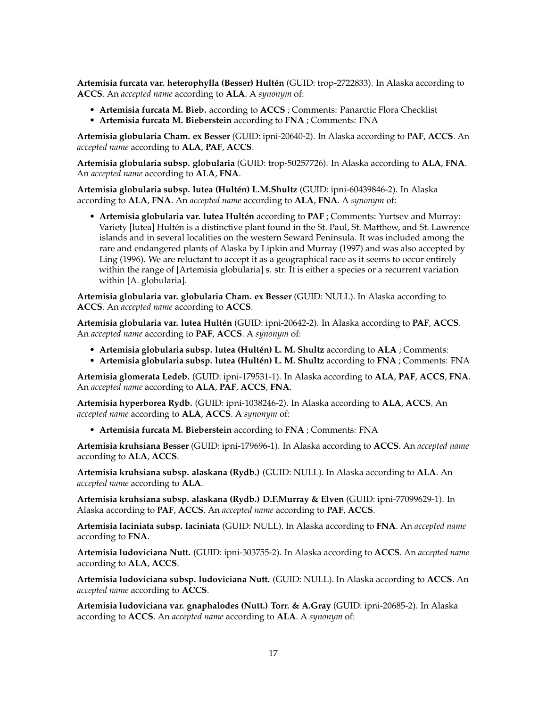**Artemisia furcata var. heterophylla (Besser) Hultén** (GUID: trop-2722833). In Alaska according to **ACCS**. An *accepted name* according to **ALA**. A *synonym* of:

- **Artemisia furcata M. Bieb.** according to **ACCS** ; Comments: Panarctic Flora Checklist
- **Artemisia furcata M. Bieberstein** according to **FNA** ; Comments: FNA

**Artemisia globularia Cham. ex Besser** (GUID: ipni-20640-2). In Alaska according to **PAF**, **ACCS**. An *accepted name* according to **ALA**, **PAF**, **ACCS**.

**Artemisia globularia subsp. globularia** (GUID: trop-50257726). In Alaska according to **ALA**, **FNA**. An *accepted name* according to **ALA**, **FNA**.

**Artemisia globularia subsp. lutea (Hultén) L.M.Shultz** (GUID: ipni-60439846-2). In Alaska according to **ALA**, **FNA**. An *accepted name* according to **ALA**, **FNA**. A *synonym* of:

• **Artemisia globularia var. lutea Hultén** according to **PAF** ; Comments: Yurtsev and Murray: Variety [lutea] Hultén is a distinctive plant found in the St. Paul, St. Matthew, and St. Lawrence islands and in several localities on the western Seward Peninsula. It was included among the rare and endangered plants of Alaska by Lipkin and Murray (1997) and was also accepted by Ling (1996). We are reluctant to accept it as a geographical race as it seems to occur entirely within the range of [Artemisia globularia] s. str. It is either a species or a recurrent variation within [A. globularia].

**Artemisia globularia var. globularia Cham. ex Besser** (GUID: NULL). In Alaska according to **ACCS**. An *accepted name* according to **ACCS**.

**Artemisia globularia var. lutea Hultén** (GUID: ipni-20642-2). In Alaska according to **PAF**, **ACCS**. An *accepted name* according to **PAF**, **ACCS**. A *synonym* of:

- **Artemisia globularia subsp. lutea (Hultén) L. M. Shultz** according to **ALA** ; Comments:
- **Artemisia globularia subsp. lutea (Hultén) L. M. Shultz** according to **FNA** ; Comments: FNA

**Artemisia glomerata Ledeb.** (GUID: ipni-179531-1). In Alaska according to **ALA**, **PAF**, **ACCS**, **FNA**. An *accepted name* according to **ALA**, **PAF**, **ACCS**, **FNA**.

**Artemisia hyperborea Rydb.** (GUID: ipni-1038246-2). In Alaska according to **ALA**, **ACCS**. An *accepted name* according to **ALA**, **ACCS**. A *synonym* of:

• **Artemisia furcata M. Bieberstein** according to **FNA** ; Comments: FNA

**Artemisia kruhsiana Besser** (GUID: ipni-179696-1). In Alaska according to **ACCS**. An *accepted name* according to **ALA**, **ACCS**.

**Artemisia kruhsiana subsp. alaskana (Rydb.)** (GUID: NULL). In Alaska according to **ALA**. An *accepted name* according to **ALA**.

**Artemisia kruhsiana subsp. alaskana (Rydb.) D.F.Murray & Elven** (GUID: ipni-77099629-1). In Alaska according to **PAF**, **ACCS**. An *accepted name* according to **PAF**, **ACCS**.

**Artemisia laciniata subsp. laciniata** (GUID: NULL). In Alaska according to **FNA**. An *accepted name* according to **FNA**.

**Artemisia ludoviciana Nutt.** (GUID: ipni-303755-2). In Alaska according to **ACCS**. An *accepted name* according to **ALA**, **ACCS**.

**Artemisia ludoviciana subsp. ludoviciana Nutt.** (GUID: NULL). In Alaska according to **ACCS**. An *accepted name* according to **ACCS**.

**Artemisia ludoviciana var. gnaphalodes (Nutt.) Torr. & A.Gray** (GUID: ipni-20685-2). In Alaska according to **ACCS**. An *accepted name* according to **ALA**. A *synonym* of: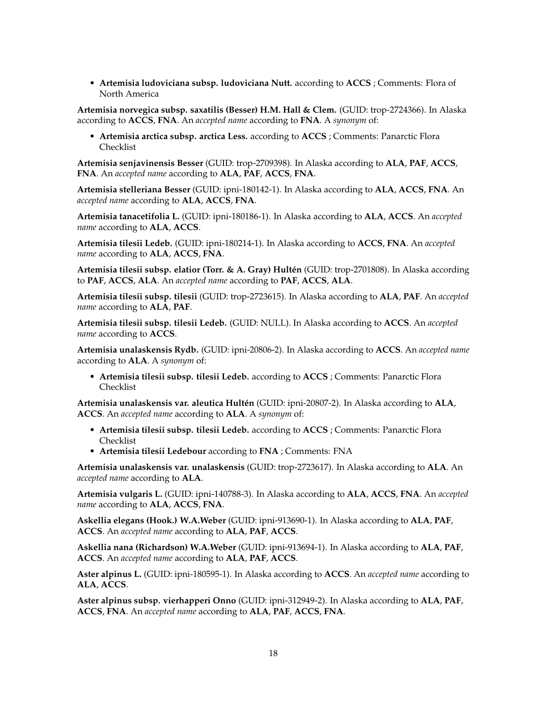• **Artemisia ludoviciana subsp. ludoviciana Nutt.** according to **ACCS** ; Comments: Flora of North America

**Artemisia norvegica subsp. saxatilis (Besser) H.M. Hall & Clem.** (GUID: trop-2724366). In Alaska according to **ACCS**, **FNA**. An *accepted name* according to **FNA**. A *synonym* of:

• **Artemisia arctica subsp. arctica Less.** according to **ACCS** ; Comments: Panarctic Flora Checklist

**Artemisia senjavinensis Besser** (GUID: trop-2709398). In Alaska according to **ALA**, **PAF**, **ACCS**, **FNA**. An *accepted name* according to **ALA**, **PAF**, **ACCS**, **FNA**.

**Artemisia stelleriana Besser** (GUID: ipni-180142-1). In Alaska according to **ALA**, **ACCS**, **FNA**. An *accepted name* according to **ALA**, **ACCS**, **FNA**.

**Artemisia tanacetifolia L.** (GUID: ipni-180186-1). In Alaska according to **ALA**, **ACCS**. An *accepted name* according to **ALA**, **ACCS**.

**Artemisia tilesii Ledeb.** (GUID: ipni-180214-1). In Alaska according to **ACCS**, **FNA**. An *accepted name* according to **ALA**, **ACCS**, **FNA**.

**Artemisia tilesii subsp. elatior (Torr. & A. Gray) Hultén** (GUID: trop-2701808). In Alaska according to **PAF**, **ACCS**, **ALA**. An *accepted name* according to **PAF**, **ACCS**, **ALA**.

**Artemisia tilesii subsp. tilesii** (GUID: trop-2723615). In Alaska according to **ALA**, **PAF**. An *accepted name* according to **ALA**, **PAF**.

**Artemisia tilesii subsp. tilesii Ledeb.** (GUID: NULL). In Alaska according to **ACCS**. An *accepted name* according to **ACCS**.

**Artemisia unalaskensis Rydb.** (GUID: ipni-20806-2). In Alaska according to **ACCS**. An *accepted name* according to **ALA**. A *synonym* of:

• **Artemisia tilesii subsp. tilesii Ledeb.** according to **ACCS** ; Comments: Panarctic Flora Checklist

**Artemisia unalaskensis var. aleutica Hultén** (GUID: ipni-20807-2). In Alaska according to **ALA**, **ACCS**. An *accepted name* according to **ALA**. A *synonym* of:

- **Artemisia tilesii subsp. tilesii Ledeb.** according to **ACCS** ; Comments: Panarctic Flora Checklist
- **Artemisia tilesii Ledebour** according to **FNA** ; Comments: FNA

**Artemisia unalaskensis var. unalaskensis** (GUID: trop-2723617). In Alaska according to **ALA**. An *accepted name* according to **ALA**.

**Artemisia vulgaris L.** (GUID: ipni-140788-3). In Alaska according to **ALA**, **ACCS**, **FNA**. An *accepted name* according to **ALA**, **ACCS**, **FNA**.

**Askellia elegans (Hook.) W.A.Weber** (GUID: ipni-913690-1). In Alaska according to **ALA**, **PAF**, **ACCS**. An *accepted name* according to **ALA**, **PAF**, **ACCS**.

**Askellia nana (Richardson) W.A.Weber** (GUID: ipni-913694-1). In Alaska according to **ALA**, **PAF**, **ACCS**. An *accepted name* according to **ALA**, **PAF**, **ACCS**.

**Aster alpinus L.** (GUID: ipni-180595-1). In Alaska according to **ACCS**. An *accepted name* according to **ALA**, **ACCS**.

**Aster alpinus subsp. vierhapperi Onno** (GUID: ipni-312949-2). In Alaska according to **ALA**, **PAF**, **ACCS**, **FNA**. An *accepted name* according to **ALA**, **PAF**, **ACCS**, **FNA**.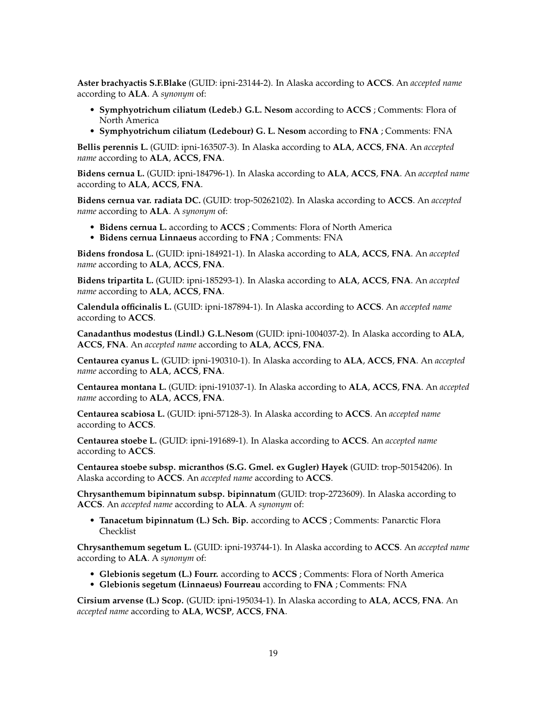**Aster brachyactis S.F.Blake** (GUID: ipni-23144-2). In Alaska according to **ACCS**. An *accepted name* according to **ALA**. A *synonym* of:

- **Symphyotrichum ciliatum (Ledeb.) G.L. Nesom** according to **ACCS** ; Comments: Flora of North America
- **Symphyotrichum ciliatum (Ledebour) G. L. Nesom** according to **FNA** ; Comments: FNA

**Bellis perennis L.** (GUID: ipni-163507-3). In Alaska according to **ALA**, **ACCS**, **FNA**. An *accepted name* according to **ALA**, **ACCS**, **FNA**.

**Bidens cernua L.** (GUID: ipni-184796-1). In Alaska according to **ALA**, **ACCS**, **FNA**. An *accepted name* according to **ALA**, **ACCS**, **FNA**.

**Bidens cernua var. radiata DC.** (GUID: trop-50262102). In Alaska according to **ACCS**. An *accepted name* according to **ALA**. A *synonym* of:

- **Bidens cernua L.** according to **ACCS** ; Comments: Flora of North America
- **Bidens cernua Linnaeus** according to **FNA** ; Comments: FNA

**Bidens frondosa L.** (GUID: ipni-184921-1). In Alaska according to **ALA**, **ACCS**, **FNA**. An *accepted name* according to **ALA**, **ACCS**, **FNA**.

**Bidens tripartita L.** (GUID: ipni-185293-1). In Alaska according to **ALA**, **ACCS**, **FNA**. An *accepted name* according to **ALA**, **ACCS**, **FNA**.

**Calendula officinalis L.** (GUID: ipni-187894-1). In Alaska according to **ACCS**. An *accepted name* according to **ACCS**.

**Canadanthus modestus (Lindl.) G.L.Nesom** (GUID: ipni-1004037-2). In Alaska according to **ALA**, **ACCS**, **FNA**. An *accepted name* according to **ALA**, **ACCS**, **FNA**.

**Centaurea cyanus L.** (GUID: ipni-190310-1). In Alaska according to **ALA**, **ACCS**, **FNA**. An *accepted name* according to **ALA**, **ACCS**, **FNA**.

**Centaurea montana L.** (GUID: ipni-191037-1). In Alaska according to **ALA**, **ACCS**, **FNA**. An *accepted name* according to **ALA**, **ACCS**, **FNA**.

**Centaurea scabiosa L.** (GUID: ipni-57128-3). In Alaska according to **ACCS**. An *accepted name* according to **ACCS**.

**Centaurea stoebe L.** (GUID: ipni-191689-1). In Alaska according to **ACCS**. An *accepted name* according to **ACCS**.

**Centaurea stoebe subsp. micranthos (S.G. Gmel. ex Gugler) Hayek** (GUID: trop-50154206). In Alaska according to **ACCS**. An *accepted name* according to **ACCS**.

**Chrysanthemum bipinnatum subsp. bipinnatum** (GUID: trop-2723609). In Alaska according to **ACCS**. An *accepted name* according to **ALA**. A *synonym* of:

• **Tanacetum bipinnatum (L.) Sch. Bip.** according to **ACCS** ; Comments: Panarctic Flora Checklist

**Chrysanthemum segetum L.** (GUID: ipni-193744-1). In Alaska according to **ACCS**. An *accepted name* according to **ALA**. A *synonym* of:

- **Glebionis segetum (L.) Fourr.** according to **ACCS** ; Comments: Flora of North America
- **Glebionis segetum (Linnaeus) Fourreau** according to **FNA** ; Comments: FNA

**Cirsium arvense (L.) Scop.** (GUID: ipni-195034-1). In Alaska according to **ALA**, **ACCS**, **FNA**. An *accepted name* according to **ALA**, **WCSP**, **ACCS**, **FNA**.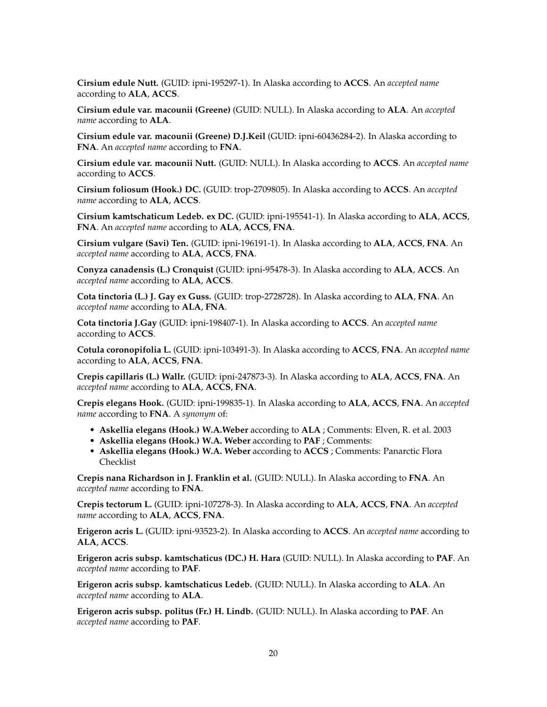**Cirsium edule Nutt.** (GUID: ipni-195297-1). In Alaska according to **ACCS**. An *accepted name* according to **ALA**, **ACCS**.

**Cirsium edule var. macounii (Greene)** (GUID: NULL). In Alaska according to **ALA**. An *accepted name* according to **ALA**.

**Cirsium edule var. macounii (Greene) D.J.Keil** (GUID: ipni-60436284-2). In Alaska according to **FNA**. An *accepted name* according to **FNA**.

**Cirsium edule var. macounii Nutt.** (GUID: NULL). In Alaska according to **ACCS**. An *accepted name* according to **ACCS**.

**Cirsium foliosum (Hook.) DC.** (GUID: trop-2709805). In Alaska according to **ACCS**. An *accepted name* according to **ALA**, **ACCS**.

**Cirsium kamtschaticum Ledeb. ex DC.** (GUID: ipni-195541-1). In Alaska according to **ALA**, **ACCS**, **FNA**. An *accepted name* according to **ALA**, **ACCS**, **FNA**.

**Cirsium vulgare (Savi) Ten.** (GUID: ipni-196191-1). In Alaska according to **ALA**, **ACCS**, **FNA**. An *accepted name* according to **ALA**, **ACCS**, **FNA**.

**Conyza canadensis (L.) Cronquist** (GUID: ipni-95478-3). In Alaska according to **ALA**, **ACCS**. An *accepted name* according to **ALA**, **ACCS**.

**Cota tinctoria (L.) J. Gay ex Guss.** (GUID: trop-2728728). In Alaska according to **ALA**, **FNA**. An *accepted name* according to **ALA**, **FNA**.

**Cota tinctoria J.Gay** (GUID: ipni-198407-1). In Alaska according to **ACCS**. An *accepted name* according to **ACCS**.

**Cotula coronopifolia L.** (GUID: ipni-103491-3). In Alaska according to **ACCS**, **FNA**. An *accepted name* according to **ALA**, **ACCS**, **FNA**.

**Crepis capillaris (L.) Wallr.** (GUID: ipni-247873-3). In Alaska according to **ALA**, **ACCS**, **FNA**. An *accepted name* according to **ALA**, **ACCS**, **FNA**.

**Crepis elegans Hook.** (GUID: ipni-199835-1). In Alaska according to **ALA**, **ACCS**, **FNA**. An *accepted name* according to **FNA**. A *synonym* of:

- **Askellia elegans (Hook.) W.A.Weber** according to **ALA** ; Comments: Elven, R. et al. 2003
- **Askellia elegans (Hook.) W.A. Weber** according to **PAF** ; Comments:
- **Askellia elegans (Hook.) W.A. Weber** according to **ACCS** ; Comments: Panarctic Flora Checklist

**Crepis nana Richardson in J. Franklin et al.** (GUID: NULL). In Alaska according to **FNA**. An *accepted name* according to **FNA**.

**Crepis tectorum L.** (GUID: ipni-107278-3). In Alaska according to **ALA**, **ACCS**, **FNA**. An *accepted name* according to **ALA**, **ACCS**, **FNA**.

**Erigeron acris L.** (GUID: ipni-93523-2). In Alaska according to **ACCS**. An *accepted name* according to **ALA**, **ACCS**.

**Erigeron acris subsp. kamtschaticus (DC.) H. Hara** (GUID: NULL). In Alaska according to **PAF**. An *accepted name* according to **PAF**.

**Erigeron acris subsp. kamtschaticus Ledeb.** (GUID: NULL). In Alaska according to **ALA**. An *accepted name* according to **ALA**.

**Erigeron acris subsp. politus (Fr.) H. Lindb.** (GUID: NULL). In Alaska according to **PAF**. An *accepted name* according to **PAF**.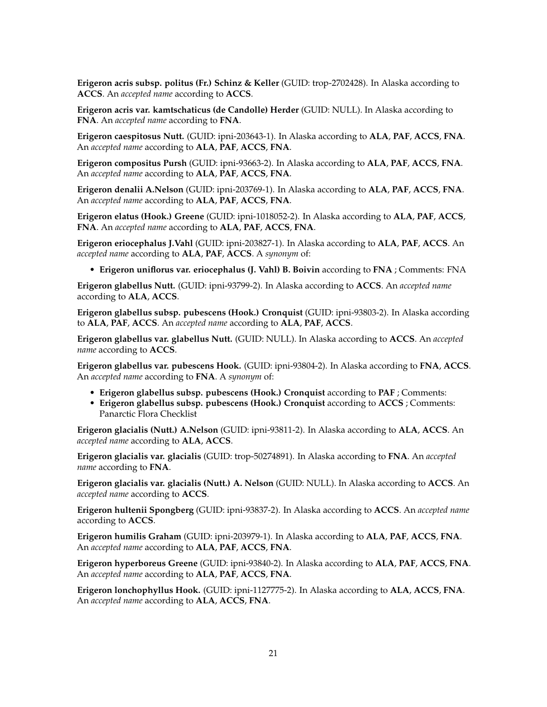**Erigeron acris subsp. politus (Fr.) Schinz & Keller** (GUID: trop-2702428). In Alaska according to **ACCS**. An *accepted name* according to **ACCS**.

**Erigeron acris var. kamtschaticus (de Candolle) Herder** (GUID: NULL). In Alaska according to **FNA**. An *accepted name* according to **FNA**.

**Erigeron caespitosus Nutt.** (GUID: ipni-203643-1). In Alaska according to **ALA**, **PAF**, **ACCS**, **FNA**. An *accepted name* according to **ALA**, **PAF**, **ACCS**, **FNA**.

**Erigeron compositus Pursh** (GUID: ipni-93663-2). In Alaska according to **ALA**, **PAF**, **ACCS**, **FNA**. An *accepted name* according to **ALA**, **PAF**, **ACCS**, **FNA**.

**Erigeron denalii A.Nelson** (GUID: ipni-203769-1). In Alaska according to **ALA**, **PAF**, **ACCS**, **FNA**. An *accepted name* according to **ALA**, **PAF**, **ACCS**, **FNA**.

**Erigeron elatus (Hook.) Greene** (GUID: ipni-1018052-2). In Alaska according to **ALA**, **PAF**, **ACCS**, **FNA**. An *accepted name* according to **ALA**, **PAF**, **ACCS**, **FNA**.

**Erigeron eriocephalus J.Vahl** (GUID: ipni-203827-1). In Alaska according to **ALA**, **PAF**, **ACCS**. An *accepted name* according to **ALA**, **PAF**, **ACCS**. A *synonym* of:

• **Erigeron uniflorus var. eriocephalus (J. Vahl) B. Boivin** according to **FNA** ; Comments: FNA

**Erigeron glabellus Nutt.** (GUID: ipni-93799-2). In Alaska according to **ACCS**. An *accepted name* according to **ALA**, **ACCS**.

**Erigeron glabellus subsp. pubescens (Hook.) Cronquist** (GUID: ipni-93803-2). In Alaska according to **ALA**, **PAF**, **ACCS**. An *accepted name* according to **ALA**, **PAF**, **ACCS**.

**Erigeron glabellus var. glabellus Nutt.** (GUID: NULL). In Alaska according to **ACCS**. An *accepted name* according to **ACCS**.

**Erigeron glabellus var. pubescens Hook.** (GUID: ipni-93804-2). In Alaska according to **FNA**, **ACCS**. An *accepted name* according to **FNA**. A *synonym* of:

- **Erigeron glabellus subsp. pubescens (Hook.) Cronquist** according to **PAF** ; Comments:
- **Erigeron glabellus subsp. pubescens (Hook.) Cronquist** according to **ACCS** ; Comments: Panarctic Flora Checklist

**Erigeron glacialis (Nutt.) A.Nelson** (GUID: ipni-93811-2). In Alaska according to **ALA**, **ACCS**. An *accepted name* according to **ALA**, **ACCS**.

**Erigeron glacialis var. glacialis** (GUID: trop-50274891). In Alaska according to **FNA**. An *accepted name* according to **FNA**.

**Erigeron glacialis var. glacialis (Nutt.) A. Nelson** (GUID: NULL). In Alaska according to **ACCS**. An *accepted name* according to **ACCS**.

**Erigeron hultenii Spongberg** (GUID: ipni-93837-2). In Alaska according to **ACCS**. An *accepted name* according to **ACCS**.

**Erigeron humilis Graham** (GUID: ipni-203979-1). In Alaska according to **ALA**, **PAF**, **ACCS**, **FNA**. An *accepted name* according to **ALA**, **PAF**, **ACCS**, **FNA**.

**Erigeron hyperboreus Greene** (GUID: ipni-93840-2). In Alaska according to **ALA**, **PAF**, **ACCS**, **FNA**. An *accepted name* according to **ALA**, **PAF**, **ACCS**, **FNA**.

**Erigeron lonchophyllus Hook.** (GUID: ipni-1127775-2). In Alaska according to **ALA**, **ACCS**, **FNA**. An *accepted name* according to **ALA**, **ACCS**, **FNA**.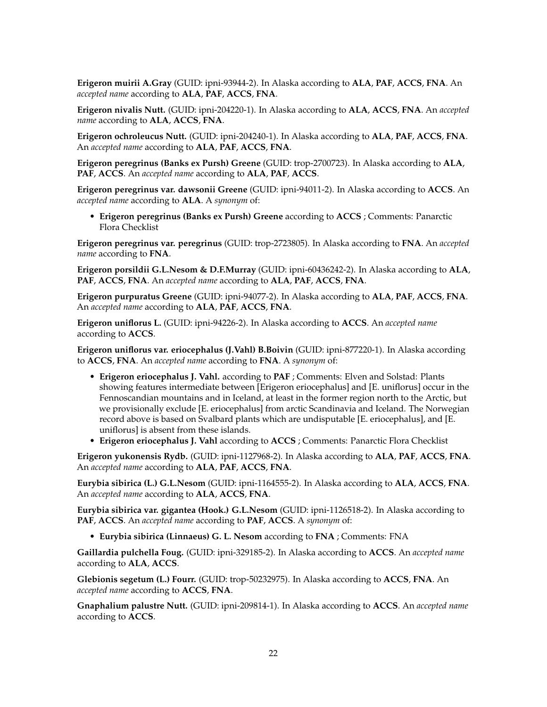**Erigeron muirii A.Gray** (GUID: ipni-93944-2). In Alaska according to **ALA**, **PAF**, **ACCS**, **FNA**. An *accepted name* according to **ALA**, **PAF**, **ACCS**, **FNA**.

**Erigeron nivalis Nutt.** (GUID: ipni-204220-1). In Alaska according to **ALA**, **ACCS**, **FNA**. An *accepted name* according to **ALA**, **ACCS**, **FNA**.

**Erigeron ochroleucus Nutt.** (GUID: ipni-204240-1). In Alaska according to **ALA**, **PAF**, **ACCS**, **FNA**. An *accepted name* according to **ALA**, **PAF**, **ACCS**, **FNA**.

**Erigeron peregrinus (Banks ex Pursh) Greene** (GUID: trop-2700723). In Alaska according to **ALA**, **PAF**, **ACCS**. An *accepted name* according to **ALA**, **PAF**, **ACCS**.

**Erigeron peregrinus var. dawsonii Greene** (GUID: ipni-94011-2). In Alaska according to **ACCS**. An *accepted name* according to **ALA**. A *synonym* of:

• **Erigeron peregrinus (Banks ex Pursh) Greene** according to **ACCS** ; Comments: Panarctic Flora Checklist

**Erigeron peregrinus var. peregrinus** (GUID: trop-2723805). In Alaska according to **FNA**. An *accepted name* according to **FNA**.

**Erigeron porsildii G.L.Nesom & D.F.Murray** (GUID: ipni-60436242-2). In Alaska according to **ALA**, **PAF**, **ACCS**, **FNA**. An *accepted name* according to **ALA**, **PAF**, **ACCS**, **FNA**.

**Erigeron purpuratus Greene** (GUID: ipni-94077-2). In Alaska according to **ALA**, **PAF**, **ACCS**, **FNA**. An *accepted name* according to **ALA**, **PAF**, **ACCS**, **FNA**.

**Erigeron uniflorus L.** (GUID: ipni-94226-2). In Alaska according to **ACCS**. An *accepted name* according to **ACCS**.

**Erigeron uniflorus var. eriocephalus (J.Vahl) B.Boivin** (GUID: ipni-877220-1). In Alaska according to **ACCS**, **FNA**. An *accepted name* according to **FNA**. A *synonym* of:

- **Erigeron eriocephalus J. Vahl.** according to **PAF** ; Comments: Elven and Solstad: Plants showing features intermediate between [Erigeron eriocephalus] and [E. uniflorus] occur in the Fennoscandian mountains and in Iceland, at least in the former region north to the Arctic, but we provisionally exclude [E. eriocephalus] from arctic Scandinavia and Iceland. The Norwegian record above is based on Svalbard plants which are undisputable [E. eriocephalus], and [E. uniflorus] is absent from these islands.
- **Erigeron eriocephalus J. Vahl** according to **ACCS** ; Comments: Panarctic Flora Checklist

**Erigeron yukonensis Rydb.** (GUID: ipni-1127968-2). In Alaska according to **ALA**, **PAF**, **ACCS**, **FNA**. An *accepted name* according to **ALA**, **PAF**, **ACCS**, **FNA**.

**Eurybia sibirica (L.) G.L.Nesom** (GUID: ipni-1164555-2). In Alaska according to **ALA**, **ACCS**, **FNA**. An *accepted name* according to **ALA**, **ACCS**, **FNA**.

**Eurybia sibirica var. gigantea (Hook.) G.L.Nesom** (GUID: ipni-1126518-2). In Alaska according to **PAF**, **ACCS**. An *accepted name* according to **PAF**, **ACCS**. A *synonym* of:

• **Eurybia sibirica (Linnaeus) G. L. Nesom** according to **FNA** ; Comments: FNA

**Gaillardia pulchella Foug.** (GUID: ipni-329185-2). In Alaska according to **ACCS**. An *accepted name* according to **ALA**, **ACCS**.

**Glebionis segetum (L.) Fourr.** (GUID: trop-50232975). In Alaska according to **ACCS**, **FNA**. An *accepted name* according to **ACCS**, **FNA**.

**Gnaphalium palustre Nutt.** (GUID: ipni-209814-1). In Alaska according to **ACCS**. An *accepted name* according to **ACCS**.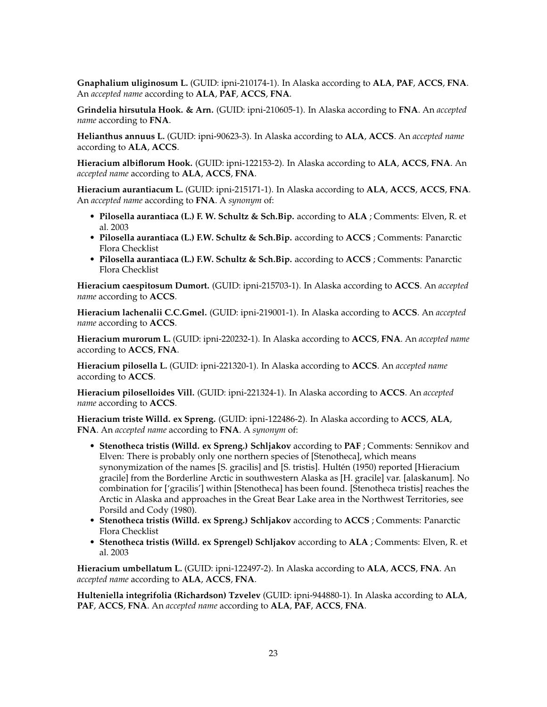**Gnaphalium uliginosum L.** (GUID: ipni-210174-1). In Alaska according to **ALA**, **PAF**, **ACCS**, **FNA**. An *accepted name* according to **ALA**, **PAF**, **ACCS**, **FNA**.

**Grindelia hirsutula Hook. & Arn.** (GUID: ipni-210605-1). In Alaska according to **FNA**. An *accepted name* according to **FNA**.

**Helianthus annuus L.** (GUID: ipni-90623-3). In Alaska according to **ALA**, **ACCS**. An *accepted name* according to **ALA**, **ACCS**.

**Hieracium albiflorum Hook.** (GUID: ipni-122153-2). In Alaska according to **ALA**, **ACCS**, **FNA**. An *accepted name* according to **ALA**, **ACCS**, **FNA**.

**Hieracium aurantiacum L.** (GUID: ipni-215171-1). In Alaska according to **ALA**, **ACCS**, **ACCS**, **FNA**. An *accepted name* according to **FNA**. A *synonym* of:

- **Pilosella aurantiaca (L.) F. W. Schultz & Sch.Bip.** according to **ALA** ; Comments: Elven, R. et al. 2003
- **Pilosella aurantiaca (L.) F.W. Schultz & Sch.Bip.** according to **ACCS** ; Comments: Panarctic Flora Checklist
- **Pilosella aurantiaca (L.) F.W. Schultz & Sch.Bip.** according to **ACCS** ; Comments: Panarctic Flora Checklist

**Hieracium caespitosum Dumort.** (GUID: ipni-215703-1). In Alaska according to **ACCS**. An *accepted name* according to **ACCS**.

**Hieracium lachenalii C.C.Gmel.** (GUID: ipni-219001-1). In Alaska according to **ACCS**. An *accepted name* according to **ACCS**.

**Hieracium murorum L.** (GUID: ipni-220232-1). In Alaska according to **ACCS**, **FNA**. An *accepted name* according to **ACCS**, **FNA**.

**Hieracium pilosella L.** (GUID: ipni-221320-1). In Alaska according to **ACCS**. An *accepted name* according to **ACCS**.

**Hieracium piloselloides Vill.** (GUID: ipni-221324-1). In Alaska according to **ACCS**. An *accepted name* according to **ACCS**.

**Hieracium triste Willd. ex Spreng.** (GUID: ipni-122486-2). In Alaska according to **ACCS**, **ALA**, **FNA**. An *accepted name* according to **FNA**. A *synonym* of:

- **Stenotheca tristis (Willd. ex Spreng.) Schljakov** according to **PAF** ; Comments: Sennikov and Elven: There is probably only one northern species of [Stenotheca], which means synonymization of the names [S. gracilis] and [S. tristis]. Hultén (1950) reported [Hieracium gracile] from the Borderline Arctic in southwestern Alaska as [H. gracile] var. [alaskanum]. No combination for ['gracilis'] within [Stenotheca] has been found. [Stenotheca tristis] reaches the Arctic in Alaska and approaches in the Great Bear Lake area in the Northwest Territories, see Porsild and Cody (1980).
- **Stenotheca tristis (Willd. ex Spreng.) Schljakov** according to **ACCS** ; Comments: Panarctic Flora Checklist
- **Stenotheca tristis (Willd. ex Sprengel) Schljakov** according to **ALA** ; Comments: Elven, R. et al. 2003

**Hieracium umbellatum L.** (GUID: ipni-122497-2). In Alaska according to **ALA**, **ACCS**, **FNA**. An *accepted name* according to **ALA**, **ACCS**, **FNA**.

**Hulteniella integrifolia (Richardson) Tzvelev** (GUID: ipni-944880-1). In Alaska according to **ALA**, **PAF**, **ACCS**, **FNA**. An *accepted name* according to **ALA**, **PAF**, **ACCS**, **FNA**.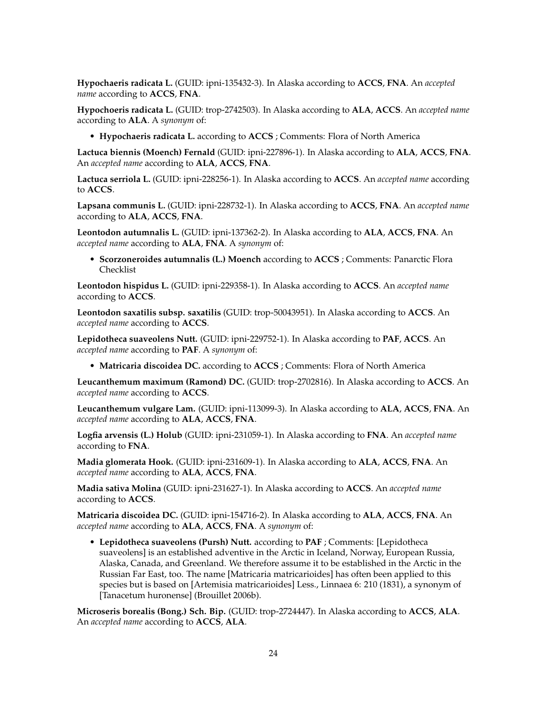**Hypochaeris radicata L.** (GUID: ipni-135432-3). In Alaska according to **ACCS**, **FNA**. An *accepted name* according to **ACCS**, **FNA**.

**Hypochoeris radicata L.** (GUID: trop-2742503). In Alaska according to **ALA**, **ACCS**. An *accepted name* according to **ALA**. A *synonym* of:

• **Hypochaeris radicata L.** according to **ACCS** ; Comments: Flora of North America

**Lactuca biennis (Moench) Fernald** (GUID: ipni-227896-1). In Alaska according to **ALA**, **ACCS**, **FNA**. An *accepted name* according to **ALA**, **ACCS**, **FNA**.

**Lactuca serriola L.** (GUID: ipni-228256-1). In Alaska according to **ACCS**. An *accepted name* according to **ACCS**.

**Lapsana communis L.** (GUID: ipni-228732-1). In Alaska according to **ACCS**, **FNA**. An *accepted name* according to **ALA**, **ACCS**, **FNA**.

**Leontodon autumnalis L.** (GUID: ipni-137362-2). In Alaska according to **ALA**, **ACCS**, **FNA**. An *accepted name* according to **ALA**, **FNA**. A *synonym* of:

• **Scorzoneroides autumnalis (L.) Moench** according to **ACCS** ; Comments: Panarctic Flora Checklist

**Leontodon hispidus L.** (GUID: ipni-229358-1). In Alaska according to **ACCS**. An *accepted name* according to **ACCS**.

**Leontodon saxatilis subsp. saxatilis** (GUID: trop-50043951). In Alaska according to **ACCS**. An *accepted name* according to **ACCS**.

**Lepidotheca suaveolens Nutt.** (GUID: ipni-229752-1). In Alaska according to **PAF**, **ACCS**. An *accepted name* according to **PAF**. A *synonym* of:

• **Matricaria discoidea DC.** according to **ACCS** ; Comments: Flora of North America

**Leucanthemum maximum (Ramond) DC.** (GUID: trop-2702816). In Alaska according to **ACCS**. An *accepted name* according to **ACCS**.

**Leucanthemum vulgare Lam.** (GUID: ipni-113099-3). In Alaska according to **ALA**, **ACCS**, **FNA**. An *accepted name* according to **ALA**, **ACCS**, **FNA**.

**Logfia arvensis (L.) Holub** (GUID: ipni-231059-1). In Alaska according to **FNA**. An *accepted name* according to **FNA**.

**Madia glomerata Hook.** (GUID: ipni-231609-1). In Alaska according to **ALA**, **ACCS**, **FNA**. An *accepted name* according to **ALA**, **ACCS**, **FNA**.

**Madia sativa Molina** (GUID: ipni-231627-1). In Alaska according to **ACCS**. An *accepted name* according to **ACCS**.

**Matricaria discoidea DC.** (GUID: ipni-154716-2). In Alaska according to **ALA**, **ACCS**, **FNA**. An *accepted name* according to **ALA**, **ACCS**, **FNA**. A *synonym* of:

• **Lepidotheca suaveolens (Pursh) Nutt.** according to **PAF** ; Comments: [Lepidotheca suaveolens] is an established adventive in the Arctic in Iceland, Norway, European Russia, Alaska, Canada, and Greenland. We therefore assume it to be established in the Arctic in the Russian Far East, too. The name [Matricaria matricarioides] has often been applied to this species but is based on [Artemisia matricarioides] Less., Linnaea 6: 210 (1831), a synonym of [Tanacetum huronense] (Brouillet 2006b).

**Microseris borealis (Bong.) Sch. Bip.** (GUID: trop-2724447). In Alaska according to **ACCS**, **ALA**. An *accepted name* according to **ACCS**, **ALA**.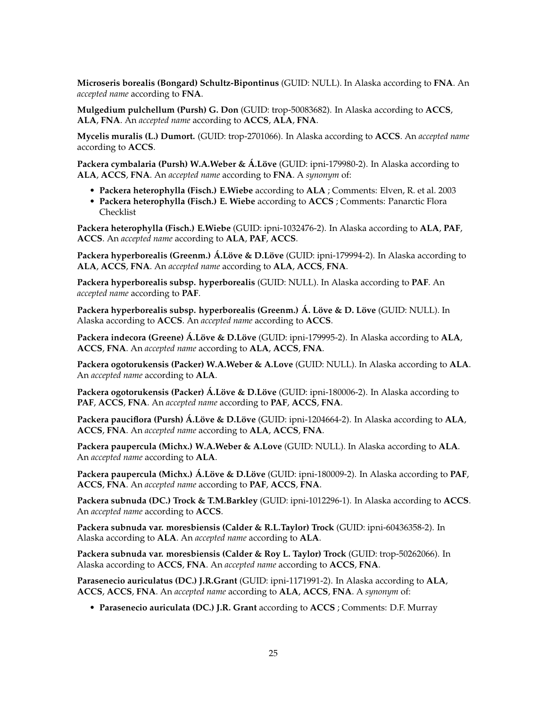**Microseris borealis (Bongard) Schultz-Bipontinus** (GUID: NULL). In Alaska according to **FNA**. An *accepted name* according to **FNA**.

**Mulgedium pulchellum (Pursh) G. Don** (GUID: trop-50083682). In Alaska according to **ACCS**, **ALA**, **FNA**. An *accepted name* according to **ACCS**, **ALA**, **FNA**.

**Mycelis muralis (L.) Dumort.** (GUID: trop-2701066). In Alaska according to **ACCS**. An *accepted name* according to **ACCS**.

**Packera cymbalaria (Pursh) W.A.Weber & Á.Löve** (GUID: ipni-179980-2). In Alaska according to **ALA**, **ACCS**, **FNA**. An *accepted name* according to **FNA**. A *synonym* of:

- **Packera heterophylla (Fisch.) E.Wiebe** according to **ALA** ; Comments: Elven, R. et al. 2003
- **Packera heterophylla (Fisch.) E. Wiebe** according to **ACCS** ; Comments: Panarctic Flora Checklist

**Packera heterophylla (Fisch.) E.Wiebe** (GUID: ipni-1032476-2). In Alaska according to **ALA**, **PAF**, **ACCS**. An *accepted name* according to **ALA**, **PAF**, **ACCS**.

**Packera hyperborealis (Greenm.) Á.Löve & D.Löve** (GUID: ipni-179994-2). In Alaska according to **ALA**, **ACCS**, **FNA**. An *accepted name* according to **ALA**, **ACCS**, **FNA**.

**Packera hyperborealis subsp. hyperborealis** (GUID: NULL). In Alaska according to **PAF**. An *accepted name* according to **PAF**.

**Packera hyperborealis subsp. hyperborealis (Greenm.) Á. Löve & D. Löve** (GUID: NULL). In Alaska according to **ACCS**. An *accepted name* according to **ACCS**.

**Packera indecora (Greene) Á.Löve & D.Löve** (GUID: ipni-179995-2). In Alaska according to **ALA**, **ACCS**, **FNA**. An *accepted name* according to **ALA**, **ACCS**, **FNA**.

**Packera ogotorukensis (Packer) W.A.Weber & A.Love** (GUID: NULL). In Alaska according to **ALA**. An *accepted name* according to **ALA**.

**Packera ogotorukensis (Packer) Á.Löve & D.Löve** (GUID: ipni-180006-2). In Alaska according to **PAF**, **ACCS**, **FNA**. An *accepted name* according to **PAF**, **ACCS**, **FNA**.

**Packera pauciflora (Pursh) Á.Löve & D.Löve** (GUID: ipni-1204664-2). In Alaska according to **ALA**, **ACCS**, **FNA**. An *accepted name* according to **ALA**, **ACCS**, **FNA**.

**Packera paupercula (Michx.) W.A.Weber & A.Love** (GUID: NULL). In Alaska according to **ALA**. An *accepted name* according to **ALA**.

**Packera paupercula (Michx.) Á.Löve & D.Löve** (GUID: ipni-180009-2). In Alaska according to **PAF**, **ACCS**, **FNA**. An *accepted name* according to **PAF**, **ACCS**, **FNA**.

**Packera subnuda (DC.) Trock & T.M.Barkley** (GUID: ipni-1012296-1). In Alaska according to **ACCS**. An *accepted name* according to **ACCS**.

**Packera subnuda var. moresbiensis (Calder & R.L.Taylor) Trock** (GUID: ipni-60436358-2). In Alaska according to **ALA**. An *accepted name* according to **ALA**.

**Packera subnuda var. moresbiensis (Calder & Roy L. Taylor) Trock** (GUID: trop-50262066). In Alaska according to **ACCS**, **FNA**. An *accepted name* according to **ACCS**, **FNA**.

**Parasenecio auriculatus (DC.) J.R.Grant** (GUID: ipni-1171991-2). In Alaska according to **ALA**, **ACCS**, **ACCS**, **FNA**. An *accepted name* according to **ALA**, **ACCS**, **FNA**. A *synonym* of:

• **Parasenecio auriculata (DC.) J.R. Grant** according to **ACCS** ; Comments: D.F. Murray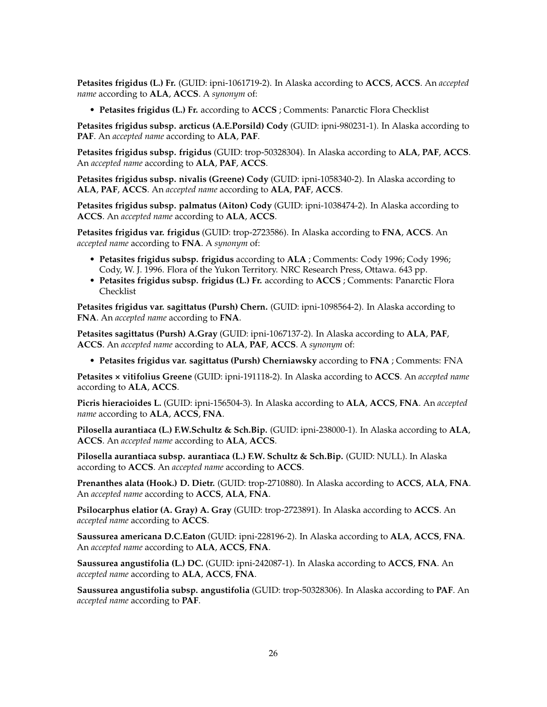**Petasites frigidus (L.) Fr.** (GUID: ipni-1061719-2). In Alaska according to **ACCS**, **ACCS**. An *accepted name* according to **ALA**, **ACCS**. A *synonym* of:

• **Petasites frigidus (L.) Fr.** according to **ACCS** ; Comments: Panarctic Flora Checklist

**Petasites frigidus subsp. arcticus (A.E.Porsild) Cody** (GUID: ipni-980231-1). In Alaska according to **PAF**. An *accepted name* according to **ALA**, **PAF**.

**Petasites frigidus subsp. frigidus** (GUID: trop-50328304). In Alaska according to **ALA**, **PAF**, **ACCS**. An *accepted name* according to **ALA**, **PAF**, **ACCS**.

**Petasites frigidus subsp. nivalis (Greene) Cody** (GUID: ipni-1058340-2). In Alaska according to **ALA**, **PAF**, **ACCS**. An *accepted name* according to **ALA**, **PAF**, **ACCS**.

**Petasites frigidus subsp. palmatus (Aiton) Cody** (GUID: ipni-1038474-2). In Alaska according to **ACCS**. An *accepted name* according to **ALA**, **ACCS**.

**Petasites frigidus var. frigidus** (GUID: trop-2723586). In Alaska according to **FNA**, **ACCS**. An *accepted name* according to **FNA**. A *synonym* of:

- **Petasites frigidus subsp. frigidus** according to **ALA** ; Comments: Cody 1996; Cody 1996; Cody, W. J. 1996. Flora of the Yukon Territory. NRC Research Press, Ottawa. 643 pp.
- **Petasites frigidus subsp. frigidus (L.) Fr.** according to **ACCS** ; Comments: Panarctic Flora Checklist

**Petasites frigidus var. sagittatus (Pursh) Chern.** (GUID: ipni-1098564-2). In Alaska according to **FNA**. An *accepted name* according to **FNA**.

**Petasites sagittatus (Pursh) A.Gray** (GUID: ipni-1067137-2). In Alaska according to **ALA**, **PAF**, **ACCS**. An *accepted name* according to **ALA**, **PAF**, **ACCS**. A *synonym* of:

• **Petasites frigidus var. sagittatus (Pursh) Cherniawsky** according to **FNA** ; Comments: FNA

**Petasites × vitifolius Greene** (GUID: ipni-191118-2). In Alaska according to **ACCS**. An *accepted name* according to **ALA**, **ACCS**.

**Picris hieracioides L.** (GUID: ipni-156504-3). In Alaska according to **ALA**, **ACCS**, **FNA**. An *accepted name* according to **ALA**, **ACCS**, **FNA**.

**Pilosella aurantiaca (L.) F.W.Schultz & Sch.Bip.** (GUID: ipni-238000-1). In Alaska according to **ALA**, **ACCS**. An *accepted name* according to **ALA**, **ACCS**.

**Pilosella aurantiaca subsp. aurantiaca (L.) F.W. Schultz & Sch.Bip.** (GUID: NULL). In Alaska according to **ACCS**. An *accepted name* according to **ACCS**.

**Prenanthes alata (Hook.) D. Dietr.** (GUID: trop-2710880). In Alaska according to **ACCS**, **ALA**, **FNA**. An *accepted name* according to **ACCS**, **ALA**, **FNA**.

**Psilocarphus elatior (A. Gray) A. Gray** (GUID: trop-2723891). In Alaska according to **ACCS**. An *accepted name* according to **ACCS**.

**Saussurea americana D.C.Eaton** (GUID: ipni-228196-2). In Alaska according to **ALA**, **ACCS**, **FNA**. An *accepted name* according to **ALA**, **ACCS**, **FNA**.

**Saussurea angustifolia (L.) DC.** (GUID: ipni-242087-1). In Alaska according to **ACCS**, **FNA**. An *accepted name* according to **ALA**, **ACCS**, **FNA**.

**Saussurea angustifolia subsp. angustifolia** (GUID: trop-50328306). In Alaska according to **PAF**. An *accepted name* according to **PAF**.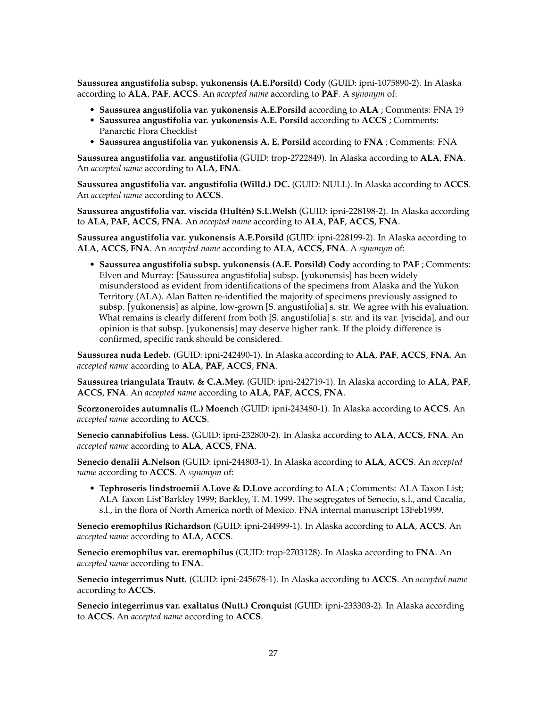**Saussurea angustifolia subsp. yukonensis (A.E.Porsild) Cody** (GUID: ipni-1075890-2). In Alaska according to **ALA**, **PAF**, **ACCS**. An *accepted name* according to **PAF**. A *synonym* of:

- **Saussurea angustifolia var. yukonensis A.E.Porsild** according to **ALA** ; Comments: FNA 19
- **Saussurea angustifolia var. yukonensis A.E. Porsild** according to **ACCS** ; Comments: Panarctic Flora Checklist
- **Saussurea angustifolia var. yukonensis A. E. Porsild** according to **FNA** ; Comments: FNA

**Saussurea angustifolia var. angustifolia** (GUID: trop-2722849). In Alaska according to **ALA**, **FNA**. An *accepted name* according to **ALA**, **FNA**.

**Saussurea angustifolia var. angustifolia (Willd.) DC.** (GUID: NULL). In Alaska according to **ACCS**. An *accepted name* according to **ACCS**.

**Saussurea angustifolia var. viscida (Hultén) S.L.Welsh** (GUID: ipni-228198-2). In Alaska according to **ALA**, **PAF**, **ACCS**, **FNA**. An *accepted name* according to **ALA**, **PAF**, **ACCS**, **FNA**.

**Saussurea angustifolia var. yukonensis A.E.Porsild** (GUID: ipni-228199-2). In Alaska according to **ALA**, **ACCS**, **FNA**. An *accepted name* according to **ALA**, **ACCS**, **FNA**. A *synonym* of:

• **Saussurea angustifolia subsp. yukonensis (A.E. Porsild) Cody** according to **PAF** ; Comments: Elven and Murray: [Saussurea angustifolia] subsp. [yukonensis] has been widely misunderstood as evident from identifications of the specimens from Alaska and the Yukon Territory (ALA). Alan Batten re-identified the majority of specimens previously assigned to subsp. [yukonensis] as alpine, low-grown [S. angustifolia] s. str. We agree with his evaluation. What remains is clearly different from both [S. angustifolia] s. str. and its var. [viscida], and our opinion is that subsp. [yukonensis] may deserve higher rank. If the ploidy difference is confirmed, specific rank should be considered.

**Saussurea nuda Ledeb.** (GUID: ipni-242490-1). In Alaska according to **ALA**, **PAF**, **ACCS**, **FNA**. An *accepted name* according to **ALA**, **PAF**, **ACCS**, **FNA**.

**Saussurea triangulata Trautv. & C.A.Mey.** (GUID: ipni-242719-1). In Alaska according to **ALA**, **PAF**, **ACCS**, **FNA**. An *accepted name* according to **ALA**, **PAF**, **ACCS**, **FNA**.

**Scorzoneroides autumnalis (L.) Moench** (GUID: ipni-243480-1). In Alaska according to **ACCS**. An *accepted name* according to **ACCS**.

**Senecio cannabifolius Less.** (GUID: ipni-232800-2). In Alaska according to **ALA**, **ACCS**, **FNA**. An *accepted name* according to **ALA**, **ACCS**, **FNA**.

**Senecio denalii A.Nelson** (GUID: ipni-244803-1). In Alaska according to **ALA**, **ACCS**. An *accepted name* according to **ACCS**. A *synonym* of:

• **Tephroseris lindstroemii A.Love & D.Love** according to **ALA** ; Comments: ALA Taxon List; ALA Taxon ListˆBarkley 1999; Barkley, T. M. 1999. The segregates of Senecio, s.l., and Cacalia, s.l., in the flora of North America north of Mexico. FNA internal manuscript 13Feb1999.

**Senecio eremophilus Richardson** (GUID: ipni-244999-1). In Alaska according to **ALA**, **ACCS**. An *accepted name* according to **ALA**, **ACCS**.

**Senecio eremophilus var. eremophilus** (GUID: trop-2703128). In Alaska according to **FNA**. An *accepted name* according to **FNA**.

**Senecio integerrimus Nutt.** (GUID: ipni-245678-1). In Alaska according to **ACCS**. An *accepted name* according to **ACCS**.

**Senecio integerrimus var. exaltatus (Nutt.) Cronquist** (GUID: ipni-233303-2). In Alaska according to **ACCS**. An *accepted name* according to **ACCS**.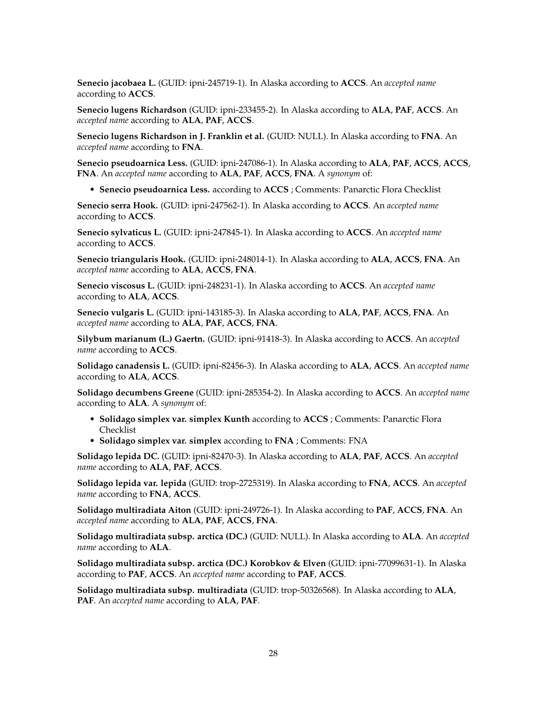**Senecio jacobaea L.** (GUID: ipni-245719-1). In Alaska according to **ACCS**. An *accepted name* according to **ACCS**.

**Senecio lugens Richardson** (GUID: ipni-233455-2). In Alaska according to **ALA**, **PAF**, **ACCS**. An *accepted name* according to **ALA**, **PAF**, **ACCS**.

**Senecio lugens Richardson in J. Franklin et al.** (GUID: NULL). In Alaska according to **FNA**. An *accepted name* according to **FNA**.

**Senecio pseudoarnica Less.** (GUID: ipni-247086-1). In Alaska according to **ALA**, **PAF**, **ACCS**, **ACCS**, **FNA**. An *accepted name* according to **ALA**, **PAF**, **ACCS**, **FNA**. A *synonym* of:

• **Senecio pseudoarnica Less.** according to **ACCS** ; Comments: Panarctic Flora Checklist

**Senecio serra Hook.** (GUID: ipni-247562-1). In Alaska according to **ACCS**. An *accepted name* according to **ACCS**.

**Senecio sylvaticus L.** (GUID: ipni-247845-1). In Alaska according to **ACCS**. An *accepted name* according to **ACCS**.

**Senecio triangularis Hook.** (GUID: ipni-248014-1). In Alaska according to **ALA**, **ACCS**, **FNA**. An *accepted name* according to **ALA**, **ACCS**, **FNA**.

**Senecio viscosus L.** (GUID: ipni-248231-1). In Alaska according to **ACCS**. An *accepted name* according to **ALA**, **ACCS**.

**Senecio vulgaris L.** (GUID: ipni-143185-3). In Alaska according to **ALA**, **PAF**, **ACCS**, **FNA**. An *accepted name* according to **ALA**, **PAF**, **ACCS**, **FNA**.

**Silybum marianum (L.) Gaertn.** (GUID: ipni-91418-3). In Alaska according to **ACCS**. An *accepted name* according to **ACCS**.

**Solidago canadensis L.** (GUID: ipni-82456-3). In Alaska according to **ALA**, **ACCS**. An *accepted name* according to **ALA**, **ACCS**.

**Solidago decumbens Greene** (GUID: ipni-285354-2). In Alaska according to **ACCS**. An *accepted name* according to **ALA**. A *synonym* of:

- **Solidago simplex var. simplex Kunth** according to **ACCS** ; Comments: Panarctic Flora Checklist
- **Solidago simplex var. simplex** according to **FNA** ; Comments: FNA

**Solidago lepida DC.** (GUID: ipni-82470-3). In Alaska according to **ALA**, **PAF**, **ACCS**. An *accepted name* according to **ALA**, **PAF**, **ACCS**.

**Solidago lepida var. lepida** (GUID: trop-2725319). In Alaska according to **FNA**, **ACCS**. An *accepted name* according to **FNA**, **ACCS**.

**Solidago multiradiata Aiton** (GUID: ipni-249726-1). In Alaska according to **PAF**, **ACCS**, **FNA**. An *accepted name* according to **ALA**, **PAF**, **ACCS**, **FNA**.

**Solidago multiradiata subsp. arctica (DC.)** (GUID: NULL). In Alaska according to **ALA**. An *accepted name* according to **ALA**.

**Solidago multiradiata subsp. arctica (DC.) Korobkov & Elven** (GUID: ipni-77099631-1). In Alaska according to **PAF**, **ACCS**. An *accepted name* according to **PAF**, **ACCS**.

**Solidago multiradiata subsp. multiradiata** (GUID: trop-50326568). In Alaska according to **ALA**, **PAF**. An *accepted name* according to **ALA**, **PAF**.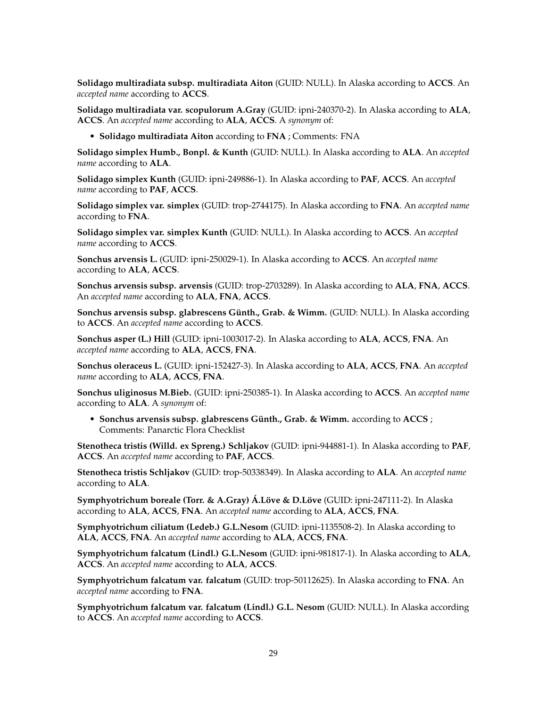**Solidago multiradiata subsp. multiradiata Aiton** (GUID: NULL). In Alaska according to **ACCS**. An *accepted name* according to **ACCS**.

**Solidago multiradiata var. scopulorum A.Gray** (GUID: ipni-240370-2). In Alaska according to **ALA**, **ACCS**. An *accepted name* according to **ALA**, **ACCS**. A *synonym* of:

• **Solidago multiradiata Aiton** according to **FNA** ; Comments: FNA

**Solidago simplex Humb., Bonpl. & Kunth** (GUID: NULL). In Alaska according to **ALA**. An *accepted name* according to **ALA**.

**Solidago simplex Kunth** (GUID: ipni-249886-1). In Alaska according to **PAF**, **ACCS**. An *accepted name* according to **PAF**, **ACCS**.

**Solidago simplex var. simplex** (GUID: trop-2744175). In Alaska according to **FNA**. An *accepted name* according to **FNA**.

**Solidago simplex var. simplex Kunth** (GUID: NULL). In Alaska according to **ACCS**. An *accepted name* according to **ACCS**.

**Sonchus arvensis L.** (GUID: ipni-250029-1). In Alaska according to **ACCS**. An *accepted name* according to **ALA**, **ACCS**.

**Sonchus arvensis subsp. arvensis** (GUID: trop-2703289). In Alaska according to **ALA**, **FNA**, **ACCS**. An *accepted name* according to **ALA**, **FNA**, **ACCS**.

**Sonchus arvensis subsp. glabrescens Günth., Grab. & Wimm.** (GUID: NULL). In Alaska according to **ACCS**. An *accepted name* according to **ACCS**.

**Sonchus asper (L.) Hill** (GUID: ipni-1003017-2). In Alaska according to **ALA**, **ACCS**, **FNA**. An *accepted name* according to **ALA**, **ACCS**, **FNA**.

**Sonchus oleraceus L.** (GUID: ipni-152427-3). In Alaska according to **ALA**, **ACCS**, **FNA**. An *accepted name* according to **ALA**, **ACCS**, **FNA**.

**Sonchus uliginosus M.Bieb.** (GUID: ipni-250385-1). In Alaska according to **ACCS**. An *accepted name* according to **ALA**. A *synonym* of:

• **Sonchus arvensis subsp. glabrescens Günth., Grab. & Wimm.** according to **ACCS** ; Comments: Panarctic Flora Checklist

**Stenotheca tristis (Willd. ex Spreng.) Schljakov** (GUID: ipni-944881-1). In Alaska according to **PAF**, **ACCS**. An *accepted name* according to **PAF**, **ACCS**.

**Stenotheca tristis Schljakov** (GUID: trop-50338349). In Alaska according to **ALA**. An *accepted name* according to **ALA**.

**Symphyotrichum boreale (Torr. & A.Gray) Á.Löve & D.Löve** (GUID: ipni-247111-2). In Alaska according to **ALA**, **ACCS**, **FNA**. An *accepted name* according to **ALA**, **ACCS**, **FNA**.

**Symphyotrichum ciliatum (Ledeb.) G.L.Nesom** (GUID: ipni-1135508-2). In Alaska according to **ALA**, **ACCS**, **FNA**. An *accepted name* according to **ALA**, **ACCS**, **FNA**.

**Symphyotrichum falcatum (Lindl.) G.L.Nesom** (GUID: ipni-981817-1). In Alaska according to **ALA**, **ACCS**. An *accepted name* according to **ALA**, **ACCS**.

**Symphyotrichum falcatum var. falcatum** (GUID: trop-50112625). In Alaska according to **FNA**. An *accepted name* according to **FNA**.

**Symphyotrichum falcatum var. falcatum (Lindl.) G.L. Nesom** (GUID: NULL). In Alaska according to **ACCS**. An *accepted name* according to **ACCS**.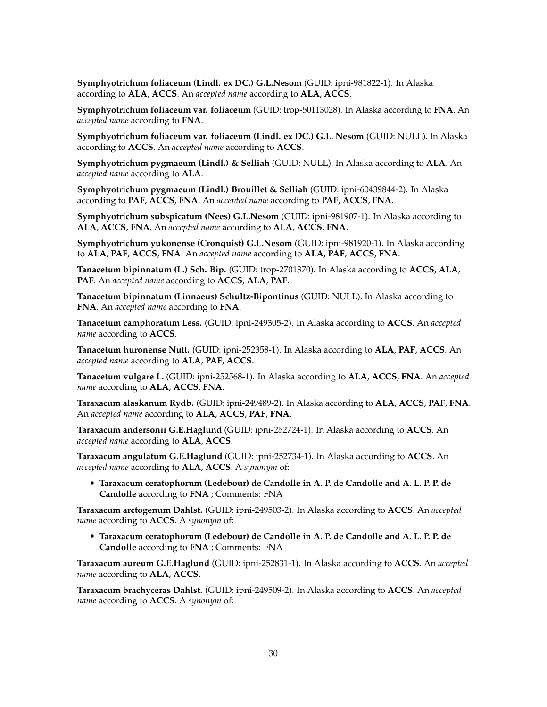**Symphyotrichum foliaceum (Lindl. ex DC.) G.L.Nesom** (GUID: ipni-981822-1). In Alaska according to **ALA**, **ACCS**. An *accepted name* according to **ALA**, **ACCS**.

**Symphyotrichum foliaceum var. foliaceum** (GUID: trop-50113028). In Alaska according to **FNA**. An *accepted name* according to **FNA**.

**Symphyotrichum foliaceum var. foliaceum (Lindl. ex DC.) G.L. Nesom** (GUID: NULL). In Alaska according to **ACCS**. An *accepted name* according to **ACCS**.

**Symphyotrichum pygmaeum (Lindl.) & Selliah** (GUID: NULL). In Alaska according to **ALA**. An *accepted name* according to **ALA**.

**Symphyotrichum pygmaeum (Lindl.) Brouillet & Selliah** (GUID: ipni-60439844-2). In Alaska according to **PAF**, **ACCS**, **FNA**. An *accepted name* according to **PAF**, **ACCS**, **FNA**.

**Symphyotrichum subspicatum (Nees) G.L.Nesom** (GUID: ipni-981907-1). In Alaska according to **ALA**, **ACCS**, **FNA**. An *accepted name* according to **ALA**, **ACCS**, **FNA**.

**Symphyotrichum yukonense (Cronquist) G.L.Nesom** (GUID: ipni-981920-1). In Alaska according to **ALA**, **PAF**, **ACCS**, **FNA**. An *accepted name* according to **ALA**, **PAF**, **ACCS**, **FNA**.

**Tanacetum bipinnatum (L.) Sch. Bip.** (GUID: trop-2701370). In Alaska according to **ACCS**, **ALA**, **PAF**. An *accepted name* according to **ACCS**, **ALA**, **PAF**.

**Tanacetum bipinnatum (Linnaeus) Schultz-Bipontinus** (GUID: NULL). In Alaska according to **FNA**. An *accepted name* according to **FNA**.

**Tanacetum camphoratum Less.** (GUID: ipni-249305-2). In Alaska according to **ACCS**. An *accepted name* according to **ACCS**.

**Tanacetum huronense Nutt.** (GUID: ipni-252358-1). In Alaska according to **ALA**, **PAF**, **ACCS**. An *accepted name* according to **ALA**, **PAF**, **ACCS**.

**Tanacetum vulgare L.** (GUID: ipni-252568-1). In Alaska according to **ALA**, **ACCS**, **FNA**. An *accepted name* according to **ALA**, **ACCS**, **FNA**.

**Taraxacum alaskanum Rydb.** (GUID: ipni-249489-2). In Alaska according to **ALA**, **ACCS**, **PAF**, **FNA**. An *accepted name* according to **ALA**, **ACCS**, **PAF**, **FNA**.

**Taraxacum andersonii G.E.Haglund** (GUID: ipni-252724-1). In Alaska according to **ACCS**. An *accepted name* according to **ALA**, **ACCS**.

**Taraxacum angulatum G.E.Haglund** (GUID: ipni-252734-1). In Alaska according to **ACCS**. An *accepted name* according to **ALA**, **ACCS**. A *synonym* of:

• **Taraxacum ceratophorum (Ledebour) de Candolle in A. P. de Candolle and A. L. P. P. de Candolle** according to **FNA** ; Comments: FNA

**Taraxacum arctogenum Dahlst.** (GUID: ipni-249503-2). In Alaska according to **ACCS**. An *accepted name* according to **ACCS**. A *synonym* of:

• **Taraxacum ceratophorum (Ledebour) de Candolle in A. P. de Candolle and A. L. P. P. de Candolle** according to **FNA** ; Comments: FNA

**Taraxacum aureum G.E.Haglund** (GUID: ipni-252831-1). In Alaska according to **ACCS**. An *accepted name* according to **ALA**, **ACCS**.

**Taraxacum brachyceras Dahlst.** (GUID: ipni-249509-2). In Alaska according to **ACCS**. An *accepted name* according to **ACCS**. A *synonym* of: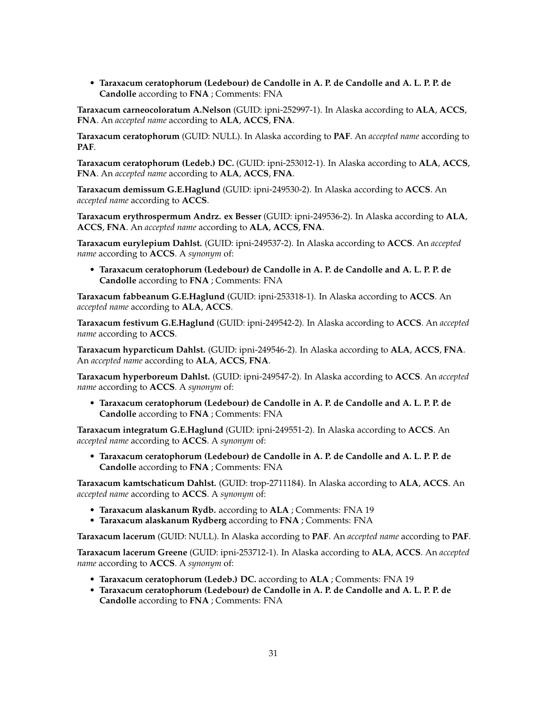• **Taraxacum ceratophorum (Ledebour) de Candolle in A. P. de Candolle and A. L. P. P. de Candolle** according to **FNA** ; Comments: FNA

**Taraxacum carneocoloratum A.Nelson** (GUID: ipni-252997-1). In Alaska according to **ALA**, **ACCS**, **FNA**. An *accepted name* according to **ALA**, **ACCS**, **FNA**.

**Taraxacum ceratophorum** (GUID: NULL). In Alaska according to **PAF**. An *accepted name* according to **PAF**.

**Taraxacum ceratophorum (Ledeb.) DC.** (GUID: ipni-253012-1). In Alaska according to **ALA**, **ACCS**, **FNA**. An *accepted name* according to **ALA**, **ACCS**, **FNA**.

**Taraxacum demissum G.E.Haglund** (GUID: ipni-249530-2). In Alaska according to **ACCS**. An *accepted name* according to **ACCS**.

**Taraxacum erythrospermum Andrz. ex Besser** (GUID: ipni-249536-2). In Alaska according to **ALA**, **ACCS**, **FNA**. An *accepted name* according to **ALA**, **ACCS**, **FNA**.

**Taraxacum eurylepium Dahlst.** (GUID: ipni-249537-2). In Alaska according to **ACCS**. An *accepted name* according to **ACCS**. A *synonym* of:

• **Taraxacum ceratophorum (Ledebour) de Candolle in A. P. de Candolle and A. L. P. P. de Candolle** according to **FNA** ; Comments: FNA

**Taraxacum fabbeanum G.E.Haglund** (GUID: ipni-253318-1). In Alaska according to **ACCS**. An *accepted name* according to **ALA**, **ACCS**.

**Taraxacum festivum G.E.Haglund** (GUID: ipni-249542-2). In Alaska according to **ACCS**. An *accepted name* according to **ACCS**.

**Taraxacum hyparcticum Dahlst.** (GUID: ipni-249546-2). In Alaska according to **ALA**, **ACCS**, **FNA**. An *accepted name* according to **ALA**, **ACCS**, **FNA**.

**Taraxacum hyperboreum Dahlst.** (GUID: ipni-249547-2). In Alaska according to **ACCS**. An *accepted name* according to **ACCS**. A *synonym* of:

• **Taraxacum ceratophorum (Ledebour) de Candolle in A. P. de Candolle and A. L. P. P. de Candolle** according to **FNA** ; Comments: FNA

**Taraxacum integratum G.E.Haglund** (GUID: ipni-249551-2). In Alaska according to **ACCS**. An *accepted name* according to **ACCS**. A *synonym* of:

• **Taraxacum ceratophorum (Ledebour) de Candolle in A. P. de Candolle and A. L. P. P. de Candolle** according to **FNA** ; Comments: FNA

**Taraxacum kamtschaticum Dahlst.** (GUID: trop-2711184). In Alaska according to **ALA**, **ACCS**. An *accepted name* according to **ACCS**. A *synonym* of:

- **Taraxacum alaskanum Rydb.** according to **ALA** ; Comments: FNA 19
- **Taraxacum alaskanum Rydberg** according to **FNA** ; Comments: FNA

**Taraxacum lacerum** (GUID: NULL). In Alaska according to **PAF**. An *accepted name* according to **PAF**.

**Taraxacum lacerum Greene** (GUID: ipni-253712-1). In Alaska according to **ALA**, **ACCS**. An *accepted name* according to **ACCS**. A *synonym* of:

- **Taraxacum ceratophorum (Ledeb.) DC.** according to **ALA** ; Comments: FNA 19
- **Taraxacum ceratophorum (Ledebour) de Candolle in A. P. de Candolle and A. L. P. P. de Candolle** according to **FNA** ; Comments: FNA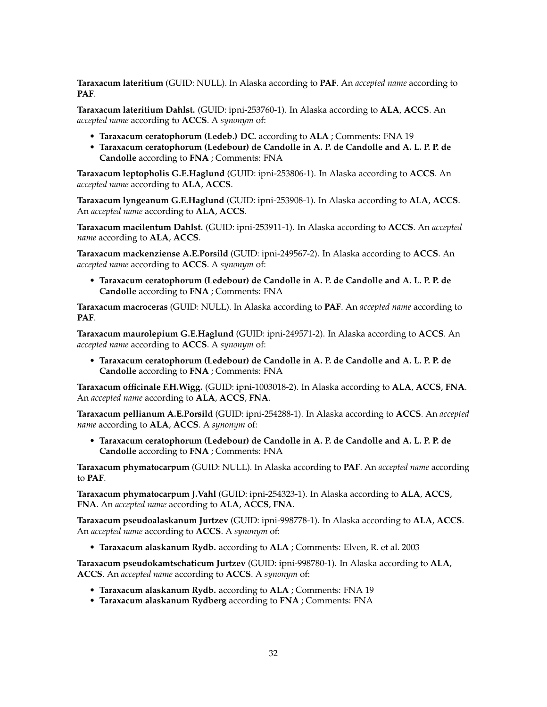**Taraxacum lateritium** (GUID: NULL). In Alaska according to **PAF**. An *accepted name* according to **PAF**.

**Taraxacum lateritium Dahlst.** (GUID: ipni-253760-1). In Alaska according to **ALA**, **ACCS**. An *accepted name* according to **ACCS**. A *synonym* of:

- **Taraxacum ceratophorum (Ledeb.) DC.** according to **ALA** ; Comments: FNA 19
- **Taraxacum ceratophorum (Ledebour) de Candolle in A. P. de Candolle and A. L. P. P. de Candolle** according to **FNA** ; Comments: FNA

**Taraxacum leptopholis G.E.Haglund** (GUID: ipni-253806-1). In Alaska according to **ACCS**. An *accepted name* according to **ALA**, **ACCS**.

**Taraxacum lyngeanum G.E.Haglund** (GUID: ipni-253908-1). In Alaska according to **ALA**, **ACCS**. An *accepted name* according to **ALA**, **ACCS**.

**Taraxacum macilentum Dahlst.** (GUID: ipni-253911-1). In Alaska according to **ACCS**. An *accepted name* according to **ALA**, **ACCS**.

**Taraxacum mackenziense A.E.Porsild** (GUID: ipni-249567-2). In Alaska according to **ACCS**. An *accepted name* according to **ACCS**. A *synonym* of:

• **Taraxacum ceratophorum (Ledebour) de Candolle in A. P. de Candolle and A. L. P. P. de Candolle** according to **FNA** ; Comments: FNA

**Taraxacum macroceras** (GUID: NULL). In Alaska according to **PAF**. An *accepted name* according to **PAF**.

**Taraxacum maurolepium G.E.Haglund** (GUID: ipni-249571-2). In Alaska according to **ACCS**. An *accepted name* according to **ACCS**. A *synonym* of:

• **Taraxacum ceratophorum (Ledebour) de Candolle in A. P. de Candolle and A. L. P. P. de Candolle** according to **FNA** ; Comments: FNA

**Taraxacum officinale F.H.Wigg.** (GUID: ipni-1003018-2). In Alaska according to **ALA**, **ACCS**, **FNA**. An *accepted name* according to **ALA**, **ACCS**, **FNA**.

**Taraxacum pellianum A.E.Porsild** (GUID: ipni-254288-1). In Alaska according to **ACCS**. An *accepted name* according to **ALA**, **ACCS**. A *synonym* of:

• **Taraxacum ceratophorum (Ledebour) de Candolle in A. P. de Candolle and A. L. P. P. de Candolle** according to **FNA** ; Comments: FNA

**Taraxacum phymatocarpum** (GUID: NULL). In Alaska according to **PAF**. An *accepted name* according to **PAF**.

**Taraxacum phymatocarpum J.Vahl** (GUID: ipni-254323-1). In Alaska according to **ALA**, **ACCS**, **FNA**. An *accepted name* according to **ALA**, **ACCS**, **FNA**.

**Taraxacum pseudoalaskanum Jurtzev** (GUID: ipni-998778-1). In Alaska according to **ALA**, **ACCS**. An *accepted name* according to **ACCS**. A *synonym* of:

• **Taraxacum alaskanum Rydb.** according to **ALA** ; Comments: Elven, R. et al. 2003

**Taraxacum pseudokamtschaticum Jurtzev** (GUID: ipni-998780-1). In Alaska according to **ALA**, **ACCS**. An *accepted name* according to **ACCS**. A *synonym* of:

- **Taraxacum alaskanum Rydb.** according to **ALA** ; Comments: FNA 19
- **Taraxacum alaskanum Rydberg** according to **FNA** ; Comments: FNA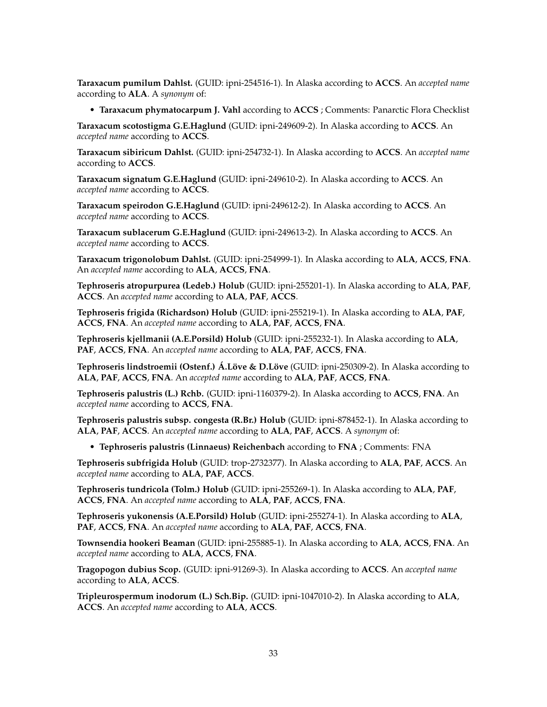**Taraxacum pumilum Dahlst.** (GUID: ipni-254516-1). In Alaska according to **ACCS**. An *accepted name* according to **ALA**. A *synonym* of:

• **Taraxacum phymatocarpum J. Vahl** according to **ACCS** ; Comments: Panarctic Flora Checklist

**Taraxacum scotostigma G.E.Haglund** (GUID: ipni-249609-2). In Alaska according to **ACCS**. An *accepted name* according to **ACCS**.

**Taraxacum sibiricum Dahlst.** (GUID: ipni-254732-1). In Alaska according to **ACCS**. An *accepted name* according to **ACCS**.

**Taraxacum signatum G.E.Haglund** (GUID: ipni-249610-2). In Alaska according to **ACCS**. An *accepted name* according to **ACCS**.

**Taraxacum speirodon G.E.Haglund** (GUID: ipni-249612-2). In Alaska according to **ACCS**. An *accepted name* according to **ACCS**.

**Taraxacum sublacerum G.E.Haglund** (GUID: ipni-249613-2). In Alaska according to **ACCS**. An *accepted name* according to **ACCS**.

**Taraxacum trigonolobum Dahlst.** (GUID: ipni-254999-1). In Alaska according to **ALA**, **ACCS**, **FNA**. An *accepted name* according to **ALA**, **ACCS**, **FNA**.

**Tephroseris atropurpurea (Ledeb.) Holub** (GUID: ipni-255201-1). In Alaska according to **ALA**, **PAF**, **ACCS**. An *accepted name* according to **ALA**, **PAF**, **ACCS**.

**Tephroseris frigida (Richardson) Holub** (GUID: ipni-255219-1). In Alaska according to **ALA**, **PAF**, **ACCS**, **FNA**. An *accepted name* according to **ALA**, **PAF**, **ACCS**, **FNA**.

**Tephroseris kjellmanii (A.E.Porsild) Holub** (GUID: ipni-255232-1). In Alaska according to **ALA**, **PAF**, **ACCS**, **FNA**. An *accepted name* according to **ALA**, **PAF**, **ACCS**, **FNA**.

**Tephroseris lindstroemii (Ostenf.) Á.Löve & D.Löve** (GUID: ipni-250309-2). In Alaska according to **ALA**, **PAF**, **ACCS**, **FNA**. An *accepted name* according to **ALA**, **PAF**, **ACCS**, **FNA**.

**Tephroseris palustris (L.) Rchb.** (GUID: ipni-1160379-2). In Alaska according to **ACCS**, **FNA**. An *accepted name* according to **ACCS**, **FNA**.

**Tephroseris palustris subsp. congesta (R.Br.) Holub** (GUID: ipni-878452-1). In Alaska according to **ALA**, **PAF**, **ACCS**. An *accepted name* according to **ALA**, **PAF**, **ACCS**. A *synonym* of:

• **Tephroseris palustris (Linnaeus) Reichenbach** according to **FNA** ; Comments: FNA

**Tephroseris subfrigida Holub** (GUID: trop-2732377). In Alaska according to **ALA**, **PAF**, **ACCS**. An *accepted name* according to **ALA**, **PAF**, **ACCS**.

**Tephroseris tundricola (Tolm.) Holub** (GUID: ipni-255269-1). In Alaska according to **ALA**, **PAF**, **ACCS**, **FNA**. An *accepted name* according to **ALA**, **PAF**, **ACCS**, **FNA**.

**Tephroseris yukonensis (A.E.Porsild) Holub** (GUID: ipni-255274-1). In Alaska according to **ALA**, **PAF**, **ACCS**, **FNA**. An *accepted name* according to **ALA**, **PAF**, **ACCS**, **FNA**.

**Townsendia hookeri Beaman** (GUID: ipni-255885-1). In Alaska according to **ALA**, **ACCS**, **FNA**. An *accepted name* according to **ALA**, **ACCS**, **FNA**.

**Tragopogon dubius Scop.** (GUID: ipni-91269-3). In Alaska according to **ACCS**. An *accepted name* according to **ALA**, **ACCS**.

**Tripleurospermum inodorum (L.) Sch.Bip.** (GUID: ipni-1047010-2). In Alaska according to **ALA**, **ACCS**. An *accepted name* according to **ALA**, **ACCS**.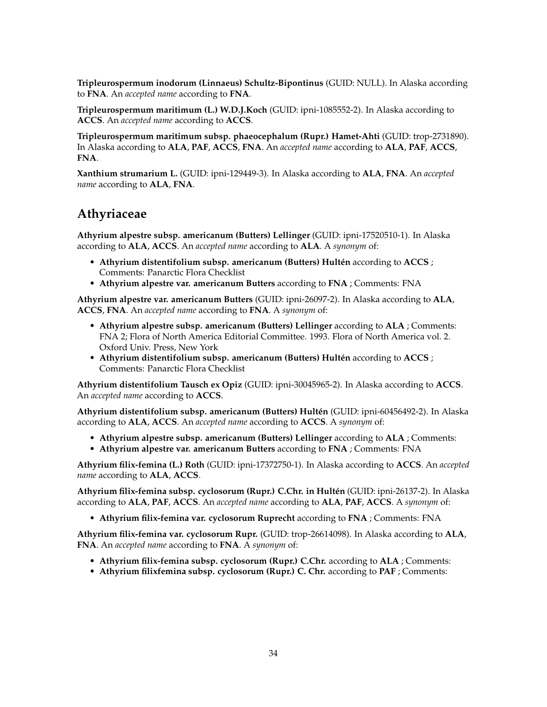**Tripleurospermum inodorum (Linnaeus) Schultz-Bipontinus** (GUID: NULL). In Alaska according to **FNA**. An *accepted name* according to **FNA**.

**Tripleurospermum maritimum (L.) W.D.J.Koch** (GUID: ipni-1085552-2). In Alaska according to **ACCS**. An *accepted name* according to **ACCS**.

**Tripleurospermum maritimum subsp. phaeocephalum (Rupr.) Hamet-Ahti** (GUID: trop-2731890). In Alaska according to **ALA**, **PAF**, **ACCS**, **FNA**. An *accepted name* according to **ALA**, **PAF**, **ACCS**, **FNA**.

**Xanthium strumarium L.** (GUID: ipni-129449-3). In Alaska according to **ALA**, **FNA**. An *accepted name* according to **ALA**, **FNA**.

## **Athyriaceae**

**Athyrium alpestre subsp. americanum (Butters) Lellinger** (GUID: ipni-17520510-1). In Alaska according to **ALA**, **ACCS**. An *accepted name* according to **ALA**. A *synonym* of:

- **Athyrium distentifolium subsp. americanum (Butters) Hultén** according to **ACCS** ; Comments: Panarctic Flora Checklist
- **Athyrium alpestre var. americanum Butters** according to **FNA** ; Comments: FNA

**Athyrium alpestre var. americanum Butters** (GUID: ipni-26097-2). In Alaska according to **ALA**, **ACCS**, **FNA**. An *accepted name* according to **FNA**. A *synonym* of:

- **Athyrium alpestre subsp. americanum (Butters) Lellinger** according to **ALA** ; Comments: FNA 2; Flora of North America Editorial Committee. 1993. Flora of North America vol. 2. Oxford Univ. Press, New York
- **Athyrium distentifolium subsp. americanum (Butters) Hultén** according to **ACCS** ; Comments: Panarctic Flora Checklist

**Athyrium distentifolium Tausch ex Opiz** (GUID: ipni-30045965-2). In Alaska according to **ACCS**. An *accepted name* according to **ACCS**.

**Athyrium distentifolium subsp. americanum (Butters) Hultén** (GUID: ipni-60456492-2). In Alaska according to **ALA**, **ACCS**. An *accepted name* according to **ACCS**. A *synonym* of:

- **Athyrium alpestre subsp. americanum (Butters) Lellinger** according to **ALA** ; Comments:
- **Athyrium alpestre var. americanum Butters** according to **FNA** ; Comments: FNA

**Athyrium filix-femina (L.) Roth** (GUID: ipni-17372750-1). In Alaska according to **ACCS**. An *accepted name* according to **ALA**, **ACCS**.

**Athyrium filix-femina subsp. cyclosorum (Rupr.) C.Chr. in Hultén** (GUID: ipni-26137-2). In Alaska according to **ALA**, **PAF**, **ACCS**. An *accepted name* according to **ALA**, **PAF**, **ACCS**. A *synonym* of:

• **Athyrium filix-femina var. cyclosorum Ruprecht** according to **FNA** ; Comments: FNA

**Athyrium filix-femina var. cyclosorum Rupr.** (GUID: trop-26614098). In Alaska according to **ALA**, **FNA**. An *accepted name* according to **FNA**. A *synonym* of:

- **Athyrium filix-femina subsp. cyclosorum (Rupr.) C.Chr.** according to **ALA** ; Comments:
- **Athyrium filixfemina subsp. cyclosorum (Rupr.) C. Chr.** according to **PAF** ; Comments: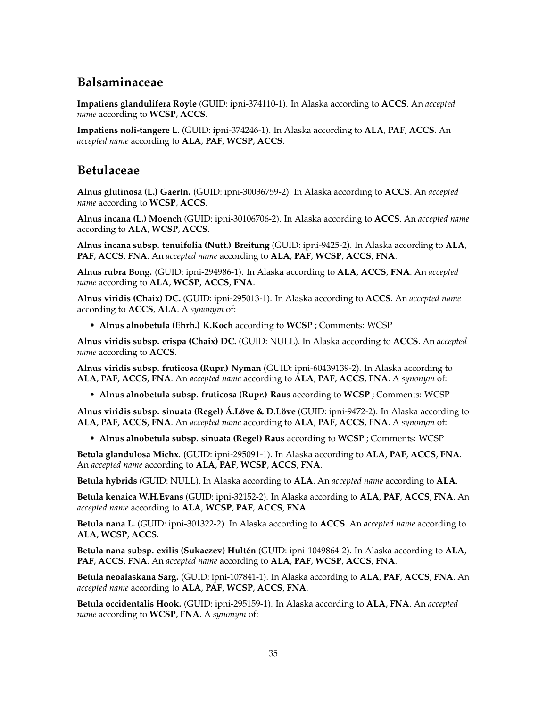# **Balsaminaceae**

**Impatiens glandulifera Royle** (GUID: ipni-374110-1). In Alaska according to **ACCS**. An *accepted name* according to **WCSP**, **ACCS**.

**Impatiens noli-tangere L.** (GUID: ipni-374246-1). In Alaska according to **ALA**, **PAF**, **ACCS**. An *accepted name* according to **ALA**, **PAF**, **WCSP**, **ACCS**.

## **Betulaceae**

**Alnus glutinosa (L.) Gaertn.** (GUID: ipni-30036759-2). In Alaska according to **ACCS**. An *accepted name* according to **WCSP**, **ACCS**.

**Alnus incana (L.) Moench** (GUID: ipni-30106706-2). In Alaska according to **ACCS**. An *accepted name* according to **ALA**, **WCSP**, **ACCS**.

**Alnus incana subsp. tenuifolia (Nutt.) Breitung** (GUID: ipni-9425-2). In Alaska according to **ALA**, **PAF**, **ACCS**, **FNA**. An *accepted name* according to **ALA**, **PAF**, **WCSP**, **ACCS**, **FNA**.

**Alnus rubra Bong.** (GUID: ipni-294986-1). In Alaska according to **ALA**, **ACCS**, **FNA**. An *accepted name* according to **ALA**, **WCSP**, **ACCS**, **FNA**.

**Alnus viridis (Chaix) DC.** (GUID: ipni-295013-1). In Alaska according to **ACCS**. An *accepted name* according to **ACCS**, **ALA**. A *synonym* of:

• **Alnus alnobetula (Ehrh.) K.Koch** according to **WCSP** ; Comments: WCSP

**Alnus viridis subsp. crispa (Chaix) DC.** (GUID: NULL). In Alaska according to **ACCS**. An *accepted name* according to **ACCS**.

**Alnus viridis subsp. fruticosa (Rupr.) Nyman** (GUID: ipni-60439139-2). In Alaska according to **ALA**, **PAF**, **ACCS**, **FNA**. An *accepted name* according to **ALA**, **PAF**, **ACCS**, **FNA**. A *synonym* of:

• **Alnus alnobetula subsp. fruticosa (Rupr.) Raus** according to **WCSP** ; Comments: WCSP

**Alnus viridis subsp. sinuata (Regel) Á.Löve & D.Löve** (GUID: ipni-9472-2). In Alaska according to **ALA**, **PAF**, **ACCS**, **FNA**. An *accepted name* according to **ALA**, **PAF**, **ACCS**, **FNA**. A *synonym* of:

• **Alnus alnobetula subsp. sinuata (Regel) Raus** according to **WCSP** ; Comments: WCSP

**Betula glandulosa Michx.** (GUID: ipni-295091-1). In Alaska according to **ALA**, **PAF**, **ACCS**, **FNA**. An *accepted name* according to **ALA**, **PAF**, **WCSP**, **ACCS**, **FNA**.

**Betula hybrids** (GUID: NULL). In Alaska according to **ALA**. An *accepted name* according to **ALA**.

**Betula kenaica W.H.Evans** (GUID: ipni-32152-2). In Alaska according to **ALA**, **PAF**, **ACCS**, **FNA**. An *accepted name* according to **ALA**, **WCSP**, **PAF**, **ACCS**, **FNA**.

**Betula nana L.** (GUID: ipni-301322-2). In Alaska according to **ACCS**. An *accepted name* according to **ALA**, **WCSP**, **ACCS**.

**Betula nana subsp. exilis (Sukaczev) Hultén** (GUID: ipni-1049864-2). In Alaska according to **ALA**, **PAF**, **ACCS**, **FNA**. An *accepted name* according to **ALA**, **PAF**, **WCSP**, **ACCS**, **FNA**.

**Betula neoalaskana Sarg.** (GUID: ipni-107841-1). In Alaska according to **ALA**, **PAF**, **ACCS**, **FNA**. An *accepted name* according to **ALA**, **PAF**, **WCSP**, **ACCS**, **FNA**.

**Betula occidentalis Hook.** (GUID: ipni-295159-1). In Alaska according to **ALA**, **FNA**. An *accepted name* according to **WCSP**, **FNA**. A *synonym* of: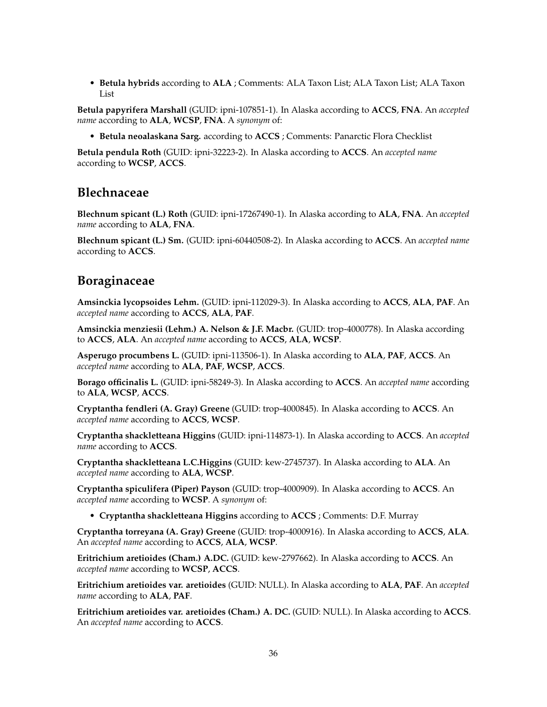• **Betula hybrids** according to **ALA** ; Comments: ALA Taxon List; ALA Taxon List; ALA Taxon List

**Betula papyrifera Marshall** (GUID: ipni-107851-1). In Alaska according to **ACCS**, **FNA**. An *accepted name* according to **ALA**, **WCSP**, **FNA**. A *synonym* of:

• **Betula neoalaskana Sarg.** according to **ACCS** ; Comments: Panarctic Flora Checklist

**Betula pendula Roth** (GUID: ipni-32223-2). In Alaska according to **ACCS**. An *accepted name* according to **WCSP**, **ACCS**.

## **Blechnaceae**

**Blechnum spicant (L.) Roth** (GUID: ipni-17267490-1). In Alaska according to **ALA**, **FNA**. An *accepted name* according to **ALA**, **FNA**.

**Blechnum spicant (L.) Sm.** (GUID: ipni-60440508-2). In Alaska according to **ACCS**. An *accepted name* according to **ACCS**.

## **Boraginaceae**

**Amsinckia lycopsoides Lehm.** (GUID: ipni-112029-3). In Alaska according to **ACCS**, **ALA**, **PAF**. An *accepted name* according to **ACCS**, **ALA**, **PAF**.

**Amsinckia menziesii (Lehm.) A. Nelson & J.F. Macbr.** (GUID: trop-4000778). In Alaska according to **ACCS**, **ALA**. An *accepted name* according to **ACCS**, **ALA**, **WCSP**.

**Asperugo procumbens L.** (GUID: ipni-113506-1). In Alaska according to **ALA**, **PAF**, **ACCS**. An *accepted name* according to **ALA**, **PAF**, **WCSP**, **ACCS**.

**Borago officinalis L.** (GUID: ipni-58249-3). In Alaska according to **ACCS**. An *accepted name* according to **ALA**, **WCSP**, **ACCS**.

**Cryptantha fendleri (A. Gray) Greene** (GUID: trop-4000845). In Alaska according to **ACCS**. An *accepted name* according to **ACCS**, **WCSP**.

**Cryptantha shackletteana Higgins** (GUID: ipni-114873-1). In Alaska according to **ACCS**. An *accepted name* according to **ACCS**.

**Cryptantha shackletteana L.C.Higgins** (GUID: kew-2745737). In Alaska according to **ALA**. An *accepted name* according to **ALA**, **WCSP**.

**Cryptantha spiculifera (Piper) Payson** (GUID: trop-4000909). In Alaska according to **ACCS**. An *accepted name* according to **WCSP**. A *synonym* of:

• **Cryptantha shackletteana Higgins** according to **ACCS** ; Comments: D.F. Murray

**Cryptantha torreyana (A. Gray) Greene** (GUID: trop-4000916). In Alaska according to **ACCS**, **ALA**. An *accepted name* according to **ACCS**, **ALA**, **WCSP**.

**Eritrichium aretioides (Cham.) A.DC.** (GUID: kew-2797662). In Alaska according to **ACCS**. An *accepted name* according to **WCSP**, **ACCS**.

**Eritrichium aretioides var. aretioides** (GUID: NULL). In Alaska according to **ALA**, **PAF**. An *accepted name* according to **ALA**, **PAF**.

**Eritrichium aretioides var. aretioides (Cham.) A. DC.** (GUID: NULL). In Alaska according to **ACCS**. An *accepted name* according to **ACCS**.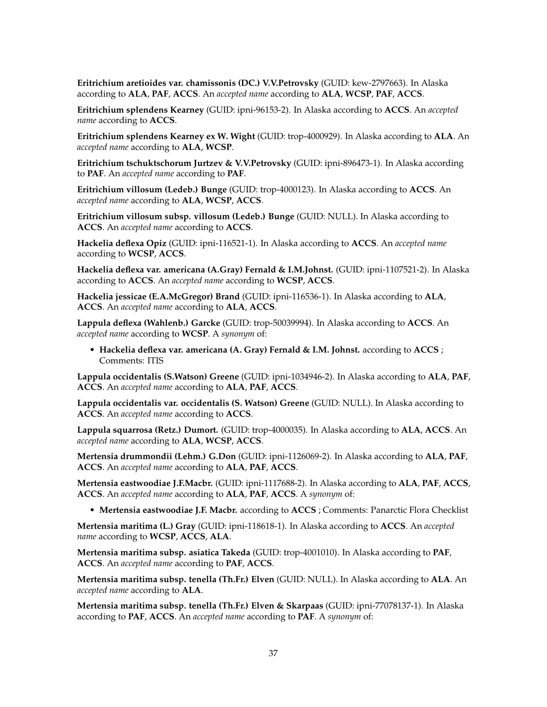**Eritrichium aretioides var. chamissonis (DC.) V.V.Petrovsky** (GUID: kew-2797663). In Alaska according to **ALA**, **PAF**, **ACCS**. An *accepted name* according to **ALA**, **WCSP**, **PAF**, **ACCS**.

**Eritrichium splendens Kearney** (GUID: ipni-96153-2). In Alaska according to **ACCS**. An *accepted name* according to **ACCS**.

**Eritrichium splendens Kearney ex W. Wight** (GUID: trop-4000929). In Alaska according to **ALA**. An *accepted name* according to **ALA**, **WCSP**.

**Eritrichium tschuktschorum Jurtzev & V.V.Petrovsky** (GUID: ipni-896473-1). In Alaska according to **PAF**. An *accepted name* according to **PAF**.

**Eritrichium villosum (Ledeb.) Bunge** (GUID: trop-4000123). In Alaska according to **ACCS**. An *accepted name* according to **ALA**, **WCSP**, **ACCS**.

**Eritrichium villosum subsp. villosum (Ledeb.) Bunge** (GUID: NULL). In Alaska according to **ACCS**. An *accepted name* according to **ACCS**.

**Hackelia deflexa Opiz** (GUID: ipni-116521-1). In Alaska according to **ACCS**. An *accepted name* according to **WCSP**, **ACCS**.

**Hackelia deflexa var. americana (A.Gray) Fernald & I.M.Johnst.** (GUID: ipni-1107521-2). In Alaska according to **ACCS**. An *accepted name* according to **WCSP**, **ACCS**.

**Hackelia jessicae (E.A.McGregor) Brand** (GUID: ipni-116536-1). In Alaska according to **ALA**, **ACCS**. An *accepted name* according to **ALA**, **ACCS**.

**Lappula deflexa (Wahlenb.) Garcke** (GUID: trop-50039994). In Alaska according to **ACCS**. An *accepted name* according to **WCSP**. A *synonym* of:

• **Hackelia deflexa var. americana (A. Gray) Fernald & I.M. Johnst.** according to **ACCS** ; Comments: ITIS

**Lappula occidentalis (S.Watson) Greene** (GUID: ipni-1034946-2). In Alaska according to **ALA**, **PAF**, **ACCS**. An *accepted name* according to **ALA**, **PAF**, **ACCS**.

**Lappula occidentalis var. occidentalis (S. Watson) Greene** (GUID: NULL). In Alaska according to **ACCS**. An *accepted name* according to **ACCS**.

**Lappula squarrosa (Retz.) Dumort.** (GUID: trop-4000035). In Alaska according to **ALA**, **ACCS**. An *accepted name* according to **ALA**, **WCSP**, **ACCS**.

**Mertensia drummondii (Lehm.) G.Don** (GUID: ipni-1126069-2). In Alaska according to **ALA**, **PAF**, **ACCS**. An *accepted name* according to **ALA**, **PAF**, **ACCS**.

**Mertensia eastwoodiae J.F.Macbr.** (GUID: ipni-1117688-2). In Alaska according to **ALA**, **PAF**, **ACCS**, **ACCS**. An *accepted name* according to **ALA**, **PAF**, **ACCS**. A *synonym* of:

• **Mertensia eastwoodiae J.F. Macbr.** according to **ACCS** ; Comments: Panarctic Flora Checklist

**Mertensia maritima (L.) Gray** (GUID: ipni-118618-1). In Alaska according to **ACCS**. An *accepted name* according to **WCSP**, **ACCS**, **ALA**.

**Mertensia maritima subsp. asiatica Takeda** (GUID: trop-4001010). In Alaska according to **PAF**, **ACCS**. An *accepted name* according to **PAF**, **ACCS**.

**Mertensia maritima subsp. tenella (Th.Fr.) Elven** (GUID: NULL). In Alaska according to **ALA**. An *accepted name* according to **ALA**.

**Mertensia maritima subsp. tenella (Th.Fr.) Elven & Skarpaas** (GUID: ipni-77078137-1). In Alaska according to **PAF**, **ACCS**. An *accepted name* according to **PAF**. A *synonym* of: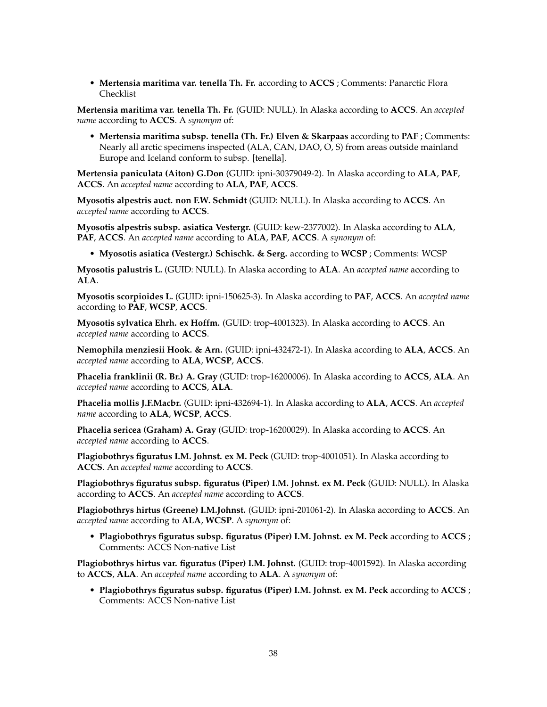• **Mertensia maritima var. tenella Th. Fr.** according to **ACCS** ; Comments: Panarctic Flora Checklist

**Mertensia maritima var. tenella Th. Fr.** (GUID: NULL). In Alaska according to **ACCS**. An *accepted name* according to **ACCS**. A *synonym* of:

• **Mertensia maritima subsp. tenella (Th. Fr.) Elven & Skarpaas** according to **PAF** ; Comments: Nearly all arctic specimens inspected (ALA, CAN, DAO, O, S) from areas outside mainland Europe and Iceland conform to subsp. [tenella].

**Mertensia paniculata (Aiton) G.Don** (GUID: ipni-30379049-2). In Alaska according to **ALA**, **PAF**, **ACCS**. An *accepted name* according to **ALA**, **PAF**, **ACCS**.

**Myosotis alpestris auct. non F.W. Schmidt** (GUID: NULL). In Alaska according to **ACCS**. An *accepted name* according to **ACCS**.

**Myosotis alpestris subsp. asiatica Vestergr.** (GUID: kew-2377002). In Alaska according to **ALA**, **PAF**, **ACCS**. An *accepted name* according to **ALA**, **PAF**, **ACCS**. A *synonym* of:

• **Myosotis asiatica (Vestergr.) Schischk. & Serg.** according to **WCSP** ; Comments: WCSP

**Myosotis palustris L.** (GUID: NULL). In Alaska according to **ALA**. An *accepted name* according to **ALA**.

**Myosotis scorpioides L.** (GUID: ipni-150625-3). In Alaska according to **PAF**, **ACCS**. An *accepted name* according to **PAF**, **WCSP**, **ACCS**.

**Myosotis sylvatica Ehrh. ex Hoffm.** (GUID: trop-4001323). In Alaska according to **ACCS**. An *accepted name* according to **ACCS**.

**Nemophila menziesii Hook. & Arn.** (GUID: ipni-432472-1). In Alaska according to **ALA**, **ACCS**. An *accepted name* according to **ALA**, **WCSP**, **ACCS**.

**Phacelia franklinii (R. Br.) A. Gray** (GUID: trop-16200006). In Alaska according to **ACCS**, **ALA**. An *accepted name* according to **ACCS**, **ALA**.

**Phacelia mollis J.F.Macbr.** (GUID: ipni-432694-1). In Alaska according to **ALA**, **ACCS**. An *accepted name* according to **ALA**, **WCSP**, **ACCS**.

**Phacelia sericea (Graham) A. Gray** (GUID: trop-16200029). In Alaska according to **ACCS**. An *accepted name* according to **ACCS**.

**Plagiobothrys figuratus I.M. Johnst. ex M. Peck** (GUID: trop-4001051). In Alaska according to **ACCS**. An *accepted name* according to **ACCS**.

**Plagiobothrys figuratus subsp. figuratus (Piper) I.M. Johnst. ex M. Peck** (GUID: NULL). In Alaska according to **ACCS**. An *accepted name* according to **ACCS**.

**Plagiobothrys hirtus (Greene) I.M.Johnst.** (GUID: ipni-201061-2). In Alaska according to **ACCS**. An *accepted name* according to **ALA**, **WCSP**. A *synonym* of:

• **Plagiobothrys figuratus subsp. figuratus (Piper) I.M. Johnst. ex M. Peck** according to **ACCS** ; Comments: ACCS Non-native List

**Plagiobothrys hirtus var. figuratus (Piper) I.M. Johnst.** (GUID: trop-4001592). In Alaska according to **ACCS**, **ALA**. An *accepted name* according to **ALA**. A *synonym* of:

• **Plagiobothrys figuratus subsp. figuratus (Piper) I.M. Johnst. ex M. Peck** according to **ACCS** ; Comments: ACCS Non-native List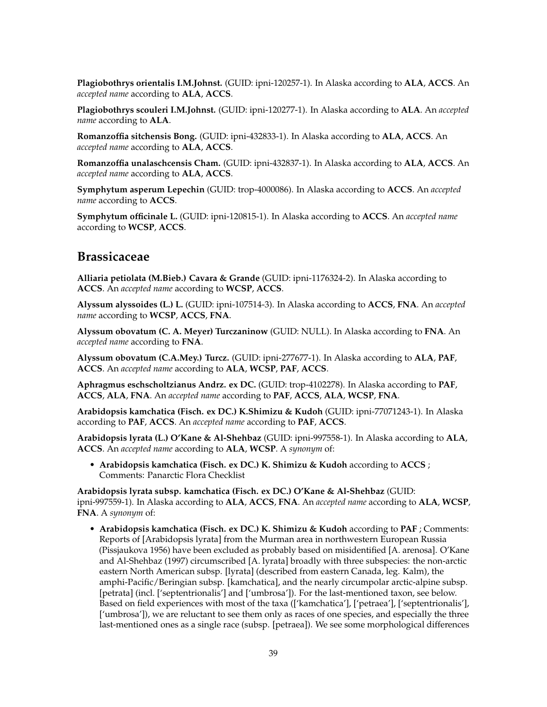**Plagiobothrys orientalis I.M.Johnst.** (GUID: ipni-120257-1). In Alaska according to **ALA**, **ACCS**. An *accepted name* according to **ALA**, **ACCS**.

**Plagiobothrys scouleri I.M.Johnst.** (GUID: ipni-120277-1). In Alaska according to **ALA**. An *accepted name* according to **ALA**.

**Romanzoffia sitchensis Bong.** (GUID: ipni-432833-1). In Alaska according to **ALA**, **ACCS**. An *accepted name* according to **ALA**, **ACCS**.

**Romanzoffia unalaschcensis Cham.** (GUID: ipni-432837-1). In Alaska according to **ALA**, **ACCS**. An *accepted name* according to **ALA**, **ACCS**.

**Symphytum asperum Lepechin** (GUID: trop-4000086). In Alaska according to **ACCS**. An *accepted name* according to **ACCS**.

**Symphytum officinale L.** (GUID: ipni-120815-1). In Alaska according to **ACCS**. An *accepted name* according to **WCSP**, **ACCS**.

#### **Brassicaceae**

**Alliaria petiolata (M.Bieb.) Cavara & Grande** (GUID: ipni-1176324-2). In Alaska according to **ACCS**. An *accepted name* according to **WCSP**, **ACCS**.

**Alyssum alyssoides (L.) L.** (GUID: ipni-107514-3). In Alaska according to **ACCS**, **FNA**. An *accepted name* according to **WCSP**, **ACCS**, **FNA**.

**Alyssum obovatum (C. A. Meyer) Turczaninow** (GUID: NULL). In Alaska according to **FNA**. An *accepted name* according to **FNA**.

**Alyssum obovatum (C.A.Mey.) Turcz.** (GUID: ipni-277677-1). In Alaska according to **ALA**, **PAF**, **ACCS**. An *accepted name* according to **ALA**, **WCSP**, **PAF**, **ACCS**.

**Aphragmus eschscholtzianus Andrz. ex DC.** (GUID: trop-4102278). In Alaska according to **PAF**, **ACCS**, **ALA**, **FNA**. An *accepted name* according to **PAF**, **ACCS**, **ALA**, **WCSP**, **FNA**.

**Arabidopsis kamchatica (Fisch. ex DC.) K.Shimizu & Kudoh** (GUID: ipni-77071243-1). In Alaska according to **PAF**, **ACCS**. An *accepted name* according to **PAF**, **ACCS**.

**Arabidopsis lyrata (L.) O'Kane & Al-Shehbaz** (GUID: ipni-997558-1). In Alaska according to **ALA**, **ACCS**. An *accepted name* according to **ALA**, **WCSP**. A *synonym* of:

• **Arabidopsis kamchatica (Fisch. ex DC.) K. Shimizu & Kudoh** according to **ACCS** ; Comments: Panarctic Flora Checklist

**Arabidopsis lyrata subsp. kamchatica (Fisch. ex DC.) O'Kane & Al-Shehbaz** (GUID: ipni-997559-1). In Alaska according to **ALA**, **ACCS**, **FNA**. An *accepted name* according to **ALA**, **WCSP**, **FNA**. A *synonym* of:

• **Arabidopsis kamchatica (Fisch. ex DC.) K. Shimizu & Kudoh** according to **PAF** ; Comments: Reports of [Arabidopsis lyrata] from the Murman area in northwestern European Russia (Pissjaukova 1956) have been excluded as probably based on misidentified [A. arenosa]. O'Kane and Al-Shehbaz (1997) circumscribed [A. lyrata] broadly with three subspecies: the non-arctic eastern North American subsp. [lyrata] (described from eastern Canada, leg. Kalm), the amphi-Pacific/Beringian subsp. [kamchatica], and the nearly circumpolar arctic-alpine subsp. [petrata] (incl. ['septentrionalis'] and ['umbrosa']). For the last-mentioned taxon, see below. Based on field experiences with most of the taxa (['kamchatica'], ['petraea'], ['septentrionalis'], ['umbrosa']), we are reluctant to see them only as races of one species, and especially the three last-mentioned ones as a single race (subsp. [petraea]). We see some morphological differences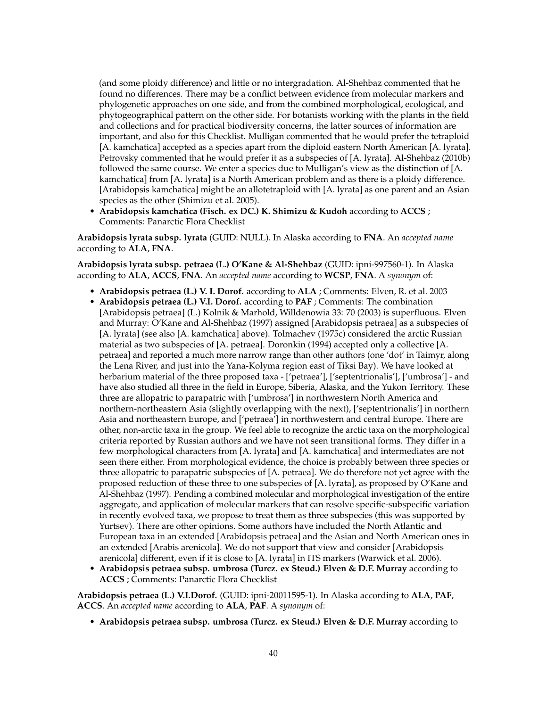(and some ploidy difference) and little or no intergradation. Al-Shehbaz commented that he found no differences. There may be a conflict between evidence from molecular markers and phylogenetic approaches on one side, and from the combined morphological, ecological, and phytogeographical pattern on the other side. For botanists working with the plants in the field and collections and for practical biodiversity concerns, the latter sources of information are important, and also for this Checklist. Mulligan commented that he would prefer the tetraploid [A. kamchatica] accepted as a species apart from the diploid eastern North American [A. lyrata]. Petrovsky commented that he would prefer it as a subspecies of [A. lyrata]. Al-Shehbaz (2010b) followed the same course. We enter a species due to Mulligan's view as the distinction of [A. kamchatica] from [A. lyrata] is a North American problem and as there is a ploidy difference. [Arabidopsis kamchatica] might be an allotetraploid with [A. lyrata] as one parent and an Asian species as the other (Shimizu et al. 2005).

• **Arabidopsis kamchatica (Fisch. ex DC.) K. Shimizu & Kudoh** according to **ACCS** ; Comments: Panarctic Flora Checklist

**Arabidopsis lyrata subsp. lyrata** (GUID: NULL). In Alaska according to **FNA**. An *accepted name* according to **ALA**, **FNA**.

**Arabidopsis lyrata subsp. petraea (L.) O'Kane & Al-Shehbaz** (GUID: ipni-997560-1). In Alaska according to **ALA**, **ACCS**, **FNA**. An *accepted name* according to **WCSP**, **FNA**. A *synonym* of:

- **Arabidopsis petraea (L.) V. I. Dorof.** according to **ALA** ; Comments: Elven, R. et al. 2003
- **Arabidopsis petraea (L.) V.I. Dorof.** according to **PAF** ; Comments: The combination [Arabidopsis petraea] (L.) Kolnik & Marhold, Willdenowia 33: 70 (2003) is superfluous. Elven and Murray: O'Kane and Al-Shehbaz (1997) assigned [Arabidopsis petraea] as a subspecies of [A. lyrata] (see also [A. kamchatica] above). Tolmachev (1975c) considered the arctic Russian material as two subspecies of [A. petraea]. Doronkin (1994) accepted only a collective [A. petraea] and reported a much more narrow range than other authors (one 'dot' in Taimyr, along the Lena River, and just into the Yana-Kolyma region east of Tiksi Bay). We have looked at herbarium material of the three proposed taxa - ['petraea'], ['septentrionalis'], ['umbrosa'] - and have also studied all three in the field in Europe, Siberia, Alaska, and the Yukon Territory. These three are allopatric to parapatric with ['umbrosa'] in northwestern North America and northern-northeastern Asia (slightly overlapping with the next), ['septentrionalis'] in northern Asia and northeastern Europe, and ['petraea'] in northwestern and central Europe. There are other, non-arctic taxa in the group. We feel able to recognize the arctic taxa on the morphological criteria reported by Russian authors and we have not seen transitional forms. They differ in a few morphological characters from [A. lyrata] and [A. kamchatica] and intermediates are not seen there either. From morphological evidence, the choice is probably between three species or three allopatric to parapatric subspecies of [A. petraea]. We do therefore not yet agree with the proposed reduction of these three to one subspecies of [A. lyrata], as proposed by O'Kane and Al-Shehbaz (1997). Pending a combined molecular and morphological investigation of the entire aggregate, and application of molecular markers that can resolve specific-subspecific variation in recently evolved taxa, we propose to treat them as three subspecies (this was supported by Yurtsev). There are other opinions. Some authors have included the North Atlantic and European taxa in an extended [Arabidopsis petraea] and the Asian and North American ones in an extended [Arabis arenicola]. We do not support that view and consider [Arabidopsis arenicola] different, even if it is close to [A. lyrata] in ITS markers (Warwick et al. 2006).
- **Arabidopsis petraea subsp. umbrosa (Turcz. ex Steud.) Elven & D.F. Murray** according to **ACCS** ; Comments: Panarctic Flora Checklist

**Arabidopsis petraea (L.) V.I.Dorof.** (GUID: ipni-20011595-1). In Alaska according to **ALA**, **PAF**, **ACCS**. An *accepted name* according to **ALA**, **PAF**. A *synonym* of:

• **Arabidopsis petraea subsp. umbrosa (Turcz. ex Steud.) Elven & D.F. Murray** according to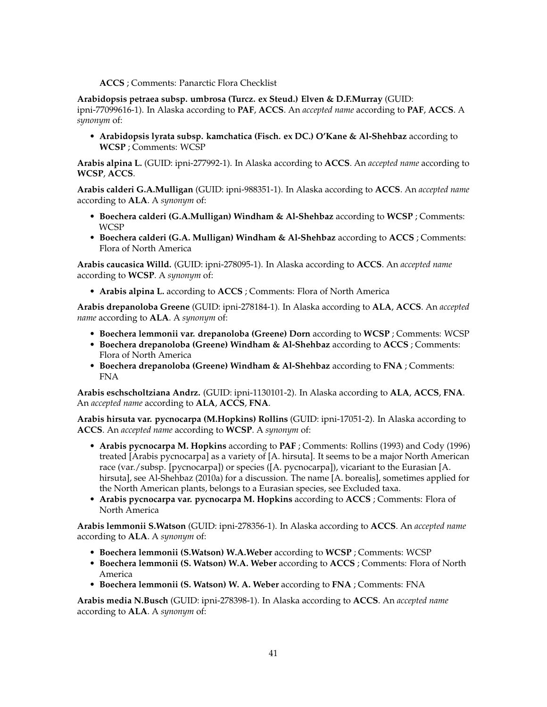**ACCS** ; Comments: Panarctic Flora Checklist

**Arabidopsis petraea subsp. umbrosa (Turcz. ex Steud.) Elven & D.F.Murray** (GUID:

ipni-77099616-1). In Alaska according to **PAF**, **ACCS**. An *accepted name* according to **PAF**, **ACCS**. A *synonym* of:

• **Arabidopsis lyrata subsp. kamchatica (Fisch. ex DC.) O'Kane & Al-Shehbaz** according to **WCSP** ; Comments: WCSP

**Arabis alpina L.** (GUID: ipni-277992-1). In Alaska according to **ACCS**. An *accepted name* according to **WCSP**, **ACCS**.

**Arabis calderi G.A.Mulligan** (GUID: ipni-988351-1). In Alaska according to **ACCS**. An *accepted name* according to **ALA**. A *synonym* of:

- **Boechera calderi (G.A.Mulligan) Windham & Al-Shehbaz** according to **WCSP** ; Comments: WCSP
- **Boechera calderi (G.A. Mulligan) Windham & Al-Shehbaz** according to **ACCS** ; Comments: Flora of North America

**Arabis caucasica Willd.** (GUID: ipni-278095-1). In Alaska according to **ACCS**. An *accepted name* according to **WCSP**. A *synonym* of:

• **Arabis alpina L.** according to **ACCS** ; Comments: Flora of North America

**Arabis drepanoloba Greene** (GUID: ipni-278184-1). In Alaska according to **ALA**, **ACCS**. An *accepted name* according to **ALA**. A *synonym* of:

- **Boechera lemmonii var. drepanoloba (Greene) Dorn** according to **WCSP** ; Comments: WCSP
- **Boechera drepanoloba (Greene) Windham & Al-Shehbaz** according to **ACCS** ; Comments: Flora of North America
- **Boechera drepanoloba (Greene) Windham & Al-Shehbaz** according to **FNA** ; Comments: FNA

**Arabis eschscholtziana Andrz.** (GUID: ipni-1130101-2). In Alaska according to **ALA**, **ACCS**, **FNA**. An *accepted name* according to **ALA**, **ACCS**, **FNA**.

**Arabis hirsuta var. pycnocarpa (M.Hopkins) Rollins** (GUID: ipni-17051-2). In Alaska according to **ACCS**. An *accepted name* according to **WCSP**. A *synonym* of:

- **Arabis pycnocarpa M. Hopkins** according to **PAF** ; Comments: Rollins (1993) and Cody (1996) treated [Arabis pycnocarpa] as a variety of [A. hirsuta]. It seems to be a major North American race (var./subsp. [pycnocarpa]) or species ([A. pycnocarpa]), vicariant to the Eurasian [A. hirsuta], see Al-Shehbaz (2010a) for a discussion. The name [A. borealis], sometimes applied for the North American plants, belongs to a Eurasian species, see Excluded taxa.
- **Arabis pycnocarpa var. pycnocarpa M. Hopkins** according to **ACCS** ; Comments: Flora of North America

**Arabis lemmonii S.Watson** (GUID: ipni-278356-1). In Alaska according to **ACCS**. An *accepted name* according to **ALA**. A *synonym* of:

- **Boechera lemmonii (S.Watson) W.A.Weber** according to **WCSP** ; Comments: WCSP
- **Boechera lemmonii (S. Watson) W.A. Weber** according to **ACCS** ; Comments: Flora of North America
- **Boechera lemmonii (S. Watson) W. A. Weber** according to **FNA** ; Comments: FNA

**Arabis media N.Busch** (GUID: ipni-278398-1). In Alaska according to **ACCS**. An *accepted name* according to **ALA**. A *synonym* of: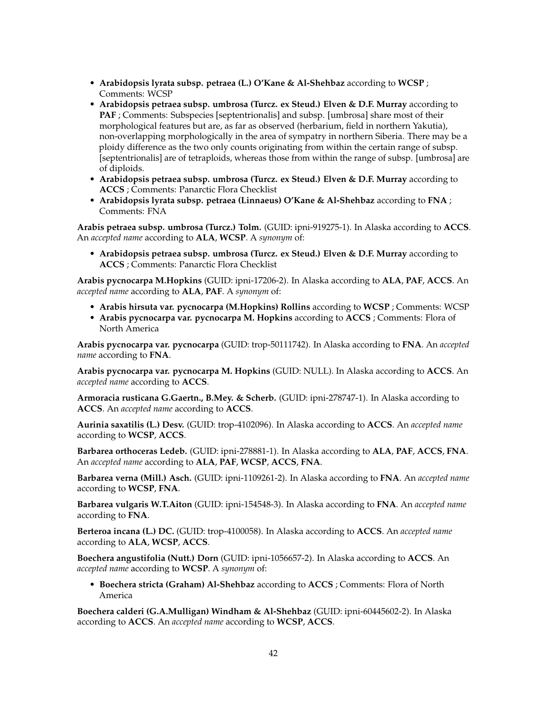- **Arabidopsis lyrata subsp. petraea (L.) O'Kane & Al-Shehbaz** according to **WCSP** ; Comments: WCSP
- **Arabidopsis petraea subsp. umbrosa (Turcz. ex Steud.) Elven & D.F. Murray** according to **PAF** ; Comments: Subspecies [septentrionalis] and subsp. [umbrosa] share most of their morphological features but are, as far as observed (herbarium, field in northern Yakutia), non-overlapping morphologically in the area of sympatry in northern Siberia. There may be a ploidy difference as the two only counts originating from within the certain range of subsp. [septentrionalis] are of tetraploids, whereas those from within the range of subsp. [umbrosa] are of diploids.
- **Arabidopsis petraea subsp. umbrosa (Turcz. ex Steud.) Elven & D.F. Murray** according to **ACCS** ; Comments: Panarctic Flora Checklist
- **Arabidopsis lyrata subsp. petraea (Linnaeus) O'Kane & Al-Shehbaz** according to **FNA** ; Comments: FNA

**Arabis petraea subsp. umbrosa (Turcz.) Tolm.** (GUID: ipni-919275-1). In Alaska according to **ACCS**. An *accepted name* according to **ALA**, **WCSP**. A *synonym* of:

• **Arabidopsis petraea subsp. umbrosa (Turcz. ex Steud.) Elven & D.F. Murray** according to **ACCS** ; Comments: Panarctic Flora Checklist

**Arabis pycnocarpa M.Hopkins** (GUID: ipni-17206-2). In Alaska according to **ALA**, **PAF**, **ACCS**. An *accepted name* according to **ALA**, **PAF**. A *synonym* of:

- **Arabis hirsuta var. pycnocarpa (M.Hopkins) Rollins** according to **WCSP** ; Comments: WCSP
- **Arabis pycnocarpa var. pycnocarpa M. Hopkins** according to **ACCS** ; Comments: Flora of North America

**Arabis pycnocarpa var. pycnocarpa** (GUID: trop-50111742). In Alaska according to **FNA**. An *accepted name* according to **FNA**.

**Arabis pycnocarpa var. pycnocarpa M. Hopkins** (GUID: NULL). In Alaska according to **ACCS**. An *accepted name* according to **ACCS**.

**Armoracia rusticana G.Gaertn., B.Mey. & Scherb.** (GUID: ipni-278747-1). In Alaska according to **ACCS**. An *accepted name* according to **ACCS**.

**Aurinia saxatilis (L.) Desv.** (GUID: trop-4102096). In Alaska according to **ACCS**. An *accepted name* according to **WCSP**, **ACCS**.

**Barbarea orthoceras Ledeb.** (GUID: ipni-278881-1). In Alaska according to **ALA**, **PAF**, **ACCS**, **FNA**. An *accepted name* according to **ALA**, **PAF**, **WCSP**, **ACCS**, **FNA**.

**Barbarea verna (Mill.) Asch.** (GUID: ipni-1109261-2). In Alaska according to **FNA**. An *accepted name* according to **WCSP**, **FNA**.

**Barbarea vulgaris W.T.Aiton** (GUID: ipni-154548-3). In Alaska according to **FNA**. An *accepted name* according to **FNA**.

**Berteroa incana (L.) DC.** (GUID: trop-4100058). In Alaska according to **ACCS**. An *accepted name* according to **ALA**, **WCSP**, **ACCS**.

**Boechera angustifolia (Nutt.) Dorn** (GUID: ipni-1056657-2). In Alaska according to **ACCS**. An *accepted name* according to **WCSP**. A *synonym* of:

• **Boechera stricta (Graham) Al-Shehbaz** according to **ACCS** ; Comments: Flora of North America

**Boechera calderi (G.A.Mulligan) Windham & Al-Shehbaz** (GUID: ipni-60445602-2). In Alaska according to **ACCS**. An *accepted name* according to **WCSP**, **ACCS**.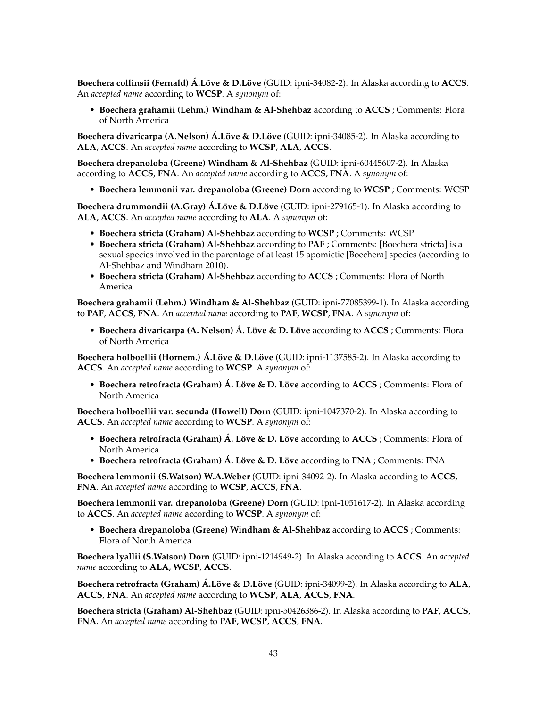**Boechera collinsii (Fernald) Á.Löve & D.Löve** (GUID: ipni-34082-2). In Alaska according to **ACCS**. An *accepted name* according to **WCSP**. A *synonym* of:

• **Boechera grahamii (Lehm.) Windham & Al-Shehbaz** according to **ACCS** ; Comments: Flora of North America

**Boechera divaricarpa (A.Nelson) Á.Löve & D.Löve** (GUID: ipni-34085-2). In Alaska according to **ALA**, **ACCS**. An *accepted name* according to **WCSP**, **ALA**, **ACCS**.

**Boechera drepanoloba (Greene) Windham & Al-Shehbaz** (GUID: ipni-60445607-2). In Alaska according to **ACCS**, **FNA**. An *accepted name* according to **ACCS**, **FNA**. A *synonym* of:

• **Boechera lemmonii var. drepanoloba (Greene) Dorn** according to **WCSP** ; Comments: WCSP

**Boechera drummondii (A.Gray) Á.Löve & D.Löve** (GUID: ipni-279165-1). In Alaska according to **ALA**, **ACCS**. An *accepted name* according to **ALA**. A *synonym* of:

- **Boechera stricta (Graham) Al-Shehbaz** according to **WCSP** ; Comments: WCSP
- **Boechera stricta (Graham) Al-Shehbaz** according to **PAF** ; Comments: [Boechera stricta] is a sexual species involved in the parentage of at least 15 apomictic [Boechera] species (according to Al-Shehbaz and Windham 2010).
- **Boechera stricta (Graham) Al-Shehbaz** according to **ACCS** ; Comments: Flora of North America

**Boechera grahamii (Lehm.) Windham & Al-Shehbaz** (GUID: ipni-77085399-1). In Alaska according to **PAF**, **ACCS**, **FNA**. An *accepted name* according to **PAF**, **WCSP**, **FNA**. A *synonym* of:

• **Boechera divaricarpa (A. Nelson) Á. Löve & D. Löve** according to **ACCS** ; Comments: Flora of North America

**Boechera holboellii (Hornem.) Á.Löve & D.Löve** (GUID: ipni-1137585-2). In Alaska according to **ACCS**. An *accepted name* according to **WCSP**. A *synonym* of:

• **Boechera retrofracta (Graham) Á. Löve & D. Löve** according to **ACCS** ; Comments: Flora of North America

**Boechera holboellii var. secunda (Howell) Dorn** (GUID: ipni-1047370-2). In Alaska according to **ACCS**. An *accepted name* according to **WCSP**. A *synonym* of:

- **Boechera retrofracta (Graham) Á. Löve & D. Löve** according to **ACCS** ; Comments: Flora of North America
- **Boechera retrofracta (Graham) Á. Löve & D. Löve** according to **FNA** ; Comments: FNA

**Boechera lemmonii (S.Watson) W.A.Weber** (GUID: ipni-34092-2). In Alaska according to **ACCS**, **FNA**. An *accepted name* according to **WCSP**, **ACCS**, **FNA**.

**Boechera lemmonii var. drepanoloba (Greene) Dorn** (GUID: ipni-1051617-2). In Alaska according to **ACCS**. An *accepted name* according to **WCSP**. A *synonym* of:

• **Boechera drepanoloba (Greene) Windham & Al-Shehbaz** according to **ACCS** ; Comments: Flora of North America

**Boechera lyallii (S.Watson) Dorn** (GUID: ipni-1214949-2). In Alaska according to **ACCS**. An *accepted name* according to **ALA**, **WCSP**, **ACCS**.

**Boechera retrofracta (Graham) Á.Löve & D.Löve** (GUID: ipni-34099-2). In Alaska according to **ALA**, **ACCS**, **FNA**. An *accepted name* according to **WCSP**, **ALA**, **ACCS**, **FNA**.

**Boechera stricta (Graham) Al-Shehbaz** (GUID: ipni-50426386-2). In Alaska according to **PAF**, **ACCS**, **FNA**. An *accepted name* according to **PAF**, **WCSP**, **ACCS**, **FNA**.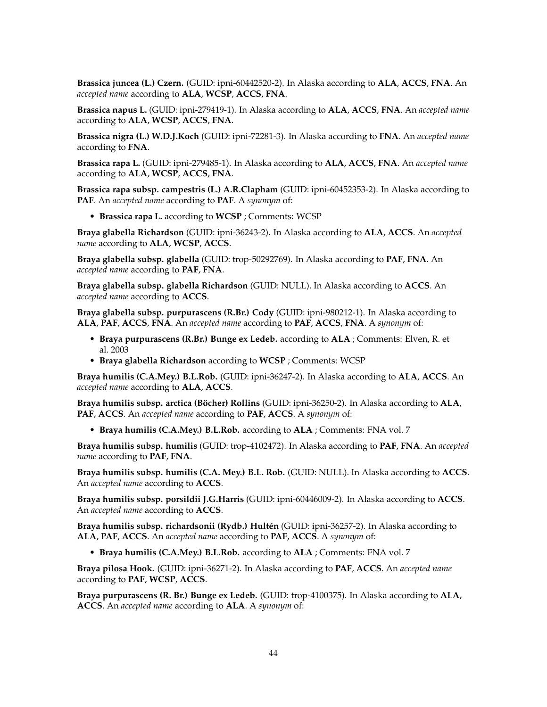**Brassica juncea (L.) Czern.** (GUID: ipni-60442520-2). In Alaska according to **ALA**, **ACCS**, **FNA**. An *accepted name* according to **ALA**, **WCSP**, **ACCS**, **FNA**.

**Brassica napus L.** (GUID: ipni-279419-1). In Alaska according to **ALA**, **ACCS**, **FNA**. An *accepted name* according to **ALA**, **WCSP**, **ACCS**, **FNA**.

**Brassica nigra (L.) W.D.J.Koch** (GUID: ipni-72281-3). In Alaska according to **FNA**. An *accepted name* according to **FNA**.

**Brassica rapa L.** (GUID: ipni-279485-1). In Alaska according to **ALA**, **ACCS**, **FNA**. An *accepted name* according to **ALA**, **WCSP**, **ACCS**, **FNA**.

**Brassica rapa subsp. campestris (L.) A.R.Clapham** (GUID: ipni-60452353-2). In Alaska according to **PAF**. An *accepted name* according to **PAF**. A *synonym* of:

• **Brassica rapa L.** according to **WCSP** ; Comments: WCSP

**Braya glabella Richardson** (GUID: ipni-36243-2). In Alaska according to **ALA**, **ACCS**. An *accepted name* according to **ALA**, **WCSP**, **ACCS**.

**Braya glabella subsp. glabella** (GUID: trop-50292769). In Alaska according to **PAF**, **FNA**. An *accepted name* according to **PAF**, **FNA**.

**Braya glabella subsp. glabella Richardson** (GUID: NULL). In Alaska according to **ACCS**. An *accepted name* according to **ACCS**.

**Braya glabella subsp. purpurascens (R.Br.) Cody** (GUID: ipni-980212-1). In Alaska according to **ALA**, **PAF**, **ACCS**, **FNA**. An *accepted name* according to **PAF**, **ACCS**, **FNA**. A *synonym* of:

- **Braya purpurascens (R.Br.) Bunge ex Ledeb.** according to **ALA** ; Comments: Elven, R. et al. 2003
- **Braya glabella Richardson** according to **WCSP** ; Comments: WCSP

**Braya humilis (C.A.Mey.) B.L.Rob.** (GUID: ipni-36247-2). In Alaska according to **ALA**, **ACCS**. An *accepted name* according to **ALA**, **ACCS**.

**Braya humilis subsp. arctica (Böcher) Rollins** (GUID: ipni-36250-2). In Alaska according to **ALA**, **PAF**, **ACCS**. An *accepted name* according to **PAF**, **ACCS**. A *synonym* of:

• **Braya humilis (C.A.Mey.) B.L.Rob.** according to **ALA** ; Comments: FNA vol. 7

**Braya humilis subsp. humilis** (GUID: trop-4102472). In Alaska according to **PAF**, **FNA**. An *accepted name* according to **PAF**, **FNA**.

**Braya humilis subsp. humilis (C.A. Mey.) B.L. Rob.** (GUID: NULL). In Alaska according to **ACCS**. An *accepted name* according to **ACCS**.

**Braya humilis subsp. porsildii J.G.Harris** (GUID: ipni-60446009-2). In Alaska according to **ACCS**. An *accepted name* according to **ACCS**.

**Braya humilis subsp. richardsonii (Rydb.) Hultén** (GUID: ipni-36257-2). In Alaska according to **ALA**, **PAF**, **ACCS**. An *accepted name* according to **PAF**, **ACCS**. A *synonym* of:

• **Braya humilis (C.A.Mey.) B.L.Rob.** according to **ALA** ; Comments: FNA vol. 7

**Braya pilosa Hook.** (GUID: ipni-36271-2). In Alaska according to **PAF**, **ACCS**. An *accepted name* according to **PAF**, **WCSP**, **ACCS**.

**Braya purpurascens (R. Br.) Bunge ex Ledeb.** (GUID: trop-4100375). In Alaska according to **ALA**, **ACCS**. An *accepted name* according to **ALA**. A *synonym* of: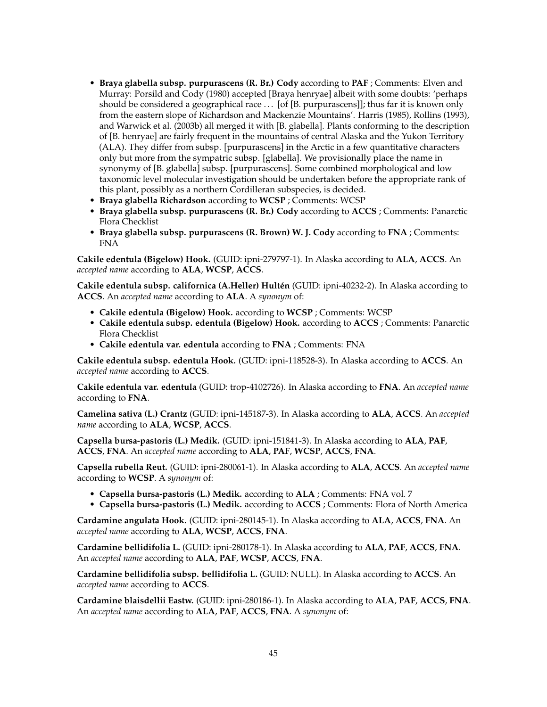- **Braya glabella subsp. purpurascens (R. Br.) Cody** according to **PAF** ; Comments: Elven and Murray: Porsild and Cody (1980) accepted [Braya henryae] albeit with some doubts: 'perhaps should be considered a geographical race  $\ldots$  [of [B. purpurascens]]; thus far it is known only from the eastern slope of Richardson and Mackenzie Mountains'. Harris (1985), Rollins (1993), and Warwick et al. (2003b) all merged it with [B. glabella]. Plants conforming to the description of [B. henryae] are fairly frequent in the mountains of central Alaska and the Yukon Territory (ALA). They differ from subsp. [purpurascens] in the Arctic in a few quantitative characters only but more from the sympatric subsp. [glabella]. We provisionally place the name in synonymy of [B. glabella] subsp. [purpurascens]. Some combined morphological and low taxonomic level molecular investigation should be undertaken before the appropriate rank of this plant, possibly as a northern Cordilleran subspecies, is decided.
- **Braya glabella Richardson** according to **WCSP** ; Comments: WCSP
- **Braya glabella subsp. purpurascens (R. Br.) Cody** according to **ACCS** ; Comments: Panarctic Flora Checklist
- **Braya glabella subsp. purpurascens (R. Brown) W. J. Cody** according to **FNA** ; Comments: FNA

**Cakile edentula (Bigelow) Hook.** (GUID: ipni-279797-1). In Alaska according to **ALA**, **ACCS**. An *accepted name* according to **ALA**, **WCSP**, **ACCS**.

**Cakile edentula subsp. californica (A.Heller) Hultén** (GUID: ipni-40232-2). In Alaska according to **ACCS**. An *accepted name* according to **ALA**. A *synonym* of:

- **Cakile edentula (Bigelow) Hook.** according to **WCSP** ; Comments: WCSP
- **Cakile edentula subsp. edentula (Bigelow) Hook.** according to **ACCS** ; Comments: Panarctic Flora Checklist
- **Cakile edentula var. edentula** according to **FNA** ; Comments: FNA

**Cakile edentula subsp. edentula Hook.** (GUID: ipni-118528-3). In Alaska according to **ACCS**. An *accepted name* according to **ACCS**.

**Cakile edentula var. edentula** (GUID: trop-4102726). In Alaska according to **FNA**. An *accepted name* according to **FNA**.

**Camelina sativa (L.) Crantz** (GUID: ipni-145187-3). In Alaska according to **ALA**, **ACCS**. An *accepted name* according to **ALA**, **WCSP**, **ACCS**.

**Capsella bursa-pastoris (L.) Medik.** (GUID: ipni-151841-3). In Alaska according to **ALA**, **PAF**, **ACCS**, **FNA**. An *accepted name* according to **ALA**, **PAF**, **WCSP**, **ACCS**, **FNA**.

**Capsella rubella Reut.** (GUID: ipni-280061-1). In Alaska according to **ALA**, **ACCS**. An *accepted name* according to **WCSP**. A *synonym* of:

- **Capsella bursa-pastoris (L.) Medik.** according to **ALA** ; Comments: FNA vol. 7
- **Capsella bursa-pastoris (L.) Medik.** according to **ACCS** ; Comments: Flora of North America

**Cardamine angulata Hook.** (GUID: ipni-280145-1). In Alaska according to **ALA**, **ACCS**, **FNA**. An *accepted name* according to **ALA**, **WCSP**, **ACCS**, **FNA**.

**Cardamine bellidifolia L.** (GUID: ipni-280178-1). In Alaska according to **ALA**, **PAF**, **ACCS**, **FNA**. An *accepted name* according to **ALA**, **PAF**, **WCSP**, **ACCS**, **FNA**.

**Cardamine bellidifolia subsp. bellidifolia L.** (GUID: NULL). In Alaska according to **ACCS**. An *accepted name* according to **ACCS**.

**Cardamine blaisdellii Eastw.** (GUID: ipni-280186-1). In Alaska according to **ALA**, **PAF**, **ACCS**, **FNA**. An *accepted name* according to **ALA**, **PAF**, **ACCS**, **FNA**. A *synonym* of: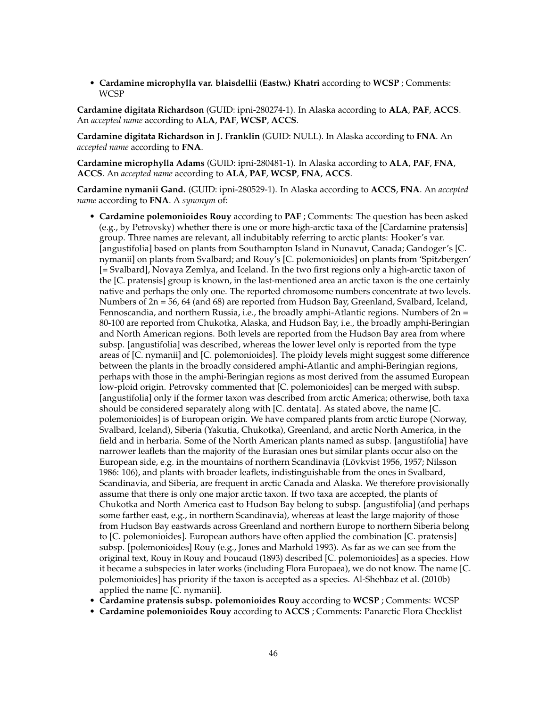• **Cardamine microphylla var. blaisdellii (Eastw.) Khatri** according to **WCSP** ; Comments: WCSP

**Cardamine digitata Richardson** (GUID: ipni-280274-1). In Alaska according to **ALA**, **PAF**, **ACCS**. An *accepted name* according to **ALA**, **PAF**, **WCSP**, **ACCS**.

**Cardamine digitata Richardson in J. Franklin** (GUID: NULL). In Alaska according to **FNA**. An *accepted name* according to **FNA**.

**Cardamine microphylla Adams** (GUID: ipni-280481-1). In Alaska according to **ALA**, **PAF**, **FNA**, **ACCS**. An *accepted name* according to **ALA**, **PAF**, **WCSP**, **FNA**, **ACCS**.

**Cardamine nymanii Gand.** (GUID: ipni-280529-1). In Alaska according to **ACCS**, **FNA**. An *accepted name* according to **FNA**. A *synonym* of:

- **Cardamine polemonioides Rouy** according to **PAF** ; Comments: The question has been asked (e.g., by Petrovsky) whether there is one or more high-arctic taxa of the [Cardamine pratensis] group. Three names are relevant, all indubitably referring to arctic plants: Hooker's var. [angustifolia] based on plants from Southampton Island in Nunavut, Canada; Gandoger's [C. nymanii] on plants from Svalbard; and Rouy's [C. polemonioides] on plants from 'Spitzbergen' [= Svalbard], Novaya Zemlya, and Iceland. In the two first regions only a high-arctic taxon of the [C. pratensis] group is known, in the last-mentioned area an arctic taxon is the one certainly native and perhaps the only one. The reported chromosome numbers concentrate at two levels. Numbers of  $2n = 56$ , 64 (and 68) are reported from Hudson Bay, Greenland, Svalbard, Iceland, Fennoscandia, and northern Russia, i.e., the broadly amphi-Atlantic regions. Numbers of 2n = 80-100 are reported from Chukotka, Alaska, and Hudson Bay, i.e., the broadly amphi-Beringian and North American regions. Both levels are reported from the Hudson Bay area from where subsp. [angustifolia] was described, whereas the lower level only is reported from the type areas of [C. nymanii] and [C. polemonioides]. The ploidy levels might suggest some difference between the plants in the broadly considered amphi-Atlantic and amphi-Beringian regions, perhaps with those in the amphi-Beringian regions as most derived from the assumed European low-ploid origin. Petrovsky commented that [C. polemonioides] can be merged with subsp. [angustifolia] only if the former taxon was described from arctic America; otherwise, both taxa should be considered separately along with [C. dentata]. As stated above, the name [C. polemonioides] is of European origin. We have compared plants from arctic Europe (Norway, Svalbard, Iceland), Siberia (Yakutia, Chukotka), Greenland, and arctic North America, in the field and in herbaria. Some of the North American plants named as subsp. [angustifolia] have narrower leaflets than the majority of the Eurasian ones but similar plants occur also on the European side, e.g. in the mountains of northern Scandinavia (Lövkvist 1956, 1957; Nilsson 1986: 106), and plants with broader leaflets, indistinguishable from the ones in Svalbard, Scandinavia, and Siberia, are frequent in arctic Canada and Alaska. We therefore provisionally assume that there is only one major arctic taxon. If two taxa are accepted, the plants of Chukotka and North America east to Hudson Bay belong to subsp. [angustifolia] (and perhaps some farther east, e.g., in northern Scandinavia), whereas at least the large majority of those from Hudson Bay eastwards across Greenland and northern Europe to northern Siberia belong to [C. polemonioides]. European authors have often applied the combination [C. pratensis] subsp. [polemonioides] Rouy (e.g., Jones and Marhold 1993). As far as we can see from the original text, Rouy in Rouy and Foucaud (1893) described [C. polemonioides] as a species. How it became a subspecies in later works (including Flora Europaea), we do not know. The name [C. polemonioides] has priority if the taxon is accepted as a species. Al-Shehbaz et al. (2010b) applied the name [C. nymanii].
- **Cardamine pratensis subsp. polemonioides Rouy** according to **WCSP** ; Comments: WCSP
- **Cardamine polemonioides Rouy** according to **ACCS** ; Comments: Panarctic Flora Checklist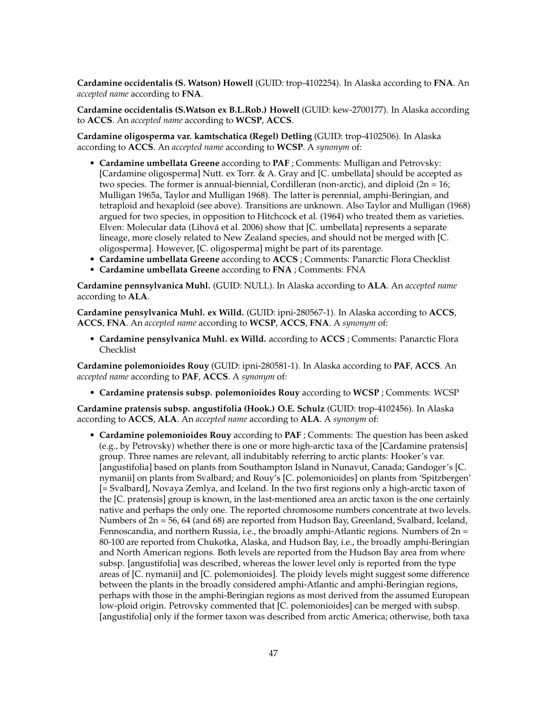**Cardamine occidentalis (S. Watson) Howell** (GUID: trop-4102254). In Alaska according to **FNA**. An *accepted name* according to **FNA**.

**Cardamine occidentalis (S.Watson ex B.L.Rob.) Howell** (GUID: kew-2700177). In Alaska according to **ACCS**. An *accepted name* according to **WCSP**, **ACCS**.

**Cardamine oligosperma var. kamtschatica (Regel) Detling** (GUID: trop-4102506). In Alaska according to **ACCS**. An *accepted name* according to **WCSP**. A *synonym* of:

- **Cardamine umbellata Greene** according to **PAF** ; Comments: Mulligan and Petrovsky: [Cardamine oligosperma] Nutt. ex Torr. & A. Gray and [C. umbellata] should be accepted as two species. The former is annual-biennial, Cordilleran (non-arctic), and diploid  $(2n = 16)$ ; Mulligan 1965a, Taylor and Mulligan 1968). The latter is perennial, amphi-Beringian, and tetraploid and hexaploid (see above). Transitions are unknown. Also Taylor and Mulligan (1968) argued for two species, in opposition to Hitchcock et al. (1964) who treated them as varieties. Elven: Molecular data (Lihová et al. 2006) show that [C. umbellata] represents a separate lineage, more closely related to New Zealand species, and should not be merged with [C. oligosperma]. However, [C. oligosperma] might be part of its parentage.
- **Cardamine umbellata Greene** according to **ACCS** ; Comments: Panarctic Flora Checklist
- **Cardamine umbellata Greene** according to **FNA** ; Comments: FNA

**Cardamine pennsylvanica Muhl.** (GUID: NULL). In Alaska according to **ALA**. An *accepted name* according to **ALA**.

**Cardamine pensylvanica Muhl. ex Willd.** (GUID: ipni-280567-1). In Alaska according to **ACCS**, **ACCS**, **FNA**. An *accepted name* according to **WCSP**, **ACCS**, **FNA**. A *synonym* of:

• **Cardamine pensylvanica Muhl. ex Willd.** according to **ACCS** ; Comments: Panarctic Flora Checklist

**Cardamine polemonioides Rouy** (GUID: ipni-280581-1). In Alaska according to **PAF**, **ACCS**. An *accepted name* according to **PAF**, **ACCS**. A *synonym* of:

• **Cardamine pratensis subsp. polemonioides Rouy** according to **WCSP** ; Comments: WCSP

**Cardamine pratensis subsp. angustifolia (Hook.) O.E. Schulz** (GUID: trop-4102456). In Alaska according to **ACCS**, **ALA**. An *accepted name* according to **ALA**. A *synonym* of:

• **Cardamine polemonioides Rouy** according to **PAF** ; Comments: The question has been asked (e.g., by Petrovsky) whether there is one or more high-arctic taxa of the [Cardamine pratensis] group. Three names are relevant, all indubitably referring to arctic plants: Hooker's var. [angustifolia] based on plants from Southampton Island in Nunavut, Canada; Gandoger's [C. nymanii] on plants from Svalbard; and Rouy's [C. polemonioides] on plants from 'Spitzbergen' [= Svalbard], Novaya Zemlya, and Iceland. In the two first regions only a high-arctic taxon of the [C. pratensis] group is known, in the last-mentioned area an arctic taxon is the one certainly native and perhaps the only one. The reported chromosome numbers concentrate at two levels. Numbers of 2n = 56, 64 (and 68) are reported from Hudson Bay, Greenland, Svalbard, Iceland, Fennoscandia, and northern Russia, i.e., the broadly amphi-Atlantic regions. Numbers of 2n = 80-100 are reported from Chukotka, Alaska, and Hudson Bay, i.e., the broadly amphi-Beringian and North American regions. Both levels are reported from the Hudson Bay area from where subsp. [angustifolia] was described, whereas the lower level only is reported from the type areas of [C. nymanii] and [C. polemonioides]. The ploidy levels might suggest some difference between the plants in the broadly considered amphi-Atlantic and amphi-Beringian regions, perhaps with those in the amphi-Beringian regions as most derived from the assumed European low-ploid origin. Petrovsky commented that [C. polemonioides] can be merged with subsp. [angustifolia] only if the former taxon was described from arctic America; otherwise, both taxa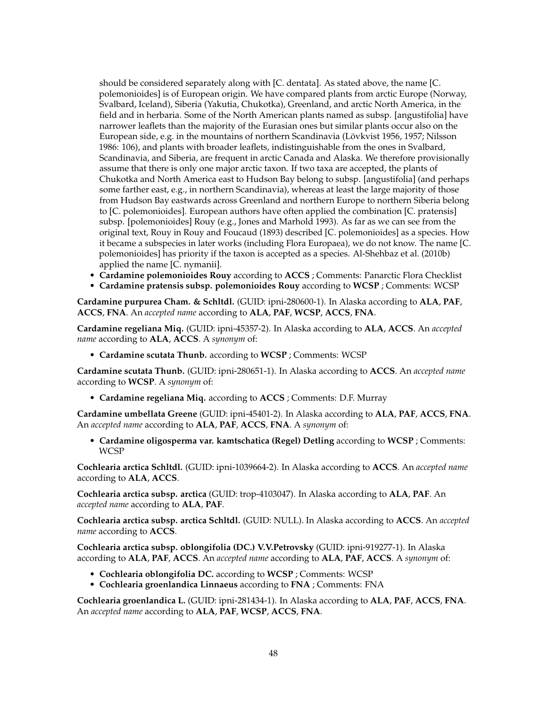should be considered separately along with [C. dentata]. As stated above, the name [C. polemonioides] is of European origin. We have compared plants from arctic Europe (Norway, Svalbard, Iceland), Siberia (Yakutia, Chukotka), Greenland, and arctic North America, in the field and in herbaria. Some of the North American plants named as subsp. [angustifolia] have narrower leaflets than the majority of the Eurasian ones but similar plants occur also on the European side, e.g. in the mountains of northern Scandinavia (Lövkvist 1956, 1957; Nilsson 1986: 106), and plants with broader leaflets, indistinguishable from the ones in Svalbard, Scandinavia, and Siberia, are frequent in arctic Canada and Alaska. We therefore provisionally assume that there is only one major arctic taxon. If two taxa are accepted, the plants of Chukotka and North America east to Hudson Bay belong to subsp. [angustifolia] (and perhaps some farther east, e.g., in northern Scandinavia), whereas at least the large majority of those from Hudson Bay eastwards across Greenland and northern Europe to northern Siberia belong to [C. polemonioides]. European authors have often applied the combination [C. pratensis] subsp. [polemonioides] Rouy (e.g., Jones and Marhold 1993). As far as we can see from the original text, Rouy in Rouy and Foucaud (1893) described [C. polemonioides] as a species. How it became a subspecies in later works (including Flora Europaea), we do not know. The name [C. polemonioides] has priority if the taxon is accepted as a species. Al-Shehbaz et al. (2010b) applied the name [C. nymanii].

- **Cardamine polemonioides Rouy** according to **ACCS** ; Comments: Panarctic Flora Checklist
- **Cardamine pratensis subsp. polemonioides Rouy** according to **WCSP** ; Comments: WCSP

**Cardamine purpurea Cham. & Schltdl.** (GUID: ipni-280600-1). In Alaska according to **ALA**, **PAF**, **ACCS**, **FNA**. An *accepted name* according to **ALA**, **PAF**, **WCSP**, **ACCS**, **FNA**.

**Cardamine regeliana Miq.** (GUID: ipni-45357-2). In Alaska according to **ALA**, **ACCS**. An *accepted name* according to **ALA**, **ACCS**. A *synonym* of:

• **Cardamine scutata Thunb.** according to **WCSP** ; Comments: WCSP

**Cardamine scutata Thunb.** (GUID: ipni-280651-1). In Alaska according to **ACCS**. An *accepted name* according to **WCSP**. A *synonym* of:

• **Cardamine regeliana Miq.** according to **ACCS** ; Comments: D.F. Murray

**Cardamine umbellata Greene** (GUID: ipni-45401-2). In Alaska according to **ALA**, **PAF**, **ACCS**, **FNA**. An *accepted name* according to **ALA**, **PAF**, **ACCS**, **FNA**. A *synonym* of:

• **Cardamine oligosperma var. kamtschatica (Regel) Detling** according to **WCSP** ; Comments: **WCSP** 

**Cochlearia arctica Schltdl.** (GUID: ipni-1039664-2). In Alaska according to **ACCS**. An *accepted name* according to **ALA**, **ACCS**.

**Cochlearia arctica subsp. arctica** (GUID: trop-4103047). In Alaska according to **ALA**, **PAF**. An *accepted name* according to **ALA**, **PAF**.

**Cochlearia arctica subsp. arctica Schltdl.** (GUID: NULL). In Alaska according to **ACCS**. An *accepted name* according to **ACCS**.

**Cochlearia arctica subsp. oblongifolia (DC.) V.V.Petrovsky** (GUID: ipni-919277-1). In Alaska according to **ALA**, **PAF**, **ACCS**. An *accepted name* according to **ALA**, **PAF**, **ACCS**. A *synonym* of:

- **Cochlearia oblongifolia DC.** according to **WCSP** ; Comments: WCSP
- **Cochlearia groenlandica Linnaeus** according to **FNA** ; Comments: FNA

**Cochlearia groenlandica L.** (GUID: ipni-281434-1). In Alaska according to **ALA**, **PAF**, **ACCS**, **FNA**. An *accepted name* according to **ALA**, **PAF**, **WCSP**, **ACCS**, **FNA**.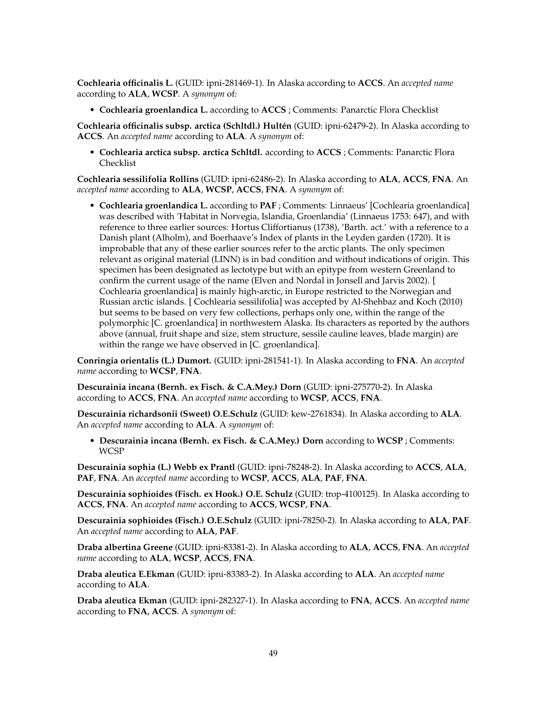**Cochlearia officinalis L.** (GUID: ipni-281469-1). In Alaska according to **ACCS**. An *accepted name* according to **ALA**, **WCSP**. A *synonym* of:

• **Cochlearia groenlandica L.** according to **ACCS** ; Comments: Panarctic Flora Checklist

**Cochlearia officinalis subsp. arctica (Schltdl.) Hultén** (GUID: ipni-62479-2). In Alaska according to **ACCS**. An *accepted name* according to **ALA**. A *synonym* of:

• **Cochlearia arctica subsp. arctica Schltdl.** according to **ACCS** ; Comments: Panarctic Flora Checklist

**Cochlearia sessilifolia Rollins** (GUID: ipni-62486-2). In Alaska according to **ALA**, **ACCS**, **FNA**. An *accepted name* according to **ALA**, **WCSP**, **ACCS**, **FNA**. A *synonym* of:

• **Cochlearia groenlandica L.** according to **PAF** ; Comments: Linnaeus' [Cochlearia groenlandica] was described with 'Habitat in Norvegia, Islandia, Groenlandia' (Linnaeus 1753: 647), and with reference to three earlier sources: Hortus Cliffortianus (1738), 'Barth. act.' with a reference to a Danish plant (Alholm), and Boerhaave's Index of plants in the Leyden garden (1720). It is improbable that any of these earlier sources refer to the arctic plants. The only specimen relevant as original material (LINN) is in bad condition and without indications of origin. This specimen has been designated as lectotype but with an epitype from western Greenland to confirm the current usage of the name (Elven and Nordal in Jonsell and Jarvis 2002). [ Cochlearia groenlandica] is mainly high-arctic, in Europe restricted to the Norwegian and Russian arctic islands. [ Cochlearia sessilifolia] was accepted by Al-Shehbaz and Koch (2010) but seems to be based on very few collections, perhaps only one, within the range of the polymorphic [C. groenlandica] in northwestern Alaska. Its characters as reported by the authors above (annual, fruit shape and size, stem structure, sessile cauline leaves, blade margin) are within the range we have observed in [C. groenlandica].

**Conringia orientalis (L.) Dumort.** (GUID: ipni-281541-1). In Alaska according to **FNA**. An *accepted name* according to **WCSP**, **FNA**.

**Descurainia incana (Bernh. ex Fisch. & C.A.Mey.) Dorn** (GUID: ipni-275770-2). In Alaska according to **ACCS**, **FNA**. An *accepted name* according to **WCSP**, **ACCS**, **FNA**.

**Descurainia richardsonii (Sweet) O.E.Schulz** (GUID: kew-2761834). In Alaska according to **ALA**. An *accepted name* according to **ALA**. A *synonym* of:

• **Descurainia incana (Bernh. ex Fisch. & C.A.Mey.) Dorn** according to **WCSP** ; Comments: **WCSP** 

**Descurainia sophia (L.) Webb ex Prantl** (GUID: ipni-78248-2). In Alaska according to **ACCS**, **ALA**, **PAF**, **FNA**. An *accepted name* according to **WCSP**, **ACCS**, **ALA**, **PAF**, **FNA**.

**Descurainia sophioides (Fisch. ex Hook.) O.E. Schulz** (GUID: trop-4100125). In Alaska according to **ACCS**, **FNA**. An *accepted name* according to **ACCS**, **WCSP**, **FNA**.

**Descurainia sophioides (Fisch.) O.E.Schulz** (GUID: ipni-78250-2). In Alaska according to **ALA**, **PAF**. An *accepted name* according to **ALA**, **PAF**.

**Draba albertina Greene** (GUID: ipni-83381-2). In Alaska according to **ALA**, **ACCS**, **FNA**. An *accepted name* according to **ALA**, **WCSP**, **ACCS**, **FNA**.

**Draba aleutica E.Ekman** (GUID: ipni-83383-2). In Alaska according to **ALA**. An *accepted name* according to **ALA**.

**Draba aleutica Ekman** (GUID: ipni-282327-1). In Alaska according to **FNA**, **ACCS**. An *accepted name* according to **FNA**, **ACCS**. A *synonym* of: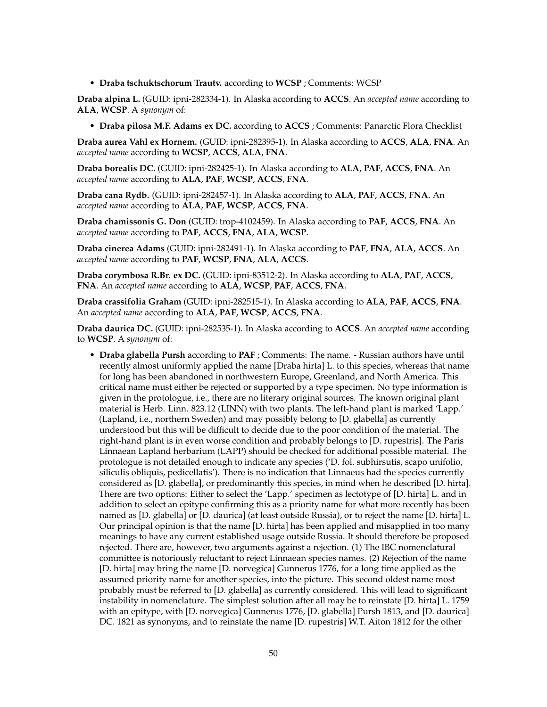• **Draba tschuktschorum Trautv.** according to **WCSP** ; Comments: WCSP

**Draba alpina L.** (GUID: ipni-282334-1). In Alaska according to **ACCS**. An *accepted name* according to **ALA**, **WCSP**. A *synonym* of:

• **Draba pilosa M.F. Adams ex DC.** according to **ACCS** ; Comments: Panarctic Flora Checklist

**Draba aurea Vahl ex Hornem.** (GUID: ipni-282395-1). In Alaska according to **ACCS**, **ALA**, **FNA**. An *accepted name* according to **WCSP**, **ACCS**, **ALA**, **FNA**.

**Draba borealis DC.** (GUID: ipni-282425-1). In Alaska according to **ALA**, **PAF**, **ACCS**, **FNA**. An *accepted name* according to **ALA**, **PAF**, **WCSP**, **ACCS**, **FNA**.

**Draba cana Rydb.** (GUID: ipni-282457-1). In Alaska according to **ALA**, **PAF**, **ACCS**, **FNA**. An *accepted name* according to **ALA**, **PAF**, **WCSP**, **ACCS**, **FNA**.

**Draba chamissonis G. Don** (GUID: trop-4102459). In Alaska according to **PAF**, **ACCS**, **FNA**. An *accepted name* according to **PAF**, **ACCS**, **FNA**, **ALA**, **WCSP**.

**Draba cinerea Adams** (GUID: ipni-282491-1). In Alaska according to **PAF**, **FNA**, **ALA**, **ACCS**. An *accepted name* according to **PAF**, **WCSP**, **FNA**, **ALA**, **ACCS**.

**Draba corymbosa R.Br. ex DC.** (GUID: ipni-83512-2). In Alaska according to **ALA**, **PAF**, **ACCS**, **FNA**. An *accepted name* according to **ALA**, **WCSP**, **PAF**, **ACCS**, **FNA**.

**Draba crassifolia Graham** (GUID: ipni-282515-1). In Alaska according to **ALA**, **PAF**, **ACCS**, **FNA**. An *accepted name* according to **ALA**, **PAF**, **WCSP**, **ACCS**, **FNA**.

**Draba daurica DC.** (GUID: ipni-282535-1). In Alaska according to **ACCS**. An *accepted name* according to **WCSP**. A *synonym* of:

• **Draba glabella Pursh** according to **PAF** ; Comments: The name. - Russian authors have until recently almost uniformly applied the name [Draba hirta] L. to this species, whereas that name for long has been abandoned in northwestern Europe, Greenland, and North America. This critical name must either be rejected or supported by a type specimen. No type information is given in the protologue, i.e., there are no literary original sources. The known original plant material is Herb. Linn. 823.12 (LINN) with two plants. The left-hand plant is marked 'Lapp.' (Lapland, i.e., northern Sweden) and may possibly belong to [D. glabella] as currently understood but this will be difficult to decide due to the poor condition of the material. The right-hand plant is in even worse condition and probably belongs to [D. rupestris]. The Paris Linnaean Lapland herbarium (LAPP) should be checked for additional possible material. The protologue is not detailed enough to indicate any species ('D. fol. subhirsutis, scapo unifolio, siliculis obliquis, pedicellatis'). There is no indication that Linnaeus had the species currently considered as [D. glabella], or predominantly this species, in mind when he described [D. hirta]. There are two options: Either to select the 'Lapp.' specimen as lectotype of [D. hirta] L. and in addition to select an epitype confirming this as a priority name for what more recently has been named as [D. glabella] or [D. daurica] (at least outside Russia), or to reject the name [D. hirta] L. Our principal opinion is that the name [D. hirta] has been applied and misapplied in too many meanings to have any current established usage outside Russia. It should therefore be proposed rejected. There are, however, two arguments against a rejection. (1) The IBC nomenclatural committee is notoriously reluctant to reject Linnaean species names. (2) Rejection of the name [D. hirta] may bring the name [D. norvegica] Gunnerus 1776, for a long time applied as the assumed priority name for another species, into the picture. This second oldest name most probably must be referred to [D. glabella] as currently considered. This will lead to significant instability in nomenclature. The simplest solution after all may be to reinstate [D. hirta] L. 1759 with an epitype, with [D. norvegica] Gunnerus 1776, [D. glabella] Pursh 1813, and [D. daurica] DC. 1821 as synonyms, and to reinstate the name [D. rupestris] W.T. Aiton 1812 for the other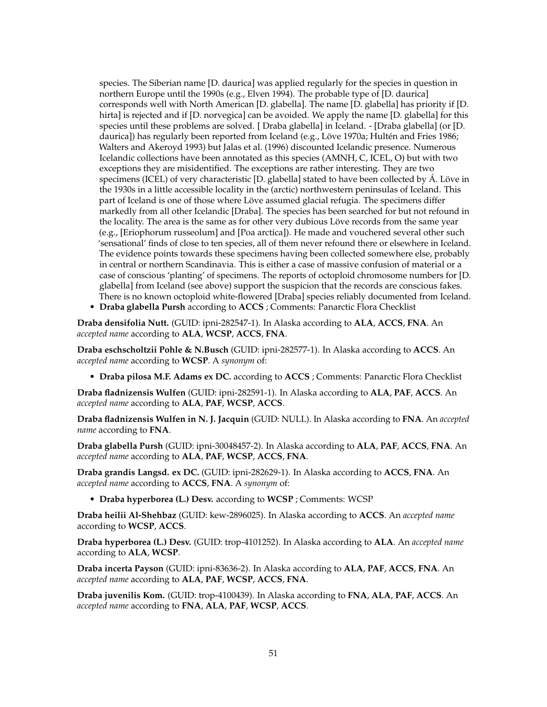species. The Siberian name [D. daurica] was applied regularly for the species in question in northern Europe until the 1990s (e.g., Elven 1994). The probable type of [D. daurica] corresponds well with North American [D. glabella]. The name [D. glabella] has priority if [D. hirta] is rejected and if [D. norvegica] can be avoided. We apply the name [D. glabella] for this species until these problems are solved. [ Draba glabella] in Iceland. - [Draba glabella] (or [D. daurica]) has regularly been reported from Iceland (e.g., Löve 1970a; Hultén and Fries 1986; Walters and Akeroyd 1993) but Jalas et al. (1996) discounted Icelandic presence. Numerous Icelandic collections have been annotated as this species (AMNH, C, ICEL, O) but with two exceptions they are misidentified. The exceptions are rather interesting. They are two specimens (ICEL) of very characteristic [D. glabella] stated to have been collected by Á. Löve in the 1930s in a little accessible locality in the (arctic) northwestern peninsulas of Iceland. This part of Iceland is one of those where Löve assumed glacial refugia. The specimens differ markedly from all other Icelandic [Draba]. The species has been searched for but not refound in the locality. The area is the same as for other very dubious Löve records from the same year (e.g., [Eriophorum russeolum] and [Poa arctica]). He made and vouchered several other such 'sensational' finds of close to ten species, all of them never refound there or elsewhere in Iceland. The evidence points towards these specimens having been collected somewhere else, probably in central or northern Scandinavia. This is either a case of massive confusion of material or a case of conscious 'planting' of specimens. The reports of octoploid chromosome numbers for [D. glabella] from Iceland (see above) support the suspicion that the records are conscious fakes. There is no known octoploid white-flowered [Draba] species reliably documented from Iceland.

• **Draba glabella Pursh** according to **ACCS** ; Comments: Panarctic Flora Checklist

**Draba densifolia Nutt.** (GUID: ipni-282547-1). In Alaska according to **ALA**, **ACCS**, **FNA**. An *accepted name* according to **ALA**, **WCSP**, **ACCS**, **FNA**.

**Draba eschscholtzii Pohle & N.Busch** (GUID: ipni-282577-1). In Alaska according to **ACCS**. An *accepted name* according to **WCSP**. A *synonym* of:

• **Draba pilosa M.F. Adams ex DC.** according to **ACCS** ; Comments: Panarctic Flora Checklist

**Draba fladnizensis Wulfen** (GUID: ipni-282591-1). In Alaska according to **ALA**, **PAF**, **ACCS**. An *accepted name* according to **ALA**, **PAF**, **WCSP**, **ACCS**.

**Draba fladnizensis Wulfen in N. J. Jacquin** (GUID: NULL). In Alaska according to **FNA**. An *accepted name* according to **FNA**.

**Draba glabella Pursh** (GUID: ipni-30048457-2). In Alaska according to **ALA**, **PAF**, **ACCS**, **FNA**. An *accepted name* according to **ALA**, **PAF**, **WCSP**, **ACCS**, **FNA**.

**Draba grandis Langsd. ex DC.** (GUID: ipni-282629-1). In Alaska according to **ACCS**, **FNA**. An *accepted name* according to **ACCS**, **FNA**. A *synonym* of:

• **Draba hyperborea (L.) Desv.** according to **WCSP** ; Comments: WCSP

**Draba heilii Al-Shehbaz** (GUID: kew-2896025). In Alaska according to **ACCS**. An *accepted name* according to **WCSP**, **ACCS**.

**Draba hyperborea (L.) Desv.** (GUID: trop-4101252). In Alaska according to **ALA**. An *accepted name* according to **ALA**, **WCSP**.

**Draba incerta Payson** (GUID: ipni-83636-2). In Alaska according to **ALA**, **PAF**, **ACCS**, **FNA**. An *accepted name* according to **ALA**, **PAF**, **WCSP**, **ACCS**, **FNA**.

**Draba juvenilis Kom.** (GUID: trop-4100439). In Alaska according to **FNA**, **ALA**, **PAF**, **ACCS**. An *accepted name* according to **FNA**, **ALA**, **PAF**, **WCSP**, **ACCS**.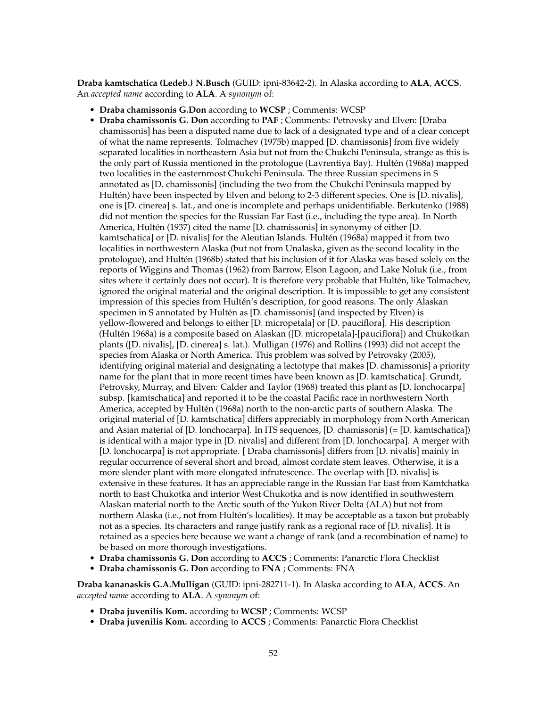**Draba kamtschatica (Ledeb.) N.Busch** (GUID: ipni-83642-2). In Alaska according to **ALA**, **ACCS**. An *accepted name* according to **ALA**. A *synonym* of:

- **Draba chamissonis G.Don** according to **WCSP** ; Comments: WCSP
- **Draba chamissonis G. Don** according to **PAF** ; Comments: Petrovsky and Elven: [Draba chamissonis] has been a disputed name due to lack of a designated type and of a clear concept of what the name represents. Tolmachev (1975b) mapped [D. chamissonis] from five widely separated localities in northeastern Asia but not from the Chukchi Peninsula, strange as this is the only part of Russia mentioned in the protologue (Lavrentiya Bay). Hultén (1968a) mapped two localities in the easternmost Chukchi Peninsula. The three Russian specimens in S annotated as [D. chamissonis] (including the two from the Chukchi Peninsula mapped by Hultén) have been inspected by Elven and belong to 2-3 different species. One is [D. nivalis], one is [D. cinerea] s. lat., and one is incomplete and perhaps unidentifiable. Berkutenko (1988) did not mention the species for the Russian Far East (i.e., including the type area). In North America, Hultén (1937) cited the name [D. chamissonis] in synonymy of either [D. kamtschatica] or [D. nivalis] for the Aleutian Islands. Hultén (1968a) mapped it from two localities in northwestern Alaska (but not from Unalaska, given as the second locality in the protologue), and Hultén (1968b) stated that his inclusion of it for Alaska was based solely on the reports of Wiggins and Thomas (1962) from Barrow, Elson Lagoon, and Lake Noluk (i.e., from sites where it certainly does not occur). It is therefore very probable that Hultén, like Tolmachev, ignored the original material and the original description. It is impossible to get any consistent impression of this species from Hultén's description, for good reasons. The only Alaskan specimen in S annotated by Hultén as [D. chamissonis] (and inspected by Elven) is yellow-flowered and belongs to either [D. micropetala] or [D. pauciflora]. His description (Hultén 1968a) is a composite based on Alaskan ([D. micropetala]-[pauciflora]) and Chukotkan plants ([D. nivalis], [D. cinerea] s. lat.). Mulligan (1976) and Rollins (1993) did not accept the species from Alaska or North America. This problem was solved by Petrovsky (2005), identifying original material and designating a lectotype that makes [D. chamissonis] a priority name for the plant that in more recent times have been known as [D. kamtschatica]. Grundt, Petrovsky, Murray, and Elven: Calder and Taylor (1968) treated this plant as [D. lonchocarpa] subsp. [kamtschatica] and reported it to be the coastal Pacific race in northwestern North America, accepted by Hultén (1968a) north to the non-arctic parts of southern Alaska. The original material of [D. kamtschatica] differs appreciably in morphology from North American and Asian material of [D. lonchocarpa]. In ITS sequences, [D. chamissonis] (= [D. kamtschatica]) is identical with a major type in [D. nivalis] and different from [D. lonchocarpa]. A merger with [D. lonchocarpa] is not appropriate. [ Draba chamissonis] differs from [D. nivalis] mainly in regular occurrence of several short and broad, almost cordate stem leaves. Otherwise, it is a more slender plant with more elongated infrutescence. The overlap with [D. nivalis] is extensive in these features. It has an appreciable range in the Russian Far East from Kamtchatka north to East Chukotka and interior West Chukotka and is now identified in southwestern Alaskan material north to the Arctic south of the Yukon River Delta (ALA) but not from northern Alaska (i.e., not from Hultén's localities). It may be acceptable as a taxon but probably not as a species. Its characters and range justify rank as a regional race of [D. nivalis]. It is retained as a species here because we want a change of rank (and a recombination of name) to be based on more thorough investigations.
- **Draba chamissonis G. Don** according to **ACCS** ; Comments: Panarctic Flora Checklist
- **Draba chamissonis G. Don** according to **FNA** ; Comments: FNA

**Draba kananaskis G.A.Mulligan** (GUID: ipni-282711-1). In Alaska according to **ALA**, **ACCS**. An *accepted name* according to **ALA**. A *synonym* of:

- **Draba juvenilis Kom.** according to **WCSP** ; Comments: WCSP
- **Draba juvenilis Kom.** according to **ACCS** ; Comments: Panarctic Flora Checklist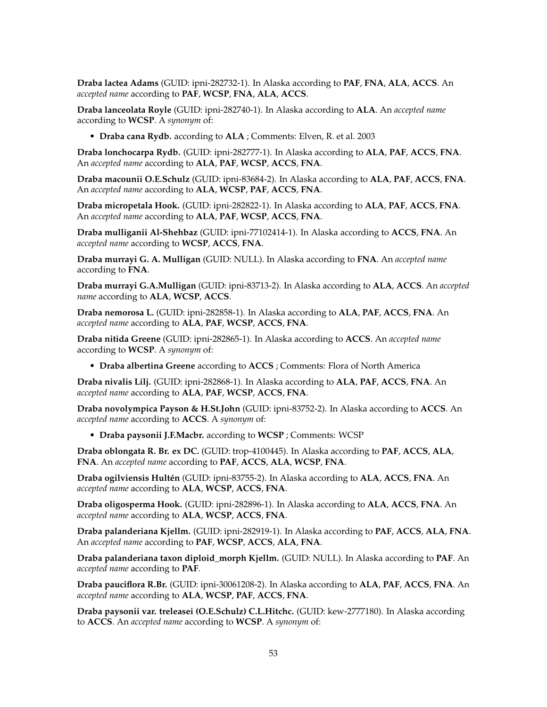**Draba lactea Adams** (GUID: ipni-282732-1). In Alaska according to **PAF**, **FNA**, **ALA**, **ACCS**. An *accepted name* according to **PAF**, **WCSP**, **FNA**, **ALA**, **ACCS**.

**Draba lanceolata Royle** (GUID: ipni-282740-1). In Alaska according to **ALA**. An *accepted name* according to **WCSP**. A *synonym* of:

• **Draba cana Rydb.** according to **ALA** ; Comments: Elven, R. et al. 2003

**Draba lonchocarpa Rydb.** (GUID: ipni-282777-1). In Alaska according to **ALA**, **PAF**, **ACCS**, **FNA**. An *accepted name* according to **ALA**, **PAF**, **WCSP**, **ACCS**, **FNA**.

**Draba macounii O.E.Schulz** (GUID: ipni-83684-2). In Alaska according to **ALA**, **PAF**, **ACCS**, **FNA**. An *accepted name* according to **ALA**, **WCSP**, **PAF**, **ACCS**, **FNA**.

**Draba micropetala Hook.** (GUID: ipni-282822-1). In Alaska according to **ALA**, **PAF**, **ACCS**, **FNA**. An *accepted name* according to **ALA**, **PAF**, **WCSP**, **ACCS**, **FNA**.

**Draba mulliganii Al-Shehbaz** (GUID: ipni-77102414-1). In Alaska according to **ACCS**, **FNA**. An *accepted name* according to **WCSP**, **ACCS**, **FNA**.

**Draba murrayi G. A. Mulligan** (GUID: NULL). In Alaska according to **FNA**. An *accepted name* according to **FNA**.

**Draba murrayi G.A.Mulligan** (GUID: ipni-83713-2). In Alaska according to **ALA**, **ACCS**. An *accepted name* according to **ALA**, **WCSP**, **ACCS**.

**Draba nemorosa L.** (GUID: ipni-282858-1). In Alaska according to **ALA**, **PAF**, **ACCS**, **FNA**. An *accepted name* according to **ALA**, **PAF**, **WCSP**, **ACCS**, **FNA**.

**Draba nitida Greene** (GUID: ipni-282865-1). In Alaska according to **ACCS**. An *accepted name* according to **WCSP**. A *synonym* of:

• **Draba albertina Greene** according to **ACCS** ; Comments: Flora of North America

**Draba nivalis Lilj.** (GUID: ipni-282868-1). In Alaska according to **ALA**, **PAF**, **ACCS**, **FNA**. An *accepted name* according to **ALA**, **PAF**, **WCSP**, **ACCS**, **FNA**.

**Draba novolympica Payson & H.St.John** (GUID: ipni-83752-2). In Alaska according to **ACCS**. An *accepted name* according to **ACCS**. A *synonym* of:

• **Draba paysonii J.F.Macbr.** according to **WCSP** ; Comments: WCSP

**Draba oblongata R. Br. ex DC.** (GUID: trop-4100445). In Alaska according to **PAF**, **ACCS**, **ALA**, **FNA**. An *accepted name* according to **PAF**, **ACCS**, **ALA**, **WCSP**, **FNA**.

**Draba ogilviensis Hultén** (GUID: ipni-83755-2). In Alaska according to **ALA**, **ACCS**, **FNA**. An *accepted name* according to **ALA**, **WCSP**, **ACCS**, **FNA**.

**Draba oligosperma Hook.** (GUID: ipni-282896-1). In Alaska according to **ALA**, **ACCS**, **FNA**. An *accepted name* according to **ALA**, **WCSP**, **ACCS**, **FNA**.

**Draba palanderiana Kjellm.** (GUID: ipni-282919-1). In Alaska according to **PAF**, **ACCS**, **ALA**, **FNA**. An *accepted name* according to **PAF**, **WCSP**, **ACCS**, **ALA**, **FNA**.

**Draba palanderiana taxon diploid\_morph Kjellm.** (GUID: NULL). In Alaska according to **PAF**. An *accepted name* according to **PAF**.

**Draba pauciflora R.Br.** (GUID: ipni-30061208-2). In Alaska according to **ALA**, **PAF**, **ACCS**, **FNA**. An *accepted name* according to **ALA**, **WCSP**, **PAF**, **ACCS**, **FNA**.

**Draba paysonii var. treleasei (O.E.Schulz) C.L.Hitchc.** (GUID: kew-2777180). In Alaska according to **ACCS**. An *accepted name* according to **WCSP**. A *synonym* of: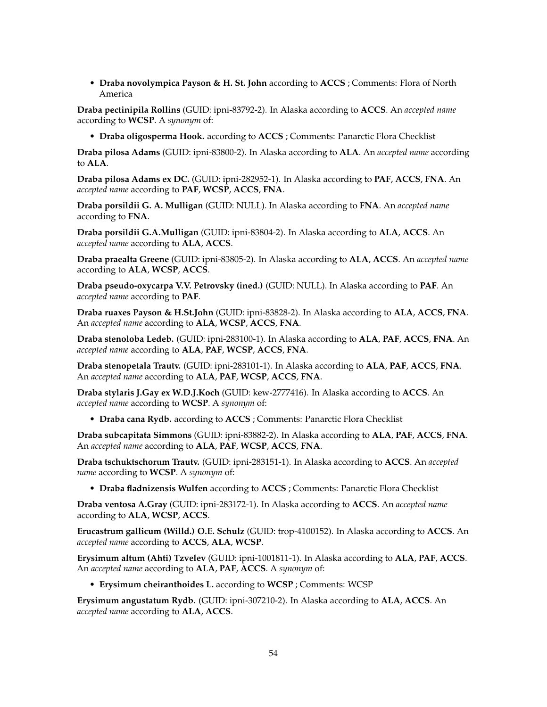• **Draba novolympica Payson & H. St. John** according to **ACCS** ; Comments: Flora of North America

**Draba pectinipila Rollins** (GUID: ipni-83792-2). In Alaska according to **ACCS**. An *accepted name* according to **WCSP**. A *synonym* of:

• **Draba oligosperma Hook.** according to **ACCS** ; Comments: Panarctic Flora Checklist

**Draba pilosa Adams** (GUID: ipni-83800-2). In Alaska according to **ALA**. An *accepted name* according to **ALA**.

**Draba pilosa Adams ex DC.** (GUID: ipni-282952-1). In Alaska according to **PAF**, **ACCS**, **FNA**. An *accepted name* according to **PAF**, **WCSP**, **ACCS**, **FNA**.

**Draba porsildii G. A. Mulligan** (GUID: NULL). In Alaska according to **FNA**. An *accepted name* according to **FNA**.

**Draba porsildii G.A.Mulligan** (GUID: ipni-83804-2). In Alaska according to **ALA**, **ACCS**. An *accepted name* according to **ALA**, **ACCS**.

**Draba praealta Greene** (GUID: ipni-83805-2). In Alaska according to **ALA**, **ACCS**. An *accepted name* according to **ALA**, **WCSP**, **ACCS**.

**Draba pseudo-oxycarpa V.V. Petrovsky (ined.)** (GUID: NULL). In Alaska according to **PAF**. An *accepted name* according to **PAF**.

**Draba ruaxes Payson & H.St.John** (GUID: ipni-83828-2). In Alaska according to **ALA**, **ACCS**, **FNA**. An *accepted name* according to **ALA**, **WCSP**, **ACCS**, **FNA**.

**Draba stenoloba Ledeb.** (GUID: ipni-283100-1). In Alaska according to **ALA**, **PAF**, **ACCS**, **FNA**. An *accepted name* according to **ALA**, **PAF**, **WCSP**, **ACCS**, **FNA**.

**Draba stenopetala Trautv.** (GUID: ipni-283101-1). In Alaska according to **ALA**, **PAF**, **ACCS**, **FNA**. An *accepted name* according to **ALA**, **PAF**, **WCSP**, **ACCS**, **FNA**.

**Draba stylaris J.Gay ex W.D.J.Koch** (GUID: kew-2777416). In Alaska according to **ACCS**. An *accepted name* according to **WCSP**. A *synonym* of:

• **Draba cana Rydb.** according to **ACCS** ; Comments: Panarctic Flora Checklist

**Draba subcapitata Simmons** (GUID: ipni-83882-2). In Alaska according to **ALA**, **PAF**, **ACCS**, **FNA**. An *accepted name* according to **ALA**, **PAF**, **WCSP**, **ACCS**, **FNA**.

**Draba tschuktschorum Trautv.** (GUID: ipni-283151-1). In Alaska according to **ACCS**. An *accepted name* according to **WCSP**. A *synonym* of:

• **Draba fladnizensis Wulfen** according to **ACCS** ; Comments: Panarctic Flora Checklist

**Draba ventosa A.Gray** (GUID: ipni-283172-1). In Alaska according to **ACCS**. An *accepted name* according to **ALA**, **WCSP**, **ACCS**.

**Erucastrum gallicum (Willd.) O.E. Schulz** (GUID: trop-4100152). In Alaska according to **ACCS**. An *accepted name* according to **ACCS**, **ALA**, **WCSP**.

**Erysimum altum (Ahti) Tzvelev** (GUID: ipni-1001811-1). In Alaska according to **ALA**, **PAF**, **ACCS**. An *accepted name* according to **ALA**, **PAF**, **ACCS**. A *synonym* of:

• **Erysimum cheiranthoides L.** according to **WCSP** ; Comments: WCSP

**Erysimum angustatum Rydb.** (GUID: ipni-307210-2). In Alaska according to **ALA**, **ACCS**. An *accepted name* according to **ALA**, **ACCS**.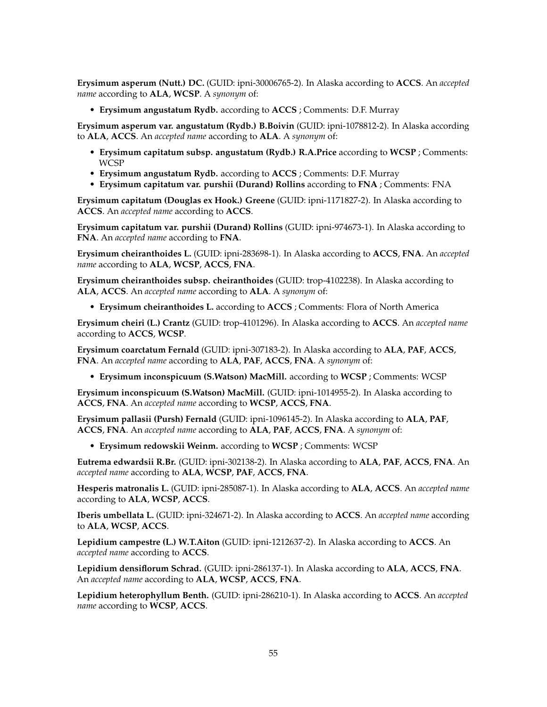**Erysimum asperum (Nutt.) DC.** (GUID: ipni-30006765-2). In Alaska according to **ACCS**. An *accepted name* according to **ALA**, **WCSP**. A *synonym* of:

• **Erysimum angustatum Rydb.** according to **ACCS** ; Comments: D.F. Murray

**Erysimum asperum var. angustatum (Rydb.) B.Boivin** (GUID: ipni-1078812-2). In Alaska according to **ALA**, **ACCS**. An *accepted name* according to **ALA**. A *synonym* of:

- **Erysimum capitatum subsp. angustatum (Rydb.) R.A.Price** according to **WCSP** ; Comments: WCSP
- **Erysimum angustatum Rydb.** according to **ACCS** ; Comments: D.F. Murray
- **Erysimum capitatum var. purshii (Durand) Rollins** according to **FNA** ; Comments: FNA

**Erysimum capitatum (Douglas ex Hook.) Greene** (GUID: ipni-1171827-2). In Alaska according to **ACCS**. An *accepted name* according to **ACCS**.

**Erysimum capitatum var. purshii (Durand) Rollins** (GUID: ipni-974673-1). In Alaska according to **FNA**. An *accepted name* according to **FNA**.

**Erysimum cheiranthoides L.** (GUID: ipni-283698-1). In Alaska according to **ACCS**, **FNA**. An *accepted name* according to **ALA**, **WCSP**, **ACCS**, **FNA**.

**Erysimum cheiranthoides subsp. cheiranthoides** (GUID: trop-4102238). In Alaska according to **ALA**, **ACCS**. An *accepted name* according to **ALA**. A *synonym* of:

• **Erysimum cheiranthoides L.** according to **ACCS** ; Comments: Flora of North America

**Erysimum cheiri (L.) Crantz** (GUID: trop-4101296). In Alaska according to **ACCS**. An *accepted name* according to **ACCS**, **WCSP**.

**Erysimum coarctatum Fernald** (GUID: ipni-307183-2). In Alaska according to **ALA**, **PAF**, **ACCS**, **FNA**. An *accepted name* according to **ALA**, **PAF**, **ACCS**, **FNA**. A *synonym* of:

• **Erysimum inconspicuum (S.Watson) MacMill.** according to **WCSP** ; Comments: WCSP

**Erysimum inconspicuum (S.Watson) MacMill.** (GUID: ipni-1014955-2). In Alaska according to **ACCS**, **FNA**. An *accepted name* according to **WCSP**, **ACCS**, **FNA**.

**Erysimum pallasii (Pursh) Fernald** (GUID: ipni-1096145-2). In Alaska according to **ALA**, **PAF**, **ACCS**, **FNA**. An *accepted name* according to **ALA**, **PAF**, **ACCS**, **FNA**. A *synonym* of:

• **Erysimum redowskii Weinm.** according to **WCSP** ; Comments: WCSP

**Eutrema edwardsii R.Br.** (GUID: ipni-302138-2). In Alaska according to **ALA**, **PAF**, **ACCS**, **FNA**. An *accepted name* according to **ALA**, **WCSP**, **PAF**, **ACCS**, **FNA**.

**Hesperis matronalis L.** (GUID: ipni-285087-1). In Alaska according to **ALA**, **ACCS**. An *accepted name* according to **ALA**, **WCSP**, **ACCS**.

**Iberis umbellata L.** (GUID: ipni-324671-2). In Alaska according to **ACCS**. An *accepted name* according to **ALA**, **WCSP**, **ACCS**.

**Lepidium campestre (L.) W.T.Aiton** (GUID: ipni-1212637-2). In Alaska according to **ACCS**. An *accepted name* according to **ACCS**.

**Lepidium densiflorum Schrad.** (GUID: ipni-286137-1). In Alaska according to **ALA**, **ACCS**, **FNA**. An *accepted name* according to **ALA**, **WCSP**, **ACCS**, **FNA**.

**Lepidium heterophyllum Benth.** (GUID: ipni-286210-1). In Alaska according to **ACCS**. An *accepted name* according to **WCSP**, **ACCS**.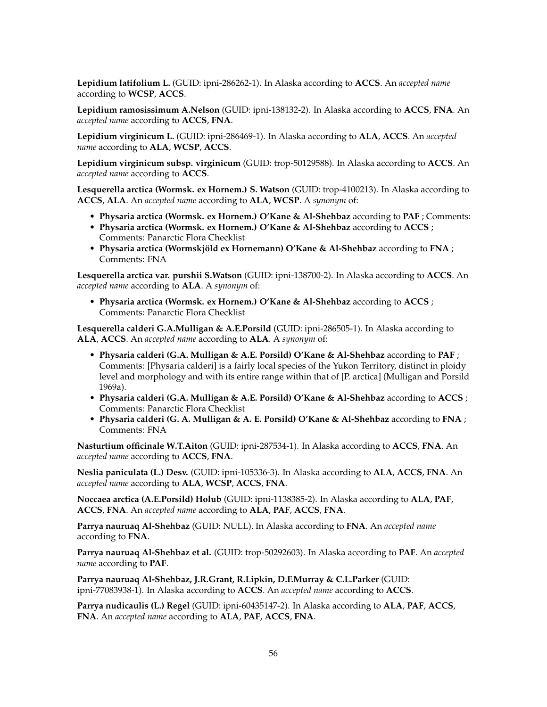**Lepidium latifolium L.** (GUID: ipni-286262-1). In Alaska according to **ACCS**. An *accepted name* according to **WCSP**, **ACCS**.

**Lepidium ramosissimum A.Nelson** (GUID: ipni-138132-2). In Alaska according to **ACCS**, **FNA**. An *accepted name* according to **ACCS**, **FNA**.

**Lepidium virginicum L.** (GUID: ipni-286469-1). In Alaska according to **ALA**, **ACCS**. An *accepted name* according to **ALA**, **WCSP**, **ACCS**.

**Lepidium virginicum subsp. virginicum** (GUID: trop-50129588). In Alaska according to **ACCS**. An *accepted name* according to **ACCS**.

**Lesquerella arctica (Wormsk. ex Hornem.) S. Watson** (GUID: trop-4100213). In Alaska according to **ACCS**, **ALA**. An *accepted name* according to **ALA**, **WCSP**. A *synonym* of:

- **Physaria arctica (Wormsk. ex Hornem.) O'Kane & Al-Shehbaz** according to **PAF** ; Comments:
- **Physaria arctica (Wormsk. ex Hornem.) O'Kane & Al-Shehbaz** according to **ACCS** ; Comments: Panarctic Flora Checklist
- **Physaria arctica (Wormskjöld ex Hornemann) O'Kane & Al-Shehbaz** according to **FNA** ; Comments: FNA

**Lesquerella arctica var. purshii S.Watson** (GUID: ipni-138700-2). In Alaska according to **ACCS**. An *accepted name* according to **ALA**. A *synonym* of:

• **Physaria arctica (Wormsk. ex Hornem.) O'Kane & Al-Shehbaz** according to **ACCS** ; Comments: Panarctic Flora Checklist

**Lesquerella calderi G.A.Mulligan & A.E.Porsild** (GUID: ipni-286505-1). In Alaska according to **ALA**, **ACCS**. An *accepted name* according to **ALA**. A *synonym* of:

- **Physaria calderi (G.A. Mulligan & A.E. Porsild) O'Kane & Al-Shehbaz** according to **PAF** ; Comments: [Physaria calderi] is a fairly local species of the Yukon Territory, distinct in ploidy level and morphology and with its entire range within that of [P. arctica] (Mulligan and Porsild 1969a).
- **Physaria calderi (G.A. Mulligan & A.E. Porsild) O'Kane & Al-Shehbaz** according to **ACCS** ; Comments: Panarctic Flora Checklist
- **Physaria calderi (G. A. Mulligan & A. E. Porsild) O'Kane & Al-Shehbaz** according to **FNA** ; Comments: FNA

**Nasturtium officinale W.T.Aiton** (GUID: ipni-287534-1). In Alaska according to **ACCS**, **FNA**. An *accepted name* according to **ACCS**, **FNA**.

**Neslia paniculata (L.) Desv.** (GUID: ipni-105336-3). In Alaska according to **ALA**, **ACCS**, **FNA**. An *accepted name* according to **ALA**, **WCSP**, **ACCS**, **FNA**.

**Noccaea arctica (A.E.Porsild) Holub** (GUID: ipni-1138385-2). In Alaska according to **ALA**, **PAF**, **ACCS**, **FNA**. An *accepted name* according to **ALA**, **PAF**, **ACCS**, **FNA**.

**Parrya nauruaq Al-Shehbaz** (GUID: NULL). In Alaska according to **FNA**. An *accepted name* according to **FNA**.

**Parrya nauruaq Al-Shehbaz et al.** (GUID: trop-50292603). In Alaska according to **PAF**. An *accepted name* according to **PAF**.

**Parrya nauruaq Al-Shehbaz, J.R.Grant, R.Lipkin, D.F.Murray & C.L.Parker** (GUID: ipni-77083938-1). In Alaska according to **ACCS**. An *accepted name* according to **ACCS**.

**Parrya nudicaulis (L.) Regel** (GUID: ipni-60435147-2). In Alaska according to **ALA**, **PAF**, **ACCS**, **FNA**. An *accepted name* according to **ALA**, **PAF**, **ACCS**, **FNA**.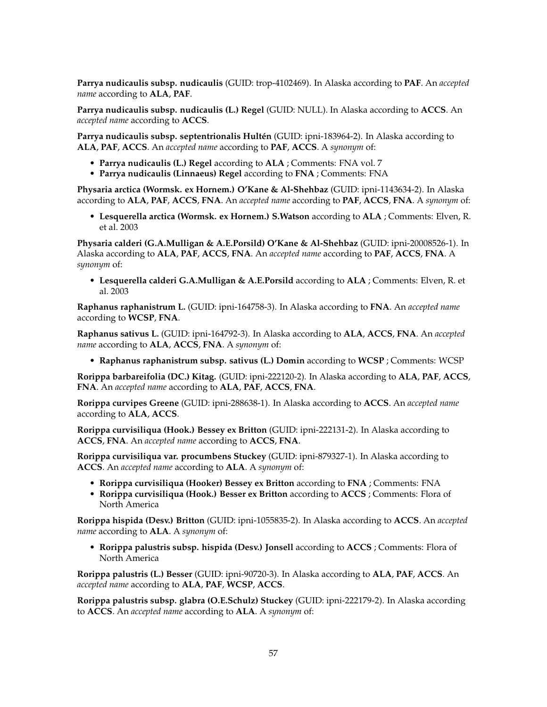**Parrya nudicaulis subsp. nudicaulis** (GUID: trop-4102469). In Alaska according to **PAF**. An *accepted name* according to **ALA**, **PAF**.

**Parrya nudicaulis subsp. nudicaulis (L.) Regel** (GUID: NULL). In Alaska according to **ACCS**. An *accepted name* according to **ACCS**.

**Parrya nudicaulis subsp. septentrionalis Hultén** (GUID: ipni-183964-2). In Alaska according to **ALA**, **PAF**, **ACCS**. An *accepted name* according to **PAF**, **ACCS**. A *synonym* of:

- **Parrya nudicaulis (L.) Regel** according to **ALA** ; Comments: FNA vol. 7
- **Parrya nudicaulis (Linnaeus) Regel** according to **FNA** ; Comments: FNA

**Physaria arctica (Wormsk. ex Hornem.) O'Kane & Al-Shehbaz** (GUID: ipni-1143634-2). In Alaska according to **ALA**, **PAF**, **ACCS**, **FNA**. An *accepted name* according to **PAF**, **ACCS**, **FNA**. A *synonym* of:

• **Lesquerella arctica (Wormsk. ex Hornem.) S.Watson** according to **ALA** ; Comments: Elven, R. et al. 2003

**Physaria calderi (G.A.Mulligan & A.E.Porsild) O'Kane & Al-Shehbaz** (GUID: ipni-20008526-1). In Alaska according to **ALA**, **PAF**, **ACCS**, **FNA**. An *accepted name* according to **PAF**, **ACCS**, **FNA**. A *synonym* of:

• **Lesquerella calderi G.A.Mulligan & A.E.Porsild** according to **ALA** ; Comments: Elven, R. et al. 2003

**Raphanus raphanistrum L.** (GUID: ipni-164758-3). In Alaska according to **FNA**. An *accepted name* according to **WCSP**, **FNA**.

**Raphanus sativus L.** (GUID: ipni-164792-3). In Alaska according to **ALA**, **ACCS**, **FNA**. An *accepted name* according to **ALA**, **ACCS**, **FNA**. A *synonym* of:

• **Raphanus raphanistrum subsp. sativus (L.) Domin** according to **WCSP** ; Comments: WCSP

**Rorippa barbareifolia (DC.) Kitag.** (GUID: ipni-222120-2). In Alaska according to **ALA**, **PAF**, **ACCS**, **FNA**. An *accepted name* according to **ALA**, **PAF**, **ACCS**, **FNA**.

**Rorippa curvipes Greene** (GUID: ipni-288638-1). In Alaska according to **ACCS**. An *accepted name* according to **ALA**, **ACCS**.

**Rorippa curvisiliqua (Hook.) Bessey ex Britton** (GUID: ipni-222131-2). In Alaska according to **ACCS**, **FNA**. An *accepted name* according to **ACCS**, **FNA**.

**Rorippa curvisiliqua var. procumbens Stuckey** (GUID: ipni-879327-1). In Alaska according to **ACCS**. An *accepted name* according to **ALA**. A *synonym* of:

- **Rorippa curvisiliqua (Hooker) Bessey ex Britton** according to **FNA** ; Comments: FNA
- **Rorippa curvisiliqua (Hook.) Besser ex Britton** according to **ACCS** ; Comments: Flora of North America

**Rorippa hispida (Desv.) Britton** (GUID: ipni-1055835-2). In Alaska according to **ACCS**. An *accepted name* according to **ALA**. A *synonym* of:

• **Rorippa palustris subsp. hispida (Desv.) Jonsell** according to **ACCS** ; Comments: Flora of North America

**Rorippa palustris (L.) Besser** (GUID: ipni-90720-3). In Alaska according to **ALA**, **PAF**, **ACCS**. An *accepted name* according to **ALA**, **PAF**, **WCSP**, **ACCS**.

**Rorippa palustris subsp. glabra (O.E.Schulz) Stuckey** (GUID: ipni-222179-2). In Alaska according to **ACCS**. An *accepted name* according to **ALA**. A *synonym* of: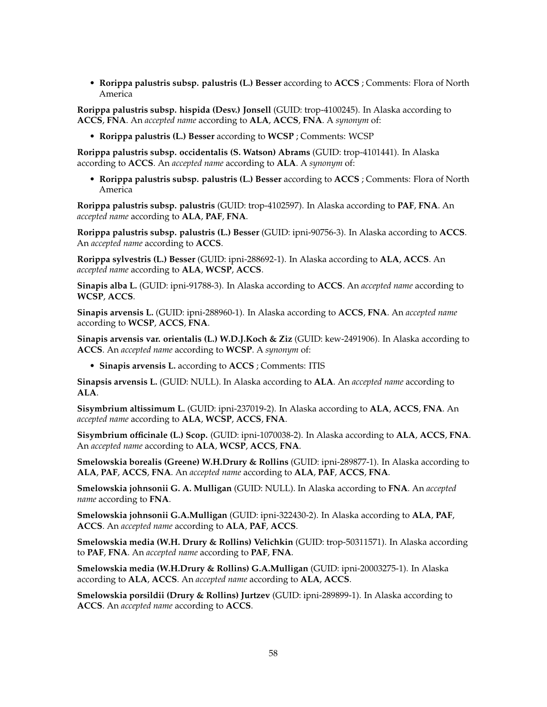• **Rorippa palustris subsp. palustris (L.) Besser** according to **ACCS** ; Comments: Flora of North America

**Rorippa palustris subsp. hispida (Desv.) Jonsell** (GUID: trop-4100245). In Alaska according to **ACCS**, **FNA**. An *accepted name* according to **ALA**, **ACCS**, **FNA**. A *synonym* of:

• **Rorippa palustris (L.) Besser** according to **WCSP** ; Comments: WCSP

**Rorippa palustris subsp. occidentalis (S. Watson) Abrams** (GUID: trop-4101441). In Alaska according to **ACCS**. An *accepted name* according to **ALA**. A *synonym* of:

• **Rorippa palustris subsp. palustris (L.) Besser** according to **ACCS** ; Comments: Flora of North America

**Rorippa palustris subsp. palustris** (GUID: trop-4102597). In Alaska according to **PAF**, **FNA**. An *accepted name* according to **ALA**, **PAF**, **FNA**.

**Rorippa palustris subsp. palustris (L.) Besser** (GUID: ipni-90756-3). In Alaska according to **ACCS**. An *accepted name* according to **ACCS**.

**Rorippa sylvestris (L.) Besser** (GUID: ipni-288692-1). In Alaska according to **ALA**, **ACCS**. An *accepted name* according to **ALA**, **WCSP**, **ACCS**.

**Sinapis alba L.** (GUID: ipni-91788-3). In Alaska according to **ACCS**. An *accepted name* according to **WCSP**, **ACCS**.

**Sinapis arvensis L.** (GUID: ipni-288960-1). In Alaska according to **ACCS**, **FNA**. An *accepted name* according to **WCSP**, **ACCS**, **FNA**.

**Sinapis arvensis var. orientalis (L.) W.D.J.Koch & Ziz** (GUID: kew-2491906). In Alaska according to **ACCS**. An *accepted name* according to **WCSP**. A *synonym* of:

• **Sinapis arvensis L.** according to **ACCS** ; Comments: ITIS

**Sinapsis arvensis L.** (GUID: NULL). In Alaska according to **ALA**. An *accepted name* according to **ALA**.

**Sisymbrium altissimum L.** (GUID: ipni-237019-2). In Alaska according to **ALA**, **ACCS**, **FNA**. An *accepted name* according to **ALA**, **WCSP**, **ACCS**, **FNA**.

**Sisymbrium officinale (L.) Scop.** (GUID: ipni-1070038-2). In Alaska according to **ALA**, **ACCS**, **FNA**. An *accepted name* according to **ALA**, **WCSP**, **ACCS**, **FNA**.

**Smelowskia borealis (Greene) W.H.Drury & Rollins** (GUID: ipni-289877-1). In Alaska according to **ALA**, **PAF**, **ACCS**, **FNA**. An *accepted name* according to **ALA**, **PAF**, **ACCS**, **FNA**.

**Smelowskia johnsonii G. A. Mulligan** (GUID: NULL). In Alaska according to **FNA**. An *accepted name* according to **FNA**.

**Smelowskia johnsonii G.A.Mulligan** (GUID: ipni-322430-2). In Alaska according to **ALA**, **PAF**, **ACCS**. An *accepted name* according to **ALA**, **PAF**, **ACCS**.

**Smelowskia media (W.H. Drury & Rollins) Velichkin** (GUID: trop-50311571). In Alaska according to **PAF**, **FNA**. An *accepted name* according to **PAF**, **FNA**.

**Smelowskia media (W.H.Drury & Rollins) G.A.Mulligan** (GUID: ipni-20003275-1). In Alaska according to **ALA**, **ACCS**. An *accepted name* according to **ALA**, **ACCS**.

**Smelowskia porsildii (Drury & Rollins) Jurtzev** (GUID: ipni-289899-1). In Alaska according to **ACCS**. An *accepted name* according to **ACCS**.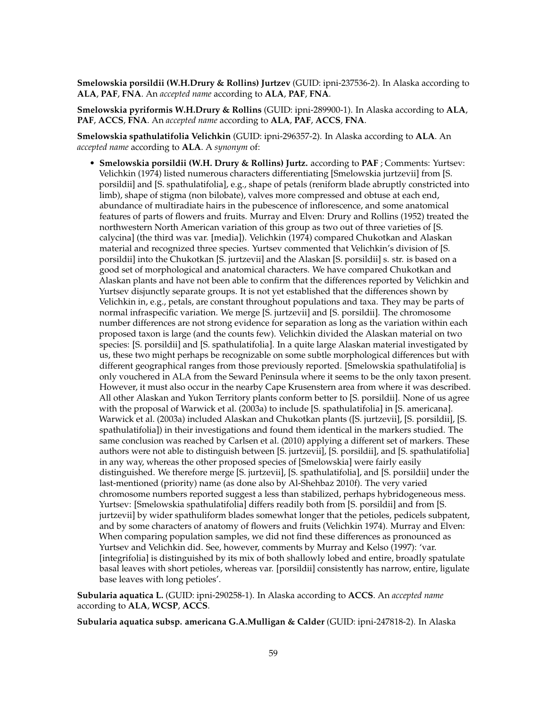**Smelowskia porsildii (W.H.Drury & Rollins) Jurtzev** (GUID: ipni-237536-2). In Alaska according to **ALA**, **PAF**, **FNA**. An *accepted name* according to **ALA**, **PAF**, **FNA**.

**Smelowskia pyriformis W.H.Drury & Rollins** (GUID: ipni-289900-1). In Alaska according to **ALA**, **PAF**, **ACCS**, **FNA**. An *accepted name* according to **ALA**, **PAF**, **ACCS**, **FNA**.

**Smelowskia spathulatifolia Velichkin** (GUID: ipni-296357-2). In Alaska according to **ALA**. An *accepted name* according to **ALA**. A *synonym* of:

• **Smelowskia porsildii (W.H. Drury & Rollins) Jurtz.** according to **PAF** ; Comments: Yurtsev: Velichkin (1974) listed numerous characters differentiating [Smelowskia jurtzevii] from [S. porsildii] and [S. spathulatifolia], e.g., shape of petals (reniform blade abruptly constricted into limb), shape of stigma (non bilobate), valves more compressed and obtuse at each end, abundance of multiradiate hairs in the pubescence of inflorescence, and some anatomical features of parts of flowers and fruits. Murray and Elven: Drury and Rollins (1952) treated the northwestern North American variation of this group as two out of three varieties of [S. calycina] (the third was var. [media]). Velichkin (1974) compared Chukotkan and Alaskan material and recognized three species. Yurtsev commented that Velichkin's division of [S. porsildii] into the Chukotkan [S. jurtzevii] and the Alaskan [S. porsildii] s. str. is based on a good set of morphological and anatomical characters. We have compared Chukotkan and Alaskan plants and have not been able to confirm that the differences reported by Velichkin and Yurtsev disjunctly separate groups. It is not yet established that the differences shown by Velichkin in, e.g., petals, are constant throughout populations and taxa. They may be parts of normal infraspecific variation. We merge [S. jurtzevii] and [S. porsildii]. The chromosome number differences are not strong evidence for separation as long as the variation within each proposed taxon is large (and the counts few). Velichkin divided the Alaskan material on two species: [S. porsildii] and [S. spathulatifolia]. In a quite large Alaskan material investigated by us, these two might perhaps be recognizable on some subtle morphological differences but with different geographical ranges from those previously reported. [Smelowskia spathulatifolia] is only vouchered in ALA from the Seward Peninsula where it seems to be the only taxon present. However, it must also occur in the nearby Cape Krusenstern area from where it was described. All other Alaskan and Yukon Territory plants conform better to [S. porsildii]. None of us agree with the proposal of Warwick et al. (2003a) to include [S. spathulatifolia] in [S. americana]. Warwick et al. (2003a) included Alaskan and Chukotkan plants ([S. jurtzevii], [S. porsildii], [S. spathulatifolia]) in their investigations and found them identical in the markers studied. The same conclusion was reached by Carlsen et al. (2010) applying a different set of markers. These authors were not able to distinguish between [S. jurtzevii], [S. porsildii], and [S. spathulatifolia] in any way, whereas the other proposed species of [Smelowskia] were fairly easily distinguished. We therefore merge [S. jurtzevii], [S. spathulatifolia], and [S. porsildii] under the last-mentioned (priority) name (as done also by Al-Shehbaz 2010f). The very varied chromosome numbers reported suggest a less than stabilized, perhaps hybridogeneous mess. Yurtsev: [Smelowskia spathulatifolia] differs readily both from [S. porsildii] and from [S. jurtzevii] by wider spathuliform blades somewhat longer that the petioles, pedicels subpatent, and by some characters of anatomy of flowers and fruits (Velichkin 1974). Murray and Elven: When comparing population samples, we did not find these differences as pronounced as Yurtsev and Velichkin did. See, however, comments by Murray and Kelso (1997): 'var. [integrifolia] is distinguished by its mix of both shallowly lobed and entire, broadly spatulate basal leaves with short petioles, whereas var. [porsildii] consistently has narrow, entire, ligulate base leaves with long petioles'.

**Subularia aquatica L.** (GUID: ipni-290258-1). In Alaska according to **ACCS**. An *accepted name* according to **ALA**, **WCSP**, **ACCS**.

**Subularia aquatica subsp. americana G.A.Mulligan & Calder** (GUID: ipni-247818-2). In Alaska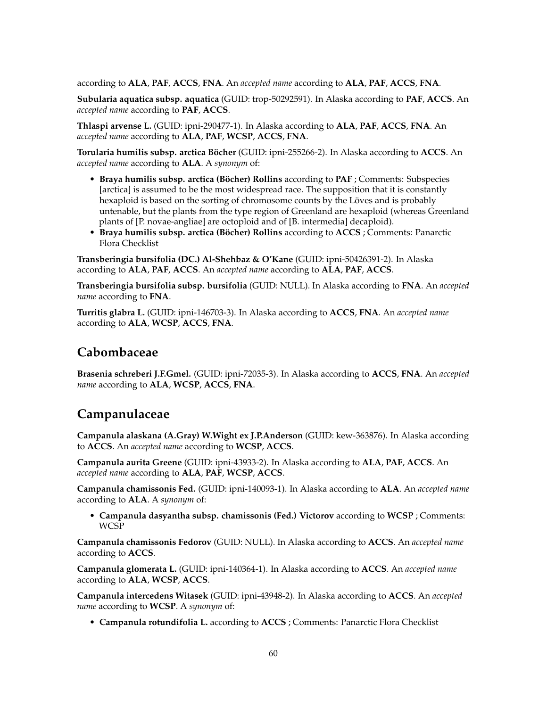according to **ALA**, **PAF**, **ACCS**, **FNA**. An *accepted name* according to **ALA**, **PAF**, **ACCS**, **FNA**.

**Subularia aquatica subsp. aquatica** (GUID: trop-50292591). In Alaska according to **PAF**, **ACCS**. An *accepted name* according to **PAF**, **ACCS**.

**Thlaspi arvense L.** (GUID: ipni-290477-1). In Alaska according to **ALA**, **PAF**, **ACCS**, **FNA**. An *accepted name* according to **ALA**, **PAF**, **WCSP**, **ACCS**, **FNA**.

**Torularia humilis subsp. arctica Böcher** (GUID: ipni-255266-2). In Alaska according to **ACCS**. An *accepted name* according to **ALA**. A *synonym* of:

- **Braya humilis subsp. arctica (Böcher) Rollins** according to **PAF** ; Comments: Subspecies [arctica] is assumed to be the most widespread race. The supposition that it is constantly hexaploid is based on the sorting of chromosome counts by the Löves and is probably untenable, but the plants from the type region of Greenland are hexaploid (whereas Greenland plants of [P. novae-angliae] are octoploid and of [B. intermedia] decaploid).
- **Braya humilis subsp. arctica (Böcher) Rollins** according to **ACCS** ; Comments: Panarctic Flora Checklist

**Transberingia bursifolia (DC.) Al-Shehbaz & O'Kane** (GUID: ipni-50426391-2). In Alaska according to **ALA**, **PAF**, **ACCS**. An *accepted name* according to **ALA**, **PAF**, **ACCS**.

**Transberingia bursifolia subsp. bursifolia** (GUID: NULL). In Alaska according to **FNA**. An *accepted name* according to **FNA**.

**Turritis glabra L.** (GUID: ipni-146703-3). In Alaska according to **ACCS**, **FNA**. An *accepted name* according to **ALA**, **WCSP**, **ACCS**, **FNA**.

# **Cabombaceae**

**Brasenia schreberi J.F.Gmel.** (GUID: ipni-72035-3). In Alaska according to **ACCS**, **FNA**. An *accepted name* according to **ALA**, **WCSP**, **ACCS**, **FNA**.

## **Campanulaceae**

**Campanula alaskana (A.Gray) W.Wight ex J.P.Anderson** (GUID: kew-363876). In Alaska according to **ACCS**. An *accepted name* according to **WCSP**, **ACCS**.

**Campanula aurita Greene** (GUID: ipni-43933-2). In Alaska according to **ALA**, **PAF**, **ACCS**. An *accepted name* according to **ALA**, **PAF**, **WCSP**, **ACCS**.

**Campanula chamissonis Fed.** (GUID: ipni-140093-1). In Alaska according to **ALA**. An *accepted name* according to **ALA**. A *synonym* of:

• **Campanula dasyantha subsp. chamissonis (Fed.) Victorov** according to **WCSP** ; Comments: WCSP

**Campanula chamissonis Fedorov** (GUID: NULL). In Alaska according to **ACCS**. An *accepted name* according to **ACCS**.

**Campanula glomerata L.** (GUID: ipni-140364-1). In Alaska according to **ACCS**. An *accepted name* according to **ALA**, **WCSP**, **ACCS**.

**Campanula intercedens Witasek** (GUID: ipni-43948-2). In Alaska according to **ACCS**. An *accepted name* according to **WCSP**. A *synonym* of:

• **Campanula rotundifolia L.** according to **ACCS** ; Comments: Panarctic Flora Checklist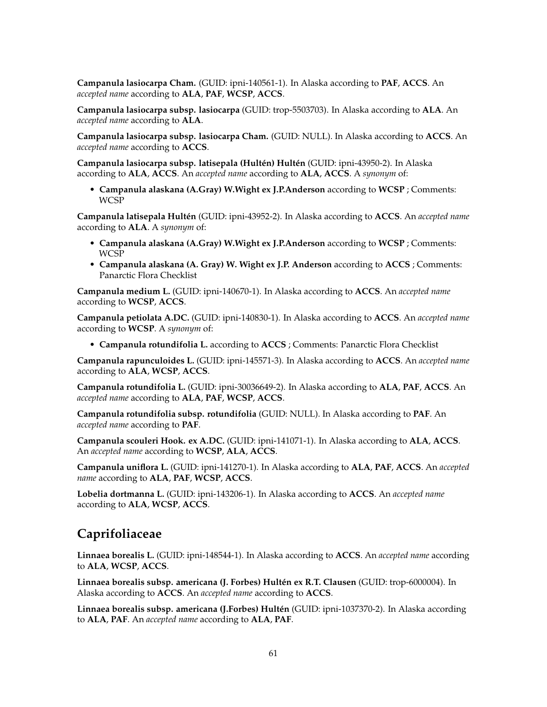**Campanula lasiocarpa Cham.** (GUID: ipni-140561-1). In Alaska according to **PAF**, **ACCS**. An *accepted name* according to **ALA**, **PAF**, **WCSP**, **ACCS**.

**Campanula lasiocarpa subsp. lasiocarpa** (GUID: trop-5503703). In Alaska according to **ALA**. An *accepted name* according to **ALA**.

**Campanula lasiocarpa subsp. lasiocarpa Cham.** (GUID: NULL). In Alaska according to **ACCS**. An *accepted name* according to **ACCS**.

**Campanula lasiocarpa subsp. latisepala (Hultén) Hultén** (GUID: ipni-43950-2). In Alaska according to **ALA**, **ACCS**. An *accepted name* according to **ALA**, **ACCS**. A *synonym* of:

• **Campanula alaskana (A.Gray) W.Wight ex J.P.Anderson** according to **WCSP** ; Comments: WCSP

**Campanula latisepala Hultén** (GUID: ipni-43952-2). In Alaska according to **ACCS**. An *accepted name* according to **ALA**. A *synonym* of:

- **Campanula alaskana (A.Gray) W.Wight ex J.P.Anderson** according to **WCSP** ; Comments: WCSP
- **Campanula alaskana (A. Gray) W. Wight ex J.P. Anderson** according to **ACCS** ; Comments: Panarctic Flora Checklist

**Campanula medium L.** (GUID: ipni-140670-1). In Alaska according to **ACCS**. An *accepted name* according to **WCSP**, **ACCS**.

**Campanula petiolata A.DC.** (GUID: ipni-140830-1). In Alaska according to **ACCS**. An *accepted name* according to **WCSP**. A *synonym* of:

• **Campanula rotundifolia L.** according to **ACCS** ; Comments: Panarctic Flora Checklist

**Campanula rapunculoides L.** (GUID: ipni-145571-3). In Alaska according to **ACCS**. An *accepted name* according to **ALA**, **WCSP**, **ACCS**.

**Campanula rotundifolia L.** (GUID: ipni-30036649-2). In Alaska according to **ALA**, **PAF**, **ACCS**. An *accepted name* according to **ALA**, **PAF**, **WCSP**, **ACCS**.

**Campanula rotundifolia subsp. rotundifolia** (GUID: NULL). In Alaska according to **PAF**. An *accepted name* according to **PAF**.

**Campanula scouleri Hook. ex A.DC.** (GUID: ipni-141071-1). In Alaska according to **ALA**, **ACCS**. An *accepted name* according to **WCSP**, **ALA**, **ACCS**.

**Campanula uniflora L.** (GUID: ipni-141270-1). In Alaska according to **ALA**, **PAF**, **ACCS**. An *accepted name* according to **ALA**, **PAF**, **WCSP**, **ACCS**.

**Lobelia dortmanna L.** (GUID: ipni-143206-1). In Alaska according to **ACCS**. An *accepted name* according to **ALA**, **WCSP**, **ACCS**.

### **Caprifoliaceae**

**Linnaea borealis L.** (GUID: ipni-148544-1). In Alaska according to **ACCS**. An *accepted name* according to **ALA**, **WCSP**, **ACCS**.

**Linnaea borealis subsp. americana (J. Forbes) Hultén ex R.T. Clausen** (GUID: trop-6000004). In Alaska according to **ACCS**. An *accepted name* according to **ACCS**.

**Linnaea borealis subsp. americana (J.Forbes) Hultén** (GUID: ipni-1037370-2). In Alaska according to **ALA**, **PAF**. An *accepted name* according to **ALA**, **PAF**.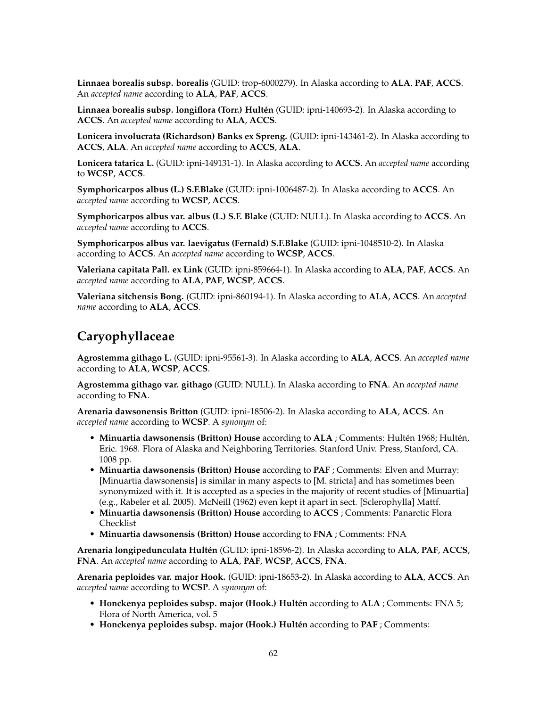**Linnaea borealis subsp. borealis** (GUID: trop-6000279). In Alaska according to **ALA**, **PAF**, **ACCS**. An *accepted name* according to **ALA**, **PAF**, **ACCS**.

**Linnaea borealis subsp. longiflora (Torr.) Hultén** (GUID: ipni-140693-2). In Alaska according to **ACCS**. An *accepted name* according to **ALA**, **ACCS**.

**Lonicera involucrata (Richardson) Banks ex Spreng.** (GUID: ipni-143461-2). In Alaska according to **ACCS**, **ALA**. An *accepted name* according to **ACCS**, **ALA**.

**Lonicera tatarica L.** (GUID: ipni-149131-1). In Alaska according to **ACCS**. An *accepted name* according to **WCSP**, **ACCS**.

**Symphoricarpos albus (L.) S.F.Blake** (GUID: ipni-1006487-2). In Alaska according to **ACCS**. An *accepted name* according to **WCSP**, **ACCS**.

**Symphoricarpos albus var. albus (L.) S.F. Blake** (GUID: NULL). In Alaska according to **ACCS**. An *accepted name* according to **ACCS**.

**Symphoricarpos albus var. laevigatus (Fernald) S.F.Blake** (GUID: ipni-1048510-2). In Alaska according to **ACCS**. An *accepted name* according to **WCSP**, **ACCS**.

**Valeriana capitata Pall. ex Link** (GUID: ipni-859664-1). In Alaska according to **ALA**, **PAF**, **ACCS**. An *accepted name* according to **ALA**, **PAF**, **WCSP**, **ACCS**.

**Valeriana sitchensis Bong.** (GUID: ipni-860194-1). In Alaska according to **ALA**, **ACCS**. An *accepted name* according to **ALA**, **ACCS**.

## **Caryophyllaceae**

**Agrostemma githago L.** (GUID: ipni-95561-3). In Alaska according to **ALA**, **ACCS**. An *accepted name* according to **ALA**, **WCSP**, **ACCS**.

**Agrostemma githago var. githago** (GUID: NULL). In Alaska according to **FNA**. An *accepted name* according to **FNA**.

**Arenaria dawsonensis Britton** (GUID: ipni-18506-2). In Alaska according to **ALA**, **ACCS**. An *accepted name* according to **WCSP**. A *synonym* of:

- **Minuartia dawsonensis (Britton) House** according to **ALA** ; Comments: Hultén 1968; Hultén, Eric. 1968. Flora of Alaska and Neighboring Territories. Stanford Univ. Press, Stanford, CA. 1008 pp.
- **Minuartia dawsonensis (Britton) House** according to **PAF** ; Comments: Elven and Murray: [Minuartia dawsonensis] is similar in many aspects to [M. stricta] and has sometimes been synonymized with it. It is accepted as a species in the majority of recent studies of [Minuartia] (e.g., Rabeler et al. 2005). McNeill (1962) even kept it apart in sect. [Sclerophylla] Mattf.
- **Minuartia dawsonensis (Britton) House** according to **ACCS** ; Comments: Panarctic Flora Checklist
- **Minuartia dawsonensis (Britton) House** according to **FNA** ; Comments: FNA

**Arenaria longipedunculata Hultén** (GUID: ipni-18596-2). In Alaska according to **ALA**, **PAF**, **ACCS**, **FNA**. An *accepted name* according to **ALA**, **PAF**, **WCSP**, **ACCS**, **FNA**.

**Arenaria peploides var. major Hook.** (GUID: ipni-18653-2). In Alaska according to **ALA**, **ACCS**. An *accepted name* according to **WCSP**. A *synonym* of:

- **Honckenya peploides subsp. major (Hook.) Hultén** according to **ALA** ; Comments: FNA 5; Flora of North America, vol. 5
- **Honckenya peploides subsp. major (Hook.) Hultén** according to **PAF** ; Comments: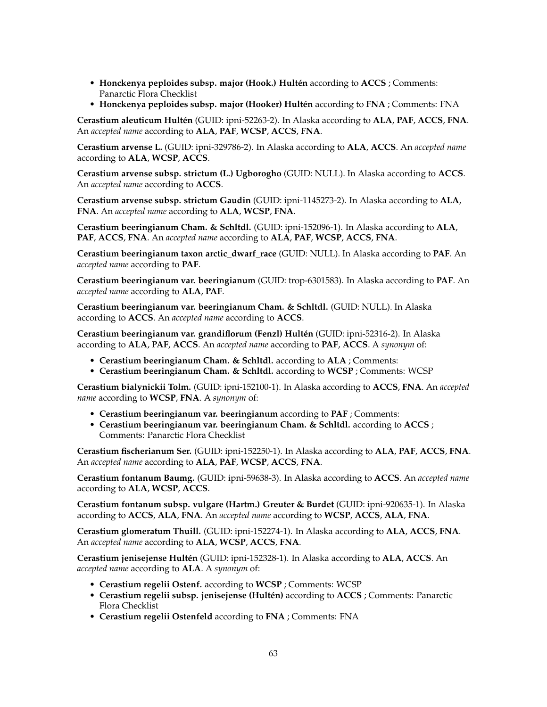- **Honckenya peploides subsp. major (Hook.) Hultén** according to **ACCS** ; Comments: Panarctic Flora Checklist
- **Honckenya peploides subsp. major (Hooker) Hultén** according to **FNA** ; Comments: FNA

**Cerastium aleuticum Hultén** (GUID: ipni-52263-2). In Alaska according to **ALA**, **PAF**, **ACCS**, **FNA**. An *accepted name* according to **ALA**, **PAF**, **WCSP**, **ACCS**, **FNA**.

**Cerastium arvense L.** (GUID: ipni-329786-2). In Alaska according to **ALA**, **ACCS**. An *accepted name* according to **ALA**, **WCSP**, **ACCS**.

**Cerastium arvense subsp. strictum (L.) Ugborogho** (GUID: NULL). In Alaska according to **ACCS**. An *accepted name* according to **ACCS**.

**Cerastium arvense subsp. strictum Gaudin** (GUID: ipni-1145273-2). In Alaska according to **ALA**, **FNA**. An *accepted name* according to **ALA**, **WCSP**, **FNA**.

**Cerastium beeringianum Cham. & Schltdl.** (GUID: ipni-152096-1). In Alaska according to **ALA**, **PAF**, **ACCS**, **FNA**. An *accepted name* according to **ALA**, **PAF**, **WCSP**, **ACCS**, **FNA**.

**Cerastium beeringianum taxon arctic\_dwarf\_race** (GUID: NULL). In Alaska according to **PAF**. An *accepted name* according to **PAF**.

**Cerastium beeringianum var. beeringianum** (GUID: trop-6301583). In Alaska according to **PAF**. An *accepted name* according to **ALA**, **PAF**.

**Cerastium beeringianum var. beeringianum Cham. & Schltdl.** (GUID: NULL). In Alaska according to **ACCS**. An *accepted name* according to **ACCS**.

**Cerastium beeringianum var. grandiflorum (Fenzl) Hultén** (GUID: ipni-52316-2). In Alaska according to **ALA**, **PAF**, **ACCS**. An *accepted name* according to **PAF**, **ACCS**. A *synonym* of:

- **Cerastium beeringianum Cham. & Schltdl.** according to **ALA** ; Comments:
- **Cerastium beeringianum Cham. & Schltdl.** according to **WCSP** ; Comments: WCSP

**Cerastium bialynickii Tolm.** (GUID: ipni-152100-1). In Alaska according to **ACCS**, **FNA**. An *accepted name* according to **WCSP**, **FNA**. A *synonym* of:

- **Cerastium beeringianum var. beeringianum** according to **PAF** ; Comments:
- **Cerastium beeringianum var. beeringianum Cham. & Schltdl.** according to **ACCS** ; Comments: Panarctic Flora Checklist

**Cerastium fischerianum Ser.** (GUID: ipni-152250-1). In Alaska according to **ALA**, **PAF**, **ACCS**, **FNA**. An *accepted name* according to **ALA**, **PAF**, **WCSP**, **ACCS**, **FNA**.

**Cerastium fontanum Baumg.** (GUID: ipni-59638-3). In Alaska according to **ACCS**. An *accepted name* according to **ALA**, **WCSP**, **ACCS**.

**Cerastium fontanum subsp. vulgare (Hartm.) Greuter & Burdet** (GUID: ipni-920635-1). In Alaska according to **ACCS**, **ALA**, **FNA**. An *accepted name* according to **WCSP**, **ACCS**, **ALA**, **FNA**.

**Cerastium glomeratum Thuill.** (GUID: ipni-152274-1). In Alaska according to **ALA**, **ACCS**, **FNA**. An *accepted name* according to **ALA**, **WCSP**, **ACCS**, **FNA**.

**Cerastium jenisejense Hultén** (GUID: ipni-152328-1). In Alaska according to **ALA**, **ACCS**. An *accepted name* according to **ALA**. A *synonym* of:

- **Cerastium regelii Ostenf.** according to **WCSP** ; Comments: WCSP
- **Cerastium regelii subsp. jenisejense (Hultén)** according to **ACCS** ; Comments: Panarctic Flora Checklist
- **Cerastium regelii Ostenfeld** according to **FNA** ; Comments: FNA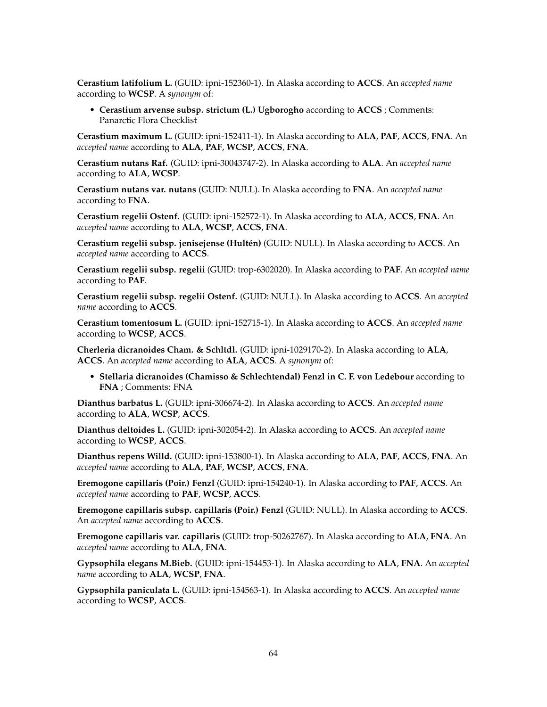**Cerastium latifolium L.** (GUID: ipni-152360-1). In Alaska according to **ACCS**. An *accepted name* according to **WCSP**. A *synonym* of:

• **Cerastium arvense subsp. strictum (L.) Ugborogho** according to **ACCS** ; Comments: Panarctic Flora Checklist

**Cerastium maximum L.** (GUID: ipni-152411-1). In Alaska according to **ALA**, **PAF**, **ACCS**, **FNA**. An *accepted name* according to **ALA**, **PAF**, **WCSP**, **ACCS**, **FNA**.

**Cerastium nutans Raf.** (GUID: ipni-30043747-2). In Alaska according to **ALA**. An *accepted name* according to **ALA**, **WCSP**.

**Cerastium nutans var. nutans** (GUID: NULL). In Alaska according to **FNA**. An *accepted name* according to **FNA**.

**Cerastium regelii Ostenf.** (GUID: ipni-152572-1). In Alaska according to **ALA**, **ACCS**, **FNA**. An *accepted name* according to **ALA**, **WCSP**, **ACCS**, **FNA**.

**Cerastium regelii subsp. jenisejense (Hultén)** (GUID: NULL). In Alaska according to **ACCS**. An *accepted name* according to **ACCS**.

**Cerastium regelii subsp. regelii** (GUID: trop-6302020). In Alaska according to **PAF**. An *accepted name* according to **PAF**.

**Cerastium regelii subsp. regelii Ostenf.** (GUID: NULL). In Alaska according to **ACCS**. An *accepted name* according to **ACCS**.

**Cerastium tomentosum L.** (GUID: ipni-152715-1). In Alaska according to **ACCS**. An *accepted name* according to **WCSP**, **ACCS**.

**Cherleria dicranoides Cham. & Schltdl.** (GUID: ipni-1029170-2). In Alaska according to **ALA**, **ACCS**. An *accepted name* according to **ALA**, **ACCS**. A *synonym* of:

• **Stellaria dicranoides (Chamisso & Schlechtendal) Fenzl in C. F. von Ledebour** according to **FNA** ; Comments: FNA

**Dianthus barbatus L.** (GUID: ipni-306674-2). In Alaska according to **ACCS**. An *accepted name* according to **ALA**, **WCSP**, **ACCS**.

**Dianthus deltoides L.** (GUID: ipni-302054-2). In Alaska according to **ACCS**. An *accepted name* according to **WCSP**, **ACCS**.

**Dianthus repens Willd.** (GUID: ipni-153800-1). In Alaska according to **ALA**, **PAF**, **ACCS**, **FNA**. An *accepted name* according to **ALA**, **PAF**, **WCSP**, **ACCS**, **FNA**.

**Eremogone capillaris (Poir.) Fenzl** (GUID: ipni-154240-1). In Alaska according to **PAF**, **ACCS**. An *accepted name* according to **PAF**, **WCSP**, **ACCS**.

**Eremogone capillaris subsp. capillaris (Poir.) Fenzl** (GUID: NULL). In Alaska according to **ACCS**. An *accepted name* according to **ACCS**.

**Eremogone capillaris var. capillaris** (GUID: trop-50262767). In Alaska according to **ALA**, **FNA**. An *accepted name* according to **ALA**, **FNA**.

**Gypsophila elegans M.Bieb.** (GUID: ipni-154453-1). In Alaska according to **ALA**, **FNA**. An *accepted name* according to **ALA**, **WCSP**, **FNA**.

**Gypsophila paniculata L.** (GUID: ipni-154563-1). In Alaska according to **ACCS**. An *accepted name* according to **WCSP**, **ACCS**.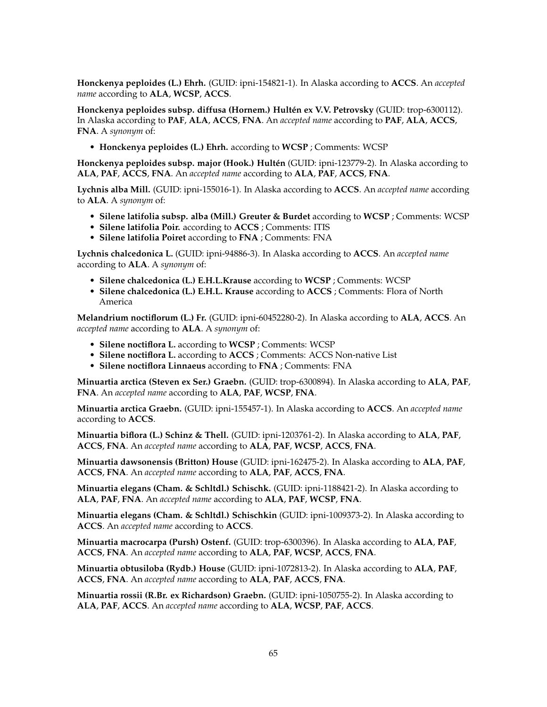**Honckenya peploides (L.) Ehrh.** (GUID: ipni-154821-1). In Alaska according to **ACCS**. An *accepted name* according to **ALA**, **WCSP**, **ACCS**.

**Honckenya peploides subsp. diffusa (Hornem.) Hultén ex V.V. Petrovsky** (GUID: trop-6300112). In Alaska according to **PAF**, **ALA**, **ACCS**, **FNA**. An *accepted name* according to **PAF**, **ALA**, **ACCS**, **FNA**. A *synonym* of:

• **Honckenya peploides (L.) Ehrh.** according to **WCSP** ; Comments: WCSP

**Honckenya peploides subsp. major (Hook.) Hultén** (GUID: ipni-123779-2). In Alaska according to **ALA**, **PAF**, **ACCS**, **FNA**. An *accepted name* according to **ALA**, **PAF**, **ACCS**, **FNA**.

**Lychnis alba Mill.** (GUID: ipni-155016-1). In Alaska according to **ACCS**. An *accepted name* according to **ALA**. A *synonym* of:

- **Silene latifolia subsp. alba (Mill.) Greuter & Burdet** according to **WCSP** ; Comments: WCSP
- **Silene latifolia Poir.** according to **ACCS** ; Comments: ITIS
- **Silene latifolia Poiret** according to **FNA** ; Comments: FNA

**Lychnis chalcedonica L.** (GUID: ipni-94886-3). In Alaska according to **ACCS**. An *accepted name* according to **ALA**. A *synonym* of:

- **Silene chalcedonica (L.) E.H.L.Krause** according to **WCSP** ; Comments: WCSP
- **Silene chalcedonica (L.) E.H.L. Krause** according to **ACCS** ; Comments: Flora of North America

**Melandrium noctiflorum (L.) Fr.** (GUID: ipni-60452280-2). In Alaska according to **ALA**, **ACCS**. An *accepted name* according to **ALA**. A *synonym* of:

- **Silene noctiflora L.** according to **WCSP** ; Comments: WCSP
- **Silene noctiflora L.** according to **ACCS** ; Comments: ACCS Non-native List
- **Silene noctiflora Linnaeus** according to **FNA** ; Comments: FNA

**Minuartia arctica (Steven ex Ser.) Graebn.** (GUID: trop-6300894). In Alaska according to **ALA**, **PAF**, **FNA**. An *accepted name* according to **ALA**, **PAF**, **WCSP**, **FNA**.

**Minuartia arctica Graebn.** (GUID: ipni-155457-1). In Alaska according to **ACCS**. An *accepted name* according to **ACCS**.

**Minuartia biflora (L.) Schinz & Thell.** (GUID: ipni-1203761-2). In Alaska according to **ALA**, **PAF**, **ACCS**, **FNA**. An *accepted name* according to **ALA**, **PAF**, **WCSP**, **ACCS**, **FNA**.

**Minuartia dawsonensis (Britton) House** (GUID: ipni-162475-2). In Alaska according to **ALA**, **PAF**, **ACCS**, **FNA**. An *accepted name* according to **ALA**, **PAF**, **ACCS**, **FNA**.

**Minuartia elegans (Cham. & Schltdl.) Schischk.** (GUID: ipni-1188421-2). In Alaska according to **ALA**, **PAF**, **FNA**. An *accepted name* according to **ALA**, **PAF**, **WCSP**, **FNA**.

**Minuartia elegans (Cham. & Schltdl.) Schischkin** (GUID: ipni-1009373-2). In Alaska according to **ACCS**. An *accepted name* according to **ACCS**.

**Minuartia macrocarpa (Pursh) Ostenf.** (GUID: trop-6300396). In Alaska according to **ALA**, **PAF**, **ACCS**, **FNA**. An *accepted name* according to **ALA**, **PAF**, **WCSP**, **ACCS**, **FNA**.

**Minuartia obtusiloba (Rydb.) House** (GUID: ipni-1072813-2). In Alaska according to **ALA**, **PAF**, **ACCS**, **FNA**. An *accepted name* according to **ALA**, **PAF**, **ACCS**, **FNA**.

**Minuartia rossii (R.Br. ex Richardson) Graebn.** (GUID: ipni-1050755-2). In Alaska according to **ALA**, **PAF**, **ACCS**. An *accepted name* according to **ALA**, **WCSP**, **PAF**, **ACCS**.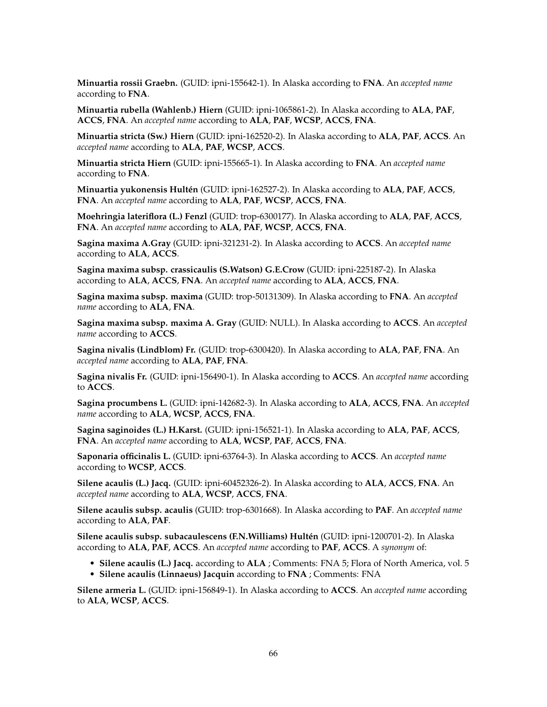**Minuartia rossii Graebn.** (GUID: ipni-155642-1). In Alaska according to **FNA**. An *accepted name* according to **FNA**.

**Minuartia rubella (Wahlenb.) Hiern** (GUID: ipni-1065861-2). In Alaska according to **ALA**, **PAF**, **ACCS**, **FNA**. An *accepted name* according to **ALA**, **PAF**, **WCSP**, **ACCS**, **FNA**.

**Minuartia stricta (Sw.) Hiern** (GUID: ipni-162520-2). In Alaska according to **ALA**, **PAF**, **ACCS**. An *accepted name* according to **ALA**, **PAF**, **WCSP**, **ACCS**.

**Minuartia stricta Hiern** (GUID: ipni-155665-1). In Alaska according to **FNA**. An *accepted name* according to **FNA**.

**Minuartia yukonensis Hultén** (GUID: ipni-162527-2). In Alaska according to **ALA**, **PAF**, **ACCS**, **FNA**. An *accepted name* according to **ALA**, **PAF**, **WCSP**, **ACCS**, **FNA**.

**Moehringia lateriflora (L.) Fenzl** (GUID: trop-6300177). In Alaska according to **ALA**, **PAF**, **ACCS**, **FNA**. An *accepted name* according to **ALA**, **PAF**, **WCSP**, **ACCS**, **FNA**.

**Sagina maxima A.Gray** (GUID: ipni-321231-2). In Alaska according to **ACCS**. An *accepted name* according to **ALA**, **ACCS**.

**Sagina maxima subsp. crassicaulis (S.Watson) G.E.Crow** (GUID: ipni-225187-2). In Alaska according to **ALA**, **ACCS**, **FNA**. An *accepted name* according to **ALA**, **ACCS**, **FNA**.

**Sagina maxima subsp. maxima** (GUID: trop-50131309). In Alaska according to **FNA**. An *accepted name* according to **ALA**, **FNA**.

**Sagina maxima subsp. maxima A. Gray** (GUID: NULL). In Alaska according to **ACCS**. An *accepted name* according to **ACCS**.

**Sagina nivalis (Lindblom) Fr.** (GUID: trop-6300420). In Alaska according to **ALA**, **PAF**, **FNA**. An *accepted name* according to **ALA**, **PAF**, **FNA**.

**Sagina nivalis Fr.** (GUID: ipni-156490-1). In Alaska according to **ACCS**. An *accepted name* according to **ACCS**.

**Sagina procumbens L.** (GUID: ipni-142682-3). In Alaska according to **ALA**, **ACCS**, **FNA**. An *accepted name* according to **ALA**, **WCSP**, **ACCS**, **FNA**.

**Sagina saginoides (L.) H.Karst.** (GUID: ipni-156521-1). In Alaska according to **ALA**, **PAF**, **ACCS**, **FNA**. An *accepted name* according to **ALA**, **WCSP**, **PAF**, **ACCS**, **FNA**.

**Saponaria officinalis L.** (GUID: ipni-63764-3). In Alaska according to **ACCS**. An *accepted name* according to **WCSP**, **ACCS**.

**Silene acaulis (L.) Jacq.** (GUID: ipni-60452326-2). In Alaska according to **ALA**, **ACCS**, **FNA**. An *accepted name* according to **ALA**, **WCSP**, **ACCS**, **FNA**.

**Silene acaulis subsp. acaulis** (GUID: trop-6301668). In Alaska according to **PAF**. An *accepted name* according to **ALA**, **PAF**.

**Silene acaulis subsp. subacaulescens (F.N.Williams) Hultén** (GUID: ipni-1200701-2). In Alaska according to **ALA**, **PAF**, **ACCS**. An *accepted name* according to **PAF**, **ACCS**. A *synonym* of:

- **Silene acaulis (L.) Jacq.** according to **ALA** ; Comments: FNA 5; Flora of North America, vol. 5
- **Silene acaulis (Linnaeus) Jacquin** according to **FNA** ; Comments: FNA

**Silene armeria L.** (GUID: ipni-156849-1). In Alaska according to **ACCS**. An *accepted name* according to **ALA**, **WCSP**, **ACCS**.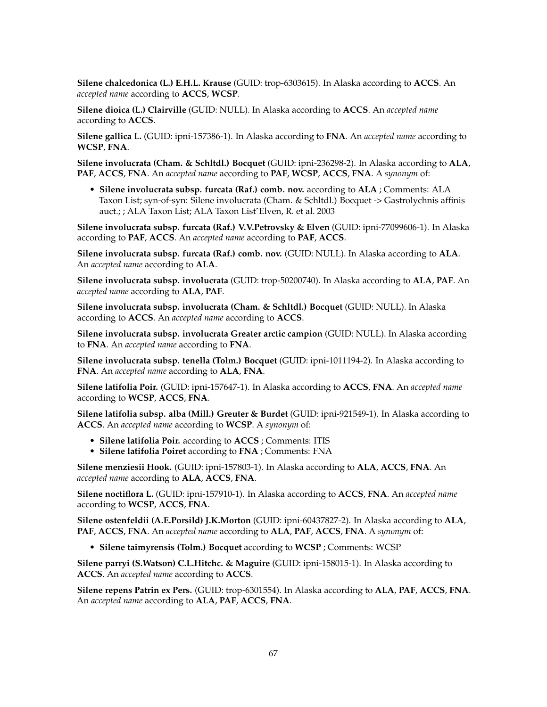**Silene chalcedonica (L.) E.H.L. Krause** (GUID: trop-6303615). In Alaska according to **ACCS**. An *accepted name* according to **ACCS**, **WCSP**.

**Silene dioica (L.) Clairville** (GUID: NULL). In Alaska according to **ACCS**. An *accepted name* according to **ACCS**.

**Silene gallica L.** (GUID: ipni-157386-1). In Alaska according to **FNA**. An *accepted name* according to **WCSP**, **FNA**.

**Silene involucrata (Cham. & Schltdl.) Bocquet** (GUID: ipni-236298-2). In Alaska according to **ALA**, **PAF**, **ACCS**, **FNA**. An *accepted name* according to **PAF**, **WCSP**, **ACCS**, **FNA**. A *synonym* of:

• **Silene involucrata subsp. furcata (Raf.) comb. nov.** according to **ALA** ; Comments: ALA Taxon List; syn-of-syn: Silene involucrata (Cham. & Schltdl.) Bocquet -> Gastrolychnis affinis auct.; ; ALA Taxon List; ALA Taxon ListˆElven, R. et al. 2003

**Silene involucrata subsp. furcata (Raf.) V.V.Petrovsky & Elven** (GUID: ipni-77099606-1). In Alaska according to **PAF**, **ACCS**. An *accepted name* according to **PAF**, **ACCS**.

**Silene involucrata subsp. furcata (Raf.) comb. nov.** (GUID: NULL). In Alaska according to **ALA**. An *accepted name* according to **ALA**.

**Silene involucrata subsp. involucrata** (GUID: trop-50200740). In Alaska according to **ALA**, **PAF**. An *accepted name* according to **ALA**, **PAF**.

**Silene involucrata subsp. involucrata (Cham. & Schltdl.) Bocquet** (GUID: NULL). In Alaska according to **ACCS**. An *accepted name* according to **ACCS**.

**Silene involucrata subsp. involucrata Greater arctic campion** (GUID: NULL). In Alaska according to **FNA**. An *accepted name* according to **FNA**.

**Silene involucrata subsp. tenella (Tolm.) Bocquet** (GUID: ipni-1011194-2). In Alaska according to **FNA**. An *accepted name* according to **ALA**, **FNA**.

**Silene latifolia Poir.** (GUID: ipni-157647-1). In Alaska according to **ACCS**, **FNA**. An *accepted name* according to **WCSP**, **ACCS**, **FNA**.

**Silene latifolia subsp. alba (Mill.) Greuter & Burdet** (GUID: ipni-921549-1). In Alaska according to **ACCS**. An *accepted name* according to **WCSP**. A *synonym* of:

- **Silene latifolia Poir.** according to **ACCS** ; Comments: ITIS
- **Silene latifolia Poiret** according to **FNA** ; Comments: FNA

**Silene menziesii Hook.** (GUID: ipni-157803-1). In Alaska according to **ALA**, **ACCS**, **FNA**. An *accepted name* according to **ALA**, **ACCS**, **FNA**.

**Silene noctiflora L.** (GUID: ipni-157910-1). In Alaska according to **ACCS**, **FNA**. An *accepted name* according to **WCSP**, **ACCS**, **FNA**.

**Silene ostenfeldii (A.E.Porsild) J.K.Morton** (GUID: ipni-60437827-2). In Alaska according to **ALA**, **PAF**, **ACCS**, **FNA**. An *accepted name* according to **ALA**, **PAF**, **ACCS**, **FNA**. A *synonym* of:

• **Silene taimyrensis (Tolm.) Bocquet** according to **WCSP** ; Comments: WCSP

**Silene parryi (S.Watson) C.L.Hitchc. & Maguire** (GUID: ipni-158015-1). In Alaska according to **ACCS**. An *accepted name* according to **ACCS**.

**Silene repens Patrin ex Pers.** (GUID: trop-6301554). In Alaska according to **ALA**, **PAF**, **ACCS**, **FNA**. An *accepted name* according to **ALA**, **PAF**, **ACCS**, **FNA**.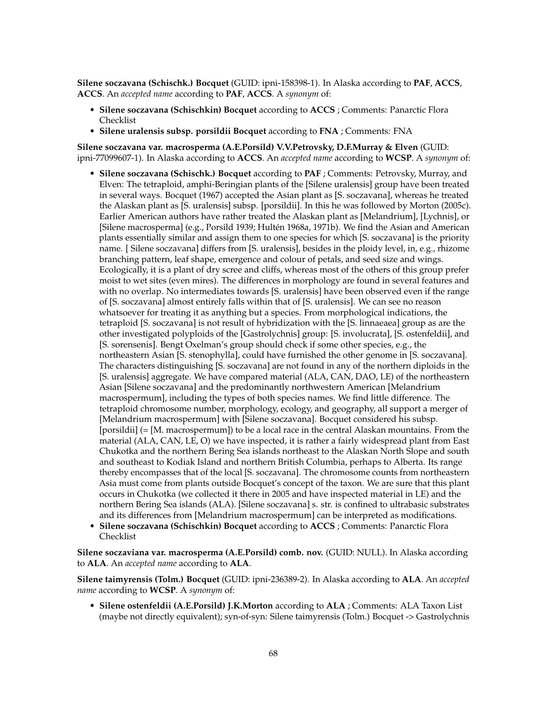**Silene soczavana (Schischk.) Bocquet** (GUID: ipni-158398-1). In Alaska according to **PAF**, **ACCS**, **ACCS**. An *accepted name* according to **PAF**, **ACCS**. A *synonym* of:

- **Silene soczavana (Schischkin) Bocquet** according to **ACCS** ; Comments: Panarctic Flora Checklist
- **Silene uralensis subsp. porsildii Bocquet** according to **FNA** ; Comments: FNA

**Silene soczavana var. macrosperma (A.E.Porsild) V.V.Petrovsky, D.F.Murray & Elven** (GUID: ipni-77099607-1). In Alaska according to **ACCS**. An *accepted name* according to **WCSP**. A *synonym* of:

- **Silene soczavana (Schischk.) Bocquet** according to **PAF** ; Comments: Petrovsky, Murray, and Elven: The tetraploid, amphi-Beringian plants of the [Silene uralensis] group have been treated in several ways. Bocquet (1967) accepted the Asian plant as [S. soczavana], whereas he treated the Alaskan plant as [S. uralensis] subsp. [porsildii]. In this he was followed by Morton (2005c). Earlier American authors have rather treated the Alaskan plant as [Melandrium], [Lychnis], or [Silene macrosperma] (e.g., Porsild 1939; Hultén 1968a, 1971b). We find the Asian and American plants essentially similar and assign them to one species for which [S. soczavana] is the priority name. [ Silene soczavana] differs from [S. uralensis], besides in the ploidy level, in, e.g., rhizome branching pattern, leaf shape, emergence and colour of petals, and seed size and wings. Ecologically, it is a plant of dry scree and cliffs, whereas most of the others of this group prefer moist to wet sites (even mires). The differences in morphology are found in several features and with no overlap. No intermediates towards [S. uralensis] have been observed even if the range of [S. soczavana] almost entirely falls within that of [S. uralensis]. We can see no reason whatsoever for treating it as anything but a species. From morphological indications, the tetraploid [S. soczavana] is not result of hybridization with the [S. linnaeaea] group as are the other investigated polyploids of the [Gastrolychnis] group: [S. involucrata], [S. ostenfeldii], and [S. sorensenis]. Bengt Oxelman's group should check if some other species, e.g., the northeastern Asian [S. stenophylla], could have furnished the other genome in [S. soczavana]. The characters distinguishing [S. soczavana] are not found in any of the northern diploids in the [S. uralensis] aggregate. We have compared material (ALA, CAN, DAO, LE) of the northeastern Asian [Silene soczavana] and the predominantly northwestern American [Melandrium macrospermum], including the types of both species names. We find little difference. The tetraploid chromosome number, morphology, ecology, and geography, all support a merger of [Melandrium macrospermum] with [Silene soczavana]. Bocquet considered his subsp. [porsildii] (= [M. macrospermum]) to be a local race in the central Alaskan mountains. From the material (ALA, CAN, LE, O) we have inspected, it is rather a fairly widespread plant from East Chukotka and the northern Bering Sea islands northeast to the Alaskan North Slope and south and southeast to Kodiak Island and northern British Columbia, perhaps to Alberta. Its range thereby encompasses that of the local [S. soczavana]. The chromosome counts from northeastern Asia must come from plants outside Bocquet's concept of the taxon. We are sure that this plant occurs in Chukotka (we collected it there in 2005 and have inspected material in LE) and the northern Bering Sea islands (ALA). [Silene soczavana] s. str. is confined to ultrabasic substrates and its differences from [Melandrium macrospermum] can be interpreted as modifications.
- **Silene soczavana (Schischkin) Bocquet** according to **ACCS** ; Comments: Panarctic Flora Checklist

**Silene soczaviana var. macrosperma (A.E.Porsild) comb. nov.** (GUID: NULL). In Alaska according to **ALA**. An *accepted name* according to **ALA**.

**Silene taimyrensis (Tolm.) Bocquet** (GUID: ipni-236389-2). In Alaska according to **ALA**. An *accepted name* according to **WCSP**. A *synonym* of:

• **Silene ostenfeldii (A.E.Porsild) J.K.Morton** according to **ALA** ; Comments: ALA Taxon List (maybe not directly equivalent); syn-of-syn: Silene taimyrensis (Tolm.) Bocquet -> Gastrolychnis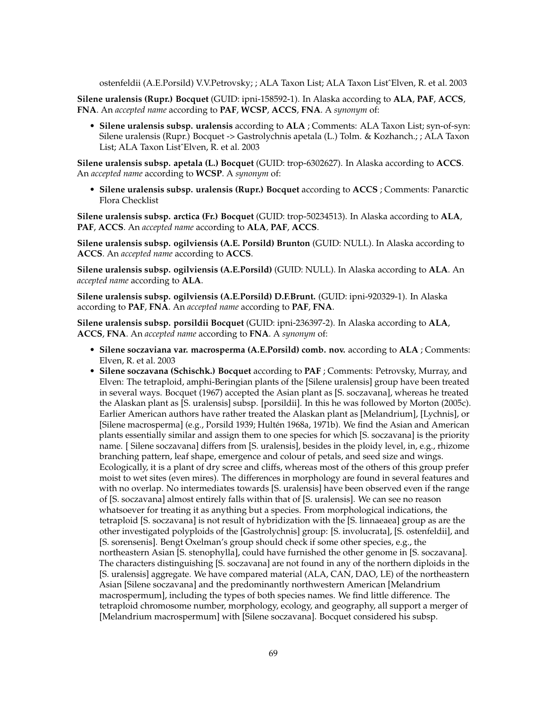ostenfeldii (A.E.Porsild) V.V.Petrovsky; ; ALA Taxon List; ALA Taxon ListˆElven, R. et al. 2003

**Silene uralensis (Rupr.) Bocquet** (GUID: ipni-158592-1). In Alaska according to **ALA**, **PAF**, **ACCS**, **FNA**. An *accepted name* according to **PAF**, **WCSP**, **ACCS**, **FNA**. A *synonym* of:

• **Silene uralensis subsp. uralensis** according to **ALA** ; Comments: ALA Taxon List; syn-of-syn: Silene uralensis (Rupr.) Bocquet -> Gastrolychnis apetala (L.) Tolm. & Kozhanch.; ; ALA Taxon List; ALA Taxon ListˆElven, R. et al. 2003

**Silene uralensis subsp. apetala (L.) Bocquet** (GUID: trop-6302627). In Alaska according to **ACCS**. An *accepted name* according to **WCSP**. A *synonym* of:

• **Silene uralensis subsp. uralensis (Rupr.) Bocquet** according to **ACCS** ; Comments: Panarctic Flora Checklist

**Silene uralensis subsp. arctica (Fr.) Bocquet** (GUID: trop-50234513). In Alaska according to **ALA**, **PAF**, **ACCS**. An *accepted name* according to **ALA**, **PAF**, **ACCS**.

**Silene uralensis subsp. ogilviensis (A.E. Porsild) Brunton** (GUID: NULL). In Alaska according to **ACCS**. An *accepted name* according to **ACCS**.

**Silene uralensis subsp. ogilviensis (A.E.Porsild)** (GUID: NULL). In Alaska according to **ALA**. An *accepted name* according to **ALA**.

**Silene uralensis subsp. ogilviensis (A.E.Porsild) D.F.Brunt.** (GUID: ipni-920329-1). In Alaska according to **PAF**, **FNA**. An *accepted name* according to **PAF**, **FNA**.

**Silene uralensis subsp. porsildii Bocquet** (GUID: ipni-236397-2). In Alaska according to **ALA**, **ACCS**, **FNA**. An *accepted name* according to **FNA**. A *synonym* of:

- **Silene soczaviana var. macrosperma (A.E.Porsild) comb. nov.** according to **ALA** ; Comments: Elven, R. et al. 2003
- **Silene soczavana (Schischk.) Bocquet** according to **PAF** ; Comments: Petrovsky, Murray, and Elven: The tetraploid, amphi-Beringian plants of the [Silene uralensis] group have been treated in several ways. Bocquet (1967) accepted the Asian plant as [S. soczavana], whereas he treated the Alaskan plant as [S. uralensis] subsp. [porsildii]. In this he was followed by Morton (2005c). Earlier American authors have rather treated the Alaskan plant as [Melandrium], [Lychnis], or [Silene macrosperma] (e.g., Porsild 1939; Hultén 1968a, 1971b). We find the Asian and American plants essentially similar and assign them to one species for which [S. soczavana] is the priority name. [ Silene soczavana] differs from [S. uralensis], besides in the ploidy level, in, e.g., rhizome branching pattern, leaf shape, emergence and colour of petals, and seed size and wings. Ecologically, it is a plant of dry scree and cliffs, whereas most of the others of this group prefer moist to wet sites (even mires). The differences in morphology are found in several features and with no overlap. No intermediates towards [S. uralensis] have been observed even if the range of [S. soczavana] almost entirely falls within that of [S. uralensis]. We can see no reason whatsoever for treating it as anything but a species. From morphological indications, the tetraploid [S. soczavana] is not result of hybridization with the [S. linnaeaea] group as are the other investigated polyploids of the [Gastrolychnis] group: [S. involucrata], [S. ostenfeldii], and [S. sorensenis]. Bengt Oxelman's group should check if some other species, e.g., the northeastern Asian [S. stenophylla], could have furnished the other genome in [S. soczavana]. The characters distinguishing [S. soczavana] are not found in any of the northern diploids in the [S. uralensis] aggregate. We have compared material (ALA, CAN, DAO, LE) of the northeastern Asian [Silene soczavana] and the predominantly northwestern American [Melandrium macrospermum], including the types of both species names. We find little difference. The tetraploid chromosome number, morphology, ecology, and geography, all support a merger of [Melandrium macrospermum] with [Silene soczavana]. Bocquet considered his subsp.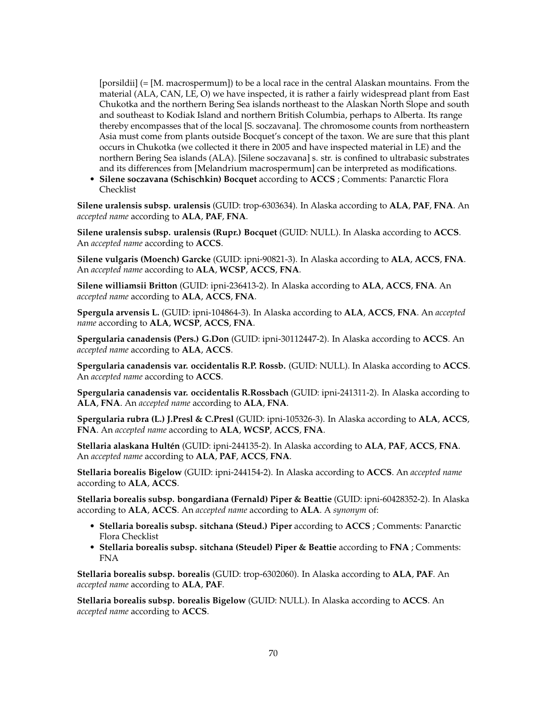[porsildii] (= [M. macrospermum]) to be a local race in the central Alaskan mountains. From the material (ALA, CAN, LE, O) we have inspected, it is rather a fairly widespread plant from East Chukotka and the northern Bering Sea islands northeast to the Alaskan North Slope and south and southeast to Kodiak Island and northern British Columbia, perhaps to Alberta. Its range thereby encompasses that of the local [S. soczavana]. The chromosome counts from northeastern Asia must come from plants outside Bocquet's concept of the taxon. We are sure that this plant occurs in Chukotka (we collected it there in 2005 and have inspected material in LE) and the northern Bering Sea islands (ALA). [Silene soczavana] s. str. is confined to ultrabasic substrates and its differences from [Melandrium macrospermum] can be interpreted as modifications.

• **Silene soczavana (Schischkin) Bocquet** according to **ACCS** ; Comments: Panarctic Flora Checklist

**Silene uralensis subsp. uralensis** (GUID: trop-6303634). In Alaska according to **ALA**, **PAF**, **FNA**. An *accepted name* according to **ALA**, **PAF**, **FNA**.

**Silene uralensis subsp. uralensis (Rupr.) Bocquet** (GUID: NULL). In Alaska according to **ACCS**. An *accepted name* according to **ACCS**.

**Silene vulgaris (Moench) Garcke** (GUID: ipni-90821-3). In Alaska according to **ALA**, **ACCS**, **FNA**. An *accepted name* according to **ALA**, **WCSP**, **ACCS**, **FNA**.

**Silene williamsii Britton** (GUID: ipni-236413-2). In Alaska according to **ALA**, **ACCS**, **FNA**. An *accepted name* according to **ALA**, **ACCS**, **FNA**.

**Spergula arvensis L.** (GUID: ipni-104864-3). In Alaska according to **ALA**, **ACCS**, **FNA**. An *accepted name* according to **ALA**, **WCSP**, **ACCS**, **FNA**.

**Spergularia canadensis (Pers.) G.Don** (GUID: ipni-30112447-2). In Alaska according to **ACCS**. An *accepted name* according to **ALA**, **ACCS**.

**Spergularia canadensis var. occidentalis R.P. Rossb.** (GUID: NULL). In Alaska according to **ACCS**. An *accepted name* according to **ACCS**.

**Spergularia canadensis var. occidentalis R.Rossbach** (GUID: ipni-241311-2). In Alaska according to **ALA**, **FNA**. An *accepted name* according to **ALA**, **FNA**.

**Spergularia rubra (L.) J.Presl & C.Presl** (GUID: ipni-105326-3). In Alaska according to **ALA**, **ACCS**, **FNA**. An *accepted name* according to **ALA**, **WCSP**, **ACCS**, **FNA**.

**Stellaria alaskana Hultén** (GUID: ipni-244135-2). In Alaska according to **ALA**, **PAF**, **ACCS**, **FNA**. An *accepted name* according to **ALA**, **PAF**, **ACCS**, **FNA**.

**Stellaria borealis Bigelow** (GUID: ipni-244154-2). In Alaska according to **ACCS**. An *accepted name* according to **ALA**, **ACCS**.

**Stellaria borealis subsp. bongardiana (Fernald) Piper & Beattie** (GUID: ipni-60428352-2). In Alaska according to **ALA**, **ACCS**. An *accepted name* according to **ALA**. A *synonym* of:

- **Stellaria borealis subsp. sitchana (Steud.) Piper** according to **ACCS** ; Comments: Panarctic Flora Checklist
- **Stellaria borealis subsp. sitchana (Steudel) Piper & Beattie** according to **FNA** ; Comments: FNA

**Stellaria borealis subsp. borealis** (GUID: trop-6302060). In Alaska according to **ALA**, **PAF**. An *accepted name* according to **ALA**, **PAF**.

**Stellaria borealis subsp. borealis Bigelow** (GUID: NULL). In Alaska according to **ACCS**. An *accepted name* according to **ACCS**.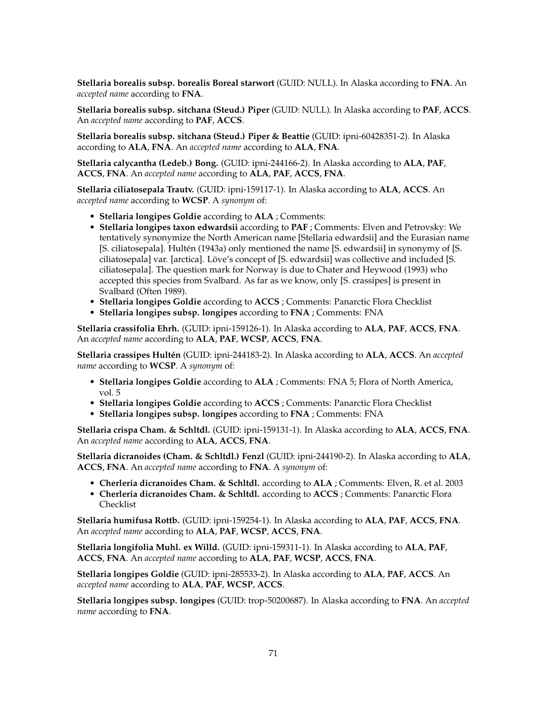**Stellaria borealis subsp. borealis Boreal starwort** (GUID: NULL). In Alaska according to **FNA**. An *accepted name* according to **FNA**.

**Stellaria borealis subsp. sitchana (Steud.) Piper** (GUID: NULL). In Alaska according to **PAF**, **ACCS**. An *accepted name* according to **PAF**, **ACCS**.

**Stellaria borealis subsp. sitchana (Steud.) Piper & Beattie** (GUID: ipni-60428351-2). In Alaska according to **ALA**, **FNA**. An *accepted name* according to **ALA**, **FNA**.

**Stellaria calycantha (Ledeb.) Bong.** (GUID: ipni-244166-2). In Alaska according to **ALA**, **PAF**, **ACCS**, **FNA**. An *accepted name* according to **ALA**, **PAF**, **ACCS**, **FNA**.

**Stellaria ciliatosepala Trautv.** (GUID: ipni-159117-1). In Alaska according to **ALA**, **ACCS**. An *accepted name* according to **WCSP**. A *synonym* of:

- **Stellaria longipes Goldie** according to **ALA** ; Comments:
- **Stellaria longipes taxon edwardsii** according to **PAF** ; Comments: Elven and Petrovsky: We tentatively synonymize the North American name [Stellaria edwardsii] and the Eurasian name [S. ciliatosepala]. Hultén (1943a) only mentioned the name [S. edwardsii] in synonymy of [S. ciliatosepala] var. [arctica]. Löve's concept of [S. edwardsii] was collective and included [S. ciliatosepala]. The question mark for Norway is due to Chater and Heywood (1993) who accepted this species from Svalbard. As far as we know, only [S. crassipes] is present in Svalbard (Often 1989).
- **Stellaria longipes Goldie** according to **ACCS** ; Comments: Panarctic Flora Checklist
- **Stellaria longipes subsp. longipes** according to **FNA** ; Comments: FNA

**Stellaria crassifolia Ehrh.** (GUID: ipni-159126-1). In Alaska according to **ALA**, **PAF**, **ACCS**, **FNA**. An *accepted name* according to **ALA**, **PAF**, **WCSP**, **ACCS**, **FNA**.

**Stellaria crassipes Hultén** (GUID: ipni-244183-2). In Alaska according to **ALA**, **ACCS**. An *accepted name* according to **WCSP**. A *synonym* of:

- **Stellaria longipes Goldie** according to **ALA** ; Comments: FNA 5; Flora of North America, vol. 5
- **Stellaria longipes Goldie** according to **ACCS** ; Comments: Panarctic Flora Checklist
- **Stellaria longipes subsp. longipes** according to **FNA** ; Comments: FNA

**Stellaria crispa Cham. & Schltdl.** (GUID: ipni-159131-1). In Alaska according to **ALA**, **ACCS**, **FNA**. An *accepted name* according to **ALA**, **ACCS**, **FNA**.

**Stellaria dicranoides (Cham. & Schltdl.) Fenzl** (GUID: ipni-244190-2). In Alaska according to **ALA**, **ACCS**, **FNA**. An *accepted name* according to **FNA**. A *synonym* of:

- **Cherleria dicranoides Cham. & Schltdl.** according to **ALA** ; Comments: Elven, R. et al. 2003
- **Cherleria dicranoides Cham. & Schltdl.** according to **ACCS** ; Comments: Panarctic Flora Checklist

**Stellaria humifusa Rottb.** (GUID: ipni-159254-1). In Alaska according to **ALA**, **PAF**, **ACCS**, **FNA**. An *accepted name* according to **ALA**, **PAF**, **WCSP**, **ACCS**, **FNA**.

**Stellaria longifolia Muhl. ex Willd.** (GUID: ipni-159311-1). In Alaska according to **ALA**, **PAF**, **ACCS**, **FNA**. An *accepted name* according to **ALA**, **PAF**, **WCSP**, **ACCS**, **FNA**.

**Stellaria longipes Goldie** (GUID: ipni-285533-2). In Alaska according to **ALA**, **PAF**, **ACCS**. An *accepted name* according to **ALA**, **PAF**, **WCSP**, **ACCS**.

**Stellaria longipes subsp. longipes** (GUID: trop-50200687). In Alaska according to **FNA**. An *accepted name* according to **FNA**.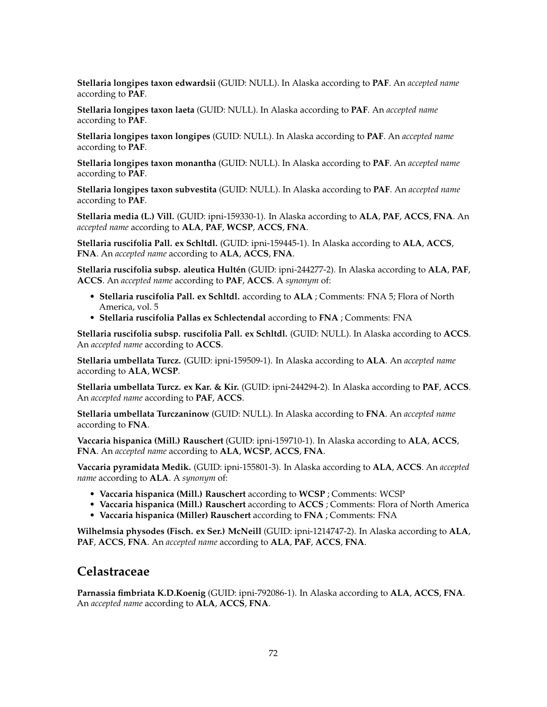**Stellaria longipes taxon edwardsii** (GUID: NULL). In Alaska according to **PAF**. An *accepted name* according to **PAF**.

**Stellaria longipes taxon laeta** (GUID: NULL). In Alaska according to **PAF**. An *accepted name* according to **PAF**.

**Stellaria longipes taxon longipes** (GUID: NULL). In Alaska according to **PAF**. An *accepted name* according to **PAF**.

**Stellaria longipes taxon monantha** (GUID: NULL). In Alaska according to **PAF**. An *accepted name* according to **PAF**.

**Stellaria longipes taxon subvestita** (GUID: NULL). In Alaska according to **PAF**. An *accepted name* according to **PAF**.

**Stellaria media (L.) Vill.** (GUID: ipni-159330-1). In Alaska according to **ALA**, **PAF**, **ACCS**, **FNA**. An *accepted name* according to **ALA**, **PAF**, **WCSP**, **ACCS**, **FNA**.

**Stellaria ruscifolia Pall. ex Schltdl.** (GUID: ipni-159445-1). In Alaska according to **ALA**, **ACCS**, **FNA**. An *accepted name* according to **ALA**, **ACCS**, **FNA**.

**Stellaria ruscifolia subsp. aleutica Hultén** (GUID: ipni-244277-2). In Alaska according to **ALA**, **PAF**, **ACCS**. An *accepted name* according to **PAF**, **ACCS**. A *synonym* of:

- **Stellaria ruscifolia Pall. ex Schltdl.** according to **ALA** ; Comments: FNA 5; Flora of North America, vol. 5
- **Stellaria ruscifolia Pallas ex Schlectendal** according to **FNA** ; Comments: FNA

**Stellaria ruscifolia subsp. ruscifolia Pall. ex Schltdl.** (GUID: NULL). In Alaska according to **ACCS**. An *accepted name* according to **ACCS**.

**Stellaria umbellata Turcz.** (GUID: ipni-159509-1). In Alaska according to **ALA**. An *accepted name* according to **ALA**, **WCSP**.

**Stellaria umbellata Turcz. ex Kar. & Kir.** (GUID: ipni-244294-2). In Alaska according to **PAF**, **ACCS**. An *accepted name* according to **PAF**, **ACCS**.

**Stellaria umbellata Turczaninow** (GUID: NULL). In Alaska according to **FNA**. An *accepted name* according to **FNA**.

**Vaccaria hispanica (Mill.) Rauschert** (GUID: ipni-159710-1). In Alaska according to **ALA**, **ACCS**, **FNA**. An *accepted name* according to **ALA**, **WCSP**, **ACCS**, **FNA**.

**Vaccaria pyramidata Medik.** (GUID: ipni-155801-3). In Alaska according to **ALA**, **ACCS**. An *accepted name* according to **ALA**. A *synonym* of:

- **Vaccaria hispanica (Mill.) Rauschert** according to **WCSP** ; Comments: WCSP
- **Vaccaria hispanica (Mill.) Rauschert** according to **ACCS** ; Comments: Flora of North America
- **Vaccaria hispanica (Miller) Rauschert** according to **FNA** ; Comments: FNA

**Wilhelmsia physodes (Fisch. ex Ser.) McNeill** (GUID: ipni-1214747-2). In Alaska according to **ALA**, **PAF**, **ACCS**, **FNA**. An *accepted name* according to **ALA**, **PAF**, **ACCS**, **FNA**.

### **Celastraceae**

**Parnassia fimbriata K.D.Koenig** (GUID: ipni-792086-1). In Alaska according to **ALA**, **ACCS**, **FNA**. An *accepted name* according to **ALA**, **ACCS**, **FNA**.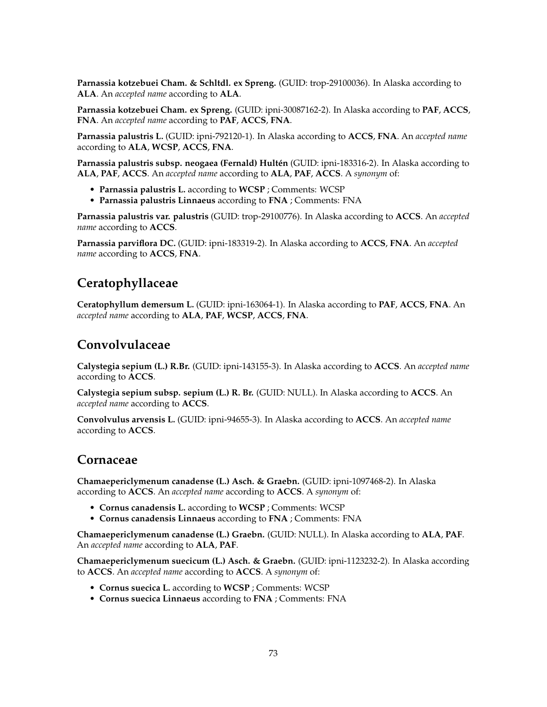**Parnassia kotzebuei Cham. & Schltdl. ex Spreng.** (GUID: trop-29100036). In Alaska according to **ALA**. An *accepted name* according to **ALA**.

**Parnassia kotzebuei Cham. ex Spreng.** (GUID: ipni-30087162-2). In Alaska according to **PAF**, **ACCS**, **FNA**. An *accepted name* according to **PAF**, **ACCS**, **FNA**.

**Parnassia palustris L.** (GUID: ipni-792120-1). In Alaska according to **ACCS**, **FNA**. An *accepted name* according to **ALA**, **WCSP**, **ACCS**, **FNA**.

**Parnassia palustris subsp. neogaea (Fernald) Hultén** (GUID: ipni-183316-2). In Alaska according to **ALA**, **PAF**, **ACCS**. An *accepted name* according to **ALA**, **PAF**, **ACCS**. A *synonym* of:

- **Parnassia palustris L.** according to **WCSP** ; Comments: WCSP
- **Parnassia palustris Linnaeus** according to **FNA** ; Comments: FNA

**Parnassia palustris var. palustris** (GUID: trop-29100776). In Alaska according to **ACCS**. An *accepted name* according to **ACCS**.

**Parnassia parviflora DC.** (GUID: ipni-183319-2). In Alaska according to **ACCS**, **FNA**. An *accepted name* according to **ACCS**, **FNA**.

## **Ceratophyllaceae**

**Ceratophyllum demersum L.** (GUID: ipni-163064-1). In Alaska according to **PAF**, **ACCS**, **FNA**. An *accepted name* according to **ALA**, **PAF**, **WCSP**, **ACCS**, **FNA**.

## **Convolvulaceae**

**Calystegia sepium (L.) R.Br.** (GUID: ipni-143155-3). In Alaska according to **ACCS**. An *accepted name* according to **ACCS**.

**Calystegia sepium subsp. sepium (L.) R. Br.** (GUID: NULL). In Alaska according to **ACCS**. An *accepted name* according to **ACCS**.

**Convolvulus arvensis L.** (GUID: ipni-94655-3). In Alaska according to **ACCS**. An *accepted name* according to **ACCS**.

### **Cornaceae**

**Chamaepericlymenum canadense (L.) Asch. & Graebn.** (GUID: ipni-1097468-2). In Alaska according to **ACCS**. An *accepted name* according to **ACCS**. A *synonym* of:

- **Cornus canadensis L.** according to **WCSP** ; Comments: WCSP
- **Cornus canadensis Linnaeus** according to **FNA** ; Comments: FNA

**Chamaepericlymenum canadense (L.) Graebn.** (GUID: NULL). In Alaska according to **ALA**, **PAF**. An *accepted name* according to **ALA**, **PAF**.

**Chamaepericlymenum suecicum (L.) Asch. & Graebn.** (GUID: ipni-1123232-2). In Alaska according to **ACCS**. An *accepted name* according to **ACCS**. A *synonym* of:

- **Cornus suecica L.** according to **WCSP** ; Comments: WCSP
- **Cornus suecica Linnaeus** according to **FNA** ; Comments: FNA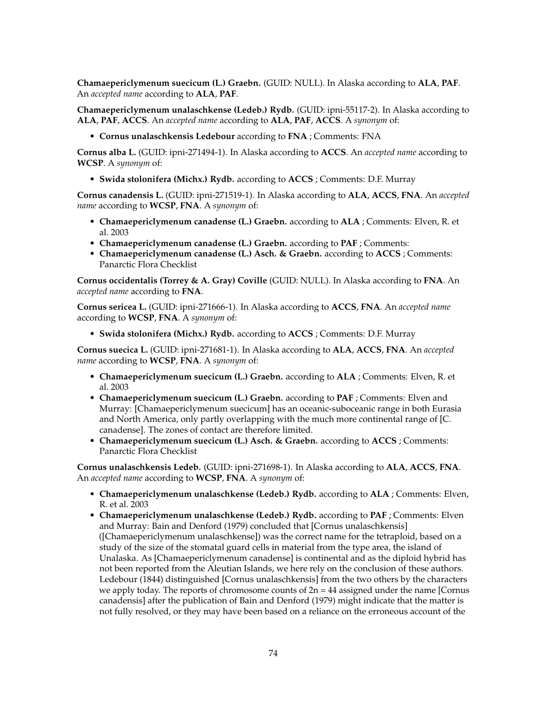**Chamaepericlymenum suecicum (L.) Graebn.** (GUID: NULL). In Alaska according to **ALA**, **PAF**. An *accepted name* according to **ALA**, **PAF**.

**Chamaepericlymenum unalaschkense (Ledeb.) Rydb.** (GUID: ipni-55117-2). In Alaska according to **ALA**, **PAF**, **ACCS**. An *accepted name* according to **ALA**, **PAF**, **ACCS**. A *synonym* of:

• **Cornus unalaschkensis Ledebour** according to **FNA** ; Comments: FNA

**Cornus alba L.** (GUID: ipni-271494-1). In Alaska according to **ACCS**. An *accepted name* according to **WCSP**. A *synonym* of:

• **Swida stolonifera (Michx.) Rydb.** according to **ACCS** ; Comments: D.F. Murray

**Cornus canadensis L.** (GUID: ipni-271519-1). In Alaska according to **ALA**, **ACCS**, **FNA**. An *accepted name* according to **WCSP**, **FNA**. A *synonym* of:

- **Chamaepericlymenum canadense (L.) Graebn.** according to **ALA** ; Comments: Elven, R. et al. 2003
- **Chamaepericlymenum canadense (L.) Graebn.** according to **PAF** ; Comments:
- **Chamaepericlymenum canadense (L.) Asch. & Graebn.** according to **ACCS** ; Comments: Panarctic Flora Checklist

**Cornus occidentalis (Torrey & A. Gray) Coville** (GUID: NULL). In Alaska according to **FNA**. An *accepted name* according to **FNA**.

**Cornus sericea L.** (GUID: ipni-271666-1). In Alaska according to **ACCS**, **FNA**. An *accepted name* according to **WCSP**, **FNA**. A *synonym* of:

• **Swida stolonifera (Michx.) Rydb.** according to **ACCS** ; Comments: D.F. Murray

**Cornus suecica L.** (GUID: ipni-271681-1). In Alaska according to **ALA**, **ACCS**, **FNA**. An *accepted name* according to **WCSP**, **FNA**. A *synonym* of:

- **Chamaepericlymenum suecicum (L.) Graebn.** according to **ALA** ; Comments: Elven, R. et al. 2003
- **Chamaepericlymenum suecicum (L.) Graebn.** according to **PAF** ; Comments: Elven and Murray: [Chamaepericlymenum suecicum] has an oceanic-suboceanic range in both Eurasia and North America, only partly overlapping with the much more continental range of [C. canadense]. The zones of contact are therefore limited.
- **Chamaepericlymenum suecicum (L.) Asch. & Graebn.** according to **ACCS** ; Comments: Panarctic Flora Checklist

**Cornus unalaschkensis Ledeb.** (GUID: ipni-271698-1). In Alaska according to **ALA**, **ACCS**, **FNA**. An *accepted name* according to **WCSP**, **FNA**. A *synonym* of:

- **Chamaepericlymenum unalaschkense (Ledeb.) Rydb.** according to **ALA** ; Comments: Elven, R. et al. 2003
- **Chamaepericlymenum unalaschkense (Ledeb.) Rydb.** according to **PAF** ; Comments: Elven and Murray: Bain and Denford (1979) concluded that [Cornus unalaschkensis] ([Chamaepericlymenum unalaschkense]) was the correct name for the tetraploid, based on a study of the size of the stomatal guard cells in material from the type area, the island of Unalaska. As [Chamaepericlymenum canadense] is continental and as the diploid hybrid has not been reported from the Aleutian Islands, we here rely on the conclusion of these authors. Ledebour (1844) distinguished [Cornus unalaschkensis] from the two others by the characters we apply today. The reports of chromosome counts of  $2n = 44$  assigned under the name [Cornus canadensis] after the publication of Bain and Denford (1979) might indicate that the matter is not fully resolved, or they may have been based on a reliance on the erroneous account of the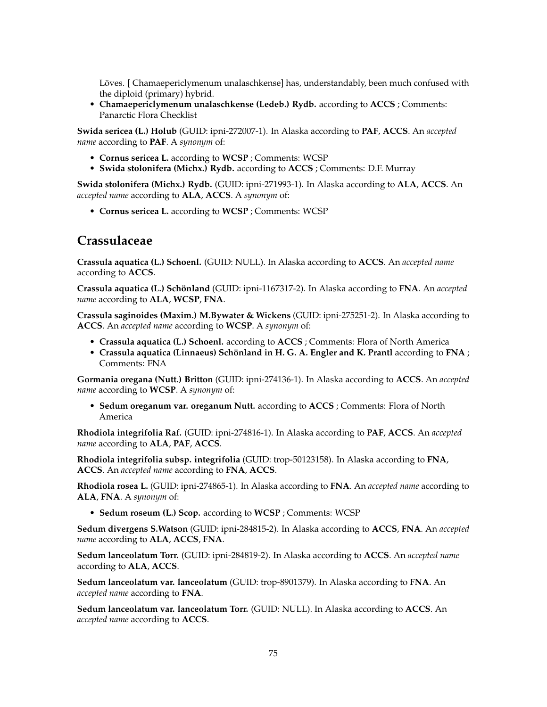Löves. [ Chamaepericlymenum unalaschkense] has, understandably, been much confused with the diploid (primary) hybrid.

• **Chamaepericlymenum unalaschkense (Ledeb.) Rydb.** according to **ACCS** ; Comments: Panarctic Flora Checklist

**Swida sericea (L.) Holub** (GUID: ipni-272007-1). In Alaska according to **PAF**, **ACCS**. An *accepted name* according to **PAF**. A *synonym* of:

- **Cornus sericea L.** according to **WCSP** ; Comments: WCSP
- **Swida stolonifera (Michx.) Rydb.** according to **ACCS** ; Comments: D.F. Murray

**Swida stolonifera (Michx.) Rydb.** (GUID: ipni-271993-1). In Alaska according to **ALA**, **ACCS**. An *accepted name* according to **ALA**, **ACCS**. A *synonym* of:

• **Cornus sericea L.** according to **WCSP** ; Comments: WCSP

## **Crassulaceae**

**Crassula aquatica (L.) Schoenl.** (GUID: NULL). In Alaska according to **ACCS**. An *accepted name* according to **ACCS**.

**Crassula aquatica (L.) Schönland** (GUID: ipni-1167317-2). In Alaska according to **FNA**. An *accepted name* according to **ALA**, **WCSP**, **FNA**.

**Crassula saginoides (Maxim.) M.Bywater & Wickens** (GUID: ipni-275251-2). In Alaska according to **ACCS**. An *accepted name* according to **WCSP**. A *synonym* of:

- **Crassula aquatica (L.) Schoenl.** according to **ACCS** ; Comments: Flora of North America
- **Crassula aquatica (Linnaeus) Schönland in H. G. A. Engler and K. Prantl** according to **FNA** ; Comments: FNA

**Gormania oregana (Nutt.) Britton** (GUID: ipni-274136-1). In Alaska according to **ACCS**. An *accepted name* according to **WCSP**. A *synonym* of:

• **Sedum oreganum var. oreganum Nutt.** according to **ACCS** ; Comments: Flora of North America

**Rhodiola integrifolia Raf.** (GUID: ipni-274816-1). In Alaska according to **PAF**, **ACCS**. An *accepted name* according to **ALA**, **PAF**, **ACCS**.

**Rhodiola integrifolia subsp. integrifolia** (GUID: trop-50123158). In Alaska according to **FNA**, **ACCS**. An *accepted name* according to **FNA**, **ACCS**.

**Rhodiola rosea L.** (GUID: ipni-274865-1). In Alaska according to **FNA**. An *accepted name* according to **ALA**, **FNA**. A *synonym* of:

• **Sedum roseum (L.) Scop.** according to **WCSP** ; Comments: WCSP

**Sedum divergens S.Watson** (GUID: ipni-284815-2). In Alaska according to **ACCS**, **FNA**. An *accepted name* according to **ALA**, **ACCS**, **FNA**.

**Sedum lanceolatum Torr.** (GUID: ipni-284819-2). In Alaska according to **ACCS**. An *accepted name* according to **ALA**, **ACCS**.

**Sedum lanceolatum var. lanceolatum** (GUID: trop-8901379). In Alaska according to **FNA**. An *accepted name* according to **FNA**.

**Sedum lanceolatum var. lanceolatum Torr.** (GUID: NULL). In Alaska according to **ACCS**. An *accepted name* according to **ACCS**.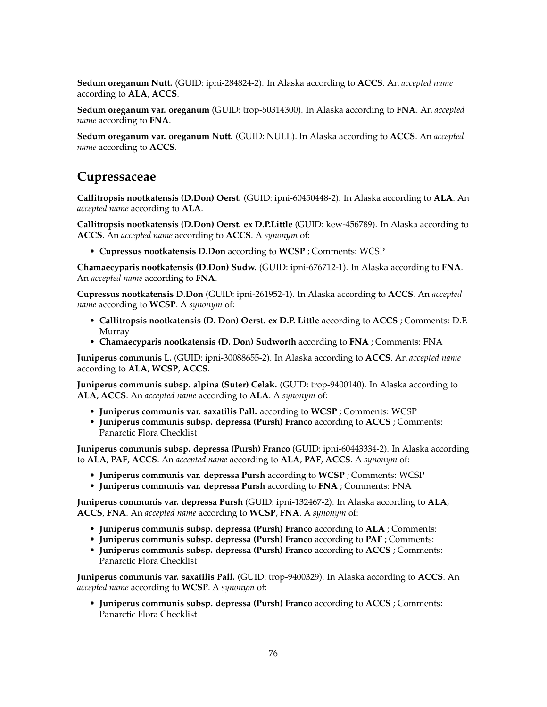**Sedum oreganum Nutt.** (GUID: ipni-284824-2). In Alaska according to **ACCS**. An *accepted name* according to **ALA**, **ACCS**.

**Sedum oreganum var. oreganum** (GUID: trop-50314300). In Alaska according to **FNA**. An *accepted name* according to **FNA**.

**Sedum oreganum var. oreganum Nutt.** (GUID: NULL). In Alaska according to **ACCS**. An *accepted name* according to **ACCS**.

## **Cupressaceae**

**Callitropsis nootkatensis (D.Don) Oerst.** (GUID: ipni-60450448-2). In Alaska according to **ALA**. An *accepted name* according to **ALA**.

**Callitropsis nootkatensis (D.Don) Oerst. ex D.P.Little** (GUID: kew-456789). In Alaska according to **ACCS**. An *accepted name* according to **ACCS**. A *synonym* of:

• **Cupressus nootkatensis D.Don** according to **WCSP** ; Comments: WCSP

**Chamaecyparis nootkatensis (D.Don) Sudw.** (GUID: ipni-676712-1). In Alaska according to **FNA**. An *accepted name* according to **FNA**.

**Cupressus nootkatensis D.Don** (GUID: ipni-261952-1). In Alaska according to **ACCS**. An *accepted name* according to **WCSP**. A *synonym* of:

- **Callitropsis nootkatensis (D. Don) Oerst. ex D.P. Little** according to **ACCS** ; Comments: D.F. Murray
- **Chamaecyparis nootkatensis (D. Don) Sudworth** according to **FNA** ; Comments: FNA

**Juniperus communis L.** (GUID: ipni-30088655-2). In Alaska according to **ACCS**. An *accepted name* according to **ALA**, **WCSP**, **ACCS**.

**Juniperus communis subsp. alpina (Suter) Celak.** (GUID: trop-9400140). In Alaska according to **ALA**, **ACCS**. An *accepted name* according to **ALA**. A *synonym* of:

- **Juniperus communis var. saxatilis Pall.** according to **WCSP** ; Comments: WCSP
- **Juniperus communis subsp. depressa (Pursh) Franco** according to **ACCS** ; Comments: Panarctic Flora Checklist

**Juniperus communis subsp. depressa (Pursh) Franco** (GUID: ipni-60443334-2). In Alaska according to **ALA**, **PAF**, **ACCS**. An *accepted name* according to **ALA**, **PAF**, **ACCS**. A *synonym* of:

- **Juniperus communis var. depressa Pursh** according to **WCSP** ; Comments: WCSP
- **Juniperus communis var. depressa Pursh** according to **FNA** ; Comments: FNA

**Juniperus communis var. depressa Pursh** (GUID: ipni-132467-2). In Alaska according to **ALA**, **ACCS**, **FNA**. An *accepted name* according to **WCSP**, **FNA**. A *synonym* of:

- **Juniperus communis subsp. depressa (Pursh) Franco** according to **ALA** ; Comments:
- **Juniperus communis subsp. depressa (Pursh) Franco** according to **PAF** ; Comments:
- **Juniperus communis subsp. depressa (Pursh) Franco** according to **ACCS** ; Comments: Panarctic Flora Checklist

**Juniperus communis var. saxatilis Pall.** (GUID: trop-9400329). In Alaska according to **ACCS**. An *accepted name* according to **WCSP**. A *synonym* of:

• **Juniperus communis subsp. depressa (Pursh) Franco** according to **ACCS** ; Comments: Panarctic Flora Checklist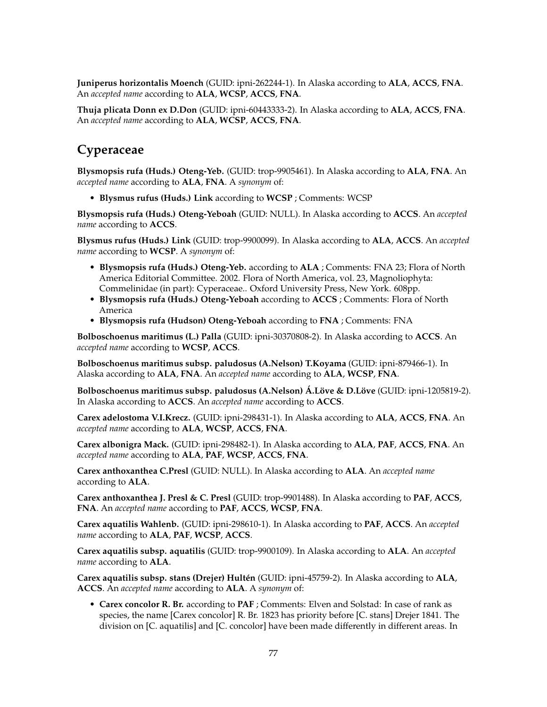**Juniperus horizontalis Moench** (GUID: ipni-262244-1). In Alaska according to **ALA**, **ACCS**, **FNA**. An *accepted name* according to **ALA**, **WCSP**, **ACCS**, **FNA**.

**Thuja plicata Donn ex D.Don** (GUID: ipni-60443333-2). In Alaska according to **ALA**, **ACCS**, **FNA**. An *accepted name* according to **ALA**, **WCSP**, **ACCS**, **FNA**.

# **Cyperaceae**

**Blysmopsis rufa (Huds.) Oteng-Yeb.** (GUID: trop-9905461). In Alaska according to **ALA**, **FNA**. An *accepted name* according to **ALA**, **FNA**. A *synonym* of:

• **Blysmus rufus (Huds.) Link** according to **WCSP** ; Comments: WCSP

**Blysmopsis rufa (Huds.) Oteng-Yeboah** (GUID: NULL). In Alaska according to **ACCS**. An *accepted name* according to **ACCS**.

**Blysmus rufus (Huds.) Link** (GUID: trop-9900099). In Alaska according to **ALA**, **ACCS**. An *accepted name* according to **WCSP**. A *synonym* of:

- **Blysmopsis rufa (Huds.) Oteng-Yeb.** according to **ALA** ; Comments: FNA 23; Flora of North America Editorial Committee. 2002. Flora of North America, vol. 23, Magnoliophyta: Commelinidae (in part): Cyperaceae.. Oxford University Press, New York. 608pp.
- **Blysmopsis rufa (Huds.) Oteng-Yeboah** according to **ACCS** ; Comments: Flora of North America
- **Blysmopsis rufa (Hudson) Oteng-Yeboah** according to **FNA** ; Comments: FNA

**Bolboschoenus maritimus (L.) Palla** (GUID: ipni-30370808-2). In Alaska according to **ACCS**. An *accepted name* according to **WCSP**, **ACCS**.

**Bolboschoenus maritimus subsp. paludosus (A.Nelson) T.Koyama** (GUID: ipni-879466-1). In Alaska according to **ALA**, **FNA**. An *accepted name* according to **ALA**, **WCSP**, **FNA**.

**Bolboschoenus maritimus subsp. paludosus (A.Nelson) Á.Löve & D.Löve** (GUID: ipni-1205819-2). In Alaska according to **ACCS**. An *accepted name* according to **ACCS**.

**Carex adelostoma V.I.Krecz.** (GUID: ipni-298431-1). In Alaska according to **ALA**, **ACCS**, **FNA**. An *accepted name* according to **ALA**, **WCSP**, **ACCS**, **FNA**.

**Carex albonigra Mack.** (GUID: ipni-298482-1). In Alaska according to **ALA**, **PAF**, **ACCS**, **FNA**. An *accepted name* according to **ALA**, **PAF**, **WCSP**, **ACCS**, **FNA**.

**Carex anthoxanthea C.Presl** (GUID: NULL). In Alaska according to **ALA**. An *accepted name* according to **ALA**.

**Carex anthoxanthea J. Presl & C. Presl** (GUID: trop-9901488). In Alaska according to **PAF**, **ACCS**, **FNA**. An *accepted name* according to **PAF**, **ACCS**, **WCSP**, **FNA**.

**Carex aquatilis Wahlenb.** (GUID: ipni-298610-1). In Alaska according to **PAF**, **ACCS**. An *accepted name* according to **ALA**, **PAF**, **WCSP**, **ACCS**.

**Carex aquatilis subsp. aquatilis** (GUID: trop-9900109). In Alaska according to **ALA**. An *accepted name* according to **ALA**.

**Carex aquatilis subsp. stans (Drejer) Hultén** (GUID: ipni-45759-2). In Alaska according to **ALA**, **ACCS**. An *accepted name* according to **ALA**. A *synonym* of:

• **Carex concolor R. Br.** according to **PAF** ; Comments: Elven and Solstad: In case of rank as species, the name [Carex concolor] R. Br. 1823 has priority before [C. stans] Drejer 1841. The division on [C. aquatilis] and [C. concolor] have been made differently in different areas. In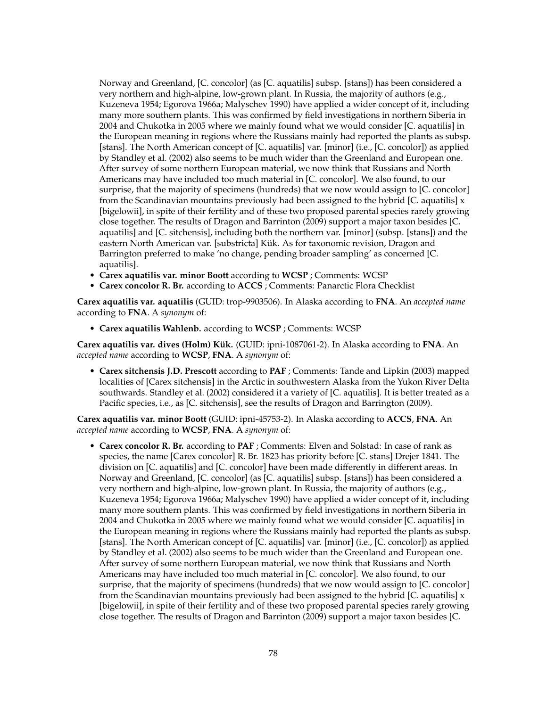Norway and Greenland, [C. concolor] (as [C. aquatilis] subsp. [stans]) has been considered a very northern and high-alpine, low-grown plant. In Russia, the majority of authors (e.g., Kuzeneva 1954; Egorova 1966a; Malyschev 1990) have applied a wider concept of it, including many more southern plants. This was confirmed by field investigations in northern Siberia in 2004 and Chukotka in 2005 where we mainly found what we would consider [C. aquatilis] in the European meaning in regions where the Russians mainly had reported the plants as subsp. [stans]. The North American concept of [C. aquatilis] var. [minor] (i.e., [C. concolor]) as applied by Standley et al. (2002) also seems to be much wider than the Greenland and European one. After survey of some northern European material, we now think that Russians and North Americans may have included too much material in [C. concolor]. We also found, to our surprise, that the majority of specimens (hundreds) that we now would assign to [C. concolor] from the Scandinavian mountains previously had been assigned to the hybrid  $[C.$  aquatilis]  $x$ [bigelowii], in spite of their fertility and of these two proposed parental species rarely growing close together. The results of Dragon and Barrinton (2009) support a major taxon besides [C. aquatilis] and [C. sitchensis], including both the northern var. [minor] (subsp. [stans]) and the eastern North American var. [substricta] Kük. As for taxonomic revision, Dragon and Barrington preferred to make 'no change, pending broader sampling' as concerned [C. aquatilis].

- **Carex aquatilis var. minor Boott** according to **WCSP** ; Comments: WCSP
- **Carex concolor R. Br.** according to **ACCS** ; Comments: Panarctic Flora Checklist

**Carex aquatilis var. aquatilis** (GUID: trop-9903506). In Alaska according to **FNA**. An *accepted name* according to **FNA**. A *synonym* of:

• **Carex aquatilis Wahlenb.** according to **WCSP** ; Comments: WCSP

**Carex aquatilis var. dives (Holm) Kük.** (GUID: ipni-1087061-2). In Alaska according to **FNA**. An *accepted name* according to **WCSP**, **FNA**. A *synonym* of:

• **Carex sitchensis J.D. Prescott** according to **PAF** ; Comments: Tande and Lipkin (2003) mapped localities of [Carex sitchensis] in the Arctic in southwestern Alaska from the Yukon River Delta southwards. Standley et al. (2002) considered it a variety of [C. aquatilis]. It is better treated as a Pacific species, i.e., as [C. sitchensis], see the results of Dragon and Barrington (2009).

**Carex aquatilis var. minor Boott** (GUID: ipni-45753-2). In Alaska according to **ACCS**, **FNA**. An *accepted name* according to **WCSP**, **FNA**. A *synonym* of:

• **Carex concolor R. Br.** according to **PAF** ; Comments: Elven and Solstad: In case of rank as species, the name [Carex concolor] R. Br. 1823 has priority before [C. stans] Drejer 1841. The division on [C. aquatilis] and [C. concolor] have been made differently in different areas. In Norway and Greenland, [C. concolor] (as [C. aquatilis] subsp. [stans]) has been considered a very northern and high-alpine, low-grown plant. In Russia, the majority of authors (e.g., Kuzeneva 1954; Egorova 1966a; Malyschev 1990) have applied a wider concept of it, including many more southern plants. This was confirmed by field investigations in northern Siberia in 2004 and Chukotka in 2005 where we mainly found what we would consider [C. aquatilis] in the European meaning in regions where the Russians mainly had reported the plants as subsp. [stans]. The North American concept of [C. aquatilis] var. [minor] (i.e., [C. concolor]) as applied by Standley et al. (2002) also seems to be much wider than the Greenland and European one. After survey of some northern European material, we now think that Russians and North Americans may have included too much material in [C. concolor]. We also found, to our surprise, that the majority of specimens (hundreds) that we now would assign to [C. concolor] from the Scandinavian mountains previously had been assigned to the hybrid [C. aquatilis]  $x$ [bigelowii], in spite of their fertility and of these two proposed parental species rarely growing close together. The results of Dragon and Barrinton (2009) support a major taxon besides [C.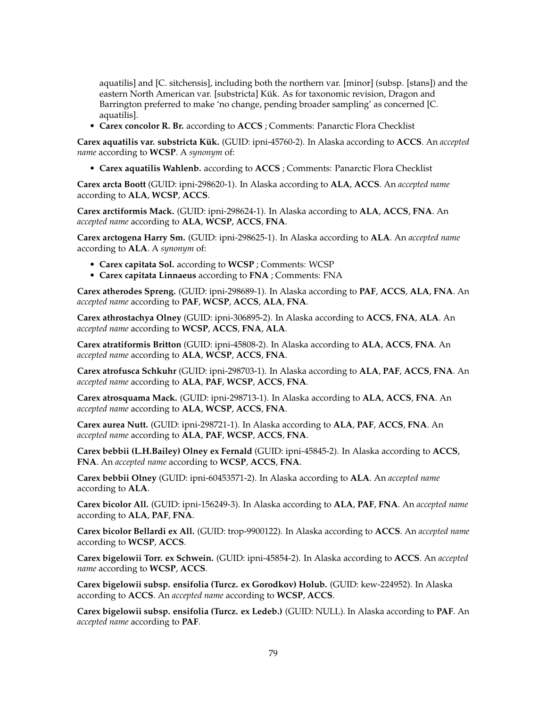aquatilis] and [C. sitchensis], including both the northern var. [minor] (subsp. [stans]) and the eastern North American var. [substricta] Kük. As for taxonomic revision, Dragon and Barrington preferred to make 'no change, pending broader sampling' as concerned [C. aquatilis].

• **Carex concolor R. Br.** according to **ACCS** ; Comments: Panarctic Flora Checklist

**Carex aquatilis var. substricta Kük.** (GUID: ipni-45760-2). In Alaska according to **ACCS**. An *accepted name* according to **WCSP**. A *synonym* of:

• **Carex aquatilis Wahlenb.** according to **ACCS** ; Comments: Panarctic Flora Checklist

**Carex arcta Boott** (GUID: ipni-298620-1). In Alaska according to **ALA**, **ACCS**. An *accepted name* according to **ALA**, **WCSP**, **ACCS**.

**Carex arctiformis Mack.** (GUID: ipni-298624-1). In Alaska according to **ALA**, **ACCS**, **FNA**. An *accepted name* according to **ALA**, **WCSP**, **ACCS**, **FNA**.

**Carex arctogena Harry Sm.** (GUID: ipni-298625-1). In Alaska according to **ALA**. An *accepted name* according to **ALA**. A *synonym* of:

- **Carex capitata Sol.** according to **WCSP** ; Comments: WCSP
- **Carex capitata Linnaeus** according to **FNA** ; Comments: FNA

**Carex atherodes Spreng.** (GUID: ipni-298689-1). In Alaska according to **PAF**, **ACCS**, **ALA**, **FNA**. An *accepted name* according to **PAF**, **WCSP**, **ACCS**, **ALA**, **FNA**.

**Carex athrostachya Olney** (GUID: ipni-306895-2). In Alaska according to **ACCS**, **FNA**, **ALA**. An *accepted name* according to **WCSP**, **ACCS**, **FNA**, **ALA**.

**Carex atratiformis Britton** (GUID: ipni-45808-2). In Alaska according to **ALA**, **ACCS**, **FNA**. An *accepted name* according to **ALA**, **WCSP**, **ACCS**, **FNA**.

**Carex atrofusca Schkuhr** (GUID: ipni-298703-1). In Alaska according to **ALA**, **PAF**, **ACCS**, **FNA**. An *accepted name* according to **ALA**, **PAF**, **WCSP**, **ACCS**, **FNA**.

**Carex atrosquama Mack.** (GUID: ipni-298713-1). In Alaska according to **ALA**, **ACCS**, **FNA**. An *accepted name* according to **ALA**, **WCSP**, **ACCS**, **FNA**.

**Carex aurea Nutt.** (GUID: ipni-298721-1). In Alaska according to **ALA**, **PAF**, **ACCS**, **FNA**. An *accepted name* according to **ALA**, **PAF**, **WCSP**, **ACCS**, **FNA**.

**Carex bebbii (L.H.Bailey) Olney ex Fernald** (GUID: ipni-45845-2). In Alaska according to **ACCS**, **FNA**. An *accepted name* according to **WCSP**, **ACCS**, **FNA**.

**Carex bebbii Olney** (GUID: ipni-60453571-2). In Alaska according to **ALA**. An *accepted name* according to **ALA**.

**Carex bicolor All.** (GUID: ipni-156249-3). In Alaska according to **ALA**, **PAF**, **FNA**. An *accepted name* according to **ALA**, **PAF**, **FNA**.

**Carex bicolor Bellardi ex All.** (GUID: trop-9900122). In Alaska according to **ACCS**. An *accepted name* according to **WCSP**, **ACCS**.

**Carex bigelowii Torr. ex Schwein.** (GUID: ipni-45854-2). In Alaska according to **ACCS**. An *accepted name* according to **WCSP**, **ACCS**.

**Carex bigelowii subsp. ensifolia (Turcz. ex Gorodkov) Holub.** (GUID: kew-224952). In Alaska according to **ACCS**. An *accepted name* according to **WCSP**, **ACCS**.

**Carex bigelowii subsp. ensifolia (Turcz. ex Ledeb.)** (GUID: NULL). In Alaska according to **PAF**. An *accepted name* according to **PAF**.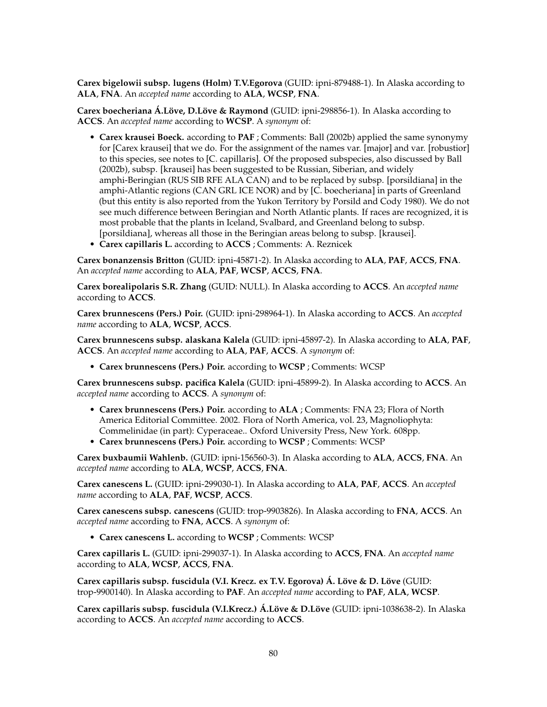**Carex bigelowii subsp. lugens (Holm) T.V.Egorova** (GUID: ipni-879488-1). In Alaska according to **ALA**, **FNA**. An *accepted name* according to **ALA**, **WCSP**, **FNA**.

**Carex boecheriana Á.Löve, D.Löve & Raymond** (GUID: ipni-298856-1). In Alaska according to **ACCS**. An *accepted name* according to **WCSP**. A *synonym* of:

- **Carex krausei Boeck.** according to **PAF** ; Comments: Ball (2002b) applied the same synonymy for [Carex krausei] that we do. For the assignment of the names var. [major] and var. [robustior] to this species, see notes to [C. capillaris]. Of the proposed subspecies, also discussed by Ball (2002b), subsp. [krausei] has been suggested to be Russian, Siberian, and widely amphi-Beringian (RUS SIB RFE ALA CAN) and to be replaced by subsp. [porsildiana] in the amphi-Atlantic regions (CAN GRL ICE NOR) and by [C. boecheriana] in parts of Greenland (but this entity is also reported from the Yukon Territory by Porsild and Cody 1980). We do not see much difference between Beringian and North Atlantic plants. If races are recognized, it is most probable that the plants in Iceland, Svalbard, and Greenland belong to subsp. [porsildiana], whereas all those in the Beringian areas belong to subsp. [krausei].
- **Carex capillaris L.** according to **ACCS** ; Comments: A. Reznicek

**Carex bonanzensis Britton** (GUID: ipni-45871-2). In Alaska according to **ALA**, **PAF**, **ACCS**, **FNA**. An *accepted name* according to **ALA**, **PAF**, **WCSP**, **ACCS**, **FNA**.

**Carex borealipolaris S.R. Zhang** (GUID: NULL). In Alaska according to **ACCS**. An *accepted name* according to **ACCS**.

**Carex brunnescens (Pers.) Poir.** (GUID: ipni-298964-1). In Alaska according to **ACCS**. An *accepted name* according to **ALA**, **WCSP**, **ACCS**.

**Carex brunnescens subsp. alaskana Kalela** (GUID: ipni-45897-2). In Alaska according to **ALA**, **PAF**, **ACCS**. An *accepted name* according to **ALA**, **PAF**, **ACCS**. A *synonym* of:

• **Carex brunnescens (Pers.) Poir.** according to **WCSP** ; Comments: WCSP

**Carex brunnescens subsp. pacifica Kalela** (GUID: ipni-45899-2). In Alaska according to **ACCS**. An *accepted name* according to **ACCS**. A *synonym* of:

- **Carex brunnescens (Pers.) Poir.** according to **ALA** ; Comments: FNA 23; Flora of North America Editorial Committee. 2002. Flora of North America, vol. 23, Magnoliophyta: Commelinidae (in part): Cyperaceae.. Oxford University Press, New York. 608pp.
- **Carex brunnescens (Pers.) Poir.** according to **WCSP** ; Comments: WCSP

**Carex buxbaumii Wahlenb.** (GUID: ipni-156560-3). In Alaska according to **ALA**, **ACCS**, **FNA**. An *accepted name* according to **ALA**, **WCSP**, **ACCS**, **FNA**.

**Carex canescens L.** (GUID: ipni-299030-1). In Alaska according to **ALA**, **PAF**, **ACCS**. An *accepted name* according to **ALA**, **PAF**, **WCSP**, **ACCS**.

**Carex canescens subsp. canescens** (GUID: trop-9903826). In Alaska according to **FNA**, **ACCS**. An *accepted name* according to **FNA**, **ACCS**. A *synonym* of:

• **Carex canescens L.** according to **WCSP** ; Comments: WCSP

**Carex capillaris L.** (GUID: ipni-299037-1). In Alaska according to **ACCS**, **FNA**. An *accepted name* according to **ALA**, **WCSP**, **ACCS**, **FNA**.

**Carex capillaris subsp. fuscidula (V.I. Krecz. ex T.V. Egorova) Á. Löve & D. Löve** (GUID: trop-9900140). In Alaska according to **PAF**. An *accepted name* according to **PAF**, **ALA**, **WCSP**.

**Carex capillaris subsp. fuscidula (V.I.Krecz.) Á.Löve & D.Löve** (GUID: ipni-1038638-2). In Alaska according to **ACCS**. An *accepted name* according to **ACCS**.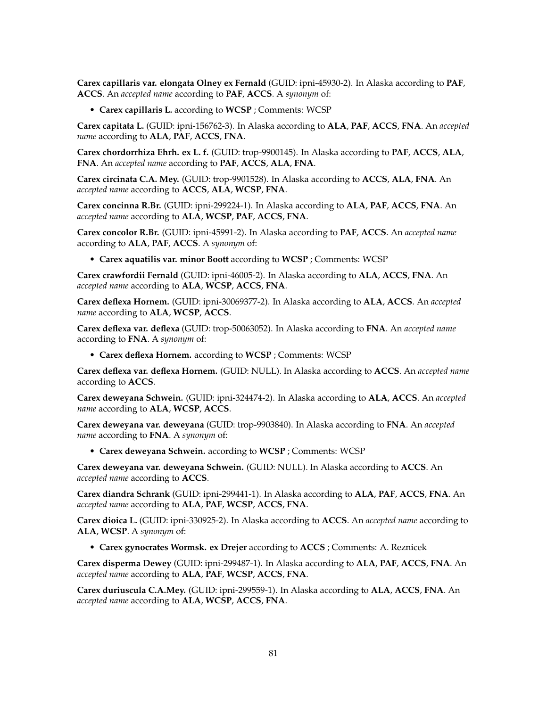**Carex capillaris var. elongata Olney ex Fernald** (GUID: ipni-45930-2). In Alaska according to **PAF**, **ACCS**. An *accepted name* according to **PAF**, **ACCS**. A *synonym* of:

• **Carex capillaris L.** according to **WCSP** ; Comments: WCSP

**Carex capitata L.** (GUID: ipni-156762-3). In Alaska according to **ALA**, **PAF**, **ACCS**, **FNA**. An *accepted name* according to **ALA**, **PAF**, **ACCS**, **FNA**.

**Carex chordorrhiza Ehrh. ex L. f.** (GUID: trop-9900145). In Alaska according to **PAF**, **ACCS**, **ALA**, **FNA**. An *accepted name* according to **PAF**, **ACCS**, **ALA**, **FNA**.

**Carex circinata C.A. Mey.** (GUID: trop-9901528). In Alaska according to **ACCS**, **ALA**, **FNA**. An *accepted name* according to **ACCS**, **ALA**, **WCSP**, **FNA**.

**Carex concinna R.Br.** (GUID: ipni-299224-1). In Alaska according to **ALA**, **PAF**, **ACCS**, **FNA**. An *accepted name* according to **ALA**, **WCSP**, **PAF**, **ACCS**, **FNA**.

**Carex concolor R.Br.** (GUID: ipni-45991-2). In Alaska according to **PAF**, **ACCS**. An *accepted name* according to **ALA**, **PAF**, **ACCS**. A *synonym* of:

• **Carex aquatilis var. minor Boott** according to **WCSP** ; Comments: WCSP

**Carex crawfordii Fernald** (GUID: ipni-46005-2). In Alaska according to **ALA**, **ACCS**, **FNA**. An *accepted name* according to **ALA**, **WCSP**, **ACCS**, **FNA**.

**Carex deflexa Hornem.** (GUID: ipni-30069377-2). In Alaska according to **ALA**, **ACCS**. An *accepted name* according to **ALA**, **WCSP**, **ACCS**.

**Carex deflexa var. deflexa** (GUID: trop-50063052). In Alaska according to **FNA**. An *accepted name* according to **FNA**. A *synonym* of:

• **Carex deflexa Hornem.** according to **WCSP** ; Comments: WCSP

**Carex deflexa var. deflexa Hornem.** (GUID: NULL). In Alaska according to **ACCS**. An *accepted name* according to **ACCS**.

**Carex deweyana Schwein.** (GUID: ipni-324474-2). In Alaska according to **ALA**, **ACCS**. An *accepted name* according to **ALA**, **WCSP**, **ACCS**.

**Carex deweyana var. deweyana** (GUID: trop-9903840). In Alaska according to **FNA**. An *accepted name* according to **FNA**. A *synonym* of:

• **Carex deweyana Schwein.** according to **WCSP** ; Comments: WCSP

**Carex deweyana var. deweyana Schwein.** (GUID: NULL). In Alaska according to **ACCS**. An *accepted name* according to **ACCS**.

**Carex diandra Schrank** (GUID: ipni-299441-1). In Alaska according to **ALA**, **PAF**, **ACCS**, **FNA**. An *accepted name* according to **ALA**, **PAF**, **WCSP**, **ACCS**, **FNA**.

**Carex dioica L.** (GUID: ipni-330925-2). In Alaska according to **ACCS**. An *accepted name* according to **ALA**, **WCSP**. A *synonym* of:

• **Carex gynocrates Wormsk. ex Drejer** according to **ACCS** ; Comments: A. Reznicek

**Carex disperma Dewey** (GUID: ipni-299487-1). In Alaska according to **ALA**, **PAF**, **ACCS**, **FNA**. An *accepted name* according to **ALA**, **PAF**, **WCSP**, **ACCS**, **FNA**.

**Carex duriuscula C.A.Mey.** (GUID: ipni-299559-1). In Alaska according to **ALA**, **ACCS**, **FNA**. An *accepted name* according to **ALA**, **WCSP**, **ACCS**, **FNA**.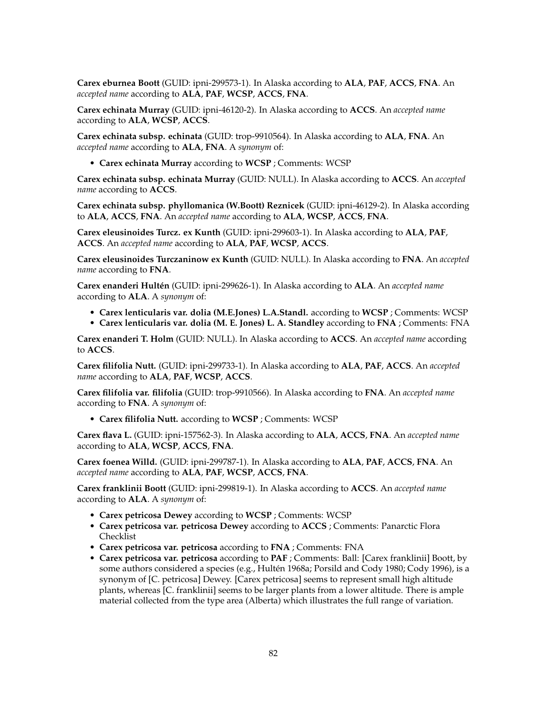**Carex eburnea Boott** (GUID: ipni-299573-1). In Alaska according to **ALA**, **PAF**, **ACCS**, **FNA**. An *accepted name* according to **ALA**, **PAF**, **WCSP**, **ACCS**, **FNA**.

**Carex echinata Murray** (GUID: ipni-46120-2). In Alaska according to **ACCS**. An *accepted name* according to **ALA**, **WCSP**, **ACCS**.

**Carex echinata subsp. echinata** (GUID: trop-9910564). In Alaska according to **ALA**, **FNA**. An *accepted name* according to **ALA**, **FNA**. A *synonym* of:

• **Carex echinata Murray** according to **WCSP** ; Comments: WCSP

**Carex echinata subsp. echinata Murray** (GUID: NULL). In Alaska according to **ACCS**. An *accepted name* according to **ACCS**.

**Carex echinata subsp. phyllomanica (W.Boott) Reznicek** (GUID: ipni-46129-2). In Alaska according to **ALA**, **ACCS**, **FNA**. An *accepted name* according to **ALA**, **WCSP**, **ACCS**, **FNA**.

**Carex eleusinoides Turcz. ex Kunth** (GUID: ipni-299603-1). In Alaska according to **ALA**, **PAF**, **ACCS**. An *accepted name* according to **ALA**, **PAF**, **WCSP**, **ACCS**.

**Carex eleusinoides Turczaninow ex Kunth** (GUID: NULL). In Alaska according to **FNA**. An *accepted name* according to **FNA**.

**Carex enanderi Hultén** (GUID: ipni-299626-1). In Alaska according to **ALA**. An *accepted name* according to **ALA**. A *synonym* of:

- **Carex lenticularis var. dolia (M.E.Jones) L.A.Standl.** according to **WCSP** ; Comments: WCSP
- **Carex lenticularis var. dolia (M. E. Jones) L. A. Standley** according to **FNA** ; Comments: FNA

**Carex enanderi T. Holm** (GUID: NULL). In Alaska according to **ACCS**. An *accepted name* according to **ACCS**.

**Carex filifolia Nutt.** (GUID: ipni-299733-1). In Alaska according to **ALA**, **PAF**, **ACCS**. An *accepted name* according to **ALA**, **PAF**, **WCSP**, **ACCS**.

**Carex filifolia var. filifolia** (GUID: trop-9910566). In Alaska according to **FNA**. An *accepted name* according to **FNA**. A *synonym* of:

• **Carex filifolia Nutt.** according to **WCSP** ; Comments: WCSP

**Carex flava L.** (GUID: ipni-157562-3). In Alaska according to **ALA**, **ACCS**, **FNA**. An *accepted name* according to **ALA**, **WCSP**, **ACCS**, **FNA**.

**Carex foenea Willd.** (GUID: ipni-299787-1). In Alaska according to **ALA**, **PAF**, **ACCS**, **FNA**. An *accepted name* according to **ALA**, **PAF**, **WCSP**, **ACCS**, **FNA**.

**Carex franklinii Boott** (GUID: ipni-299819-1). In Alaska according to **ACCS**. An *accepted name* according to **ALA**. A *synonym* of:

- **Carex petricosa Dewey** according to **WCSP** ; Comments: WCSP
- **Carex petricosa var. petricosa Dewey** according to **ACCS** ; Comments: Panarctic Flora Checklist
- **Carex petricosa var. petricosa** according to **FNA** ; Comments: FNA
- **Carex petricosa var. petricosa** according to **PAF** ; Comments: Ball: [Carex franklinii] Boott, by some authors considered a species (e.g., Hultén 1968a; Porsild and Cody 1980; Cody 1996), is a synonym of [C. petricosa] Dewey. [Carex petricosa] seems to represent small high altitude plants, whereas [C. franklinii] seems to be larger plants from a lower altitude. There is ample material collected from the type area (Alberta) which illustrates the full range of variation.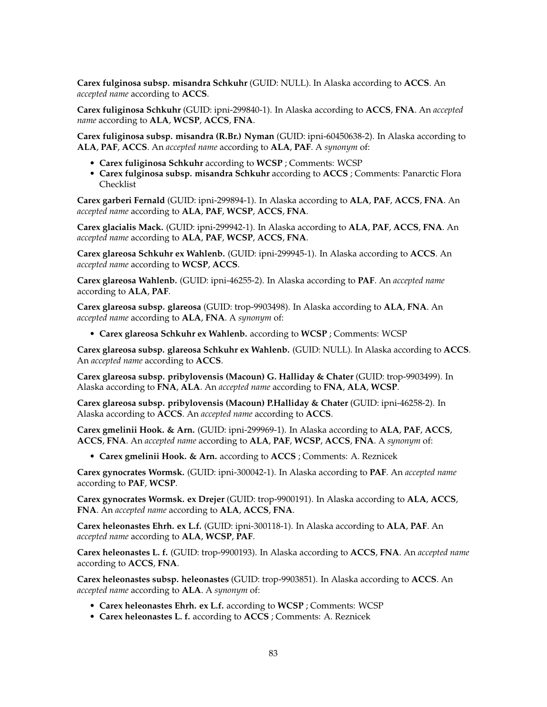**Carex fulginosa subsp. misandra Schkuhr** (GUID: NULL). In Alaska according to **ACCS**. An *accepted name* according to **ACCS**.

**Carex fuliginosa Schkuhr** (GUID: ipni-299840-1). In Alaska according to **ACCS**, **FNA**. An *accepted name* according to **ALA**, **WCSP**, **ACCS**, **FNA**.

**Carex fuliginosa subsp. misandra (R.Br.) Nyman** (GUID: ipni-60450638-2). In Alaska according to **ALA**, **PAF**, **ACCS**. An *accepted name* according to **ALA**, **PAF**. A *synonym* of:

- **Carex fuliginosa Schkuhr** according to **WCSP** ; Comments: WCSP
- **Carex fulginosa subsp. misandra Schkuhr** according to **ACCS** ; Comments: Panarctic Flora Checklist

**Carex garberi Fernald** (GUID: ipni-299894-1). In Alaska according to **ALA**, **PAF**, **ACCS**, **FNA**. An *accepted name* according to **ALA**, **PAF**, **WCSP**, **ACCS**, **FNA**.

**Carex glacialis Mack.** (GUID: ipni-299942-1). In Alaska according to **ALA**, **PAF**, **ACCS**, **FNA**. An *accepted name* according to **ALA**, **PAF**, **WCSP**, **ACCS**, **FNA**.

**Carex glareosa Schkuhr ex Wahlenb.** (GUID: ipni-299945-1). In Alaska according to **ACCS**. An *accepted name* according to **WCSP**, **ACCS**.

**Carex glareosa Wahlenb.** (GUID: ipni-46255-2). In Alaska according to **PAF**. An *accepted name* according to **ALA**, **PAF**.

**Carex glareosa subsp. glareosa** (GUID: trop-9903498). In Alaska according to **ALA**, **FNA**. An *accepted name* according to **ALA**, **FNA**. A *synonym* of:

• **Carex glareosa Schkuhr ex Wahlenb.** according to **WCSP** ; Comments: WCSP

**Carex glareosa subsp. glareosa Schkuhr ex Wahlenb.** (GUID: NULL). In Alaska according to **ACCS**. An *accepted name* according to **ACCS**.

**Carex glareosa subsp. pribylovensis (Macoun) G. Halliday & Chater** (GUID: trop-9903499). In Alaska according to **FNA**, **ALA**. An *accepted name* according to **FNA**, **ALA**, **WCSP**.

**Carex glareosa subsp. pribylovensis (Macoun) P.Halliday & Chater** (GUID: ipni-46258-2). In Alaska according to **ACCS**. An *accepted name* according to **ACCS**.

**Carex gmelinii Hook. & Arn.** (GUID: ipni-299969-1). In Alaska according to **ALA**, **PAF**, **ACCS**, **ACCS**, **FNA**. An *accepted name* according to **ALA**, **PAF**, **WCSP**, **ACCS**, **FNA**. A *synonym* of:

• **Carex gmelinii Hook. & Arn.** according to **ACCS** ; Comments: A. Reznicek

**Carex gynocrates Wormsk.** (GUID: ipni-300042-1). In Alaska according to **PAF**. An *accepted name* according to **PAF**, **WCSP**.

**Carex gynocrates Wormsk. ex Drejer** (GUID: trop-9900191). In Alaska according to **ALA**, **ACCS**, **FNA**. An *accepted name* according to **ALA**, **ACCS**, **FNA**.

**Carex heleonastes Ehrh. ex L.f.** (GUID: ipni-300118-1). In Alaska according to **ALA**, **PAF**. An *accepted name* according to **ALA**, **WCSP**, **PAF**.

**Carex heleonastes L. f.** (GUID: trop-9900193). In Alaska according to **ACCS**, **FNA**. An *accepted name* according to **ACCS**, **FNA**.

**Carex heleonastes subsp. heleonastes** (GUID: trop-9903851). In Alaska according to **ACCS**. An *accepted name* according to **ALA**. A *synonym* of:

- **Carex heleonastes Ehrh. ex L.f.** according to **WCSP** ; Comments: WCSP
- **Carex heleonastes L. f.** according to **ACCS** ; Comments: A. Reznicek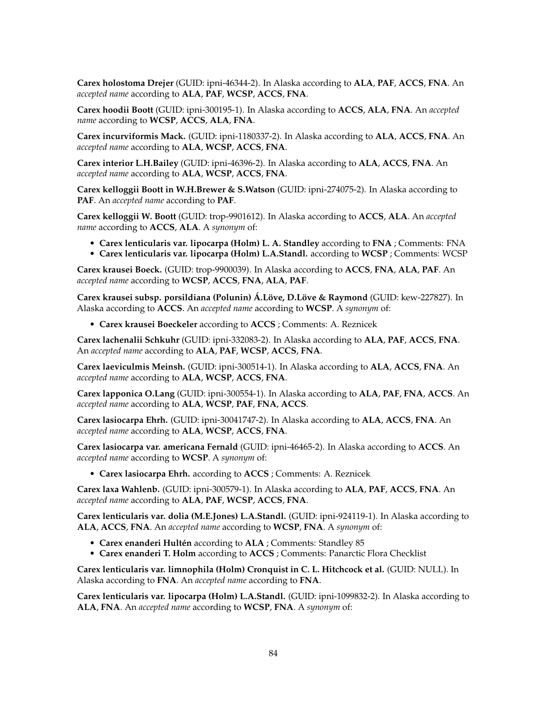**Carex holostoma Drejer** (GUID: ipni-46344-2). In Alaska according to **ALA**, **PAF**, **ACCS**, **FNA**. An *accepted name* according to **ALA**, **PAF**, **WCSP**, **ACCS**, **FNA**.

**Carex hoodii Boott** (GUID: ipni-300195-1). In Alaska according to **ACCS**, **ALA**, **FNA**. An *accepted name* according to **WCSP**, **ACCS**, **ALA**, **FNA**.

**Carex incurviformis Mack.** (GUID: ipni-1180337-2). In Alaska according to **ALA**, **ACCS**, **FNA**. An *accepted name* according to **ALA**, **WCSP**, **ACCS**, **FNA**.

**Carex interior L.H.Bailey** (GUID: ipni-46396-2). In Alaska according to **ALA**, **ACCS**, **FNA**. An *accepted name* according to **ALA**, **WCSP**, **ACCS**, **FNA**.

**Carex kelloggii Boott in W.H.Brewer & S.Watson** (GUID: ipni-274075-2). In Alaska according to **PAF**. An *accepted name* according to **PAF**.

**Carex kelloggii W. Boott** (GUID: trop-9901612). In Alaska according to **ACCS**, **ALA**. An *accepted name* according to **ACCS**, **ALA**. A *synonym* of:

- **Carex lenticularis var. lipocarpa (Holm) L. A. Standley** according to **FNA** ; Comments: FNA
- **Carex lenticularis var. lipocarpa (Holm) L.A.Standl.** according to **WCSP** ; Comments: WCSP

**Carex krausei Boeck.** (GUID: trop-9900039). In Alaska according to **ACCS**, **FNA**, **ALA**, **PAF**. An *accepted name* according to **WCSP**, **ACCS**, **FNA**, **ALA**, **PAF**.

**Carex krausei subsp. porsildiana (Polunin) Á.Löve, D.Löve & Raymond** (GUID: kew-227827). In Alaska according to **ACCS**. An *accepted name* according to **WCSP**. A *synonym* of:

• **Carex krausei Boeckeler** according to **ACCS** ; Comments: A. Reznicek

**Carex lachenalii Schkuhr** (GUID: ipni-332083-2). In Alaska according to **ALA**, **PAF**, **ACCS**, **FNA**. An *accepted name* according to **ALA**, **PAF**, **WCSP**, **ACCS**, **FNA**.

**Carex laeviculmis Meinsh.** (GUID: ipni-300514-1). In Alaska according to **ALA**, **ACCS**, **FNA**. An *accepted name* according to **ALA**, **WCSP**, **ACCS**, **FNA**.

**Carex lapponica O.Lang** (GUID: ipni-300554-1). In Alaska according to **ALA**, **PAF**, **FNA**, **ACCS**. An *accepted name* according to **ALA**, **WCSP**, **PAF**, **FNA**, **ACCS**.

**Carex lasiocarpa Ehrh.** (GUID: ipni-30041747-2). In Alaska according to **ALA**, **ACCS**, **FNA**. An *accepted name* according to **ALA**, **WCSP**, **ACCS**, **FNA**.

**Carex lasiocarpa var. americana Fernald** (GUID: ipni-46465-2). In Alaska according to **ACCS**. An *accepted name* according to **WCSP**. A *synonym* of:

• **Carex lasiocarpa Ehrh.** according to **ACCS** ; Comments: A. Reznicek

**Carex laxa Wahlenb.** (GUID: ipni-300579-1). In Alaska according to **ALA**, **PAF**, **ACCS**, **FNA**. An *accepted name* according to **ALA**, **PAF**, **WCSP**, **ACCS**, **FNA**.

**Carex lenticularis var. dolia (M.E.Jones) L.A.Standl.** (GUID: ipni-924119-1). In Alaska according to **ALA**, **ACCS**, **FNA**. An *accepted name* according to **WCSP**, **FNA**. A *synonym* of:

- **Carex enanderi Hultén** according to **ALA** ; Comments: Standley 85
- **Carex enanderi T. Holm** according to **ACCS** ; Comments: Panarctic Flora Checklist

**Carex lenticularis var. limnophila (Holm) Cronquist in C. L. Hitchcock et al.** (GUID: NULL). In Alaska according to **FNA**. An *accepted name* according to **FNA**.

**Carex lenticularis var. lipocarpa (Holm) L.A.Standl.** (GUID: ipni-1099832-2). In Alaska according to **ALA**, **FNA**. An *accepted name* according to **WCSP**, **FNA**. A *synonym* of: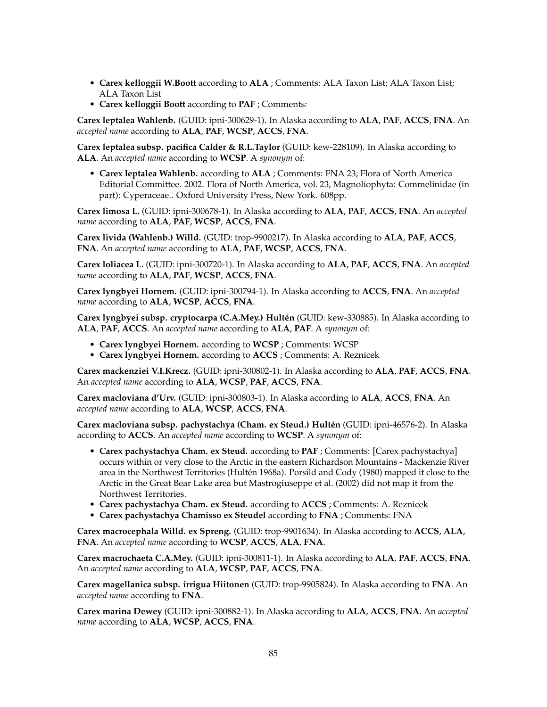- **Carex kelloggii W.Boott** according to **ALA** ; Comments: ALA Taxon List; ALA Taxon List; ALA Taxon List
- **Carex kelloggii Boott** according to **PAF** ; Comments:

**Carex leptalea Wahlenb.** (GUID: ipni-300629-1). In Alaska according to **ALA**, **PAF**, **ACCS**, **FNA**. An *accepted name* according to **ALA**, **PAF**, **WCSP**, **ACCS**, **FNA**.

**Carex leptalea subsp. pacifica Calder & R.L.Taylor** (GUID: kew-228109). In Alaska according to **ALA**. An *accepted name* according to **WCSP**. A *synonym* of:

• **Carex leptalea Wahlenb.** according to **ALA** ; Comments: FNA 23; Flora of North America Editorial Committee. 2002. Flora of North America, vol. 23, Magnoliophyta: Commelinidae (in part): Cyperaceae.. Oxford University Press, New York. 608pp.

**Carex limosa L.** (GUID: ipni-300678-1). In Alaska according to **ALA**, **PAF**, **ACCS**, **FNA**. An *accepted name* according to **ALA**, **PAF**, **WCSP**, **ACCS**, **FNA**.

**Carex livida (Wahlenb.) Willd.** (GUID: trop-9900217). In Alaska according to **ALA**, **PAF**, **ACCS**, **FNA**. An *accepted name* according to **ALA**, **PAF**, **WCSP**, **ACCS**, **FNA**.

**Carex loliacea L.** (GUID: ipni-300720-1). In Alaska according to **ALA**, **PAF**, **ACCS**, **FNA**. An *accepted name* according to **ALA**, **PAF**, **WCSP**, **ACCS**, **FNA**.

**Carex lyngbyei Hornem.** (GUID: ipni-300794-1). In Alaska according to **ACCS**, **FNA**. An *accepted name* according to **ALA**, **WCSP**, **ACCS**, **FNA**.

**Carex lyngbyei subsp. cryptocarpa (C.A.Mey.) Hultén** (GUID: kew-330885). In Alaska according to **ALA**, **PAF**, **ACCS**. An *accepted name* according to **ALA**, **PAF**. A *synonym* of:

- **Carex lyngbyei Hornem.** according to **WCSP** ; Comments: WCSP
- **Carex lyngbyei Hornem.** according to **ACCS** ; Comments: A. Reznicek

**Carex mackenziei V.I.Krecz.** (GUID: ipni-300802-1). In Alaska according to **ALA**, **PAF**, **ACCS**, **FNA**. An *accepted name* according to **ALA**, **WCSP**, **PAF**, **ACCS**, **FNA**.

**Carex macloviana d'Urv.** (GUID: ipni-300803-1). In Alaska according to **ALA**, **ACCS**, **FNA**. An *accepted name* according to **ALA**, **WCSP**, **ACCS**, **FNA**.

**Carex macloviana subsp. pachystachya (Cham. ex Steud.) Hultén** (GUID: ipni-46576-2). In Alaska according to **ACCS**. An *accepted name* according to **WCSP**. A *synonym* of:

- **Carex pachystachya Cham. ex Steud.** according to **PAF** ; Comments: [Carex pachystachya] occurs within or very close to the Arctic in the eastern Richardson Mountains - Mackenzie River area in the Northwest Territories (Hultén 1968a). Porsild and Cody (1980) mapped it close to the Arctic in the Great Bear Lake area but Mastrogiuseppe et al. (2002) did not map it from the Northwest Territories.
- **Carex pachystachya Cham. ex Steud.** according to **ACCS** ; Comments: A. Reznicek
- **Carex pachystachya Chamisso ex Steudel** according to **FNA** ; Comments: FNA

**Carex macrocephala Willd. ex Spreng.** (GUID: trop-9901634). In Alaska according to **ACCS**, **ALA**, **FNA**. An *accepted name* according to **WCSP**, **ACCS**, **ALA**, **FNA**.

**Carex macrochaeta C.A.Mey.** (GUID: ipni-300811-1). In Alaska according to **ALA**, **PAF**, **ACCS**, **FNA**. An *accepted name* according to **ALA**, **WCSP**, **PAF**, **ACCS**, **FNA**.

**Carex magellanica subsp. irrigua Hiitonen** (GUID: trop-9905824). In Alaska according to **FNA**. An *accepted name* according to **FNA**.

**Carex marina Dewey** (GUID: ipni-300882-1). In Alaska according to **ALA**, **ACCS**, **FNA**. An *accepted name* according to **ALA**, **WCSP**, **ACCS**, **FNA**.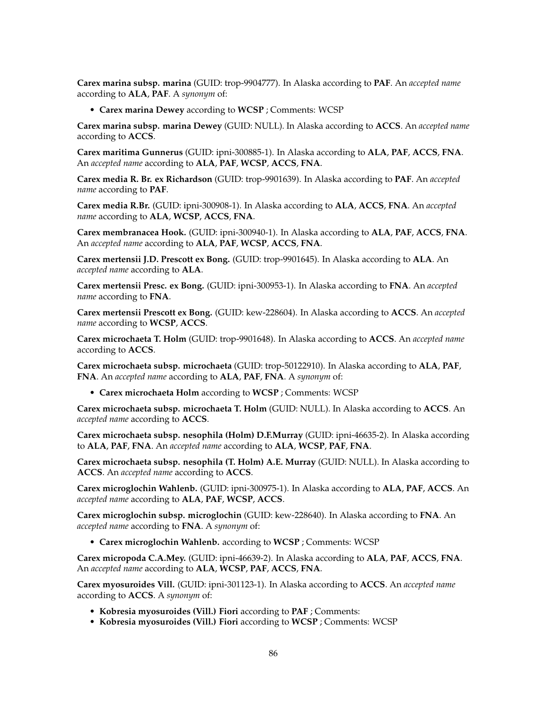**Carex marina subsp. marina** (GUID: trop-9904777). In Alaska according to **PAF**. An *accepted name* according to **ALA**, **PAF**. A *synonym* of:

• **Carex marina Dewey** according to **WCSP** ; Comments: WCSP

**Carex marina subsp. marina Dewey** (GUID: NULL). In Alaska according to **ACCS**. An *accepted name* according to **ACCS**.

**Carex maritima Gunnerus** (GUID: ipni-300885-1). In Alaska according to **ALA**, **PAF**, **ACCS**, **FNA**. An *accepted name* according to **ALA**, **PAF**, **WCSP**, **ACCS**, **FNA**.

**Carex media R. Br. ex Richardson** (GUID: trop-9901639). In Alaska according to **PAF**. An *accepted name* according to **PAF**.

**Carex media R.Br.** (GUID: ipni-300908-1). In Alaska according to **ALA**, **ACCS**, **FNA**. An *accepted name* according to **ALA**, **WCSP**, **ACCS**, **FNA**.

**Carex membranacea Hook.** (GUID: ipni-300940-1). In Alaska according to **ALA**, **PAF**, **ACCS**, **FNA**. An *accepted name* according to **ALA**, **PAF**, **WCSP**, **ACCS**, **FNA**.

**Carex mertensii J.D. Prescott ex Bong.** (GUID: trop-9901645). In Alaska according to **ALA**. An *accepted name* according to **ALA**.

**Carex mertensii Presc. ex Bong.** (GUID: ipni-300953-1). In Alaska according to **FNA**. An *accepted name* according to **FNA**.

**Carex mertensii Prescott ex Bong.** (GUID: kew-228604). In Alaska according to **ACCS**. An *accepted name* according to **WCSP**, **ACCS**.

**Carex microchaeta T. Holm** (GUID: trop-9901648). In Alaska according to **ACCS**. An *accepted name* according to **ACCS**.

**Carex microchaeta subsp. microchaeta** (GUID: trop-50122910). In Alaska according to **ALA**, **PAF**, **FNA**. An *accepted name* according to **ALA**, **PAF**, **FNA**. A *synonym* of:

• **Carex microchaeta Holm** according to **WCSP** ; Comments: WCSP

**Carex microchaeta subsp. microchaeta T. Holm** (GUID: NULL). In Alaska according to **ACCS**. An *accepted name* according to **ACCS**.

**Carex microchaeta subsp. nesophila (Holm) D.F.Murray** (GUID: ipni-46635-2). In Alaska according to **ALA**, **PAF**, **FNA**. An *accepted name* according to **ALA**, **WCSP**, **PAF**, **FNA**.

**Carex microchaeta subsp. nesophila (T. Holm) A.E. Murray** (GUID: NULL). In Alaska according to **ACCS**. An *accepted name* according to **ACCS**.

**Carex microglochin Wahlenb.** (GUID: ipni-300975-1). In Alaska according to **ALA**, **PAF**, **ACCS**. An *accepted name* according to **ALA**, **PAF**, **WCSP**, **ACCS**.

**Carex microglochin subsp. microglochin** (GUID: kew-228640). In Alaska according to **FNA**. An *accepted name* according to **FNA**. A *synonym* of:

• **Carex microglochin Wahlenb.** according to **WCSP** ; Comments: WCSP

**Carex micropoda C.A.Mey.** (GUID: ipni-46639-2). In Alaska according to **ALA**, **PAF**, **ACCS**, **FNA**. An *accepted name* according to **ALA**, **WCSP**, **PAF**, **ACCS**, **FNA**.

**Carex myosuroides Vill.** (GUID: ipni-301123-1). In Alaska according to **ACCS**. An *accepted name* according to **ACCS**. A *synonym* of:

- **Kobresia myosuroides (Vill.) Fiori** according to **PAF** ; Comments:
- **Kobresia myosuroides (Vill.) Fiori** according to **WCSP** ; Comments: WCSP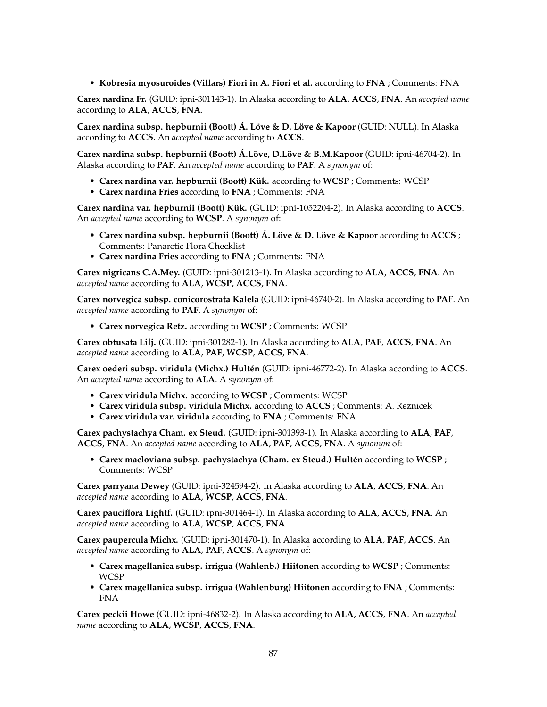• **Kobresia myosuroides (Villars) Fiori in A. Fiori et al.** according to **FNA** ; Comments: FNA

**Carex nardina Fr.** (GUID: ipni-301143-1). In Alaska according to **ALA**, **ACCS**, **FNA**. An *accepted name* according to **ALA**, **ACCS**, **FNA**.

**Carex nardina subsp. hepburnii (Boott) Á. Löve & D. Löve & Kapoor** (GUID: NULL). In Alaska according to **ACCS**. An *accepted name* according to **ACCS**.

**Carex nardina subsp. hepburnii (Boott) Á.Löve, D.Löve & B.M.Kapoor** (GUID: ipni-46704-2). In Alaska according to **PAF**. An *accepted name* according to **PAF**. A *synonym* of:

- **Carex nardina var. hepburnii (Boott) Kük.** according to **WCSP** ; Comments: WCSP
- **Carex nardina Fries** according to **FNA** ; Comments: FNA

**Carex nardina var. hepburnii (Boott) Kük.** (GUID: ipni-1052204-2). In Alaska according to **ACCS**. An *accepted name* according to **WCSP**. A *synonym* of:

- **Carex nardina subsp. hepburnii (Boott) Á. Löve & D. Löve & Kapoor** according to **ACCS** ; Comments: Panarctic Flora Checklist
- **Carex nardina Fries** according to **FNA** ; Comments: FNA

**Carex nigricans C.A.Mey.** (GUID: ipni-301213-1). In Alaska according to **ALA**, **ACCS**, **FNA**. An *accepted name* according to **ALA**, **WCSP**, **ACCS**, **FNA**.

**Carex norvegica subsp. conicorostrata Kalela** (GUID: ipni-46740-2). In Alaska according to **PAF**. An *accepted name* according to **PAF**. A *synonym* of:

• **Carex norvegica Retz.** according to **WCSP** ; Comments: WCSP

**Carex obtusata Lilj.** (GUID: ipni-301282-1). In Alaska according to **ALA**, **PAF**, **ACCS**, **FNA**. An *accepted name* according to **ALA**, **PAF**, **WCSP**, **ACCS**, **FNA**.

**Carex oederi subsp. viridula (Michx.) Hultén** (GUID: ipni-46772-2). In Alaska according to **ACCS**. An *accepted name* according to **ALA**. A *synonym* of:

- **Carex viridula Michx.** according to **WCSP** ; Comments: WCSP
- **Carex viridula subsp. viridula Michx.** according to **ACCS** ; Comments: A. Reznicek
- **Carex viridula var. viridula** according to **FNA** ; Comments: FNA

**Carex pachystachya Cham. ex Steud.** (GUID: ipni-301393-1). In Alaska according to **ALA**, **PAF**, **ACCS**, **FNA**. An *accepted name* according to **ALA**, **PAF**, **ACCS**, **FNA**. A *synonym* of:

• **Carex macloviana subsp. pachystachya (Cham. ex Steud.) Hultén** according to **WCSP** ; Comments: WCSP

**Carex parryana Dewey** (GUID: ipni-324594-2). In Alaska according to **ALA**, **ACCS**, **FNA**. An *accepted name* according to **ALA**, **WCSP**, **ACCS**, **FNA**.

**Carex pauciflora Lightf.** (GUID: ipni-301464-1). In Alaska according to **ALA**, **ACCS**, **FNA**. An *accepted name* according to **ALA**, **WCSP**, **ACCS**, **FNA**.

**Carex paupercula Michx.** (GUID: ipni-301470-1). In Alaska according to **ALA**, **PAF**, **ACCS**. An *accepted name* according to **ALA**, **PAF**, **ACCS**. A *synonym* of:

- **Carex magellanica subsp. irrigua (Wahlenb.) Hiitonen** according to **WCSP** ; Comments: WCSP
- **Carex magellanica subsp. irrigua (Wahlenburg) Hiitonen** according to **FNA** ; Comments: FNA

**Carex peckii Howe** (GUID: ipni-46832-2). In Alaska according to **ALA**, **ACCS**, **FNA**. An *accepted name* according to **ALA**, **WCSP**, **ACCS**, **FNA**.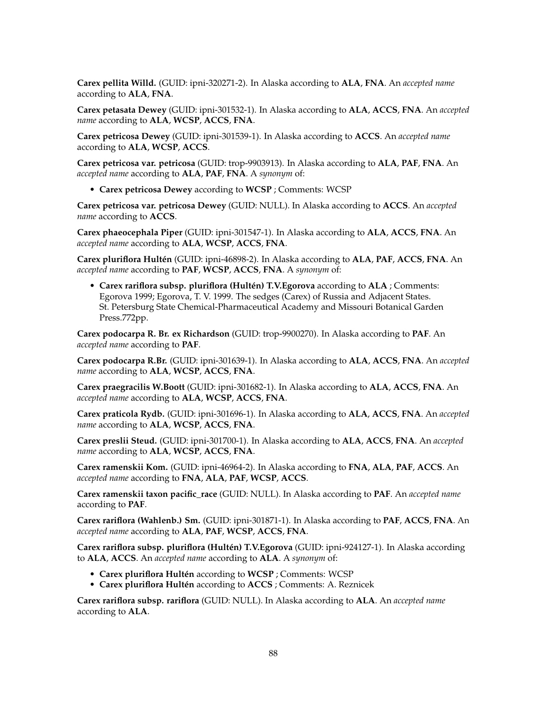**Carex pellita Willd.** (GUID: ipni-320271-2). In Alaska according to **ALA**, **FNA**. An *accepted name* according to **ALA**, **FNA**.

**Carex petasata Dewey** (GUID: ipni-301532-1). In Alaska according to **ALA**, **ACCS**, **FNA**. An *accepted name* according to **ALA**, **WCSP**, **ACCS**, **FNA**.

**Carex petricosa Dewey** (GUID: ipni-301539-1). In Alaska according to **ACCS**. An *accepted name* according to **ALA**, **WCSP**, **ACCS**.

**Carex petricosa var. petricosa** (GUID: trop-9903913). In Alaska according to **ALA**, **PAF**, **FNA**. An *accepted name* according to **ALA**, **PAF**, **FNA**. A *synonym* of:

• **Carex petricosa Dewey** according to **WCSP** ; Comments: WCSP

**Carex petricosa var. petricosa Dewey** (GUID: NULL). In Alaska according to **ACCS**. An *accepted name* according to **ACCS**.

**Carex phaeocephala Piper** (GUID: ipni-301547-1). In Alaska according to **ALA**, **ACCS**, **FNA**. An *accepted name* according to **ALA**, **WCSP**, **ACCS**, **FNA**.

**Carex pluriflora Hultén** (GUID: ipni-46898-2). In Alaska according to **ALA**, **PAF**, **ACCS**, **FNA**. An *accepted name* according to **PAF**, **WCSP**, **ACCS**, **FNA**. A *synonym* of:

• **Carex rariflora subsp. pluriflora (Hultén) T.V.Egorova** according to **ALA** ; Comments: Egorova 1999; Egorova, T. V. 1999. The sedges (Carex) of Russia and Adjacent States. St. Petersburg State Chemical-Pharmaceutical Academy and Missouri Botanical Garden Press.772pp.

**Carex podocarpa R. Br. ex Richardson** (GUID: trop-9900270). In Alaska according to **PAF**. An *accepted name* according to **PAF**.

**Carex podocarpa R.Br.** (GUID: ipni-301639-1). In Alaska according to **ALA**, **ACCS**, **FNA**. An *accepted name* according to **ALA**, **WCSP**, **ACCS**, **FNA**.

**Carex praegracilis W.Boott** (GUID: ipni-301682-1). In Alaska according to **ALA**, **ACCS**, **FNA**. An *accepted name* according to **ALA**, **WCSP**, **ACCS**, **FNA**.

**Carex praticola Rydb.** (GUID: ipni-301696-1). In Alaska according to **ALA**, **ACCS**, **FNA**. An *accepted name* according to **ALA**, **WCSP**, **ACCS**, **FNA**.

**Carex preslii Steud.** (GUID: ipni-301700-1). In Alaska according to **ALA**, **ACCS**, **FNA**. An *accepted name* according to **ALA**, **WCSP**, **ACCS**, **FNA**.

**Carex ramenskii Kom.** (GUID: ipni-46964-2). In Alaska according to **FNA**, **ALA**, **PAF**, **ACCS**. An *accepted name* according to **FNA**, **ALA**, **PAF**, **WCSP**, **ACCS**.

**Carex ramenskii taxon pacific\_race** (GUID: NULL). In Alaska according to **PAF**. An *accepted name* according to **PAF**.

**Carex rariflora (Wahlenb.) Sm.** (GUID: ipni-301871-1). In Alaska according to **PAF**, **ACCS**, **FNA**. An *accepted name* according to **ALA**, **PAF**, **WCSP**, **ACCS**, **FNA**.

**Carex rariflora subsp. pluriflora (Hultén) T.V.Egorova** (GUID: ipni-924127-1). In Alaska according to **ALA**, **ACCS**. An *accepted name* according to **ALA**. A *synonym* of:

- **Carex pluriflora Hultén** according to **WCSP** ; Comments: WCSP
- **Carex pluriflora Hultén** according to **ACCS** ; Comments: A. Reznicek

**Carex rariflora subsp. rariflora** (GUID: NULL). In Alaska according to **ALA**. An *accepted name* according to **ALA**.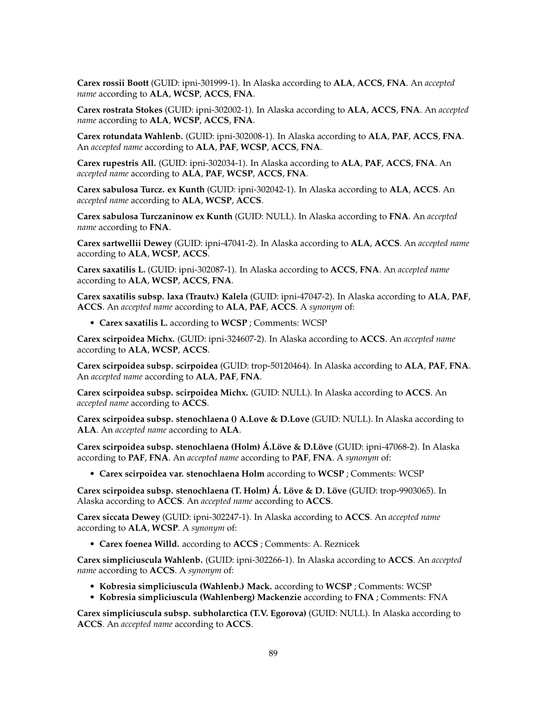**Carex rossii Boott** (GUID: ipni-301999-1). In Alaska according to **ALA**, **ACCS**, **FNA**. An *accepted name* according to **ALA**, **WCSP**, **ACCS**, **FNA**.

**Carex rostrata Stokes** (GUID: ipni-302002-1). In Alaska according to **ALA**, **ACCS**, **FNA**. An *accepted name* according to **ALA**, **WCSP**, **ACCS**, **FNA**.

**Carex rotundata Wahlenb.** (GUID: ipni-302008-1). In Alaska according to **ALA**, **PAF**, **ACCS**, **FNA**. An *accepted name* according to **ALA**, **PAF**, **WCSP**, **ACCS**, **FNA**.

**Carex rupestris All.** (GUID: ipni-302034-1). In Alaska according to **ALA**, **PAF**, **ACCS**, **FNA**. An *accepted name* according to **ALA**, **PAF**, **WCSP**, **ACCS**, **FNA**.

**Carex sabulosa Turcz. ex Kunth** (GUID: ipni-302042-1). In Alaska according to **ALA**, **ACCS**. An *accepted name* according to **ALA**, **WCSP**, **ACCS**.

**Carex sabulosa Turczaninow ex Kunth** (GUID: NULL). In Alaska according to **FNA**. An *accepted name* according to **FNA**.

**Carex sartwellii Dewey** (GUID: ipni-47041-2). In Alaska according to **ALA**, **ACCS**. An *accepted name* according to **ALA**, **WCSP**, **ACCS**.

**Carex saxatilis L.** (GUID: ipni-302087-1). In Alaska according to **ACCS**, **FNA**. An *accepted name* according to **ALA**, **WCSP**, **ACCS**, **FNA**.

**Carex saxatilis subsp. laxa (Trautv.) Kalela** (GUID: ipni-47047-2). In Alaska according to **ALA**, **PAF**, **ACCS**. An *accepted name* according to **ALA**, **PAF**, **ACCS**. A *synonym* of:

• **Carex saxatilis L.** according to **WCSP** ; Comments: WCSP

**Carex scirpoidea Michx.** (GUID: ipni-324607-2). In Alaska according to **ACCS**. An *accepted name* according to **ALA**, **WCSP**, **ACCS**.

**Carex scirpoidea subsp. scirpoidea** (GUID: trop-50120464). In Alaska according to **ALA**, **PAF**, **FNA**. An *accepted name* according to **ALA**, **PAF**, **FNA**.

**Carex scirpoidea subsp. scirpoidea Michx.** (GUID: NULL). In Alaska according to **ACCS**. An *accepted name* according to **ACCS**.

**Carex scirpoidea subsp. stenochlaena () A.Love & D.Love** (GUID: NULL). In Alaska according to **ALA**. An *accepted name* according to **ALA**.

**Carex scirpoidea subsp. stenochlaena (Holm) Á.Löve & D.Löve** (GUID: ipni-47068-2). In Alaska according to **PAF**, **FNA**. An *accepted name* according to **PAF**, **FNA**. A *synonym* of:

• **Carex scirpoidea var. stenochlaena Holm** according to **WCSP** ; Comments: WCSP

**Carex scirpoidea subsp. stenochlaena (T. Holm) Á. Löve & D. Löve** (GUID: trop-9903065). In Alaska according to **ACCS**. An *accepted name* according to **ACCS**.

**Carex siccata Dewey** (GUID: ipni-302247-1). In Alaska according to **ACCS**. An *accepted name* according to **ALA**, **WCSP**. A *synonym* of:

• **Carex foenea Willd.** according to **ACCS** ; Comments: A. Reznicek

**Carex simpliciuscula Wahlenb.** (GUID: ipni-302266-1). In Alaska according to **ACCS**. An *accepted name* according to **ACCS**. A *synonym* of:

- **Kobresia simpliciuscula (Wahlenb.) Mack.** according to **WCSP** ; Comments: WCSP
- **Kobresia simpliciuscula (Wahlenberg) Mackenzie** according to **FNA** ; Comments: FNA

**Carex simpliciuscula subsp. subholarctica (T.V. Egorova)** (GUID: NULL). In Alaska according to **ACCS**. An *accepted name* according to **ACCS**.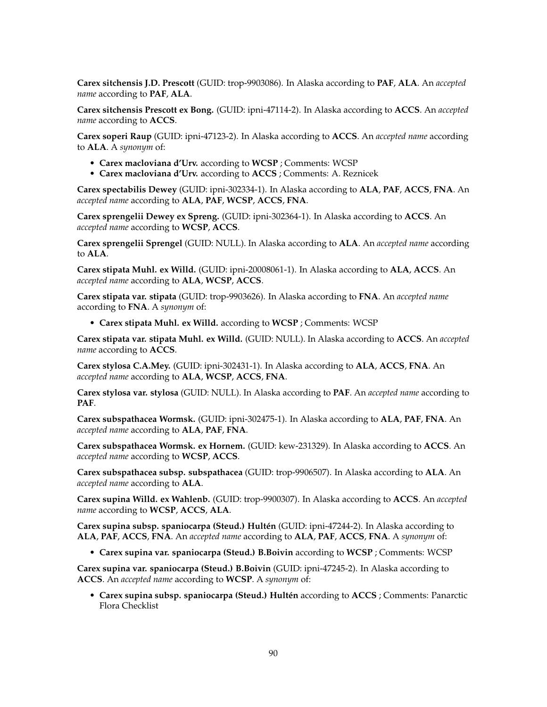**Carex sitchensis J.D. Prescott** (GUID: trop-9903086). In Alaska according to **PAF**, **ALA**. An *accepted name* according to **PAF**, **ALA**.

**Carex sitchensis Prescott ex Bong.** (GUID: ipni-47114-2). In Alaska according to **ACCS**. An *accepted name* according to **ACCS**.

**Carex soperi Raup** (GUID: ipni-47123-2). In Alaska according to **ACCS**. An *accepted name* according to **ALA**. A *synonym* of:

- **Carex macloviana d'Urv.** according to **WCSP** ; Comments: WCSP
- **Carex macloviana d'Urv.** according to **ACCS** ; Comments: A. Reznicek

**Carex spectabilis Dewey** (GUID: ipni-302334-1). In Alaska according to **ALA**, **PAF**, **ACCS**, **FNA**. An *accepted name* according to **ALA**, **PAF**, **WCSP**, **ACCS**, **FNA**.

**Carex sprengelii Dewey ex Spreng.** (GUID: ipni-302364-1). In Alaska according to **ACCS**. An *accepted name* according to **WCSP**, **ACCS**.

**Carex sprengelii Sprengel** (GUID: NULL). In Alaska according to **ALA**. An *accepted name* according to **ALA**.

**Carex stipata Muhl. ex Willd.** (GUID: ipni-20008061-1). In Alaska according to **ALA**, **ACCS**. An *accepted name* according to **ALA**, **WCSP**, **ACCS**.

**Carex stipata var. stipata** (GUID: trop-9903626). In Alaska according to **FNA**. An *accepted name* according to **FNA**. A *synonym* of:

• **Carex stipata Muhl. ex Willd.** according to **WCSP** ; Comments: WCSP

**Carex stipata var. stipata Muhl. ex Willd.** (GUID: NULL). In Alaska according to **ACCS**. An *accepted name* according to **ACCS**.

**Carex stylosa C.A.Mey.** (GUID: ipni-302431-1). In Alaska according to **ALA**, **ACCS**, **FNA**. An *accepted name* according to **ALA**, **WCSP**, **ACCS**, **FNA**.

**Carex stylosa var. stylosa** (GUID: NULL). In Alaska according to **PAF**. An *accepted name* according to **PAF**.

**Carex subspathacea Wormsk.** (GUID: ipni-302475-1). In Alaska according to **ALA**, **PAF**, **FNA**. An *accepted name* according to **ALA**, **PAF**, **FNA**.

**Carex subspathacea Wormsk. ex Hornem.** (GUID: kew-231329). In Alaska according to **ACCS**. An *accepted name* according to **WCSP**, **ACCS**.

**Carex subspathacea subsp. subspathacea** (GUID: trop-9906507). In Alaska according to **ALA**. An *accepted name* according to **ALA**.

**Carex supina Willd. ex Wahlenb.** (GUID: trop-9900307). In Alaska according to **ACCS**. An *accepted name* according to **WCSP**, **ACCS**, **ALA**.

**Carex supina subsp. spaniocarpa (Steud.) Hultén** (GUID: ipni-47244-2). In Alaska according to **ALA**, **PAF**, **ACCS**, **FNA**. An *accepted name* according to **ALA**, **PAF**, **ACCS**, **FNA**. A *synonym* of:

• **Carex supina var. spaniocarpa (Steud.) B.Boivin** according to **WCSP** ; Comments: WCSP

**Carex supina var. spaniocarpa (Steud.) B.Boivin** (GUID: ipni-47245-2). In Alaska according to **ACCS**. An *accepted name* according to **WCSP**. A *synonym* of:

• **Carex supina subsp. spaniocarpa (Steud.) Hultén** according to **ACCS** ; Comments: Panarctic Flora Checklist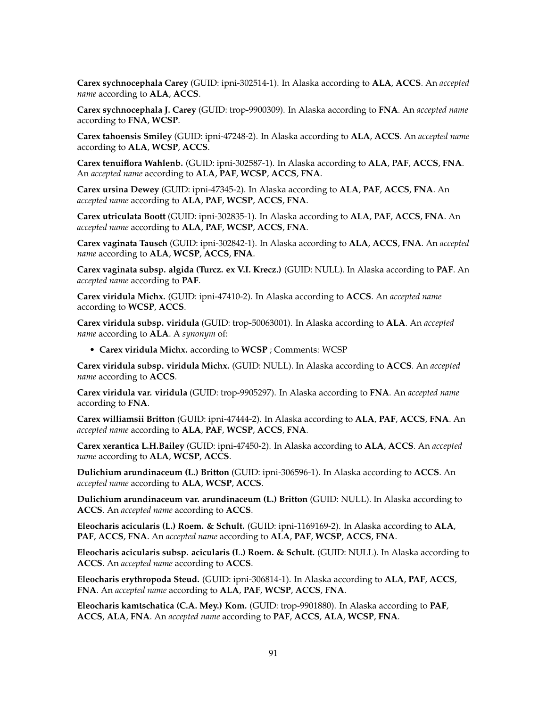**Carex sychnocephala Carey** (GUID: ipni-302514-1). In Alaska according to **ALA**, **ACCS**. An *accepted name* according to **ALA**, **ACCS**.

**Carex sychnocephala J. Carey** (GUID: trop-9900309). In Alaska according to **FNA**. An *accepted name* according to **FNA**, **WCSP**.

**Carex tahoensis Smiley** (GUID: ipni-47248-2). In Alaska according to **ALA**, **ACCS**. An *accepted name* according to **ALA**, **WCSP**, **ACCS**.

**Carex tenuiflora Wahlenb.** (GUID: ipni-302587-1). In Alaska according to **ALA**, **PAF**, **ACCS**, **FNA**. An *accepted name* according to **ALA**, **PAF**, **WCSP**, **ACCS**, **FNA**.

**Carex ursina Dewey** (GUID: ipni-47345-2). In Alaska according to **ALA**, **PAF**, **ACCS**, **FNA**. An *accepted name* according to **ALA**, **PAF**, **WCSP**, **ACCS**, **FNA**.

**Carex utriculata Boott** (GUID: ipni-302835-1). In Alaska according to **ALA**, **PAF**, **ACCS**, **FNA**. An *accepted name* according to **ALA**, **PAF**, **WCSP**, **ACCS**, **FNA**.

**Carex vaginata Tausch** (GUID: ipni-302842-1). In Alaska according to **ALA**, **ACCS**, **FNA**. An *accepted name* according to **ALA**, **WCSP**, **ACCS**, **FNA**.

**Carex vaginata subsp. algida (Turcz. ex V.I. Krecz.)** (GUID: NULL). In Alaska according to **PAF**. An *accepted name* according to **PAF**.

**Carex viridula Michx.** (GUID: ipni-47410-2). In Alaska according to **ACCS**. An *accepted name* according to **WCSP**, **ACCS**.

**Carex viridula subsp. viridula** (GUID: trop-50063001). In Alaska according to **ALA**. An *accepted name* according to **ALA**. A *synonym* of:

• **Carex viridula Michx.** according to **WCSP** ; Comments: WCSP

**Carex viridula subsp. viridula Michx.** (GUID: NULL). In Alaska according to **ACCS**. An *accepted name* according to **ACCS**.

**Carex viridula var. viridula** (GUID: trop-9905297). In Alaska according to **FNA**. An *accepted name* according to **FNA**.

**Carex williamsii Britton** (GUID: ipni-47444-2). In Alaska according to **ALA**, **PAF**, **ACCS**, **FNA**. An *accepted name* according to **ALA**, **PAF**, **WCSP**, **ACCS**, **FNA**.

**Carex xerantica L.H.Bailey** (GUID: ipni-47450-2). In Alaska according to **ALA**, **ACCS**. An *accepted name* according to **ALA**, **WCSP**, **ACCS**.

**Dulichium arundinaceum (L.) Britton** (GUID: ipni-306596-1). In Alaska according to **ACCS**. An *accepted name* according to **ALA**, **WCSP**, **ACCS**.

**Dulichium arundinaceum var. arundinaceum (L.) Britton** (GUID: NULL). In Alaska according to **ACCS**. An *accepted name* according to **ACCS**.

**Eleocharis acicularis (L.) Roem. & Schult.** (GUID: ipni-1169169-2). In Alaska according to **ALA**, **PAF**, **ACCS**, **FNA**. An *accepted name* according to **ALA**, **PAF**, **WCSP**, **ACCS**, **FNA**.

**Eleocharis acicularis subsp. acicularis (L.) Roem. & Schult.** (GUID: NULL). In Alaska according to **ACCS**. An *accepted name* according to **ACCS**.

**Eleocharis erythropoda Steud.** (GUID: ipni-306814-1). In Alaska according to **ALA**, **PAF**, **ACCS**, **FNA**. An *accepted name* according to **ALA**, **PAF**, **WCSP**, **ACCS**, **FNA**.

**Eleocharis kamtschatica (C.A. Mey.) Kom.** (GUID: trop-9901880). In Alaska according to **PAF**, **ACCS**, **ALA**, **FNA**. An *accepted name* according to **PAF**, **ACCS**, **ALA**, **WCSP**, **FNA**.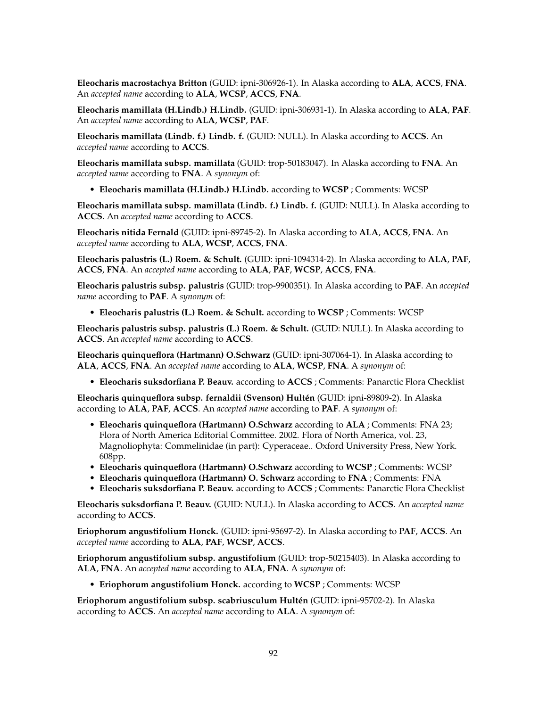**Eleocharis macrostachya Britton** (GUID: ipni-306926-1). In Alaska according to **ALA**, **ACCS**, **FNA**. An *accepted name* according to **ALA**, **WCSP**, **ACCS**, **FNA**.

**Eleocharis mamillata (H.Lindb.) H.Lindb.** (GUID: ipni-306931-1). In Alaska according to **ALA**, **PAF**. An *accepted name* according to **ALA**, **WCSP**, **PAF**.

**Eleocharis mamillata (Lindb. f.) Lindb. f.** (GUID: NULL). In Alaska according to **ACCS**. An *accepted name* according to **ACCS**.

**Eleocharis mamillata subsp. mamillata** (GUID: trop-50183047). In Alaska according to **FNA**. An *accepted name* according to **FNA**. A *synonym* of:

• **Eleocharis mamillata (H.Lindb.) H.Lindb.** according to **WCSP** ; Comments: WCSP

**Eleocharis mamillata subsp. mamillata (Lindb. f.) Lindb. f.** (GUID: NULL). In Alaska according to **ACCS**. An *accepted name* according to **ACCS**.

**Eleocharis nitida Fernald** (GUID: ipni-89745-2). In Alaska according to **ALA**, **ACCS**, **FNA**. An *accepted name* according to **ALA**, **WCSP**, **ACCS**, **FNA**.

**Eleocharis palustris (L.) Roem. & Schult.** (GUID: ipni-1094314-2). In Alaska according to **ALA**, **PAF**, **ACCS**, **FNA**. An *accepted name* according to **ALA**, **PAF**, **WCSP**, **ACCS**, **FNA**.

**Eleocharis palustris subsp. palustris** (GUID: trop-9900351). In Alaska according to **PAF**. An *accepted name* according to **PAF**. A *synonym* of:

• **Eleocharis palustris (L.) Roem. & Schult.** according to **WCSP** ; Comments: WCSP

**Eleocharis palustris subsp. palustris (L.) Roem. & Schult.** (GUID: NULL). In Alaska according to **ACCS**. An *accepted name* according to **ACCS**.

**Eleocharis quinqueflora (Hartmann) O.Schwarz** (GUID: ipni-307064-1). In Alaska according to **ALA**, **ACCS**, **FNA**. An *accepted name* according to **ALA**, **WCSP**, **FNA**. A *synonym* of:

• **Eleocharis suksdorfiana P. Beauv.** according to **ACCS** ; Comments: Panarctic Flora Checklist

**Eleocharis quinqueflora subsp. fernaldii (Svenson) Hultén** (GUID: ipni-89809-2). In Alaska according to **ALA**, **PAF**, **ACCS**. An *accepted name* according to **PAF**. A *synonym* of:

- **Eleocharis quinqueflora (Hartmann) O.Schwarz** according to **ALA** ; Comments: FNA 23; Flora of North America Editorial Committee. 2002. Flora of North America, vol. 23, Magnoliophyta: Commelinidae (in part): Cyperaceae.. Oxford University Press, New York. 608pp.
- **Eleocharis quinqueflora (Hartmann) O.Schwarz** according to **WCSP** ; Comments: WCSP
- **Eleocharis quinqueflora (Hartmann) O. Schwarz** according to **FNA** ; Comments: FNA
- **Eleocharis suksdorfiana P. Beauv.** according to **ACCS** ; Comments: Panarctic Flora Checklist

**Eleocharis suksdorfiana P. Beauv.** (GUID: NULL). In Alaska according to **ACCS**. An *accepted name* according to **ACCS**.

**Eriophorum angustifolium Honck.** (GUID: ipni-95697-2). In Alaska according to **PAF**, **ACCS**. An *accepted name* according to **ALA**, **PAF**, **WCSP**, **ACCS**.

**Eriophorum angustifolium subsp. angustifolium** (GUID: trop-50215403). In Alaska according to **ALA**, **FNA**. An *accepted name* according to **ALA**, **FNA**. A *synonym* of:

• **Eriophorum angustifolium Honck.** according to **WCSP** ; Comments: WCSP

**Eriophorum angustifolium subsp. scabriusculum Hultén** (GUID: ipni-95702-2). In Alaska according to **ACCS**. An *accepted name* according to **ALA**. A *synonym* of: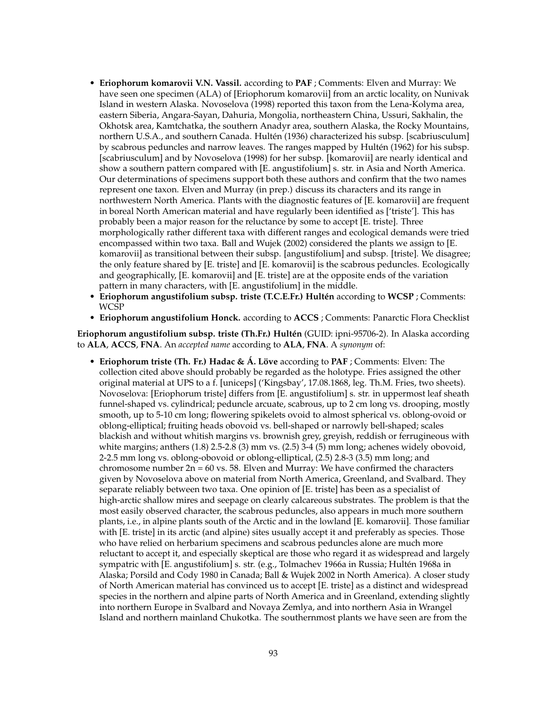- **Eriophorum komarovii V.N. Vassil.** according to **PAF** ; Comments: Elven and Murray: We have seen one specimen (ALA) of [Eriophorum komarovii] from an arctic locality, on Nunivak Island in western Alaska. Novoselova (1998) reported this taxon from the Lena-Kolyma area, eastern Siberia, Angara-Sayan, Dahuria, Mongolia, northeastern China, Ussuri, Sakhalin, the Okhotsk area, Kamtchatka, the southern Anadyr area, southern Alaska, the Rocky Mountains, northern U.S.A., and southern Canada. Hultén (1936) characterized his subsp. [scabriusculum] by scabrous peduncles and narrow leaves. The ranges mapped by Hultén (1962) for his subsp. [scabriusculum] and by Novoselova (1998) for her subsp. [komarovii] are nearly identical and show a southern pattern compared with [E. angustifolium] s. str. in Asia and North America. Our determinations of specimens support both these authors and confirm that the two names represent one taxon. Elven and Murray (in prep.) discuss its characters and its range in northwestern North America. Plants with the diagnostic features of [E. komarovii] are frequent in boreal North American material and have regularly been identified as ['triste']. This has probably been a major reason for the reluctance by some to accept [E. triste]. Three morphologically rather different taxa with different ranges and ecological demands were tried encompassed within two taxa. Ball and Wujek (2002) considered the plants we assign to [E. komarovii] as transitional between their subsp. [angustifolium] and subsp. [triste]. We disagree; the only feature shared by [E. triste] and [E. komarovii] is the scabrous peduncles. Ecologically and geographically, [E. komarovii] and [E. triste] are at the opposite ends of the variation pattern in many characters, with [E. angustifolium] in the middle.
- **Eriophorum angustifolium subsp. triste (T.C.E.Fr.) Hultén** according to **WCSP** ; Comments: WCSP
- **Eriophorum angustifolium Honck.** according to **ACCS** ; Comments: Panarctic Flora Checklist

**Eriophorum angustifolium subsp. triste (Th.Fr.) Hultén** (GUID: ipni-95706-2). In Alaska according to **ALA**, **ACCS**, **FNA**. An *accepted name* according to **ALA**, **FNA**. A *synonym* of:

• **Eriophorum triste (Th. Fr.) Hadac & Á. Löve** according to **PAF** ; Comments: Elven: The collection cited above should probably be regarded as the holotype. Fries assigned the other original material at UPS to a f. [uniceps] ('Kingsbay', 17.08.1868, leg. Th.M. Fries, two sheets). Novoselova: [Eriophorum triste] differs from [E. angustifolium] s. str. in uppermost leaf sheath funnel-shaped vs. cylindrical; peduncle arcuate, scabrous, up to 2 cm long vs. drooping, mostly smooth, up to 5-10 cm long; flowering spikelets ovoid to almost spherical vs. oblong-ovoid or oblong-elliptical; fruiting heads obovoid vs. bell-shaped or narrowly bell-shaped; scales blackish and without whitish margins vs. brownish grey, greyish, reddish or ferrugineous with white margins; anthers  $(1.8)$  2.5-2.8  $(3)$  mm vs.  $(2.5)$  3-4  $(5)$  mm long; achenes widely obovoid, 2-2.5 mm long vs. oblong-obovoid or oblong-elliptical, (2.5) 2.8-3 (3.5) mm long; and chromosome number  $2n = 60$  vs. 58. Elven and Murray: We have confirmed the characters given by Novoselova above on material from North America, Greenland, and Svalbard. They separate reliably between two taxa. One opinion of [E. triste] has been as a specialist of high-arctic shallow mires and seepage on clearly calcareous substrates. The problem is that the most easily observed character, the scabrous peduncles, also appears in much more southern plants, i.e., in alpine plants south of the Arctic and in the lowland [E. komarovii]. Those familiar with [E. triste] in its arctic (and alpine) sites usually accept it and preferably as species. Those who have relied on herbarium specimens and scabrous peduncles alone are much more reluctant to accept it, and especially skeptical are those who regard it as widespread and largely sympatric with [E. angustifolium] s. str. (e.g., Tolmachev 1966a in Russia; Hultén 1968a in Alaska; Porsild and Cody 1980 in Canada; Ball & Wujek 2002 in North America). A closer study of North American material has convinced us to accept [E. triste] as a distinct and widespread species in the northern and alpine parts of North America and in Greenland, extending slightly into northern Europe in Svalbard and Novaya Zemlya, and into northern Asia in Wrangel Island and northern mainland Chukotka. The southernmost plants we have seen are from the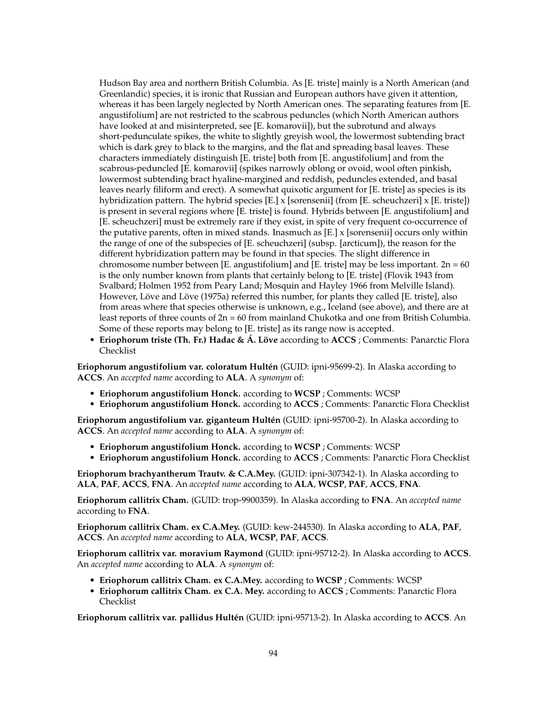Hudson Bay area and northern British Columbia. As [E. triste] mainly is a North American (and Greenlandic) species, it is ironic that Russian and European authors have given it attention, whereas it has been largely neglected by North American ones. The separating features from [E. angustifolium] are not restricted to the scabrous peduncles (which North American authors have looked at and misinterpreted, see [E. komarovii]), but the subrotund and always short-pedunculate spikes, the white to slightly greyish wool, the lowermost subtending bract which is dark grey to black to the margins, and the flat and spreading basal leaves. These characters immediately distinguish [E. triste] both from [E. angustifolium] and from the scabrous-peduncled [E. komarovii] (spikes narrowly oblong or ovoid, wool often pinkish, lowermost subtending bract hyaline-margined and reddish, peduncles extended, and basal leaves nearly filiform and erect). A somewhat quixotic argument for [E. triste] as species is its hybridization pattern. The hybrid species [E.] x [sorensenii] (from [E. scheuchzeri] x [E. triste]) is present in several regions where [E. triste] is found. Hybrids between [E. angustifolium] and [E. scheuchzeri] must be extremely rare if they exist, in spite of very frequent co-occurrence of the putative parents, often in mixed stands. Inasmuch as  $[E] \times$  [sorensenii] occurs only within the range of one of the subspecies of [E. scheuchzeri] (subsp. [arcticum]), the reason for the different hybridization pattern may be found in that species. The slight difference in chromosome number between [E. angustifolium] and [E. triste] may be less important.  $2n = 60$ is the only number known from plants that certainly belong to [E. triste] (Flovik 1943 from Svalbard; Holmen 1952 from Peary Land; Mosquin and Hayley 1966 from Melville Island). However, Löve and Löve (1975a) referred this number, for plants they called [E. triste], also from areas where that species otherwise is unknown, e.g., Iceland (see above), and there are at least reports of three counts of  $2n = 60$  from mainland Chukotka and one from British Columbia. Some of these reports may belong to [E. triste] as its range now is accepted.

• **Eriophorum triste (Th. Fr.) Hadac & Á. Löve** according to **ACCS** ; Comments: Panarctic Flora Checklist

**Eriophorum angustifolium var. coloratum Hultén** (GUID: ipni-95699-2). In Alaska according to **ACCS**. An *accepted name* according to **ALA**. A *synonym* of:

- **Eriophorum angustifolium Honck.** according to **WCSP** ; Comments: WCSP
- **Eriophorum angustifolium Honck.** according to **ACCS** ; Comments: Panarctic Flora Checklist

**Eriophorum angustifolium var. giganteum Hultén** (GUID: ipni-95700-2). In Alaska according to **ACCS**. An *accepted name* according to **ALA**. A *synonym* of:

- **Eriophorum angustifolium Honck.** according to **WCSP** ; Comments: WCSP
- **Eriophorum angustifolium Honck.** according to **ACCS** ; Comments: Panarctic Flora Checklist

**Eriophorum brachyantherum Trautv. & C.A.Mey.** (GUID: ipni-307342-1). In Alaska according to **ALA**, **PAF**, **ACCS**, **FNA**. An *accepted name* according to **ALA**, **WCSP**, **PAF**, **ACCS**, **FNA**.

**Eriophorum callitrix Cham.** (GUID: trop-9900359). In Alaska according to **FNA**. An *accepted name* according to **FNA**.

**Eriophorum callitrix Cham. ex C.A.Mey.** (GUID: kew-244530). In Alaska according to **ALA**, **PAF**, **ACCS**. An *accepted name* according to **ALA**, **WCSP**, **PAF**, **ACCS**.

**Eriophorum callitrix var. moravium Raymond** (GUID: ipni-95712-2). In Alaska according to **ACCS**. An *accepted name* according to **ALA**. A *synonym* of:

- **Eriophorum callitrix Cham. ex C.A.Mey.** according to **WCSP** ; Comments: WCSP
- **Eriophorum callitrix Cham. ex C.A. Mey.** according to **ACCS** ; Comments: Panarctic Flora Checklist

**Eriophorum callitrix var. pallidus Hultén** (GUID: ipni-95713-2). In Alaska according to **ACCS**. An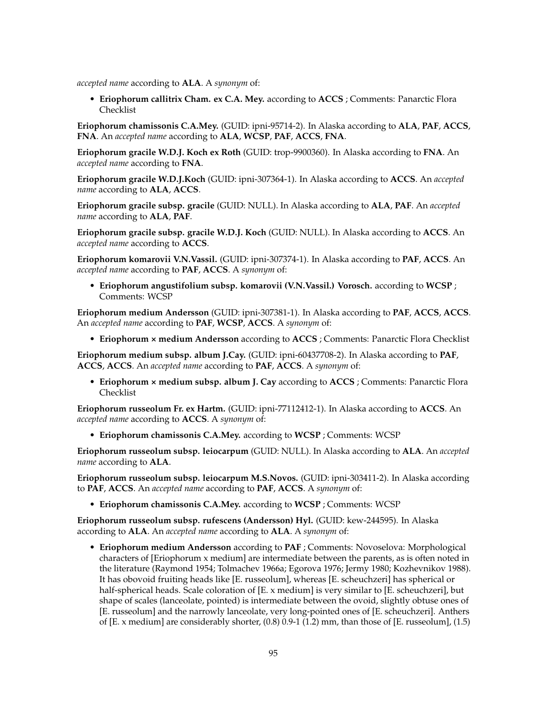*accepted name* according to **ALA**. A *synonym* of:

• **Eriophorum callitrix Cham. ex C.A. Mey.** according to **ACCS** ; Comments: Panarctic Flora Checklist

**Eriophorum chamissonis C.A.Mey.** (GUID: ipni-95714-2). In Alaska according to **ALA**, **PAF**, **ACCS**, **FNA**. An *accepted name* according to **ALA**, **WCSP**, **PAF**, **ACCS**, **FNA**.

**Eriophorum gracile W.D.J. Koch ex Roth** (GUID: trop-9900360). In Alaska according to **FNA**. An *accepted name* according to **FNA**.

**Eriophorum gracile W.D.J.Koch** (GUID: ipni-307364-1). In Alaska according to **ACCS**. An *accepted name* according to **ALA**, **ACCS**.

**Eriophorum gracile subsp. gracile** (GUID: NULL). In Alaska according to **ALA**, **PAF**. An *accepted name* according to **ALA**, **PAF**.

**Eriophorum gracile subsp. gracile W.D.J. Koch** (GUID: NULL). In Alaska according to **ACCS**. An *accepted name* according to **ACCS**.

**Eriophorum komarovii V.N.Vassil.** (GUID: ipni-307374-1). In Alaska according to **PAF**, **ACCS**. An *accepted name* according to **PAF**, **ACCS**. A *synonym* of:

• **Eriophorum angustifolium subsp. komarovii (V.N.Vassil.) Vorosch.** according to **WCSP** ; Comments: WCSP

**Eriophorum medium Andersson** (GUID: ipni-307381-1). In Alaska according to **PAF**, **ACCS**, **ACCS**. An *accepted name* according to **PAF**, **WCSP**, **ACCS**. A *synonym* of:

• **Eriophorum × medium Andersson** according to **ACCS** ; Comments: Panarctic Flora Checklist

**Eriophorum medium subsp. album J.Cay.** (GUID: ipni-60437708-2). In Alaska according to **PAF**, **ACCS**, **ACCS**. An *accepted name* according to **PAF**, **ACCS**. A *synonym* of:

• **Eriophorum × medium subsp. album J. Cay** according to **ACCS** ; Comments: Panarctic Flora Checklist

**Eriophorum russeolum Fr. ex Hartm.** (GUID: ipni-77112412-1). In Alaska according to **ACCS**. An *accepted name* according to **ACCS**. A *synonym* of:

• **Eriophorum chamissonis C.A.Mey.** according to **WCSP** ; Comments: WCSP

**Eriophorum russeolum subsp. leiocarpum** (GUID: NULL). In Alaska according to **ALA**. An *accepted name* according to **ALA**.

**Eriophorum russeolum subsp. leiocarpum M.S.Novos.** (GUID: ipni-303411-2). In Alaska according to **PAF**, **ACCS**. An *accepted name* according to **PAF**, **ACCS**. A *synonym* of:

• **Eriophorum chamissonis C.A.Mey.** according to **WCSP** ; Comments: WCSP

**Eriophorum russeolum subsp. rufescens (Andersson) Hyl.** (GUID: kew-244595). In Alaska according to **ALA**. An *accepted name* according to **ALA**. A *synonym* of:

• **Eriophorum medium Andersson** according to **PAF** ; Comments: Novoselova: Morphological characters of [Eriophorum x medium] are intermediate between the parents, as is often noted in the literature (Raymond 1954; Tolmachev 1966a; Egorova 1976; Jermy 1980; Kozhevnikov 1988). It has obovoid fruiting heads like [E. russeolum], whereas [E. scheuchzeri] has spherical or half-spherical heads. Scale coloration of [E. x medium] is very similar to [E. scheuchzeri], but shape of scales (lanceolate, pointed) is intermediate between the ovoid, slightly obtuse ones of [E. russeolum] and the narrowly lanceolate, very long-pointed ones of [E. scheuchzeri]. Anthers of [E. x medium] are considerably shorter, (0.8) 0.9-1 (1.2) mm, than those of [E. russeolum], (1.5)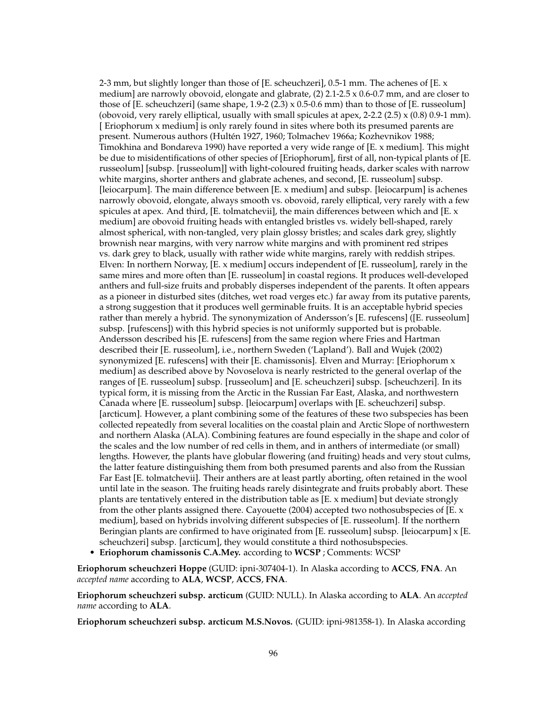2-3 mm, but slightly longer than those of [E. scheuchzeri], 0.5-1 mm. The achenes of [E. x medium] are narrowly obovoid, elongate and glabrate, (2) 2.1-2.5 x 0.6-0.7 mm, and are closer to those of [E. scheuchzeri] (same shape,  $1.9-2$  (2.3) x 0.5-0.6 mm) than to those of [E. russeolum] (obovoid, very rarely elliptical, usually with small spicules at apex, 2-2.2 (2.5)  $\times$  (0.8) 0.9-1 mm). [ Eriophorum x medium] is only rarely found in sites where both its presumed parents are present. Numerous authors (Hultén 1927, 1960; Tolmachev 1966a; Kozhevnikov 1988; Timokhina and Bondareva 1990) have reported a very wide range of [E. x medium]. This might be due to misidentifications of other species of [Eriophorum], first of all, non-typical plants of [E. russeolum] [subsp. [russeolum]] with light-coloured fruiting heads, darker scales with narrow white margins, shorter anthers and glabrate achenes, and second, [E. russeolum] subsp. [leiocarpum]. The main difference between [E. x medium] and subsp. [leiocarpum] is achenes narrowly obovoid, elongate, always smooth vs. obovoid, rarely elliptical, very rarely with a few spicules at apex. And third, [E. tolmatchevii], the main differences between which and [E. x medium] are obovoid fruiting heads with entangled bristles vs. widely bell-shaped, rarely almost spherical, with non-tangled, very plain glossy bristles; and scales dark grey, slightly brownish near margins, with very narrow white margins and with prominent red stripes vs. dark grey to black, usually with rather wide white margins, rarely with reddish stripes. Elven: In northern Norway, [E. x medium] occurs independent of [E. russeolum], rarely in the same mires and more often than [E. russeolum] in coastal regions. It produces well-developed anthers and full-size fruits and probably disperses independent of the parents. It often appears as a pioneer in disturbed sites (ditches, wet road verges etc.) far away from its putative parents, a strong suggestion that it produces well germinable fruits. It is an acceptable hybrid species rather than merely a hybrid. The synonymization of Andersson's [E. rufescens] ([E. russeolum] subsp. [rufescens]) with this hybrid species is not uniformly supported but is probable. Andersson described his [E. rufescens] from the same region where Fries and Hartman described their [E. russeolum], i.e., northern Sweden ('Lapland'). Ball and Wujek (2002) synonymized [E. rufescens] with their [E. chamissonis]. Elven and Murray: [Eriophorum x medium] as described above by Novoselova is nearly restricted to the general overlap of the ranges of [E. russeolum] subsp. [russeolum] and [E. scheuchzeri] subsp. [scheuchzeri]. In its typical form, it is missing from the Arctic in the Russian Far East, Alaska, and northwestern Canada where [E. russeolum] subsp. [leiocarpum] overlaps with [E. scheuchzeri] subsp. [arcticum]. However, a plant combining some of the features of these two subspecies has been collected repeatedly from several localities on the coastal plain and Arctic Slope of northwestern and northern Alaska (ALA). Combining features are found especially in the shape and color of the scales and the low number of red cells in them, and in anthers of intermediate (or small) lengths. However, the plants have globular flowering (and fruiting) heads and very stout culms, the latter feature distinguishing them from both presumed parents and also from the Russian Far East [E. tolmatchevii]. Their anthers are at least partly aborting, often retained in the wool until late in the season. The fruiting heads rarely disintegrate and fruits probably abort. These plants are tentatively entered in the distribution table as [E. x medium] but deviate strongly from the other plants assigned there. Cayouette (2004) accepted two nothosubspecies of [E. x medium], based on hybrids involving different subspecies of [E. russeolum]. If the northern Beringian plants are confirmed to have originated from [E. russeolum] subsp. [leiocarpum] x [E. scheuchzeri] subsp. [arcticum], they would constitute a third nothosubspecies.

• **Eriophorum chamissonis C.A.Mey.** according to **WCSP** ; Comments: WCSP

**Eriophorum scheuchzeri Hoppe** (GUID: ipni-307404-1). In Alaska according to **ACCS**, **FNA**. An *accepted name* according to **ALA**, **WCSP**, **ACCS**, **FNA**.

**Eriophorum scheuchzeri subsp. arcticum** (GUID: NULL). In Alaska according to **ALA**. An *accepted name* according to **ALA**.

**Eriophorum scheuchzeri subsp. arcticum M.S.Novos.** (GUID: ipni-981358-1). In Alaska according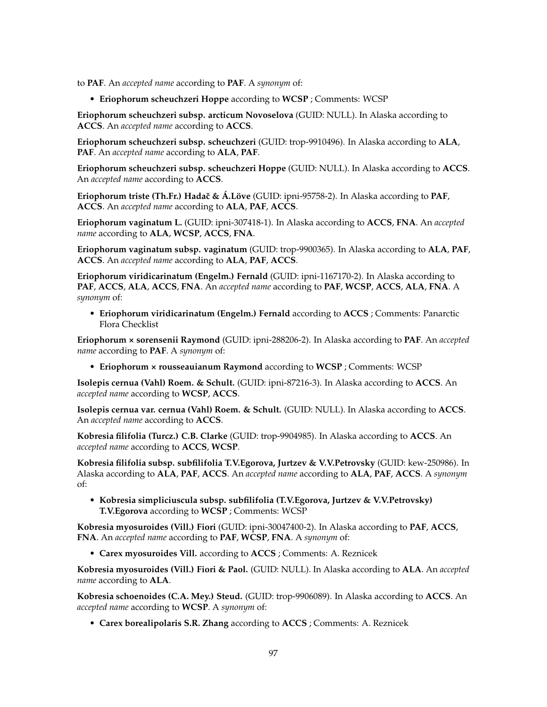to **PAF**. An *accepted name* according to **PAF**. A *synonym* of:

• **Eriophorum scheuchzeri Hoppe** according to **WCSP** ; Comments: WCSP

**Eriophorum scheuchzeri subsp. arcticum Novoselova** (GUID: NULL). In Alaska according to **ACCS**. An *accepted name* according to **ACCS**.

**Eriophorum scheuchzeri subsp. scheuchzeri** (GUID: trop-9910496). In Alaska according to **ALA**, **PAF**. An *accepted name* according to **ALA**, **PAF**.

**Eriophorum scheuchzeri subsp. scheuchzeri Hoppe** (GUID: NULL). In Alaska according to **ACCS**. An *accepted name* according to **ACCS**.

**Eriophorum triste (Th.Fr.) Hadaˇc & Á.Löve** (GUID: ipni-95758-2). In Alaska according to **PAF**, **ACCS**. An *accepted name* according to **ALA**, **PAF**, **ACCS**.

**Eriophorum vaginatum L.** (GUID: ipni-307418-1). In Alaska according to **ACCS**, **FNA**. An *accepted name* according to **ALA**, **WCSP**, **ACCS**, **FNA**.

**Eriophorum vaginatum subsp. vaginatum** (GUID: trop-9900365). In Alaska according to **ALA**, **PAF**, **ACCS**. An *accepted name* according to **ALA**, **PAF**, **ACCS**.

**Eriophorum viridicarinatum (Engelm.) Fernald** (GUID: ipni-1167170-2). In Alaska according to **PAF**, **ACCS**, **ALA**, **ACCS**, **FNA**. An *accepted name* according to **PAF**, **WCSP**, **ACCS**, **ALA**, **FNA**. A *synonym* of:

• **Eriophorum viridicarinatum (Engelm.) Fernald** according to **ACCS** ; Comments: Panarctic Flora Checklist

**Eriophorum × sorensenii Raymond** (GUID: ipni-288206-2). In Alaska according to **PAF**. An *accepted name* according to **PAF**. A *synonym* of:

• **Eriophorum × rousseauianum Raymond** according to **WCSP** ; Comments: WCSP

**Isolepis cernua (Vahl) Roem. & Schult.** (GUID: ipni-87216-3). In Alaska according to **ACCS**. An *accepted name* according to **WCSP**, **ACCS**.

**Isolepis cernua var. cernua (Vahl) Roem. & Schult.** (GUID: NULL). In Alaska according to **ACCS**. An *accepted name* according to **ACCS**.

**Kobresia filifolia (Turcz.) C.B. Clarke** (GUID: trop-9904985). In Alaska according to **ACCS**. An *accepted name* according to **ACCS**, **WCSP**.

**Kobresia filifolia subsp. subfilifolia T.V.Egorova, Jurtzev & V.V.Petrovsky** (GUID: kew-250986). In Alaska according to **ALA**, **PAF**, **ACCS**. An *accepted name* according to **ALA**, **PAF**, **ACCS**. A *synonym* of:

• **Kobresia simpliciuscula subsp. subfilifolia (T.V.Egorova, Jurtzev & V.V.Petrovsky) T.V.Egorova** according to **WCSP** ; Comments: WCSP

**Kobresia myosuroides (Vill.) Fiori** (GUID: ipni-30047400-2). In Alaska according to **PAF**, **ACCS**, **FNA**. An *accepted name* according to **PAF**, **WCSP**, **FNA**. A *synonym* of:

• **Carex myosuroides Vill.** according to **ACCS** ; Comments: A. Reznicek

**Kobresia myosuroides (Vill.) Fiori & Paol.** (GUID: NULL). In Alaska according to **ALA**. An *accepted name* according to **ALA**.

**Kobresia schoenoides (C.A. Mey.) Steud.** (GUID: trop-9906089). In Alaska according to **ACCS**. An *accepted name* according to **WCSP**. A *synonym* of:

• **Carex borealipolaris S.R. Zhang** according to **ACCS** ; Comments: A. Reznicek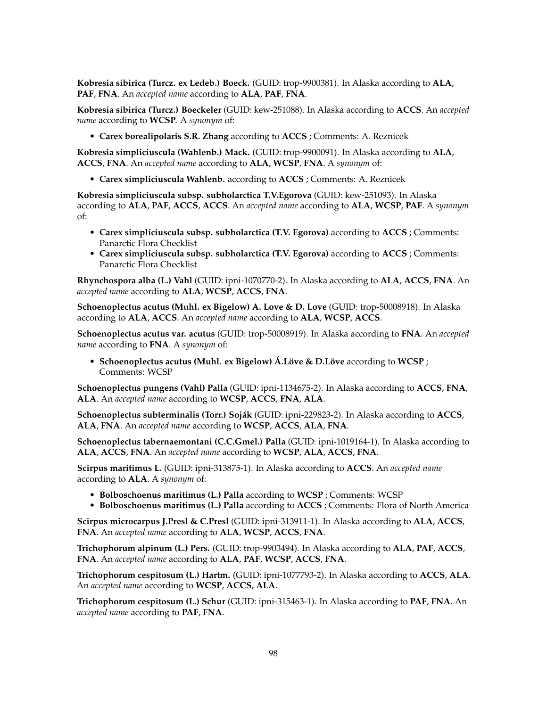**Kobresia sibirica (Turcz. ex Ledeb.) Boeck.** (GUID: trop-9900381). In Alaska according to **ALA**, **PAF**, **FNA**. An *accepted name* according to **ALA**, **PAF**, **FNA**.

**Kobresia sibirica (Turcz.) Boeckeler** (GUID: kew-251088). In Alaska according to **ACCS**. An *accepted name* according to **WCSP**. A *synonym* of:

• **Carex borealipolaris S.R. Zhang** according to **ACCS** ; Comments: A. Reznicek

**Kobresia simpliciuscula (Wahlenb.) Mack.** (GUID: trop-9900091). In Alaska according to **ALA**, **ACCS**, **FNA**. An *accepted name* according to **ALA**, **WCSP**, **FNA**. A *synonym* of:

• **Carex simpliciuscula Wahlenb.** according to **ACCS** ; Comments: A. Reznicek

**Kobresia simpliciuscula subsp. subholarctica T.V.Egorova** (GUID: kew-251093). In Alaska according to **ALA**, **PAF**, **ACCS**, **ACCS**. An *accepted name* according to **ALA**, **WCSP**, **PAF**. A *synonym* of:

- **Carex simpliciuscula subsp. subholarctica (T.V. Egorova)** according to **ACCS** ; Comments: Panarctic Flora Checklist
- **Carex simpliciuscula subsp. subholarctica (T.V. Egorova)** according to **ACCS** ; Comments: Panarctic Flora Checklist

**Rhynchospora alba (L.) Vahl** (GUID: ipni-1070770-2). In Alaska according to **ALA**, **ACCS**, **FNA**. An *accepted name* according to **ALA**, **WCSP**, **ACCS**, **FNA**.

**Schoenoplectus acutus (Muhl. ex Bigelow) A. Love & D. Love** (GUID: trop-50008918). In Alaska according to **ALA**, **ACCS**. An *accepted name* according to **ALA**, **WCSP**, **ACCS**.

**Schoenoplectus acutus var. acutus** (GUID: trop-50008919). In Alaska according to **FNA**. An *accepted name* according to **FNA**. A *synonym* of:

• **Schoenoplectus acutus (Muhl. ex Bigelow) Á.Löve & D.Löve** according to **WCSP** ; Comments: WCSP

**Schoenoplectus pungens (Vahl) Palla** (GUID: ipni-1134675-2). In Alaska according to **ACCS**, **FNA**, **ALA**. An *accepted name* according to **WCSP**, **ACCS**, **FNA**, **ALA**.

**Schoenoplectus subterminalis (Torr.) Soják** (GUID: ipni-229823-2). In Alaska according to **ACCS**, **ALA**, **FNA**. An *accepted name* according to **WCSP**, **ACCS**, **ALA**, **FNA**.

**Schoenoplectus tabernaemontani (C.C.Gmel.) Palla** (GUID: ipni-1019164-1). In Alaska according to **ALA**, **ACCS**, **FNA**. An *accepted name* according to **WCSP**, **ALA**, **ACCS**, **FNA**.

**Scirpus maritimus L.** (GUID: ipni-313875-1). In Alaska according to **ACCS**. An *accepted name* according to **ALA**. A *synonym* of:

- **Bolboschoenus maritimus (L.) Palla** according to **WCSP** ; Comments: WCSP
- **Bolboschoenus maritimus (L.) Palla** according to **ACCS** ; Comments: Flora of North America

**Scirpus microcarpus J.Presl & C.Presl** (GUID: ipni-313911-1). In Alaska according to **ALA**, **ACCS**, **FNA**. An *accepted name* according to **ALA**, **WCSP**, **ACCS**, **FNA**.

**Trichophorum alpinum (L.) Pers.** (GUID: trop-9903494). In Alaska according to **ALA**, **PAF**, **ACCS**, **FNA**. An *accepted name* according to **ALA**, **PAF**, **WCSP**, **ACCS**, **FNA**.

**Trichophorum cespitosum (L.) Hartm.** (GUID: ipni-1077793-2). In Alaska according to **ACCS**, **ALA**. An *accepted name* according to **WCSP**, **ACCS**, **ALA**.

**Trichophorum cespitosum (L.) Schur** (GUID: ipni-315463-1). In Alaska according to **PAF**, **FNA**. An *accepted name* according to **PAF**, **FNA**.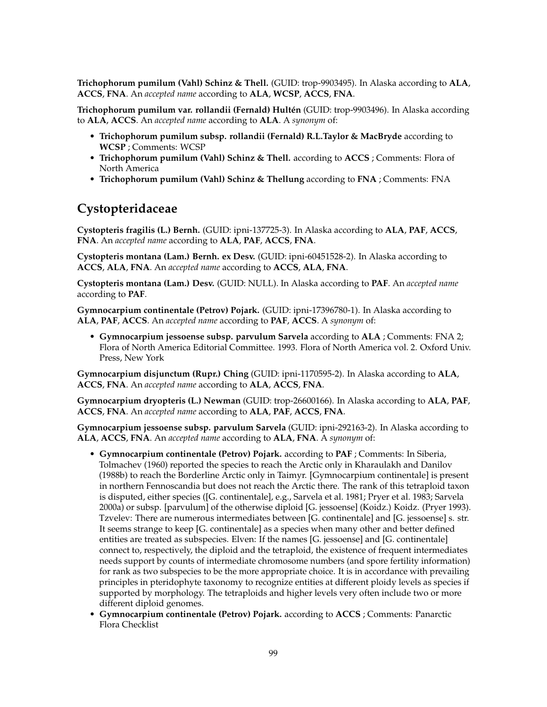**Trichophorum pumilum (Vahl) Schinz & Thell.** (GUID: trop-9903495). In Alaska according to **ALA**, **ACCS**, **FNA**. An *accepted name* according to **ALA**, **WCSP**, **ACCS**, **FNA**.

**Trichophorum pumilum var. rollandii (Fernald) Hultén** (GUID: trop-9903496). In Alaska according to **ALA**, **ACCS**. An *accepted name* according to **ALA**. A *synonym* of:

- **Trichophorum pumilum subsp. rollandii (Fernald) R.L.Taylor & MacBryde** according to **WCSP** ; Comments: WCSP
- **Trichophorum pumilum (Vahl) Schinz & Thell.** according to **ACCS** ; Comments: Flora of North America
- **Trichophorum pumilum (Vahl) Schinz & Thellung** according to **FNA** ; Comments: FNA

## **Cystopteridaceae**

**Cystopteris fragilis (L.) Bernh.** (GUID: ipni-137725-3). In Alaska according to **ALA**, **PAF**, **ACCS**, **FNA**. An *accepted name* according to **ALA**, **PAF**, **ACCS**, **FNA**.

**Cystopteris montana (Lam.) Bernh. ex Desv.** (GUID: ipni-60451528-2). In Alaska according to **ACCS**, **ALA**, **FNA**. An *accepted name* according to **ACCS**, **ALA**, **FNA**.

**Cystopteris montana (Lam.) Desv.** (GUID: NULL). In Alaska according to **PAF**. An *accepted name* according to **PAF**.

**Gymnocarpium continentale (Petrov) Pojark.** (GUID: ipni-17396780-1). In Alaska according to **ALA**, **PAF**, **ACCS**. An *accepted name* according to **PAF**, **ACCS**. A *synonym* of:

• **Gymnocarpium jessoense subsp. parvulum Sarvela** according to **ALA** ; Comments: FNA 2; Flora of North America Editorial Committee. 1993. Flora of North America vol. 2. Oxford Univ. Press, New York

**Gymnocarpium disjunctum (Rupr.) Ching** (GUID: ipni-1170595-2). In Alaska according to **ALA**, **ACCS**, **FNA**. An *accepted name* according to **ALA**, **ACCS**, **FNA**.

**Gymnocarpium dryopteris (L.) Newman** (GUID: trop-26600166). In Alaska according to **ALA**, **PAF**, **ACCS**, **FNA**. An *accepted name* according to **ALA**, **PAF**, **ACCS**, **FNA**.

**Gymnocarpium jessoense subsp. parvulum Sarvela** (GUID: ipni-292163-2). In Alaska according to **ALA**, **ACCS**, **FNA**. An *accepted name* according to **ALA**, **FNA**. A *synonym* of:

- **Gymnocarpium continentale (Petrov) Pojark.** according to **PAF** ; Comments: In Siberia, Tolmachev (1960) reported the species to reach the Arctic only in Kharaulakh and Danilov (1988b) to reach the Borderline Arctic only in Taimyr. [Gymnocarpium continentale] is present in northern Fennoscandia but does not reach the Arctic there. The rank of this tetraploid taxon is disputed, either species ([G. continentale], e.g., Sarvela et al. 1981; Pryer et al. 1983; Sarvela 2000a) or subsp. [parvulum] of the otherwise diploid [G. jessoense] (Koidz.) Koidz. (Pryer 1993). Tzvelev: There are numerous intermediates between [G. continentale] and [G. jessoense] s. str. It seems strange to keep [G. continentale] as a species when many other and better defined entities are treated as subspecies. Elven: If the names [G. jessoense] and [G. continentale] connect to, respectively, the diploid and the tetraploid, the existence of frequent intermediates needs support by counts of intermediate chromosome numbers (and spore fertility information) for rank as two subspecies to be the more appropriate choice. It is in accordance with prevailing principles in pteridophyte taxonomy to recognize entities at different ploidy levels as species if supported by morphology. The tetraploids and higher levels very often include two or more different diploid genomes.
- **Gymnocarpium continentale (Petrov) Pojark.** according to **ACCS** ; Comments: Panarctic Flora Checklist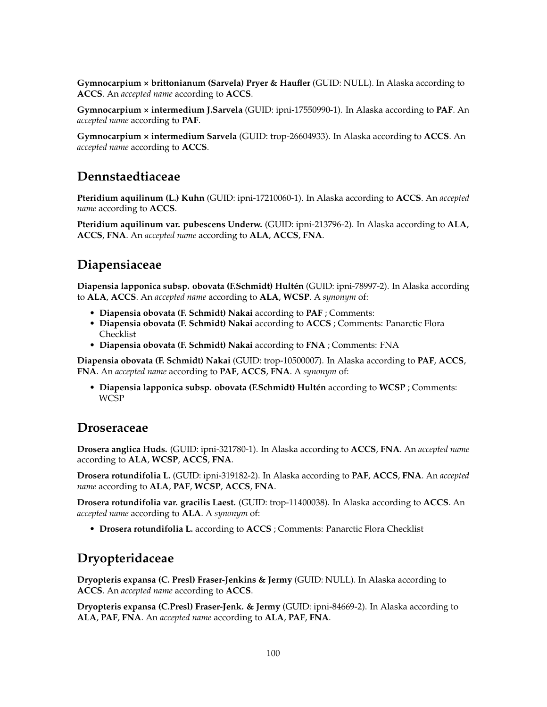**Gymnocarpium × brittonianum (Sarvela) Pryer & Haufler** (GUID: NULL). In Alaska according to **ACCS**. An *accepted name* according to **ACCS**.

**Gymnocarpium × intermedium J.Sarvela** (GUID: ipni-17550990-1). In Alaska according to **PAF**. An *accepted name* according to **PAF**.

**Gymnocarpium × intermedium Sarvela** (GUID: trop-26604933). In Alaska according to **ACCS**. An *accepted name* according to **ACCS**.

## **Dennstaedtiaceae**

**Pteridium aquilinum (L.) Kuhn** (GUID: ipni-17210060-1). In Alaska according to **ACCS**. An *accepted name* according to **ACCS**.

**Pteridium aquilinum var. pubescens Underw.** (GUID: ipni-213796-2). In Alaska according to **ALA**, **ACCS**, **FNA**. An *accepted name* according to **ALA**, **ACCS**, **FNA**.

# **Diapensiaceae**

**Diapensia lapponica subsp. obovata (F.Schmidt) Hultén** (GUID: ipni-78997-2). In Alaska according to **ALA**, **ACCS**. An *accepted name* according to **ALA**, **WCSP**. A *synonym* of:

- **Diapensia obovata (F. Schmidt) Nakai** according to **PAF** ; Comments:
- **Diapensia obovata (F. Schmidt) Nakai** according to **ACCS** ; Comments: Panarctic Flora Checklist
- **Diapensia obovata (F. Schmidt) Nakai** according to **FNA** ; Comments: FNA

**Diapensia obovata (F. Schmidt) Nakai** (GUID: trop-10500007). In Alaska according to **PAF**, **ACCS**, **FNA**. An *accepted name* according to **PAF**, **ACCS**, **FNA**. A *synonym* of:

• **Diapensia lapponica subsp. obovata (F.Schmidt) Hultén** according to **WCSP** ; Comments: **WCSP** 

### **Droseraceae**

**Drosera anglica Huds.** (GUID: ipni-321780-1). In Alaska according to **ACCS**, **FNA**. An *accepted name* according to **ALA**, **WCSP**, **ACCS**, **FNA**.

**Drosera rotundifolia L.** (GUID: ipni-319182-2). In Alaska according to **PAF**, **ACCS**, **FNA**. An *accepted name* according to **ALA**, **PAF**, **WCSP**, **ACCS**, **FNA**.

**Drosera rotundifolia var. gracilis Laest.** (GUID: trop-11400038). In Alaska according to **ACCS**. An *accepted name* according to **ALA**. A *synonym* of:

• **Drosera rotundifolia L.** according to **ACCS** ; Comments: Panarctic Flora Checklist

# **Dryopteridaceae**

**Dryopteris expansa (C. Presl) Fraser-Jenkins & Jermy** (GUID: NULL). In Alaska according to **ACCS**. An *accepted name* according to **ACCS**.

**Dryopteris expansa (C.Presl) Fraser-Jenk. & Jermy** (GUID: ipni-84669-2). In Alaska according to **ALA**, **PAF**, **FNA**. An *accepted name* according to **ALA**, **PAF**, **FNA**.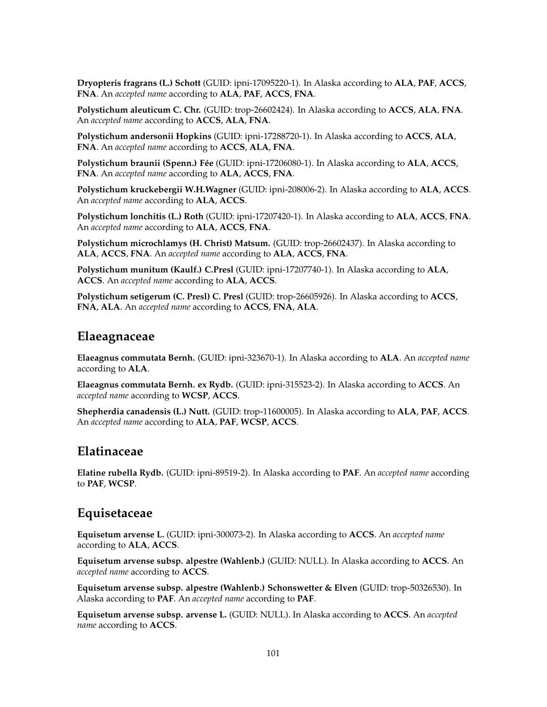**Dryopteris fragrans (L.) Schott** (GUID: ipni-17095220-1). In Alaska according to **ALA**, **PAF**, **ACCS**, **FNA**. An *accepted name* according to **ALA**, **PAF**, **ACCS**, **FNA**.

**Polystichum aleuticum C. Chr.** (GUID: trop-26602424). In Alaska according to **ACCS**, **ALA**, **FNA**. An *accepted name* according to **ACCS**, **ALA**, **FNA**.

**Polystichum andersonii Hopkins** (GUID: ipni-17288720-1). In Alaska according to **ACCS**, **ALA**, **FNA**. An *accepted name* according to **ACCS**, **ALA**, **FNA**.

**Polystichum braunii (Spenn.) Fée** (GUID: ipni-17206080-1). In Alaska according to **ALA**, **ACCS**, **FNA**. An *accepted name* according to **ALA**, **ACCS**, **FNA**.

**Polystichum kruckebergii W.H.Wagner** (GUID: ipni-208006-2). In Alaska according to **ALA**, **ACCS**. An *accepted name* according to **ALA**, **ACCS**.

**Polystichum lonchitis (L.) Roth** (GUID: ipni-17207420-1). In Alaska according to **ALA**, **ACCS**, **FNA**. An *accepted name* according to **ALA**, **ACCS**, **FNA**.

**Polystichum microchlamys (H. Christ) Matsum.** (GUID: trop-26602437). In Alaska according to **ALA**, **ACCS**, **FNA**. An *accepted name* according to **ALA**, **ACCS**, **FNA**.

**Polystichum munitum (Kaulf.) C.Presl** (GUID: ipni-17207740-1). In Alaska according to **ALA**, **ACCS**. An *accepted name* according to **ALA**, **ACCS**.

**Polystichum setigerum (C. Presl) C. Presl** (GUID: trop-26605926). In Alaska according to **ACCS**, **FNA**, **ALA**. An *accepted name* according to **ACCS**, **FNA**, **ALA**.

#### **Elaeagnaceae**

**Elaeagnus commutata Bernh.** (GUID: ipni-323670-1). In Alaska according to **ALA**. An *accepted name* according to **ALA**.

**Elaeagnus commutata Bernh. ex Rydb.** (GUID: ipni-315523-2). In Alaska according to **ACCS**. An *accepted name* according to **WCSP**, **ACCS**.

**Shepherdia canadensis (L.) Nutt.** (GUID: trop-11600005). In Alaska according to **ALA**, **PAF**, **ACCS**. An *accepted name* according to **ALA**, **PAF**, **WCSP**, **ACCS**.

#### **Elatinaceae**

**Elatine rubella Rydb.** (GUID: ipni-89519-2). In Alaska according to **PAF**. An *accepted name* according to **PAF**, **WCSP**.

### **Equisetaceae**

**Equisetum arvense L.** (GUID: ipni-300073-2). In Alaska according to **ACCS**. An *accepted name* according to **ALA**, **ACCS**.

**Equisetum arvense subsp. alpestre (Wahlenb.)** (GUID: NULL). In Alaska according to **ACCS**. An *accepted name* according to **ACCS**.

**Equisetum arvense subsp. alpestre (Wahlenb.) Schonswetter & Elven** (GUID: trop-50326530). In Alaska according to **PAF**. An *accepted name* according to **PAF**.

**Equisetum arvense subsp. arvense L.** (GUID: NULL). In Alaska according to **ACCS**. An *accepted name* according to **ACCS**.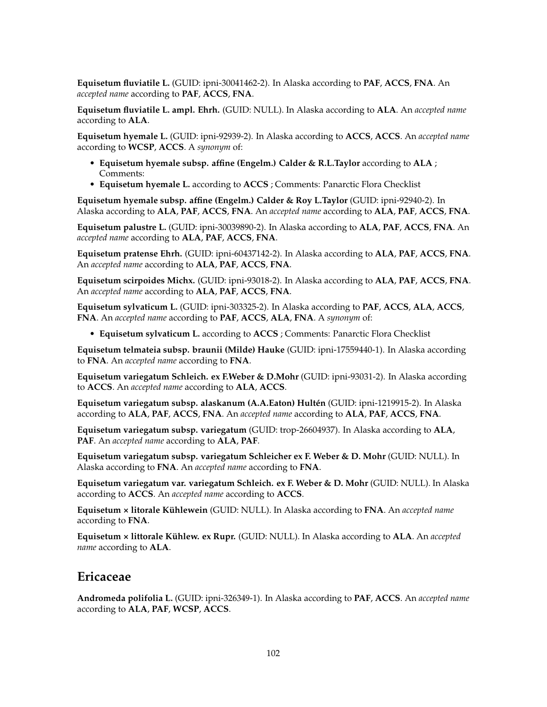**Equisetum fluviatile L.** (GUID: ipni-30041462-2). In Alaska according to **PAF**, **ACCS**, **FNA**. An *accepted name* according to **PAF**, **ACCS**, **FNA**.

**Equisetum fluviatile L. ampl. Ehrh.** (GUID: NULL). In Alaska according to **ALA**. An *accepted name* according to **ALA**.

**Equisetum hyemale L.** (GUID: ipni-92939-2). In Alaska according to **ACCS**, **ACCS**. An *accepted name* according to **WCSP**, **ACCS**. A *synonym* of:

- **Equisetum hyemale subsp. affine (Engelm.) Calder & R.L.Taylor** according to **ALA** ; Comments:
- **Equisetum hyemale L.** according to **ACCS** ; Comments: Panarctic Flora Checklist

**Equisetum hyemale subsp. affine (Engelm.) Calder & Roy L.Taylor** (GUID: ipni-92940-2). In Alaska according to **ALA**, **PAF**, **ACCS**, **FNA**. An *accepted name* according to **ALA**, **PAF**, **ACCS**, **FNA**.

**Equisetum palustre L.** (GUID: ipni-30039890-2). In Alaska according to **ALA**, **PAF**, **ACCS**, **FNA**. An *accepted name* according to **ALA**, **PAF**, **ACCS**, **FNA**.

**Equisetum pratense Ehrh.** (GUID: ipni-60437142-2). In Alaska according to **ALA**, **PAF**, **ACCS**, **FNA**. An *accepted name* according to **ALA**, **PAF**, **ACCS**, **FNA**.

**Equisetum scirpoides Michx.** (GUID: ipni-93018-2). In Alaska according to **ALA**, **PAF**, **ACCS**, **FNA**. An *accepted name* according to **ALA**, **PAF**, **ACCS**, **FNA**.

**Equisetum sylvaticum L.** (GUID: ipni-303325-2). In Alaska according to **PAF**, **ACCS**, **ALA**, **ACCS**, **FNA**. An *accepted name* according to **PAF**, **ACCS**, **ALA**, **FNA**. A *synonym* of:

• **Equisetum sylvaticum L.** according to **ACCS** ; Comments: Panarctic Flora Checklist

**Equisetum telmateia subsp. braunii (Milde) Hauke** (GUID: ipni-17559440-1). In Alaska according to **FNA**. An *accepted name* according to **FNA**.

**Equisetum variegatum Schleich. ex F.Weber & D.Mohr** (GUID: ipni-93031-2). In Alaska according to **ACCS**. An *accepted name* according to **ALA**, **ACCS**.

**Equisetum variegatum subsp. alaskanum (A.A.Eaton) Hultén** (GUID: ipni-1219915-2). In Alaska according to **ALA**, **PAF**, **ACCS**, **FNA**. An *accepted name* according to **ALA**, **PAF**, **ACCS**, **FNA**.

**Equisetum variegatum subsp. variegatum** (GUID: trop-26604937). In Alaska according to **ALA**, **PAF**. An *accepted name* according to **ALA**, **PAF**.

**Equisetum variegatum subsp. variegatum Schleicher ex F. Weber & D. Mohr** (GUID: NULL). In Alaska according to **FNA**. An *accepted name* according to **FNA**.

**Equisetum variegatum var. variegatum Schleich. ex F. Weber & D. Mohr** (GUID: NULL). In Alaska according to **ACCS**. An *accepted name* according to **ACCS**.

**Equisetum × litorale Kühlewein** (GUID: NULL). In Alaska according to **FNA**. An *accepted name* according to **FNA**.

**Equisetum × littorale Kühlew. ex Rupr.** (GUID: NULL). In Alaska according to **ALA**. An *accepted name* according to **ALA**.

#### **Ericaceae**

**Andromeda polifolia L.** (GUID: ipni-326349-1). In Alaska according to **PAF**, **ACCS**. An *accepted name* according to **ALA**, **PAF**, **WCSP**, **ACCS**.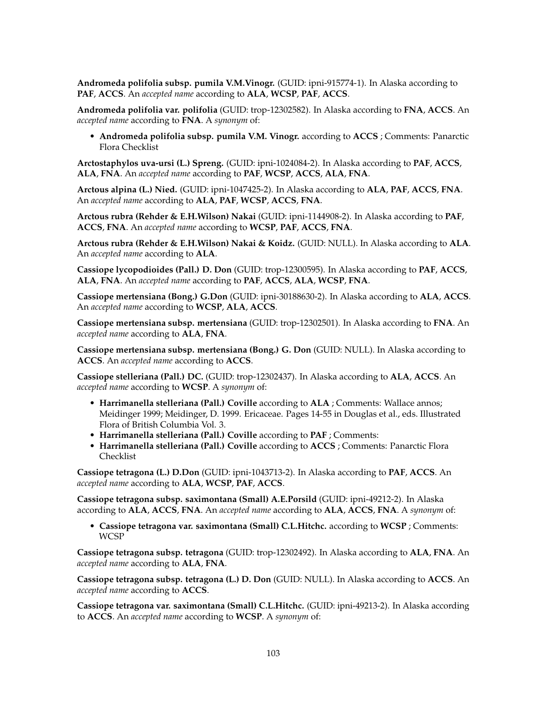**Andromeda polifolia subsp. pumila V.M.Vinogr.** (GUID: ipni-915774-1). In Alaska according to **PAF**, **ACCS**. An *accepted name* according to **ALA**, **WCSP**, **PAF**, **ACCS**.

**Andromeda polifolia var. polifolia** (GUID: trop-12302582). In Alaska according to **FNA**, **ACCS**. An *accepted name* according to **FNA**. A *synonym* of:

• **Andromeda polifolia subsp. pumila V.M. Vinogr.** according to **ACCS** ; Comments: Panarctic Flora Checklist

**Arctostaphylos uva-ursi (L.) Spreng.** (GUID: ipni-1024084-2). In Alaska according to **PAF**, **ACCS**, **ALA**, **FNA**. An *accepted name* according to **PAF**, **WCSP**, **ACCS**, **ALA**, **FNA**.

**Arctous alpina (L.) Nied.** (GUID: ipni-1047425-2). In Alaska according to **ALA**, **PAF**, **ACCS**, **FNA**. An *accepted name* according to **ALA**, **PAF**, **WCSP**, **ACCS**, **FNA**.

**Arctous rubra (Rehder & E.H.Wilson) Nakai** (GUID: ipni-1144908-2). In Alaska according to **PAF**, **ACCS**, **FNA**. An *accepted name* according to **WCSP**, **PAF**, **ACCS**, **FNA**.

**Arctous rubra (Rehder & E.H.Wilson) Nakai & Koidz.** (GUID: NULL). In Alaska according to **ALA**. An *accepted name* according to **ALA**.

**Cassiope lycopodioides (Pall.) D. Don** (GUID: trop-12300595). In Alaska according to **PAF**, **ACCS**, **ALA**, **FNA**. An *accepted name* according to **PAF**, **ACCS**, **ALA**, **WCSP**, **FNA**.

**Cassiope mertensiana (Bong.) G.Don** (GUID: ipni-30188630-2). In Alaska according to **ALA**, **ACCS**. An *accepted name* according to **WCSP**, **ALA**, **ACCS**.

**Cassiope mertensiana subsp. mertensiana** (GUID: trop-12302501). In Alaska according to **FNA**. An *accepted name* according to **ALA**, **FNA**.

**Cassiope mertensiana subsp. mertensiana (Bong.) G. Don** (GUID: NULL). In Alaska according to **ACCS**. An *accepted name* according to **ACCS**.

**Cassiope stelleriana (Pall.) DC.** (GUID: trop-12302437). In Alaska according to **ALA**, **ACCS**. An *accepted name* according to **WCSP**. A *synonym* of:

- **Harrimanella stelleriana (Pall.) Coville** according to **ALA** ; Comments: Wallace annos; Meidinger 1999; Meidinger, D. 1999. Ericaceae. Pages 14-55 in Douglas et al., eds. Illustrated Flora of British Columbia Vol. 3.
- **Harrimanella stelleriana (Pall.) Coville** according to **PAF** ; Comments:
- **Harrimanella stelleriana (Pall.) Coville** according to **ACCS** ; Comments: Panarctic Flora Checklist

**Cassiope tetragona (L.) D.Don** (GUID: ipni-1043713-2). In Alaska according to **PAF**, **ACCS**. An *accepted name* according to **ALA**, **WCSP**, **PAF**, **ACCS**.

**Cassiope tetragona subsp. saximontana (Small) A.E.Porsild** (GUID: ipni-49212-2). In Alaska according to **ALA**, **ACCS**, **FNA**. An *accepted name* according to **ALA**, **ACCS**, **FNA**. A *synonym* of:

• **Cassiope tetragona var. saximontana (Small) C.L.Hitchc.** according to **WCSP** ; Comments: WCSP

**Cassiope tetragona subsp. tetragona** (GUID: trop-12302492). In Alaska according to **ALA**, **FNA**. An *accepted name* according to **ALA**, **FNA**.

**Cassiope tetragona subsp. tetragona (L.) D. Don** (GUID: NULL). In Alaska according to **ACCS**. An *accepted name* according to **ACCS**.

**Cassiope tetragona var. saximontana (Small) C.L.Hitchc.** (GUID: ipni-49213-2). In Alaska according to **ACCS**. An *accepted name* according to **WCSP**. A *synonym* of: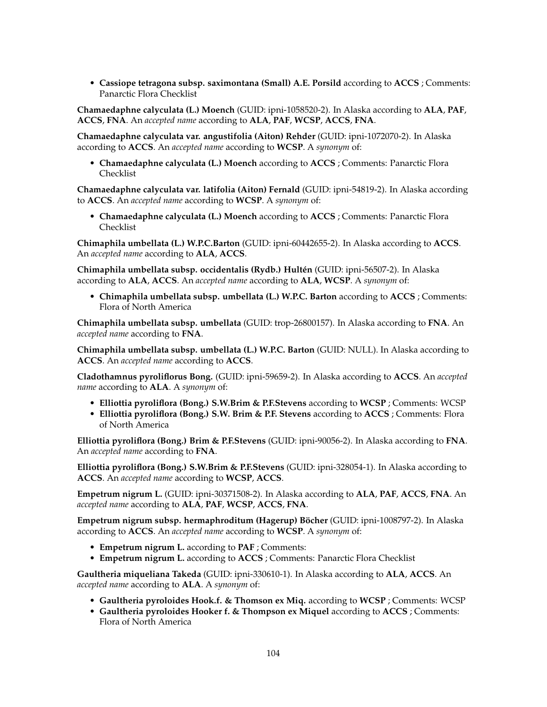• **Cassiope tetragona subsp. saximontana (Small) A.E. Porsild** according to **ACCS** ; Comments: Panarctic Flora Checklist

**Chamaedaphne calyculata (L.) Moench** (GUID: ipni-1058520-2). In Alaska according to **ALA**, **PAF**, **ACCS**, **FNA**. An *accepted name* according to **ALA**, **PAF**, **WCSP**, **ACCS**, **FNA**.

**Chamaedaphne calyculata var. angustifolia (Aiton) Rehder** (GUID: ipni-1072070-2). In Alaska according to **ACCS**. An *accepted name* according to **WCSP**. A *synonym* of:

• **Chamaedaphne calyculata (L.) Moench** according to **ACCS** ; Comments: Panarctic Flora Checklist

**Chamaedaphne calyculata var. latifolia (Aiton) Fernald** (GUID: ipni-54819-2). In Alaska according to **ACCS**. An *accepted name* according to **WCSP**. A *synonym* of:

• **Chamaedaphne calyculata (L.) Moench** according to **ACCS** ; Comments: Panarctic Flora Checklist

**Chimaphila umbellata (L.) W.P.C.Barton** (GUID: ipni-60442655-2). In Alaska according to **ACCS**. An *accepted name* according to **ALA**, **ACCS**.

**Chimaphila umbellata subsp. occidentalis (Rydb.) Hultén** (GUID: ipni-56507-2). In Alaska according to **ALA**, **ACCS**. An *accepted name* according to **ALA**, **WCSP**. A *synonym* of:

• **Chimaphila umbellata subsp. umbellata (L.) W.P.C. Barton** according to **ACCS** ; Comments: Flora of North America

**Chimaphila umbellata subsp. umbellata** (GUID: trop-26800157). In Alaska according to **FNA**. An *accepted name* according to **FNA**.

**Chimaphila umbellata subsp. umbellata (L.) W.P.C. Barton** (GUID: NULL). In Alaska according to **ACCS**. An *accepted name* according to **ACCS**.

**Cladothamnus pyroliflorus Bong.** (GUID: ipni-59659-2). In Alaska according to **ACCS**. An *accepted name* according to **ALA**. A *synonym* of:

- **Elliottia pyroliflora (Bong.) S.W.Brim & P.F.Stevens** according to **WCSP** ; Comments: WCSP
- **Elliottia pyroliflora (Bong.) S.W. Brim & P.F. Stevens** according to **ACCS** ; Comments: Flora of North America

**Elliottia pyroliflora (Bong.) Brim & P.F.Stevens** (GUID: ipni-90056-2). In Alaska according to **FNA**. An *accepted name* according to **FNA**.

**Elliottia pyroliflora (Bong.) S.W.Brim & P.F.Stevens** (GUID: ipni-328054-1). In Alaska according to **ACCS**. An *accepted name* according to **WCSP**, **ACCS**.

**Empetrum nigrum L.** (GUID: ipni-30371508-2). In Alaska according to **ALA**, **PAF**, **ACCS**, **FNA**. An *accepted name* according to **ALA**, **PAF**, **WCSP**, **ACCS**, **FNA**.

**Empetrum nigrum subsp. hermaphroditum (Hagerup) Böcher** (GUID: ipni-1008797-2). In Alaska according to **ACCS**. An *accepted name* according to **WCSP**. A *synonym* of:

- **Empetrum nigrum L.** according to **PAF** ; Comments:
- **Empetrum nigrum L.** according to **ACCS** ; Comments: Panarctic Flora Checklist

**Gaultheria miqueliana Takeda** (GUID: ipni-330610-1). In Alaska according to **ALA**, **ACCS**. An *accepted name* according to **ALA**. A *synonym* of:

- **Gaultheria pyroloides Hook.f. & Thomson ex Miq.** according to **WCSP** ; Comments: WCSP
- **Gaultheria pyroloides Hooker f. & Thompson ex Miquel** according to **ACCS** ; Comments: Flora of North America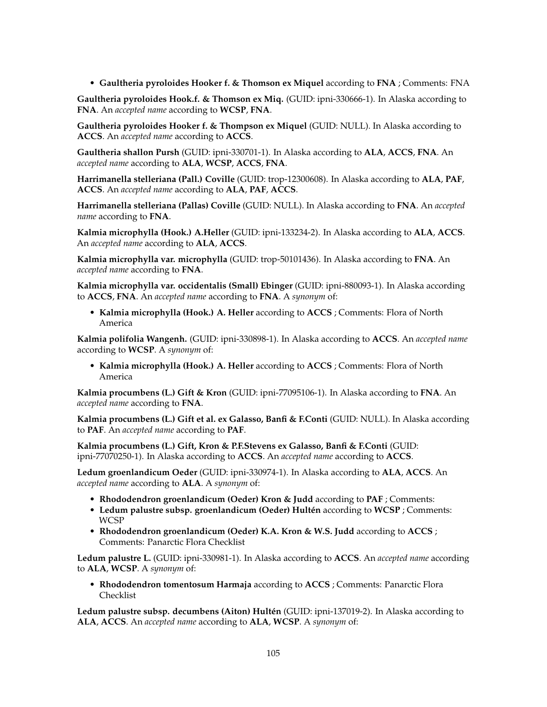• **Gaultheria pyroloides Hooker f. & Thomson ex Miquel** according to **FNA** ; Comments: FNA

**Gaultheria pyroloides Hook.f. & Thomson ex Miq.** (GUID: ipni-330666-1). In Alaska according to **FNA**. An *accepted name* according to **WCSP**, **FNA**.

**Gaultheria pyroloides Hooker f. & Thompson ex Miquel** (GUID: NULL). In Alaska according to **ACCS**. An *accepted name* according to **ACCS**.

**Gaultheria shallon Pursh** (GUID: ipni-330701-1). In Alaska according to **ALA**, **ACCS**, **FNA**. An *accepted name* according to **ALA**, **WCSP**, **ACCS**, **FNA**.

**Harrimanella stelleriana (Pall.) Coville** (GUID: trop-12300608). In Alaska according to **ALA**, **PAF**, **ACCS**. An *accepted name* according to **ALA**, **PAF**, **ACCS**.

**Harrimanella stelleriana (Pallas) Coville** (GUID: NULL). In Alaska according to **FNA**. An *accepted name* according to **FNA**.

**Kalmia microphylla (Hook.) A.Heller** (GUID: ipni-133234-2). In Alaska according to **ALA**, **ACCS**. An *accepted name* according to **ALA**, **ACCS**.

**Kalmia microphylla var. microphylla** (GUID: trop-50101436). In Alaska according to **FNA**. An *accepted name* according to **FNA**.

**Kalmia microphylla var. occidentalis (Small) Ebinger** (GUID: ipni-880093-1). In Alaska according to **ACCS**, **FNA**. An *accepted name* according to **FNA**. A *synonym* of:

• **Kalmia microphylla (Hook.) A. Heller** according to **ACCS** ; Comments: Flora of North America

**Kalmia polifolia Wangenh.** (GUID: ipni-330898-1). In Alaska according to **ACCS**. An *accepted name* according to **WCSP**. A *synonym* of:

• **Kalmia microphylla (Hook.) A. Heller** according to **ACCS** ; Comments: Flora of North America

**Kalmia procumbens (L.) Gift & Kron** (GUID: ipni-77095106-1). In Alaska according to **FNA**. An *accepted name* according to **FNA**.

**Kalmia procumbens (L.) Gift et al. ex Galasso, Banfi & F.Conti** (GUID: NULL). In Alaska according to **PAF**. An *accepted name* according to **PAF**.

**Kalmia procumbens (L.) Gift, Kron & P.F.Stevens ex Galasso, Banfi & F.Conti** (GUID: ipni-77070250-1). In Alaska according to **ACCS**. An *accepted name* according to **ACCS**.

**Ledum groenlandicum Oeder** (GUID: ipni-330974-1). In Alaska according to **ALA**, **ACCS**. An *accepted name* according to **ALA**. A *synonym* of:

- **Rhododendron groenlandicum (Oeder) Kron & Judd** according to **PAF** ; Comments:
- **Ledum palustre subsp. groenlandicum (Oeder) Hultén** according to **WCSP** ; Comments: WCSP
- **Rhododendron groenlandicum (Oeder) K.A. Kron & W.S. Judd** according to **ACCS** ; Comments: Panarctic Flora Checklist

**Ledum palustre L.** (GUID: ipni-330981-1). In Alaska according to **ACCS**. An *accepted name* according to **ALA**, **WCSP**. A *synonym* of:

• **Rhododendron tomentosum Harmaja** according to **ACCS** ; Comments: Panarctic Flora Checklist

**Ledum palustre subsp. decumbens (Aiton) Hultén** (GUID: ipni-137019-2). In Alaska according to **ALA**, **ACCS**. An *accepted name* according to **ALA**, **WCSP**. A *synonym* of: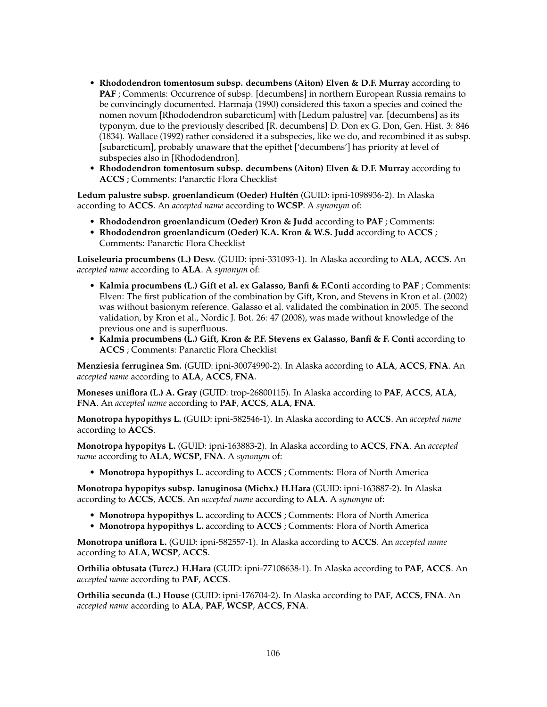- **Rhododendron tomentosum subsp. decumbens (Aiton) Elven & D.F. Murray** according to **PAF** ; Comments: Occurrence of subsp. [decumbens] in northern European Russia remains to be convincingly documented. Harmaja (1990) considered this taxon a species and coined the nomen novum [Rhododendron subarcticum] with [Ledum palustre] var. [decumbens] as its typonym, due to the previously described [R. decumbens] D. Don ex G. Don, Gen. Hist. 3: 846 (1834). Wallace (1992) rather considered it a subspecies, like we do, and recombined it as subsp. [subarcticum], probably unaware that the epithet ['decumbens'] has priority at level of subspecies also in [Rhododendron].
- **Rhododendron tomentosum subsp. decumbens (Aiton) Elven & D.F. Murray** according to **ACCS** ; Comments: Panarctic Flora Checklist

**Ledum palustre subsp. groenlandicum (Oeder) Hultén** (GUID: ipni-1098936-2). In Alaska according to **ACCS**. An *accepted name* according to **WCSP**. A *synonym* of:

- **Rhododendron groenlandicum (Oeder) Kron & Judd** according to **PAF** ; Comments:
- **Rhododendron groenlandicum (Oeder) K.A. Kron & W.S. Judd** according to **ACCS** ; Comments: Panarctic Flora Checklist

**Loiseleuria procumbens (L.) Desv.** (GUID: ipni-331093-1). In Alaska according to **ALA**, **ACCS**. An *accepted name* according to **ALA**. A *synonym* of:

- **Kalmia procumbens (L.) Gift et al. ex Galasso, Banfi & F.Conti** according to **PAF** ; Comments: Elven: The first publication of the combination by Gift, Kron, and Stevens in Kron et al. (2002) was without basionym reference. Galasso et al. validated the combination in 2005. The second validation, by Kron et al., Nordic J. Bot. 26: 47 (2008), was made without knowledge of the previous one and is superfluous.
- **Kalmia procumbens (L.) Gift, Kron & P.F. Stevens ex Galasso, Banfi & F. Conti** according to **ACCS** ; Comments: Panarctic Flora Checklist

**Menziesia ferruginea Sm.** (GUID: ipni-30074990-2). In Alaska according to **ALA**, **ACCS**, **FNA**. An *accepted name* according to **ALA**, **ACCS**, **FNA**.

**Moneses uniflora (L.) A. Gray** (GUID: trop-26800115). In Alaska according to **PAF**, **ACCS**, **ALA**, **FNA**. An *accepted name* according to **PAF**, **ACCS**, **ALA**, **FNA**.

**Monotropa hypopithys L.** (GUID: ipni-582546-1). In Alaska according to **ACCS**. An *accepted name* according to **ACCS**.

**Monotropa hypopitys L.** (GUID: ipni-163883-2). In Alaska according to **ACCS**, **FNA**. An *accepted name* according to **ALA**, **WCSP**, **FNA**. A *synonym* of:

• **Monotropa hypopithys L.** according to **ACCS** ; Comments: Flora of North America

**Monotropa hypopitys subsp. lanuginosa (Michx.) H.Hara** (GUID: ipni-163887-2). In Alaska according to **ACCS**, **ACCS**. An *accepted name* according to **ALA**. A *synonym* of:

- **Monotropa hypopithys L.** according to **ACCS** ; Comments: Flora of North America
- **Monotropa hypopithys L.** according to **ACCS** ; Comments: Flora of North America

**Monotropa uniflora L.** (GUID: ipni-582557-1). In Alaska according to **ACCS**. An *accepted name* according to **ALA**, **WCSP**, **ACCS**.

**Orthilia obtusata (Turcz.) H.Hara** (GUID: ipni-77108638-1). In Alaska according to **PAF**, **ACCS**. An *accepted name* according to **PAF**, **ACCS**.

**Orthilia secunda (L.) House** (GUID: ipni-176704-2). In Alaska according to **PAF**, **ACCS**, **FNA**. An *accepted name* according to **ALA**, **PAF**, **WCSP**, **ACCS**, **FNA**.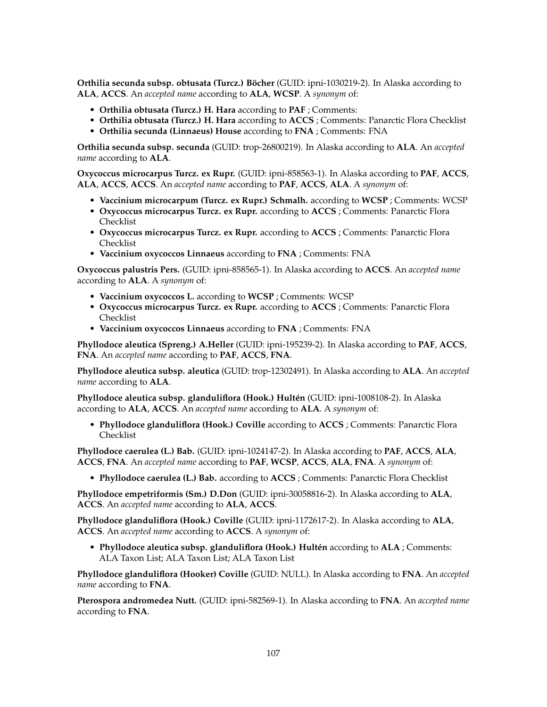**Orthilia secunda subsp. obtusata (Turcz.) Böcher** (GUID: ipni-1030219-2). In Alaska according to **ALA**, **ACCS**. An *accepted name* according to **ALA**, **WCSP**. A *synonym* of:

- **Orthilia obtusata (Turcz.) H. Hara** according to **PAF** ; Comments:
- **Orthilia obtusata (Turcz.) H. Hara** according to **ACCS** ; Comments: Panarctic Flora Checklist
- **Orthilia secunda (Linnaeus) House** according to **FNA** ; Comments: FNA

**Orthilia secunda subsp. secunda** (GUID: trop-26800219). In Alaska according to **ALA**. An *accepted name* according to **ALA**.

**Oxycoccus microcarpus Turcz. ex Rupr.** (GUID: ipni-858563-1). In Alaska according to **PAF**, **ACCS**, **ALA**, **ACCS**, **ACCS**. An *accepted name* according to **PAF**, **ACCS**, **ALA**. A *synonym* of:

- **Vaccinium microcarpum (Turcz. ex Rupr.) Schmalh.** according to **WCSP** ; Comments: WCSP
- **Oxycoccus microcarpus Turcz. ex Rupr.** according to **ACCS** ; Comments: Panarctic Flora Checklist
- **Oxycoccus microcarpus Turcz. ex Rupr.** according to **ACCS** ; Comments: Panarctic Flora Checklist
- **Vaccinium oxycoccos Linnaeus** according to **FNA** ; Comments: FNA

**Oxycoccus palustris Pers.** (GUID: ipni-858565-1). In Alaska according to **ACCS**. An *accepted name* according to **ALA**. A *synonym* of:

- **Vaccinium oxycoccos L.** according to **WCSP** ; Comments: WCSP
- **Oxycoccus microcarpus Turcz. ex Rupr.** according to **ACCS** ; Comments: Panarctic Flora Checklist
- **Vaccinium oxycoccos Linnaeus** according to **FNA** ; Comments: FNA

**Phyllodoce aleutica (Spreng.) A.Heller** (GUID: ipni-195239-2). In Alaska according to **PAF**, **ACCS**, **FNA**. An *accepted name* according to **PAF**, **ACCS**, **FNA**.

**Phyllodoce aleutica subsp. aleutica** (GUID: trop-12302491). In Alaska according to **ALA**. An *accepted name* according to **ALA**.

**Phyllodoce aleutica subsp. glanduliflora (Hook.) Hultén** (GUID: ipni-1008108-2). In Alaska according to **ALA**, **ACCS**. An *accepted name* according to **ALA**. A *synonym* of:

• **Phyllodoce glanduliflora (Hook.) Coville** according to **ACCS** ; Comments: Panarctic Flora Checklist

**Phyllodoce caerulea (L.) Bab.** (GUID: ipni-1024147-2). In Alaska according to **PAF**, **ACCS**, **ALA**, **ACCS**, **FNA**. An *accepted name* according to **PAF**, **WCSP**, **ACCS**, **ALA**, **FNA**. A *synonym* of:

• **Phyllodoce caerulea (L.) Bab.** according to **ACCS** ; Comments: Panarctic Flora Checklist

**Phyllodoce empetriformis (Sm.) D.Don** (GUID: ipni-30058816-2). In Alaska according to **ALA**, **ACCS**. An *accepted name* according to **ALA**, **ACCS**.

**Phyllodoce glanduliflora (Hook.) Coville** (GUID: ipni-1172617-2). In Alaska according to **ALA**, **ACCS**. An *accepted name* according to **ACCS**. A *synonym* of:

• **Phyllodoce aleutica subsp. glanduliflora (Hook.) Hultén** according to **ALA** ; Comments: ALA Taxon List; ALA Taxon List; ALA Taxon List

**Phyllodoce glanduliflora (Hooker) Coville** (GUID: NULL). In Alaska according to **FNA**. An *accepted name* according to **FNA**.

**Pterospora andromedea Nutt.** (GUID: ipni-582569-1). In Alaska according to **FNA**. An *accepted name* according to **FNA**.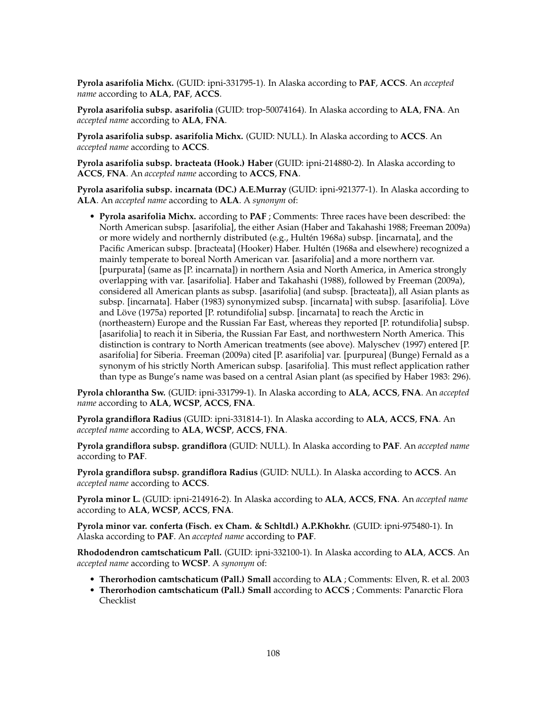**Pyrola asarifolia Michx.** (GUID: ipni-331795-1). In Alaska according to **PAF**, **ACCS**. An *accepted name* according to **ALA**, **PAF**, **ACCS**.

**Pyrola asarifolia subsp. asarifolia** (GUID: trop-50074164). In Alaska according to **ALA**, **FNA**. An *accepted name* according to **ALA**, **FNA**.

**Pyrola asarifolia subsp. asarifolia Michx.** (GUID: NULL). In Alaska according to **ACCS**. An *accepted name* according to **ACCS**.

**Pyrola asarifolia subsp. bracteata (Hook.) Haber** (GUID: ipni-214880-2). In Alaska according to **ACCS**, **FNA**. An *accepted name* according to **ACCS**, **FNA**.

**Pyrola asarifolia subsp. incarnata (DC.) A.E.Murray** (GUID: ipni-921377-1). In Alaska according to **ALA**. An *accepted name* according to **ALA**. A *synonym* of:

• **Pyrola asarifolia Michx.** according to **PAF** ; Comments: Three races have been described: the North American subsp. [asarifolia], the either Asian (Haber and Takahashi 1988; Freeman 2009a) or more widely and northernly distributed (e.g., Hultén 1968a) subsp. [incarnata], and the Pacific American subsp. [bracteata] (Hooker) Haber. Hultén (1968a and elsewhere) recognized a mainly temperate to boreal North American var. [asarifolia] and a more northern var. [purpurata] (same as [P. incarnata]) in northern Asia and North America, in America strongly overlapping with var. [asarifolia]. Haber and Takahashi (1988), followed by Freeman (2009a), considered all American plants as subsp. [asarifolia] (and subsp. [bracteata]), all Asian plants as subsp. [incarnata]. Haber (1983) synonymized subsp. [incarnata] with subsp. [asarifolia]. Löve and Löve (1975a) reported [P. rotundifolia] subsp. [incarnata] to reach the Arctic in (northeastern) Europe and the Russian Far East, whereas they reported [P. rotundifolia] subsp. [asarifolia] to reach it in Siberia, the Russian Far East, and northwestern North America. This distinction is contrary to North American treatments (see above). Malyschev (1997) entered [P. asarifolia] for Siberia. Freeman (2009a) cited [P. asarifolia] var. [purpurea] (Bunge) Fernald as a synonym of his strictly North American subsp. [asarifolia]. This must reflect application rather than type as Bunge's name was based on a central Asian plant (as specified by Haber 1983: 296).

**Pyrola chlorantha Sw.** (GUID: ipni-331799-1). In Alaska according to **ALA**, **ACCS**, **FNA**. An *accepted name* according to **ALA**, **WCSP**, **ACCS**, **FNA**.

**Pyrola grandiflora Radius** (GUID: ipni-331814-1). In Alaska according to **ALA**, **ACCS**, **FNA**. An *accepted name* according to **ALA**, **WCSP**, **ACCS**, **FNA**.

**Pyrola grandiflora subsp. grandiflora** (GUID: NULL). In Alaska according to **PAF**. An *accepted name* according to **PAF**.

**Pyrola grandiflora subsp. grandiflora Radius** (GUID: NULL). In Alaska according to **ACCS**. An *accepted name* according to **ACCS**.

**Pyrola minor L.** (GUID: ipni-214916-2). In Alaska according to **ALA**, **ACCS**, **FNA**. An *accepted name* according to **ALA**, **WCSP**, **ACCS**, **FNA**.

**Pyrola minor var. conferta (Fisch. ex Cham. & Schltdl.) A.P.Khokhr.** (GUID: ipni-975480-1). In Alaska according to **PAF**. An *accepted name* according to **PAF**.

**Rhododendron camtschaticum Pall.** (GUID: ipni-332100-1). In Alaska according to **ALA**, **ACCS**. An *accepted name* according to **WCSP**. A *synonym* of:

- **Therorhodion camtschaticum (Pall.) Small** according to **ALA** ; Comments: Elven, R. et al. 2003
- **Therorhodion camtschaticum (Pall.) Small** according to **ACCS** ; Comments: Panarctic Flora Checklist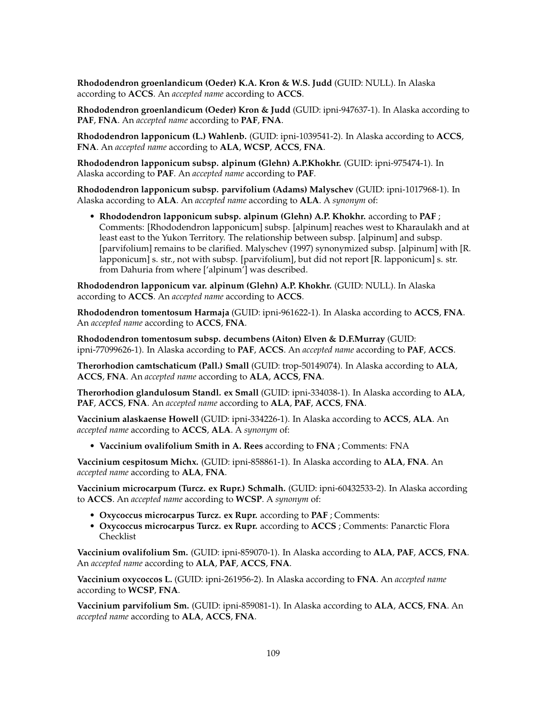**Rhododendron groenlandicum (Oeder) K.A. Kron & W.S. Judd** (GUID: NULL). In Alaska according to **ACCS**. An *accepted name* according to **ACCS**.

**Rhododendron groenlandicum (Oeder) Kron & Judd** (GUID: ipni-947637-1). In Alaska according to **PAF**, **FNA**. An *accepted name* according to **PAF**, **FNA**.

**Rhododendron lapponicum (L.) Wahlenb.** (GUID: ipni-1039541-2). In Alaska according to **ACCS**, **FNA**. An *accepted name* according to **ALA**, **WCSP**, **ACCS**, **FNA**.

**Rhododendron lapponicum subsp. alpinum (Glehn) A.P.Khokhr.** (GUID: ipni-975474-1). In Alaska according to **PAF**. An *accepted name* according to **PAF**.

**Rhododendron lapponicum subsp. parvifolium (Adams) Malyschev** (GUID: ipni-1017968-1). In Alaska according to **ALA**. An *accepted name* according to **ALA**. A *synonym* of:

• **Rhododendron lapponicum subsp. alpinum (Glehn) A.P. Khokhr.** according to **PAF** ; Comments: [Rhododendron lapponicum] subsp. [alpinum] reaches west to Kharaulakh and at least east to the Yukon Territory. The relationship between subsp. [alpinum] and subsp. [parvifolium] remains to be clarified. Malyschev (1997) synonymized subsp. [alpinum] with [R. lapponicum] s. str., not with subsp. [parvifolium], but did not report [R. lapponicum] s. str. from Dahuria from where ['alpinum'] was described.

**Rhododendron lapponicum var. alpinum (Glehn) A.P. Khokhr.** (GUID: NULL). In Alaska according to **ACCS**. An *accepted name* according to **ACCS**.

**Rhododendron tomentosum Harmaja** (GUID: ipni-961622-1). In Alaska according to **ACCS**, **FNA**. An *accepted name* according to **ACCS**, **FNA**.

**Rhododendron tomentosum subsp. decumbens (Aiton) Elven & D.F.Murray** (GUID: ipni-77099626-1). In Alaska according to **PAF**, **ACCS**. An *accepted name* according to **PAF**, **ACCS**.

**Therorhodion camtschaticum (Pall.) Small** (GUID: trop-50149074). In Alaska according to **ALA**, **ACCS**, **FNA**. An *accepted name* according to **ALA**, **ACCS**, **FNA**.

**Therorhodion glandulosum Standl. ex Small** (GUID: ipni-334038-1). In Alaska according to **ALA**, **PAF**, **ACCS**, **FNA**. An *accepted name* according to **ALA**, **PAF**, **ACCS**, **FNA**.

**Vaccinium alaskaense Howell** (GUID: ipni-334226-1). In Alaska according to **ACCS**, **ALA**. An *accepted name* according to **ACCS**, **ALA**. A *synonym* of:

• **Vaccinium ovalifolium Smith in A. Rees** according to **FNA** ; Comments: FNA

**Vaccinium cespitosum Michx.** (GUID: ipni-858861-1). In Alaska according to **ALA**, **FNA**. An *accepted name* according to **ALA**, **FNA**.

**Vaccinium microcarpum (Turcz. ex Rupr.) Schmalh.** (GUID: ipni-60432533-2). In Alaska according to **ACCS**. An *accepted name* according to **WCSP**. A *synonym* of:

- **Oxycoccus microcarpus Turcz. ex Rupr.** according to **PAF** ; Comments:
- **Oxycoccus microcarpus Turcz. ex Rupr.** according to **ACCS** ; Comments: Panarctic Flora Checklist

**Vaccinium ovalifolium Sm.** (GUID: ipni-859070-1). In Alaska according to **ALA**, **PAF**, **ACCS**, **FNA**. An *accepted name* according to **ALA**, **PAF**, **ACCS**, **FNA**.

**Vaccinium oxycoccos L.** (GUID: ipni-261956-2). In Alaska according to **FNA**. An *accepted name* according to **WCSP**, **FNA**.

**Vaccinium parvifolium Sm.** (GUID: ipni-859081-1). In Alaska according to **ALA**, **ACCS**, **FNA**. An *accepted name* according to **ALA**, **ACCS**, **FNA**.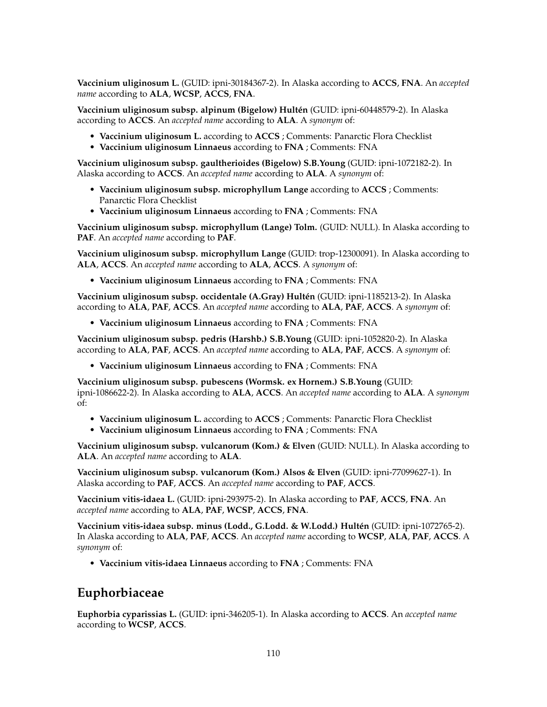**Vaccinium uliginosum L.** (GUID: ipni-30184367-2). In Alaska according to **ACCS**, **FNA**. An *accepted name* according to **ALA**, **WCSP**, **ACCS**, **FNA**.

**Vaccinium uliginosum subsp. alpinum (Bigelow) Hultén** (GUID: ipni-60448579-2). In Alaska according to **ACCS**. An *accepted name* according to **ALA**. A *synonym* of:

- **Vaccinium uliginosum L.** according to **ACCS** ; Comments: Panarctic Flora Checklist
- **Vaccinium uliginosum Linnaeus** according to **FNA** ; Comments: FNA

**Vaccinium uliginosum subsp. gaultherioides (Bigelow) S.B.Young** (GUID: ipni-1072182-2). In Alaska according to **ACCS**. An *accepted name* according to **ALA**. A *synonym* of:

- **Vaccinium uliginosum subsp. microphyllum Lange** according to **ACCS** ; Comments: Panarctic Flora Checklist
- **Vaccinium uliginosum Linnaeus** according to **FNA** ; Comments: FNA

**Vaccinium uliginosum subsp. microphyllum (Lange) Tolm.** (GUID: NULL). In Alaska according to **PAF**. An *accepted name* according to **PAF**.

**Vaccinium uliginosum subsp. microphyllum Lange** (GUID: trop-12300091). In Alaska according to **ALA**, **ACCS**. An *accepted name* according to **ALA**, **ACCS**. A *synonym* of:

• **Vaccinium uliginosum Linnaeus** according to **FNA** ; Comments: FNA

**Vaccinium uliginosum subsp. occidentale (A.Gray) Hultén** (GUID: ipni-1185213-2). In Alaska according to **ALA**, **PAF**, **ACCS**. An *accepted name* according to **ALA**, **PAF**, **ACCS**. A *synonym* of:

• **Vaccinium uliginosum Linnaeus** according to **FNA** ; Comments: FNA

**Vaccinium uliginosum subsp. pedris (Harshb.) S.B.Young** (GUID: ipni-1052820-2). In Alaska according to **ALA**, **PAF**, **ACCS**. An *accepted name* according to **ALA**, **PAF**, **ACCS**. A *synonym* of:

• **Vaccinium uliginosum Linnaeus** according to **FNA** ; Comments: FNA

**Vaccinium uliginosum subsp. pubescens (Wormsk. ex Hornem.) S.B.Young** (GUID: ipni-1086622-2). In Alaska according to **ALA**, **ACCS**. An *accepted name* according to **ALA**. A *synonym* of:

- **Vaccinium uliginosum L.** according to **ACCS** ; Comments: Panarctic Flora Checklist
- **Vaccinium uliginosum Linnaeus** according to **FNA** ; Comments: FNA

**Vaccinium uliginosum subsp. vulcanorum (Kom.) & Elven** (GUID: NULL). In Alaska according to **ALA**. An *accepted name* according to **ALA**.

**Vaccinium uliginosum subsp. vulcanorum (Kom.) Alsos & Elven** (GUID: ipni-77099627-1). In Alaska according to **PAF**, **ACCS**. An *accepted name* according to **PAF**, **ACCS**.

**Vaccinium vitis-idaea L.** (GUID: ipni-293975-2). In Alaska according to **PAF**, **ACCS**, **FNA**. An *accepted name* according to **ALA**, **PAF**, **WCSP**, **ACCS**, **FNA**.

**Vaccinium vitis-idaea subsp. minus (Lodd., G.Lodd. & W.Lodd.) Hultén** (GUID: ipni-1072765-2). In Alaska according to **ALA**, **PAF**, **ACCS**. An *accepted name* according to **WCSP**, **ALA**, **PAF**, **ACCS**. A *synonym* of:

• **Vaccinium vitis-idaea Linnaeus** according to **FNA** ; Comments: FNA

## **Euphorbiaceae**

**Euphorbia cyparissias L.** (GUID: ipni-346205-1). In Alaska according to **ACCS**. An *accepted name* according to **WCSP**, **ACCS**.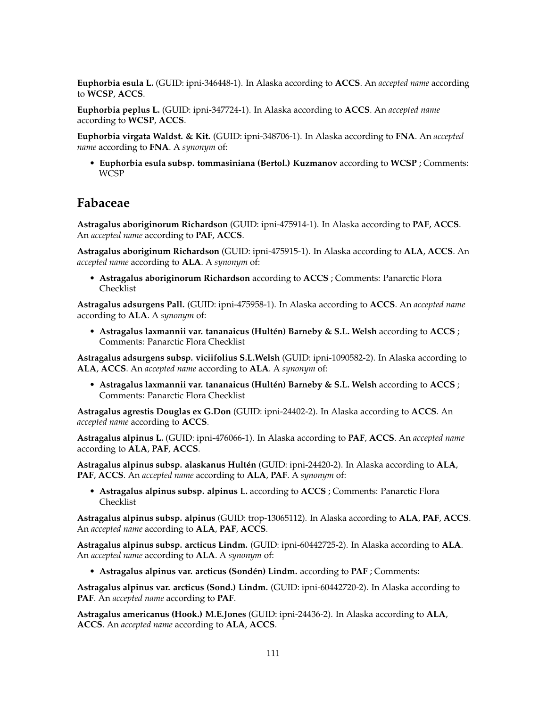**Euphorbia esula L.** (GUID: ipni-346448-1). In Alaska according to **ACCS**. An *accepted name* according to **WCSP**, **ACCS**.

**Euphorbia peplus L.** (GUID: ipni-347724-1). In Alaska according to **ACCS**. An *accepted name* according to **WCSP**, **ACCS**.

**Euphorbia virgata Waldst. & Kit.** (GUID: ipni-348706-1). In Alaska according to **FNA**. An *accepted name* according to **FNA**. A *synonym* of:

• **Euphorbia esula subsp. tommasiniana (Bertol.) Kuzmanov** according to **WCSP** ; Comments: WCSP

### **Fabaceae**

**Astragalus aboriginorum Richardson** (GUID: ipni-475914-1). In Alaska according to **PAF**, **ACCS**. An *accepted name* according to **PAF**, **ACCS**.

**Astragalus aboriginum Richardson** (GUID: ipni-475915-1). In Alaska according to **ALA**, **ACCS**. An *accepted name* according to **ALA**. A *synonym* of:

• **Astragalus aboriginorum Richardson** according to **ACCS** ; Comments: Panarctic Flora Checklist

**Astragalus adsurgens Pall.** (GUID: ipni-475958-1). In Alaska according to **ACCS**. An *accepted name* according to **ALA**. A *synonym* of:

• **Astragalus laxmannii var. tananaicus (Hultén) Barneby & S.L. Welsh** according to **ACCS** ; Comments: Panarctic Flora Checklist

**Astragalus adsurgens subsp. viciifolius S.L.Welsh** (GUID: ipni-1090582-2). In Alaska according to **ALA**, **ACCS**. An *accepted name* according to **ALA**. A *synonym* of:

• **Astragalus laxmannii var. tananaicus (Hultén) Barneby & S.L. Welsh** according to **ACCS** ; Comments: Panarctic Flora Checklist

**Astragalus agrestis Douglas ex G.Don** (GUID: ipni-24402-2). In Alaska according to **ACCS**. An *accepted name* according to **ACCS**.

**Astragalus alpinus L.** (GUID: ipni-476066-1). In Alaska according to **PAF**, **ACCS**. An *accepted name* according to **ALA**, **PAF**, **ACCS**.

**Astragalus alpinus subsp. alaskanus Hultén** (GUID: ipni-24420-2). In Alaska according to **ALA**, **PAF**, **ACCS**. An *accepted name* according to **ALA**, **PAF**. A *synonym* of:

• **Astragalus alpinus subsp. alpinus L.** according to **ACCS** ; Comments: Panarctic Flora Checklist

**Astragalus alpinus subsp. alpinus** (GUID: trop-13065112). In Alaska according to **ALA**, **PAF**, **ACCS**. An *accepted name* according to **ALA**, **PAF**, **ACCS**.

**Astragalus alpinus subsp. arcticus Lindm.** (GUID: ipni-60442725-2). In Alaska according to **ALA**. An *accepted name* according to **ALA**. A *synonym* of:

• **Astragalus alpinus var. arcticus (Sondén) Lindm.** according to **PAF** ; Comments:

**Astragalus alpinus var. arcticus (Sond.) Lindm.** (GUID: ipni-60442720-2). In Alaska according to **PAF**. An *accepted name* according to **PAF**.

**Astragalus americanus (Hook.) M.E.Jones** (GUID: ipni-24436-2). In Alaska according to **ALA**, **ACCS**. An *accepted name* according to **ALA**, **ACCS**.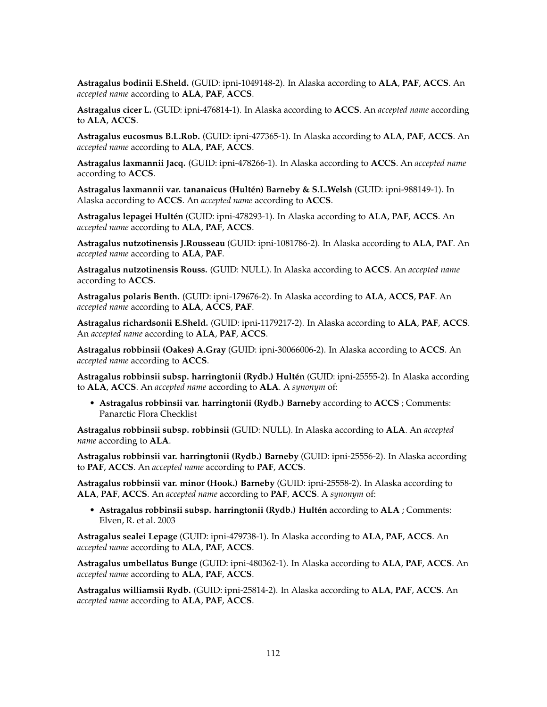**Astragalus bodinii E.Sheld.** (GUID: ipni-1049148-2). In Alaska according to **ALA**, **PAF**, **ACCS**. An *accepted name* according to **ALA**, **PAF**, **ACCS**.

**Astragalus cicer L.** (GUID: ipni-476814-1). In Alaska according to **ACCS**. An *accepted name* according to **ALA**, **ACCS**.

**Astragalus eucosmus B.L.Rob.** (GUID: ipni-477365-1). In Alaska according to **ALA**, **PAF**, **ACCS**. An *accepted name* according to **ALA**, **PAF**, **ACCS**.

**Astragalus laxmannii Jacq.** (GUID: ipni-478266-1). In Alaska according to **ACCS**. An *accepted name* according to **ACCS**.

**Astragalus laxmannii var. tananaicus (Hultén) Barneby & S.L.Welsh** (GUID: ipni-988149-1). In Alaska according to **ACCS**. An *accepted name* according to **ACCS**.

**Astragalus lepagei Hultén** (GUID: ipni-478293-1). In Alaska according to **ALA**, **PAF**, **ACCS**. An *accepted name* according to **ALA**, **PAF**, **ACCS**.

**Astragalus nutzotinensis J.Rousseau** (GUID: ipni-1081786-2). In Alaska according to **ALA**, **PAF**. An *accepted name* according to **ALA**, **PAF**.

**Astragalus nutzotinensis Rouss.** (GUID: NULL). In Alaska according to **ACCS**. An *accepted name* according to **ACCS**.

**Astragalus polaris Benth.** (GUID: ipni-179676-2). In Alaska according to **ALA**, **ACCS**, **PAF**. An *accepted name* according to **ALA**, **ACCS**, **PAF**.

**Astragalus richardsonii E.Sheld.** (GUID: ipni-1179217-2). In Alaska according to **ALA**, **PAF**, **ACCS**. An *accepted name* according to **ALA**, **PAF**, **ACCS**.

**Astragalus robbinsii (Oakes) A.Gray** (GUID: ipni-30066006-2). In Alaska according to **ACCS**. An *accepted name* according to **ACCS**.

**Astragalus robbinsii subsp. harringtonii (Rydb.) Hultén** (GUID: ipni-25555-2). In Alaska according to **ALA**, **ACCS**. An *accepted name* according to **ALA**. A *synonym* of:

• **Astragalus robbinsii var. harringtonii (Rydb.) Barneby** according to **ACCS** ; Comments: Panarctic Flora Checklist

**Astragalus robbinsii subsp. robbinsii** (GUID: NULL). In Alaska according to **ALA**. An *accepted name* according to **ALA**.

**Astragalus robbinsii var. harringtonii (Rydb.) Barneby** (GUID: ipni-25556-2). In Alaska according to **PAF**, **ACCS**. An *accepted name* according to **PAF**, **ACCS**.

**Astragalus robbinsii var. minor (Hook.) Barneby** (GUID: ipni-25558-2). In Alaska according to **ALA**, **PAF**, **ACCS**. An *accepted name* according to **PAF**, **ACCS**. A *synonym* of:

• **Astragalus robbinsii subsp. harringtonii (Rydb.) Hultén** according to **ALA** ; Comments: Elven, R. et al. 2003

**Astragalus sealei Lepage** (GUID: ipni-479738-1). In Alaska according to **ALA**, **PAF**, **ACCS**. An *accepted name* according to **ALA**, **PAF**, **ACCS**.

**Astragalus umbellatus Bunge** (GUID: ipni-480362-1). In Alaska according to **ALA**, **PAF**, **ACCS**. An *accepted name* according to **ALA**, **PAF**, **ACCS**.

**Astragalus williamsii Rydb.** (GUID: ipni-25814-2). In Alaska according to **ALA**, **PAF**, **ACCS**. An *accepted name* according to **ALA**, **PAF**, **ACCS**.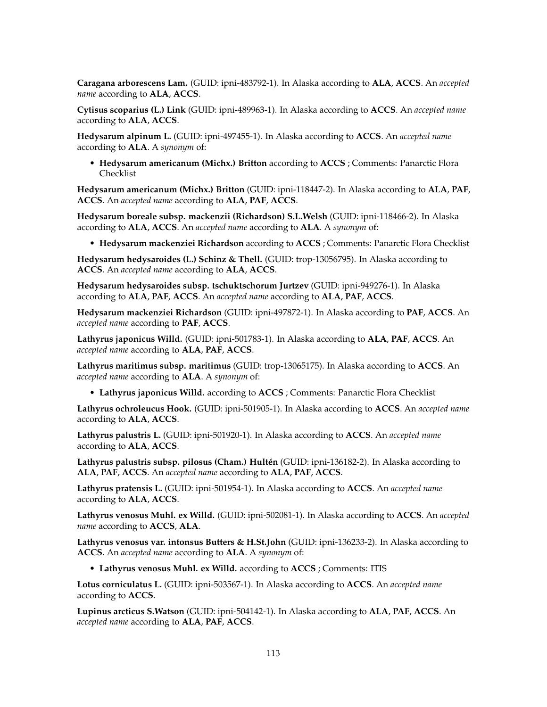**Caragana arborescens Lam.** (GUID: ipni-483792-1). In Alaska according to **ALA**, **ACCS**. An *accepted name* according to **ALA**, **ACCS**.

**Cytisus scoparius (L.) Link** (GUID: ipni-489963-1). In Alaska according to **ACCS**. An *accepted name* according to **ALA**, **ACCS**.

**Hedysarum alpinum L.** (GUID: ipni-497455-1). In Alaska according to **ACCS**. An *accepted name* according to **ALA**. A *synonym* of:

• **Hedysarum americanum (Michx.) Britton** according to **ACCS** ; Comments: Panarctic Flora Checklist

**Hedysarum americanum (Michx.) Britton** (GUID: ipni-118447-2). In Alaska according to **ALA**, **PAF**, **ACCS**. An *accepted name* according to **ALA**, **PAF**, **ACCS**.

**Hedysarum boreale subsp. mackenzii (Richardson) S.L.Welsh** (GUID: ipni-118466-2). In Alaska according to **ALA**, **ACCS**. An *accepted name* according to **ALA**. A *synonym* of:

• **Hedysarum mackenziei Richardson** according to **ACCS** ; Comments: Panarctic Flora Checklist

**Hedysarum hedysaroides (L.) Schinz & Thell.** (GUID: trop-13056795). In Alaska according to **ACCS**. An *accepted name* according to **ALA**, **ACCS**.

**Hedysarum hedysaroides subsp. tschuktschorum Jurtzev** (GUID: ipni-949276-1). In Alaska according to **ALA**, **PAF**, **ACCS**. An *accepted name* according to **ALA**, **PAF**, **ACCS**.

**Hedysarum mackenziei Richardson** (GUID: ipni-497872-1). In Alaska according to **PAF**, **ACCS**. An *accepted name* according to **PAF**, **ACCS**.

**Lathyrus japonicus Willd.** (GUID: ipni-501783-1). In Alaska according to **ALA**, **PAF**, **ACCS**. An *accepted name* according to **ALA**, **PAF**, **ACCS**.

**Lathyrus maritimus subsp. maritimus** (GUID: trop-13065175). In Alaska according to **ACCS**. An *accepted name* according to **ALA**. A *synonym* of:

• **Lathyrus japonicus Willd.** according to **ACCS** ; Comments: Panarctic Flora Checklist

**Lathyrus ochroleucus Hook.** (GUID: ipni-501905-1). In Alaska according to **ACCS**. An *accepted name* according to **ALA**, **ACCS**.

**Lathyrus palustris L.** (GUID: ipni-501920-1). In Alaska according to **ACCS**. An *accepted name* according to **ALA**, **ACCS**.

**Lathyrus palustris subsp. pilosus (Cham.) Hultén** (GUID: ipni-136182-2). In Alaska according to **ALA**, **PAF**, **ACCS**. An *accepted name* according to **ALA**, **PAF**, **ACCS**.

**Lathyrus pratensis L.** (GUID: ipni-501954-1). In Alaska according to **ACCS**. An *accepted name* according to **ALA**, **ACCS**.

**Lathyrus venosus Muhl. ex Willd.** (GUID: ipni-502081-1). In Alaska according to **ACCS**. An *accepted name* according to **ACCS**, **ALA**.

**Lathyrus venosus var. intonsus Butters & H.St.John** (GUID: ipni-136233-2). In Alaska according to **ACCS**. An *accepted name* according to **ALA**. A *synonym* of:

• **Lathyrus venosus Muhl. ex Willd.** according to **ACCS** ; Comments: ITIS

**Lotus corniculatus L.** (GUID: ipni-503567-1). In Alaska according to **ACCS**. An *accepted name* according to **ACCS**.

**Lupinus arcticus S.Watson** (GUID: ipni-504142-1). In Alaska according to **ALA**, **PAF**, **ACCS**. An *accepted name* according to **ALA**, **PAF**, **ACCS**.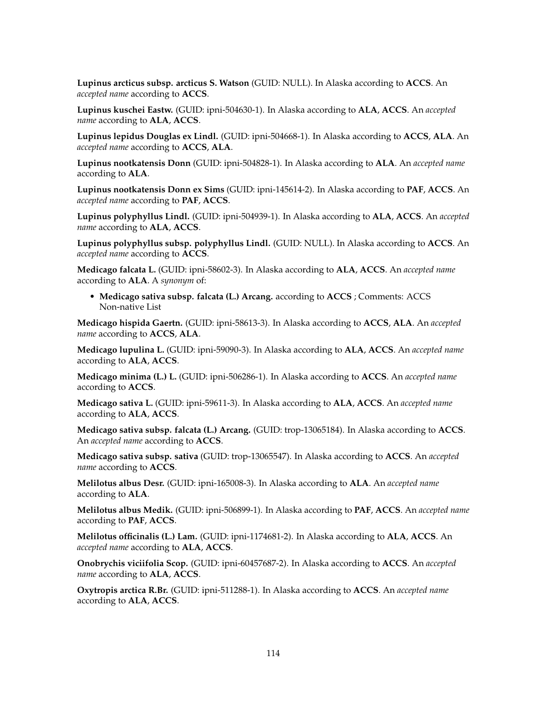**Lupinus arcticus subsp. arcticus S. Watson** (GUID: NULL). In Alaska according to **ACCS**. An *accepted name* according to **ACCS**.

**Lupinus kuschei Eastw.** (GUID: ipni-504630-1). In Alaska according to **ALA**, **ACCS**. An *accepted name* according to **ALA**, **ACCS**.

**Lupinus lepidus Douglas ex Lindl.** (GUID: ipni-504668-1). In Alaska according to **ACCS**, **ALA**. An *accepted name* according to **ACCS**, **ALA**.

**Lupinus nootkatensis Donn** (GUID: ipni-504828-1). In Alaska according to **ALA**. An *accepted name* according to **ALA**.

**Lupinus nootkatensis Donn ex Sims** (GUID: ipni-145614-2). In Alaska according to **PAF**, **ACCS**. An *accepted name* according to **PAF**, **ACCS**.

**Lupinus polyphyllus Lindl.** (GUID: ipni-504939-1). In Alaska according to **ALA**, **ACCS**. An *accepted name* according to **ALA**, **ACCS**.

**Lupinus polyphyllus subsp. polyphyllus Lindl.** (GUID: NULL). In Alaska according to **ACCS**. An *accepted name* according to **ACCS**.

**Medicago falcata L.** (GUID: ipni-58602-3). In Alaska according to **ALA**, **ACCS**. An *accepted name* according to **ALA**. A *synonym* of:

• **Medicago sativa subsp. falcata (L.) Arcang.** according to **ACCS** ; Comments: ACCS Non-native List

**Medicago hispida Gaertn.** (GUID: ipni-58613-3). In Alaska according to **ACCS**, **ALA**. An *accepted name* according to **ACCS**, **ALA**.

**Medicago lupulina L.** (GUID: ipni-59090-3). In Alaska according to **ALA**, **ACCS**. An *accepted name* according to **ALA**, **ACCS**.

**Medicago minima (L.) L.** (GUID: ipni-506286-1). In Alaska according to **ACCS**. An *accepted name* according to **ACCS**.

**Medicago sativa L.** (GUID: ipni-59611-3). In Alaska according to **ALA**, **ACCS**. An *accepted name* according to **ALA**, **ACCS**.

**Medicago sativa subsp. falcata (L.) Arcang.** (GUID: trop-13065184). In Alaska according to **ACCS**. An *accepted name* according to **ACCS**.

**Medicago sativa subsp. sativa** (GUID: trop-13065547). In Alaska according to **ACCS**. An *accepted name* according to **ACCS**.

**Melilotus albus Desr.** (GUID: ipni-165008-3). In Alaska according to **ALA**. An *accepted name* according to **ALA**.

**Melilotus albus Medik.** (GUID: ipni-506899-1). In Alaska according to **PAF**, **ACCS**. An *accepted name* according to **PAF**, **ACCS**.

**Melilotus officinalis (L.) Lam.** (GUID: ipni-1174681-2). In Alaska according to **ALA**, **ACCS**. An *accepted name* according to **ALA**, **ACCS**.

**Onobrychis viciifolia Scop.** (GUID: ipni-60457687-2). In Alaska according to **ACCS**. An *accepted name* according to **ALA**, **ACCS**.

**Oxytropis arctica R.Br.** (GUID: ipni-511288-1). In Alaska according to **ACCS**. An *accepted name* according to **ALA**, **ACCS**.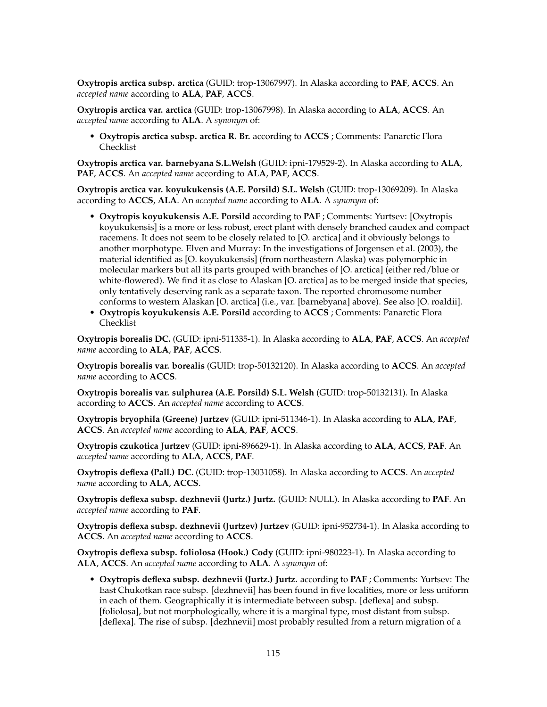**Oxytropis arctica subsp. arctica** (GUID: trop-13067997). In Alaska according to **PAF**, **ACCS**. An *accepted name* according to **ALA**, **PAF**, **ACCS**.

**Oxytropis arctica var. arctica** (GUID: trop-13067998). In Alaska according to **ALA**, **ACCS**. An *accepted name* according to **ALA**. A *synonym* of:

• **Oxytropis arctica subsp. arctica R. Br.** according to **ACCS** ; Comments: Panarctic Flora Checklist

**Oxytropis arctica var. barnebyana S.L.Welsh** (GUID: ipni-179529-2). In Alaska according to **ALA**, **PAF**, **ACCS**. An *accepted name* according to **ALA**, **PAF**, **ACCS**.

**Oxytropis arctica var. koyukukensis (A.E. Porsild) S.L. Welsh** (GUID: trop-13069209). In Alaska according to **ACCS**, **ALA**. An *accepted name* according to **ALA**. A *synonym* of:

- **Oxytropis koyukukensis A.E. Porsild** according to **PAF** ; Comments: Yurtsev: [Oxytropis koyukukensis] is a more or less robust, erect plant with densely branched caudex and compact racemens. It does not seem to be closely related to [O. arctica] and it obviously belongs to another morphotype. Elven and Murray: In the investigations of Jorgensen et al. (2003), the material identified as [O. koyukukensis] (from northeastern Alaska) was polymorphic in molecular markers but all its parts grouped with branches of [O. arctica] (either red/blue or white-flowered). We find it as close to Alaskan [O. arctica] as to be merged inside that species, only tentatively deserving rank as a separate taxon. The reported chromosome number conforms to western Alaskan [O. arctica] (i.e., var. [barnebyana] above). See also [O. roaldii].
- **Oxytropis koyukukensis A.E. Porsild** according to **ACCS** ; Comments: Panarctic Flora Checklist

**Oxytropis borealis DC.** (GUID: ipni-511335-1). In Alaska according to **ALA**, **PAF**, **ACCS**. An *accepted name* according to **ALA**, **PAF**, **ACCS**.

**Oxytropis borealis var. borealis** (GUID: trop-50132120). In Alaska according to **ACCS**. An *accepted name* according to **ACCS**.

**Oxytropis borealis var. sulphurea (A.E. Porsild) S.L. Welsh** (GUID: trop-50132131). In Alaska according to **ACCS**. An *accepted name* according to **ACCS**.

**Oxytropis bryophila (Greene) Jurtzev** (GUID: ipni-511346-1). In Alaska according to **ALA**, **PAF**, **ACCS**. An *accepted name* according to **ALA**, **PAF**, **ACCS**.

**Oxytropis czukotica Jurtzev** (GUID: ipni-896629-1). In Alaska according to **ALA**, **ACCS**, **PAF**. An *accepted name* according to **ALA**, **ACCS**, **PAF**.

**Oxytropis deflexa (Pall.) DC.** (GUID: trop-13031058). In Alaska according to **ACCS**. An *accepted name* according to **ALA**, **ACCS**.

**Oxytropis deflexa subsp. dezhnevii (Jurtz.) Jurtz.** (GUID: NULL). In Alaska according to **PAF**. An *accepted name* according to **PAF**.

**Oxytropis deflexa subsp. dezhnevii (Jurtzev) Jurtzev** (GUID: ipni-952734-1). In Alaska according to **ACCS**. An *accepted name* according to **ACCS**.

**Oxytropis deflexa subsp. foliolosa (Hook.) Cody** (GUID: ipni-980223-1). In Alaska according to **ALA**, **ACCS**. An *accepted name* according to **ALA**. A *synonym* of:

• **Oxytropis deflexa subsp. dezhnevii (Jurtz.) Jurtz.** according to **PAF** ; Comments: Yurtsev: The East Chukotkan race subsp. [dezhnevii] has been found in five localities, more or less uniform in each of them. Geographically it is intermediate between subsp. [deflexa] and subsp. [foliolosa], but not morphologically, where it is a marginal type, most distant from subsp. [deflexa]. The rise of subsp. [dezhnevii] most probably resulted from a return migration of a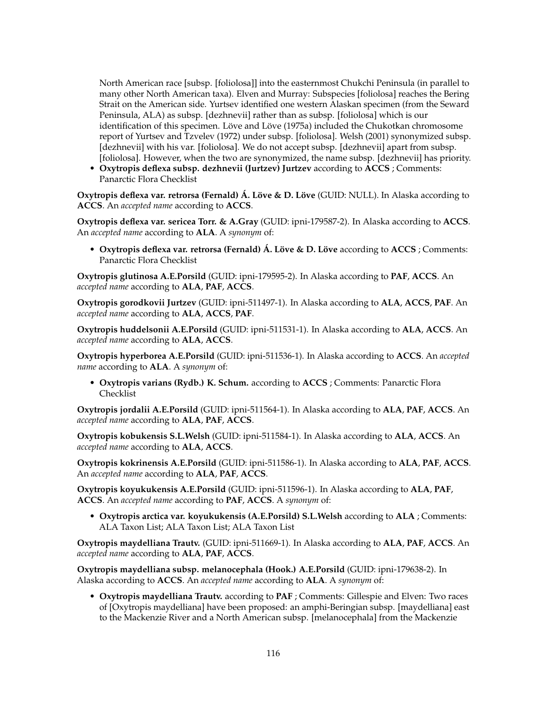North American race [subsp. [foliolosa]] into the easternmost Chukchi Peninsula (in parallel to many other North American taxa). Elven and Murray: Subspecies [foliolosa] reaches the Bering Strait on the American side. Yurtsev identified one western Alaskan specimen (from the Seward Peninsula, ALA) as subsp. [dezhnevii] rather than as subsp. [foliolosa] which is our identification of this specimen. Löve and Löve (1975a) included the Chukotkan chromosome report of Yurtsev and Tzvelev (1972) under subsp. [foliolosa]. Welsh (2001) synonymized subsp. [dezhnevii] with his var. [foliolosa]. We do not accept subsp. [dezhnevii] apart from subsp. [foliolosa]. However, when the two are synonymized, the name subsp. [dezhnevii] has priority.

• **Oxytropis deflexa subsp. dezhnevii (Jurtzev) Jurtzev** according to **ACCS** ; Comments: Panarctic Flora Checklist

**Oxytropis deflexa var. retrorsa (Fernald) Á. Löve & D. Löve** (GUID: NULL). In Alaska according to **ACCS**. An *accepted name* according to **ACCS**.

**Oxytropis deflexa var. sericea Torr. & A.Gray** (GUID: ipni-179587-2). In Alaska according to **ACCS**. An *accepted name* according to **ALA**. A *synonym* of:

• **Oxytropis deflexa var. retrorsa (Fernald) Á. Löve & D. Löve** according to **ACCS** ; Comments: Panarctic Flora Checklist

**Oxytropis glutinosa A.E.Porsild** (GUID: ipni-179595-2). In Alaska according to **PAF**, **ACCS**. An *accepted name* according to **ALA**, **PAF**, **ACCS**.

**Oxytropis gorodkovii Jurtzev** (GUID: ipni-511497-1). In Alaska according to **ALA**, **ACCS**, **PAF**. An *accepted name* according to **ALA**, **ACCS**, **PAF**.

**Oxytropis huddelsonii A.E.Porsild** (GUID: ipni-511531-1). In Alaska according to **ALA**, **ACCS**. An *accepted name* according to **ALA**, **ACCS**.

**Oxytropis hyperborea A.E.Porsild** (GUID: ipni-511536-1). In Alaska according to **ACCS**. An *accepted name* according to **ALA**. A *synonym* of:

• **Oxytropis varians (Rydb.) K. Schum.** according to **ACCS** ; Comments: Panarctic Flora Checklist

**Oxytropis jordalii A.E.Porsild** (GUID: ipni-511564-1). In Alaska according to **ALA**, **PAF**, **ACCS**. An *accepted name* according to **ALA**, **PAF**, **ACCS**.

**Oxytropis kobukensis S.L.Welsh** (GUID: ipni-511584-1). In Alaska according to **ALA**, **ACCS**. An *accepted name* according to **ALA**, **ACCS**.

**Oxytropis kokrinensis A.E.Porsild** (GUID: ipni-511586-1). In Alaska according to **ALA**, **PAF**, **ACCS**. An *accepted name* according to **ALA**, **PAF**, **ACCS**.

**Oxytropis koyukukensis A.E.Porsild** (GUID: ipni-511596-1). In Alaska according to **ALA**, **PAF**, **ACCS**. An *accepted name* according to **PAF**, **ACCS**. A *synonym* of:

• **Oxytropis arctica var. koyukukensis (A.E.Porsild) S.L.Welsh** according to **ALA** ; Comments: ALA Taxon List; ALA Taxon List; ALA Taxon List

**Oxytropis maydelliana Trautv.** (GUID: ipni-511669-1). In Alaska according to **ALA**, **PAF**, **ACCS**. An *accepted name* according to **ALA**, **PAF**, **ACCS**.

**Oxytropis maydelliana subsp. melanocephala (Hook.) A.E.Porsild** (GUID: ipni-179638-2). In Alaska according to **ACCS**. An *accepted name* according to **ALA**. A *synonym* of:

• **Oxytropis maydelliana Trautv.** according to **PAF** ; Comments: Gillespie and Elven: Two races of [Oxytropis maydelliana] have been proposed: an amphi-Beringian subsp. [maydelliana] east to the Mackenzie River and a North American subsp. [melanocephala] from the Mackenzie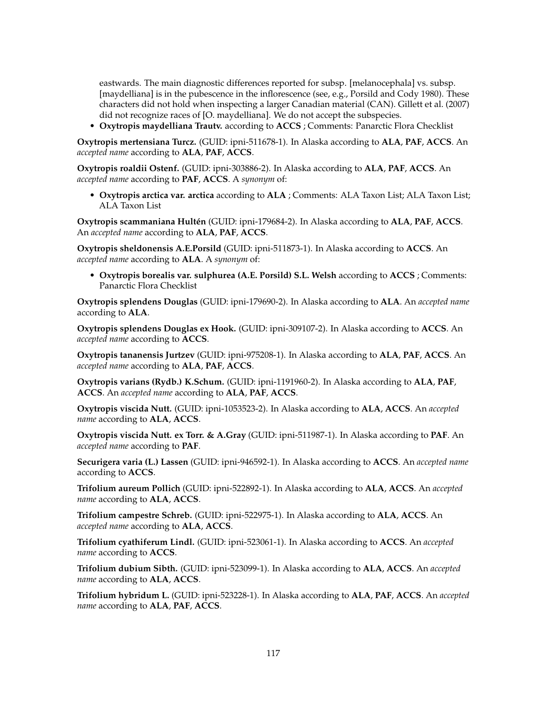eastwards. The main diagnostic differences reported for subsp. [melanocephala] vs. subsp. [maydelliana] is in the pubescence in the inflorescence (see, e.g., Porsild and Cody 1980). These characters did not hold when inspecting a larger Canadian material (CAN). Gillett et al. (2007) did not recognize races of [O. maydelliana]. We do not accept the subspecies.

• **Oxytropis maydelliana Trautv.** according to **ACCS** ; Comments: Panarctic Flora Checklist

**Oxytropis mertensiana Turcz.** (GUID: ipni-511678-1). In Alaska according to **ALA**, **PAF**, **ACCS**. An *accepted name* according to **ALA**, **PAF**, **ACCS**.

**Oxytropis roaldii Ostenf.** (GUID: ipni-303886-2). In Alaska according to **ALA**, **PAF**, **ACCS**. An *accepted name* according to **PAF**, **ACCS**. A *synonym* of:

• **Oxytropis arctica var. arctica** according to **ALA** ; Comments: ALA Taxon List; ALA Taxon List; ALA Taxon List

**Oxytropis scammaniana Hultén** (GUID: ipni-179684-2). In Alaska according to **ALA**, **PAF**, **ACCS**. An *accepted name* according to **ALA**, **PAF**, **ACCS**.

**Oxytropis sheldonensis A.E.Porsild** (GUID: ipni-511873-1). In Alaska according to **ACCS**. An *accepted name* according to **ALA**. A *synonym* of:

• **Oxytropis borealis var. sulphurea (A.E. Porsild) S.L. Welsh** according to **ACCS** ; Comments: Panarctic Flora Checklist

**Oxytropis splendens Douglas** (GUID: ipni-179690-2). In Alaska according to **ALA**. An *accepted name* according to **ALA**.

**Oxytropis splendens Douglas ex Hook.** (GUID: ipni-309107-2). In Alaska according to **ACCS**. An *accepted name* according to **ACCS**.

**Oxytropis tananensis Jurtzev** (GUID: ipni-975208-1). In Alaska according to **ALA**, **PAF**, **ACCS**. An *accepted name* according to **ALA**, **PAF**, **ACCS**.

**Oxytropis varians (Rydb.) K.Schum.** (GUID: ipni-1191960-2). In Alaska according to **ALA**, **PAF**, **ACCS**. An *accepted name* according to **ALA**, **PAF**, **ACCS**.

**Oxytropis viscida Nutt.** (GUID: ipni-1053523-2). In Alaska according to **ALA**, **ACCS**. An *accepted name* according to **ALA**, **ACCS**.

**Oxytropis viscida Nutt. ex Torr. & A.Gray** (GUID: ipni-511987-1). In Alaska according to **PAF**. An *accepted name* according to **PAF**.

**Securigera varia (L.) Lassen** (GUID: ipni-946592-1). In Alaska according to **ACCS**. An *accepted name* according to **ACCS**.

**Trifolium aureum Pollich** (GUID: ipni-522892-1). In Alaska according to **ALA**, **ACCS**. An *accepted name* according to **ALA**, **ACCS**.

**Trifolium campestre Schreb.** (GUID: ipni-522975-1). In Alaska according to **ALA**, **ACCS**. An *accepted name* according to **ALA**, **ACCS**.

**Trifolium cyathiferum Lindl.** (GUID: ipni-523061-1). In Alaska according to **ACCS**. An *accepted name* according to **ACCS**.

**Trifolium dubium Sibth.** (GUID: ipni-523099-1). In Alaska according to **ALA**, **ACCS**. An *accepted name* according to **ALA**, **ACCS**.

**Trifolium hybridum L.** (GUID: ipni-523228-1). In Alaska according to **ALA**, **PAF**, **ACCS**. An *accepted name* according to **ALA**, **PAF**, **ACCS**.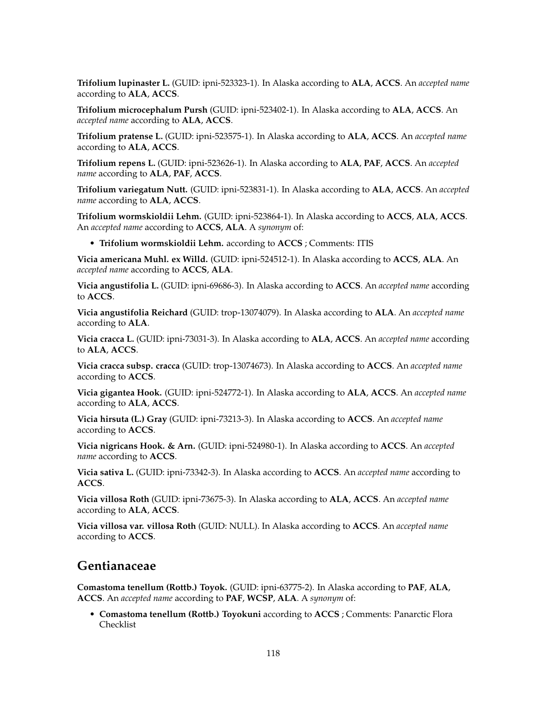**Trifolium lupinaster L.** (GUID: ipni-523323-1). In Alaska according to **ALA**, **ACCS**. An *accepted name* according to **ALA**, **ACCS**.

**Trifolium microcephalum Pursh** (GUID: ipni-523402-1). In Alaska according to **ALA**, **ACCS**. An *accepted name* according to **ALA**, **ACCS**.

**Trifolium pratense L.** (GUID: ipni-523575-1). In Alaska according to **ALA**, **ACCS**. An *accepted name* according to **ALA**, **ACCS**.

**Trifolium repens L.** (GUID: ipni-523626-1). In Alaska according to **ALA**, **PAF**, **ACCS**. An *accepted name* according to **ALA**, **PAF**, **ACCS**.

**Trifolium variegatum Nutt.** (GUID: ipni-523831-1). In Alaska according to **ALA**, **ACCS**. An *accepted name* according to **ALA**, **ACCS**.

**Trifolium wormskioldii Lehm.** (GUID: ipni-523864-1). In Alaska according to **ACCS**, **ALA**, **ACCS**. An *accepted name* according to **ACCS**, **ALA**. A *synonym* of:

• **Trifolium wormskioldii Lehm.** according to **ACCS** ; Comments: ITIS

**Vicia americana Muhl. ex Willd.** (GUID: ipni-524512-1). In Alaska according to **ACCS**, **ALA**. An *accepted name* according to **ACCS**, **ALA**.

**Vicia angustifolia L.** (GUID: ipni-69686-3). In Alaska according to **ACCS**. An *accepted name* according to **ACCS**.

**Vicia angustifolia Reichard** (GUID: trop-13074079). In Alaska according to **ALA**. An *accepted name* according to **ALA**.

**Vicia cracca L.** (GUID: ipni-73031-3). In Alaska according to **ALA**, **ACCS**. An *accepted name* according to **ALA**, **ACCS**.

**Vicia cracca subsp. cracca** (GUID: trop-13074673). In Alaska according to **ACCS**. An *accepted name* according to **ACCS**.

**Vicia gigantea Hook.** (GUID: ipni-524772-1). In Alaska according to **ALA**, **ACCS**. An *accepted name* according to **ALA**, **ACCS**.

**Vicia hirsuta (L.) Gray** (GUID: ipni-73213-3). In Alaska according to **ACCS**. An *accepted name* according to **ACCS**.

**Vicia nigricans Hook. & Arn.** (GUID: ipni-524980-1). In Alaska according to **ACCS**. An *accepted name* according to **ACCS**.

**Vicia sativa L.** (GUID: ipni-73342-3). In Alaska according to **ACCS**. An *accepted name* according to **ACCS**.

**Vicia villosa Roth** (GUID: ipni-73675-3). In Alaska according to **ALA**, **ACCS**. An *accepted name* according to **ALA**, **ACCS**.

**Vicia villosa var. villosa Roth** (GUID: NULL). In Alaska according to **ACCS**. An *accepted name* according to **ACCS**.

### **Gentianaceae**

**Comastoma tenellum (Rottb.) Toyok.** (GUID: ipni-63775-2). In Alaska according to **PAF**, **ALA**, **ACCS**. An *accepted name* according to **PAF**, **WCSP**, **ALA**. A *synonym* of:

• **Comastoma tenellum (Rottb.) Toyokuni** according to **ACCS** ; Comments: Panarctic Flora Checklist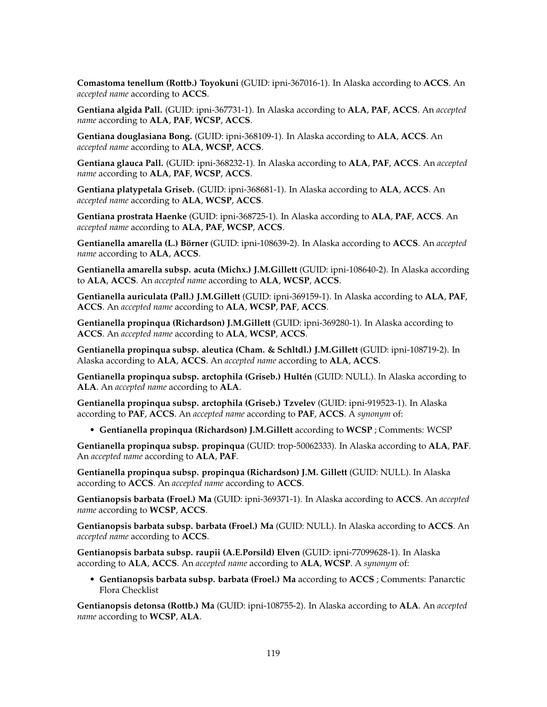**Comastoma tenellum (Rottb.) Toyokuni** (GUID: ipni-367016-1). In Alaska according to **ACCS**. An *accepted name* according to **ACCS**.

**Gentiana algida Pall.** (GUID: ipni-367731-1). In Alaska according to **ALA**, **PAF**, **ACCS**. An *accepted name* according to **ALA**, **PAF**, **WCSP**, **ACCS**.

**Gentiana douglasiana Bong.** (GUID: ipni-368109-1). In Alaska according to **ALA**, **ACCS**. An *accepted name* according to **ALA**, **WCSP**, **ACCS**.

**Gentiana glauca Pall.** (GUID: ipni-368232-1). In Alaska according to **ALA**, **PAF**, **ACCS**. An *accepted name* according to **ALA**, **PAF**, **WCSP**, **ACCS**.

**Gentiana platypetala Griseb.** (GUID: ipni-368681-1). In Alaska according to **ALA**, **ACCS**. An *accepted name* according to **ALA**, **WCSP**, **ACCS**.

**Gentiana prostrata Haenke** (GUID: ipni-368725-1). In Alaska according to **ALA**, **PAF**, **ACCS**. An *accepted name* according to **ALA**, **PAF**, **WCSP**, **ACCS**.

**Gentianella amarella (L.) Börner** (GUID: ipni-108639-2). In Alaska according to **ACCS**. An *accepted name* according to **ALA**, **ACCS**.

**Gentianella amarella subsp. acuta (Michx.) J.M.Gillett** (GUID: ipni-108640-2). In Alaska according to **ALA**, **ACCS**. An *accepted name* according to **ALA**, **WCSP**, **ACCS**.

**Gentianella auriculata (Pall.) J.M.Gillett** (GUID: ipni-369159-1). In Alaska according to **ALA**, **PAF**, **ACCS**. An *accepted name* according to **ALA**, **WCSP**, **PAF**, **ACCS**.

**Gentianella propinqua (Richardson) J.M.Gillett** (GUID: ipni-369280-1). In Alaska according to **ACCS**. An *accepted name* according to **ALA**, **WCSP**, **ACCS**.

**Gentianella propinqua subsp. aleutica (Cham. & Schltdl.) J.M.Gillett** (GUID: ipni-108719-2). In Alaska according to **ALA**, **ACCS**. An *accepted name* according to **ALA**, **ACCS**.

**Gentianella propinqua subsp. arctophila (Griseb.) Hultén** (GUID: NULL). In Alaska according to **ALA**. An *accepted name* according to **ALA**.

**Gentianella propinqua subsp. arctophila (Griseb.) Tzvelev** (GUID: ipni-919523-1). In Alaska according to **PAF**, **ACCS**. An *accepted name* according to **PAF**, **ACCS**. A *synonym* of:

• **Gentianella propinqua (Richardson) J.M.Gillett** according to **WCSP** ; Comments: WCSP

**Gentianella propinqua subsp. propinqua** (GUID: trop-50062333). In Alaska according to **ALA**, **PAF**. An *accepted name* according to **ALA**, **PAF**.

**Gentianella propinqua subsp. propinqua (Richardson) J.M. Gillett** (GUID: NULL). In Alaska according to **ACCS**. An *accepted name* according to **ACCS**.

**Gentianopsis barbata (Froel.) Ma** (GUID: ipni-369371-1). In Alaska according to **ACCS**. An *accepted name* according to **WCSP**, **ACCS**.

**Gentianopsis barbata subsp. barbata (Froel.) Ma** (GUID: NULL). In Alaska according to **ACCS**. An *accepted name* according to **ACCS**.

**Gentianopsis barbata subsp. raupii (A.E.Porsild) Elven** (GUID: ipni-77099628-1). In Alaska according to **ALA**, **ACCS**. An *accepted name* according to **ALA**, **WCSP**. A *synonym* of:

• **Gentianopsis barbata subsp. barbata (Froel.) Ma** according to **ACCS** ; Comments: Panarctic Flora Checklist

**Gentianopsis detonsa (Rottb.) Ma** (GUID: ipni-108755-2). In Alaska according to **ALA**. An *accepted name* according to **WCSP**, **ALA**.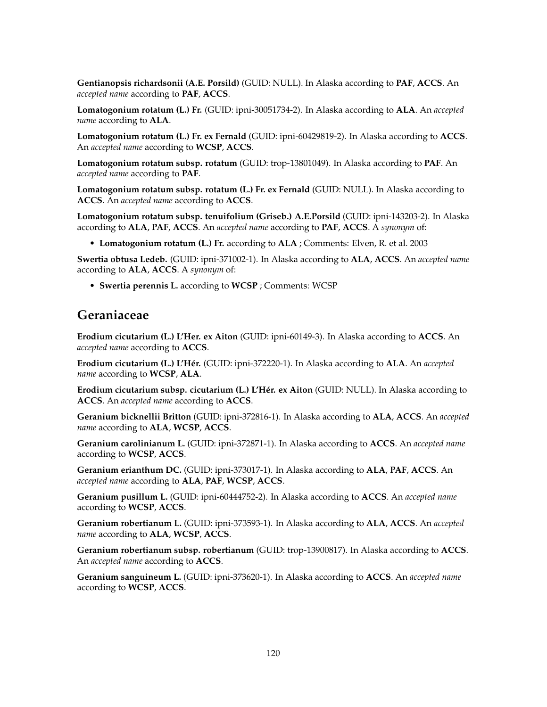**Gentianopsis richardsonii (A.E. Porsild)** (GUID: NULL). In Alaska according to **PAF**, **ACCS**. An *accepted name* according to **PAF**, **ACCS**.

**Lomatogonium rotatum (L.) Fr.** (GUID: ipni-30051734-2). In Alaska according to **ALA**. An *accepted name* according to **ALA**.

**Lomatogonium rotatum (L.) Fr. ex Fernald** (GUID: ipni-60429819-2). In Alaska according to **ACCS**. An *accepted name* according to **WCSP**, **ACCS**.

**Lomatogonium rotatum subsp. rotatum** (GUID: trop-13801049). In Alaska according to **PAF**. An *accepted name* according to **PAF**.

**Lomatogonium rotatum subsp. rotatum (L.) Fr. ex Fernald** (GUID: NULL). In Alaska according to **ACCS**. An *accepted name* according to **ACCS**.

**Lomatogonium rotatum subsp. tenuifolium (Griseb.) A.E.Porsild** (GUID: ipni-143203-2). In Alaska according to **ALA**, **PAF**, **ACCS**. An *accepted name* according to **PAF**, **ACCS**. A *synonym* of:

• **Lomatogonium rotatum (L.) Fr.** according to **ALA** ; Comments: Elven, R. et al. 2003

**Swertia obtusa Ledeb.** (GUID: ipni-371002-1). In Alaska according to **ALA**, **ACCS**. An *accepted name* according to **ALA**, **ACCS**. A *synonym* of:

• **Swertia perennis L.** according to **WCSP** ; Comments: WCSP

### **Geraniaceae**

**Erodium cicutarium (L.) L'Her. ex Aiton** (GUID: ipni-60149-3). In Alaska according to **ACCS**. An *accepted name* according to **ACCS**.

**Erodium cicutarium (L.) L'Hér.** (GUID: ipni-372220-1). In Alaska according to **ALA**. An *accepted name* according to **WCSP**, **ALA**.

**Erodium cicutarium subsp. cicutarium (L.) L'Hér. ex Aiton** (GUID: NULL). In Alaska according to **ACCS**. An *accepted name* according to **ACCS**.

**Geranium bicknellii Britton** (GUID: ipni-372816-1). In Alaska according to **ALA**, **ACCS**. An *accepted name* according to **ALA**, **WCSP**, **ACCS**.

**Geranium carolinianum L.** (GUID: ipni-372871-1). In Alaska according to **ACCS**. An *accepted name* according to **WCSP**, **ACCS**.

**Geranium erianthum DC.** (GUID: ipni-373017-1). In Alaska according to **ALA**, **PAF**, **ACCS**. An *accepted name* according to **ALA**, **PAF**, **WCSP**, **ACCS**.

**Geranium pusillum L.** (GUID: ipni-60444752-2). In Alaska according to **ACCS**. An *accepted name* according to **WCSP**, **ACCS**.

**Geranium robertianum L.** (GUID: ipni-373593-1). In Alaska according to **ALA**, **ACCS**. An *accepted name* according to **ALA**, **WCSP**, **ACCS**.

**Geranium robertianum subsp. robertianum** (GUID: trop-13900817). In Alaska according to **ACCS**. An *accepted name* according to **ACCS**.

**Geranium sanguineum L.** (GUID: ipni-373620-1). In Alaska according to **ACCS**. An *accepted name* according to **WCSP**, **ACCS**.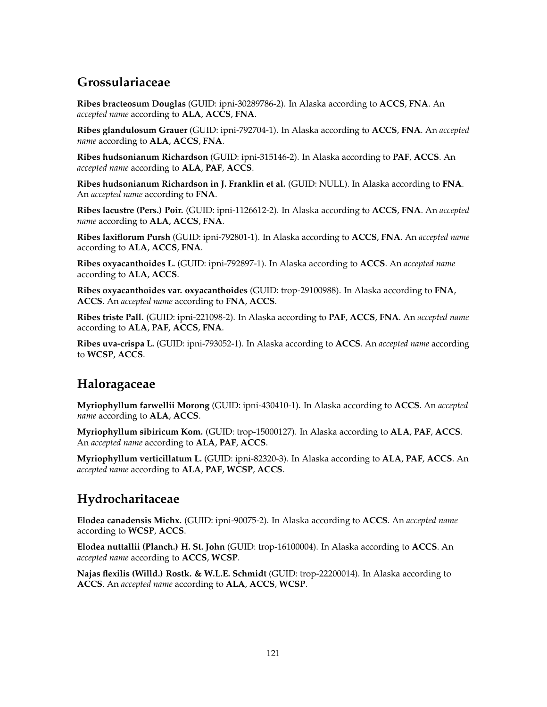# **Grossulariaceae**

**Ribes bracteosum Douglas** (GUID: ipni-30289786-2). In Alaska according to **ACCS**, **FNA**. An *accepted name* according to **ALA**, **ACCS**, **FNA**.

**Ribes glandulosum Grauer** (GUID: ipni-792704-1). In Alaska according to **ACCS**, **FNA**. An *accepted name* according to **ALA**, **ACCS**, **FNA**.

**Ribes hudsonianum Richardson** (GUID: ipni-315146-2). In Alaska according to **PAF**, **ACCS**. An *accepted name* according to **ALA**, **PAF**, **ACCS**.

**Ribes hudsonianum Richardson in J. Franklin et al.** (GUID: NULL). In Alaska according to **FNA**. An *accepted name* according to **FNA**.

**Ribes lacustre (Pers.) Poir.** (GUID: ipni-1126612-2). In Alaska according to **ACCS**, **FNA**. An *accepted name* according to **ALA**, **ACCS**, **FNA**.

**Ribes laxiflorum Pursh** (GUID: ipni-792801-1). In Alaska according to **ACCS**, **FNA**. An *accepted name* according to **ALA**, **ACCS**, **FNA**.

**Ribes oxyacanthoides L.** (GUID: ipni-792897-1). In Alaska according to **ACCS**. An *accepted name* according to **ALA**, **ACCS**.

**Ribes oxyacanthoides var. oxyacanthoides** (GUID: trop-29100988). In Alaska according to **FNA**, **ACCS**. An *accepted name* according to **FNA**, **ACCS**.

**Ribes triste Pall.** (GUID: ipni-221098-2). In Alaska according to **PAF**, **ACCS**, **FNA**. An *accepted name* according to **ALA**, **PAF**, **ACCS**, **FNA**.

**Ribes uva-crispa L.** (GUID: ipni-793052-1). In Alaska according to **ACCS**. An *accepted name* according to **WCSP**, **ACCS**.

## **Haloragaceae**

**Myriophyllum farwellii Morong** (GUID: ipni-430410-1). In Alaska according to **ACCS**. An *accepted name* according to **ALA**, **ACCS**.

**Myriophyllum sibiricum Kom.** (GUID: trop-15000127). In Alaska according to **ALA**, **PAF**, **ACCS**. An *accepted name* according to **ALA**, **PAF**, **ACCS**.

**Myriophyllum verticillatum L.** (GUID: ipni-82320-3). In Alaska according to **ALA**, **PAF**, **ACCS**. An *accepted name* according to **ALA**, **PAF**, **WCSP**, **ACCS**.

# **Hydrocharitaceae**

**Elodea canadensis Michx.** (GUID: ipni-90075-2). In Alaska according to **ACCS**. An *accepted name* according to **WCSP**, **ACCS**.

**Elodea nuttallii (Planch.) H. St. John** (GUID: trop-16100004). In Alaska according to **ACCS**. An *accepted name* according to **ACCS**, **WCSP**.

**Najas flexilis (Willd.) Rostk. & W.L.E. Schmidt** (GUID: trop-22200014). In Alaska according to **ACCS**. An *accepted name* according to **ALA**, **ACCS**, **WCSP**.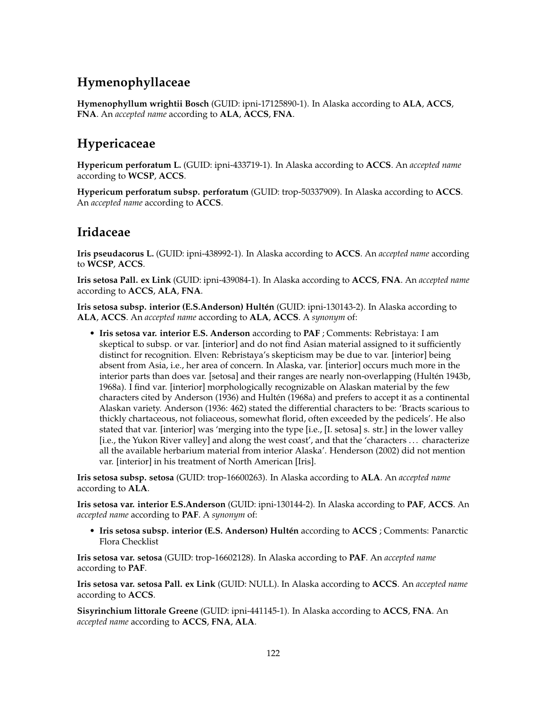# **Hymenophyllaceae**

**Hymenophyllum wrightii Bosch** (GUID: ipni-17125890-1). In Alaska according to **ALA**, **ACCS**, **FNA**. An *accepted name* according to **ALA**, **ACCS**, **FNA**.

# **Hypericaceae**

**Hypericum perforatum L.** (GUID: ipni-433719-1). In Alaska according to **ACCS**. An *accepted name* according to **WCSP**, **ACCS**.

**Hypericum perforatum subsp. perforatum** (GUID: trop-50337909). In Alaska according to **ACCS**. An *accepted name* according to **ACCS**.

## **Iridaceae**

**Iris pseudacorus L.** (GUID: ipni-438992-1). In Alaska according to **ACCS**. An *accepted name* according to **WCSP**, **ACCS**.

**Iris setosa Pall. ex Link** (GUID: ipni-439084-1). In Alaska according to **ACCS**, **FNA**. An *accepted name* according to **ACCS**, **ALA**, **FNA**.

**Iris setosa subsp. interior (E.S.Anderson) Hultén** (GUID: ipni-130143-2). In Alaska according to **ALA**, **ACCS**. An *accepted name* according to **ALA**, **ACCS**. A *synonym* of:

• **Iris setosa var. interior E.S. Anderson** according to **PAF** ; Comments: Rebristaya: I am skeptical to subsp. or var. [interior] and do not find Asian material assigned to it sufficiently distinct for recognition. Elven: Rebristaya's skepticism may be due to var. [interior] being absent from Asia, i.e., her area of concern. In Alaska, var. [interior] occurs much more in the interior parts than does var. [setosa] and their ranges are nearly non-overlapping (Hultén 1943b, 1968a). I find var. [interior] morphologically recognizable on Alaskan material by the few characters cited by Anderson (1936) and Hultén (1968a) and prefers to accept it as a continental Alaskan variety. Anderson (1936: 462) stated the differential characters to be: 'Bracts scarious to thickly chartaceous, not foliaceous, somewhat florid, often exceeded by the pedicels'. He also stated that var. [interior] was 'merging into the type [i.e., [I. setosa] s. str.] in the lower valley [i.e., the Yukon River valley] and along the west coast', and that the 'characters . . . characterize all the available herbarium material from interior Alaska'. Henderson (2002) did not mention var. [interior] in his treatment of North American [Iris].

**Iris setosa subsp. setosa** (GUID: trop-16600263). In Alaska according to **ALA**. An *accepted name* according to **ALA**.

**Iris setosa var. interior E.S.Anderson** (GUID: ipni-130144-2). In Alaska according to **PAF**, **ACCS**. An *accepted name* according to **PAF**. A *synonym* of:

• **Iris setosa subsp. interior (E.S. Anderson) Hultén** according to **ACCS** ; Comments: Panarctic Flora Checklist

**Iris setosa var. setosa** (GUID: trop-16602128). In Alaska according to **PAF**. An *accepted name* according to **PAF**.

**Iris setosa var. setosa Pall. ex Link** (GUID: NULL). In Alaska according to **ACCS**. An *accepted name* according to **ACCS**.

**Sisyrinchium littorale Greene** (GUID: ipni-441145-1). In Alaska according to **ACCS**, **FNA**. An *accepted name* according to **ACCS**, **FNA**, **ALA**.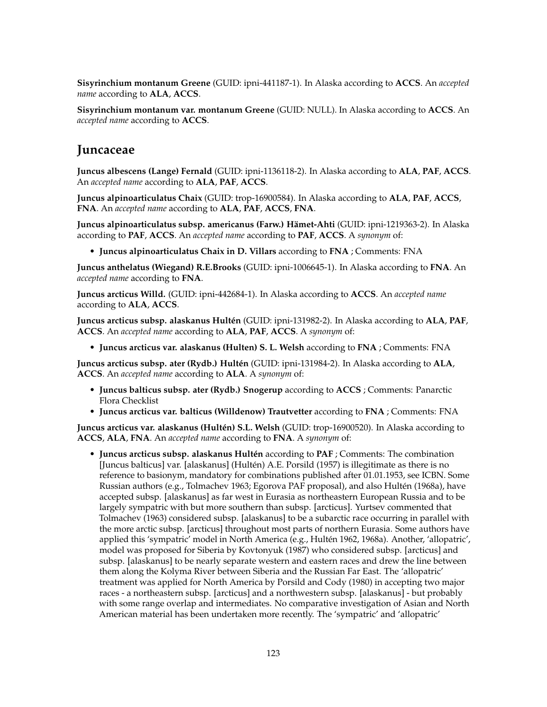**Sisyrinchium montanum Greene** (GUID: ipni-441187-1). In Alaska according to **ACCS**. An *accepted name* according to **ALA**, **ACCS**.

**Sisyrinchium montanum var. montanum Greene** (GUID: NULL). In Alaska according to **ACCS**. An *accepted name* according to **ACCS**.

#### **Juncaceae**

**Juncus albescens (Lange) Fernald** (GUID: ipni-1136118-2). In Alaska according to **ALA**, **PAF**, **ACCS**. An *accepted name* according to **ALA**, **PAF**, **ACCS**.

**Juncus alpinoarticulatus Chaix** (GUID: trop-16900584). In Alaska according to **ALA**, **PAF**, **ACCS**, **FNA**. An *accepted name* according to **ALA**, **PAF**, **ACCS**, **FNA**.

**Juncus alpinoarticulatus subsp. americanus (Farw.) Hämet-Ahti** (GUID: ipni-1219363-2). In Alaska according to **PAF**, **ACCS**. An *accepted name* according to **PAF**, **ACCS**. A *synonym* of:

• **Juncus alpinoarticulatus Chaix in D. Villars** according to **FNA** ; Comments: FNA

**Juncus anthelatus (Wiegand) R.E.Brooks** (GUID: ipni-1006645-1). In Alaska according to **FNA**. An *accepted name* according to **FNA**.

**Juncus arcticus Willd.** (GUID: ipni-442684-1). In Alaska according to **ACCS**. An *accepted name* according to **ALA**, **ACCS**.

**Juncus arcticus subsp. alaskanus Hultén** (GUID: ipni-131982-2). In Alaska according to **ALA**, **PAF**, **ACCS**. An *accepted name* according to **ALA**, **PAF**, **ACCS**. A *synonym* of:

• **Juncus arcticus var. alaskanus (Hulten) S. L. Welsh** according to **FNA** ; Comments: FNA

**Juncus arcticus subsp. ater (Rydb.) Hultén** (GUID: ipni-131984-2). In Alaska according to **ALA**, **ACCS**. An *accepted name* according to **ALA**. A *synonym* of:

- **Juncus balticus subsp. ater (Rydb.) Snogerup** according to **ACCS** ; Comments: Panarctic Flora Checklist
- **Juncus arcticus var. balticus (Willdenow) Trautvetter** according to **FNA** ; Comments: FNA

**Juncus arcticus var. alaskanus (Hultén) S.L. Welsh** (GUID: trop-16900520). In Alaska according to **ACCS**, **ALA**, **FNA**. An *accepted name* according to **FNA**. A *synonym* of:

• **Juncus arcticus subsp. alaskanus Hultén** according to **PAF** ; Comments: The combination [Juncus balticus] var. [alaskanus] (Hultén) A.E. Porsild (1957) is illegitimate as there is no reference to basionym, mandatory for combinations published after 01.01.1953, see ICBN. Some Russian authors (e.g., Tolmachev 1963; Egorova PAF proposal), and also Hultén (1968a), have accepted subsp. [alaskanus] as far west in Eurasia as northeastern European Russia and to be largely sympatric with but more southern than subsp. [arcticus]. Yurtsev commented that Tolmachev (1963) considered subsp. [alaskanus] to be a subarctic race occurring in parallel with the more arctic subsp. [arcticus] throughout most parts of northern Eurasia. Some authors have applied this 'sympatric' model in North America (e.g., Hultén 1962, 1968a). Another, 'allopatric', model was proposed for Siberia by Kovtonyuk (1987) who considered subsp. [arcticus] and subsp. [alaskanus] to be nearly separate western and eastern races and drew the line between them along the Kolyma River between Siberia and the Russian Far East. The 'allopatric' treatment was applied for North America by Porsild and Cody (1980) in accepting two major races - a northeastern subsp. [arcticus] and a northwestern subsp. [alaskanus] - but probably with some range overlap and intermediates. No comparative investigation of Asian and North American material has been undertaken more recently. The 'sympatric' and 'allopatric'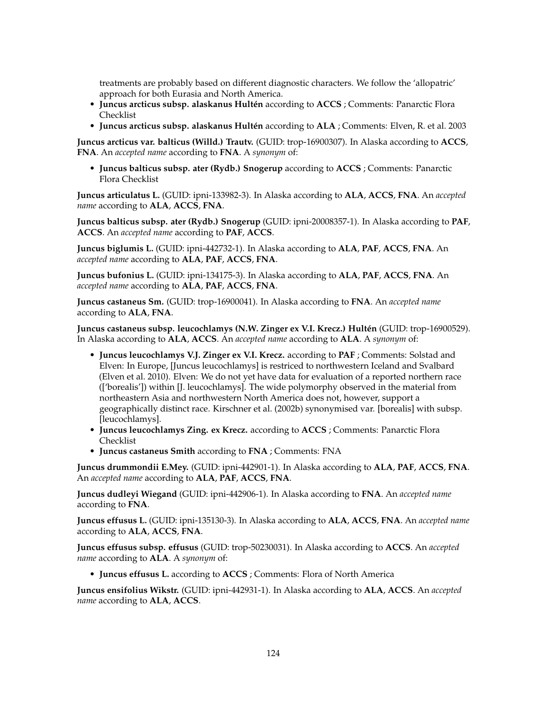treatments are probably based on different diagnostic characters. We follow the 'allopatric' approach for both Eurasia and North America.

- **Juncus arcticus subsp. alaskanus Hultén** according to **ACCS** ; Comments: Panarctic Flora Checklist
- **Juncus arcticus subsp. alaskanus Hultén** according to **ALA** ; Comments: Elven, R. et al. 2003

**Juncus arcticus var. balticus (Willd.) Trautv.** (GUID: trop-16900307). In Alaska according to **ACCS**, **FNA**. An *accepted name* according to **FNA**. A *synonym* of:

• **Juncus balticus subsp. ater (Rydb.) Snogerup** according to **ACCS** ; Comments: Panarctic Flora Checklist

**Juncus articulatus L.** (GUID: ipni-133982-3). In Alaska according to **ALA**, **ACCS**, **FNA**. An *accepted name* according to **ALA**, **ACCS**, **FNA**.

**Juncus balticus subsp. ater (Rydb.) Snogerup** (GUID: ipni-20008357-1). In Alaska according to **PAF**, **ACCS**. An *accepted name* according to **PAF**, **ACCS**.

**Juncus biglumis L.** (GUID: ipni-442732-1). In Alaska according to **ALA**, **PAF**, **ACCS**, **FNA**. An *accepted name* according to **ALA**, **PAF**, **ACCS**, **FNA**.

**Juncus bufonius L.** (GUID: ipni-134175-3). In Alaska according to **ALA**, **PAF**, **ACCS**, **FNA**. An *accepted name* according to **ALA**, **PAF**, **ACCS**, **FNA**.

**Juncus castaneus Sm.** (GUID: trop-16900041). In Alaska according to **FNA**. An *accepted name* according to **ALA**, **FNA**.

**Juncus castaneus subsp. leucochlamys (N.W. Zinger ex V.I. Krecz.) Hultén** (GUID: trop-16900529). In Alaska according to **ALA**, **ACCS**. An *accepted name* according to **ALA**. A *synonym* of:

- **Juncus leucochlamys V.J. Zinger ex V.I. Krecz.** according to **PAF** ; Comments: Solstad and Elven: In Europe, [Juncus leucochlamys] is restriced to northwestern Iceland and Svalbard (Elven et al. 2010). Elven: We do not yet have data for evaluation of a reported northern race (['borealis']) within [J. leucochlamys]. The wide polymorphy observed in the material from northeastern Asia and northwestern North America does not, however, support a geographically distinct race. Kirschner et al. (2002b) synonymised var. [borealis] with subsp. [leucochlamys].
- **Juncus leucochlamys Zing. ex Krecz.** according to **ACCS** ; Comments: Panarctic Flora Checklist
- **Juncus castaneus Smith** according to **FNA** ; Comments: FNA

**Juncus drummondii E.Mey.** (GUID: ipni-442901-1). In Alaska according to **ALA**, **PAF**, **ACCS**, **FNA**. An *accepted name* according to **ALA**, **PAF**, **ACCS**, **FNA**.

**Juncus dudleyi Wiegand** (GUID: ipni-442906-1). In Alaska according to **FNA**. An *accepted name* according to **FNA**.

**Juncus effusus L.** (GUID: ipni-135130-3). In Alaska according to **ALA**, **ACCS**, **FNA**. An *accepted name* according to **ALA**, **ACCS**, **FNA**.

**Juncus effusus subsp. effusus** (GUID: trop-50230031). In Alaska according to **ACCS**. An *accepted name* according to **ALA**. A *synonym* of:

• **Juncus effusus L.** according to **ACCS** ; Comments: Flora of North America

**Juncus ensifolius Wikstr.** (GUID: ipni-442931-1). In Alaska according to **ALA**, **ACCS**. An *accepted name* according to **ALA**, **ACCS**.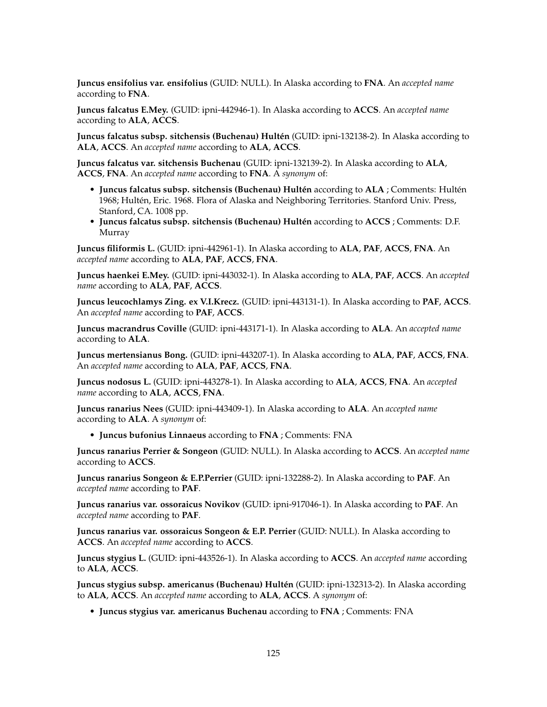**Juncus ensifolius var. ensifolius** (GUID: NULL). In Alaska according to **FNA**. An *accepted name* according to **FNA**.

**Juncus falcatus E.Mey.** (GUID: ipni-442946-1). In Alaska according to **ACCS**. An *accepted name* according to **ALA**, **ACCS**.

**Juncus falcatus subsp. sitchensis (Buchenau) Hultén** (GUID: ipni-132138-2). In Alaska according to **ALA**, **ACCS**. An *accepted name* according to **ALA**, **ACCS**.

**Juncus falcatus var. sitchensis Buchenau** (GUID: ipni-132139-2). In Alaska according to **ALA**, **ACCS**, **FNA**. An *accepted name* according to **FNA**. A *synonym* of:

- **Juncus falcatus subsp. sitchensis (Buchenau) Hultén** according to **ALA** ; Comments: Hultén 1968; Hultén, Eric. 1968. Flora of Alaska and Neighboring Territories. Stanford Univ. Press, Stanford, CA. 1008 pp.
- **Juncus falcatus subsp. sitchensis (Buchenau) Hultén** according to **ACCS** ; Comments: D.F. Murray

**Juncus filiformis L.** (GUID: ipni-442961-1). In Alaska according to **ALA**, **PAF**, **ACCS**, **FNA**. An *accepted name* according to **ALA**, **PAF**, **ACCS**, **FNA**.

**Juncus haenkei E.Mey.** (GUID: ipni-443032-1). In Alaska according to **ALA**, **PAF**, **ACCS**. An *accepted name* according to **ALA**, **PAF**, **ACCS**.

**Juncus leucochlamys Zing. ex V.I.Krecz.** (GUID: ipni-443131-1). In Alaska according to **PAF**, **ACCS**. An *accepted name* according to **PAF**, **ACCS**.

**Juncus macrandrus Coville** (GUID: ipni-443171-1). In Alaska according to **ALA**. An *accepted name* according to **ALA**.

**Juncus mertensianus Bong.** (GUID: ipni-443207-1). In Alaska according to **ALA**, **PAF**, **ACCS**, **FNA**. An *accepted name* according to **ALA**, **PAF**, **ACCS**, **FNA**.

**Juncus nodosus L.** (GUID: ipni-443278-1). In Alaska according to **ALA**, **ACCS**, **FNA**. An *accepted name* according to **ALA**, **ACCS**, **FNA**.

**Juncus ranarius Nees** (GUID: ipni-443409-1). In Alaska according to **ALA**. An *accepted name* according to **ALA**. A *synonym* of:

• **Juncus bufonius Linnaeus** according to **FNA** ; Comments: FNA

**Juncus ranarius Perrier & Songeon** (GUID: NULL). In Alaska according to **ACCS**. An *accepted name* according to **ACCS**.

**Juncus ranarius Songeon & E.P.Perrier** (GUID: ipni-132288-2). In Alaska according to **PAF**. An *accepted name* according to **PAF**.

**Juncus ranarius var. ossoraicus Novikov** (GUID: ipni-917046-1). In Alaska according to **PAF**. An *accepted name* according to **PAF**.

**Juncus ranarius var. ossoraicus Songeon & E.P. Perrier** (GUID: NULL). In Alaska according to **ACCS**. An *accepted name* according to **ACCS**.

**Juncus stygius L.** (GUID: ipni-443526-1). In Alaska according to **ACCS**. An *accepted name* according to **ALA**, **ACCS**.

**Juncus stygius subsp. americanus (Buchenau) Hultén** (GUID: ipni-132313-2). In Alaska according to **ALA**, **ACCS**. An *accepted name* according to **ALA**, **ACCS**. A *synonym* of:

• **Juncus stygius var. americanus Buchenau** according to **FNA** ; Comments: FNA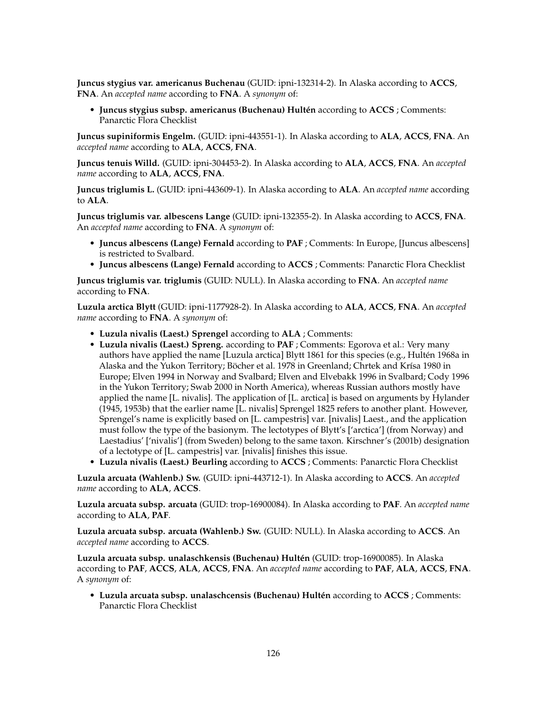**Juncus stygius var. americanus Buchenau** (GUID: ipni-132314-2). In Alaska according to **ACCS**, **FNA**. An *accepted name* according to **FNA**. A *synonym* of:

• **Juncus stygius subsp. americanus (Buchenau) Hultén** according to **ACCS** ; Comments: Panarctic Flora Checklist

**Juncus supiniformis Engelm.** (GUID: ipni-443551-1). In Alaska according to **ALA**, **ACCS**, **FNA**. An *accepted name* according to **ALA**, **ACCS**, **FNA**.

**Juncus tenuis Willd.** (GUID: ipni-304453-2). In Alaska according to **ALA**, **ACCS**, **FNA**. An *accepted name* according to **ALA**, **ACCS**, **FNA**.

**Juncus triglumis L.** (GUID: ipni-443609-1). In Alaska according to **ALA**. An *accepted name* according to **ALA**.

**Juncus triglumis var. albescens Lange** (GUID: ipni-132355-2). In Alaska according to **ACCS**, **FNA**. An *accepted name* according to **FNA**. A *synonym* of:

- **Juncus albescens (Lange) Fernald** according to **PAF** ; Comments: In Europe, [Juncus albescens] is restricted to Svalbard.
- **Juncus albescens (Lange) Fernald** according to **ACCS** ; Comments: Panarctic Flora Checklist

**Juncus triglumis var. triglumis** (GUID: NULL). In Alaska according to **FNA**. An *accepted name* according to **FNA**.

**Luzula arctica Blytt** (GUID: ipni-1177928-2). In Alaska according to **ALA**, **ACCS**, **FNA**. An *accepted name* according to **FNA**. A *synonym* of:

- **Luzula nivalis (Laest.) Sprengel** according to **ALA** ; Comments:
- **Luzula nivalis (Laest.) Spreng.** according to **PAF** ; Comments: Egorova et al.: Very many authors have applied the name [Luzula arctica] Blytt 1861 for this species (e.g., Hultén 1968a in Alaska and the Yukon Territory; Böcher et al. 1978 in Greenland; Chrtek and Krísa 1980 in Europe; Elven 1994 in Norway and Svalbard; Elven and Elvebakk 1996 in Svalbard; Cody 1996 in the Yukon Territory; Swab 2000 in North America), whereas Russian authors mostly have applied the name [L. nivalis]. The application of [L. arctica] is based on arguments by Hylander (1945, 1953b) that the earlier name [L. nivalis] Sprengel 1825 refers to another plant. However, Sprengel's name is explicitly based on [L. campestris] var. [nivalis] Laest., and the application must follow the type of the basionym. The lectotypes of Blytt's ['arctica'] (from Norway) and Laestadius' ['nivalis'] (from Sweden) belong to the same taxon. Kirschner's (2001b) designation of a lectotype of [L. campestris] var. [nivalis] finishes this issue.
- **Luzula nivalis (Laest.) Beurling** according to **ACCS** ; Comments: Panarctic Flora Checklist

**Luzula arcuata (Wahlenb.) Sw.** (GUID: ipni-443712-1). In Alaska according to **ACCS**. An *accepted name* according to **ALA**, **ACCS**.

**Luzula arcuata subsp. arcuata** (GUID: trop-16900084). In Alaska according to **PAF**. An *accepted name* according to **ALA**, **PAF**.

**Luzula arcuata subsp. arcuata (Wahlenb.) Sw.** (GUID: NULL). In Alaska according to **ACCS**. An *accepted name* according to **ACCS**.

**Luzula arcuata subsp. unalaschkensis (Buchenau) Hultén** (GUID: trop-16900085). In Alaska according to **PAF**, **ACCS**, **ALA**, **ACCS**, **FNA**. An *accepted name* according to **PAF**, **ALA**, **ACCS**, **FNA**. A *synonym* of:

• **Luzula arcuata subsp. unalaschcensis (Buchenau) Hultén** according to **ACCS** ; Comments: Panarctic Flora Checklist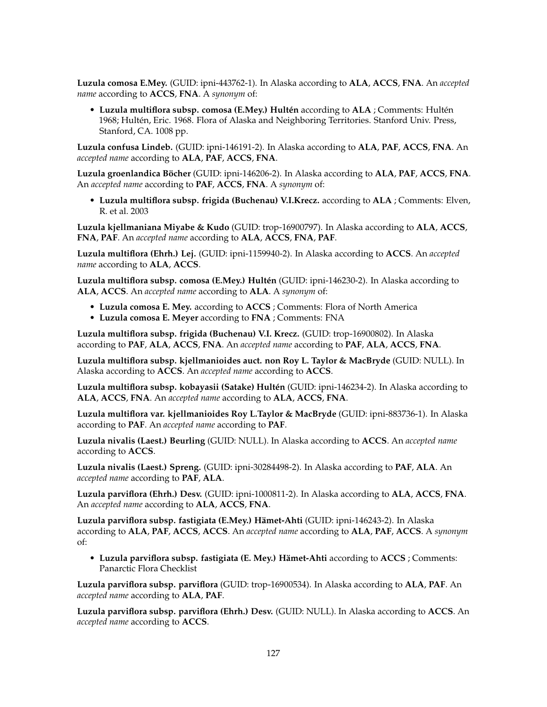**Luzula comosa E.Mey.** (GUID: ipni-443762-1). In Alaska according to **ALA**, **ACCS**, **FNA**. An *accepted name* according to **ACCS**, **FNA**. A *synonym* of:

• **Luzula multiflora subsp. comosa (E.Mey.) Hultén** according to **ALA** ; Comments: Hultén 1968; Hultén, Eric. 1968. Flora of Alaska and Neighboring Territories. Stanford Univ. Press, Stanford, CA. 1008 pp.

**Luzula confusa Lindeb.** (GUID: ipni-146191-2). In Alaska according to **ALA**, **PAF**, **ACCS**, **FNA**. An *accepted name* according to **ALA**, **PAF**, **ACCS**, **FNA**.

**Luzula groenlandica Böcher** (GUID: ipni-146206-2). In Alaska according to **ALA**, **PAF**, **ACCS**, **FNA**. An *accepted name* according to **PAF**, **ACCS**, **FNA**. A *synonym* of:

• **Luzula multiflora subsp. frigida (Buchenau) V.I.Krecz.** according to **ALA** ; Comments: Elven, R. et al. 2003

**Luzula kjellmaniana Miyabe & Kudo** (GUID: trop-16900797). In Alaska according to **ALA**, **ACCS**, **FNA**, **PAF**. An *accepted name* according to **ALA**, **ACCS**, **FNA**, **PAF**.

**Luzula multiflora (Ehrh.) Lej.** (GUID: ipni-1159940-2). In Alaska according to **ACCS**. An *accepted name* according to **ALA**, **ACCS**.

**Luzula multiflora subsp. comosa (E.Mey.) Hultén** (GUID: ipni-146230-2). In Alaska according to **ALA**, **ACCS**. An *accepted name* according to **ALA**. A *synonym* of:

- **Luzula comosa E. Mey.** according to **ACCS** ; Comments: Flora of North America
- **Luzula comosa E. Meyer** according to **FNA** ; Comments: FNA

**Luzula multiflora subsp. frigida (Buchenau) V.I. Krecz.** (GUID: trop-16900802). In Alaska according to **PAF**, **ALA**, **ACCS**, **FNA**. An *accepted name* according to **PAF**, **ALA**, **ACCS**, **FNA**.

**Luzula multiflora subsp. kjellmanioides auct. non Roy L. Taylor & MacBryde** (GUID: NULL). In Alaska according to **ACCS**. An *accepted name* according to **ACCS**.

**Luzula multiflora subsp. kobayasii (Satake) Hultén** (GUID: ipni-146234-2). In Alaska according to **ALA**, **ACCS**, **FNA**. An *accepted name* according to **ALA**, **ACCS**, **FNA**.

**Luzula multiflora var. kjellmanioides Roy L.Taylor & MacBryde** (GUID: ipni-883736-1). In Alaska according to **PAF**. An *accepted name* according to **PAF**.

**Luzula nivalis (Laest.) Beurling** (GUID: NULL). In Alaska according to **ACCS**. An *accepted name* according to **ACCS**.

**Luzula nivalis (Laest.) Spreng.** (GUID: ipni-30284498-2). In Alaska according to **PAF**, **ALA**. An *accepted name* according to **PAF**, **ALA**.

**Luzula parviflora (Ehrh.) Desv.** (GUID: ipni-1000811-2). In Alaska according to **ALA**, **ACCS**, **FNA**. An *accepted name* according to **ALA**, **ACCS**, **FNA**.

**Luzula parviflora subsp. fastigiata (E.Mey.) Hämet-Ahti** (GUID: ipni-146243-2). In Alaska according to **ALA**, **PAF**, **ACCS**, **ACCS**. An *accepted name* according to **ALA**, **PAF**, **ACCS**. A *synonym* of:

• **Luzula parviflora subsp. fastigiata (E. Mey.) Hämet-Ahti** according to **ACCS** ; Comments: Panarctic Flora Checklist

**Luzula parviflora subsp. parviflora** (GUID: trop-16900534). In Alaska according to **ALA**, **PAF**. An *accepted name* according to **ALA**, **PAF**.

**Luzula parviflora subsp. parviflora (Ehrh.) Desv.** (GUID: NULL). In Alaska according to **ACCS**. An *accepted name* according to **ACCS**.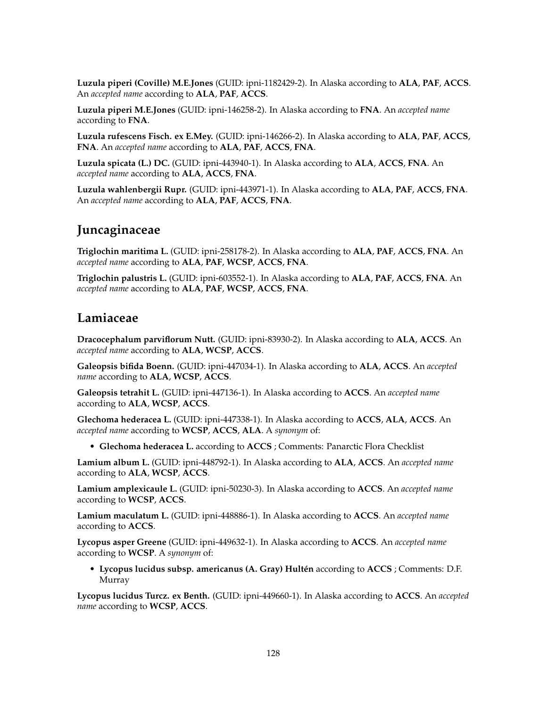**Luzula piperi (Coville) M.E.Jones** (GUID: ipni-1182429-2). In Alaska according to **ALA**, **PAF**, **ACCS**. An *accepted name* according to **ALA**, **PAF**, **ACCS**.

**Luzula piperi M.E.Jones** (GUID: ipni-146258-2). In Alaska according to **FNA**. An *accepted name* according to **FNA**.

**Luzula rufescens Fisch. ex E.Mey.** (GUID: ipni-146266-2). In Alaska according to **ALA**, **PAF**, **ACCS**, **FNA**. An *accepted name* according to **ALA**, **PAF**, **ACCS**, **FNA**.

**Luzula spicata (L.) DC.** (GUID: ipni-443940-1). In Alaska according to **ALA**, **ACCS**, **FNA**. An *accepted name* according to **ALA**, **ACCS**, **FNA**.

**Luzula wahlenbergii Rupr.** (GUID: ipni-443971-1). In Alaska according to **ALA**, **PAF**, **ACCS**, **FNA**. An *accepted name* according to **ALA**, **PAF**, **ACCS**, **FNA**.

## **Juncaginaceae**

**Triglochin maritima L.** (GUID: ipni-258178-2). In Alaska according to **ALA**, **PAF**, **ACCS**, **FNA**. An *accepted name* according to **ALA**, **PAF**, **WCSP**, **ACCS**, **FNA**.

**Triglochin palustris L.** (GUID: ipni-603552-1). In Alaska according to **ALA**, **PAF**, **ACCS**, **FNA**. An *accepted name* according to **ALA**, **PAF**, **WCSP**, **ACCS**, **FNA**.

## **Lamiaceae**

**Dracocephalum parviflorum Nutt.** (GUID: ipni-83930-2). In Alaska according to **ALA**, **ACCS**. An *accepted name* according to **ALA**, **WCSP**, **ACCS**.

**Galeopsis bifida Boenn.** (GUID: ipni-447034-1). In Alaska according to **ALA**, **ACCS**. An *accepted name* according to **ALA**, **WCSP**, **ACCS**.

**Galeopsis tetrahit L.** (GUID: ipni-447136-1). In Alaska according to **ACCS**. An *accepted name* according to **ALA**, **WCSP**, **ACCS**.

**Glechoma hederacea L.** (GUID: ipni-447338-1). In Alaska according to **ACCS**, **ALA**, **ACCS**. An *accepted name* according to **WCSP**, **ACCS**, **ALA**. A *synonym* of:

• **Glechoma hederacea L.** according to **ACCS** ; Comments: Panarctic Flora Checklist

**Lamium album L.** (GUID: ipni-448792-1). In Alaska according to **ALA**, **ACCS**. An *accepted name* according to **ALA**, **WCSP**, **ACCS**.

**Lamium amplexicaule L.** (GUID: ipni-50230-3). In Alaska according to **ACCS**. An *accepted name* according to **WCSP**, **ACCS**.

**Lamium maculatum L.** (GUID: ipni-448886-1). In Alaska according to **ACCS**. An *accepted name* according to **ACCS**.

**Lycopus asper Greene** (GUID: ipni-449632-1). In Alaska according to **ACCS**. An *accepted name* according to **WCSP**. A *synonym* of:

• **Lycopus lucidus subsp. americanus (A. Gray) Hultén** according to **ACCS** ; Comments: D.F. Murray

**Lycopus lucidus Turcz. ex Benth.** (GUID: ipni-449660-1). In Alaska according to **ACCS**. An *accepted name* according to **WCSP**, **ACCS**.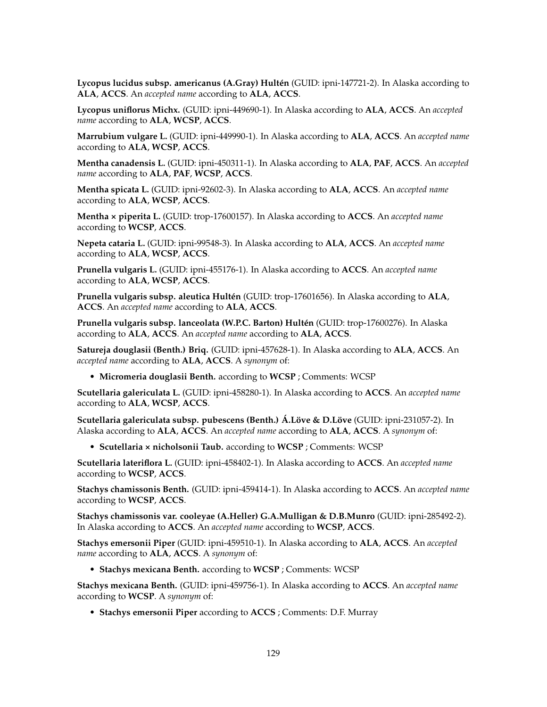**Lycopus lucidus subsp. americanus (A.Gray) Hultén** (GUID: ipni-147721-2). In Alaska according to **ALA**, **ACCS**. An *accepted name* according to **ALA**, **ACCS**.

**Lycopus uniflorus Michx.** (GUID: ipni-449690-1). In Alaska according to **ALA**, **ACCS**. An *accepted name* according to **ALA**, **WCSP**, **ACCS**.

**Marrubium vulgare L.** (GUID: ipni-449990-1). In Alaska according to **ALA**, **ACCS**. An *accepted name* according to **ALA**, **WCSP**, **ACCS**.

**Mentha canadensis L.** (GUID: ipni-450311-1). In Alaska according to **ALA**, **PAF**, **ACCS**. An *accepted name* according to **ALA**, **PAF**, **WCSP**, **ACCS**.

**Mentha spicata L.** (GUID: ipni-92602-3). In Alaska according to **ALA**, **ACCS**. An *accepted name* according to **ALA**, **WCSP**, **ACCS**.

**Mentha × piperita L.** (GUID: trop-17600157). In Alaska according to **ACCS**. An *accepted name* according to **WCSP**, **ACCS**.

**Nepeta cataria L.** (GUID: ipni-99548-3). In Alaska according to **ALA**, **ACCS**. An *accepted name* according to **ALA**, **WCSP**, **ACCS**.

**Prunella vulgaris L.** (GUID: ipni-455176-1). In Alaska according to **ACCS**. An *accepted name* according to **ALA**, **WCSP**, **ACCS**.

**Prunella vulgaris subsp. aleutica Hultén** (GUID: trop-17601656). In Alaska according to **ALA**, **ACCS**. An *accepted name* according to **ALA**, **ACCS**.

**Prunella vulgaris subsp. lanceolata (W.P.C. Barton) Hultén** (GUID: trop-17600276). In Alaska according to **ALA**, **ACCS**. An *accepted name* according to **ALA**, **ACCS**.

**Satureja douglasii (Benth.) Briq.** (GUID: ipni-457628-1). In Alaska according to **ALA**, **ACCS**. An *accepted name* according to **ALA**, **ACCS**. A *synonym* of:

• **Micromeria douglasii Benth.** according to **WCSP** ; Comments: WCSP

**Scutellaria galericulata L.** (GUID: ipni-458280-1). In Alaska according to **ACCS**. An *accepted name* according to **ALA**, **WCSP**, **ACCS**.

**Scutellaria galericulata subsp. pubescens (Benth.) Á.Löve & D.Löve** (GUID: ipni-231057-2). In Alaska according to **ALA**, **ACCS**. An *accepted name* according to **ALA**, **ACCS**. A *synonym* of:

• **Scutellaria × nicholsonii Taub.** according to **WCSP** ; Comments: WCSP

**Scutellaria lateriflora L.** (GUID: ipni-458402-1). In Alaska according to **ACCS**. An *accepted name* according to **WCSP**, **ACCS**.

**Stachys chamissonis Benth.** (GUID: ipni-459414-1). In Alaska according to **ACCS**. An *accepted name* according to **WCSP**, **ACCS**.

**Stachys chamissonis var. cooleyae (A.Heller) G.A.Mulligan & D.B.Munro** (GUID: ipni-285492-2). In Alaska according to **ACCS**. An *accepted name* according to **WCSP**, **ACCS**.

**Stachys emersonii Piper** (GUID: ipni-459510-1). In Alaska according to **ALA**, **ACCS**. An *accepted name* according to **ALA**, **ACCS**. A *synonym* of:

• **Stachys mexicana Benth.** according to **WCSP** ; Comments: WCSP

**Stachys mexicana Benth.** (GUID: ipni-459756-1). In Alaska according to **ACCS**. An *accepted name* according to **WCSP**. A *synonym* of:

• **Stachys emersonii Piper** according to **ACCS** ; Comments: D.F. Murray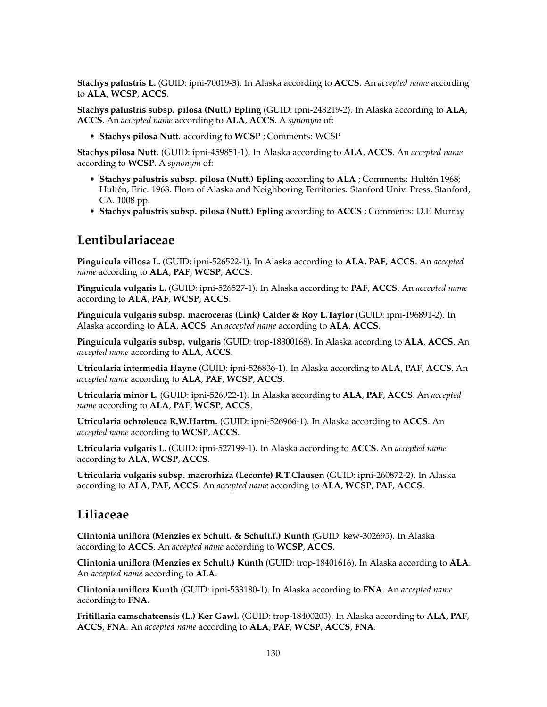**Stachys palustris L.** (GUID: ipni-70019-3). In Alaska according to **ACCS**. An *accepted name* according to **ALA**, **WCSP**, **ACCS**.

**Stachys palustris subsp. pilosa (Nutt.) Epling** (GUID: ipni-243219-2). In Alaska according to **ALA**, **ACCS**. An *accepted name* according to **ALA**, **ACCS**. A *synonym* of:

• **Stachys pilosa Nutt.** according to **WCSP** ; Comments: WCSP

**Stachys pilosa Nutt.** (GUID: ipni-459851-1). In Alaska according to **ALA**, **ACCS**. An *accepted name* according to **WCSP**. A *synonym* of:

- **Stachys palustris subsp. pilosa (Nutt.) Epling** according to **ALA** ; Comments: Hultén 1968; Hultén, Eric. 1968. Flora of Alaska and Neighboring Territories. Stanford Univ. Press, Stanford, CA. 1008 pp.
- **Stachys palustris subsp. pilosa (Nutt.) Epling** according to **ACCS** ; Comments: D.F. Murray

### **Lentibulariaceae**

**Pinguicula villosa L.** (GUID: ipni-526522-1). In Alaska according to **ALA**, **PAF**, **ACCS**. An *accepted name* according to **ALA**, **PAF**, **WCSP**, **ACCS**.

**Pinguicula vulgaris L.** (GUID: ipni-526527-1). In Alaska according to **PAF**, **ACCS**. An *accepted name* according to **ALA**, **PAF**, **WCSP**, **ACCS**.

**Pinguicula vulgaris subsp. macroceras (Link) Calder & Roy L.Taylor** (GUID: ipni-196891-2). In Alaska according to **ALA**, **ACCS**. An *accepted name* according to **ALA**, **ACCS**.

**Pinguicula vulgaris subsp. vulgaris** (GUID: trop-18300168). In Alaska according to **ALA**, **ACCS**. An *accepted name* according to **ALA**, **ACCS**.

**Utricularia intermedia Hayne** (GUID: ipni-526836-1). In Alaska according to **ALA**, **PAF**, **ACCS**. An *accepted name* according to **ALA**, **PAF**, **WCSP**, **ACCS**.

**Utricularia minor L.** (GUID: ipni-526922-1). In Alaska according to **ALA**, **PAF**, **ACCS**. An *accepted name* according to **ALA**, **PAF**, **WCSP**, **ACCS**.

**Utricularia ochroleuca R.W.Hartm.** (GUID: ipni-526966-1). In Alaska according to **ACCS**. An *accepted name* according to **WCSP**, **ACCS**.

**Utricularia vulgaris L.** (GUID: ipni-527199-1). In Alaska according to **ACCS**. An *accepted name* according to **ALA**, **WCSP**, **ACCS**.

**Utricularia vulgaris subsp. macrorhiza (Leconte) R.T.Clausen** (GUID: ipni-260872-2). In Alaska according to **ALA**, **PAF**, **ACCS**. An *accepted name* according to **ALA**, **WCSP**, **PAF**, **ACCS**.

### **Liliaceae**

**Clintonia uniflora (Menzies ex Schult. & Schult.f.) Kunth** (GUID: kew-302695). In Alaska according to **ACCS**. An *accepted name* according to **WCSP**, **ACCS**.

**Clintonia uniflora (Menzies ex Schult.) Kunth** (GUID: trop-18401616). In Alaska according to **ALA**. An *accepted name* according to **ALA**.

**Clintonia uniflora Kunth** (GUID: ipni-533180-1). In Alaska according to **FNA**. An *accepted name* according to **FNA**.

**Fritillaria camschatcensis (L.) Ker Gawl.** (GUID: trop-18400203). In Alaska according to **ALA**, **PAF**, **ACCS**, **FNA**. An *accepted name* according to **ALA**, **PAF**, **WCSP**, **ACCS**, **FNA**.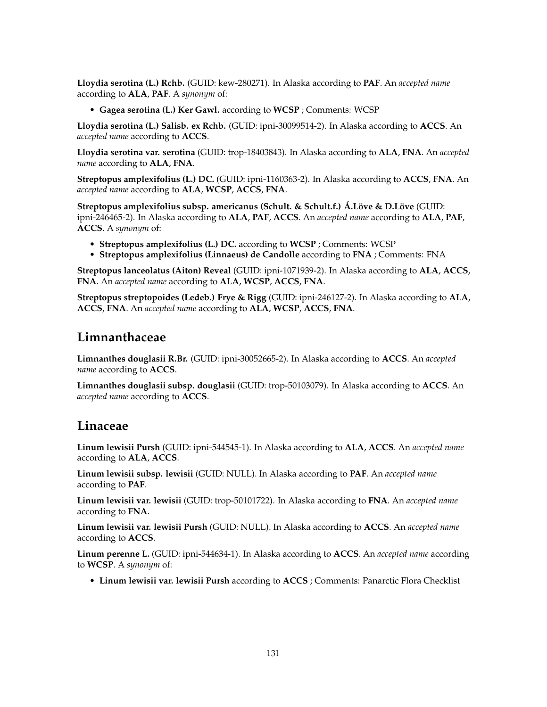**Lloydia serotina (L.) Rchb.** (GUID: kew-280271). In Alaska according to **PAF**. An *accepted name* according to **ALA**, **PAF**. A *synonym* of:

• **Gagea serotina (L.) Ker Gawl.** according to **WCSP** ; Comments: WCSP

**Lloydia serotina (L.) Salisb. ex Rchb.** (GUID: ipni-30099514-2). In Alaska according to **ACCS**. An *accepted name* according to **ACCS**.

**Lloydia serotina var. serotina** (GUID: trop-18403843). In Alaska according to **ALA**, **FNA**. An *accepted name* according to **ALA**, **FNA**.

**Streptopus amplexifolius (L.) DC.** (GUID: ipni-1160363-2). In Alaska according to **ACCS**, **FNA**. An *accepted name* according to **ALA**, **WCSP**, **ACCS**, **FNA**.

**Streptopus amplexifolius subsp. americanus (Schult. & Schult.f.) Á.Löve & D.Löve** (GUID: ipni-246465-2). In Alaska according to **ALA**, **PAF**, **ACCS**. An *accepted name* according to **ALA**, **PAF**, **ACCS**. A *synonym* of:

- **Streptopus amplexifolius (L.) DC.** according to **WCSP** ; Comments: WCSP
- **Streptopus amplexifolius (Linnaeus) de Candolle** according to **FNA** ; Comments: FNA

**Streptopus lanceolatus (Aiton) Reveal** (GUID: ipni-1071939-2). In Alaska according to **ALA**, **ACCS**, **FNA**. An *accepted name* according to **ALA**, **WCSP**, **ACCS**, **FNA**.

**Streptopus streptopoides (Ledeb.) Frye & Rigg** (GUID: ipni-246127-2). In Alaska according to **ALA**, **ACCS**, **FNA**. An *accepted name* according to **ALA**, **WCSP**, **ACCS**, **FNA**.

## **Limnanthaceae**

**Limnanthes douglasii R.Br.** (GUID: ipni-30052665-2). In Alaska according to **ACCS**. An *accepted name* according to **ACCS**.

**Limnanthes douglasii subsp. douglasii** (GUID: trop-50103079). In Alaska according to **ACCS**. An *accepted name* according to **ACCS**.

### **Linaceae**

**Linum lewisii Pursh** (GUID: ipni-544545-1). In Alaska according to **ALA**, **ACCS**. An *accepted name* according to **ALA**, **ACCS**.

**Linum lewisii subsp. lewisii** (GUID: NULL). In Alaska according to **PAF**. An *accepted name* according to **PAF**.

**Linum lewisii var. lewisii** (GUID: trop-50101722). In Alaska according to **FNA**. An *accepted name* according to **FNA**.

**Linum lewisii var. lewisii Pursh** (GUID: NULL). In Alaska according to **ACCS**. An *accepted name* according to **ACCS**.

**Linum perenne L.** (GUID: ipni-544634-1). In Alaska according to **ACCS**. An *accepted name* according to **WCSP**. A *synonym* of:

• **Linum lewisii var. lewisii Pursh** according to **ACCS** ; Comments: Panarctic Flora Checklist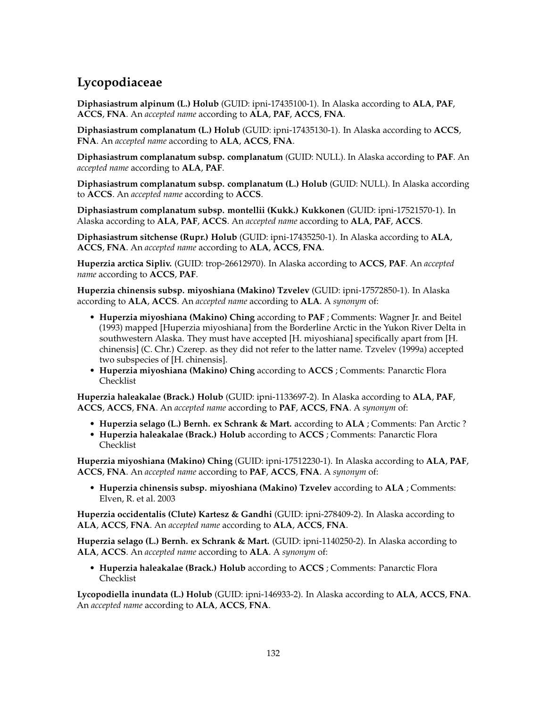# **Lycopodiaceae**

**Diphasiastrum alpinum (L.) Holub** (GUID: ipni-17435100-1). In Alaska according to **ALA**, **PAF**, **ACCS**, **FNA**. An *accepted name* according to **ALA**, **PAF**, **ACCS**, **FNA**.

**Diphasiastrum complanatum (L.) Holub** (GUID: ipni-17435130-1). In Alaska according to **ACCS**, **FNA**. An *accepted name* according to **ALA**, **ACCS**, **FNA**.

**Diphasiastrum complanatum subsp. complanatum** (GUID: NULL). In Alaska according to **PAF**. An *accepted name* according to **ALA**, **PAF**.

**Diphasiastrum complanatum subsp. complanatum (L.) Holub** (GUID: NULL). In Alaska according to **ACCS**. An *accepted name* according to **ACCS**.

**Diphasiastrum complanatum subsp. montellii (Kukk.) Kukkonen** (GUID: ipni-17521570-1). In Alaska according to **ALA**, **PAF**, **ACCS**. An *accepted name* according to **ALA**, **PAF**, **ACCS**.

**Diphasiastrum sitchense (Rupr.) Holub** (GUID: ipni-17435250-1). In Alaska according to **ALA**, **ACCS**, **FNA**. An *accepted name* according to **ALA**, **ACCS**, **FNA**.

**Huperzia arctica Sipliv.** (GUID: trop-26612970). In Alaska according to **ACCS**, **PAF**. An *accepted name* according to **ACCS**, **PAF**.

**Huperzia chinensis subsp. miyoshiana (Makino) Tzvelev** (GUID: ipni-17572850-1). In Alaska according to **ALA**, **ACCS**. An *accepted name* according to **ALA**. A *synonym* of:

- **Huperzia miyoshiana (Makino) Ching** according to **PAF** ; Comments: Wagner Jr. and Beitel (1993) mapped [Huperzia miyoshiana] from the Borderline Arctic in the Yukon River Delta in southwestern Alaska. They must have accepted [H. miyoshiana] specifically apart from [H. chinensis] (C. Chr.) Czerep. as they did not refer to the latter name. Tzvelev (1999a) accepted two subspecies of [H. chinensis].
- **Huperzia miyoshiana (Makino) Ching** according to **ACCS** ; Comments: Panarctic Flora Checklist

**Huperzia haleakalae (Brack.) Holub** (GUID: ipni-1133697-2). In Alaska according to **ALA**, **PAF**, **ACCS**, **ACCS**, **FNA**. An *accepted name* according to **PAF**, **ACCS**, **FNA**. A *synonym* of:

- **Huperzia selago (L.) Bernh. ex Schrank & Mart.** according to **ALA** ; Comments: Pan Arctic ?
- **Huperzia haleakalae (Brack.) Holub** according to **ACCS** ; Comments: Panarctic Flora Checklist

**Huperzia miyoshiana (Makino) Ching** (GUID: ipni-17512230-1). In Alaska according to **ALA**, **PAF**, **ACCS**, **FNA**. An *accepted name* according to **PAF**, **ACCS**, **FNA**. A *synonym* of:

• **Huperzia chinensis subsp. miyoshiana (Makino) Tzvelev** according to **ALA** ; Comments: Elven, R. et al. 2003

**Huperzia occidentalis (Clute) Kartesz & Gandhi** (GUID: ipni-278409-2). In Alaska according to **ALA**, **ACCS**, **FNA**. An *accepted name* according to **ALA**, **ACCS**, **FNA**.

**Huperzia selago (L.) Bernh. ex Schrank & Mart.** (GUID: ipni-1140250-2). In Alaska according to **ALA**, **ACCS**. An *accepted name* according to **ALA**. A *synonym* of:

• **Huperzia haleakalae (Brack.) Holub** according to **ACCS** ; Comments: Panarctic Flora Checklist

**Lycopodiella inundata (L.) Holub** (GUID: ipni-146933-2). In Alaska according to **ALA**, **ACCS**, **FNA**. An *accepted name* according to **ALA**, **ACCS**, **FNA**.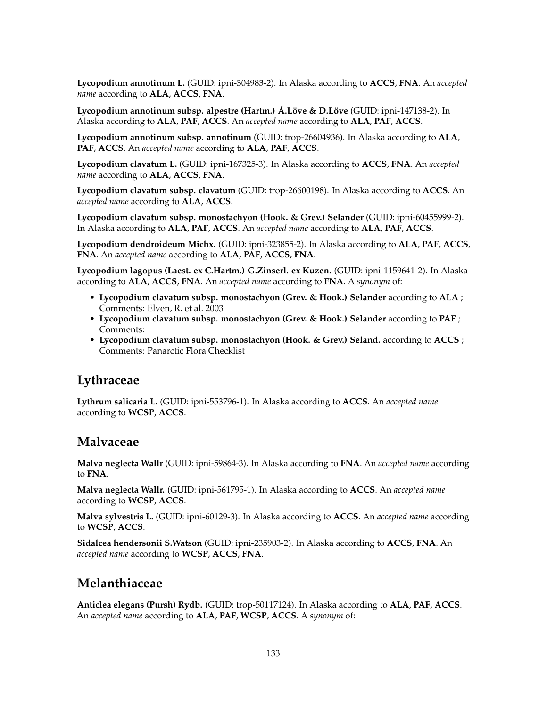**Lycopodium annotinum L.** (GUID: ipni-304983-2). In Alaska according to **ACCS**, **FNA**. An *accepted name* according to **ALA**, **ACCS**, **FNA**.

**Lycopodium annotinum subsp. alpestre (Hartm.) Á.Löve & D.Löve** (GUID: ipni-147138-2). In Alaska according to **ALA**, **PAF**, **ACCS**. An *accepted name* according to **ALA**, **PAF**, **ACCS**.

**Lycopodium annotinum subsp. annotinum** (GUID: trop-26604936). In Alaska according to **ALA**, **PAF**, **ACCS**. An *accepted name* according to **ALA**, **PAF**, **ACCS**.

**Lycopodium clavatum L.** (GUID: ipni-167325-3). In Alaska according to **ACCS**, **FNA**. An *accepted name* according to **ALA**, **ACCS**, **FNA**.

**Lycopodium clavatum subsp. clavatum** (GUID: trop-26600198). In Alaska according to **ACCS**. An *accepted name* according to **ALA**, **ACCS**.

**Lycopodium clavatum subsp. monostachyon (Hook. & Grev.) Selander** (GUID: ipni-60455999-2). In Alaska according to **ALA**, **PAF**, **ACCS**. An *accepted name* according to **ALA**, **PAF**, **ACCS**.

**Lycopodium dendroideum Michx.** (GUID: ipni-323855-2). In Alaska according to **ALA**, **PAF**, **ACCS**, **FNA**. An *accepted name* according to **ALA**, **PAF**, **ACCS**, **FNA**.

**Lycopodium lagopus (Laest. ex C.Hartm.) G.Zinserl. ex Kuzen.** (GUID: ipni-1159641-2). In Alaska according to **ALA**, **ACCS**, **FNA**. An *accepted name* according to **FNA**. A *synonym* of:

- **Lycopodium clavatum subsp. monostachyon (Grev. & Hook.) Selander** according to **ALA** ; Comments: Elven, R. et al. 2003
- **Lycopodium clavatum subsp. monostachyon (Grev. & Hook.) Selander** according to **PAF** ; Comments:
- **Lycopodium clavatum subsp. monostachyon (Hook. & Grev.) Seland.** according to **ACCS** ; Comments: Panarctic Flora Checklist

## **Lythraceae**

**Lythrum salicaria L.** (GUID: ipni-553796-1). In Alaska according to **ACCS**. An *accepted name* according to **WCSP**, **ACCS**.

### **Malvaceae**

**Malva neglecta Wallr** (GUID: ipni-59864-3). In Alaska according to **FNA**. An *accepted name* according to **FNA**.

**Malva neglecta Wallr.** (GUID: ipni-561795-1). In Alaska according to **ACCS**. An *accepted name* according to **WCSP**, **ACCS**.

**Malva sylvestris L.** (GUID: ipni-60129-3). In Alaska according to **ACCS**. An *accepted name* according to **WCSP**, **ACCS**.

**Sidalcea hendersonii S.Watson** (GUID: ipni-235903-2). In Alaska according to **ACCS**, **FNA**. An *accepted name* according to **WCSP**, **ACCS**, **FNA**.

## **Melanthiaceae**

**Anticlea elegans (Pursh) Rydb.** (GUID: trop-50117124). In Alaska according to **ALA**, **PAF**, **ACCS**. An *accepted name* according to **ALA**, **PAF**, **WCSP**, **ACCS**. A *synonym* of: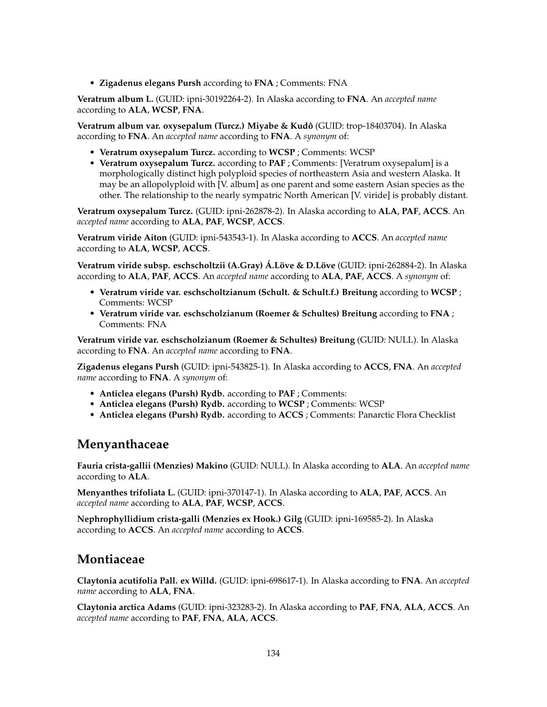• **Zigadenus elegans Pursh** according to **FNA** ; Comments: FNA

**Veratrum album L.** (GUID: ipni-30192264-2). In Alaska according to **FNA**. An *accepted name* according to **ALA**, **WCSP**, **FNA**.

**Veratrum album var. oxysepalum (Turcz.) Miyabe & Kudô** (GUID: trop-18403704). In Alaska according to **FNA**. An *accepted name* according to **FNA**. A *synonym* of:

- **Veratrum oxysepalum Turcz.** according to **WCSP** ; Comments: WCSP
- **Veratrum oxysepalum Turcz.** according to **PAF** ; Comments: [Veratrum oxysepalum] is a morphologically distinct high polyploid species of northeastern Asia and western Alaska. It may be an allopolyploid with [V. album] as one parent and some eastern Asian species as the other. The relationship to the nearly sympatric North American [V. viride] is probably distant.

**Veratrum oxysepalum Turcz.** (GUID: ipni-262878-2). In Alaska according to **ALA**, **PAF**, **ACCS**. An *accepted name* according to **ALA**, **PAF**, **WCSP**, **ACCS**.

**Veratrum viride Aiton** (GUID: ipni-543543-1). In Alaska according to **ACCS**. An *accepted name* according to **ALA**, **WCSP**, **ACCS**.

**Veratrum viride subsp. eschscholtzii (A.Gray) Á.Löve & D.Löve** (GUID: ipni-262884-2). In Alaska according to **ALA**, **PAF**, **ACCS**. An *accepted name* according to **ALA**, **PAF**, **ACCS**. A *synonym* of:

- **Veratrum viride var. eschscholtzianum (Schult. & Schult.f.) Breitung** according to **WCSP** ; Comments: WCSP
- **Veratrum viride var. eschscholzianum (Roemer & Schultes) Breitung** according to **FNA** ; Comments: FNA

**Veratrum viride var. eschscholzianum (Roemer & Schultes) Breitung** (GUID: NULL). In Alaska according to **FNA**. An *accepted name* according to **FNA**.

**Zigadenus elegans Pursh** (GUID: ipni-543825-1). In Alaska according to **ACCS**, **FNA**. An *accepted name* according to **FNA**. A *synonym* of:

- **Anticlea elegans (Pursh) Rydb.** according to **PAF** ; Comments:
- **Anticlea elegans (Pursh) Rydb.** according to **WCSP** ; Comments: WCSP
- **Anticlea elegans (Pursh) Rydb.** according to **ACCS** ; Comments: Panarctic Flora Checklist

#### **Menyanthaceae**

**Fauria crista-gallii (Menzies) Makino** (GUID: NULL). In Alaska according to **ALA**. An *accepted name* according to **ALA**.

**Menyanthes trifoliata L.** (GUID: ipni-370147-1). In Alaska according to **ALA**, **PAF**, **ACCS**. An *accepted name* according to **ALA**, **PAF**, **WCSP**, **ACCS**.

**Nephrophyllidium crista-galli (Menzies ex Hook.) Gilg** (GUID: ipni-169585-2). In Alaska according to **ACCS**. An *accepted name* according to **ACCS**.

### **Montiaceae**

**Claytonia acutifolia Pall. ex Willd.** (GUID: ipni-698617-1). In Alaska according to **FNA**. An *accepted name* according to **ALA**, **FNA**.

**Claytonia arctica Adams** (GUID: ipni-323283-2). In Alaska according to **PAF**, **FNA**, **ALA**, **ACCS**. An *accepted name* according to **PAF**, **FNA**, **ALA**, **ACCS**.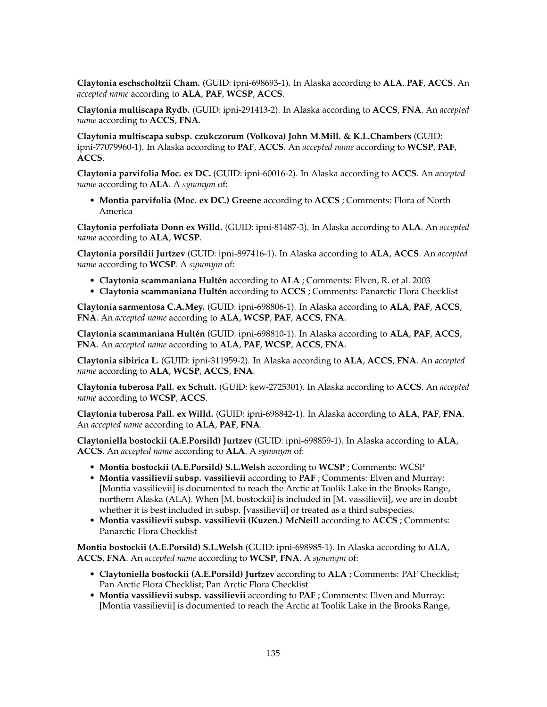**Claytonia eschscholtzii Cham.** (GUID: ipni-698693-1). In Alaska according to **ALA**, **PAF**, **ACCS**. An *accepted name* according to **ALA**, **PAF**, **WCSP**, **ACCS**.

**Claytonia multiscapa Rydb.** (GUID: ipni-291413-2). In Alaska according to **ACCS**, **FNA**. An *accepted name* according to **ACCS**, **FNA**.

**Claytonia multiscapa subsp. czukczorum (Volkova) John M.Mill. & K.L.Chambers** (GUID: ipni-77079960-1). In Alaska according to **PAF**, **ACCS**. An *accepted name* according to **WCSP**, **PAF**, **ACCS**.

**Claytonia parvifolia Moc. ex DC.** (GUID: ipni-60016-2). In Alaska according to **ACCS**. An *accepted name* according to **ALA**. A *synonym* of:

• **Montia parvifolia (Moc. ex DC.) Greene** according to **ACCS** ; Comments: Flora of North America

**Claytonia perfoliata Donn ex Willd.** (GUID: ipni-81487-3). In Alaska according to **ALA**. An *accepted name* according to **ALA**, **WCSP**.

**Claytonia porsildii Jurtzev** (GUID: ipni-897416-1). In Alaska according to **ALA**, **ACCS**. An *accepted name* according to **WCSP**. A *synonym* of:

- **Claytonia scammaniana Hultén** according to **ALA** ; Comments: Elven, R. et al. 2003
- **Claytonia scammaniana Hultén** according to **ACCS** ; Comments: Panarctic Flora Checklist

**Claytonia sarmentosa C.A.Mey.** (GUID: ipni-698806-1). In Alaska according to **ALA**, **PAF**, **ACCS**, **FNA**. An *accepted name* according to **ALA**, **WCSP**, **PAF**, **ACCS**, **FNA**.

**Claytonia scammaniana Hultén** (GUID: ipni-698810-1). In Alaska according to **ALA**, **PAF**, **ACCS**, **FNA**. An *accepted name* according to **ALA**, **PAF**, **WCSP**, **ACCS**, **FNA**.

**Claytonia sibirica L.** (GUID: ipni-311959-2). In Alaska according to **ALA**, **ACCS**, **FNA**. An *accepted name* according to **ALA**, **WCSP**, **ACCS**, **FNA**.

**Claytonia tuberosa Pall. ex Schult.** (GUID: kew-2725301). In Alaska according to **ACCS**. An *accepted name* according to **WCSP**, **ACCS**.

**Claytonia tuberosa Pall. ex Willd.** (GUID: ipni-698842-1). In Alaska according to **ALA**, **PAF**, **FNA**. An *accepted name* according to **ALA**, **PAF**, **FNA**.

**Claytoniella bostockii (A.E.Porsild) Jurtzev** (GUID: ipni-698859-1). In Alaska according to **ALA**, **ACCS**. An *accepted name* according to **ALA**. A *synonym* of:

- **Montia bostockii (A.E.Porsild) S.L.Welsh** according to **WCSP** ; Comments: WCSP
- **Montia vassilievii subsp. vassilievii** according to **PAF** ; Comments: Elven and Murray: [Montia vassilievii] is documented to reach the Arctic at Toolik Lake in the Brooks Range, northern Alaska (ALA). When [M. bostockii] is included in [M. vassilievii], we are in doubt whether it is best included in subsp. [vassilievii] or treated as a third subspecies.
- **Montia vassilievii subsp. vassilievii (Kuzen.) McNeill** according to **ACCS** ; Comments: Panarctic Flora Checklist

**Montia bostockii (A.E.Porsild) S.L.Welsh** (GUID: ipni-698985-1). In Alaska according to **ALA**, **ACCS**, **FNA**. An *accepted name* according to **WCSP**, **FNA**. A *synonym* of:

- **Claytoniella bostockii (A.E.Porsild) Jurtzev** according to **ALA** ; Comments: PAF Checklist; Pan Arctic Flora Checklist; Pan Arctic Flora Checklist
- **Montia vassilievii subsp. vassilievii** according to **PAF** ; Comments: Elven and Murray: [Montia vassilievii] is documented to reach the Arctic at Toolik Lake in the Brooks Range,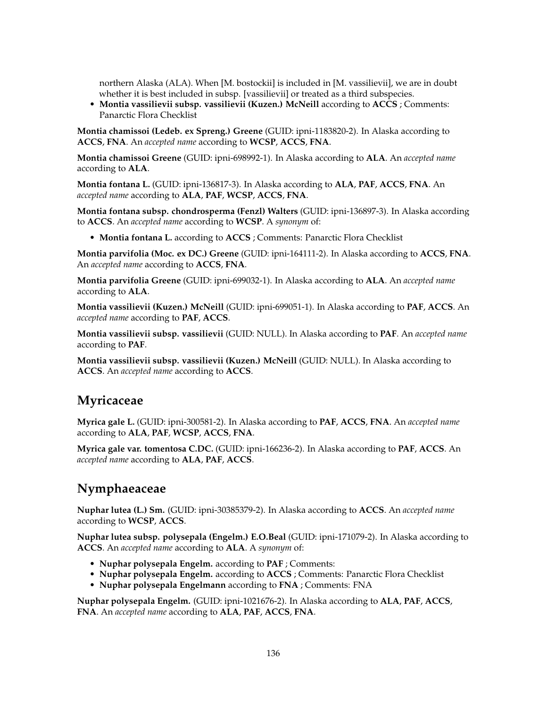northern Alaska (ALA). When [M. bostockii] is included in [M. vassilievii], we are in doubt whether it is best included in subsp. [vassilievii] or treated as a third subspecies.

• **Montia vassilievii subsp. vassilievii (Kuzen.) McNeill** according to **ACCS** ; Comments: Panarctic Flora Checklist

**Montia chamissoi (Ledeb. ex Spreng.) Greene** (GUID: ipni-1183820-2). In Alaska according to **ACCS**, **FNA**. An *accepted name* according to **WCSP**, **ACCS**, **FNA**.

**Montia chamissoi Greene** (GUID: ipni-698992-1). In Alaska according to **ALA**. An *accepted name* according to **ALA**.

**Montia fontana L.** (GUID: ipni-136817-3). In Alaska according to **ALA**, **PAF**, **ACCS**, **FNA**. An *accepted name* according to **ALA**, **PAF**, **WCSP**, **ACCS**, **FNA**.

**Montia fontana subsp. chondrosperma (Fenzl) Walters** (GUID: ipni-136897-3). In Alaska according to **ACCS**. An *accepted name* according to **WCSP**. A *synonym* of:

• **Montia fontana L.** according to **ACCS** ; Comments: Panarctic Flora Checklist

**Montia parvifolia (Moc. ex DC.) Greene** (GUID: ipni-164111-2). In Alaska according to **ACCS**, **FNA**. An *accepted name* according to **ACCS**, **FNA**.

**Montia parvifolia Greene** (GUID: ipni-699032-1). In Alaska according to **ALA**. An *accepted name* according to **ALA**.

**Montia vassilievii (Kuzen.) McNeill** (GUID: ipni-699051-1). In Alaska according to **PAF**, **ACCS**. An *accepted name* according to **PAF**, **ACCS**.

**Montia vassilievii subsp. vassilievii** (GUID: NULL). In Alaska according to **PAF**. An *accepted name* according to **PAF**.

**Montia vassilievii subsp. vassilievii (Kuzen.) McNeill** (GUID: NULL). In Alaska according to **ACCS**. An *accepted name* according to **ACCS**.

### **Myricaceae**

**Myrica gale L.** (GUID: ipni-300581-2). In Alaska according to **PAF**, **ACCS**, **FNA**. An *accepted name* according to **ALA**, **PAF**, **WCSP**, **ACCS**, **FNA**.

**Myrica gale var. tomentosa C.DC.** (GUID: ipni-166236-2). In Alaska according to **PAF**, **ACCS**. An *accepted name* according to **ALA**, **PAF**, **ACCS**.

## **Nymphaeaceae**

**Nuphar lutea (L.) Sm.** (GUID: ipni-30385379-2). In Alaska according to **ACCS**. An *accepted name* according to **WCSP**, **ACCS**.

**Nuphar lutea subsp. polysepala (Engelm.) E.O.Beal** (GUID: ipni-171079-2). In Alaska according to **ACCS**. An *accepted name* according to **ALA**. A *synonym* of:

- **Nuphar polysepala Engelm.** according to **PAF** ; Comments:
- **Nuphar polysepala Engelm.** according to **ACCS** ; Comments: Panarctic Flora Checklist
- **Nuphar polysepala Engelmann** according to **FNA** ; Comments: FNA

**Nuphar polysepala Engelm.** (GUID: ipni-1021676-2). In Alaska according to **ALA**, **PAF**, **ACCS**, **FNA**. An *accepted name* according to **ALA**, **PAF**, **ACCS**, **FNA**.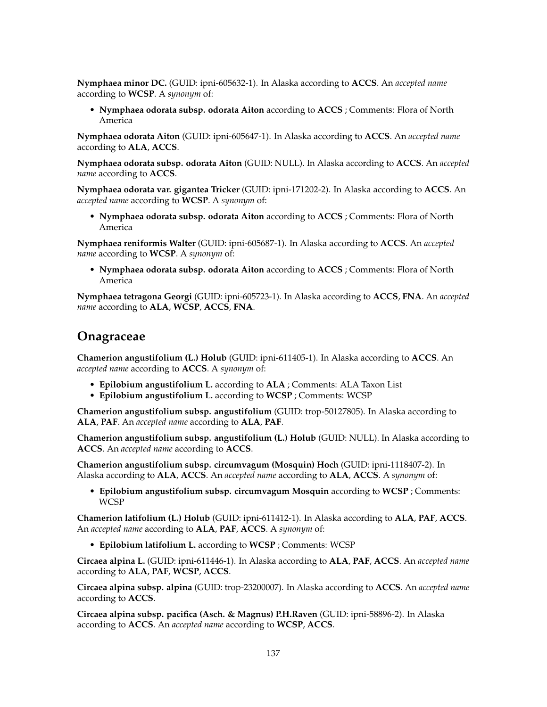**Nymphaea minor DC.** (GUID: ipni-605632-1). In Alaska according to **ACCS**. An *accepted name* according to **WCSP**. A *synonym* of:

• **Nymphaea odorata subsp. odorata Aiton** according to **ACCS** ; Comments: Flora of North America

**Nymphaea odorata Aiton** (GUID: ipni-605647-1). In Alaska according to **ACCS**. An *accepted name* according to **ALA**, **ACCS**.

**Nymphaea odorata subsp. odorata Aiton** (GUID: NULL). In Alaska according to **ACCS**. An *accepted name* according to **ACCS**.

**Nymphaea odorata var. gigantea Tricker** (GUID: ipni-171202-2). In Alaska according to **ACCS**. An *accepted name* according to **WCSP**. A *synonym* of:

• **Nymphaea odorata subsp. odorata Aiton** according to **ACCS** ; Comments: Flora of North America

**Nymphaea reniformis Walter** (GUID: ipni-605687-1). In Alaska according to **ACCS**. An *accepted name* according to **WCSP**. A *synonym* of:

• **Nymphaea odorata subsp. odorata Aiton** according to **ACCS** ; Comments: Flora of North America

**Nymphaea tetragona Georgi** (GUID: ipni-605723-1). In Alaska according to **ACCS**, **FNA**. An *accepted name* according to **ALA**, **WCSP**, **ACCS**, **FNA**.

### **Onagraceae**

**Chamerion angustifolium (L.) Holub** (GUID: ipni-611405-1). In Alaska according to **ACCS**. An *accepted name* according to **ACCS**. A *synonym* of:

- **Epilobium angustifolium L.** according to **ALA** ; Comments: ALA Taxon List
- **Epilobium angustifolium L.** according to **WCSP** ; Comments: WCSP

**Chamerion angustifolium subsp. angustifolium** (GUID: trop-50127805). In Alaska according to **ALA**, **PAF**. An *accepted name* according to **ALA**, **PAF**.

**Chamerion angustifolium subsp. angustifolium (L.) Holub** (GUID: NULL). In Alaska according to **ACCS**. An *accepted name* according to **ACCS**.

**Chamerion angustifolium subsp. circumvagum (Mosquin) Hoch** (GUID: ipni-1118407-2). In Alaska according to **ALA**, **ACCS**. An *accepted name* according to **ALA**, **ACCS**. A *synonym* of:

• **Epilobium angustifolium subsp. circumvagum Mosquin** according to **WCSP** ; Comments: **WCSP** 

**Chamerion latifolium (L.) Holub** (GUID: ipni-611412-1). In Alaska according to **ALA**, **PAF**, **ACCS**. An *accepted name* according to **ALA**, **PAF**, **ACCS**. A *synonym* of:

• **Epilobium latifolium L.** according to **WCSP** ; Comments: WCSP

**Circaea alpina L.** (GUID: ipni-611446-1). In Alaska according to **ALA**, **PAF**, **ACCS**. An *accepted name* according to **ALA**, **PAF**, **WCSP**, **ACCS**.

**Circaea alpina subsp. alpina** (GUID: trop-23200007). In Alaska according to **ACCS**. An *accepted name* according to **ACCS**.

**Circaea alpina subsp. pacifica (Asch. & Magnus) P.H.Raven** (GUID: ipni-58896-2). In Alaska according to **ACCS**. An *accepted name* according to **WCSP**, **ACCS**.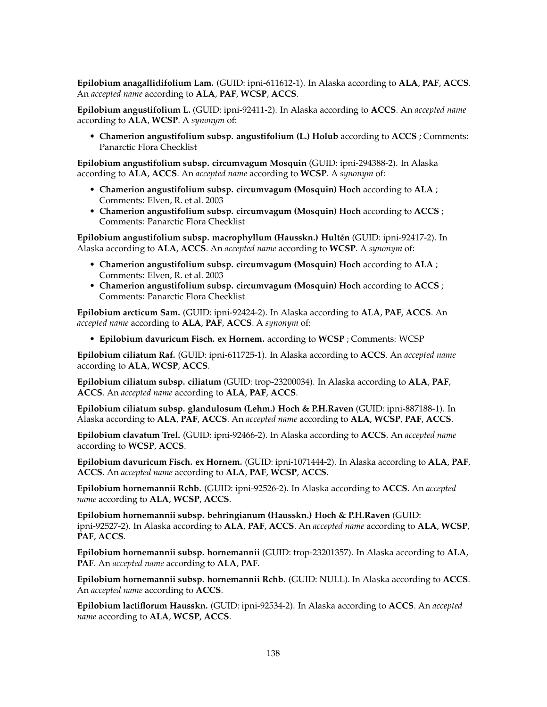**Epilobium anagallidifolium Lam.** (GUID: ipni-611612-1). In Alaska according to **ALA**, **PAF**, **ACCS**. An *accepted name* according to **ALA**, **PAF**, **WCSP**, **ACCS**.

**Epilobium angustifolium L.** (GUID: ipni-92411-2). In Alaska according to **ACCS**. An *accepted name* according to **ALA**, **WCSP**. A *synonym* of:

• **Chamerion angustifolium subsp. angustifolium (L.) Holub** according to **ACCS** ; Comments: Panarctic Flora Checklist

**Epilobium angustifolium subsp. circumvagum Mosquin** (GUID: ipni-294388-2). In Alaska according to **ALA**, **ACCS**. An *accepted name* according to **WCSP**. A *synonym* of:

- **Chamerion angustifolium subsp. circumvagum (Mosquin) Hoch** according to **ALA** ; Comments: Elven, R. et al. 2003
- **Chamerion angustifolium subsp. circumvagum (Mosquin) Hoch** according to **ACCS** ; Comments: Panarctic Flora Checklist

**Epilobium angustifolium subsp. macrophyllum (Hausskn.) Hultén** (GUID: ipni-92417-2). In Alaska according to **ALA**, **ACCS**. An *accepted name* according to **WCSP**. A *synonym* of:

- **Chamerion angustifolium subsp. circumvagum (Mosquin) Hoch** according to **ALA** ; Comments: Elven, R. et al. 2003
- **Chamerion angustifolium subsp. circumvagum (Mosquin) Hoch** according to **ACCS** ; Comments: Panarctic Flora Checklist

**Epilobium arcticum Sam.** (GUID: ipni-92424-2). In Alaska according to **ALA**, **PAF**, **ACCS**. An *accepted name* according to **ALA**, **PAF**, **ACCS**. A *synonym* of:

• **Epilobium davuricum Fisch. ex Hornem.** according to **WCSP** ; Comments: WCSP

**Epilobium ciliatum Raf.** (GUID: ipni-611725-1). In Alaska according to **ACCS**. An *accepted name* according to **ALA**, **WCSP**, **ACCS**.

**Epilobium ciliatum subsp. ciliatum** (GUID: trop-23200034). In Alaska according to **ALA**, **PAF**, **ACCS**. An *accepted name* according to **ALA**, **PAF**, **ACCS**.

**Epilobium ciliatum subsp. glandulosum (Lehm.) Hoch & P.H.Raven** (GUID: ipni-887188-1). In Alaska according to **ALA**, **PAF**, **ACCS**. An *accepted name* according to **ALA**, **WCSP**, **PAF**, **ACCS**.

**Epilobium clavatum Trel.** (GUID: ipni-92466-2). In Alaska according to **ACCS**. An *accepted name* according to **WCSP**, **ACCS**.

**Epilobium davuricum Fisch. ex Hornem.** (GUID: ipni-1071444-2). In Alaska according to **ALA**, **PAF**, **ACCS**. An *accepted name* according to **ALA**, **PAF**, **WCSP**, **ACCS**.

**Epilobium hornemannii Rchb.** (GUID: ipni-92526-2). In Alaska according to **ACCS**. An *accepted name* according to **ALA**, **WCSP**, **ACCS**.

**Epilobium hornemannii subsp. behringianum (Hausskn.) Hoch & P.H.Raven** (GUID: ipni-92527-2). In Alaska according to **ALA**, **PAF**, **ACCS**. An *accepted name* according to **ALA**, **WCSP**, **PAF**, **ACCS**.

**Epilobium hornemannii subsp. hornemannii** (GUID: trop-23201357). In Alaska according to **ALA**, **PAF**. An *accepted name* according to **ALA**, **PAF**.

**Epilobium hornemannii subsp. hornemannii Rchb.** (GUID: NULL). In Alaska according to **ACCS**. An *accepted name* according to **ACCS**.

**Epilobium lactiflorum Hausskn.** (GUID: ipni-92534-2). In Alaska according to **ACCS**. An *accepted name* according to **ALA**, **WCSP**, **ACCS**.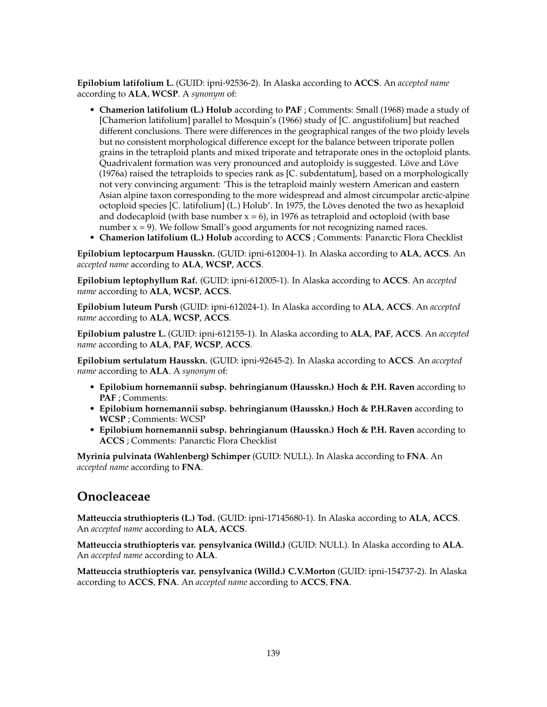**Epilobium latifolium L.** (GUID: ipni-92536-2). In Alaska according to **ACCS**. An *accepted name* according to **ALA**, **WCSP**. A *synonym* of:

- **Chamerion latifolium (L.) Holub** according to **PAF** ; Comments: Small (1968) made a study of [Chamerion latifolium] parallel to Mosquin's (1966) study of [C. angustifolium] but reached different conclusions. There were differences in the geographical ranges of the two ploidy levels but no consistent morphological difference except for the balance between triporate pollen grains in the tetraploid plants and mixed triporate and tetraporate ones in the octoploid plants. Quadrivalent formation was very pronounced and autoploidy is suggested. Löve and Löve (1976a) raised the tetraploids to species rank as [C. subdentatum], based on a morphologically not very convincing argument: 'This is the tetraploid mainly western American and eastern Asian alpine taxon corresponding to the more widespread and almost circumpolar arctic-alpine octoploid species [C. latifolium] (L.) Holub'. In 1975, the Löves denoted the two as hexaploid and dodecaploid (with base number  $x = 6$ ), in 1976 as tetraploid and octoploid (with base number  $x = 9$ ). We follow Small's good arguments for not recognizing named races.
- **Chamerion latifolium (L.) Holub** according to **ACCS** ; Comments: Panarctic Flora Checklist

**Epilobium leptocarpum Hausskn.** (GUID: ipni-612004-1). In Alaska according to **ALA**, **ACCS**. An *accepted name* according to **ALA**, **WCSP**, **ACCS**.

**Epilobium leptophyllum Raf.** (GUID: ipni-612005-1). In Alaska according to **ACCS**. An *accepted name* according to **ALA**, **WCSP**, **ACCS**.

**Epilobium luteum Pursh** (GUID: ipni-612024-1). In Alaska according to **ALA**, **ACCS**. An *accepted name* according to **ALA**, **WCSP**, **ACCS**.

**Epilobium palustre L.** (GUID: ipni-612155-1). In Alaska according to **ALA**, **PAF**, **ACCS**. An *accepted name* according to **ALA**, **PAF**, **WCSP**, **ACCS**.

**Epilobium sertulatum Hausskn.** (GUID: ipni-92645-2). In Alaska according to **ACCS**. An *accepted name* according to **ALA**. A *synonym* of:

- **Epilobium hornemannii subsp. behringianum (Hausskn.) Hoch & P.H. Raven** according to **PAF** ; Comments:
- **Epilobium hornemannii subsp. behringianum (Hausskn.) Hoch & P.H.Raven** according to **WCSP** ; Comments: WCSP
- **Epilobium hornemannii subsp. behringianum (Hausskn.) Hoch & P.H. Raven** according to **ACCS** ; Comments: Panarctic Flora Checklist

**Myrinia pulvinata (Wahlenberg) Schimper** (GUID: NULL). In Alaska according to **FNA**. An *accepted name* according to **FNA**.

### **Onocleaceae**

**Matteuccia struthiopteris (L.) Tod.** (GUID: ipni-17145680-1). In Alaska according to **ALA**, **ACCS**. An *accepted name* according to **ALA**, **ACCS**.

**Matteuccia struthiopteris var. pensylvanica (Willd.)** (GUID: NULL). In Alaska according to **ALA**. An *accepted name* according to **ALA**.

**Matteuccia struthiopteris var. pensylvanica (Willd.) C.V.Morton** (GUID: ipni-154737-2). In Alaska according to **ACCS**, **FNA**. An *accepted name* according to **ACCS**, **FNA**.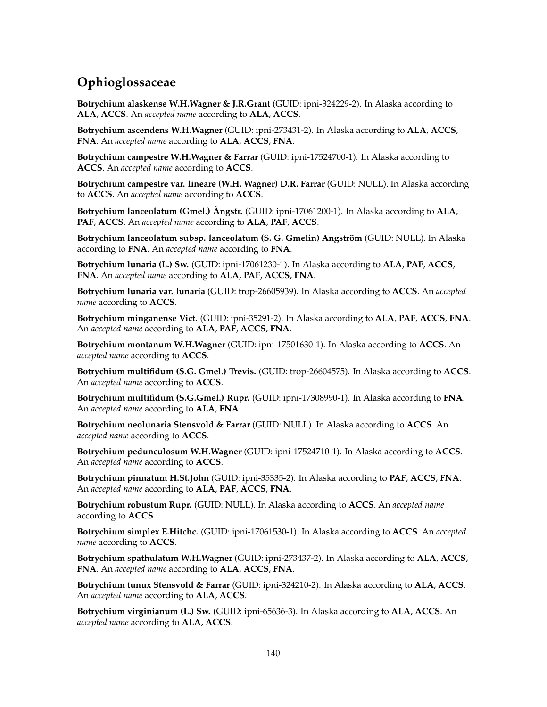# **Ophioglossaceae**

**Botrychium alaskense W.H.Wagner & J.R.Grant** (GUID: ipni-324229-2). In Alaska according to **ALA**, **ACCS**. An *accepted name* according to **ALA**, **ACCS**.

**Botrychium ascendens W.H.Wagner** (GUID: ipni-273431-2). In Alaska according to **ALA**, **ACCS**, **FNA**. An *accepted name* according to **ALA**, **ACCS**, **FNA**.

**Botrychium campestre W.H.Wagner & Farrar** (GUID: ipni-17524700-1). In Alaska according to **ACCS**. An *accepted name* according to **ACCS**.

**Botrychium campestre var. lineare (W.H. Wagner) D.R. Farrar** (GUID: NULL). In Alaska according to **ACCS**. An *accepted name* according to **ACCS**.

**Botrychium lanceolatum (Gmel.) Ångstr.** (GUID: ipni-17061200-1). In Alaska according to **ALA**, **PAF**, **ACCS**. An *accepted name* according to **ALA**, **PAF**, **ACCS**.

**Botrychium lanceolatum subsp. lanceolatum (S. G. Gmelin) Angström** (GUID: NULL). In Alaska according to **FNA**. An *accepted name* according to **FNA**.

**Botrychium lunaria (L.) Sw.** (GUID: ipni-17061230-1). In Alaska according to **ALA**, **PAF**, **ACCS**, **FNA**. An *accepted name* according to **ALA**, **PAF**, **ACCS**, **FNA**.

**Botrychium lunaria var. lunaria** (GUID: trop-26605939). In Alaska according to **ACCS**. An *accepted name* according to **ACCS**.

**Botrychium minganense Vict.** (GUID: ipni-35291-2). In Alaska according to **ALA**, **PAF**, **ACCS**, **FNA**. An *accepted name* according to **ALA**, **PAF**, **ACCS**, **FNA**.

**Botrychium montanum W.H.Wagner** (GUID: ipni-17501630-1). In Alaska according to **ACCS**. An *accepted name* according to **ACCS**.

**Botrychium multifidum (S.G. Gmel.) Trevis.** (GUID: trop-26604575). In Alaska according to **ACCS**. An *accepted name* according to **ACCS**.

**Botrychium multifidum (S.G.Gmel.) Rupr.** (GUID: ipni-17308990-1). In Alaska according to **FNA**. An *accepted name* according to **ALA**, **FNA**.

**Botrychium neolunaria Stensvold & Farrar** (GUID: NULL). In Alaska according to **ACCS**. An *accepted name* according to **ACCS**.

**Botrychium pedunculosum W.H.Wagner** (GUID: ipni-17524710-1). In Alaska according to **ACCS**. An *accepted name* according to **ACCS**.

**Botrychium pinnatum H.St.John** (GUID: ipni-35335-2). In Alaska according to **PAF**, **ACCS**, **FNA**. An *accepted name* according to **ALA**, **PAF**, **ACCS**, **FNA**.

**Botrychium robustum Rupr.** (GUID: NULL). In Alaska according to **ACCS**. An *accepted name* according to **ACCS**.

**Botrychium simplex E.Hitchc.** (GUID: ipni-17061530-1). In Alaska according to **ACCS**. An *accepted name* according to **ACCS**.

**Botrychium spathulatum W.H.Wagner** (GUID: ipni-273437-2). In Alaska according to **ALA**, **ACCS**, **FNA**. An *accepted name* according to **ALA**, **ACCS**, **FNA**.

**Botrychium tunux Stensvold & Farrar** (GUID: ipni-324210-2). In Alaska according to **ALA**, **ACCS**. An *accepted name* according to **ALA**, **ACCS**.

**Botrychium virginianum (L.) Sw.** (GUID: ipni-65636-3). In Alaska according to **ALA**, **ACCS**. An *accepted name* according to **ALA**, **ACCS**.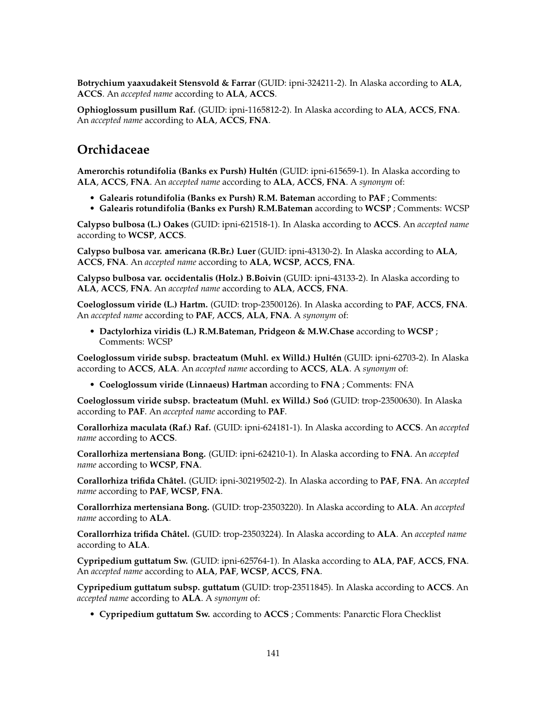**Botrychium yaaxudakeit Stensvold & Farrar** (GUID: ipni-324211-2). In Alaska according to **ALA**, **ACCS**. An *accepted name* according to **ALA**, **ACCS**.

**Ophioglossum pusillum Raf.** (GUID: ipni-1165812-2). In Alaska according to **ALA**, **ACCS**, **FNA**. An *accepted name* according to **ALA**, **ACCS**, **FNA**.

## **Orchidaceae**

**Amerorchis rotundifolia (Banks ex Pursh) Hultén** (GUID: ipni-615659-1). In Alaska according to **ALA**, **ACCS**, **FNA**. An *accepted name* according to **ALA**, **ACCS**, **FNA**. A *synonym* of:

- **Galearis rotundifolia (Banks ex Pursh) R.M. Bateman** according to **PAF** ; Comments:
- **Galearis rotundifolia (Banks ex Pursh) R.M.Bateman** according to **WCSP** ; Comments: WCSP

**Calypso bulbosa (L.) Oakes** (GUID: ipni-621518-1). In Alaska according to **ACCS**. An *accepted name* according to **WCSP**, **ACCS**.

**Calypso bulbosa var. americana (R.Br.) Luer** (GUID: ipni-43130-2). In Alaska according to **ALA**, **ACCS**, **FNA**. An *accepted name* according to **ALA**, **WCSP**, **ACCS**, **FNA**.

**Calypso bulbosa var. occidentalis (Holz.) B.Boivin** (GUID: ipni-43133-2). In Alaska according to **ALA**, **ACCS**, **FNA**. An *accepted name* according to **ALA**, **ACCS**, **FNA**.

**Coeloglossum viride (L.) Hartm.** (GUID: trop-23500126). In Alaska according to **PAF**, **ACCS**, **FNA**. An *accepted name* according to **PAF**, **ACCS**, **ALA**, **FNA**. A *synonym* of:

• **Dactylorhiza viridis (L.) R.M.Bateman, Pridgeon & M.W.Chase** according to **WCSP** ; Comments: WCSP

**Coeloglossum viride subsp. bracteatum (Muhl. ex Willd.) Hultén** (GUID: ipni-62703-2). In Alaska according to **ACCS**, **ALA**. An *accepted name* according to **ACCS**, **ALA**. A *synonym* of:

• **Coeloglossum viride (Linnaeus) Hartman** according to **FNA** ; Comments: FNA

**Coeloglossum viride subsp. bracteatum (Muhl. ex Willd.) Soó** (GUID: trop-23500630). In Alaska according to **PAF**. An *accepted name* according to **PAF**.

**Corallorhiza maculata (Raf.) Raf.** (GUID: ipni-624181-1). In Alaska according to **ACCS**. An *accepted name* according to **ACCS**.

**Corallorhiza mertensiana Bong.** (GUID: ipni-624210-1). In Alaska according to **FNA**. An *accepted name* according to **WCSP**, **FNA**.

**Corallorhiza trifida Châtel.** (GUID: ipni-30219502-2). In Alaska according to **PAF**, **FNA**. An *accepted name* according to **PAF**, **WCSP**, **FNA**.

**Corallorrhiza mertensiana Bong.** (GUID: trop-23503220). In Alaska according to **ALA**. An *accepted name* according to **ALA**.

**Corallorrhiza trifida Châtel.** (GUID: trop-23503224). In Alaska according to **ALA**. An *accepted name* according to **ALA**.

**Cypripedium guttatum Sw.** (GUID: ipni-625764-1). In Alaska according to **ALA**, **PAF**, **ACCS**, **FNA**. An *accepted name* according to **ALA**, **PAF**, **WCSP**, **ACCS**, **FNA**.

**Cypripedium guttatum subsp. guttatum** (GUID: trop-23511845). In Alaska according to **ACCS**. An *accepted name* according to **ALA**. A *synonym* of:

• **Cypripedium guttatum Sw.** according to **ACCS** ; Comments: Panarctic Flora Checklist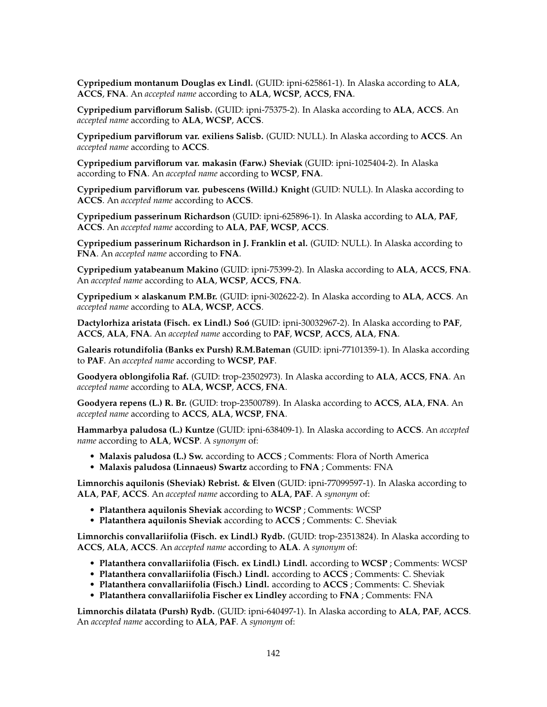**Cypripedium montanum Douglas ex Lindl.** (GUID: ipni-625861-1). In Alaska according to **ALA**, **ACCS**, **FNA**. An *accepted name* according to **ALA**, **WCSP**, **ACCS**, **FNA**.

**Cypripedium parviflorum Salisb.** (GUID: ipni-75375-2). In Alaska according to **ALA**, **ACCS**. An *accepted name* according to **ALA**, **WCSP**, **ACCS**.

**Cypripedium parviflorum var. exiliens Salisb.** (GUID: NULL). In Alaska according to **ACCS**. An *accepted name* according to **ACCS**.

**Cypripedium parviflorum var. makasin (Farw.) Sheviak** (GUID: ipni-1025404-2). In Alaska according to **FNA**. An *accepted name* according to **WCSP**, **FNA**.

**Cypripedium parviflorum var. pubescens (Willd.) Knight** (GUID: NULL). In Alaska according to **ACCS**. An *accepted name* according to **ACCS**.

**Cypripedium passerinum Richardson** (GUID: ipni-625896-1). In Alaska according to **ALA**, **PAF**, **ACCS**. An *accepted name* according to **ALA**, **PAF**, **WCSP**, **ACCS**.

**Cypripedium passerinum Richardson in J. Franklin et al.** (GUID: NULL). In Alaska according to **FNA**. An *accepted name* according to **FNA**.

**Cypripedium yatabeanum Makino** (GUID: ipni-75399-2). In Alaska according to **ALA**, **ACCS**, **FNA**. An *accepted name* according to **ALA**, **WCSP**, **ACCS**, **FNA**.

**Cypripedium × alaskanum P.M.Br.** (GUID: ipni-302622-2). In Alaska according to **ALA**, **ACCS**. An *accepted name* according to **ALA**, **WCSP**, **ACCS**.

**Dactylorhiza aristata (Fisch. ex Lindl.) Soó** (GUID: ipni-30032967-2). In Alaska according to **PAF**, **ACCS**, **ALA**, **FNA**. An *accepted name* according to **PAF**, **WCSP**, **ACCS**, **ALA**, **FNA**.

**Galearis rotundifolia (Banks ex Pursh) R.M.Bateman** (GUID: ipni-77101359-1). In Alaska according to **PAF**. An *accepted name* according to **WCSP**, **PAF**.

**Goodyera oblongifolia Raf.** (GUID: trop-23502973). In Alaska according to **ALA**, **ACCS**, **FNA**. An *accepted name* according to **ALA**, **WCSP**, **ACCS**, **FNA**.

**Goodyera repens (L.) R. Br.** (GUID: trop-23500789). In Alaska according to **ACCS**, **ALA**, **FNA**. An *accepted name* according to **ACCS**, **ALA**, **WCSP**, **FNA**.

**Hammarbya paludosa (L.) Kuntze** (GUID: ipni-638409-1). In Alaska according to **ACCS**. An *accepted name* according to **ALA**, **WCSP**. A *synonym* of:

- **Malaxis paludosa (L.) Sw.** according to **ACCS** ; Comments: Flora of North America
- **Malaxis paludosa (Linnaeus) Swartz** according to **FNA** ; Comments: FNA

**Limnorchis aquilonis (Sheviak) Rebrist. & Elven** (GUID: ipni-77099597-1). In Alaska according to **ALA**, **PAF**, **ACCS**. An *accepted name* according to **ALA**, **PAF**. A *synonym* of:

- **Platanthera aquilonis Sheviak** according to **WCSP** ; Comments: WCSP
- **Platanthera aquilonis Sheviak** according to **ACCS** ; Comments: C. Sheviak

**Limnorchis convallariifolia (Fisch. ex Lindl.) Rydb.** (GUID: trop-23513824). In Alaska according to **ACCS**, **ALA**, **ACCS**. An *accepted name* according to **ALA**. A *synonym* of:

- **Platanthera convallariifolia (Fisch. ex Lindl.) Lindl.** according to **WCSP** ; Comments: WCSP
- **Platanthera convallariifolia (Fisch.) Lindl.** according to **ACCS** ; Comments: C. Sheviak
- **Platanthera convallariifolia (Fisch.) Lindl.** according to **ACCS** ; Comments: C. Sheviak
- **Platanthera convallariifolia Fischer ex Lindley** according to **FNA** ; Comments: FNA

**Limnorchis dilatata (Pursh) Rydb.** (GUID: ipni-640497-1). In Alaska according to **ALA**, **PAF**, **ACCS**. An *accepted name* according to **ALA**, **PAF**. A *synonym* of: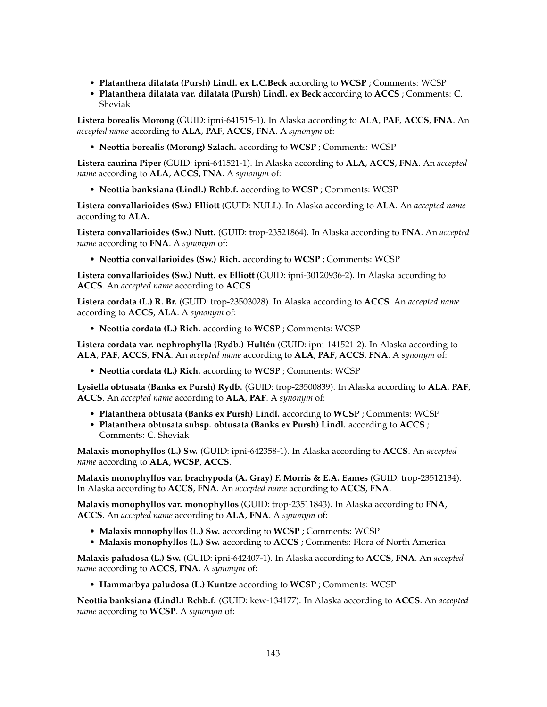- **Platanthera dilatata (Pursh) Lindl. ex L.C.Beck** according to **WCSP** ; Comments: WCSP
- **Platanthera dilatata var. dilatata (Pursh) Lindl. ex Beck** according to **ACCS** ; Comments: C. Sheviak

**Listera borealis Morong** (GUID: ipni-641515-1). In Alaska according to **ALA**, **PAF**, **ACCS**, **FNA**. An *accepted name* according to **ALA**, **PAF**, **ACCS**, **FNA**. A *synonym* of:

• **Neottia borealis (Morong) Szlach.** according to **WCSP** ; Comments: WCSP

**Listera caurina Piper** (GUID: ipni-641521-1). In Alaska according to **ALA**, **ACCS**, **FNA**. An *accepted name* according to **ALA**, **ACCS**, **FNA**. A *synonym* of:

• **Neottia banksiana (Lindl.) Rchb.f.** according to **WCSP** ; Comments: WCSP

**Listera convallarioides (Sw.) Elliott** (GUID: NULL). In Alaska according to **ALA**. An *accepted name* according to **ALA**.

**Listera convallarioides (Sw.) Nutt.** (GUID: trop-23521864). In Alaska according to **FNA**. An *accepted name* according to **FNA**. A *synonym* of:

• **Neottia convallarioides (Sw.) Rich.** according to **WCSP** ; Comments: WCSP

**Listera convallarioides (Sw.) Nutt. ex Elliott** (GUID: ipni-30120936-2). In Alaska according to **ACCS**. An *accepted name* according to **ACCS**.

**Listera cordata (L.) R. Br.** (GUID: trop-23503028). In Alaska according to **ACCS**. An *accepted name* according to **ACCS**, **ALA**. A *synonym* of:

• **Neottia cordata (L.) Rich.** according to **WCSP** ; Comments: WCSP

**Listera cordata var. nephrophylla (Rydb.) Hultén** (GUID: ipni-141521-2). In Alaska according to **ALA**, **PAF**, **ACCS**, **FNA**. An *accepted name* according to **ALA**, **PAF**, **ACCS**, **FNA**. A *synonym* of:

• **Neottia cordata (L.) Rich.** according to **WCSP** ; Comments: WCSP

**Lysiella obtusata (Banks ex Pursh) Rydb.** (GUID: trop-23500839). In Alaska according to **ALA**, **PAF**, **ACCS**. An *accepted name* according to **ALA**, **PAF**. A *synonym* of:

- **Platanthera obtusata (Banks ex Pursh) Lindl.** according to **WCSP** ; Comments: WCSP
- **Platanthera obtusata subsp. obtusata (Banks ex Pursh) Lindl.** according to **ACCS** ; Comments: C. Sheviak

**Malaxis monophyllos (L.) Sw.** (GUID: ipni-642358-1). In Alaska according to **ACCS**. An *accepted name* according to **ALA**, **WCSP**, **ACCS**.

**Malaxis monophyllos var. brachypoda (A. Gray) F. Morris & E.A. Eames** (GUID: trop-23512134). In Alaska according to **ACCS**, **FNA**. An *accepted name* according to **ACCS**, **FNA**.

**Malaxis monophyllos var. monophyllos** (GUID: trop-23511843). In Alaska according to **FNA**, **ACCS**. An *accepted name* according to **ALA**, **FNA**. A *synonym* of:

- **Malaxis monophyllos (L.) Sw.** according to **WCSP** ; Comments: WCSP
- **Malaxis monophyllos (L.) Sw.** according to **ACCS** ; Comments: Flora of North America

**Malaxis paludosa (L.) Sw.** (GUID: ipni-642407-1). In Alaska according to **ACCS**, **FNA**. An *accepted name* according to **ACCS**, **FNA**. A *synonym* of:

• **Hammarbya paludosa (L.) Kuntze** according to **WCSP** ; Comments: WCSP

**Neottia banksiana (Lindl.) Rchb.f.** (GUID: kew-134177). In Alaska according to **ACCS**. An *accepted name* according to **WCSP**. A *synonym* of: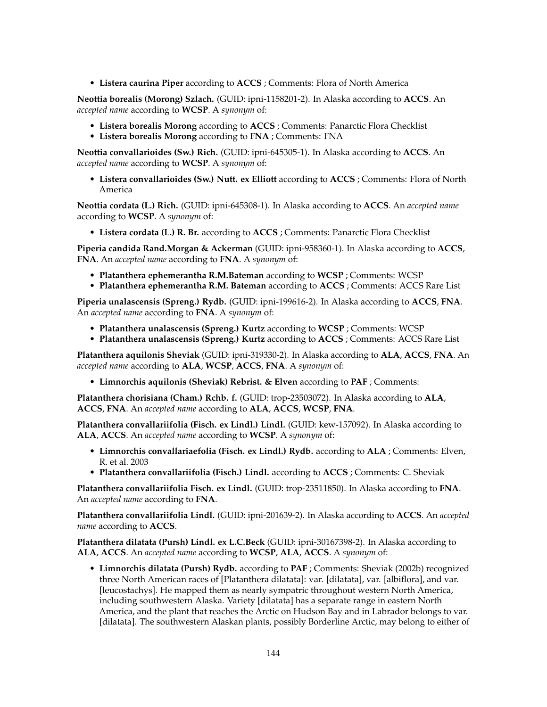• **Listera caurina Piper** according to **ACCS** ; Comments: Flora of North America

**Neottia borealis (Morong) Szlach.** (GUID: ipni-1158201-2). In Alaska according to **ACCS**. An *accepted name* according to **WCSP**. A *synonym* of:

- **Listera borealis Morong** according to **ACCS** ; Comments: Panarctic Flora Checklist
- **Listera borealis Morong** according to **FNA** ; Comments: FNA

**Neottia convallarioides (Sw.) Rich.** (GUID: ipni-645305-1). In Alaska according to **ACCS**. An *accepted name* according to **WCSP**. A *synonym* of:

• **Listera convallarioides (Sw.) Nutt. ex Elliott** according to **ACCS** ; Comments: Flora of North America

**Neottia cordata (L.) Rich.** (GUID: ipni-645308-1). In Alaska according to **ACCS**. An *accepted name* according to **WCSP**. A *synonym* of:

• **Listera cordata (L.) R. Br.** according to **ACCS** ; Comments: Panarctic Flora Checklist

**Piperia candida Rand.Morgan & Ackerman** (GUID: ipni-958360-1). In Alaska according to **ACCS**, **FNA**. An *accepted name* according to **FNA**. A *synonym* of:

- **Platanthera ephemerantha R.M.Bateman** according to **WCSP** ; Comments: WCSP
- **Platanthera ephemerantha R.M. Bateman** according to **ACCS** ; Comments: ACCS Rare List

**Piperia unalascensis (Spreng.) Rydb.** (GUID: ipni-199616-2). In Alaska according to **ACCS**, **FNA**. An *accepted name* according to **FNA**. A *synonym* of:

- **Platanthera unalascensis (Spreng.) Kurtz** according to **WCSP** ; Comments: WCSP
- **Platanthera unalascensis (Spreng.) Kurtz** according to **ACCS** ; Comments: ACCS Rare List

**Platanthera aquilonis Sheviak** (GUID: ipni-319330-2). In Alaska according to **ALA**, **ACCS**, **FNA**. An *accepted name* according to **ALA**, **WCSP**, **ACCS**, **FNA**. A *synonym* of:

• **Limnorchis aquilonis (Sheviak) Rebrist. & Elven** according to **PAF** ; Comments:

**Platanthera chorisiana (Cham.) Rchb. f.** (GUID: trop-23503072). In Alaska according to **ALA**, **ACCS**, **FNA**. An *accepted name* according to **ALA**, **ACCS**, **WCSP**, **FNA**.

**Platanthera convallariifolia (Fisch. ex Lindl.) Lindl.** (GUID: kew-157092). In Alaska according to **ALA**, **ACCS**. An *accepted name* according to **WCSP**. A *synonym* of:

- **Limnorchis convallariaefolia (Fisch. ex Lindl.) Rydb.** according to **ALA** ; Comments: Elven, R. et al. 2003
- **Platanthera convallariifolia (Fisch.) Lindl.** according to **ACCS** ; Comments: C. Sheviak

**Platanthera convallariifolia Fisch. ex Lindl.** (GUID: trop-23511850). In Alaska according to **FNA**. An *accepted name* according to **FNA**.

**Platanthera convallariifolia Lindl.** (GUID: ipni-201639-2). In Alaska according to **ACCS**. An *accepted name* according to **ACCS**.

**Platanthera dilatata (Pursh) Lindl. ex L.C.Beck** (GUID: ipni-30167398-2). In Alaska according to **ALA**, **ACCS**. An *accepted name* according to **WCSP**, **ALA**, **ACCS**. A *synonym* of:

• **Limnorchis dilatata (Pursh) Rydb.** according to **PAF** ; Comments: Sheviak (2002b) recognized three North American races of [Platanthera dilatata]: var. [dilatata], var. [albiflora], and var. [leucostachys]. He mapped them as nearly sympatric throughout western North America, including southwestern Alaska. Variety [dilatata] has a separate range in eastern North America, and the plant that reaches the Arctic on Hudson Bay and in Labrador belongs to var. [dilatata]. The southwestern Alaskan plants, possibly Borderline Arctic, may belong to either of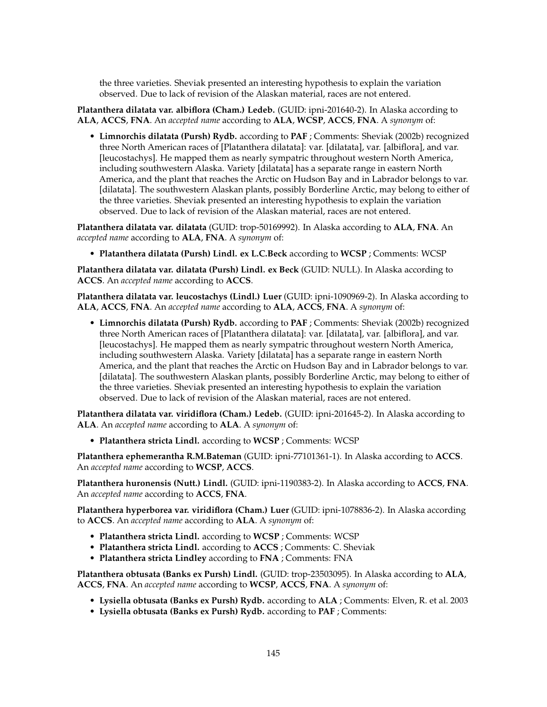the three varieties. Sheviak presented an interesting hypothesis to explain the variation observed. Due to lack of revision of the Alaskan material, races are not entered.

**Platanthera dilatata var. albiflora (Cham.) Ledeb.** (GUID: ipni-201640-2). In Alaska according to **ALA**, **ACCS**, **FNA**. An *accepted name* according to **ALA**, **WCSP**, **ACCS**, **FNA**. A *synonym* of:

• **Limnorchis dilatata (Pursh) Rydb.** according to **PAF** ; Comments: Sheviak (2002b) recognized three North American races of [Platanthera dilatata]: var. [dilatata], var. [albiflora], and var. [leucostachys]. He mapped them as nearly sympatric throughout western North America, including southwestern Alaska. Variety [dilatata] has a separate range in eastern North America, and the plant that reaches the Arctic on Hudson Bay and in Labrador belongs to var. [dilatata]. The southwestern Alaskan plants, possibly Borderline Arctic, may belong to either of the three varieties. Sheviak presented an interesting hypothesis to explain the variation observed. Due to lack of revision of the Alaskan material, races are not entered.

**Platanthera dilatata var. dilatata** (GUID: trop-50169992). In Alaska according to **ALA**, **FNA**. An *accepted name* according to **ALA**, **FNA**. A *synonym* of:

• **Platanthera dilatata (Pursh) Lindl. ex L.C.Beck** according to **WCSP** ; Comments: WCSP

**Platanthera dilatata var. dilatata (Pursh) Lindl. ex Beck** (GUID: NULL). In Alaska according to **ACCS**. An *accepted name* according to **ACCS**.

**Platanthera dilatata var. leucostachys (Lindl.) Luer** (GUID: ipni-1090969-2). In Alaska according to **ALA**, **ACCS**, **FNA**. An *accepted name* according to **ALA**, **ACCS**, **FNA**. A *synonym* of:

• **Limnorchis dilatata (Pursh) Rydb.** according to **PAF** ; Comments: Sheviak (2002b) recognized three North American races of [Platanthera dilatata]: var. [dilatata], var. [albiflora], and var. [leucostachys]. He mapped them as nearly sympatric throughout western North America, including southwestern Alaska. Variety [dilatata] has a separate range in eastern North America, and the plant that reaches the Arctic on Hudson Bay and in Labrador belongs to var. [dilatata]. The southwestern Alaskan plants, possibly Borderline Arctic, may belong to either of the three varieties. Sheviak presented an interesting hypothesis to explain the variation observed. Due to lack of revision of the Alaskan material, races are not entered.

**Platanthera dilatata var. viridiflora (Cham.) Ledeb.** (GUID: ipni-201645-2). In Alaska according to **ALA**. An *accepted name* according to **ALA**. A *synonym* of:

• **Platanthera stricta Lindl.** according to **WCSP** ; Comments: WCSP

**Platanthera ephemerantha R.M.Bateman** (GUID: ipni-77101361-1). In Alaska according to **ACCS**. An *accepted name* according to **WCSP**, **ACCS**.

**Platanthera huronensis (Nutt.) Lindl.** (GUID: ipni-1190383-2). In Alaska according to **ACCS**, **FNA**. An *accepted name* according to **ACCS**, **FNA**.

**Platanthera hyperborea var. viridiflora (Cham.) Luer** (GUID: ipni-1078836-2). In Alaska according to **ACCS**. An *accepted name* according to **ALA**. A *synonym* of:

- **Platanthera stricta Lindl.** according to **WCSP** ; Comments: WCSP
- **Platanthera stricta Lindl.** according to **ACCS** ; Comments: C. Sheviak
- **Platanthera stricta Lindley** according to **FNA** ; Comments: FNA

**Platanthera obtusata (Banks ex Pursh) Lindl.** (GUID: trop-23503095). In Alaska according to **ALA**, **ACCS**, **FNA**. An *accepted name* according to **WCSP**, **ACCS**, **FNA**. A *synonym* of:

- **Lysiella obtusata (Banks ex Pursh) Rydb.** according to **ALA** ; Comments: Elven, R. et al. 2003
- **Lysiella obtusata (Banks ex Pursh) Rydb.** according to **PAF** ; Comments: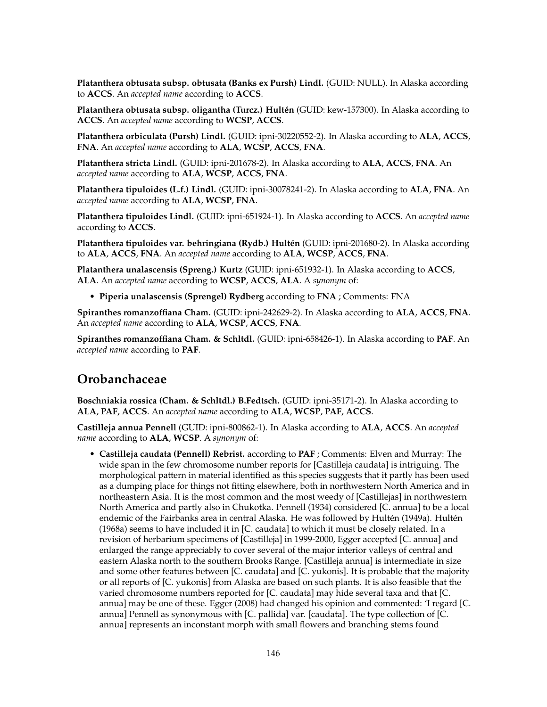**Platanthera obtusata subsp. obtusata (Banks ex Pursh) Lindl.** (GUID: NULL). In Alaska according to **ACCS**. An *accepted name* according to **ACCS**.

**Platanthera obtusata subsp. oligantha (Turcz.) Hultén** (GUID: kew-157300). In Alaska according to **ACCS**. An *accepted name* according to **WCSP**, **ACCS**.

**Platanthera orbiculata (Pursh) Lindl.** (GUID: ipni-30220552-2). In Alaska according to **ALA**, **ACCS**, **FNA**. An *accepted name* according to **ALA**, **WCSP**, **ACCS**, **FNA**.

**Platanthera stricta Lindl.** (GUID: ipni-201678-2). In Alaska according to **ALA**, **ACCS**, **FNA**. An *accepted name* according to **ALA**, **WCSP**, **ACCS**, **FNA**.

**Platanthera tipuloides (L.f.) Lindl.** (GUID: ipni-30078241-2). In Alaska according to **ALA**, **FNA**. An *accepted name* according to **ALA**, **WCSP**, **FNA**.

**Platanthera tipuloides Lindl.** (GUID: ipni-651924-1). In Alaska according to **ACCS**. An *accepted name* according to **ACCS**.

**Platanthera tipuloides var. behringiana (Rydb.) Hultén** (GUID: ipni-201680-2). In Alaska according to **ALA**, **ACCS**, **FNA**. An *accepted name* according to **ALA**, **WCSP**, **ACCS**, **FNA**.

**Platanthera unalascensis (Spreng.) Kurtz** (GUID: ipni-651932-1). In Alaska according to **ACCS**, **ALA**. An *accepted name* according to **WCSP**, **ACCS**, **ALA**. A *synonym* of:

• **Piperia unalascensis (Sprengel) Rydberg** according to **FNA** ; Comments: FNA

**Spiranthes romanzoffiana Cham.** (GUID: ipni-242629-2). In Alaska according to **ALA**, **ACCS**, **FNA**. An *accepted name* according to **ALA**, **WCSP**, **ACCS**, **FNA**.

**Spiranthes romanzoffiana Cham. & Schltdl.** (GUID: ipni-658426-1). In Alaska according to **PAF**. An *accepted name* according to **PAF**.

# **Orobanchaceae**

**Boschniakia rossica (Cham. & Schltdl.) B.Fedtsch.** (GUID: ipni-35171-2). In Alaska according to **ALA**, **PAF**, **ACCS**. An *accepted name* according to **ALA**, **WCSP**, **PAF**, **ACCS**.

**Castilleja annua Pennell** (GUID: ipni-800862-1). In Alaska according to **ALA**, **ACCS**. An *accepted name* according to **ALA**, **WCSP**. A *synonym* of:

• **Castilleja caudata (Pennell) Rebrist.** according to **PAF** ; Comments: Elven and Murray: The wide span in the few chromosome number reports for [Castilleja caudata] is intriguing. The morphological pattern in material identified as this species suggests that it partly has been used as a dumping place for things not fitting elsewhere, both in northwestern North America and in northeastern Asia. It is the most common and the most weedy of [Castillejas] in northwestern North America and partly also in Chukotka. Pennell (1934) considered [C. annua] to be a local endemic of the Fairbanks area in central Alaska. He was followed by Hultén (1949a). Hultén (1968a) seems to have included it in [C. caudata] to which it must be closely related. In a revision of herbarium specimens of [Castilleja] in 1999-2000, Egger accepted [C. annua] and enlarged the range appreciably to cover several of the major interior valleys of central and eastern Alaska north to the southern Brooks Range. [Castilleja annua] is intermediate in size and some other features between [C. caudata] and [C. yukonis]. It is probable that the majority or all reports of [C. yukonis] from Alaska are based on such plants. It is also feasible that the varied chromosome numbers reported for [C. caudata] may hide several taxa and that [C. annua] may be one of these. Egger (2008) had changed his opinion and commented: 'I regard [C. annua] Pennell as synonymous with [C. pallida] var. [caudata]. The type collection of [C. annua] represents an inconstant morph with small flowers and branching stems found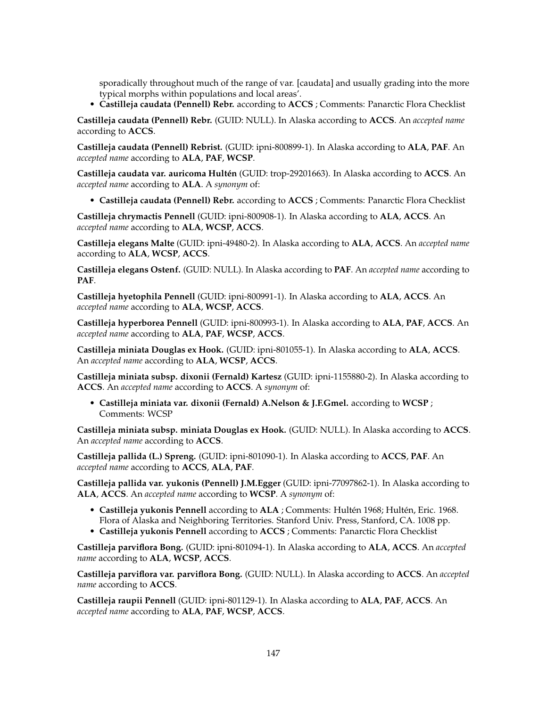sporadically throughout much of the range of var. [caudata] and usually grading into the more typical morphs within populations and local areas'.

• **Castilleja caudata (Pennell) Rebr.** according to **ACCS** ; Comments: Panarctic Flora Checklist

**Castilleja caudata (Pennell) Rebr.** (GUID: NULL). In Alaska according to **ACCS**. An *accepted name* according to **ACCS**.

**Castilleja caudata (Pennell) Rebrist.** (GUID: ipni-800899-1). In Alaska according to **ALA**, **PAF**. An *accepted name* according to **ALA**, **PAF**, **WCSP**.

**Castilleja caudata var. auricoma Hultén** (GUID: trop-29201663). In Alaska according to **ACCS**. An *accepted name* according to **ALA**. A *synonym* of:

• **Castilleja caudata (Pennell) Rebr.** according to **ACCS** ; Comments: Panarctic Flora Checklist

**Castilleja chrymactis Pennell** (GUID: ipni-800908-1). In Alaska according to **ALA**, **ACCS**. An *accepted name* according to **ALA**, **WCSP**, **ACCS**.

**Castilleja elegans Malte** (GUID: ipni-49480-2). In Alaska according to **ALA**, **ACCS**. An *accepted name* according to **ALA**, **WCSP**, **ACCS**.

**Castilleja elegans Ostenf.** (GUID: NULL). In Alaska according to **PAF**. An *accepted name* according to **PAF**.

**Castilleja hyetophila Pennell** (GUID: ipni-800991-1). In Alaska according to **ALA**, **ACCS**. An *accepted name* according to **ALA**, **WCSP**, **ACCS**.

**Castilleja hyperborea Pennell** (GUID: ipni-800993-1). In Alaska according to **ALA**, **PAF**, **ACCS**. An *accepted name* according to **ALA**, **PAF**, **WCSP**, **ACCS**.

**Castilleja miniata Douglas ex Hook.** (GUID: ipni-801055-1). In Alaska according to **ALA**, **ACCS**. An *accepted name* according to **ALA**, **WCSP**, **ACCS**.

**Castilleja miniata subsp. dixonii (Fernald) Kartesz** (GUID: ipni-1155880-2). In Alaska according to **ACCS**. An *accepted name* according to **ACCS**. A *synonym* of:

• **Castilleja miniata var. dixonii (Fernald) A.Nelson & J.F.Gmel.** according to **WCSP** ; Comments: WCSP

**Castilleja miniata subsp. miniata Douglas ex Hook.** (GUID: NULL). In Alaska according to **ACCS**. An *accepted name* according to **ACCS**.

**Castilleja pallida (L.) Spreng.** (GUID: ipni-801090-1). In Alaska according to **ACCS**, **PAF**. An *accepted name* according to **ACCS**, **ALA**, **PAF**.

**Castilleja pallida var. yukonis (Pennell) J.M.Egger** (GUID: ipni-77097862-1). In Alaska according to **ALA**, **ACCS**. An *accepted name* according to **WCSP**. A *synonym* of:

- **Castilleja yukonis Pennell** according to **ALA** ; Comments: Hultén 1968; Hultén, Eric. 1968. Flora of Alaska and Neighboring Territories. Stanford Univ. Press, Stanford, CA. 1008 pp.
- **Castilleja yukonis Pennell** according to **ACCS** ; Comments: Panarctic Flora Checklist

**Castilleja parviflora Bong.** (GUID: ipni-801094-1). In Alaska according to **ALA**, **ACCS**. An *accepted name* according to **ALA**, **WCSP**, **ACCS**.

**Castilleja parviflora var. parviflora Bong.** (GUID: NULL). In Alaska according to **ACCS**. An *accepted name* according to **ACCS**.

**Castilleja raupii Pennell** (GUID: ipni-801129-1). In Alaska according to **ALA**, **PAF**, **ACCS**. An *accepted name* according to **ALA**, **PAF**, **WCSP**, **ACCS**.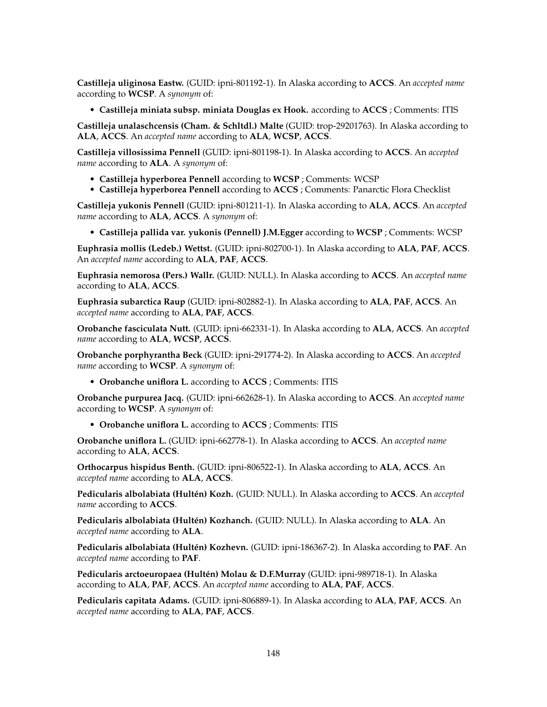**Castilleja uliginosa Eastw.** (GUID: ipni-801192-1). In Alaska according to **ACCS**. An *accepted name* according to **WCSP**. A *synonym* of:

• **Castilleja miniata subsp. miniata Douglas ex Hook.** according to **ACCS** ; Comments: ITIS

**Castilleja unalaschcensis (Cham. & Schltdl.) Malte** (GUID: trop-29201763). In Alaska according to **ALA**, **ACCS**. An *accepted name* according to **ALA**, **WCSP**, **ACCS**.

**Castilleja villosissima Pennell** (GUID: ipni-801198-1). In Alaska according to **ACCS**. An *accepted name* according to **ALA**. A *synonym* of:

- **Castilleja hyperborea Pennell** according to **WCSP** ; Comments: WCSP
- **Castilleja hyperborea Pennell** according to **ACCS** ; Comments: Panarctic Flora Checklist

**Castilleja yukonis Pennell** (GUID: ipni-801211-1). In Alaska according to **ALA**, **ACCS**. An *accepted name* according to **ALA**, **ACCS**. A *synonym* of:

• **Castilleja pallida var. yukonis (Pennell) J.M.Egger** according to **WCSP** ; Comments: WCSP

**Euphrasia mollis (Ledeb.) Wettst.** (GUID: ipni-802700-1). In Alaska according to **ALA**, **PAF**, **ACCS**. An *accepted name* according to **ALA**, **PAF**, **ACCS**.

**Euphrasia nemorosa (Pers.) Wallr.** (GUID: NULL). In Alaska according to **ACCS**. An *accepted name* according to **ALA**, **ACCS**.

**Euphrasia subarctica Raup** (GUID: ipni-802882-1). In Alaska according to **ALA**, **PAF**, **ACCS**. An *accepted name* according to **ALA**, **PAF**, **ACCS**.

**Orobanche fasciculata Nutt.** (GUID: ipni-662331-1). In Alaska according to **ALA**, **ACCS**. An *accepted name* according to **ALA**, **WCSP**, **ACCS**.

**Orobanche porphyrantha Beck** (GUID: ipni-291774-2). In Alaska according to **ACCS**. An *accepted name* according to **WCSP**. A *synonym* of:

• **Orobanche uniflora L.** according to **ACCS** ; Comments: ITIS

**Orobanche purpurea Jacq.** (GUID: ipni-662628-1). In Alaska according to **ACCS**. An *accepted name* according to **WCSP**. A *synonym* of:

• **Orobanche uniflora L.** according to **ACCS** ; Comments: ITIS

**Orobanche uniflora L.** (GUID: ipni-662778-1). In Alaska according to **ACCS**. An *accepted name* according to **ALA**, **ACCS**.

**Orthocarpus hispidus Benth.** (GUID: ipni-806522-1). In Alaska according to **ALA**, **ACCS**. An *accepted name* according to **ALA**, **ACCS**.

**Pedicularis albolabiata (Hultén) Kozh.** (GUID: NULL). In Alaska according to **ACCS**. An *accepted name* according to **ACCS**.

**Pedicularis albolabiata (Hultén) Kozhanch.** (GUID: NULL). In Alaska according to **ALA**. An *accepted name* according to **ALA**.

**Pedicularis albolabiata (Hultén) Kozhevn.** (GUID: ipni-186367-2). In Alaska according to **PAF**. An *accepted name* according to **PAF**.

**Pedicularis arctoeuropaea (Hultén) Molau & D.F.Murray** (GUID: ipni-989718-1). In Alaska according to **ALA**, **PAF**, **ACCS**. An *accepted name* according to **ALA**, **PAF**, **ACCS**.

**Pedicularis capitata Adams.** (GUID: ipni-806889-1). In Alaska according to **ALA**, **PAF**, **ACCS**. An *accepted name* according to **ALA**, **PAF**, **ACCS**.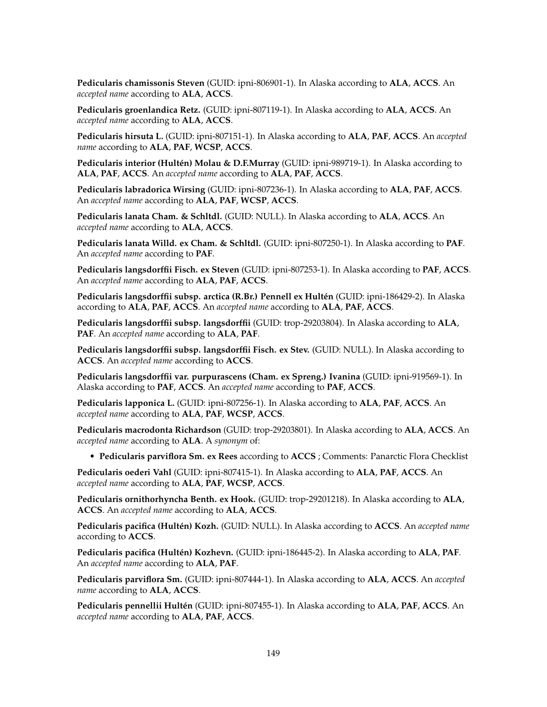**Pedicularis chamissonis Steven** (GUID: ipni-806901-1). In Alaska according to **ALA**, **ACCS**. An *accepted name* according to **ALA**, **ACCS**.

**Pedicularis groenlandica Retz.** (GUID: ipni-807119-1). In Alaska according to **ALA**, **ACCS**. An *accepted name* according to **ALA**, **ACCS**.

**Pedicularis hirsuta L.** (GUID: ipni-807151-1). In Alaska according to **ALA**, **PAF**, **ACCS**. An *accepted name* according to **ALA**, **PAF**, **WCSP**, **ACCS**.

**Pedicularis interior (Hultén) Molau & D.F.Murray** (GUID: ipni-989719-1). In Alaska according to **ALA**, **PAF**, **ACCS**. An *accepted name* according to **ALA**, **PAF**, **ACCS**.

**Pedicularis labradorica Wirsing** (GUID: ipni-807236-1). In Alaska according to **ALA**, **PAF**, **ACCS**. An *accepted name* according to **ALA**, **PAF**, **WCSP**, **ACCS**.

**Pedicularis lanata Cham. & Schltdl.** (GUID: NULL). In Alaska according to **ALA**, **ACCS**. An *accepted name* according to **ALA**, **ACCS**.

**Pedicularis lanata Willd. ex Cham. & Schltdl.** (GUID: ipni-807250-1). In Alaska according to **PAF**. An *accepted name* according to **PAF**.

**Pedicularis langsdorffii Fisch. ex Steven** (GUID: ipni-807253-1). In Alaska according to **PAF**, **ACCS**. An *accepted name* according to **ALA**, **PAF**, **ACCS**.

**Pedicularis langsdorffii subsp. arctica (R.Br.) Pennell ex Hultén** (GUID: ipni-186429-2). In Alaska according to **ALA**, **PAF**, **ACCS**. An *accepted name* according to **ALA**, **PAF**, **ACCS**.

**Pedicularis langsdorffii subsp. langsdorffii** (GUID: trop-29203804). In Alaska according to **ALA**, **PAF**. An *accepted name* according to **ALA**, **PAF**.

**Pedicularis langsdorffii subsp. langsdorffii Fisch. ex Stev.** (GUID: NULL). In Alaska according to **ACCS**. An *accepted name* according to **ACCS**.

**Pedicularis langsdorffii var. purpurascens (Cham. ex Spreng.) Ivanina** (GUID: ipni-919569-1). In Alaska according to **PAF**, **ACCS**. An *accepted name* according to **PAF**, **ACCS**.

**Pedicularis lapponica L.** (GUID: ipni-807256-1). In Alaska according to **ALA**, **PAF**, **ACCS**. An *accepted name* according to **ALA**, **PAF**, **WCSP**, **ACCS**.

**Pedicularis macrodonta Richardson** (GUID: trop-29203801). In Alaska according to **ALA**, **ACCS**. An *accepted name* according to **ALA**. A *synonym* of:

• **Pedicularis parviflora Sm. ex Rees** according to **ACCS** ; Comments: Panarctic Flora Checklist

**Pedicularis oederi Vahl** (GUID: ipni-807415-1). In Alaska according to **ALA**, **PAF**, **ACCS**. An *accepted name* according to **ALA**, **PAF**, **WCSP**, **ACCS**.

**Pedicularis ornithorhyncha Benth. ex Hook.** (GUID: trop-29201218). In Alaska according to **ALA**, **ACCS**. An *accepted name* according to **ALA**, **ACCS**.

**Pedicularis pacifica (Hultén) Kozh.** (GUID: NULL). In Alaska according to **ACCS**. An *accepted name* according to **ACCS**.

**Pedicularis pacifica (Hultén) Kozhevn.** (GUID: ipni-186445-2). In Alaska according to **ALA**, **PAF**. An *accepted name* according to **ALA**, **PAF**.

**Pedicularis parviflora Sm.** (GUID: ipni-807444-1). In Alaska according to **ALA**, **ACCS**. An *accepted name* according to **ALA**, **ACCS**.

**Pedicularis pennellii Hultén** (GUID: ipni-807455-1). In Alaska according to **ALA**, **PAF**, **ACCS**. An *accepted name* according to **ALA**, **PAF**, **ACCS**.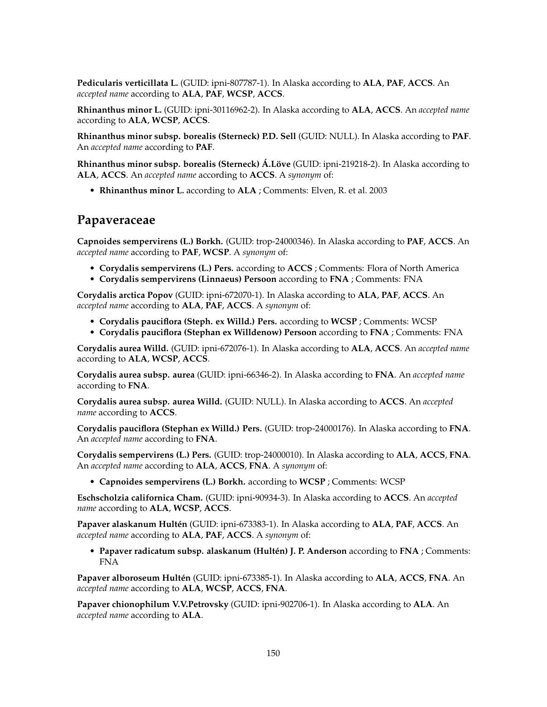**Pedicularis verticillata L.** (GUID: ipni-807787-1). In Alaska according to **ALA**, **PAF**, **ACCS**. An *accepted name* according to **ALA**, **PAF**, **WCSP**, **ACCS**.

**Rhinanthus minor L.** (GUID: ipni-30116962-2). In Alaska according to **ALA**, **ACCS**. An *accepted name* according to **ALA**, **WCSP**, **ACCS**.

**Rhinanthus minor subsp. borealis (Sterneck) P.D. Sell** (GUID: NULL). In Alaska according to **PAF**. An *accepted name* according to **PAF**.

**Rhinanthus minor subsp. borealis (Sterneck) Á.Löve** (GUID: ipni-219218-2). In Alaska according to **ALA**, **ACCS**. An *accepted name* according to **ACCS**. A *synonym* of:

• **Rhinanthus minor L.** according to **ALA** ; Comments: Elven, R. et al. 2003

#### **Papaveraceae**

**Capnoides sempervirens (L.) Borkh.** (GUID: trop-24000346). In Alaska according to **PAF**, **ACCS**. An *accepted name* according to **PAF**, **WCSP**. A *synonym* of:

- **Corydalis sempervirens (L.) Pers.** according to **ACCS** ; Comments: Flora of North America
- **Corydalis sempervirens (Linnaeus) Persoon** according to **FNA** ; Comments: FNA

**Corydalis arctica Popov** (GUID: ipni-672070-1). In Alaska according to **ALA**, **PAF**, **ACCS**. An *accepted name* according to **ALA**, **PAF**, **ACCS**. A *synonym* of:

- **Corydalis pauciflora (Steph. ex Willd.) Pers.** according to **WCSP** ; Comments: WCSP
- **Corydalis pauciflora (Stephan ex Willdenow) Persoon** according to **FNA** ; Comments: FNA

**Corydalis aurea Willd.** (GUID: ipni-672076-1). In Alaska according to **ALA**, **ACCS**. An *accepted name* according to **ALA**, **WCSP**, **ACCS**.

**Corydalis aurea subsp. aurea** (GUID: ipni-66346-2). In Alaska according to **FNA**. An *accepted name* according to **FNA**.

**Corydalis aurea subsp. aurea Willd.** (GUID: NULL). In Alaska according to **ACCS**. An *accepted name* according to **ACCS**.

**Corydalis pauciflora (Stephan ex Willd.) Pers.** (GUID: trop-24000176). In Alaska according to **FNA**. An *accepted name* according to **FNA**.

**Corydalis sempervirens (L.) Pers.** (GUID: trop-24000010). In Alaska according to **ALA**, **ACCS**, **FNA**. An *accepted name* according to **ALA**, **ACCS**, **FNA**. A *synonym* of:

• **Capnoides sempervirens (L.) Borkh.** according to **WCSP** ; Comments: WCSP

**Eschscholzia californica Cham.** (GUID: ipni-90934-3). In Alaska according to **ACCS**. An *accepted name* according to **ALA**, **WCSP**, **ACCS**.

**Papaver alaskanum Hultén** (GUID: ipni-673383-1). In Alaska according to **ALA**, **PAF**, **ACCS**. An *accepted name* according to **ALA**, **PAF**, **ACCS**. A *synonym* of:

• **Papaver radicatum subsp. alaskanum (Hultén) J. P. Anderson** according to **FNA** ; Comments: FNA

**Papaver alboroseum Hultén** (GUID: ipni-673385-1). In Alaska according to **ALA**, **ACCS**, **FNA**. An *accepted name* according to **ALA**, **WCSP**, **ACCS**, **FNA**.

**Papaver chionophilum V.V.Petrovsky** (GUID: ipni-902706-1). In Alaska according to **ALA**. An *accepted name* according to **ALA**.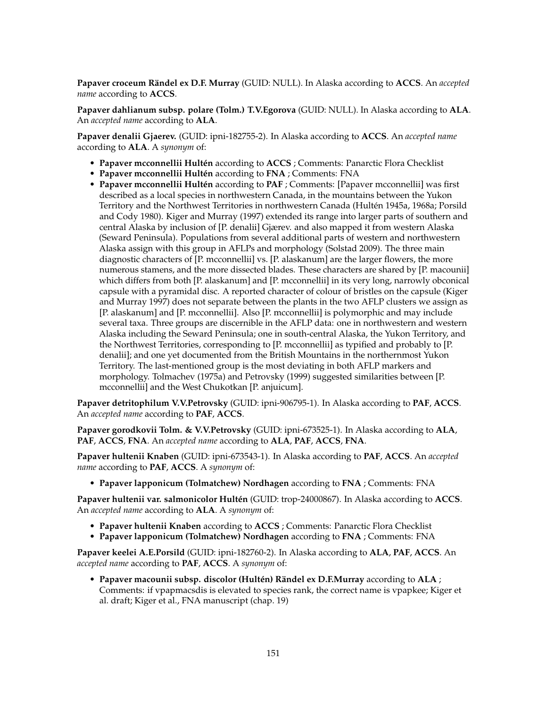**Papaver croceum Rändel ex D.F. Murray** (GUID: NULL). In Alaska according to **ACCS**. An *accepted name* according to **ACCS**.

**Papaver dahlianum subsp. polare (Tolm.) T.V.Egorova** (GUID: NULL). In Alaska according to **ALA**. An *accepted name* according to **ALA**.

**Papaver denalii Gjaerev.** (GUID: ipni-182755-2). In Alaska according to **ACCS**. An *accepted name* according to **ALA**. A *synonym* of:

- **Papaver mcconnellii Hultén** according to **ACCS** ; Comments: Panarctic Flora Checklist
- **Papaver mcconnellii Hultén** according to **FNA** ; Comments: FNA
- **Papaver mcconnellii Hultén** according to **PAF** ; Comments: [Papaver mcconnellii] was first described as a local species in northwestern Canada, in the mountains between the Yukon Territory and the Northwest Territories in northwestern Canada (Hultén 1945a, 1968a; Porsild and Cody 1980). Kiger and Murray (1997) extended its range into larger parts of southern and central Alaska by inclusion of [P. denalii] Gjærev. and also mapped it from western Alaska (Seward Peninsula). Populations from several additional parts of western and northwestern Alaska assign with this group in AFLPs and morphology (Solstad 2009). The three main diagnostic characters of [P. mcconnellii] vs. [P. alaskanum] are the larger flowers, the more numerous stamens, and the more dissected blades. These characters are shared by [P. macounii] which differs from both [P. alaskanum] and [P. mcconnellii] in its very long, narrowly obconical capsule with a pyramidal disc. A reported character of colour of bristles on the capsule (Kiger and Murray 1997) does not separate between the plants in the two AFLP clusters we assign as [P. alaskanum] and [P. mcconnellii]. Also [P. mcconnellii] is polymorphic and may include several taxa. Three groups are discernible in the AFLP data: one in northwestern and western Alaska including the Seward Peninsula; one in south-central Alaska, the Yukon Territory, and the Northwest Territories, corresponding to [P. mcconnellii] as typified and probably to [P. denalii]; and one yet documented from the British Mountains in the northernmost Yukon Territory. The last-mentioned group is the most deviating in both AFLP markers and morphology. Tolmachev (1975a) and Petrovsky (1999) suggested similarities between [P. mcconnellii] and the West Chukotkan [P. anjuicum].

**Papaver detritophilum V.V.Petrovsky** (GUID: ipni-906795-1). In Alaska according to **PAF**, **ACCS**. An *accepted name* according to **PAF**, **ACCS**.

**Papaver gorodkovii Tolm. & V.V.Petrovsky** (GUID: ipni-673525-1). In Alaska according to **ALA**, **PAF**, **ACCS**, **FNA**. An *accepted name* according to **ALA**, **PAF**, **ACCS**, **FNA**.

**Papaver hultenii Knaben** (GUID: ipni-673543-1). In Alaska according to **PAF**, **ACCS**. An *accepted name* according to **PAF**, **ACCS**. A *synonym* of:

• **Papaver lapponicum (Tolmatchew) Nordhagen** according to **FNA** ; Comments: FNA

**Papaver hultenii var. salmonicolor Hultén** (GUID: trop-24000867). In Alaska according to **ACCS**. An *accepted name* according to **ALA**. A *synonym* of:

- **Papaver hultenii Knaben** according to **ACCS** ; Comments: Panarctic Flora Checklist
- **Papaver lapponicum (Tolmatchew) Nordhagen** according to **FNA** ; Comments: FNA

**Papaver keelei A.E.Porsild** (GUID: ipni-182760-2). In Alaska according to **ALA**, **PAF**, **ACCS**. An *accepted name* according to **PAF**, **ACCS**. A *synonym* of:

• **Papaver macounii subsp. discolor (Hultén) Rändel ex D.F.Murray** according to **ALA** ; Comments: if vpapmacsdis is elevated to species rank, the correct name is vpapkee; Kiger et al. draft; Kiger et al., FNA manuscript (chap. 19)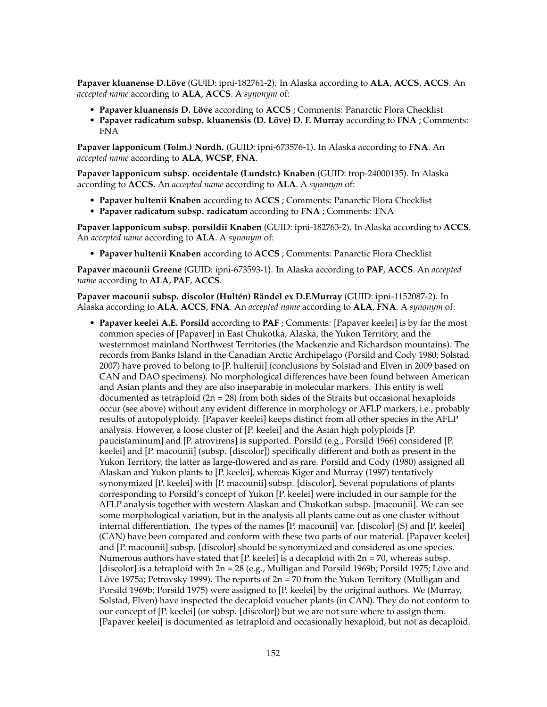**Papaver kluanense D.Löve** (GUID: ipni-182761-2). In Alaska according to **ALA**, **ACCS**, **ACCS**. An *accepted name* according to **ALA**, **ACCS**. A *synonym* of:

- **Papaver kluanensis D. Löve** according to **ACCS** ; Comments: Panarctic Flora Checklist
- **Papaver radicatum subsp. kluanensis (D. Löve) D. F. Murray** according to **FNA** ; Comments: FNA

**Papaver lapponicum (Tolm.) Nordh.** (GUID: ipni-673576-1). In Alaska according to **FNA**. An *accepted name* according to **ALA**, **WCSP**, **FNA**.

**Papaver lapponicum subsp. occidentale (Lundstr.) Knaben** (GUID: trop-24000135). In Alaska according to **ACCS**. An *accepted name* according to **ALA**. A *synonym* of:

- **Papaver hultenii Knaben** according to **ACCS** ; Comments: Panarctic Flora Checklist
- **Papaver radicatum subsp. radicatum** according to **FNA** ; Comments: FNA

**Papaver lapponicum subsp. porsildii Knaben** (GUID: ipni-182763-2). In Alaska according to **ACCS**. An *accepted name* according to **ALA**. A *synonym* of:

• **Papaver hultenii Knaben** according to **ACCS** ; Comments: Panarctic Flora Checklist

**Papaver macounii Greene** (GUID: ipni-673593-1). In Alaska according to **PAF**, **ACCS**. An *accepted name* according to **ALA**, **PAF**, **ACCS**.

**Papaver macounii subsp. discolor (Hultén) Rändel ex D.F.Murray** (GUID: ipni-1152087-2). In Alaska according to **ALA**, **ACCS**, **FNA**. An *accepted name* according to **ALA**, **FNA**. A *synonym* of:

• **Papaver keelei A.E. Porsild** according to **PAF** ; Comments: [Papaver keelei] is by far the most common species of [Papaver] in East Chukotka, Alaska, the Yukon Territory, and the westernmost mainland Northwest Territories (the Mackenzie and Richardson mountains). The records from Banks Island in the Canadian Arctic Archipelago (Porsild and Cody 1980; Solstad 2007) have proved to belong to [P. hultenii] (conclusions by Solstad and Elven in 2009 based on CAN and DAO specimens). No morphological differences have been found between American and Asian plants and they are also inseparable in molecular markers. This entity is well documented as tetraploid  $(2n = 28)$  from both sides of the Straits but occasional hexaploids occur (see above) without any evident difference in morphology or AFLP markers, i.e., probably results of autopolyploidy. [Papaver keelei] keeps distinct from all other species in the AFLP analysis. However, a loose cluster of [P. keelei] and the Asian high polyploids [P. paucistaminum] and [P. atrovirens] is supported. Porsild (e.g., Porsild 1966) considered [P. keelei] and [P. macounii] (subsp. [discolor]) specifically different and both as present in the Yukon Territory, the latter as large-flowered and as rare. Porsild and Cody (1980) assigned all Alaskan and Yukon plants to [P. keelei], whereas Kiger and Murray (1997) tentatively synonymized [P. keelei] with [P. macounii] subsp. [discolor]. Several populations of plants corresponding to Porsild's concept of Yukon [P. keelei] were included in our sample for the AFLP analysis together with western Alaskan and Chukotkan subsp. [macounii]. We can see some morphological variation, but in the analysis all plants came out as one cluster without internal differentiation. The types of the names [P. macounii] var. [discolor] (S) and [P. keelei] (CAN) have been compared and conform with these two parts of our material. [Papaver keelei] and [P. macounii] subsp. [discolor] should be synonymized and considered as one species. Numerous authors have stated that [P. keelei] is a decaploid with  $2n = 70$ , whereas subsp. [discolor] is a tetraploid with 2n = 28 (e.g., Mulligan and Porsild 1969b; Porsild 1975; Löve and Löve 1975a; Petrovsky 1999). The reports of  $2n = 70$  from the Yukon Territory (Mulligan and Porsild 1969b; Porsild 1975) were assigned to [P. keelei] by the original authors. We (Murray, Solstad, Elven) have inspected the decaploid voucher plants (in CAN). They do not conform to our concept of [P. keelei] (or subsp. [discolor]) but we are not sure where to assign them. [Papaver keelei] is documented as tetraploid and occasionally hexaploid, but not as decaploid.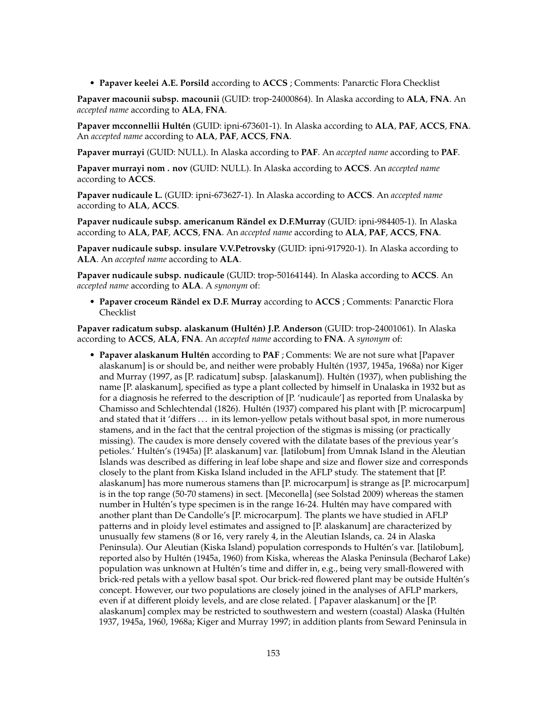• **Papaver keelei A.E. Porsild** according to **ACCS** ; Comments: Panarctic Flora Checklist

**Papaver macounii subsp. macounii** (GUID: trop-24000864). In Alaska according to **ALA**, **FNA**. An *accepted name* according to **ALA**, **FNA**.

**Papaver mcconnellii Hultén** (GUID: ipni-673601-1). In Alaska according to **ALA**, **PAF**, **ACCS**, **FNA**. An *accepted name* according to **ALA**, **PAF**, **ACCS**, **FNA**.

**Papaver murrayi** (GUID: NULL). In Alaska according to **PAF**. An *accepted name* according to **PAF**.

**Papaver murrayi nom . nov** (GUID: NULL). In Alaska according to **ACCS**. An *accepted name* according to **ACCS**.

**Papaver nudicaule L.** (GUID: ipni-673627-1). In Alaska according to **ACCS**. An *accepted name* according to **ALA**, **ACCS**.

**Papaver nudicaule subsp. americanum Rändel ex D.F.Murray** (GUID: ipni-984405-1). In Alaska according to **ALA**, **PAF**, **ACCS**, **FNA**. An *accepted name* according to **ALA**, **PAF**, **ACCS**, **FNA**.

**Papaver nudicaule subsp. insulare V.V.Petrovsky** (GUID: ipni-917920-1). In Alaska according to **ALA**. An *accepted name* according to **ALA**.

**Papaver nudicaule subsp. nudicaule** (GUID: trop-50164144). In Alaska according to **ACCS**. An *accepted name* according to **ALA**. A *synonym* of:

• **Papaver croceum Rändel ex D.F. Murray** according to **ACCS** ; Comments: Panarctic Flora Checklist

**Papaver radicatum subsp. alaskanum (Hultén) J.P. Anderson** (GUID: trop-24001061). In Alaska according to **ACCS**, **ALA**, **FNA**. An *accepted name* according to **FNA**. A *synonym* of:

• **Papaver alaskanum Hultén** according to **PAF** ; Comments: We are not sure what [Papaver alaskanum] is or should be, and neither were probably Hultén (1937, 1945a, 1968a) nor Kiger and Murray (1997, as [P. radicatum] subsp. [alaskanum]). Hultén (1937), when publishing the name [P. alaskanum], specified as type a plant collected by himself in Unalaska in 1932 but as for a diagnosis he referred to the description of [P. 'nudicaule'] as reported from Unalaska by Chamisso and Schlechtendal (1826). Hultén (1937) compared his plant with [P. microcarpum] and stated that it 'differs ... in its lemon-yellow petals without basal spot, in more numerous stamens, and in the fact that the central projection of the stigmas is missing (or practically missing). The caudex is more densely covered with the dilatate bases of the previous year's petioles.' Hultén's (1945a) [P. alaskanum] var. [latilobum] from Umnak Island in the Aleutian Islands was described as differing in leaf lobe shape and size and flower size and corresponds closely to the plant from Kiska Island included in the AFLP study. The statement that [P. alaskanum] has more numerous stamens than [P. microcarpum] is strange as [P. microcarpum] is in the top range (50-70 stamens) in sect. [Meconella] (see Solstad 2009) whereas the stamen number in Hultén's type specimen is in the range 16-24. Hultén may have compared with another plant than De Candolle's [P. microcarpum]. The plants we have studied in AFLP patterns and in ploidy level estimates and assigned to [P. alaskanum] are characterized by unusually few stamens (8 or 16, very rarely 4, in the Aleutian Islands, ca. 24 in Alaska Peninsula). Our Aleutian (Kiska Island) population corresponds to Hultén's var. [latilobum], reported also by Hultén (1945a, 1960) from Kiska, whereas the Alaska Peninsula (Becharof Lake) population was unknown at Hultén's time and differ in, e.g., being very small-flowered with brick-red petals with a yellow basal spot. Our brick-red flowered plant may be outside Hultén's concept. However, our two populations are closely joined in the analyses of AFLP markers, even if at different ploidy levels, and are close related. [ Papaver alaskanum] or the [P. alaskanum] complex may be restricted to southwestern and western (coastal) Alaska (Hultén 1937, 1945a, 1960, 1968a; Kiger and Murray 1997; in addition plants from Seward Peninsula in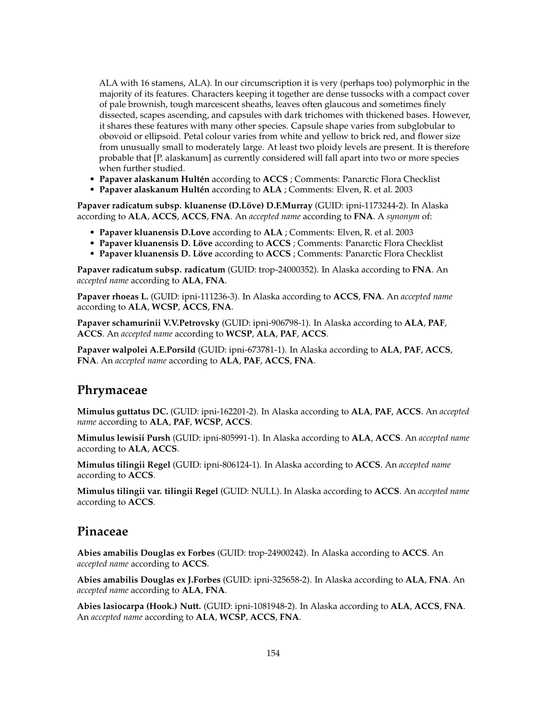ALA with 16 stamens, ALA). In our circumscription it is very (perhaps too) polymorphic in the majority of its features. Characters keeping it together are dense tussocks with a compact cover of pale brownish, tough marcescent sheaths, leaves often glaucous and sometimes finely dissected, scapes ascending, and capsules with dark trichomes with thickened bases. However, it shares these features with many other species. Capsule shape varies from subglobular to obovoid or ellipsoid. Petal colour varies from white and yellow to brick red, and flower size from unusually small to moderately large. At least two ploidy levels are present. It is therefore probable that [P. alaskanum] as currently considered will fall apart into two or more species when further studied.

- **Papaver alaskanum Hultén** according to **ACCS** ; Comments: Panarctic Flora Checklist
- **Papaver alaskanum Hultén** according to **ALA** ; Comments: Elven, R. et al. 2003

**Papaver radicatum subsp. kluanense (D.Löve) D.F.Murray** (GUID: ipni-1173244-2). In Alaska according to **ALA**, **ACCS**, **ACCS**, **FNA**. An *accepted name* according to **FNA**. A *synonym* of:

- **Papaver kluanensis D.Love** according to **ALA** ; Comments: Elven, R. et al. 2003
- **Papaver kluanensis D. Löve** according to **ACCS** ; Comments: Panarctic Flora Checklist
- **Papaver kluanensis D. Löve** according to **ACCS** ; Comments: Panarctic Flora Checklist

**Papaver radicatum subsp. radicatum** (GUID: trop-24000352). In Alaska according to **FNA**. An *accepted name* according to **ALA**, **FNA**.

**Papaver rhoeas L.** (GUID: ipni-111236-3). In Alaska according to **ACCS**, **FNA**. An *accepted name* according to **ALA**, **WCSP**, **ACCS**, **FNA**.

**Papaver schamurinii V.V.Petrovsky** (GUID: ipni-906798-1). In Alaska according to **ALA**, **PAF**, **ACCS**. An *accepted name* according to **WCSP**, **ALA**, **PAF**, **ACCS**.

**Papaver walpolei A.E.Porsild** (GUID: ipni-673781-1). In Alaska according to **ALA**, **PAF**, **ACCS**, **FNA**. An *accepted name* according to **ALA**, **PAF**, **ACCS**, **FNA**.

### **Phrymaceae**

**Mimulus guttatus DC.** (GUID: ipni-162201-2). In Alaska according to **ALA**, **PAF**, **ACCS**. An *accepted name* according to **ALA**, **PAF**, **WCSP**, **ACCS**.

**Mimulus lewisii Pursh** (GUID: ipni-805991-1). In Alaska according to **ALA**, **ACCS**. An *accepted name* according to **ALA**, **ACCS**.

**Mimulus tilingii Regel** (GUID: ipni-806124-1). In Alaska according to **ACCS**. An *accepted name* according to **ACCS**.

**Mimulus tilingii var. tilingii Regel** (GUID: NULL). In Alaska according to **ACCS**. An *accepted name* according to **ACCS**.

### **Pinaceae**

**Abies amabilis Douglas ex Forbes** (GUID: trop-24900242). In Alaska according to **ACCS**. An *accepted name* according to **ACCS**.

**Abies amabilis Douglas ex J.Forbes** (GUID: ipni-325658-2). In Alaska according to **ALA**, **FNA**. An *accepted name* according to **ALA**, **FNA**.

**Abies lasiocarpa (Hook.) Nutt.** (GUID: ipni-1081948-2). In Alaska according to **ALA**, **ACCS**, **FNA**. An *accepted name* according to **ALA**, **WCSP**, **ACCS**, **FNA**.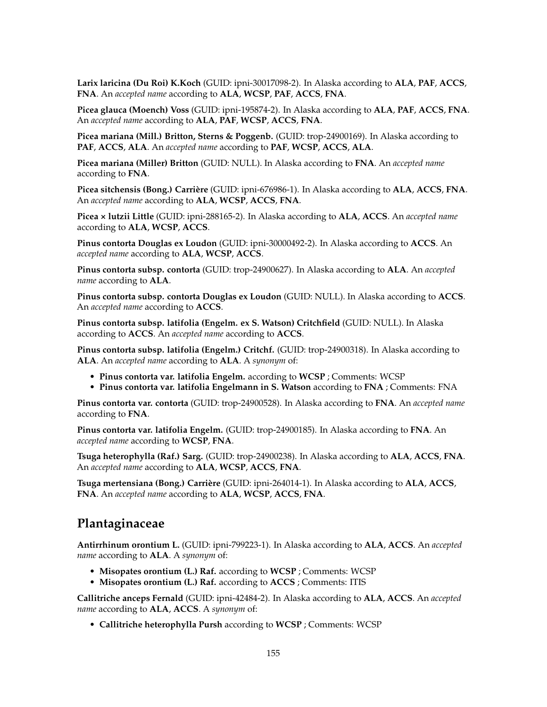**Larix laricina (Du Roi) K.Koch** (GUID: ipni-30017098-2). In Alaska according to **ALA**, **PAF**, **ACCS**, **FNA**. An *accepted name* according to **ALA**, **WCSP**, **PAF**, **ACCS**, **FNA**.

**Picea glauca (Moench) Voss** (GUID: ipni-195874-2). In Alaska according to **ALA**, **PAF**, **ACCS**, **FNA**. An *accepted name* according to **ALA**, **PAF**, **WCSP**, **ACCS**, **FNA**.

**Picea mariana (Mill.) Britton, Sterns & Poggenb.** (GUID: trop-24900169). In Alaska according to **PAF**, **ACCS**, **ALA**. An *accepted name* according to **PAF**, **WCSP**, **ACCS**, **ALA**.

**Picea mariana (Miller) Britton** (GUID: NULL). In Alaska according to **FNA**. An *accepted name* according to **FNA**.

**Picea sitchensis (Bong.) Carrière** (GUID: ipni-676986-1). In Alaska according to **ALA**, **ACCS**, **FNA**. An *accepted name* according to **ALA**, **WCSP**, **ACCS**, **FNA**.

**Picea × lutzii Little** (GUID: ipni-288165-2). In Alaska according to **ALA**, **ACCS**. An *accepted name* according to **ALA**, **WCSP**, **ACCS**.

**Pinus contorta Douglas ex Loudon** (GUID: ipni-30000492-2). In Alaska according to **ACCS**. An *accepted name* according to **ALA**, **WCSP**, **ACCS**.

**Pinus contorta subsp. contorta** (GUID: trop-24900627). In Alaska according to **ALA**. An *accepted name* according to **ALA**.

**Pinus contorta subsp. contorta Douglas ex Loudon** (GUID: NULL). In Alaska according to **ACCS**. An *accepted name* according to **ACCS**.

**Pinus contorta subsp. latifolia (Engelm. ex S. Watson) Critchfield** (GUID: NULL). In Alaska according to **ACCS**. An *accepted name* according to **ACCS**.

**Pinus contorta subsp. latifolia (Engelm.) Critchf.** (GUID: trop-24900318). In Alaska according to **ALA**. An *accepted name* according to **ALA**. A *synonym* of:

- **Pinus contorta var. latifolia Engelm.** according to **WCSP** ; Comments: WCSP
- **Pinus contorta var. latifolia Engelmann in S. Watson** according to **FNA** ; Comments: FNA

**Pinus contorta var. contorta** (GUID: trop-24900528). In Alaska according to **FNA**. An *accepted name* according to **FNA**.

**Pinus contorta var. latifolia Engelm.** (GUID: trop-24900185). In Alaska according to **FNA**. An *accepted name* according to **WCSP**, **FNA**.

**Tsuga heterophylla (Raf.) Sarg.** (GUID: trop-24900238). In Alaska according to **ALA**, **ACCS**, **FNA**. An *accepted name* according to **ALA**, **WCSP**, **ACCS**, **FNA**.

**Tsuga mertensiana (Bong.) Carrière** (GUID: ipni-264014-1). In Alaska according to **ALA**, **ACCS**, **FNA**. An *accepted name* according to **ALA**, **WCSP**, **ACCS**, **FNA**.

### **Plantaginaceae**

**Antirrhinum orontium L.** (GUID: ipni-799223-1). In Alaska according to **ALA**, **ACCS**. An *accepted name* according to **ALA**. A *synonym* of:

- **Misopates orontium (L.) Raf.** according to **WCSP** ; Comments: WCSP
- **Misopates orontium (L.) Raf.** according to **ACCS** ; Comments: ITIS

**Callitriche anceps Fernald** (GUID: ipni-42484-2). In Alaska according to **ALA**, **ACCS**. An *accepted name* according to **ALA**, **ACCS**. A *synonym* of:

• **Callitriche heterophylla Pursh** according to **WCSP** ; Comments: WCSP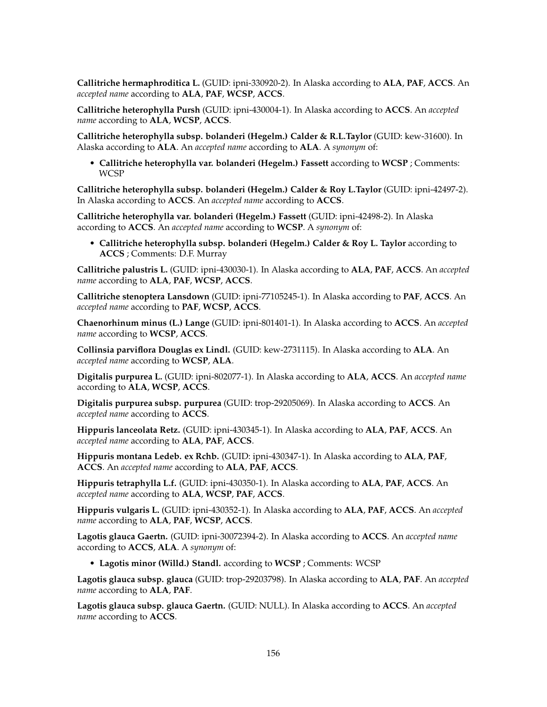**Callitriche hermaphroditica L.** (GUID: ipni-330920-2). In Alaska according to **ALA**, **PAF**, **ACCS**. An *accepted name* according to **ALA**, **PAF**, **WCSP**, **ACCS**.

**Callitriche heterophylla Pursh** (GUID: ipni-430004-1). In Alaska according to **ACCS**. An *accepted name* according to **ALA**, **WCSP**, **ACCS**.

**Callitriche heterophylla subsp. bolanderi (Hegelm.) Calder & R.L.Taylor** (GUID: kew-31600). In Alaska according to **ALA**. An *accepted name* according to **ALA**. A *synonym* of:

• **Callitriche heterophylla var. bolanderi (Hegelm.) Fassett** according to **WCSP** ; Comments: WCSP

**Callitriche heterophylla subsp. bolanderi (Hegelm.) Calder & Roy L.Taylor** (GUID: ipni-42497-2). In Alaska according to **ACCS**. An *accepted name* according to **ACCS**.

**Callitriche heterophylla var. bolanderi (Hegelm.) Fassett** (GUID: ipni-42498-2). In Alaska according to **ACCS**. An *accepted name* according to **WCSP**. A *synonym* of:

• **Callitriche heterophylla subsp. bolanderi (Hegelm.) Calder & Roy L. Taylor** according to **ACCS** ; Comments: D.F. Murray

**Callitriche palustris L.** (GUID: ipni-430030-1). In Alaska according to **ALA**, **PAF**, **ACCS**. An *accepted name* according to **ALA**, **PAF**, **WCSP**, **ACCS**.

**Callitriche stenoptera Lansdown** (GUID: ipni-77105245-1). In Alaska according to **PAF**, **ACCS**. An *accepted name* according to **PAF**, **WCSP**, **ACCS**.

**Chaenorhinum minus (L.) Lange** (GUID: ipni-801401-1). In Alaska according to **ACCS**. An *accepted name* according to **WCSP**, **ACCS**.

**Collinsia parviflora Douglas ex Lindl.** (GUID: kew-2731115). In Alaska according to **ALA**. An *accepted name* according to **WCSP**, **ALA**.

**Digitalis purpurea L.** (GUID: ipni-802077-1). In Alaska according to **ALA**, **ACCS**. An *accepted name* according to **ALA**, **WCSP**, **ACCS**.

**Digitalis purpurea subsp. purpurea** (GUID: trop-29205069). In Alaska according to **ACCS**. An *accepted name* according to **ACCS**.

**Hippuris lanceolata Retz.** (GUID: ipni-430345-1). In Alaska according to **ALA**, **PAF**, **ACCS**. An *accepted name* according to **ALA**, **PAF**, **ACCS**.

**Hippuris montana Ledeb. ex Rchb.** (GUID: ipni-430347-1). In Alaska according to **ALA**, **PAF**, **ACCS**. An *accepted name* according to **ALA**, **PAF**, **ACCS**.

**Hippuris tetraphylla L.f.** (GUID: ipni-430350-1). In Alaska according to **ALA**, **PAF**, **ACCS**. An *accepted name* according to **ALA**, **WCSP**, **PAF**, **ACCS**.

**Hippuris vulgaris L.** (GUID: ipni-430352-1). In Alaska according to **ALA**, **PAF**, **ACCS**. An *accepted name* according to **ALA**, **PAF**, **WCSP**, **ACCS**.

**Lagotis glauca Gaertn.** (GUID: ipni-30072394-2). In Alaska according to **ACCS**. An *accepted name* according to **ACCS**, **ALA**. A *synonym* of:

• **Lagotis minor (Willd.) Standl.** according to **WCSP** ; Comments: WCSP

**Lagotis glauca subsp. glauca** (GUID: trop-29203798). In Alaska according to **ALA**, **PAF**. An *accepted name* according to **ALA**, **PAF**.

**Lagotis glauca subsp. glauca Gaertn.** (GUID: NULL). In Alaska according to **ACCS**. An *accepted name* according to **ACCS**.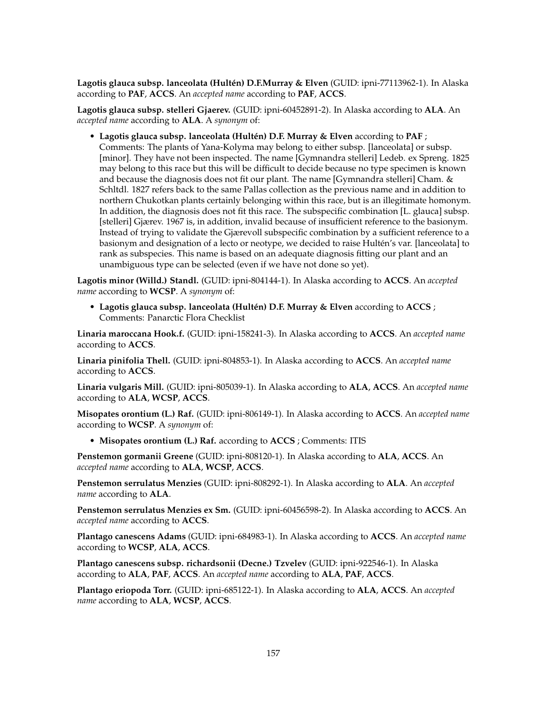**Lagotis glauca subsp. lanceolata (Hultén) D.F.Murray & Elven** (GUID: ipni-77113962-1). In Alaska according to **PAF**, **ACCS**. An *accepted name* according to **PAF**, **ACCS**.

**Lagotis glauca subsp. stelleri Gjaerev.** (GUID: ipni-60452891-2). In Alaska according to **ALA**. An *accepted name* according to **ALA**. A *synonym* of:

• **Lagotis glauca subsp. lanceolata (Hultén) D.F. Murray & Elven** according to **PAF** ; Comments: The plants of Yana-Kolyma may belong to either subsp. [lanceolata] or subsp. [minor]. They have not been inspected. The name [Gymnandra stelleri] Ledeb. ex Spreng. 1825 may belong to this race but this will be difficult to decide because no type specimen is known and because the diagnosis does not fit our plant. The name [Gymnandra stelleri] Cham. & Schltdl. 1827 refers back to the same Pallas collection as the previous name and in addition to northern Chukotkan plants certainly belonging within this race, but is an illegitimate homonym. In addition, the diagnosis does not fit this race. The subspecific combination [L. glauca] subsp. [stelleri] Gjærev. 1967 is, in addition, invalid because of insufficient reference to the basionym. Instead of trying to validate the Gjærevoll subspecific combination by a sufficient reference to a basionym and designation of a lecto or neotype, we decided to raise Hultén's var. [lanceolata] to rank as subspecies. This name is based on an adequate diagnosis fitting our plant and an unambiguous type can be selected (even if we have not done so yet).

**Lagotis minor (Willd.) Standl.** (GUID: ipni-804144-1). In Alaska according to **ACCS**. An *accepted name* according to **WCSP**. A *synonym* of:

• **Lagotis glauca subsp. lanceolata (Hultén) D.F. Murray & Elven** according to **ACCS** ; Comments: Panarctic Flora Checklist

**Linaria maroccana Hook.f.** (GUID: ipni-158241-3). In Alaska according to **ACCS**. An *accepted name* according to **ACCS**.

**Linaria pinifolia Thell.** (GUID: ipni-804853-1). In Alaska according to **ACCS**. An *accepted name* according to **ACCS**.

**Linaria vulgaris Mill.** (GUID: ipni-805039-1). In Alaska according to **ALA**, **ACCS**. An *accepted name* according to **ALA**, **WCSP**, **ACCS**.

**Misopates orontium (L.) Raf.** (GUID: ipni-806149-1). In Alaska according to **ACCS**. An *accepted name* according to **WCSP**. A *synonym* of:

• **Misopates orontium (L.) Raf.** according to **ACCS** ; Comments: ITIS

**Penstemon gormanii Greene** (GUID: ipni-808120-1). In Alaska according to **ALA**, **ACCS**. An *accepted name* according to **ALA**, **WCSP**, **ACCS**.

**Penstemon serrulatus Menzies** (GUID: ipni-808292-1). In Alaska according to **ALA**. An *accepted name* according to **ALA**.

**Penstemon serrulatus Menzies ex Sm.** (GUID: ipni-60456598-2). In Alaska according to **ACCS**. An *accepted name* according to **ACCS**.

**Plantago canescens Adams** (GUID: ipni-684983-1). In Alaska according to **ACCS**. An *accepted name* according to **WCSP**, **ALA**, **ACCS**.

**Plantago canescens subsp. richardsonii (Decne.) Tzvelev** (GUID: ipni-922546-1). In Alaska according to **ALA**, **PAF**, **ACCS**. An *accepted name* according to **ALA**, **PAF**, **ACCS**.

**Plantago eriopoda Torr.** (GUID: ipni-685122-1). In Alaska according to **ALA**, **ACCS**. An *accepted name* according to **ALA**, **WCSP**, **ACCS**.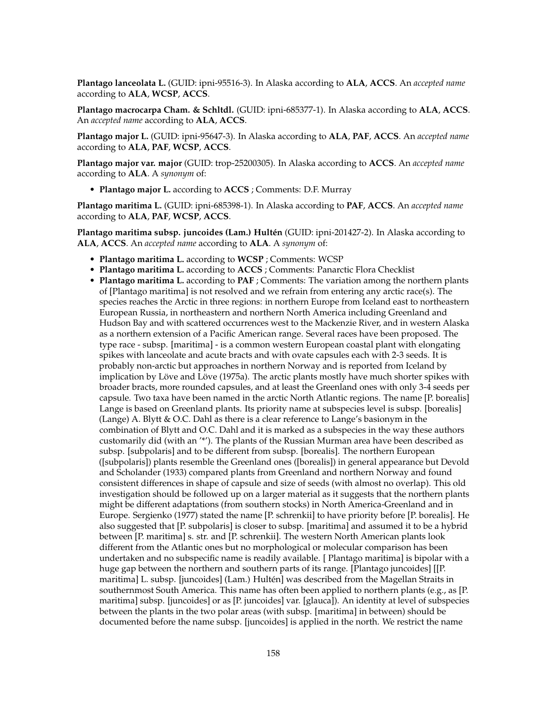**Plantago lanceolata L.** (GUID: ipni-95516-3). In Alaska according to **ALA**, **ACCS**. An *accepted name* according to **ALA**, **WCSP**, **ACCS**.

**Plantago macrocarpa Cham. & Schltdl.** (GUID: ipni-685377-1). In Alaska according to **ALA**, **ACCS**. An *accepted name* according to **ALA**, **ACCS**.

**Plantago major L.** (GUID: ipni-95647-3). In Alaska according to **ALA**, **PAF**, **ACCS**. An *accepted name* according to **ALA**, **PAF**, **WCSP**, **ACCS**.

**Plantago major var. major** (GUID: trop-25200305). In Alaska according to **ACCS**. An *accepted name* according to **ALA**. A *synonym* of:

• **Plantago major L.** according to **ACCS** ; Comments: D.F. Murray

**Plantago maritima L.** (GUID: ipni-685398-1). In Alaska according to **PAF**, **ACCS**. An *accepted name* according to **ALA**, **PAF**, **WCSP**, **ACCS**.

**Plantago maritima subsp. juncoides (Lam.) Hultén** (GUID: ipni-201427-2). In Alaska according to **ALA**, **ACCS**. An *accepted name* according to **ALA**. A *synonym* of:

- **Plantago maritima L.** according to **WCSP** ; Comments: WCSP
- **Plantago maritima L.** according to **ACCS** ; Comments: Panarctic Flora Checklist
- **Plantago maritima L.** according to **PAF** ; Comments: The variation among the northern plants of [Plantago maritima] is not resolved and we refrain from entering any arctic race(s). The species reaches the Arctic in three regions: in northern Europe from Iceland east to northeastern European Russia, in northeastern and northern North America including Greenland and Hudson Bay and with scattered occurrences west to the Mackenzie River, and in western Alaska as a northern extension of a Pacific American range. Several races have been proposed. The type race - subsp. [maritima] - is a common western European coastal plant with elongating spikes with lanceolate and acute bracts and with ovate capsules each with 2-3 seeds. It is probably non-arctic but approaches in northern Norway and is reported from Iceland by implication by Löve and Löve (1975a). The arctic plants mostly have much shorter spikes with broader bracts, more rounded capsules, and at least the Greenland ones with only 3-4 seeds per capsule. Two taxa have been named in the arctic North Atlantic regions. The name [P. borealis] Lange is based on Greenland plants. Its priority name at subspecies level is subsp. [borealis] (Lange) A. Blytt & O.C. Dahl as there is a clear reference to Lange's basionym in the combination of Blytt and O.C. Dahl and it is marked as a subspecies in the way these authors customarily did (with an '\*'). The plants of the Russian Murman area have been described as subsp. [subpolaris] and to be different from subsp. [borealis]. The northern European ([subpolaris]) plants resemble the Greenland ones ([borealis]) in general appearance but Devold and Scholander (1933) compared plants from Greenland and northern Norway and found consistent differences in shape of capsule and size of seeds (with almost no overlap). This old investigation should be followed up on a larger material as it suggests that the northern plants might be different adaptations (from southern stocks) in North America-Greenland and in Europe. Sergienko (1977) stated the name [P. schrenkii] to have priority before [P. borealis]. He also suggested that [P. subpolaris] is closer to subsp. [maritima] and assumed it to be a hybrid between [P. maritima] s. str. and [P. schrenkii]. The western North American plants look different from the Atlantic ones but no morphological or molecular comparison has been undertaken and no subspecific name is readily available. [ Plantago maritima] is bipolar with a huge gap between the northern and southern parts of its range. [Plantago juncoides] [[P. maritima] L. subsp. [juncoides] (Lam.) Hultén] was described from the Magellan Straits in southernmost South America. This name has often been applied to northern plants (e.g., as [P. maritima] subsp. [juncoides] or as [P. juncoides] var. [glauca]). An identity at level of subspecies between the plants in the two polar areas (with subsp. [maritima] in between) should be documented before the name subsp. [juncoides] is applied in the north. We restrict the name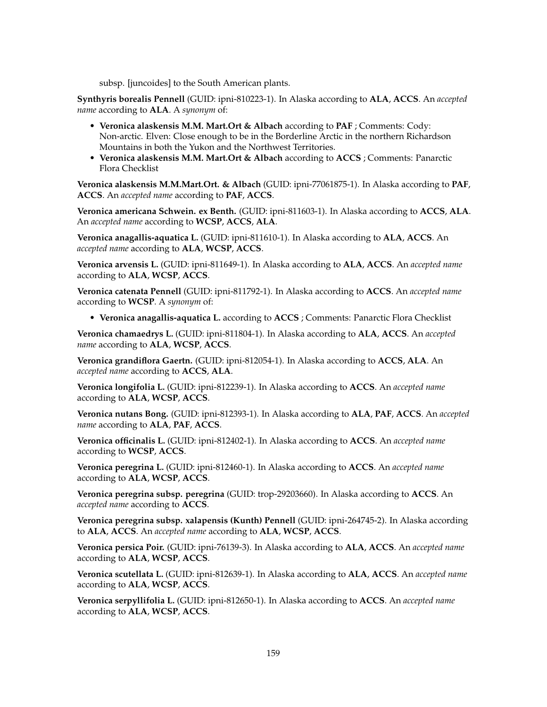subsp. [juncoides] to the South American plants.

**Synthyris borealis Pennell** (GUID: ipni-810223-1). In Alaska according to **ALA**, **ACCS**. An *accepted name* according to **ALA**. A *synonym* of:

- **Veronica alaskensis M.M. Mart.Ort & Albach** according to **PAF** ; Comments: Cody: Non-arctic. Elven: Close enough to be in the Borderline Arctic in the northern Richardson Mountains in both the Yukon and the Northwest Territories.
- **Veronica alaskensis M.M. Mart.Ort & Albach** according to **ACCS** ; Comments: Panarctic Flora Checklist

**Veronica alaskensis M.M.Mart.Ort. & Albach** (GUID: ipni-77061875-1). In Alaska according to **PAF**, **ACCS**. An *accepted name* according to **PAF**, **ACCS**.

**Veronica americana Schwein. ex Benth.** (GUID: ipni-811603-1). In Alaska according to **ACCS**, **ALA**. An *accepted name* according to **WCSP**, **ACCS**, **ALA**.

**Veronica anagallis-aquatica L.** (GUID: ipni-811610-1). In Alaska according to **ALA**, **ACCS**. An *accepted name* according to **ALA**, **WCSP**, **ACCS**.

**Veronica arvensis L.** (GUID: ipni-811649-1). In Alaska according to **ALA**, **ACCS**. An *accepted name* according to **ALA**, **WCSP**, **ACCS**.

**Veronica catenata Pennell** (GUID: ipni-811792-1). In Alaska according to **ACCS**. An *accepted name* according to **WCSP**. A *synonym* of:

• **Veronica anagallis-aquatica L.** according to **ACCS** ; Comments: Panarctic Flora Checklist

**Veronica chamaedrys L.** (GUID: ipni-811804-1). In Alaska according to **ALA**, **ACCS**. An *accepted name* according to **ALA**, **WCSP**, **ACCS**.

**Veronica grandiflora Gaertn.** (GUID: ipni-812054-1). In Alaska according to **ACCS**, **ALA**. An *accepted name* according to **ACCS**, **ALA**.

**Veronica longifolia L.** (GUID: ipni-812239-1). In Alaska according to **ACCS**. An *accepted name* according to **ALA**, **WCSP**, **ACCS**.

**Veronica nutans Bong.** (GUID: ipni-812393-1). In Alaska according to **ALA**, **PAF**, **ACCS**. An *accepted name* according to **ALA**, **PAF**, **ACCS**.

**Veronica officinalis L.** (GUID: ipni-812402-1). In Alaska according to **ACCS**. An *accepted name* according to **WCSP**, **ACCS**.

**Veronica peregrina L.** (GUID: ipni-812460-1). In Alaska according to **ACCS**. An *accepted name* according to **ALA**, **WCSP**, **ACCS**.

**Veronica peregrina subsp. peregrina** (GUID: trop-29203660). In Alaska according to **ACCS**. An *accepted name* according to **ACCS**.

**Veronica peregrina subsp. xalapensis (Kunth) Pennell** (GUID: ipni-264745-2). In Alaska according to **ALA**, **ACCS**. An *accepted name* according to **ALA**, **WCSP**, **ACCS**.

**Veronica persica Poir.** (GUID: ipni-76139-3). In Alaska according to **ALA**, **ACCS**. An *accepted name* according to **ALA**, **WCSP**, **ACCS**.

**Veronica scutellata L.** (GUID: ipni-812639-1). In Alaska according to **ALA**, **ACCS**. An *accepted name* according to **ALA**, **WCSP**, **ACCS**.

**Veronica serpyllifolia L.** (GUID: ipni-812650-1). In Alaska according to **ACCS**. An *accepted name* according to **ALA**, **WCSP**, **ACCS**.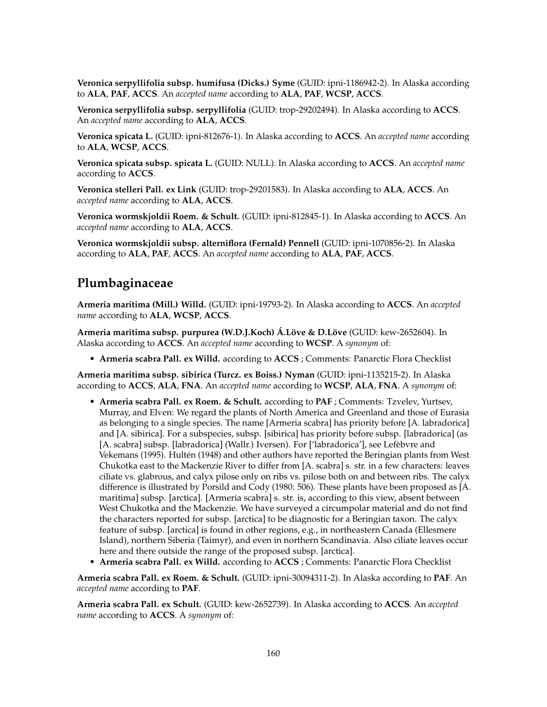**Veronica serpyllifolia subsp. humifusa (Dicks.) Syme** (GUID: ipni-1186942-2). In Alaska according to **ALA**, **PAF**, **ACCS**. An *accepted name* according to **ALA**, **PAF**, **WCSP**, **ACCS**.

**Veronica serpyllifolia subsp. serpyllifolia** (GUID: trop-29202494). In Alaska according to **ACCS**. An *accepted name* according to **ALA**, **ACCS**.

**Veronica spicata L.** (GUID: ipni-812676-1). In Alaska according to **ACCS**. An *accepted name* according to **ALA**, **WCSP**, **ACCS**.

**Veronica spicata subsp. spicata L.** (GUID: NULL). In Alaska according to **ACCS**. An *accepted name* according to **ACCS**.

**Veronica stelleri Pall. ex Link** (GUID: trop-29201583). In Alaska according to **ALA**, **ACCS**. An *accepted name* according to **ALA**, **ACCS**.

**Veronica wormskjoldii Roem. & Schult.** (GUID: ipni-812845-1). In Alaska according to **ACCS**. An *accepted name* according to **ALA**, **ACCS**.

**Veronica wormskjoldii subsp. alterniflora (Fernald) Pennell** (GUID: ipni-1070856-2). In Alaska according to **ALA**, **PAF**, **ACCS**. An *accepted name* according to **ALA**, **PAF**, **ACCS**.

### **Plumbaginaceae**

**Armeria maritima (Mill.) Willd.** (GUID: ipni-19793-2). In Alaska according to **ACCS**. An *accepted name* according to **ALA**, **WCSP**, **ACCS**.

**Armeria maritima subsp. purpurea (W.D.J.Koch) Á.Löve & D.Löve** (GUID: kew-2652604). In Alaska according to **ACCS**. An *accepted name* according to **WCSP**. A *synonym* of:

• **Armeria scabra Pall. ex Willd.** according to **ACCS** ; Comments: Panarctic Flora Checklist

**Armeria maritima subsp. sibirica (Turcz. ex Boiss.) Nyman** (GUID: ipni-1135215-2). In Alaska according to **ACCS**, **ALA**, **FNA**. An *accepted name* according to **WCSP**, **ALA**, **FNA**. A *synonym* of:

- **Armeria scabra Pall. ex Roem. & Schult.** according to **PAF** ; Comments: Tzvelev, Yurtsev, Murray, and Elven: We regard the plants of North America and Greenland and those of Eurasia as belonging to a single species. The name [Armeria scabra] has priority before [A. labradorica] and [A. sibirica]. For a subspecies, subsp. [sibirica] has priority before subsp. [labradorica] (as [A. scabra] subsp. [labradorica] (Wallr.) Iversen). For ['labradorica'], see Lefèbvre and Vekemans (1995). Hultén (1948) and other authors have reported the Beringian plants from West Chukotka east to the Mackenzie River to differ from [A. scabra] s. str. in a few characters: leaves ciliate vs. glabrous, and calyx pilose only on ribs vs. pilose both on and between ribs. The calyx difference is illustrated by Porsild and Cody (1980: 506). These plants have been proposed as [A. maritima] subsp. [arctica]. [Armeria scabra] s. str. is, according to this view, absent between West Chukotka and the Mackenzie. We have surveyed a circumpolar material and do not find the characters reported for subsp. [arctica] to be diagnostic for a Beringian taxon. The calyx feature of subsp. [arctica] is found in other regions, e.g., in northeastern Canada (Ellesmere Island), northern Siberia (Taimyr), and even in northern Scandinavia. Also ciliate leaves occur here and there outside the range of the proposed subsp. [arctica].
- **Armeria scabra Pall. ex Willd.** according to **ACCS** ; Comments: Panarctic Flora Checklist

**Armeria scabra Pall. ex Roem. & Schult.** (GUID: ipni-30094311-2). In Alaska according to **PAF**. An *accepted name* according to **PAF**.

**Armeria scabra Pall. ex Schult.** (GUID: kew-2652739). In Alaska according to **ACCS**. An *accepted name* according to **ACCS**. A *synonym* of: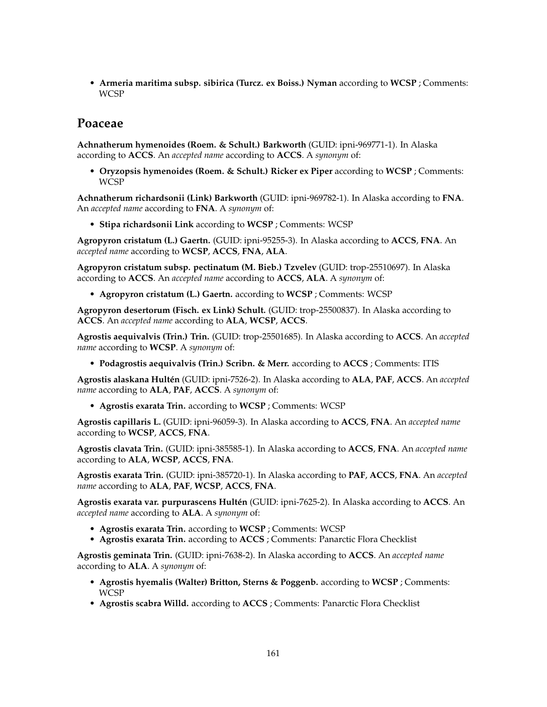• **Armeria maritima subsp. sibirica (Turcz. ex Boiss.) Nyman** according to **WCSP** ; Comments: WCSP

## **Poaceae**

**Achnatherum hymenoides (Roem. & Schult.) Barkworth** (GUID: ipni-969771-1). In Alaska according to **ACCS**. An *accepted name* according to **ACCS**. A *synonym* of:

• **Oryzopsis hymenoides (Roem. & Schult.) Ricker ex Piper** according to **WCSP** ; Comments: **WCSP** 

**Achnatherum richardsonii (Link) Barkworth** (GUID: ipni-969782-1). In Alaska according to **FNA**. An *accepted name* according to **FNA**. A *synonym* of:

• **Stipa richardsonii Link** according to **WCSP** ; Comments: WCSP

**Agropyron cristatum (L.) Gaertn.** (GUID: ipni-95255-3). In Alaska according to **ACCS**, **FNA**. An *accepted name* according to **WCSP**, **ACCS**, **FNA**, **ALA**.

**Agropyron cristatum subsp. pectinatum (M. Bieb.) Tzvelev** (GUID: trop-25510697). In Alaska according to **ACCS**. An *accepted name* according to **ACCS**, **ALA**. A *synonym* of:

• **Agropyron cristatum (L.) Gaertn.** according to **WCSP** ; Comments: WCSP

**Agropyron desertorum (Fisch. ex Link) Schult.** (GUID: trop-25500837). In Alaska according to **ACCS**. An *accepted name* according to **ALA**, **WCSP**, **ACCS**.

**Agrostis aequivalvis (Trin.) Trin.** (GUID: trop-25501685). In Alaska according to **ACCS**. An *accepted name* according to **WCSP**. A *synonym* of:

• **Podagrostis aequivalvis (Trin.) Scribn. & Merr.** according to **ACCS** ; Comments: ITIS

**Agrostis alaskana Hultén** (GUID: ipni-7526-2). In Alaska according to **ALA**, **PAF**, **ACCS**. An *accepted name* according to **ALA**, **PAF**, **ACCS**. A *synonym* of:

• **Agrostis exarata Trin.** according to **WCSP** ; Comments: WCSP

**Agrostis capillaris L.** (GUID: ipni-96059-3). In Alaska according to **ACCS**, **FNA**. An *accepted name* according to **WCSP**, **ACCS**, **FNA**.

**Agrostis clavata Trin.** (GUID: ipni-385585-1). In Alaska according to **ACCS**, **FNA**. An *accepted name* according to **ALA**, **WCSP**, **ACCS**, **FNA**.

**Agrostis exarata Trin.** (GUID: ipni-385720-1). In Alaska according to **PAF**, **ACCS**, **FNA**. An *accepted name* according to **ALA**, **PAF**, **WCSP**, **ACCS**, **FNA**.

**Agrostis exarata var. purpurascens Hultén** (GUID: ipni-7625-2). In Alaska according to **ACCS**. An *accepted name* according to **ALA**. A *synonym* of:

- **Agrostis exarata Trin.** according to **WCSP** ; Comments: WCSP
- **Agrostis exarata Trin.** according to **ACCS** ; Comments: Panarctic Flora Checklist

**Agrostis geminata Trin.** (GUID: ipni-7638-2). In Alaska according to **ACCS**. An *accepted name* according to **ALA**. A *synonym* of:

- **Agrostis hyemalis (Walter) Britton, Sterns & Poggenb.** according to **WCSP** ; Comments: WCSP
- **Agrostis scabra Willd.** according to **ACCS** ; Comments: Panarctic Flora Checklist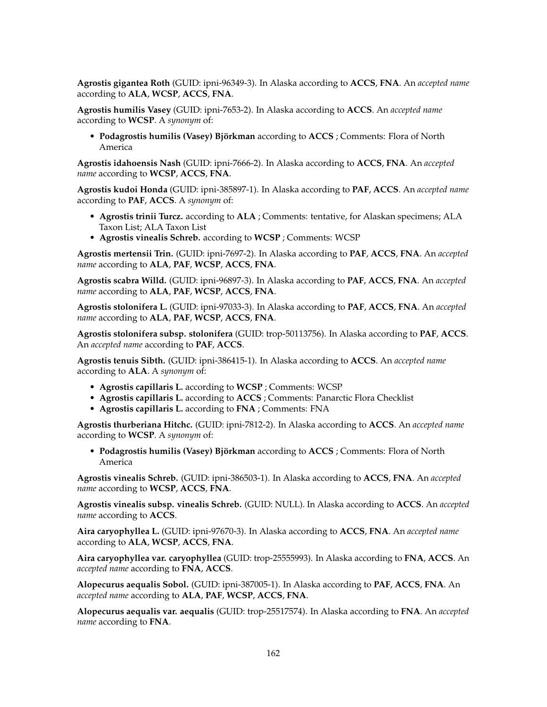**Agrostis gigantea Roth** (GUID: ipni-96349-3). In Alaska according to **ACCS**, **FNA**. An *accepted name* according to **ALA**, **WCSP**, **ACCS**, **FNA**.

**Agrostis humilis Vasey** (GUID: ipni-7653-2). In Alaska according to **ACCS**. An *accepted name* according to **WCSP**. A *synonym* of:

• **Podagrostis humilis (Vasey) Björkman** according to **ACCS** ; Comments: Flora of North America

**Agrostis idahoensis Nash** (GUID: ipni-7666-2). In Alaska according to **ACCS**, **FNA**. An *accepted name* according to **WCSP**, **ACCS**, **FNA**.

**Agrostis kudoi Honda** (GUID: ipni-385897-1). In Alaska according to **PAF**, **ACCS**. An *accepted name* according to **PAF**, **ACCS**. A *synonym* of:

- **Agrostis trinii Turcz.** according to **ALA** ; Comments: tentative, for Alaskan specimens; ALA Taxon List; ALA Taxon List
- **Agrostis vinealis Schreb.** according to **WCSP** ; Comments: WCSP

**Agrostis mertensii Trin.** (GUID: ipni-7697-2). In Alaska according to **PAF**, **ACCS**, **FNA**. An *accepted name* according to **ALA**, **PAF**, **WCSP**, **ACCS**, **FNA**.

**Agrostis scabra Willd.** (GUID: ipni-96897-3). In Alaska according to **PAF**, **ACCS**, **FNA**. An *accepted name* according to **ALA**, **PAF**, **WCSP**, **ACCS**, **FNA**.

**Agrostis stolonifera L.** (GUID: ipni-97033-3). In Alaska according to **PAF**, **ACCS**, **FNA**. An *accepted name* according to **ALA**, **PAF**, **WCSP**, **ACCS**, **FNA**.

**Agrostis stolonifera subsp. stolonifera** (GUID: trop-50113756). In Alaska according to **PAF**, **ACCS**. An *accepted name* according to **PAF**, **ACCS**.

**Agrostis tenuis Sibth.** (GUID: ipni-386415-1). In Alaska according to **ACCS**. An *accepted name* according to **ALA**. A *synonym* of:

- **Agrostis capillaris L.** according to **WCSP** ; Comments: WCSP
- **Agrostis capillaris L.** according to **ACCS** ; Comments: Panarctic Flora Checklist
- **Agrostis capillaris L.** according to **FNA** ; Comments: FNA

**Agrostis thurberiana Hitchc.** (GUID: ipni-7812-2). In Alaska according to **ACCS**. An *accepted name* according to **WCSP**. A *synonym* of:

• **Podagrostis humilis (Vasey) Björkman** according to **ACCS** ; Comments: Flora of North America

**Agrostis vinealis Schreb.** (GUID: ipni-386503-1). In Alaska according to **ACCS**, **FNA**. An *accepted name* according to **WCSP**, **ACCS**, **FNA**.

**Agrostis vinealis subsp. vinealis Schreb.** (GUID: NULL). In Alaska according to **ACCS**. An *accepted name* according to **ACCS**.

**Aira caryophyllea L.** (GUID: ipni-97670-3). In Alaska according to **ACCS**, **FNA**. An *accepted name* according to **ALA**, **WCSP**, **ACCS**, **FNA**.

**Aira caryophyllea var. caryophyllea** (GUID: trop-25555993). In Alaska according to **FNA**, **ACCS**. An *accepted name* according to **FNA**, **ACCS**.

**Alopecurus aequalis Sobol.** (GUID: ipni-387005-1). In Alaska according to **PAF**, **ACCS**, **FNA**. An *accepted name* according to **ALA**, **PAF**, **WCSP**, **ACCS**, **FNA**.

**Alopecurus aequalis var. aequalis** (GUID: trop-25517574). In Alaska according to **FNA**. An *accepted name* according to **FNA**.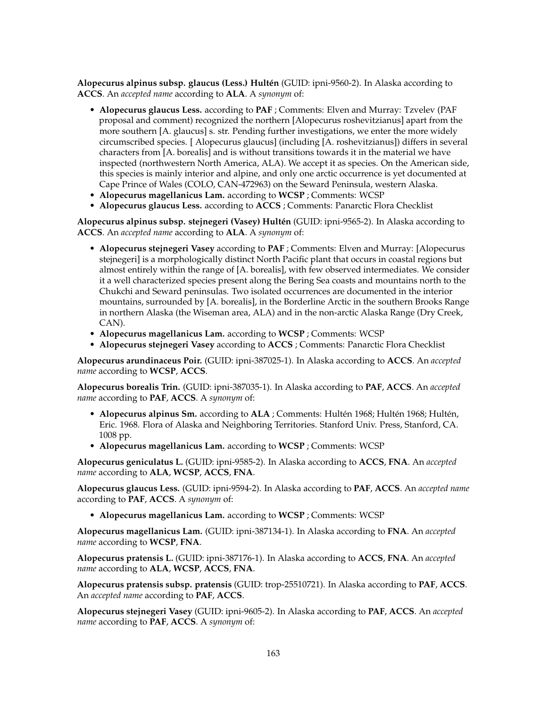**Alopecurus alpinus subsp. glaucus (Less.) Hultén** (GUID: ipni-9560-2). In Alaska according to **ACCS**. An *accepted name* according to **ALA**. A *synonym* of:

- **Alopecurus glaucus Less.** according to **PAF** ; Comments: Elven and Murray: Tzvelev (PAF proposal and comment) recognized the northern [Alopecurus roshevitzianus] apart from the more southern [A. glaucus] s. str. Pending further investigations, we enter the more widely circumscribed species. [ Alopecurus glaucus] (including [A. roshevitzianus]) differs in several characters from [A. borealis] and is without transitions towards it in the material we have inspected (northwestern North America, ALA). We accept it as species. On the American side, this species is mainly interior and alpine, and only one arctic occurrence is yet documented at Cape Prince of Wales (COLO, CAN-472963) on the Seward Peninsula, western Alaska.
- **Alopecurus magellanicus Lam.** according to **WCSP** ; Comments: WCSP
- **Alopecurus glaucus Less.** according to **ACCS** ; Comments: Panarctic Flora Checklist

**Alopecurus alpinus subsp. stejnegeri (Vasey) Hultén** (GUID: ipni-9565-2). In Alaska according to **ACCS**. An *accepted name* according to **ALA**. A *synonym* of:

- **Alopecurus stejnegeri Vasey** according to **PAF** ; Comments: Elven and Murray: [Alopecurus stejnegeri] is a morphologically distinct North Pacific plant that occurs in coastal regions but almost entirely within the range of [A. borealis], with few observed intermediates. We consider it a well characterized species present along the Bering Sea coasts and mountains north to the Chukchi and Seward peninsulas. Two isolated occurrences are documented in the interior mountains, surrounded by [A. borealis], in the Borderline Arctic in the southern Brooks Range in northern Alaska (the Wiseman area, ALA) and in the non-arctic Alaska Range (Dry Creek, CAN).
- **Alopecurus magellanicus Lam.** according to **WCSP** ; Comments: WCSP
- **Alopecurus stejnegeri Vasey** according to **ACCS** ; Comments: Panarctic Flora Checklist

**Alopecurus arundinaceus Poir.** (GUID: ipni-387025-1). In Alaska according to **ACCS**. An *accepted name* according to **WCSP**, **ACCS**.

**Alopecurus borealis Trin.** (GUID: ipni-387035-1). In Alaska according to **PAF**, **ACCS**. An *accepted name* according to **PAF**, **ACCS**. A *synonym* of:

- **Alopecurus alpinus Sm.** according to **ALA** ; Comments: Hultén 1968; Hultén 1968; Hultén, Eric. 1968. Flora of Alaska and Neighboring Territories. Stanford Univ. Press, Stanford, CA. 1008 pp.
- **Alopecurus magellanicus Lam.** according to **WCSP** ; Comments: WCSP

**Alopecurus geniculatus L.** (GUID: ipni-9585-2). In Alaska according to **ACCS**, **FNA**. An *accepted name* according to **ALA**, **WCSP**, **ACCS**, **FNA**.

**Alopecurus glaucus Less.** (GUID: ipni-9594-2). In Alaska according to **PAF**, **ACCS**. An *accepted name* according to **PAF**, **ACCS**. A *synonym* of:

• **Alopecurus magellanicus Lam.** according to **WCSP** ; Comments: WCSP

**Alopecurus magellanicus Lam.** (GUID: ipni-387134-1). In Alaska according to **FNA**. An *accepted name* according to **WCSP**, **FNA**.

**Alopecurus pratensis L.** (GUID: ipni-387176-1). In Alaska according to **ACCS**, **FNA**. An *accepted name* according to **ALA**, **WCSP**, **ACCS**, **FNA**.

**Alopecurus pratensis subsp. pratensis** (GUID: trop-25510721). In Alaska according to **PAF**, **ACCS**. An *accepted name* according to **PAF**, **ACCS**.

**Alopecurus stejnegeri Vasey** (GUID: ipni-9605-2). In Alaska according to **PAF**, **ACCS**. An *accepted name* according to **PAF**, **ACCS**. A *synonym* of: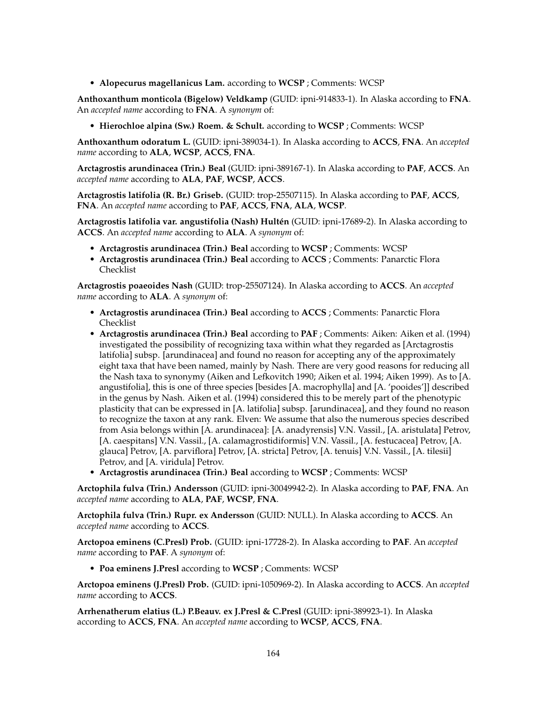• **Alopecurus magellanicus Lam.** according to **WCSP** ; Comments: WCSP

**Anthoxanthum monticola (Bigelow) Veldkamp** (GUID: ipni-914833-1). In Alaska according to **FNA**. An *accepted name* according to **FNA**. A *synonym* of:

• **Hierochloe alpina (Sw.) Roem. & Schult.** according to **WCSP** ; Comments: WCSP

**Anthoxanthum odoratum L.** (GUID: ipni-389034-1). In Alaska according to **ACCS**, **FNA**. An *accepted name* according to **ALA**, **WCSP**, **ACCS**, **FNA**.

**Arctagrostis arundinacea (Trin.) Beal** (GUID: ipni-389167-1). In Alaska according to **PAF**, **ACCS**. An *accepted name* according to **ALA**, **PAF**, **WCSP**, **ACCS**.

**Arctagrostis latifolia (R. Br.) Griseb.** (GUID: trop-25507115). In Alaska according to **PAF**, **ACCS**, **FNA**. An *accepted name* according to **PAF**, **ACCS**, **FNA**, **ALA**, **WCSP**.

**Arctagrostis latifolia var. angustifolia (Nash) Hultén** (GUID: ipni-17689-2). In Alaska according to **ACCS**. An *accepted name* according to **ALA**. A *synonym* of:

- **Arctagrostis arundinacea (Trin.) Beal** according to **WCSP** ; Comments: WCSP
- **Arctagrostis arundinacea (Trin.) Beal** according to **ACCS** ; Comments: Panarctic Flora Checklist

**Arctagrostis poaeoides Nash** (GUID: trop-25507124). In Alaska according to **ACCS**. An *accepted name* according to **ALA**. A *synonym* of:

- **Arctagrostis arundinacea (Trin.) Beal** according to **ACCS** ; Comments: Panarctic Flora Checklist
- **Arctagrostis arundinacea (Trin.) Beal** according to **PAF** ; Comments: Aiken: Aiken et al. (1994) investigated the possibility of recognizing taxa within what they regarded as [Arctagrostis latifolia] subsp. [arundinacea] and found no reason for accepting any of the approximately eight taxa that have been named, mainly by Nash. There are very good reasons for reducing all the Nash taxa to synonymy (Aiken and Lefkovitch 1990; Aiken et al. 1994; Aiken 1999). As to [A. angustifolia], this is one of three species [besides [A. macrophylla] and [A. 'pooides']] described in the genus by Nash. Aiken et al. (1994) considered this to be merely part of the phenotypic plasticity that can be expressed in [A. latifolia] subsp. [arundinacea], and they found no reason to recognize the taxon at any rank. Elven: We assume that also the numerous species described from Asia belongs within [A. arundinacea]: [A. anadyrensis] V.N. Vassil., [A. aristulata] Petrov, [A. caespitans] V.N. Vassil., [A. calamagrostidiformis] V.N. Vassil., [A. festucacea] Petrov, [A. glauca] Petrov, [A. parviflora] Petrov, [A. stricta] Petrov, [A. tenuis] V.N. Vassil., [A. tilesii] Petrov, and [A. viridula] Petrov.
- **Arctagrostis arundinacea (Trin.) Beal** according to **WCSP** ; Comments: WCSP

**Arctophila fulva (Trin.) Andersson** (GUID: ipni-30049942-2). In Alaska according to **PAF**, **FNA**. An *accepted name* according to **ALA**, **PAF**, **WCSP**, **FNA**.

**Arctophila fulva (Trin.) Rupr. ex Andersson** (GUID: NULL). In Alaska according to **ACCS**. An *accepted name* according to **ACCS**.

**Arctopoa eminens (C.Presl) Prob.** (GUID: ipni-17728-2). In Alaska according to **PAF**. An *accepted name* according to **PAF**. A *synonym* of:

• **Poa eminens J.Presl** according to **WCSP** ; Comments: WCSP

**Arctopoa eminens (J.Presl) Prob.** (GUID: ipni-1050969-2). In Alaska according to **ACCS**. An *accepted name* according to **ACCS**.

**Arrhenatherum elatius (L.) P.Beauv. ex J.Presl & C.Presl** (GUID: ipni-389923-1). In Alaska according to **ACCS**, **FNA**. An *accepted name* according to **WCSP**, **ACCS**, **FNA**.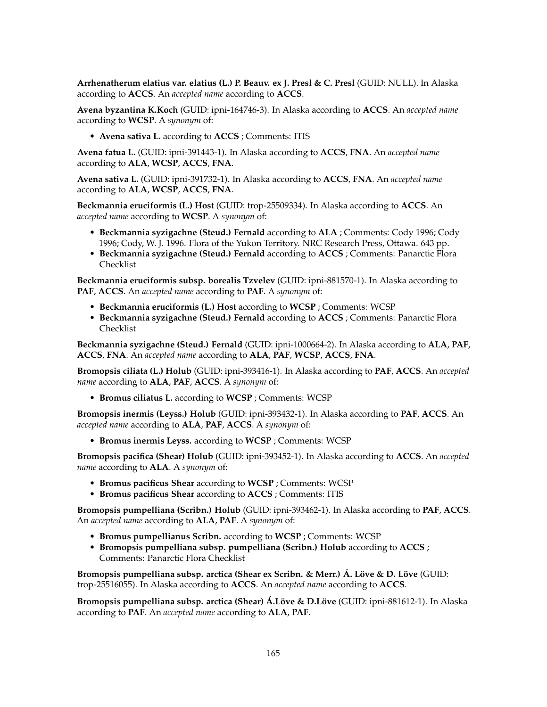**Arrhenatherum elatius var. elatius (L.) P. Beauv. ex J. Presl & C. Presl** (GUID: NULL). In Alaska according to **ACCS**. An *accepted name* according to **ACCS**.

**Avena byzantina K.Koch** (GUID: ipni-164746-3). In Alaska according to **ACCS**. An *accepted name* according to **WCSP**. A *synonym* of:

• **Avena sativa L.** according to **ACCS** ; Comments: ITIS

**Avena fatua L.** (GUID: ipni-391443-1). In Alaska according to **ACCS**, **FNA**. An *accepted name* according to **ALA**, **WCSP**, **ACCS**, **FNA**.

**Avena sativa L.** (GUID: ipni-391732-1). In Alaska according to **ACCS**, **FNA**. An *accepted name* according to **ALA**, **WCSP**, **ACCS**, **FNA**.

**Beckmannia eruciformis (L.) Host** (GUID: trop-25509334). In Alaska according to **ACCS**. An *accepted name* according to **WCSP**. A *synonym* of:

- **Beckmannia syzigachne (Steud.) Fernald** according to **ALA** ; Comments: Cody 1996; Cody 1996; Cody, W. J. 1996. Flora of the Yukon Territory. NRC Research Press, Ottawa. 643 pp.
- **Beckmannia syzigachne (Steud.) Fernald** according to **ACCS** ; Comments: Panarctic Flora Checklist

**Beckmannia eruciformis subsp. borealis Tzvelev** (GUID: ipni-881570-1). In Alaska according to **PAF**, **ACCS**. An *accepted name* according to **PAF**. A *synonym* of:

- **Beckmannia eruciformis (L.) Host** according to **WCSP** ; Comments: WCSP
- **Beckmannia syzigachne (Steud.) Fernald** according to **ACCS** ; Comments: Panarctic Flora Checklist

**Beckmannia syzigachne (Steud.) Fernald** (GUID: ipni-1000664-2). In Alaska according to **ALA**, **PAF**, **ACCS**, **FNA**. An *accepted name* according to **ALA**, **PAF**, **WCSP**, **ACCS**, **FNA**.

**Bromopsis ciliata (L.) Holub** (GUID: ipni-393416-1). In Alaska according to **PAF**, **ACCS**. An *accepted name* according to **ALA**, **PAF**, **ACCS**. A *synonym* of:

• **Bromus ciliatus L.** according to **WCSP** ; Comments: WCSP

**Bromopsis inermis (Leyss.) Holub** (GUID: ipni-393432-1). In Alaska according to **PAF**, **ACCS**. An *accepted name* according to **ALA**, **PAF**, **ACCS**. A *synonym* of:

• **Bromus inermis Leyss.** according to **WCSP** ; Comments: WCSP

**Bromopsis pacifica (Shear) Holub** (GUID: ipni-393452-1). In Alaska according to **ACCS**. An *accepted name* according to **ALA**. A *synonym* of:

- **Bromus pacificus Shear** according to **WCSP** ; Comments: WCSP
- **Bromus pacificus Shear** according to **ACCS** ; Comments: ITIS

**Bromopsis pumpelliana (Scribn.) Holub** (GUID: ipni-393462-1). In Alaska according to **PAF**, **ACCS**. An *accepted name* according to **ALA**, **PAF**. A *synonym* of:

- **Bromus pumpellianus Scribn.** according to **WCSP** ; Comments: WCSP
- **Bromopsis pumpelliana subsp. pumpelliana (Scribn.) Holub** according to **ACCS** ; Comments: Panarctic Flora Checklist

**Bromopsis pumpelliana subsp. arctica (Shear ex Scribn. & Merr.) Á. Löve & D. Löve** (GUID: trop-25516055). In Alaska according to **ACCS**. An *accepted name* according to **ACCS**.

**Bromopsis pumpelliana subsp. arctica (Shear) Á.Löve & D.Löve** (GUID: ipni-881612-1). In Alaska according to **PAF**. An *accepted name* according to **ALA**, **PAF**.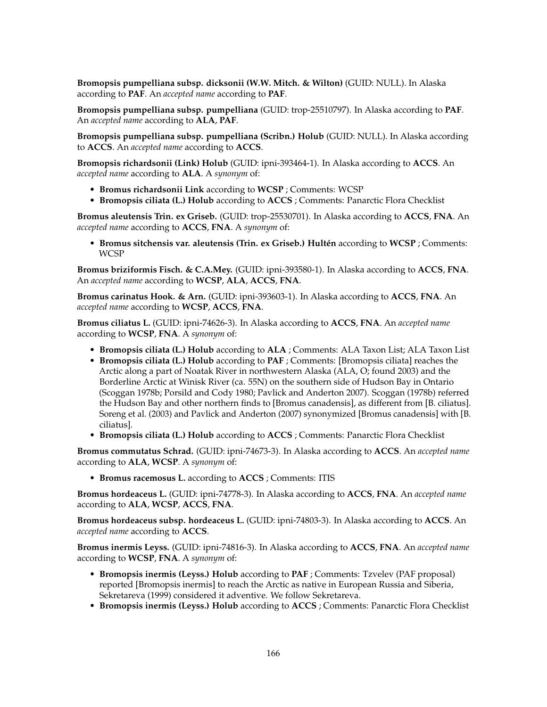**Bromopsis pumpelliana subsp. dicksonii (W.W. Mitch. & Wilton)** (GUID: NULL). In Alaska according to **PAF**. An *accepted name* according to **PAF**.

**Bromopsis pumpelliana subsp. pumpelliana** (GUID: trop-25510797). In Alaska according to **PAF**. An *accepted name* according to **ALA**, **PAF**.

**Bromopsis pumpelliana subsp. pumpelliana (Scribn.) Holub** (GUID: NULL). In Alaska according to **ACCS**. An *accepted name* according to **ACCS**.

**Bromopsis richardsonii (Link) Holub** (GUID: ipni-393464-1). In Alaska according to **ACCS**. An *accepted name* according to **ALA**. A *synonym* of:

- **Bromus richardsonii Link** according to **WCSP** ; Comments: WCSP
- **Bromopsis ciliata (L.) Holub** according to **ACCS** ; Comments: Panarctic Flora Checklist

**Bromus aleutensis Trin. ex Griseb.** (GUID: trop-25530701). In Alaska according to **ACCS**, **FNA**. An *accepted name* according to **ACCS**, **FNA**. A *synonym* of:

• **Bromus sitchensis var. aleutensis (Trin. ex Griseb.) Hultén** according to **WCSP** ; Comments: WCSP

**Bromus briziformis Fisch. & C.A.Mey.** (GUID: ipni-393580-1). In Alaska according to **ACCS**, **FNA**. An *accepted name* according to **WCSP**, **ALA**, **ACCS**, **FNA**.

**Bromus carinatus Hook. & Arn.** (GUID: ipni-393603-1). In Alaska according to **ACCS**, **FNA**. An *accepted name* according to **WCSP**, **ACCS**, **FNA**.

**Bromus ciliatus L.** (GUID: ipni-74626-3). In Alaska according to **ACCS**, **FNA**. An *accepted name* according to **WCSP**, **FNA**. A *synonym* of:

- **Bromopsis ciliata (L.) Holub** according to **ALA** ; Comments: ALA Taxon List; ALA Taxon List
- **Bromopsis ciliata (L.) Holub** according to **PAF** ; Comments: [Bromopsis ciliata] reaches the Arctic along a part of Noatak River in northwestern Alaska (ALA, O; found 2003) and the Borderline Arctic at Winisk River (ca. 55N) on the southern side of Hudson Bay in Ontario (Scoggan 1978b; Porsild and Cody 1980; Pavlick and Anderton 2007). Scoggan (1978b) referred the Hudson Bay and other northern finds to [Bromus canadensis], as different from [B. ciliatus]. Soreng et al. (2003) and Pavlick and Anderton (2007) synonymized [Bromus canadensis] with [B. ciliatus].
- **Bromopsis ciliata (L.) Holub** according to **ACCS** ; Comments: Panarctic Flora Checklist

**Bromus commutatus Schrad.** (GUID: ipni-74673-3). In Alaska according to **ACCS**. An *accepted name* according to **ALA**, **WCSP**. A *synonym* of:

• **Bromus racemosus L.** according to **ACCS** ; Comments: ITIS

**Bromus hordeaceus L.** (GUID: ipni-74778-3). In Alaska according to **ACCS**, **FNA**. An *accepted name* according to **ALA**, **WCSP**, **ACCS**, **FNA**.

**Bromus hordeaceus subsp. hordeaceus L.** (GUID: ipni-74803-3). In Alaska according to **ACCS**. An *accepted name* according to **ACCS**.

**Bromus inermis Leyss.** (GUID: ipni-74816-3). In Alaska according to **ACCS**, **FNA**. An *accepted name* according to **WCSP**, **FNA**. A *synonym* of:

- **Bromopsis inermis (Leyss.) Holub** according to **PAF** ; Comments: Tzvelev (PAF proposal) reported [Bromopsis inermis] to reach the Arctic as native in European Russia and Siberia, Sekretareva (1999) considered it adventive. We follow Sekretareva.
- **Bromopsis inermis (Leyss.) Holub** according to **ACCS** ; Comments: Panarctic Flora Checklist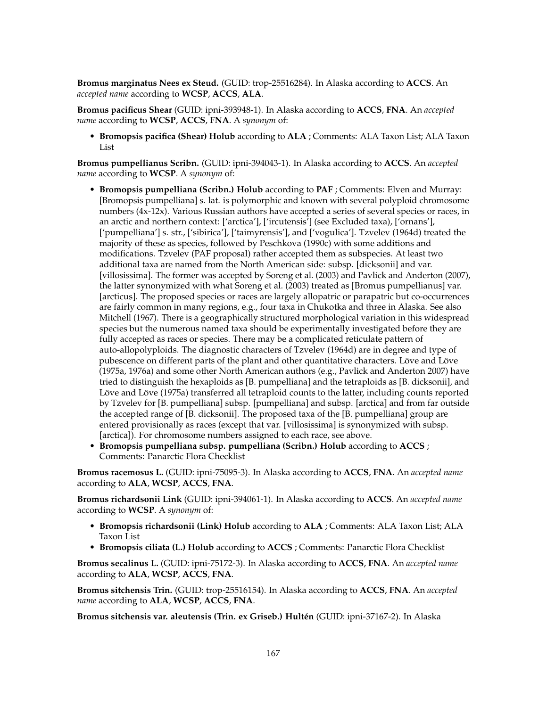**Bromus marginatus Nees ex Steud.** (GUID: trop-25516284). In Alaska according to **ACCS**. An *accepted name* according to **WCSP**, **ACCS**, **ALA**.

**Bromus pacificus Shear** (GUID: ipni-393948-1). In Alaska according to **ACCS**, **FNA**. An *accepted name* according to **WCSP**, **ACCS**, **FNA**. A *synonym* of:

• **Bromopsis pacifica (Shear) Holub** according to **ALA** ; Comments: ALA Taxon List; ALA Taxon List

**Bromus pumpellianus Scribn.** (GUID: ipni-394043-1). In Alaska according to **ACCS**. An *accepted name* according to **WCSP**. A *synonym* of:

- **Bromopsis pumpelliana (Scribn.) Holub** according to **PAF** ; Comments: Elven and Murray: [Bromopsis pumpelliana] s. lat. is polymorphic and known with several polyploid chromosome numbers (4x-12x). Various Russian authors have accepted a series of several species or races, in an arctic and northern context: ['arctica'], ['ircutensis'] (see Excluded taxa), ['ornans'], ['pumpelliana'] s. str., ['sibirica'], ['taimyrensis'], and ['vogulica']. Tzvelev (1964d) treated the majority of these as species, followed by Peschkova (1990c) with some additions and modifications. Tzvelev (PAF proposal) rather accepted them as subspecies. At least two additional taxa are named from the North American side: subsp. [dicksonii] and var. [villosissima]. The former was accepted by Soreng et al. (2003) and Pavlick and Anderton (2007), the latter synonymized with what Soreng et al. (2003) treated as [Bromus pumpellianus] var. [arcticus]. The proposed species or races are largely allopatric or parapatric but co-occurrences are fairly common in many regions, e.g., four taxa in Chukotka and three in Alaska. See also Mitchell (1967). There is a geographically structured morphological variation in this widespread species but the numerous named taxa should be experimentally investigated before they are fully accepted as races or species. There may be a complicated reticulate pattern of auto-allopolyploids. The diagnostic characters of Tzvelev (1964d) are in degree and type of pubescence on different parts of the plant and other quantitative characters. Löve and Löve (1975a, 1976a) and some other North American authors (e.g., Pavlick and Anderton 2007) have tried to distinguish the hexaploids as [B. pumpelliana] and the tetraploids as [B. dicksonii], and Löve and Löve (1975a) transferred all tetraploid counts to the latter, including counts reported by Tzvelev for [B. pumpelliana] subsp. [pumpelliana] and subsp. [arctica] and from far outside the accepted range of [B. dicksonii]. The proposed taxa of the [B. pumpelliana] group are entered provisionally as races (except that var. [villosissima] is synonymized with subsp. [arctica]). For chromosome numbers assigned to each race, see above.
- **Bromopsis pumpelliana subsp. pumpelliana (Scribn.) Holub** according to **ACCS** ; Comments: Panarctic Flora Checklist

**Bromus racemosus L.** (GUID: ipni-75095-3). In Alaska according to **ACCS**, **FNA**. An *accepted name* according to **ALA**, **WCSP**, **ACCS**, **FNA**.

**Bromus richardsonii Link** (GUID: ipni-394061-1). In Alaska according to **ACCS**. An *accepted name* according to **WCSP**. A *synonym* of:

- **Bromopsis richardsonii (Link) Holub** according to **ALA** ; Comments: ALA Taxon List; ALA Taxon List
- **Bromopsis ciliata (L.) Holub** according to **ACCS** ; Comments: Panarctic Flora Checklist

**Bromus secalinus L.** (GUID: ipni-75172-3). In Alaska according to **ACCS**, **FNA**. An *accepted name* according to **ALA**, **WCSP**, **ACCS**, **FNA**.

**Bromus sitchensis Trin.** (GUID: trop-25516154). In Alaska according to **ACCS**, **FNA**. An *accepted name* according to **ALA**, **WCSP**, **ACCS**, **FNA**.

**Bromus sitchensis var. aleutensis (Trin. ex Griseb.) Hultén** (GUID: ipni-37167-2). In Alaska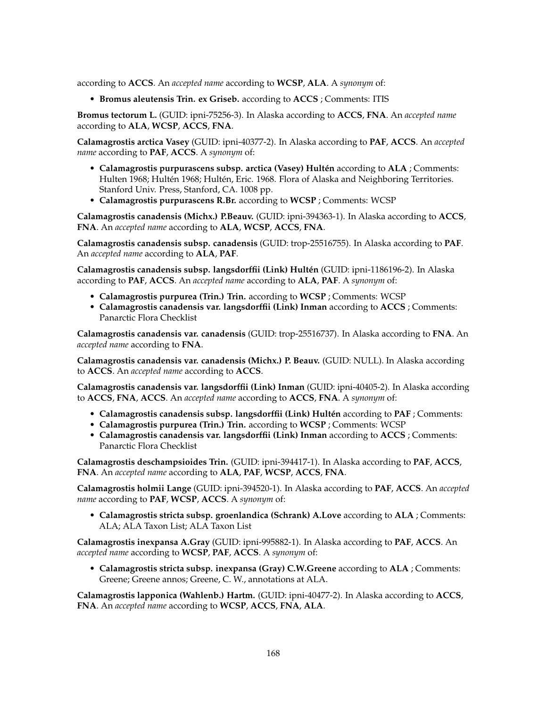according to **ACCS**. An *accepted name* according to **WCSP**, **ALA**. A *synonym* of:

• **Bromus aleutensis Trin. ex Griseb.** according to **ACCS** ; Comments: ITIS

**Bromus tectorum L.** (GUID: ipni-75256-3). In Alaska according to **ACCS**, **FNA**. An *accepted name* according to **ALA**, **WCSP**, **ACCS**, **FNA**.

**Calamagrostis arctica Vasey** (GUID: ipni-40377-2). In Alaska according to **PAF**, **ACCS**. An *accepted name* according to **PAF**, **ACCS**. A *synonym* of:

- **Calamagrostis purpurascens subsp. arctica (Vasey) Hultén** according to **ALA** ; Comments: Hulten 1968; Hultén 1968; Hultén, Eric. 1968. Flora of Alaska and Neighboring Territories. Stanford Univ. Press, Stanford, CA. 1008 pp.
- **Calamagrostis purpurascens R.Br.** according to **WCSP** ; Comments: WCSP

**Calamagrostis canadensis (Michx.) P.Beauv.** (GUID: ipni-394363-1). In Alaska according to **ACCS**, **FNA**. An *accepted name* according to **ALA**, **WCSP**, **ACCS**, **FNA**.

**Calamagrostis canadensis subsp. canadensis** (GUID: trop-25516755). In Alaska according to **PAF**. An *accepted name* according to **ALA**, **PAF**.

**Calamagrostis canadensis subsp. langsdorffii (Link) Hultén** (GUID: ipni-1186196-2). In Alaska according to **PAF**, **ACCS**. An *accepted name* according to **ALA**, **PAF**. A *synonym* of:

- **Calamagrostis purpurea (Trin.) Trin.** according to **WCSP** ; Comments: WCSP
- **Calamagrostis canadensis var. langsdorffii (Link) Inman** according to **ACCS** ; Comments: Panarctic Flora Checklist

**Calamagrostis canadensis var. canadensis** (GUID: trop-25516737). In Alaska according to **FNA**. An *accepted name* according to **FNA**.

**Calamagrostis canadensis var. canadensis (Michx.) P. Beauv.** (GUID: NULL). In Alaska according to **ACCS**. An *accepted name* according to **ACCS**.

**Calamagrostis canadensis var. langsdorffii (Link) Inman** (GUID: ipni-40405-2). In Alaska according to **ACCS**, **FNA**, **ACCS**. An *accepted name* according to **ACCS**, **FNA**. A *synonym* of:

- **Calamagrostis canadensis subsp. langsdorffii (Link) Hultén** according to **PAF** ; Comments:
- **Calamagrostis purpurea (Trin.) Trin.** according to **WCSP** ; Comments: WCSP
- **Calamagrostis canadensis var. langsdorffii (Link) Inman** according to **ACCS** ; Comments: Panarctic Flora Checklist

**Calamagrostis deschampsioides Trin.** (GUID: ipni-394417-1). In Alaska according to **PAF**, **ACCS**, **FNA**. An *accepted name* according to **ALA**, **PAF**, **WCSP**, **ACCS**, **FNA**.

**Calamagrostis holmii Lange** (GUID: ipni-394520-1). In Alaska according to **PAF**, **ACCS**. An *accepted name* according to **PAF**, **WCSP**, **ACCS**. A *synonym* of:

• **Calamagrostis stricta subsp. groenlandica (Schrank) A.Love** according to **ALA** ; Comments: ALA; ALA Taxon List; ALA Taxon List

**Calamagrostis inexpansa A.Gray** (GUID: ipni-995882-1). In Alaska according to **PAF**, **ACCS**. An *accepted name* according to **WCSP**, **PAF**, **ACCS**. A *synonym* of:

• **Calamagrostis stricta subsp. inexpansa (Gray) C.W.Greene** according to **ALA** ; Comments: Greene; Greene annos; Greene, C. W., annotations at ALA.

**Calamagrostis lapponica (Wahlenb.) Hartm.** (GUID: ipni-40477-2). In Alaska according to **ACCS**, **FNA**. An *accepted name* according to **WCSP**, **ACCS**, **FNA**, **ALA**.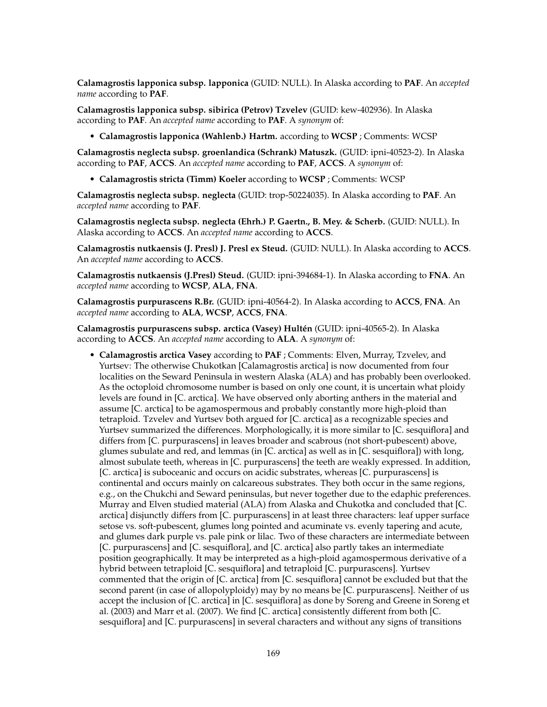**Calamagrostis lapponica subsp. lapponica** (GUID: NULL). In Alaska according to **PAF**. An *accepted name* according to **PAF**.

**Calamagrostis lapponica subsp. sibirica (Petrov) Tzvelev** (GUID: kew-402936). In Alaska according to **PAF**. An *accepted name* according to **PAF**. A *synonym* of:

• **Calamagrostis lapponica (Wahlenb.) Hartm.** according to **WCSP** ; Comments: WCSP

**Calamagrostis neglecta subsp. groenlandica (Schrank) Matuszk.** (GUID: ipni-40523-2). In Alaska according to **PAF**, **ACCS**. An *accepted name* according to **PAF**, **ACCS**. A *synonym* of:

• **Calamagrostis stricta (Timm) Koeler** according to **WCSP** ; Comments: WCSP

**Calamagrostis neglecta subsp. neglecta** (GUID: trop-50224035). In Alaska according to **PAF**. An *accepted name* according to **PAF**.

**Calamagrostis neglecta subsp. neglecta (Ehrh.) P. Gaertn., B. Mey. & Scherb.** (GUID: NULL). In Alaska according to **ACCS**. An *accepted name* according to **ACCS**.

**Calamagrostis nutkaensis (J. Presl) J. Presl ex Steud.** (GUID: NULL). In Alaska according to **ACCS**. An *accepted name* according to **ACCS**.

**Calamagrostis nutkaensis (J.Presl) Steud.** (GUID: ipni-394684-1). In Alaska according to **FNA**. An *accepted name* according to **WCSP**, **ALA**, **FNA**.

**Calamagrostis purpurascens R.Br.** (GUID: ipni-40564-2). In Alaska according to **ACCS**, **FNA**. An *accepted name* according to **ALA**, **WCSP**, **ACCS**, **FNA**.

**Calamagrostis purpurascens subsp. arctica (Vasey) Hultén** (GUID: ipni-40565-2). In Alaska according to **ACCS**. An *accepted name* according to **ALA**. A *synonym* of:

• **Calamagrostis arctica Vasey** according to **PAF** ; Comments: Elven, Murray, Tzvelev, and Yurtsev: The otherwise Chukotkan [Calamagrostis arctica] is now documented from four localities on the Seward Peninsula in western Alaska (ALA) and has probably been overlooked. As the octoploid chromosome number is based on only one count, it is uncertain what ploidy levels are found in [C. arctica]. We have observed only aborting anthers in the material and assume [C. arctica] to be agamospermous and probably constantly more high-ploid than tetraploid. Tzvelev and Yurtsev both argued for [C. arctica] as a recognizable species and Yurtsev summarized the differences. Morphologically, it is more similar to [C. sesquiflora] and differs from [C. purpurascens] in leaves broader and scabrous (not short-pubescent) above, glumes subulate and red, and lemmas (in [C. arctica] as well as in [C. sesquiflora]) with long, almost subulate teeth, whereas in [C. purpurascens] the teeth are weakly expressed. In addition, [C. arctica] is suboceanic and occurs on acidic substrates, whereas [C. purpurascens] is continental and occurs mainly on calcareous substrates. They both occur in the same regions, e.g., on the Chukchi and Seward peninsulas, but never together due to the edaphic preferences. Murray and Elven studied material (ALA) from Alaska and Chukotka and concluded that [C. arctica] disjunctly differs from [C. purpurascens] in at least three characters: leaf upper surface setose vs. soft-pubescent, glumes long pointed and acuminate vs. evenly tapering and acute, and glumes dark purple vs. pale pink or lilac. Two of these characters are intermediate between [C. purpurascens] and [C. sesquiflora], and [C. arctica] also partly takes an intermediate position geographically. It may be interpreted as a high-ploid agamospermous derivative of a hybrid between tetraploid [C. sesquiflora] and tetraploid [C. purpurascens]. Yurtsev commented that the origin of [C. arctica] from [C. sesquiflora] cannot be excluded but that the second parent (in case of allopolyploidy) may by no means be [C. purpurascens]. Neither of us accept the inclusion of [C. arctica] in [C. sesquiflora] as done by Soreng and Greene in Soreng et al. (2003) and Marr et al. (2007). We find [C. arctica] consistently different from both [C. sesquiflora] and [C. purpurascens] in several characters and without any signs of transitions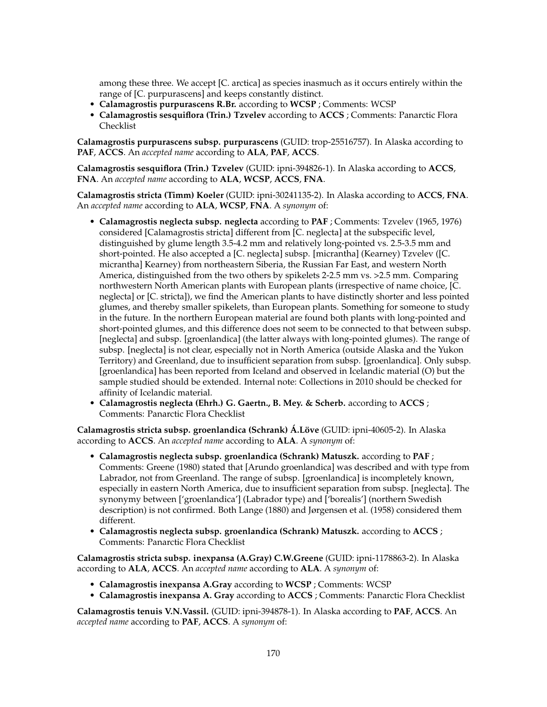among these three. We accept [C. arctica] as species inasmuch as it occurs entirely within the range of [C. purpurascens] and keeps constantly distinct.

- **Calamagrostis purpurascens R.Br.** according to **WCSP** ; Comments: WCSP
- **Calamagrostis sesquiflora (Trin.) Tzvelev** according to **ACCS** ; Comments: Panarctic Flora Checklist

**Calamagrostis purpurascens subsp. purpurascens** (GUID: trop-25516757). In Alaska according to **PAF**, **ACCS**. An *accepted name* according to **ALA**, **PAF**, **ACCS**.

**Calamagrostis sesquiflora (Trin.) Tzvelev** (GUID: ipni-394826-1). In Alaska according to **ACCS**, **FNA**. An *accepted name* according to **ALA**, **WCSP**, **ACCS**, **FNA**.

**Calamagrostis stricta (Timm) Koeler** (GUID: ipni-30241135-2). In Alaska according to **ACCS**, **FNA**. An *accepted name* according to **ALA**, **WCSP**, **FNA**. A *synonym* of:

- **Calamagrostis neglecta subsp. neglecta** according to **PAF** ; Comments: Tzvelev (1965, 1976) considered [Calamagrostis stricta] different from [C. neglecta] at the subspecific level, distinguished by glume length 3.5-4.2 mm and relatively long-pointed vs. 2.5-3.5 mm and short-pointed. He also accepted a [C. neglecta] subsp. [micrantha] (Kearney) Tzvelev ([C. micrantha] Kearney) from northeastern Siberia, the Russian Far East, and western North America, distinguished from the two others by spikelets 2-2.5 mm vs. >2.5 mm. Comparing northwestern North American plants with European plants (irrespective of name choice, [C. neglecta] or [C. stricta]), we find the American plants to have distinctly shorter and less pointed glumes, and thereby smaller spikelets, than European plants. Something for someone to study in the future. In the northern European material are found both plants with long-pointed and short-pointed glumes, and this difference does not seem to be connected to that between subsp. [neglecta] and subsp. [groenlandica] (the latter always with long-pointed glumes). The range of subsp. [neglecta] is not clear, especially not in North America (outside Alaska and the Yukon Territory) and Greenland, due to insufficient separation from subsp. [groenlandica]. Only subsp. [groenlandica] has been reported from Iceland and observed in Icelandic material (O) but the sample studied should be extended. Internal note: Collections in 2010 should be checked for affinity of Icelandic material.
- **Calamagrostis neglecta (Ehrh.) G. Gaertn., B. Mey. & Scherb.** according to **ACCS** ; Comments: Panarctic Flora Checklist

**Calamagrostis stricta subsp. groenlandica (Schrank) Á.Löve** (GUID: ipni-40605-2). In Alaska according to **ACCS**. An *accepted name* according to **ALA**. A *synonym* of:

- **Calamagrostis neglecta subsp. groenlandica (Schrank) Matuszk.** according to **PAF** ; Comments: Greene (1980) stated that [Arundo groenlandica] was described and with type from Labrador, not from Greenland. The range of subsp. [groenlandica] is incompletely known, especially in eastern North America, due to insufficient separation from subsp. [neglecta]. The synonymy between ['groenlandica'] (Labrador type) and ['borealis'] (northern Swedish description) is not confirmed. Both Lange (1880) and Jørgensen et al. (1958) considered them different.
- **Calamagrostis neglecta subsp. groenlandica (Schrank) Matuszk.** according to **ACCS** ; Comments: Panarctic Flora Checklist

**Calamagrostis stricta subsp. inexpansa (A.Gray) C.W.Greene** (GUID: ipni-1178863-2). In Alaska according to **ALA**, **ACCS**. An *accepted name* according to **ALA**. A *synonym* of:

- **Calamagrostis inexpansa A.Gray** according to **WCSP** ; Comments: WCSP
- **Calamagrostis inexpansa A. Gray** according to **ACCS** ; Comments: Panarctic Flora Checklist

**Calamagrostis tenuis V.N.Vassil.** (GUID: ipni-394878-1). In Alaska according to **PAF**, **ACCS**. An *accepted name* according to **PAF**, **ACCS**. A *synonym* of: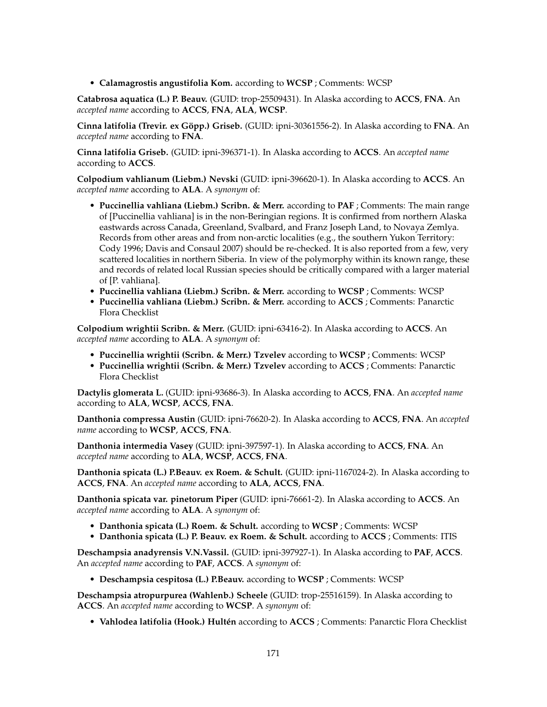• **Calamagrostis angustifolia Kom.** according to **WCSP** ; Comments: WCSP

**Catabrosa aquatica (L.) P. Beauv.** (GUID: trop-25509431). In Alaska according to **ACCS**, **FNA**. An *accepted name* according to **ACCS**, **FNA**, **ALA**, **WCSP**.

**Cinna latifolia (Trevir. ex Göpp.) Griseb.** (GUID: ipni-30361556-2). In Alaska according to **FNA**. An *accepted name* according to **FNA**.

**Cinna latifolia Griseb.** (GUID: ipni-396371-1). In Alaska according to **ACCS**. An *accepted name* according to **ACCS**.

**Colpodium vahlianum (Liebm.) Nevski** (GUID: ipni-396620-1). In Alaska according to **ACCS**. An *accepted name* according to **ALA**. A *synonym* of:

- **Puccinellia vahliana (Liebm.) Scribn. & Merr.** according to **PAF** ; Comments: The main range of [Puccinellia vahliana] is in the non-Beringian regions. It is confirmed from northern Alaska eastwards across Canada, Greenland, Svalbard, and Franz Joseph Land, to Novaya Zemlya. Records from other areas and from non-arctic localities (e.g., the southern Yukon Territory: Cody 1996; Davis and Consaul 2007) should be re-checked. It is also reported from a few, very scattered localities in northern Siberia. In view of the polymorphy within its known range, these and records of related local Russian species should be critically compared with a larger material of [P. vahliana].
- **Puccinellia vahliana (Liebm.) Scribn. & Merr.** according to **WCSP** ; Comments: WCSP
- **Puccinellia vahliana (Liebm.) Scribn. & Merr.** according to **ACCS** ; Comments: Panarctic Flora Checklist

**Colpodium wrightii Scribn. & Merr.** (GUID: ipni-63416-2). In Alaska according to **ACCS**. An *accepted name* according to **ALA**. A *synonym* of:

- **Puccinellia wrightii (Scribn. & Merr.) Tzvelev** according to **WCSP** ; Comments: WCSP
- **Puccinellia wrightii (Scribn. & Merr.) Tzvelev** according to **ACCS** ; Comments: Panarctic Flora Checklist

**Dactylis glomerata L.** (GUID: ipni-93686-3). In Alaska according to **ACCS**, **FNA**. An *accepted name* according to **ALA**, **WCSP**, **ACCS**, **FNA**.

**Danthonia compressa Austin** (GUID: ipni-76620-2). In Alaska according to **ACCS**, **FNA**. An *accepted name* according to **WCSP**, **ACCS**, **FNA**.

**Danthonia intermedia Vasey** (GUID: ipni-397597-1). In Alaska according to **ACCS**, **FNA**. An *accepted name* according to **ALA**, **WCSP**, **ACCS**, **FNA**.

**Danthonia spicata (L.) P.Beauv. ex Roem. & Schult.** (GUID: ipni-1167024-2). In Alaska according to **ACCS**, **FNA**. An *accepted name* according to **ALA**, **ACCS**, **FNA**.

**Danthonia spicata var. pinetorum Piper** (GUID: ipni-76661-2). In Alaska according to **ACCS**. An *accepted name* according to **ALA**. A *synonym* of:

- **Danthonia spicata (L.) Roem. & Schult.** according to **WCSP** ; Comments: WCSP
- **Danthonia spicata (L.) P. Beauv. ex Roem. & Schult.** according to **ACCS** ; Comments: ITIS

**Deschampsia anadyrensis V.N.Vassil.** (GUID: ipni-397927-1). In Alaska according to **PAF**, **ACCS**. An *accepted name* according to **PAF**, **ACCS**. A *synonym* of:

• **Deschampsia cespitosa (L.) P.Beauv.** according to **WCSP** ; Comments: WCSP

**Deschampsia atropurpurea (Wahlenb.) Scheele** (GUID: trop-25516159). In Alaska according to **ACCS**. An *accepted name* according to **WCSP**. A *synonym* of:

• **Vahlodea latifolia (Hook.) Hultén** according to **ACCS** ; Comments: Panarctic Flora Checklist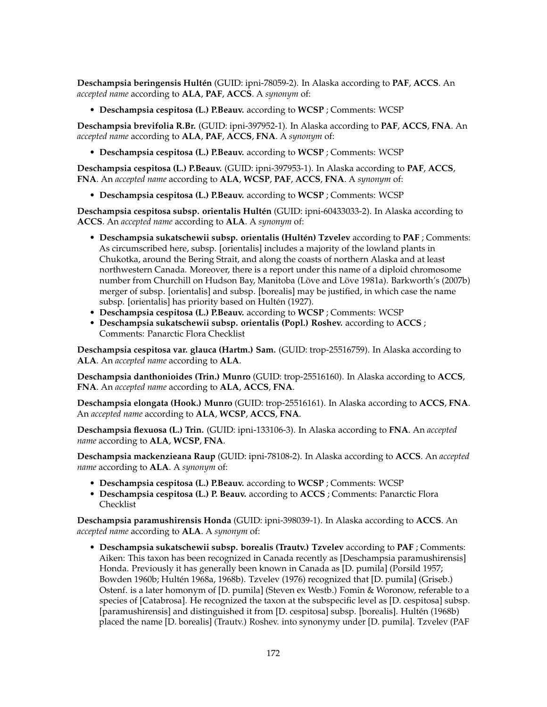**Deschampsia beringensis Hultén** (GUID: ipni-78059-2). In Alaska according to **PAF**, **ACCS**. An *accepted name* according to **ALA**, **PAF**, **ACCS**. A *synonym* of:

• **Deschampsia cespitosa (L.) P.Beauv.** according to **WCSP** ; Comments: WCSP

**Deschampsia brevifolia R.Br.** (GUID: ipni-397952-1). In Alaska according to **PAF**, **ACCS**, **FNA**. An *accepted name* according to **ALA**, **PAF**, **ACCS**, **FNA**. A *synonym* of:

• **Deschampsia cespitosa (L.) P.Beauv.** according to **WCSP** ; Comments: WCSP

**Deschampsia cespitosa (L.) P.Beauv.** (GUID: ipni-397953-1). In Alaska according to **PAF**, **ACCS**, **FNA**. An *accepted name* according to **ALA**, **WCSP**, **PAF**, **ACCS**, **FNA**. A *synonym* of:

• **Deschampsia cespitosa (L.) P.Beauv.** according to **WCSP** ; Comments: WCSP

**Deschampsia cespitosa subsp. orientalis Hultén** (GUID: ipni-60433033-2). In Alaska according to **ACCS**. An *accepted name* according to **ALA**. A *synonym* of:

- **Deschampsia sukatschewii subsp. orientalis (Hultén) Tzvelev** according to **PAF** ; Comments: As circumscribed here, subsp. [orientalis] includes a majority of the lowland plants in Chukotka, around the Bering Strait, and along the coasts of northern Alaska and at least northwestern Canada. Moreover, there is a report under this name of a diploid chromosome number from Churchill on Hudson Bay, Manitoba (Löve and Löve 1981a). Barkworth's (2007b) merger of subsp. [orientalis] and subsp. [borealis] may be justified, in which case the name subsp. [orientalis] has priority based on Hultén (1927).
- **Deschampsia cespitosa (L.) P.Beauv.** according to **WCSP** ; Comments: WCSP
- **Deschampsia sukatschewii subsp. orientalis (Popl.) Roshev.** according to **ACCS** ; Comments: Panarctic Flora Checklist

**Deschampsia cespitosa var. glauca (Hartm.) Sam.** (GUID: trop-25516759). In Alaska according to **ALA**. An *accepted name* according to **ALA**.

**Deschampsia danthonioides (Trin.) Munro** (GUID: trop-25516160). In Alaska according to **ACCS**, **FNA**. An *accepted name* according to **ALA**, **ACCS**, **FNA**.

**Deschampsia elongata (Hook.) Munro** (GUID: trop-25516161). In Alaska according to **ACCS**, **FNA**. An *accepted name* according to **ALA**, **WCSP**, **ACCS**, **FNA**.

**Deschampsia flexuosa (L.) Trin.** (GUID: ipni-133106-3). In Alaska according to **FNA**. An *accepted name* according to **ALA**, **WCSP**, **FNA**.

**Deschampsia mackenzieana Raup** (GUID: ipni-78108-2). In Alaska according to **ACCS**. An *accepted name* according to **ALA**. A *synonym* of:

- **Deschampsia cespitosa (L.) P.Beauv.** according to **WCSP** ; Comments: WCSP
- **Deschampsia cespitosa (L.) P. Beauv.** according to **ACCS** ; Comments: Panarctic Flora Checklist

**Deschampsia paramushirensis Honda** (GUID: ipni-398039-1). In Alaska according to **ACCS**. An *accepted name* according to **ALA**. A *synonym* of:

• **Deschampsia sukatschewii subsp. borealis (Trautv.) Tzvelev** according to **PAF** ; Comments: Aiken: This taxon has been recognized in Canada recently as [Deschampsia paramushirensis] Honda. Previously it has generally been known in Canada as [D. pumila] (Porsild 1957; Bowden 1960b; Hultén 1968a, 1968b). Tzvelev (1976) recognized that [D. pumila] (Griseb.) Ostenf. is a later homonym of [D. pumila] (Steven ex Westb.) Fomin & Woronow, referable to a species of [Catabrosa]. He recognized the taxon at the subspecific level as [D. cespitosa] subsp. [paramushirensis] and distinguished it from [D. cespitosa] subsp. [borealis]. Hultén (1968b) placed the name [D. borealis] (Trautv.) Roshev. into synonymy under [D. pumila]. Tzvelev (PAF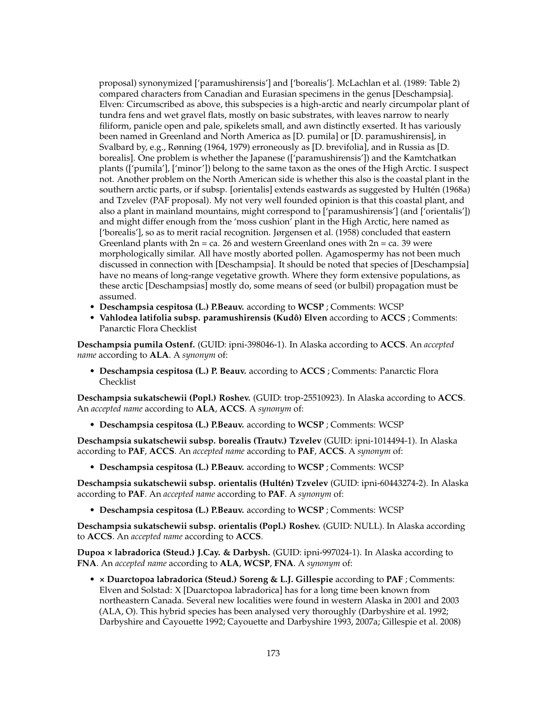proposal) synonymized ['paramushirensis'] and ['borealis']. McLachlan et al. (1989: Table 2) compared characters from Canadian and Eurasian specimens in the genus [Deschampsia]. Elven: Circumscribed as above, this subspecies is a high-arctic and nearly circumpolar plant of tundra fens and wet gravel flats, mostly on basic substrates, with leaves narrow to nearly filiform, panicle open and pale, spikelets small, and awn distinctly exserted. It has variously been named in Greenland and North America as [D. pumila] or [D. paramushirensis], in Svalbard by, e.g., Rønning (1964, 1979) erroneously as [D. brevifolia], and in Russia as [D. borealis]. One problem is whether the Japanese (['paramushirensis']) and the Kamtchatkan plants (['pumila'], ['minor']) belong to the same taxon as the ones of the High Arctic. I suspect not. Another problem on the North American side is whether this also is the coastal plant in the southern arctic parts, or if subsp. [orientalis] extends eastwards as suggested by Hultén (1968a) and Tzvelev (PAF proposal). My not very well founded opinion is that this coastal plant, and also a plant in mainland mountains, might correspond to ['paramushirensis'] (and ['orientalis']) and might differ enough from the 'moss cushion' plant in the High Arctic, here named as ['borealis'], so as to merit racial recognition. Jørgensen et al. (1958) concluded that eastern Greenland plants with  $2n = ca$ . 26 and western Greenland ones with  $2n = ca$ . 39 were morphologically similar. All have mostly aborted pollen. Agamospermy has not been much discussed in connection with [Deschampsia]. It should be noted that species of [Deschampsia] have no means of long-range vegetative growth. Where they form extensive populations, as these arctic [Deschampsias] mostly do, some means of seed (or bulbil) propagation must be assumed.

- **Deschampsia cespitosa (L.) P.Beauv.** according to **WCSP** ; Comments: WCSP
- **Vahlodea latifolia subsp. paramushirensis (Kudô) Elven** according to **ACCS** ; Comments: Panarctic Flora Checklist

**Deschampsia pumila Ostenf.** (GUID: ipni-398046-1). In Alaska according to **ACCS**. An *accepted name* according to **ALA**. A *synonym* of:

• **Deschampsia cespitosa (L.) P. Beauv.** according to **ACCS** ; Comments: Panarctic Flora Checklist

**Deschampsia sukatschewii (Popl.) Roshev.** (GUID: trop-25510923). In Alaska according to **ACCS**. An *accepted name* according to **ALA**, **ACCS**. A *synonym* of:

• **Deschampsia cespitosa (L.) P.Beauv.** according to **WCSP** ; Comments: WCSP

**Deschampsia sukatschewii subsp. borealis (Trautv.) Tzvelev** (GUID: ipni-1014494-1). In Alaska according to **PAF**, **ACCS**. An *accepted name* according to **PAF**, **ACCS**. A *synonym* of:

• **Deschampsia cespitosa (L.) P.Beauv.** according to **WCSP** ; Comments: WCSP

**Deschampsia sukatschewii subsp. orientalis (Hultén) Tzvelev** (GUID: ipni-60443274-2). In Alaska according to **PAF**. An *accepted name* according to **PAF**. A *synonym* of:

• **Deschampsia cespitosa (L.) P.Beauv.** according to **WCSP** ; Comments: WCSP

**Deschampsia sukatschewii subsp. orientalis (Popl.) Roshev.** (GUID: NULL). In Alaska according to **ACCS**. An *accepted name* according to **ACCS**.

**Dupoa × labradorica (Steud.) J.Cay. & Darbysh.** (GUID: ipni-997024-1). In Alaska according to **FNA**. An *accepted name* according to **ALA**, **WCSP**, **FNA**. A *synonym* of:

• **× Duarctopoa labradorica (Steud.) Soreng & L.J. Gillespie** according to **PAF** ; Comments: Elven and Solstad: X [Duarctopoa labradorica] has for a long time been known from northeastern Canada. Several new localities were found in western Alaska in 2001 and 2003 (ALA, O). This hybrid species has been analysed very thoroughly (Darbyshire et al. 1992; Darbyshire and Cayouette 1992; Cayouette and Darbyshire 1993, 2007a; Gillespie et al. 2008)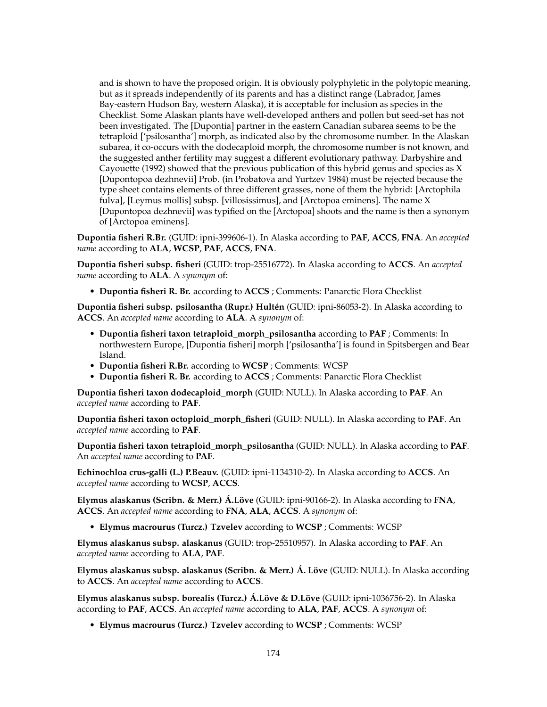and is shown to have the proposed origin. It is obviously polyphyletic in the polytopic meaning, but as it spreads independently of its parents and has a distinct range (Labrador, James Bay-eastern Hudson Bay, western Alaska), it is acceptable for inclusion as species in the Checklist. Some Alaskan plants have well-developed anthers and pollen but seed-set has not been investigated. The [Dupontia] partner in the eastern Canadian subarea seems to be the tetraploid ['psilosantha'] morph, as indicated also by the chromosome number. In the Alaskan subarea, it co-occurs with the dodecaploid morph, the chromosome number is not known, and the suggested anther fertility may suggest a different evolutionary pathway. Darbyshire and Cayouette (1992) showed that the previous publication of this hybrid genus and species as X [Dupontopoa dezhnevii] Prob. (in Probatova and Yurtzev 1984) must be rejected because the type sheet contains elements of three different grasses, none of them the hybrid: [Arctophila fulva], [Leymus mollis] subsp. [villosissimus], and [Arctopoa eminens]. The name X [Dupontopoa dezhnevii] was typified on the [Arctopoa] shoots and the name is then a synonym of [Arctopoa eminens].

**Dupontia fisheri R.Br.** (GUID: ipni-399606-1). In Alaska according to **PAF**, **ACCS**, **FNA**. An *accepted name* according to **ALA**, **WCSP**, **PAF**, **ACCS**, **FNA**.

**Dupontia fisheri subsp. fisheri** (GUID: trop-25516772). In Alaska according to **ACCS**. An *accepted name* according to **ALA**. A *synonym* of:

• **Dupontia fisheri R. Br.** according to **ACCS** ; Comments: Panarctic Flora Checklist

**Dupontia fisheri subsp. psilosantha (Rupr.) Hultén** (GUID: ipni-86053-2). In Alaska according to **ACCS**. An *accepted name* according to **ALA**. A *synonym* of:

- **Dupontia fisheri taxon tetraploid\_morph\_psilosantha** according to **PAF** ; Comments: In northwestern Europe, [Dupontia fisheri] morph ['psilosantha'] is found in Spitsbergen and Bear Island.
- **Dupontia fisheri R.Br.** according to **WCSP** ; Comments: WCSP
- **Dupontia fisheri R. Br.** according to **ACCS** ; Comments: Panarctic Flora Checklist

**Dupontia fisheri taxon dodecaploid\_morph** (GUID: NULL). In Alaska according to **PAF**. An *accepted name* according to **PAF**.

**Dupontia fisheri taxon octoploid\_morph\_fisheri** (GUID: NULL). In Alaska according to **PAF**. An *accepted name* according to **PAF**.

**Dupontia fisheri taxon tetraploid\_morph\_psilosantha** (GUID: NULL). In Alaska according to **PAF**. An *accepted name* according to **PAF**.

**Echinochloa crus-galli (L.) P.Beauv.** (GUID: ipni-1134310-2). In Alaska according to **ACCS**. An *accepted name* according to **WCSP**, **ACCS**.

**Elymus alaskanus (Scribn. & Merr.) Á.Löve** (GUID: ipni-90166-2). In Alaska according to **FNA**, **ACCS**. An *accepted name* according to **FNA**, **ALA**, **ACCS**. A *synonym* of:

• **Elymus macrourus (Turcz.) Tzvelev** according to **WCSP** ; Comments: WCSP

**Elymus alaskanus subsp. alaskanus** (GUID: trop-25510957). In Alaska according to **PAF**. An *accepted name* according to **ALA**, **PAF**.

**Elymus alaskanus subsp. alaskanus (Scribn. & Merr.) Á. Löve** (GUID: NULL). In Alaska according to **ACCS**. An *accepted name* according to **ACCS**.

**Elymus alaskanus subsp. borealis (Turcz.) Á.Löve & D.Löve** (GUID: ipni-1036756-2). In Alaska according to **PAF**, **ACCS**. An *accepted name* according to **ALA**, **PAF**, **ACCS**. A *synonym* of:

• **Elymus macrourus (Turcz.) Tzvelev** according to **WCSP** ; Comments: WCSP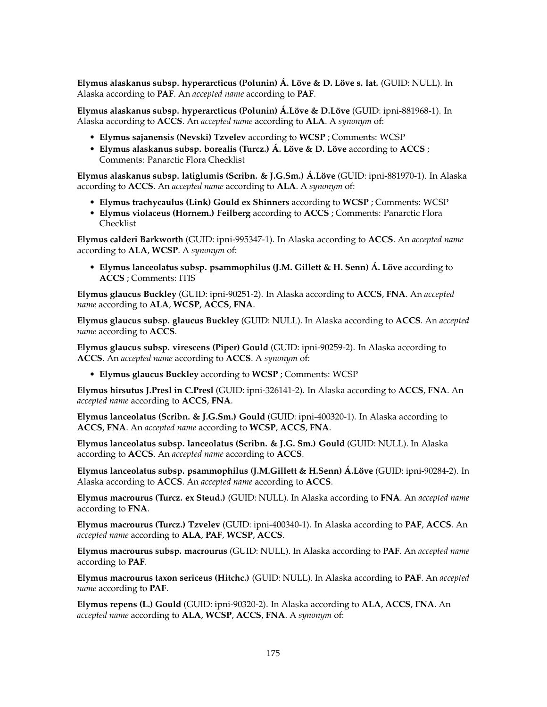**Elymus alaskanus subsp. hyperarcticus (Polunin) Á. Löve & D. Löve s. lat.** (GUID: NULL). In Alaska according to **PAF**. An *accepted name* according to **PAF**.

**Elymus alaskanus subsp. hyperarcticus (Polunin) Á.Löve & D.Löve** (GUID: ipni-881968-1). In Alaska according to **ACCS**. An *accepted name* according to **ALA**. A *synonym* of:

- **Elymus sajanensis (Nevski) Tzvelev** according to **WCSP** ; Comments: WCSP
- **Elymus alaskanus subsp. borealis (Turcz.) Á. Löve & D. Löve** according to **ACCS** ; Comments: Panarctic Flora Checklist

**Elymus alaskanus subsp. latiglumis (Scribn. & J.G.Sm.) Á.Löve** (GUID: ipni-881970-1). In Alaska according to **ACCS**. An *accepted name* according to **ALA**. A *synonym* of:

- **Elymus trachycaulus (Link) Gould ex Shinners** according to **WCSP** ; Comments: WCSP
- **Elymus violaceus (Hornem.) Feilberg** according to **ACCS** ; Comments: Panarctic Flora Checklist

**Elymus calderi Barkworth** (GUID: ipni-995347-1). In Alaska according to **ACCS**. An *accepted name* according to **ALA**, **WCSP**. A *synonym* of:

• **Elymus lanceolatus subsp. psammophilus (J.M. Gillett & H. Senn) Á. Löve** according to **ACCS** ; Comments: ITIS

**Elymus glaucus Buckley** (GUID: ipni-90251-2). In Alaska according to **ACCS**, **FNA**. An *accepted name* according to **ALA**, **WCSP**, **ACCS**, **FNA**.

**Elymus glaucus subsp. glaucus Buckley** (GUID: NULL). In Alaska according to **ACCS**. An *accepted name* according to **ACCS**.

**Elymus glaucus subsp. virescens (Piper) Gould** (GUID: ipni-90259-2). In Alaska according to **ACCS**. An *accepted name* according to **ACCS**. A *synonym* of:

• **Elymus glaucus Buckley** according to **WCSP** ; Comments: WCSP

**Elymus hirsutus J.Presl in C.Presl** (GUID: ipni-326141-2). In Alaska according to **ACCS**, **FNA**. An *accepted name* according to **ACCS**, **FNA**.

**Elymus lanceolatus (Scribn. & J.G.Sm.) Gould** (GUID: ipni-400320-1). In Alaska according to **ACCS**, **FNA**. An *accepted name* according to **WCSP**, **ACCS**, **FNA**.

**Elymus lanceolatus subsp. lanceolatus (Scribn. & J.G. Sm.) Gould** (GUID: NULL). In Alaska according to **ACCS**. An *accepted name* according to **ACCS**.

**Elymus lanceolatus subsp. psammophilus (J.M.Gillett & H.Senn) Á.Löve** (GUID: ipni-90284-2). In Alaska according to **ACCS**. An *accepted name* according to **ACCS**.

**Elymus macrourus (Turcz. ex Steud.)** (GUID: NULL). In Alaska according to **FNA**. An *accepted name* according to **FNA**.

**Elymus macrourus (Turcz.) Tzvelev** (GUID: ipni-400340-1). In Alaska according to **PAF**, **ACCS**. An *accepted name* according to **ALA**, **PAF**, **WCSP**, **ACCS**.

**Elymus macrourus subsp. macrourus** (GUID: NULL). In Alaska according to **PAF**. An *accepted name* according to **PAF**.

**Elymus macrourus taxon sericeus (Hitchc.)** (GUID: NULL). In Alaska according to **PAF**. An *accepted name* according to **PAF**.

**Elymus repens (L.) Gould** (GUID: ipni-90320-2). In Alaska according to **ALA**, **ACCS**, **FNA**. An *accepted name* according to **ALA**, **WCSP**, **ACCS**, **FNA**. A *synonym* of: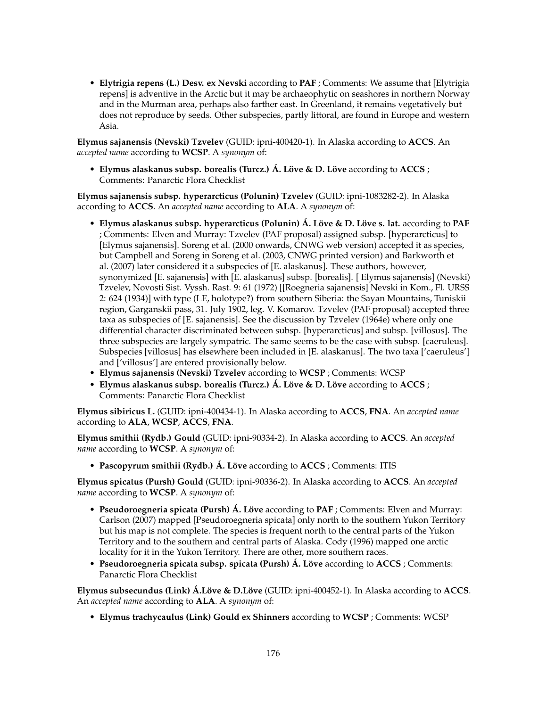• **Elytrigia repens (L.) Desv. ex Nevski** according to **PAF** ; Comments: We assume that [Elytrigia repens] is adventive in the Arctic but it may be archaeophytic on seashores in northern Norway and in the Murman area, perhaps also farther east. In Greenland, it remains vegetatively but does not reproduce by seeds. Other subspecies, partly littoral, are found in Europe and western Asia.

**Elymus sajanensis (Nevski) Tzvelev** (GUID: ipni-400420-1). In Alaska according to **ACCS**. An *accepted name* according to **WCSP**. A *synonym* of:

• **Elymus alaskanus subsp. borealis (Turcz.) Á. Löve & D. Löve** according to **ACCS** ; Comments: Panarctic Flora Checklist

**Elymus sajanensis subsp. hyperarcticus (Polunin) Tzvelev** (GUID: ipni-1083282-2). In Alaska according to **ACCS**. An *accepted name* according to **ALA**. A *synonym* of:

- **Elymus alaskanus subsp. hyperarcticus (Polunin) Á. Löve & D. Löve s. lat.** according to **PAF** ; Comments: Elven and Murray: Tzvelev (PAF proposal) assigned subsp. [hyperarcticus] to [Elymus sajanensis]. Soreng et al. (2000 onwards, CNWG web version) accepted it as species, but Campbell and Soreng in Soreng et al. (2003, CNWG printed version) and Barkworth et al. (2007) later considered it a subspecies of [E. alaskanus]. These authors, however, synonymized [E. sajanensis] with [E. alaskanus] subsp. [borealis]. [ Elymus sajanensis] (Nevski) Tzvelev, Novosti Sist. Vyssh. Rast. 9: 61 (1972) [[Roegneria sajanensis] Nevski in Kom., Fl. URSS 2: 624 (1934)] with type (LE, holotype?) from southern Siberia: the Sayan Mountains, Tuniskii region, Garganskii pass, 31. July 1902, leg. V. Komarov. Tzvelev (PAF proposal) accepted three taxa as subspecies of [E. sajanensis]. See the discussion by Tzvelev (1964e) where only one differential character discriminated between subsp. [hyperarcticus] and subsp. [villosus]. The three subspecies are largely sympatric. The same seems to be the case with subsp. [caeruleus]. Subspecies [villosus] has elsewhere been included in [E. alaskanus]. The two taxa ['caeruleus'] and ['villosus'] are entered provisionally below.
- **Elymus sajanensis (Nevski) Tzvelev** according to **WCSP** ; Comments: WCSP
- **Elymus alaskanus subsp. borealis (Turcz.) Á. Löve & D. Löve** according to **ACCS** ; Comments: Panarctic Flora Checklist

**Elymus sibiricus L.** (GUID: ipni-400434-1). In Alaska according to **ACCS**, **FNA**. An *accepted name* according to **ALA**, **WCSP**, **ACCS**, **FNA**.

**Elymus smithii (Rydb.) Gould** (GUID: ipni-90334-2). In Alaska according to **ACCS**. An *accepted name* according to **WCSP**. A *synonym* of:

• **Pascopyrum smithii (Rydb.) Á. Löve** according to **ACCS** ; Comments: ITIS

**Elymus spicatus (Pursh) Gould** (GUID: ipni-90336-2). In Alaska according to **ACCS**. An *accepted name* according to **WCSP**. A *synonym* of:

- **Pseudoroegneria spicata (Pursh) Á. Löve** according to **PAF** ; Comments: Elven and Murray: Carlson (2007) mapped [Pseudoroegneria spicata] only north to the southern Yukon Territory but his map is not complete. The species is frequent north to the central parts of the Yukon Territory and to the southern and central parts of Alaska. Cody (1996) mapped one arctic locality for it in the Yukon Territory. There are other, more southern races.
- **Pseudoroegneria spicata subsp. spicata (Pursh) Á. Löve** according to **ACCS** ; Comments: Panarctic Flora Checklist

**Elymus subsecundus (Link) Á.Löve & D.Löve** (GUID: ipni-400452-1). In Alaska according to **ACCS**. An *accepted name* according to **ALA**. A *synonym* of:

• **Elymus trachycaulus (Link) Gould ex Shinners** according to **WCSP** ; Comments: WCSP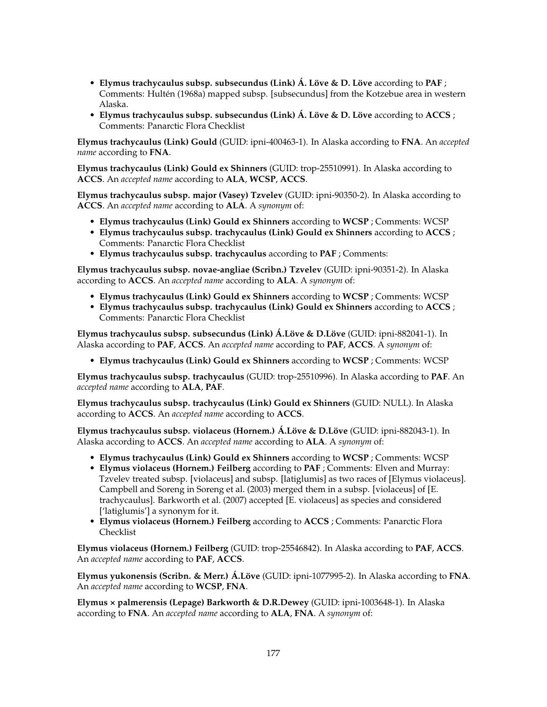- **Elymus trachycaulus subsp. subsecundus (Link) Á. Löve & D. Löve** according to **PAF** ; Comments: Hultén (1968a) mapped subsp. [subsecundus] from the Kotzebue area in western Alaska.
- **Elymus trachycaulus subsp. subsecundus (Link) Á. Löve & D. Löve** according to **ACCS** ; Comments: Panarctic Flora Checklist

**Elymus trachycaulus (Link) Gould** (GUID: ipni-400463-1). In Alaska according to **FNA**. An *accepted name* according to **FNA**.

**Elymus trachycaulus (Link) Gould ex Shinners** (GUID: trop-25510991). In Alaska according to **ACCS**. An *accepted name* according to **ALA**, **WCSP**, **ACCS**.

**Elymus trachycaulus subsp. major (Vasey) Tzvelev** (GUID: ipni-90350-2). In Alaska according to **ACCS**. An *accepted name* according to **ALA**. A *synonym* of:

- **Elymus trachycaulus (Link) Gould ex Shinners** according to **WCSP** ; Comments: WCSP
- **Elymus trachycaulus subsp. trachycaulus (Link) Gould ex Shinners** according to **ACCS** ; Comments: Panarctic Flora Checklist
- **Elymus trachycaulus subsp. trachycaulus** according to **PAF** ; Comments:

**Elymus trachycaulus subsp. novae-angliae (Scribn.) Tzvelev** (GUID: ipni-90351-2). In Alaska according to **ACCS**. An *accepted name* according to **ALA**. A *synonym* of:

- **Elymus trachycaulus (Link) Gould ex Shinners** according to **WCSP** ; Comments: WCSP
- **Elymus trachycaulus subsp. trachycaulus (Link) Gould ex Shinners** according to **ACCS** ; Comments: Panarctic Flora Checklist

**Elymus trachycaulus subsp. subsecundus (Link) Á.Löve & D.Löve** (GUID: ipni-882041-1). In Alaska according to **PAF**, **ACCS**. An *accepted name* according to **PAF**, **ACCS**. A *synonym* of:

• **Elymus trachycaulus (Link) Gould ex Shinners** according to **WCSP** ; Comments: WCSP

**Elymus trachycaulus subsp. trachycaulus** (GUID: trop-25510996). In Alaska according to **PAF**. An *accepted name* according to **ALA**, **PAF**.

**Elymus trachycaulus subsp. trachycaulus (Link) Gould ex Shinners** (GUID: NULL). In Alaska according to **ACCS**. An *accepted name* according to **ACCS**.

**Elymus trachycaulus subsp. violaceus (Hornem.) Á.Löve & D.Löve** (GUID: ipni-882043-1). In Alaska according to **ACCS**. An *accepted name* according to **ALA**. A *synonym* of:

- **Elymus trachycaulus (Link) Gould ex Shinners** according to **WCSP** ; Comments: WCSP
- **Elymus violaceus (Hornem.) Feilberg** according to **PAF** ; Comments: Elven and Murray: Tzvelev treated subsp. [violaceus] and subsp. [latiglumis] as two races of [Elymus violaceus]. Campbell and Soreng in Soreng et al. (2003) merged them in a subsp. [violaceus] of [E. trachycaulus]. Barkworth et al. (2007) accepted [E. violaceus] as species and considered ['latiglumis'] a synonym for it.
- **Elymus violaceus (Hornem.) Feilberg** according to **ACCS** ; Comments: Panarctic Flora Checklist

**Elymus violaceus (Hornem.) Feilberg** (GUID: trop-25546842). In Alaska according to **PAF**, **ACCS**. An *accepted name* according to **PAF**, **ACCS**.

**Elymus yukonensis (Scribn. & Merr.) Á.Löve** (GUID: ipni-1077995-2). In Alaska according to **FNA**. An *accepted name* according to **WCSP**, **FNA**.

**Elymus × palmerensis (Lepage) Barkworth & D.R.Dewey** (GUID: ipni-1003648-1). In Alaska according to **FNA**. An *accepted name* according to **ALA**, **FNA**. A *synonym* of: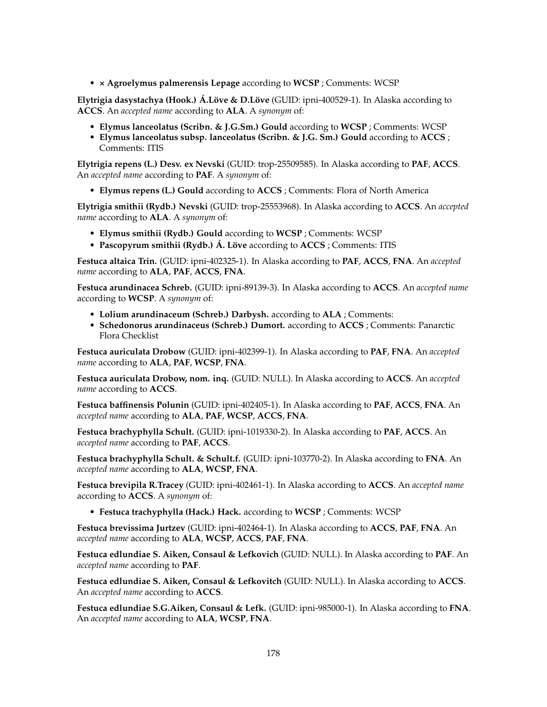• **× Agroelymus palmerensis Lepage** according to **WCSP** ; Comments: WCSP

**Elytrigia dasystachya (Hook.) Á.Löve & D.Löve** (GUID: ipni-400529-1). In Alaska according to **ACCS**. An *accepted name* according to **ALA**. A *synonym* of:

- **Elymus lanceolatus (Scribn. & J.G.Sm.) Gould** according to **WCSP** ; Comments: WCSP
- **Elymus lanceolatus subsp. lanceolatus (Scribn. & J.G. Sm.) Gould** according to **ACCS** ; Comments: ITIS

**Elytrigia repens (L.) Desv. ex Nevski** (GUID: trop-25509585). In Alaska according to **PAF**, **ACCS**. An *accepted name* according to **PAF**. A *synonym* of:

• **Elymus repens (L.) Gould** according to **ACCS** ; Comments: Flora of North America

**Elytrigia smithii (Rydb.) Nevski** (GUID: trop-25553968). In Alaska according to **ACCS**. An *accepted name* according to **ALA**. A *synonym* of:

- **Elymus smithii (Rydb.) Gould** according to **WCSP** ; Comments: WCSP
- **Pascopyrum smithii (Rydb.) Á. Löve** according to **ACCS** ; Comments: ITIS

**Festuca altaica Trin.** (GUID: ipni-402325-1). In Alaska according to **PAF**, **ACCS**, **FNA**. An *accepted name* according to **ALA**, **PAF**, **ACCS**, **FNA**.

**Festuca arundinacea Schreb.** (GUID: ipni-89139-3). In Alaska according to **ACCS**. An *accepted name* according to **WCSP**. A *synonym* of:

- **Lolium arundinaceum (Schreb.) Darbysh.** according to **ALA** ; Comments:
- **Schedonorus arundinaceus (Schreb.) Dumort.** according to **ACCS** ; Comments: Panarctic Flora Checklist

**Festuca auriculata Drobow** (GUID: ipni-402399-1). In Alaska according to **PAF**, **FNA**. An *accepted name* according to **ALA**, **PAF**, **WCSP**, **FNA**.

**Festuca auriculata Drobow, nom. inq.** (GUID: NULL). In Alaska according to **ACCS**. An *accepted name* according to **ACCS**.

**Festuca baffinensis Polunin** (GUID: ipni-402405-1). In Alaska according to **PAF**, **ACCS**, **FNA**. An *accepted name* according to **ALA**, **PAF**, **WCSP**, **ACCS**, **FNA**.

**Festuca brachyphylla Schult.** (GUID: ipni-1019330-2). In Alaska according to **PAF**, **ACCS**. An *accepted name* according to **PAF**, **ACCS**.

**Festuca brachyphylla Schult. & Schult.f.** (GUID: ipni-103770-2). In Alaska according to **FNA**. An *accepted name* according to **ALA**, **WCSP**, **FNA**.

**Festuca brevipila R.Tracey** (GUID: ipni-402461-1). In Alaska according to **ACCS**. An *accepted name* according to **ACCS**. A *synonym* of:

• **Festuca trachyphylla (Hack.) Hack.** according to **WCSP** ; Comments: WCSP

**Festuca brevissima Jurtzev** (GUID: ipni-402464-1). In Alaska according to **ACCS**, **PAF**, **FNA**. An *accepted name* according to **ALA**, **WCSP**, **ACCS**, **PAF**, **FNA**.

**Festuca edlundiae S. Aiken, Consaul & Lefkovich** (GUID: NULL). In Alaska according to **PAF**. An *accepted name* according to **PAF**.

**Festuca edlundiae S. Aiken, Consaul & Lefkovitch** (GUID: NULL). In Alaska according to **ACCS**. An *accepted name* according to **ACCS**.

**Festuca edlundiae S.G.Aiken, Consaul & Lefk.** (GUID: ipni-985000-1). In Alaska according to **FNA**. An *accepted name* according to **ALA**, **WCSP**, **FNA**.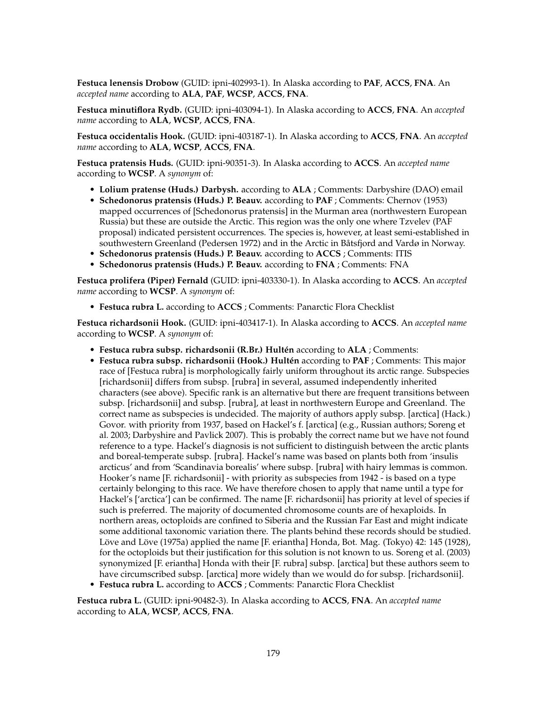**Festuca lenensis Drobow** (GUID: ipni-402993-1). In Alaska according to **PAF**, **ACCS**, **FNA**. An *accepted name* according to **ALA**, **PAF**, **WCSP**, **ACCS**, **FNA**.

**Festuca minutiflora Rydb.** (GUID: ipni-403094-1). In Alaska according to **ACCS**, **FNA**. An *accepted name* according to **ALA**, **WCSP**, **ACCS**, **FNA**.

**Festuca occidentalis Hook.** (GUID: ipni-403187-1). In Alaska according to **ACCS**, **FNA**. An *accepted name* according to **ALA**, **WCSP**, **ACCS**, **FNA**.

**Festuca pratensis Huds.** (GUID: ipni-90351-3). In Alaska according to **ACCS**. An *accepted name* according to **WCSP**. A *synonym* of:

- **Lolium pratense (Huds.) Darbysh.** according to **ALA** ; Comments: Darbyshire (DAO) email
- **Schedonorus pratensis (Huds.) P. Beauv.** according to **PAF** ; Comments: Chernov (1953) mapped occurrences of [Schedonorus pratensis] in the Murman area (northwestern European Russia) but these are outside the Arctic. This region was the only one where Tzvelev (PAF proposal) indicated persistent occurrences. The species is, however, at least semi-established in southwestern Greenland (Pedersen 1972) and in the Arctic in Båtsfjord and Vardø in Norway.
- **Schedonorus pratensis (Huds.) P. Beauv.** according to **ACCS** ; Comments: ITIS
- **Schedonorus pratensis (Huds.) P. Beauv.** according to **FNA** ; Comments: FNA

**Festuca prolifera (Piper) Fernald** (GUID: ipni-403330-1). In Alaska according to **ACCS**. An *accepted name* according to **WCSP**. A *synonym* of:

• **Festuca rubra L.** according to **ACCS** ; Comments: Panarctic Flora Checklist

**Festuca richardsonii Hook.** (GUID: ipni-403417-1). In Alaska according to **ACCS**. An *accepted name* according to **WCSP**. A *synonym* of:

- **Festuca rubra subsp. richardsonii (R.Br.) Hultén** according to **ALA** ; Comments:
- **Festuca rubra subsp. richardsonii (Hook.) Hultén** according to **PAF** ; Comments: This major race of [Festuca rubra] is morphologically fairly uniform throughout its arctic range. Subspecies [richardsonii] differs from subsp. [rubra] in several, assumed independently inherited characters (see above). Specific rank is an alternative but there are frequent transitions between subsp. [richardsonii] and subsp. [rubra], at least in northwestern Europe and Greenland. The correct name as subspecies is undecided. The majority of authors apply subsp. [arctica] (Hack.) Govor. with priority from 1937, based on Hackel's f. [arctica] (e.g., Russian authors; Soreng et al. 2003; Darbyshire and Pavlick 2007). This is probably the correct name but we have not found reference to a type. Hackel's diagnosis is not sufficient to distinguish between the arctic plants and boreal-temperate subsp. [rubra]. Hackel's name was based on plants both from 'insulis arcticus' and from 'Scandinavia borealis' where subsp. [rubra] with hairy lemmas is common. Hooker's name [F. richardsonii] - with priority as subspecies from 1942 - is based on a type certainly belonging to this race. We have therefore chosen to apply that name until a type for Hackel's ['arctica'] can be confirmed. The name [F. richardsonii] has priority at level of species if such is preferred. The majority of documented chromosome counts are of hexaploids. In northern areas, octoploids are confined to Siberia and the Russian Far East and might indicate some additional taxonomic variation there. The plants behind these records should be studied. Löve and Löve (1975a) applied the name [F. eriantha] Honda, Bot. Mag. (Tokyo) 42: 145 (1928), for the octoploids but their justification for this solution is not known to us. Soreng et al. (2003) synonymized [F. eriantha] Honda with their [F. rubra] subsp. [arctica] but these authors seem to have circumscribed subsp. [arctica] more widely than we would do for subsp. [richardsonii].
- **Festuca rubra L.** according to **ACCS** ; Comments: Panarctic Flora Checklist

**Festuca rubra L.** (GUID: ipni-90482-3). In Alaska according to **ACCS**, **FNA**. An *accepted name* according to **ALA**, **WCSP**, **ACCS**, **FNA**.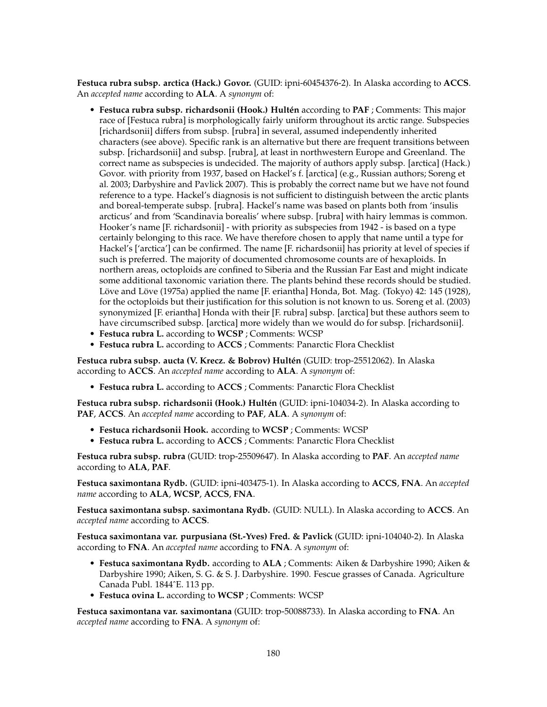**Festuca rubra subsp. arctica (Hack.) Govor.** (GUID: ipni-60454376-2). In Alaska according to **ACCS**. An *accepted name* according to **ALA**. A *synonym* of:

- **Festuca rubra subsp. richardsonii (Hook.) Hultén** according to **PAF** ; Comments: This major race of [Festuca rubra] is morphologically fairly uniform throughout its arctic range. Subspecies [richardsonii] differs from subsp. [rubra] in several, assumed independently inherited characters (see above). Specific rank is an alternative but there are frequent transitions between subsp. [richardsonii] and subsp. [rubra], at least in northwestern Europe and Greenland. The correct name as subspecies is undecided. The majority of authors apply subsp. [arctica] (Hack.) Govor. with priority from 1937, based on Hackel's f. [arctica] (e.g., Russian authors; Soreng et al. 2003; Darbyshire and Pavlick 2007). This is probably the correct name but we have not found reference to a type. Hackel's diagnosis is not sufficient to distinguish between the arctic plants and boreal-temperate subsp. [rubra]. Hackel's name was based on plants both from 'insulis arcticus' and from 'Scandinavia borealis' where subsp. [rubra] with hairy lemmas is common. Hooker's name [F. richardsonii] - with priority as subspecies from 1942 - is based on a type certainly belonging to this race. We have therefore chosen to apply that name until a type for Hackel's ['arctica'] can be confirmed. The name [F. richardsonii] has priority at level of species if such is preferred. The majority of documented chromosome counts are of hexaploids. In northern areas, octoploids are confined to Siberia and the Russian Far East and might indicate some additional taxonomic variation there. The plants behind these records should be studied. Löve and Löve (1975a) applied the name [F. eriantha] Honda, Bot. Mag. (Tokyo) 42: 145 (1928), for the octoploids but their justification for this solution is not known to us. Soreng et al. (2003) synonymized [F. eriantha] Honda with their [F. rubra] subsp. [arctica] but these authors seem to have circumscribed subsp. [arctica] more widely than we would do for subsp. [richardsonii].
- **Festuca rubra L.** according to **WCSP** ; Comments: WCSP
- **Festuca rubra L.** according to **ACCS** ; Comments: Panarctic Flora Checklist

**Festuca rubra subsp. aucta (V. Krecz. & Bobrov) Hultén** (GUID: trop-25512062). In Alaska according to **ACCS**. An *accepted name* according to **ALA**. A *synonym* of:

• **Festuca rubra L.** according to **ACCS** ; Comments: Panarctic Flora Checklist

**Festuca rubra subsp. richardsonii (Hook.) Hultén** (GUID: ipni-104034-2). In Alaska according to **PAF**, **ACCS**. An *accepted name* according to **PAF**, **ALA**. A *synonym* of:

- **Festuca richardsonii Hook.** according to **WCSP** ; Comments: WCSP
- **Festuca rubra L.** according to **ACCS** ; Comments: Panarctic Flora Checklist

**Festuca rubra subsp. rubra** (GUID: trop-25509647). In Alaska according to **PAF**. An *accepted name* according to **ALA**, **PAF**.

**Festuca saximontana Rydb.** (GUID: ipni-403475-1). In Alaska according to **ACCS**, **FNA**. An *accepted name* according to **ALA**, **WCSP**, **ACCS**, **FNA**.

**Festuca saximontana subsp. saximontana Rydb.** (GUID: NULL). In Alaska according to **ACCS**. An *accepted name* according to **ACCS**.

**Festuca saximontana var. purpusiana (St.-Yves) Fred. & Pavlick** (GUID: ipni-104040-2). In Alaska according to **FNA**. An *accepted name* according to **FNA**. A *synonym* of:

- **Festuca saximontana Rydb.** according to **ALA** ; Comments: Aiken & Darbyshire 1990; Aiken & Darbyshire 1990; Aiken, S. G. & S. J. Darbyshire. 1990. Fescue grasses of Canada. Agriculture Canada Publ. 1844ˆE. 113 pp.
- **Festuca ovina L.** according to **WCSP** ; Comments: WCSP

**Festuca saximontana var. saximontana** (GUID: trop-50088733). In Alaska according to **FNA**. An *accepted name* according to **FNA**. A *synonym* of: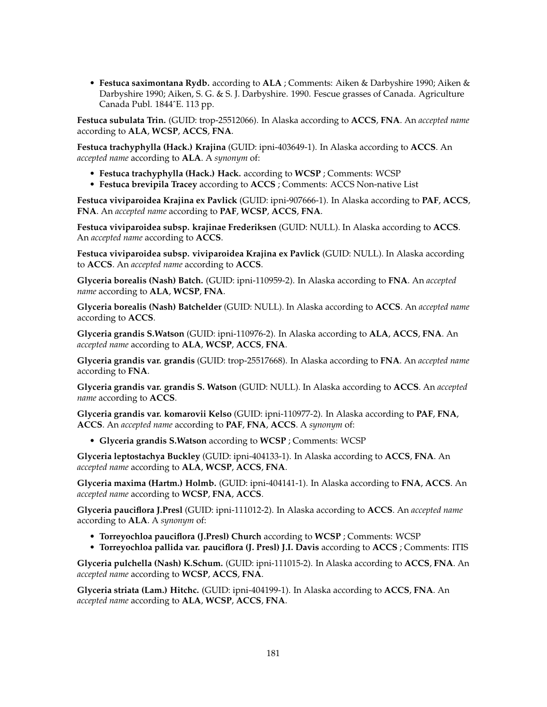• **Festuca saximontana Rydb.** according to **ALA** ; Comments: Aiken & Darbyshire 1990; Aiken & Darbyshire 1990; Aiken, S. G. & S. J. Darbyshire. 1990. Fescue grasses of Canada. Agriculture Canada Publ. 1844ˆE. 113 pp.

**Festuca subulata Trin.** (GUID: trop-25512066). In Alaska according to **ACCS**, **FNA**. An *accepted name* according to **ALA**, **WCSP**, **ACCS**, **FNA**.

**Festuca trachyphylla (Hack.) Krajina** (GUID: ipni-403649-1). In Alaska according to **ACCS**. An *accepted name* according to **ALA**. A *synonym* of:

- **Festuca trachyphylla (Hack.) Hack.** according to **WCSP** ; Comments: WCSP
- **Festuca brevipila Tracey** according to **ACCS** ; Comments: ACCS Non-native List

**Festuca viviparoidea Krajina ex Pavlick** (GUID: ipni-907666-1). In Alaska according to **PAF**, **ACCS**, **FNA**. An *accepted name* according to **PAF**, **WCSP**, **ACCS**, **FNA**.

**Festuca viviparoidea subsp. krajinae Frederiksen** (GUID: NULL). In Alaska according to **ACCS**. An *accepted name* according to **ACCS**.

**Festuca viviparoidea subsp. viviparoidea Krajina ex Pavlick** (GUID: NULL). In Alaska according to **ACCS**. An *accepted name* according to **ACCS**.

**Glyceria borealis (Nash) Batch.** (GUID: ipni-110959-2). In Alaska according to **FNA**. An *accepted name* according to **ALA**, **WCSP**, **FNA**.

**Glyceria borealis (Nash) Batchelder** (GUID: NULL). In Alaska according to **ACCS**. An *accepted name* according to **ACCS**.

**Glyceria grandis S.Watson** (GUID: ipni-110976-2). In Alaska according to **ALA**, **ACCS**, **FNA**. An *accepted name* according to **ALA**, **WCSP**, **ACCS**, **FNA**.

**Glyceria grandis var. grandis** (GUID: trop-25517668). In Alaska according to **FNA**. An *accepted name* according to **FNA**.

**Glyceria grandis var. grandis S. Watson** (GUID: NULL). In Alaska according to **ACCS**. An *accepted name* according to **ACCS**.

**Glyceria grandis var. komarovii Kelso** (GUID: ipni-110977-2). In Alaska according to **PAF**, **FNA**, **ACCS**. An *accepted name* according to **PAF**, **FNA**, **ACCS**. A *synonym* of:

• **Glyceria grandis S.Watson** according to **WCSP** ; Comments: WCSP

**Glyceria leptostachya Buckley** (GUID: ipni-404133-1). In Alaska according to **ACCS**, **FNA**. An *accepted name* according to **ALA**, **WCSP**, **ACCS**, **FNA**.

**Glyceria maxima (Hartm.) Holmb.** (GUID: ipni-404141-1). In Alaska according to **FNA**, **ACCS**. An *accepted name* according to **WCSP**, **FNA**, **ACCS**.

**Glyceria pauciflora J.Presl** (GUID: ipni-111012-2). In Alaska according to **ACCS**. An *accepted name* according to **ALA**. A *synonym* of:

- **Torreyochloa pauciflora (J.Presl) Church** according to **WCSP** ; Comments: WCSP
- **Torreyochloa pallida var. pauciflora (J. Presl) J.I. Davis** according to **ACCS** ; Comments: ITIS

**Glyceria pulchella (Nash) K.Schum.** (GUID: ipni-111015-2). In Alaska according to **ACCS**, **FNA**. An *accepted name* according to **WCSP**, **ACCS**, **FNA**.

**Glyceria striata (Lam.) Hitchc.** (GUID: ipni-404199-1). In Alaska according to **ACCS**, **FNA**. An *accepted name* according to **ALA**, **WCSP**, **ACCS**, **FNA**.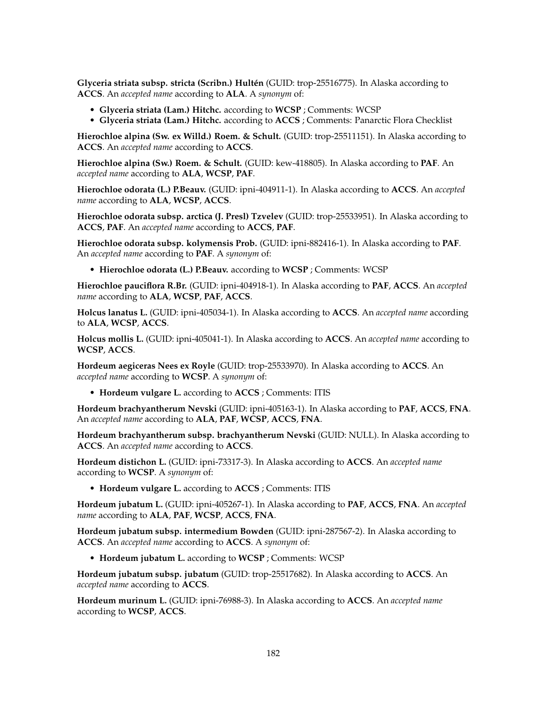**Glyceria striata subsp. stricta (Scribn.) Hultén** (GUID: trop-25516775). In Alaska according to **ACCS**. An *accepted name* according to **ALA**. A *synonym* of:

- **Glyceria striata (Lam.) Hitchc.** according to **WCSP** ; Comments: WCSP
- **Glyceria striata (Lam.) Hitchc.** according to **ACCS** ; Comments: Panarctic Flora Checklist

**Hierochloe alpina (Sw. ex Willd.) Roem. & Schult.** (GUID: trop-25511151). In Alaska according to **ACCS**. An *accepted name* according to **ACCS**.

**Hierochloe alpina (Sw.) Roem. & Schult.** (GUID: kew-418805). In Alaska according to **PAF**. An *accepted name* according to **ALA**, **WCSP**, **PAF**.

**Hierochloe odorata (L.) P.Beauv.** (GUID: ipni-404911-1). In Alaska according to **ACCS**. An *accepted name* according to **ALA**, **WCSP**, **ACCS**.

**Hierochloe odorata subsp. arctica (J. Presl) Tzvelev** (GUID: trop-25533951). In Alaska according to **ACCS**, **PAF**. An *accepted name* according to **ACCS**, **PAF**.

**Hierochloe odorata subsp. kolymensis Prob.** (GUID: ipni-882416-1). In Alaska according to **PAF**. An *accepted name* according to **PAF**. A *synonym* of:

• **Hierochloe odorata (L.) P.Beauv.** according to **WCSP** ; Comments: WCSP

**Hierochloe pauciflora R.Br.** (GUID: ipni-404918-1). In Alaska according to **PAF**, **ACCS**. An *accepted name* according to **ALA**, **WCSP**, **PAF**, **ACCS**.

**Holcus lanatus L.** (GUID: ipni-405034-1). In Alaska according to **ACCS**. An *accepted name* according to **ALA**, **WCSP**, **ACCS**.

**Holcus mollis L.** (GUID: ipni-405041-1). In Alaska according to **ACCS**. An *accepted name* according to **WCSP**, **ACCS**.

**Hordeum aegiceras Nees ex Royle** (GUID: trop-25533970). In Alaska according to **ACCS**. An *accepted name* according to **WCSP**. A *synonym* of:

• **Hordeum vulgare L.** according to **ACCS** ; Comments: ITIS

**Hordeum brachyantherum Nevski** (GUID: ipni-405163-1). In Alaska according to **PAF**, **ACCS**, **FNA**. An *accepted name* according to **ALA**, **PAF**, **WCSP**, **ACCS**, **FNA**.

**Hordeum brachyantherum subsp. brachyantherum Nevski** (GUID: NULL). In Alaska according to **ACCS**. An *accepted name* according to **ACCS**.

**Hordeum distichon L.** (GUID: ipni-73317-3). In Alaska according to **ACCS**. An *accepted name* according to **WCSP**. A *synonym* of:

• **Hordeum vulgare L.** according to **ACCS** ; Comments: ITIS

**Hordeum jubatum L.** (GUID: ipni-405267-1). In Alaska according to **PAF**, **ACCS**, **FNA**. An *accepted name* according to **ALA**, **PAF**, **WCSP**, **ACCS**, **FNA**.

**Hordeum jubatum subsp. intermedium Bowden** (GUID: ipni-287567-2). In Alaska according to **ACCS**. An *accepted name* according to **ACCS**. A *synonym* of:

• **Hordeum jubatum L.** according to **WCSP** ; Comments: WCSP

**Hordeum jubatum subsp. jubatum** (GUID: trop-25517682). In Alaska according to **ACCS**. An *accepted name* according to **ACCS**.

**Hordeum murinum L.** (GUID: ipni-76988-3). In Alaska according to **ACCS**. An *accepted name* according to **WCSP**, **ACCS**.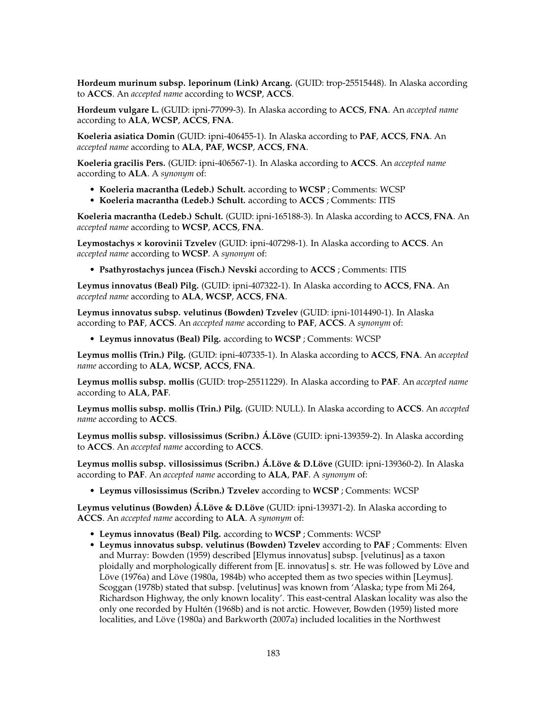**Hordeum murinum subsp. leporinum (Link) Arcang.** (GUID: trop-25515448). In Alaska according to **ACCS**. An *accepted name* according to **WCSP**, **ACCS**.

**Hordeum vulgare L.** (GUID: ipni-77099-3). In Alaska according to **ACCS**, **FNA**. An *accepted name* according to **ALA**, **WCSP**, **ACCS**, **FNA**.

**Koeleria asiatica Domin** (GUID: ipni-406455-1). In Alaska according to **PAF**, **ACCS**, **FNA**. An *accepted name* according to **ALA**, **PAF**, **WCSP**, **ACCS**, **FNA**.

**Koeleria gracilis Pers.** (GUID: ipni-406567-1). In Alaska according to **ACCS**. An *accepted name* according to **ALA**. A *synonym* of:

- **Koeleria macrantha (Ledeb.) Schult.** according to **WCSP** ; Comments: WCSP
- **Koeleria macrantha (Ledeb.) Schult.** according to **ACCS** ; Comments: ITIS

**Koeleria macrantha (Ledeb.) Schult.** (GUID: ipni-165188-3). In Alaska according to **ACCS**, **FNA**. An *accepted name* according to **WCSP**, **ACCS**, **FNA**.

**Leymostachys × korovinii Tzvelev** (GUID: ipni-407298-1). In Alaska according to **ACCS**. An *accepted name* according to **WCSP**. A *synonym* of:

• **Psathyrostachys juncea (Fisch.) Nevski** according to **ACCS** ; Comments: ITIS

**Leymus innovatus (Beal) Pilg.** (GUID: ipni-407322-1). In Alaska according to **ACCS**, **FNA**. An *accepted name* according to **ALA**, **WCSP**, **ACCS**, **FNA**.

**Leymus innovatus subsp. velutinus (Bowden) Tzvelev** (GUID: ipni-1014490-1). In Alaska according to **PAF**, **ACCS**. An *accepted name* according to **PAF**, **ACCS**. A *synonym* of:

• **Leymus innovatus (Beal) Pilg.** according to **WCSP** ; Comments: WCSP

**Leymus mollis (Trin.) Pilg.** (GUID: ipni-407335-1). In Alaska according to **ACCS**, **FNA**. An *accepted name* according to **ALA**, **WCSP**, **ACCS**, **FNA**.

**Leymus mollis subsp. mollis** (GUID: trop-25511229). In Alaska according to **PAF**. An *accepted name* according to **ALA**, **PAF**.

**Leymus mollis subsp. mollis (Trin.) Pilg.** (GUID: NULL). In Alaska according to **ACCS**. An *accepted name* according to **ACCS**.

**Leymus mollis subsp. villosissimus (Scribn.) Á.Löve** (GUID: ipni-139359-2). In Alaska according to **ACCS**. An *accepted name* according to **ACCS**.

**Leymus mollis subsp. villosissimus (Scribn.) Á.Löve & D.Löve** (GUID: ipni-139360-2). In Alaska according to **PAF**. An *accepted name* according to **ALA**, **PAF**. A *synonym* of:

• **Leymus villosissimus (Scribn.) Tzvelev** according to **WCSP** ; Comments: WCSP

**Leymus velutinus (Bowden) Á.Löve & D.Löve** (GUID: ipni-139371-2). In Alaska according to **ACCS**. An *accepted name* according to **ALA**. A *synonym* of:

- **Leymus innovatus (Beal) Pilg.** according to **WCSP** ; Comments: WCSP
- **Leymus innovatus subsp. velutinus (Bowden) Tzvelev** according to **PAF** ; Comments: Elven and Murray: Bowden (1959) described [Elymus innovatus] subsp. [velutinus] as a taxon ploidally and morphologically different from [E. innovatus] s. str. He was followed by Löve and Löve (1976a) and Löve (1980a, 1984b) who accepted them as two species within [Leymus]. Scoggan (1978b) stated that subsp. [velutinus] was known from 'Alaska; type from Mi 264, Richardson Highway, the only known locality'. This east-central Alaskan locality was also the only one recorded by Hultén (1968b) and is not arctic. However, Bowden (1959) listed more localities, and Löve (1980a) and Barkworth (2007a) included localities in the Northwest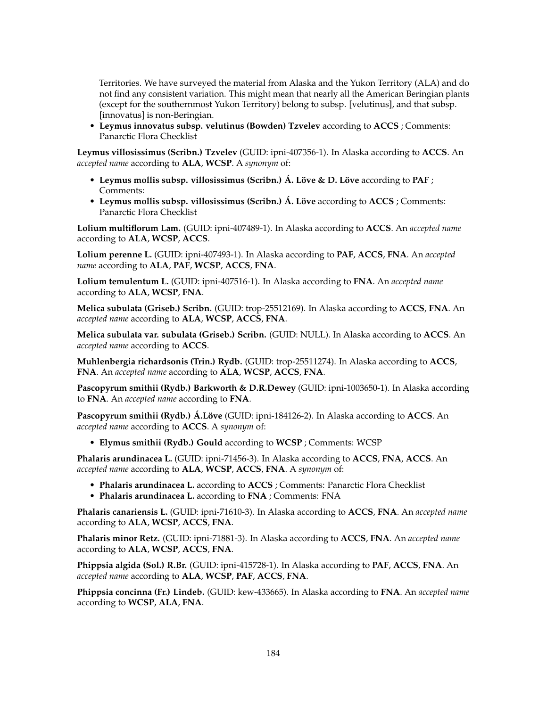Territories. We have surveyed the material from Alaska and the Yukon Territory (ALA) and do not find any consistent variation. This might mean that nearly all the American Beringian plants (except for the southernmost Yukon Territory) belong to subsp. [velutinus], and that subsp. [innovatus] is non-Beringian.

• **Leymus innovatus subsp. velutinus (Bowden) Tzvelev** according to **ACCS** ; Comments: Panarctic Flora Checklist

**Leymus villosissimus (Scribn.) Tzvelev** (GUID: ipni-407356-1). In Alaska according to **ACCS**. An *accepted name* according to **ALA**, **WCSP**. A *synonym* of:

- **Leymus mollis subsp. villosissimus (Scribn.) Á. Löve & D. Löve** according to **PAF** ; Comments:
- **Leymus mollis subsp. villosissimus (Scribn.) Á. Löve** according to **ACCS** ; Comments: Panarctic Flora Checklist

**Lolium multiflorum Lam.** (GUID: ipni-407489-1). In Alaska according to **ACCS**. An *accepted name* according to **ALA**, **WCSP**, **ACCS**.

**Lolium perenne L.** (GUID: ipni-407493-1). In Alaska according to **PAF**, **ACCS**, **FNA**. An *accepted name* according to **ALA**, **PAF**, **WCSP**, **ACCS**, **FNA**.

**Lolium temulentum L.** (GUID: ipni-407516-1). In Alaska according to **FNA**. An *accepted name* according to **ALA**, **WCSP**, **FNA**.

**Melica subulata (Griseb.) Scribn.** (GUID: trop-25512169). In Alaska according to **ACCS**, **FNA**. An *accepted name* according to **ALA**, **WCSP**, **ACCS**, **FNA**.

**Melica subulata var. subulata (Griseb.) Scribn.** (GUID: NULL). In Alaska according to **ACCS**. An *accepted name* according to **ACCS**.

**Muhlenbergia richardsonis (Trin.) Rydb.** (GUID: trop-25511274). In Alaska according to **ACCS**, **FNA**. An *accepted name* according to **ALA**, **WCSP**, **ACCS**, **FNA**.

**Pascopyrum smithii (Rydb.) Barkworth & D.R.Dewey** (GUID: ipni-1003650-1). In Alaska according to **FNA**. An *accepted name* according to **FNA**.

**Pascopyrum smithii (Rydb.) Á.Löve** (GUID: ipni-184126-2). In Alaska according to **ACCS**. An *accepted name* according to **ACCS**. A *synonym* of:

• **Elymus smithii (Rydb.) Gould** according to **WCSP** ; Comments: WCSP

**Phalaris arundinacea L.** (GUID: ipni-71456-3). In Alaska according to **ACCS**, **FNA**, **ACCS**. An *accepted name* according to **ALA**, **WCSP**, **ACCS**, **FNA**. A *synonym* of:

- **Phalaris arundinacea L.** according to **ACCS** ; Comments: Panarctic Flora Checklist
- **Phalaris arundinacea L.** according to **FNA** ; Comments: FNA

**Phalaris canariensis L.** (GUID: ipni-71610-3). In Alaska according to **ACCS**, **FNA**. An *accepted name* according to **ALA**, **WCSP**, **ACCS**, **FNA**.

**Phalaris minor Retz.** (GUID: ipni-71881-3). In Alaska according to **ACCS**, **FNA**. An *accepted name* according to **ALA**, **WCSP**, **ACCS**, **FNA**.

**Phippsia algida (Sol.) R.Br.** (GUID: ipni-415728-1). In Alaska according to **PAF**, **ACCS**, **FNA**. An *accepted name* according to **ALA**, **WCSP**, **PAF**, **ACCS**, **FNA**.

**Phippsia concinna (Fr.) Lindeb.** (GUID: kew-433665). In Alaska according to **FNA**. An *accepted name* according to **WCSP**, **ALA**, **FNA**.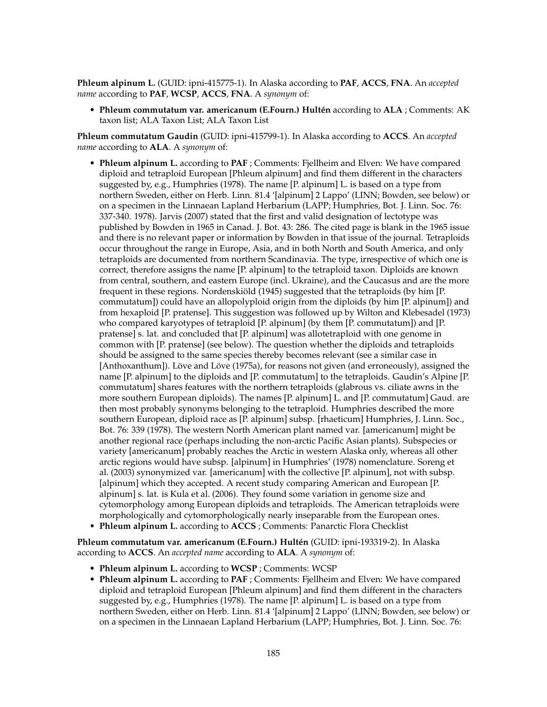**Phleum alpinum L.** (GUID: ipni-415775-1). In Alaska according to **PAF**, **ACCS**, **FNA**. An *accepted name* according to **PAF**, **WCSP**, **ACCS**, **FNA**. A *synonym* of:

• **Phleum commutatum var. americanum (E.Fourn.) Hultén** according to **ALA** ; Comments: AK taxon list; ALA Taxon List; ALA Taxon List

**Phleum commutatum Gaudin** (GUID: ipni-415799-1). In Alaska according to **ACCS**. An *accepted name* according to **ALA**. A *synonym* of:

- **Phleum alpinum L.** according to **PAF** ; Comments: Fjellheim and Elven: We have compared diploid and tetraploid European [Phleum alpinum] and find them different in the characters suggested by, e.g., Humphries (1978). The name [P. alpinum] L. is based on a type from northern Sweden, either on Herb. Linn. 81.4 '[alpinum] 2 Lappo' (LINN; Bowden, see below) or on a specimen in the Linnaean Lapland Herbarium (LAPP; Humphries, Bot. J. Linn. Soc. 76: 337-340. 1978). Jarvis (2007) stated that the first and valid designation of lectotype was published by Bowden in 1965 in Canad. J. Bot. 43: 286. The cited page is blank in the 1965 issue and there is no relevant paper or information by Bowden in that issue of the journal. Tetraploids occur throughout the range in Europe, Asia, and in both North and South America, and only tetraploids are documented from northern Scandinavia. The type, irrespective of which one is correct, therefore assigns the name [P. alpinum] to the tetraploid taxon. Diploids are known from central, southern, and eastern Europe (incl. Ukraine), and the Caucasus and are the more frequent in these regions. Nordenskiöld (1945) suggested that the tetraploids (by him [P. commutatum]) could have an allopolyploid origin from the diploids (by him [P. alpinum]) and from hexaploid [P. pratense]. This suggestion was followed up by Wilton and Klebesadel (1973) who compared karyotypes of tetraploid [P. alpinum] (by them [P. commutatum]) and [P. pratense] s. lat. and concluded that [P. alpinum] was allotetraploid with one genome in common with [P. pratense] (see below). The question whether the diploids and tetraploids should be assigned to the same species thereby becomes relevant (see a similar case in [Anthoxanthum]). Löve and Löve (1975a), for reasons not given (and erroneously), assigned the name [P. alpinum] to the diploids and [P. commutatum] to the tetraploids. Gaudin's Alpine [P. commutatum] shares features with the northern tetraploids (glabrous vs. ciliate awns in the more southern European diploids). The names [P. alpinum] L. and [P. commutatum] Gaud. are then most probably synonyms belonging to the tetraploid. Humphries described the more southern European, diploid race as [P. alpinum] subsp. [rhaeticum] Humphries, J. Linn. Soc., Bot. 76: 339 (1978). The western North American plant named var. [americanum] might be another regional race (perhaps including the non-arctic Pacific Asian plants). Subspecies or variety [americanum] probably reaches the Arctic in western Alaska only, whereas all other arctic regions would have subsp. [alpinum] in Humphries' (1978) nomenclature. Soreng et al. (2003) synonymized var. [americanum] with the collective [P. alpinum], not with subsp. [alpinum] which they accepted. A recent study comparing American and European [P. alpinum] s. lat. is Kula et al. (2006). They found some variation in genome size and cytomorphology among European diploids and tetraploids. The American tetraploids were morphologically and cytomorphologically nearly inseparable from the European ones.
- **Phleum alpinum L.** according to **ACCS** ; Comments: Panarctic Flora Checklist

**Phleum commutatum var. americanum (E.Fourn.) Hultén** (GUID: ipni-193319-2). In Alaska according to **ACCS**. An *accepted name* according to **ALA**. A *synonym* of:

- **Phleum alpinum L.** according to **WCSP** ; Comments: WCSP
- **Phleum alpinum L.** according to **PAF** ; Comments: Fjellheim and Elven: We have compared diploid and tetraploid European [Phleum alpinum] and find them different in the characters suggested by, e.g., Humphries (1978). The name [P. alpinum] L. is based on a type from northern Sweden, either on Herb. Linn. 81.4 '[alpinum] 2 Lappo' (LINN; Bowden, see below) or on a specimen in the Linnaean Lapland Herbarium (LAPP; Humphries, Bot. J. Linn. Soc. 76: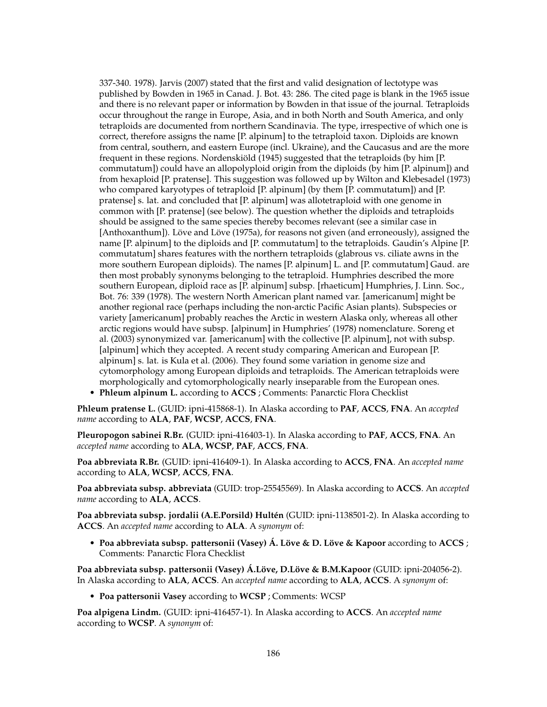337-340. 1978). Jarvis (2007) stated that the first and valid designation of lectotype was published by Bowden in 1965 in Canad. J. Bot. 43: 286. The cited page is blank in the 1965 issue and there is no relevant paper or information by Bowden in that issue of the journal. Tetraploids occur throughout the range in Europe, Asia, and in both North and South America, and only tetraploids are documented from northern Scandinavia. The type, irrespective of which one is correct, therefore assigns the name [P. alpinum] to the tetraploid taxon. Diploids are known from central, southern, and eastern Europe (incl. Ukraine), and the Caucasus and are the more frequent in these regions. Nordenskiöld (1945) suggested that the tetraploids (by him [P. commutatum]) could have an allopolyploid origin from the diploids (by him [P. alpinum]) and from hexaploid [P. pratense]. This suggestion was followed up by Wilton and Klebesadel (1973) who compared karyotypes of tetraploid [P. alpinum] (by them [P. commutatum]) and [P. pratense] s. lat. and concluded that [P. alpinum] was allotetraploid with one genome in common with [P. pratense] (see below). The question whether the diploids and tetraploids should be assigned to the same species thereby becomes relevant (see a similar case in [Anthoxanthum]). Löve and Löve (1975a), for reasons not given (and erroneously), assigned the name [P. alpinum] to the diploids and [P. commutatum] to the tetraploids. Gaudin's Alpine [P. commutatum] shares features with the northern tetraploids (glabrous vs. ciliate awns in the more southern European diploids). The names [P. alpinum] L. and [P. commutatum] Gaud. are then most probably synonyms belonging to the tetraploid. Humphries described the more southern European, diploid race as [P. alpinum] subsp. [rhaeticum] Humphries, J. Linn. Soc., Bot. 76: 339 (1978). The western North American plant named var. [americanum] might be another regional race (perhaps including the non-arctic Pacific Asian plants). Subspecies or variety [americanum] probably reaches the Arctic in western Alaska only, whereas all other arctic regions would have subsp. [alpinum] in Humphries' (1978) nomenclature. Soreng et al. (2003) synonymized var. [americanum] with the collective [P. alpinum], not with subsp. [alpinum] which they accepted. A recent study comparing American and European [P. alpinum] s. lat. is Kula et al. (2006). They found some variation in genome size and cytomorphology among European diploids and tetraploids. The American tetraploids were morphologically and cytomorphologically nearly inseparable from the European ones.

• **Phleum alpinum L.** according to **ACCS** ; Comments: Panarctic Flora Checklist

**Phleum pratense L.** (GUID: ipni-415868-1). In Alaska according to **PAF**, **ACCS**, **FNA**. An *accepted name* according to **ALA**, **PAF**, **WCSP**, **ACCS**, **FNA**.

**Pleuropogon sabinei R.Br.** (GUID: ipni-416403-1). In Alaska according to **PAF**, **ACCS**, **FNA**. An *accepted name* according to **ALA**, **WCSP**, **PAF**, **ACCS**, **FNA**.

**Poa abbreviata R.Br.** (GUID: ipni-416409-1). In Alaska according to **ACCS**, **FNA**. An *accepted name* according to **ALA**, **WCSP**, **ACCS**, **FNA**.

**Poa abbreviata subsp. abbreviata** (GUID: trop-25545569). In Alaska according to **ACCS**. An *accepted name* according to **ALA**, **ACCS**.

**Poa abbreviata subsp. jordalii (A.E.Porsild) Hultén** (GUID: ipni-1138501-2). In Alaska according to **ACCS**. An *accepted name* according to **ALA**. A *synonym* of:

• **Poa abbreviata subsp. pattersonii (Vasey) Á. Löve & D. Löve & Kapoor** according to **ACCS** ; Comments: Panarctic Flora Checklist

**Poa abbreviata subsp. pattersonii (Vasey) Á.Löve, D.Löve & B.M.Kapoor** (GUID: ipni-204056-2). In Alaska according to **ALA**, **ACCS**. An *accepted name* according to **ALA**, **ACCS**. A *synonym* of:

• **Poa pattersonii Vasey** according to **WCSP** ; Comments: WCSP

**Poa alpigena Lindm.** (GUID: ipni-416457-1). In Alaska according to **ACCS**. An *accepted name* according to **WCSP**. A *synonym* of: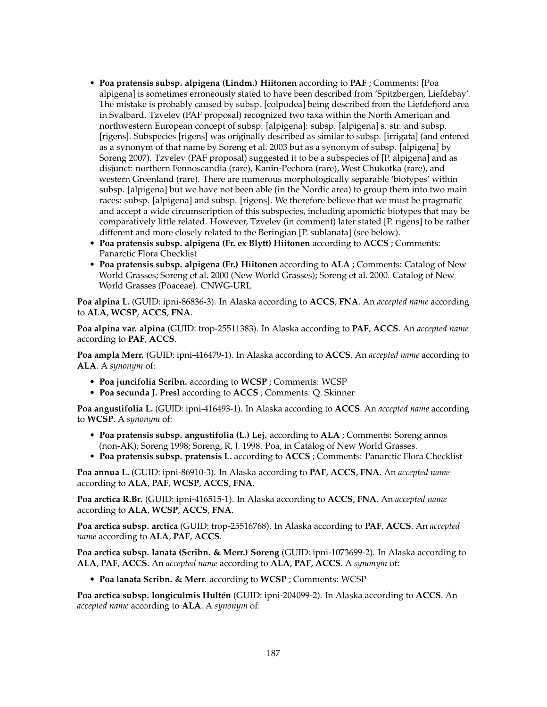- **Poa pratensis subsp. alpigena (Lindm.) Hiitonen** according to **PAF** ; Comments: [Poa alpigena] is sometimes erroneously stated to have been described from 'Spitzbergen, Liefdebay'. The mistake is probably caused by subsp. [colpodea] being described from the Liefdefjord area in Svalbard. Tzvelev (PAF proposal) recognized two taxa within the North American and northwestern European concept of subsp. [alpigena]: subsp. [alpigena] s. str. and subsp. [rigens]. Subspecies [rigens] was originally described as similar to subsp. [irrigata] (and entered as a synonym of that name by Soreng et al. 2003 but as a synonym of subsp. [alpigena] by Soreng 2007). Tzvelev (PAF proposal) suggested it to be a subspecies of [P. alpigena] and as disjunct: northern Fennoscandia (rare), Kanin-Pechora (rare), West Chukotka (rare), and western Greenland (rare). There are numerous morphologically separable 'biotypes' within subsp. [alpigena] but we have not been able (in the Nordic area) to group them into two main races: subsp. [alpigena] and subsp. [rigens]. We therefore believe that we must be pragmatic and accept a wide circumscription of this subspecies, including apomictic biotypes that may be comparatively little related. However, Tzvelev (in comment) later stated [P. rigens] to be rather different and more closely related to the Beringian [P. sublanata] (see below).
- **Poa pratensis subsp. alpigena (Fr. ex Blytt) Hiitonen** according to **ACCS** ; Comments: Panarctic Flora Checklist
- **Poa pratensis subsp. alpigena (Fr.) Hiitonen** according to **ALA** ; Comments: Catalog of New World Grasses; Soreng et al. 2000 (New World Grasses); Soreng et al. 2000. Catalog of New World Grasses (Poaceae). CNWG-URL

**Poa alpina L.** (GUID: ipni-86836-3). In Alaska according to **ACCS**, **FNA**. An *accepted name* according to **ALA**, **WCSP**, **ACCS**, **FNA**.

**Poa alpina var. alpina** (GUID: trop-25511383). In Alaska according to **PAF**, **ACCS**. An *accepted name* according to **PAF**, **ACCS**.

**Poa ampla Merr.** (GUID: ipni-416479-1). In Alaska according to **ACCS**. An *accepted name* according to **ALA**. A *synonym* of:

- **Poa juncifolia Scribn.** according to **WCSP** ; Comments: WCSP
- **Poa secunda J. Presl** according to **ACCS** ; Comments: Q. Skinner

**Poa angustifolia L.** (GUID: ipni-416493-1). In Alaska according to **ACCS**. An *accepted name* according to **WCSP**. A *synonym* of:

- **Poa pratensis subsp. angustifolia (L.) Lej.** according to **ALA** ; Comments: Soreng annos (non-AK); Soreng 1998; Soreng, R. J. 1998. Poa, in Catalog of New World Grasses.
- **Poa pratensis subsp. pratensis L.** according to **ACCS** ; Comments: Panarctic Flora Checklist

**Poa annua L.** (GUID: ipni-86910-3). In Alaska according to **PAF**, **ACCS**, **FNA**. An *accepted name* according to **ALA**, **PAF**, **WCSP**, **ACCS**, **FNA**.

**Poa arctica R.Br.** (GUID: ipni-416515-1). In Alaska according to **ACCS**, **FNA**. An *accepted name* according to **ALA**, **WCSP**, **ACCS**, **FNA**.

**Poa arctica subsp. arctica** (GUID: trop-25516768). In Alaska according to **PAF**, **ACCS**. An *accepted name* according to **ALA**, **PAF**, **ACCS**.

**Poa arctica subsp. lanata (Scribn. & Merr.) Soreng** (GUID: ipni-1073699-2). In Alaska according to **ALA**, **PAF**, **ACCS**. An *accepted name* according to **ALA**, **PAF**, **ACCS**. A *synonym* of:

• **Poa lanata Scribn. & Merr.** according to **WCSP** ; Comments: WCSP

**Poa arctica subsp. longiculmis Hultén** (GUID: ipni-204099-2). In Alaska according to **ACCS**. An *accepted name* according to **ALA**. A *synonym* of: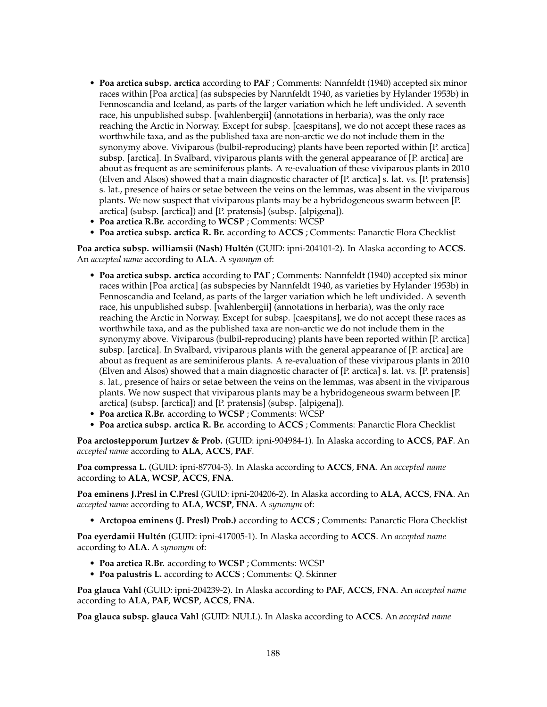- **Poa arctica subsp. arctica** according to **PAF** ; Comments: Nannfeldt (1940) accepted six minor races within [Poa arctica] (as subspecies by Nannfeldt 1940, as varieties by Hylander 1953b) in Fennoscandia and Iceland, as parts of the larger variation which he left undivided. A seventh race, his unpublished subsp. [wahlenbergii] (annotations in herbaria), was the only race reaching the Arctic in Norway. Except for subsp. [caespitans], we do not accept these races as worthwhile taxa, and as the published taxa are non-arctic we do not include them in the synonymy above. Viviparous (bulbil-reproducing) plants have been reported within [P. arctica] subsp. [arctica]. In Svalbard, viviparous plants with the general appearance of [P. arctica] are about as frequent as are seminiferous plants. A re-evaluation of these viviparous plants in 2010 (Elven and Alsos) showed that a main diagnostic character of [P. arctica] s. lat. vs. [P. pratensis] s. lat., presence of hairs or setae between the veins on the lemmas, was absent in the viviparous plants. We now suspect that viviparous plants may be a hybridogeneous swarm between [P. arctica] (subsp. [arctica]) and [P. pratensis] (subsp. [alpigena]).
- **Poa arctica R.Br.** according to **WCSP** ; Comments: WCSP
- **Poa arctica subsp. arctica R. Br.** according to **ACCS** ; Comments: Panarctic Flora Checklist

**Poa arctica subsp. williamsii (Nash) Hultén** (GUID: ipni-204101-2). In Alaska according to **ACCS**. An *accepted name* according to **ALA**. A *synonym* of:

- **Poa arctica subsp. arctica** according to **PAF** ; Comments: Nannfeldt (1940) accepted six minor races within [Poa arctica] (as subspecies by Nannfeldt 1940, as varieties by Hylander 1953b) in Fennoscandia and Iceland, as parts of the larger variation which he left undivided. A seventh race, his unpublished subsp. [wahlenbergii] (annotations in herbaria), was the only race reaching the Arctic in Norway. Except for subsp. [caespitans], we do not accept these races as worthwhile taxa, and as the published taxa are non-arctic we do not include them in the synonymy above. Viviparous (bulbil-reproducing) plants have been reported within [P. arctica] subsp. [arctica]. In Svalbard, viviparous plants with the general appearance of [P. arctica] are about as frequent as are seminiferous plants. A re-evaluation of these viviparous plants in 2010 (Elven and Alsos) showed that a main diagnostic character of [P. arctica] s. lat. vs. [P. pratensis] s. lat., presence of hairs or setae between the veins on the lemmas, was absent in the viviparous plants. We now suspect that viviparous plants may be a hybridogeneous swarm between [P. arctica] (subsp. [arctica]) and [P. pratensis] (subsp. [alpigena]).
- **Poa arctica R.Br.** according to **WCSP** ; Comments: WCSP
- **Poa arctica subsp. arctica R. Br.** according to **ACCS** ; Comments: Panarctic Flora Checklist

**Poa arctostepporum Jurtzev & Prob.** (GUID: ipni-904984-1). In Alaska according to **ACCS**, **PAF**. An *accepted name* according to **ALA**, **ACCS**, **PAF**.

**Poa compressa L.** (GUID: ipni-87704-3). In Alaska according to **ACCS**, **FNA**. An *accepted name* according to **ALA**, **WCSP**, **ACCS**, **FNA**.

**Poa eminens J.Presl in C.Presl** (GUID: ipni-204206-2). In Alaska according to **ALA**, **ACCS**, **FNA**. An *accepted name* according to **ALA**, **WCSP**, **FNA**. A *synonym* of:

• **Arctopoa eminens (J. Presl) Prob.)** according to **ACCS** ; Comments: Panarctic Flora Checklist

**Poa eyerdamii Hultén** (GUID: ipni-417005-1). In Alaska according to **ACCS**. An *accepted name* according to **ALA**. A *synonym* of:

- **Poa arctica R.Br.** according to **WCSP** ; Comments: WCSP
- **Poa palustris L.** according to **ACCS** ; Comments: Q. Skinner

**Poa glauca Vahl** (GUID: ipni-204239-2). In Alaska according to **PAF**, **ACCS**, **FNA**. An *accepted name* according to **ALA**, **PAF**, **WCSP**, **ACCS**, **FNA**.

**Poa glauca subsp. glauca Vahl** (GUID: NULL). In Alaska according to **ACCS**. An *accepted name*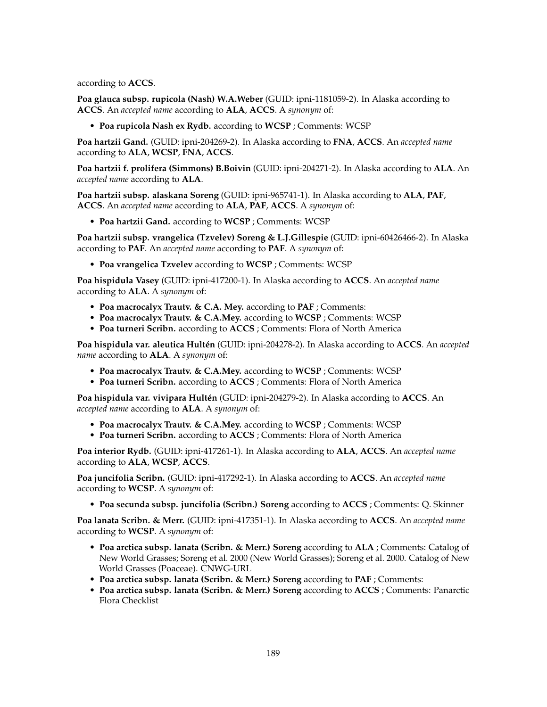according to **ACCS**.

**Poa glauca subsp. rupicola (Nash) W.A.Weber** (GUID: ipni-1181059-2). In Alaska according to **ACCS**. An *accepted name* according to **ALA**, **ACCS**. A *synonym* of:

• **Poa rupicola Nash ex Rydb.** according to **WCSP** ; Comments: WCSP

**Poa hartzii Gand.** (GUID: ipni-204269-2). In Alaska according to **FNA**, **ACCS**. An *accepted name* according to **ALA**, **WCSP**, **FNA**, **ACCS**.

**Poa hartzii f. prolifera (Simmons) B.Boivin** (GUID: ipni-204271-2). In Alaska according to **ALA**. An *accepted name* according to **ALA**.

**Poa hartzii subsp. alaskana Soreng** (GUID: ipni-965741-1). In Alaska according to **ALA**, **PAF**, **ACCS**. An *accepted name* according to **ALA**, **PAF**, **ACCS**. A *synonym* of:

• **Poa hartzii Gand.** according to **WCSP** ; Comments: WCSP

**Poa hartzii subsp. vrangelica (Tzvelev) Soreng & L.J.Gillespie** (GUID: ipni-60426466-2). In Alaska according to **PAF**. An *accepted name* according to **PAF**. A *synonym* of:

• **Poa vrangelica Tzvelev** according to **WCSP** ; Comments: WCSP

**Poa hispidula Vasey** (GUID: ipni-417200-1). In Alaska according to **ACCS**. An *accepted name* according to **ALA**. A *synonym* of:

- **Poa macrocalyx Trautv. & C.A. Mey.** according to **PAF** ; Comments:
- **Poa macrocalyx Trautv. & C.A.Mey.** according to **WCSP** ; Comments: WCSP
- **Poa turneri Scribn.** according to **ACCS** ; Comments: Flora of North America

**Poa hispidula var. aleutica Hultén** (GUID: ipni-204278-2). In Alaska according to **ACCS**. An *accepted name* according to **ALA**. A *synonym* of:

- **Poa macrocalyx Trautv. & C.A.Mey.** according to **WCSP** ; Comments: WCSP
- **Poa turneri Scribn.** according to **ACCS** ; Comments: Flora of North America

**Poa hispidula var. vivipara Hultén** (GUID: ipni-204279-2). In Alaska according to **ACCS**. An *accepted name* according to **ALA**. A *synonym* of:

- **Poa macrocalyx Trautv. & C.A.Mey.** according to **WCSP** ; Comments: WCSP
- **Poa turneri Scribn.** according to **ACCS** ; Comments: Flora of North America

**Poa interior Rydb.** (GUID: ipni-417261-1). In Alaska according to **ALA**, **ACCS**. An *accepted name* according to **ALA**, **WCSP**, **ACCS**.

**Poa juncifolia Scribn.** (GUID: ipni-417292-1). In Alaska according to **ACCS**. An *accepted name* according to **WCSP**. A *synonym* of:

• **Poa secunda subsp. juncifolia (Scribn.) Soreng** according to **ACCS** ; Comments: Q. Skinner

**Poa lanata Scribn. & Merr.** (GUID: ipni-417351-1). In Alaska according to **ACCS**. An *accepted name* according to **WCSP**. A *synonym* of:

- **Poa arctica subsp. lanata (Scribn. & Merr.) Soreng** according to **ALA** ; Comments: Catalog of New World Grasses; Soreng et al. 2000 (New World Grasses); Soreng et al. 2000. Catalog of New World Grasses (Poaceae). CNWG-URL
- **Poa arctica subsp. lanata (Scribn. & Merr.) Soreng** according to **PAF** ; Comments:
- **Poa arctica subsp. lanata (Scribn. & Merr.) Soreng** according to **ACCS** ; Comments: Panarctic Flora Checklist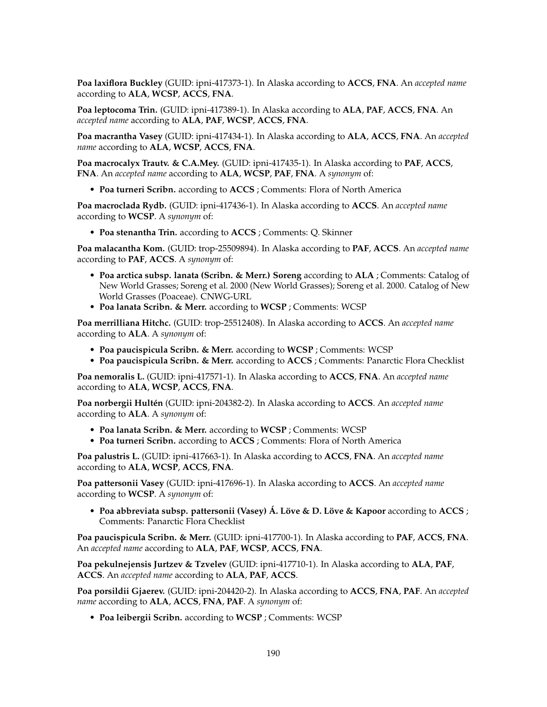**Poa laxiflora Buckley** (GUID: ipni-417373-1). In Alaska according to **ACCS**, **FNA**. An *accepted name* according to **ALA**, **WCSP**, **ACCS**, **FNA**.

**Poa leptocoma Trin.** (GUID: ipni-417389-1). In Alaska according to **ALA**, **PAF**, **ACCS**, **FNA**. An *accepted name* according to **ALA**, **PAF**, **WCSP**, **ACCS**, **FNA**.

**Poa macrantha Vasey** (GUID: ipni-417434-1). In Alaska according to **ALA**, **ACCS**, **FNA**. An *accepted name* according to **ALA**, **WCSP**, **ACCS**, **FNA**.

**Poa macrocalyx Trautv. & C.A.Mey.** (GUID: ipni-417435-1). In Alaska according to **PAF**, **ACCS**, **FNA**. An *accepted name* according to **ALA**, **WCSP**, **PAF**, **FNA**. A *synonym* of:

• **Poa turneri Scribn.** according to **ACCS** ; Comments: Flora of North America

**Poa macroclada Rydb.** (GUID: ipni-417436-1). In Alaska according to **ACCS**. An *accepted name* according to **WCSP**. A *synonym* of:

• **Poa stenantha Trin.** according to **ACCS** ; Comments: Q. Skinner

**Poa malacantha Kom.** (GUID: trop-25509894). In Alaska according to **PAF**, **ACCS**. An *accepted name* according to **PAF**, **ACCS**. A *synonym* of:

- **Poa arctica subsp. lanata (Scribn. & Merr.) Soreng** according to **ALA** ; Comments: Catalog of New World Grasses; Soreng et al. 2000 (New World Grasses); Soreng et al. 2000. Catalog of New World Grasses (Poaceae). CNWG-URL
- **Poa lanata Scribn. & Merr.** according to **WCSP** ; Comments: WCSP

**Poa merrilliana Hitchc.** (GUID: trop-25512408). In Alaska according to **ACCS**. An *accepted name* according to **ALA**. A *synonym* of:

- **Poa paucispicula Scribn. & Merr.** according to **WCSP** ; Comments: WCSP
- **Poa paucispicula Scribn. & Merr.** according to **ACCS** ; Comments: Panarctic Flora Checklist

**Poa nemoralis L.** (GUID: ipni-417571-1). In Alaska according to **ACCS**, **FNA**. An *accepted name* according to **ALA**, **WCSP**, **ACCS**, **FNA**.

**Poa norbergii Hultén** (GUID: ipni-204382-2). In Alaska according to **ACCS**. An *accepted name* according to **ALA**. A *synonym* of:

- **Poa lanata Scribn. & Merr.** according to **WCSP** ; Comments: WCSP
- **Poa turneri Scribn.** according to **ACCS** ; Comments: Flora of North America

**Poa palustris L.** (GUID: ipni-417663-1). In Alaska according to **ACCS**, **FNA**. An *accepted name* according to **ALA**, **WCSP**, **ACCS**, **FNA**.

**Poa pattersonii Vasey** (GUID: ipni-417696-1). In Alaska according to **ACCS**. An *accepted name* according to **WCSP**. A *synonym* of:

• **Poa abbreviata subsp. pattersonii (Vasey) Á. Löve & D. Löve & Kapoor** according to **ACCS** ; Comments: Panarctic Flora Checklist

**Poa paucispicula Scribn. & Merr.** (GUID: ipni-417700-1). In Alaska according to **PAF**, **ACCS**, **FNA**. An *accepted name* according to **ALA**, **PAF**, **WCSP**, **ACCS**, **FNA**.

**Poa pekulnejensis Jurtzev & Tzvelev** (GUID: ipni-417710-1). In Alaska according to **ALA**, **PAF**, **ACCS**. An *accepted name* according to **ALA**, **PAF**, **ACCS**.

**Poa porsildii Gjaerev.** (GUID: ipni-204420-2). In Alaska according to **ACCS**, **FNA**, **PAF**. An *accepted name* according to **ALA**, **ACCS**, **FNA**, **PAF**. A *synonym* of:

• **Poa leibergii Scribn.** according to **WCSP** ; Comments: WCSP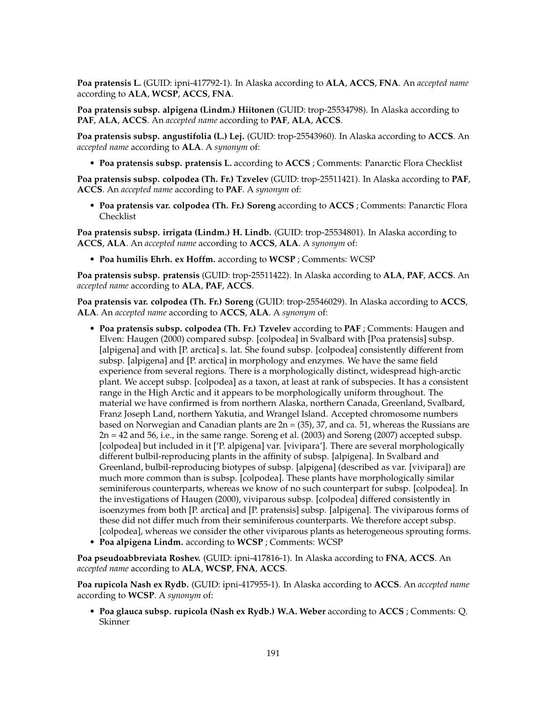**Poa pratensis L.** (GUID: ipni-417792-1). In Alaska according to **ALA**, **ACCS**, **FNA**. An *accepted name* according to **ALA**, **WCSP**, **ACCS**, **FNA**.

**Poa pratensis subsp. alpigena (Lindm.) Hiitonen** (GUID: trop-25534798). In Alaska according to **PAF**, **ALA**, **ACCS**. An *accepted name* according to **PAF**, **ALA**, **ACCS**.

**Poa pratensis subsp. angustifolia (L.) Lej.** (GUID: trop-25543960). In Alaska according to **ACCS**. An *accepted name* according to **ALA**. A *synonym* of:

• **Poa pratensis subsp. pratensis L.** according to **ACCS** ; Comments: Panarctic Flora Checklist

**Poa pratensis subsp. colpodea (Th. Fr.) Tzvelev** (GUID: trop-25511421). In Alaska according to **PAF**, **ACCS**. An *accepted name* according to **PAF**. A *synonym* of:

• **Poa pratensis var. colpodea (Th. Fr.) Soreng** according to **ACCS** ; Comments: Panarctic Flora Checklist

**Poa pratensis subsp. irrigata (Lindm.) H. Lindb.** (GUID: trop-25534801). In Alaska according to **ACCS**, **ALA**. An *accepted name* according to **ACCS**, **ALA**. A *synonym* of:

• **Poa humilis Ehrh. ex Hoffm.** according to **WCSP** ; Comments: WCSP

**Poa pratensis subsp. pratensis** (GUID: trop-25511422). In Alaska according to **ALA**, **PAF**, **ACCS**. An *accepted name* according to **ALA**, **PAF**, **ACCS**.

**Poa pratensis var. colpodea (Th. Fr.) Soreng** (GUID: trop-25546029). In Alaska according to **ACCS**, **ALA**. An *accepted name* according to **ACCS**, **ALA**. A *synonym* of:

- **Poa pratensis subsp. colpodea (Th. Fr.) Tzvelev** according to **PAF** ; Comments: Haugen and Elven: Haugen (2000) compared subsp. [colpodea] in Svalbard with [Poa pratensis] subsp. [alpigena] and with [P. arctica] s. lat. She found subsp. [colpodea] consistently different from subsp. [alpigena] and [P. arctica] in morphology and enzymes. We have the same field experience from several regions. There is a morphologically distinct, widespread high-arctic plant. We accept subsp. [colpodea] as a taxon, at least at rank of subspecies. It has a consistent range in the High Arctic and it appears to be morphologically uniform throughout. The material we have confirmed is from northern Alaska, northern Canada, Greenland, Svalbard, Franz Joseph Land, northern Yakutia, and Wrangel Island. Accepted chromosome numbers based on Norwegian and Canadian plants are  $2n = (35)$ , 37, and ca. 51, whereas the Russians are 2n = 42 and 56, i.e., in the same range. Soreng et al. (2003) and Soreng (2007) accepted subsp. [colpodea] but included in it ['P. alpigena] var. [vivipara']. There are several morphologically different bulbil-reproducing plants in the affinity of subsp. [alpigena]. In Svalbard and Greenland, bulbil-reproducing biotypes of subsp. [alpigena] (described as var. [vivipara]) are much more common than is subsp. [colpodea]. These plants have morphologically similar seminiferous counterparts, whereas we know of no such counterpart for subsp. [colpodea]. In the investigations of Haugen (2000), viviparous subsp. [colpodea] differed consistently in isoenzymes from both [P. arctica] and [P. pratensis] subsp. [alpigena]. The viviparous forms of these did not differ much from their seminiferous counterparts. We therefore accept subsp. [colpodea], whereas we consider the other viviparous plants as heterogeneous sprouting forms.
- **Poa alpigena Lindm.** according to **WCSP** ; Comments: WCSP

**Poa pseudoabbreviata Roshev.** (GUID: ipni-417816-1). In Alaska according to **FNA**, **ACCS**. An *accepted name* according to **ALA**, **WCSP**, **FNA**, **ACCS**.

**Poa rupicola Nash ex Rydb.** (GUID: ipni-417955-1). In Alaska according to **ACCS**. An *accepted name* according to **WCSP**. A *synonym* of:

• **Poa glauca subsp. rupicola (Nash ex Rydb.) W.A. Weber** according to **ACCS** ; Comments: Q. Skinner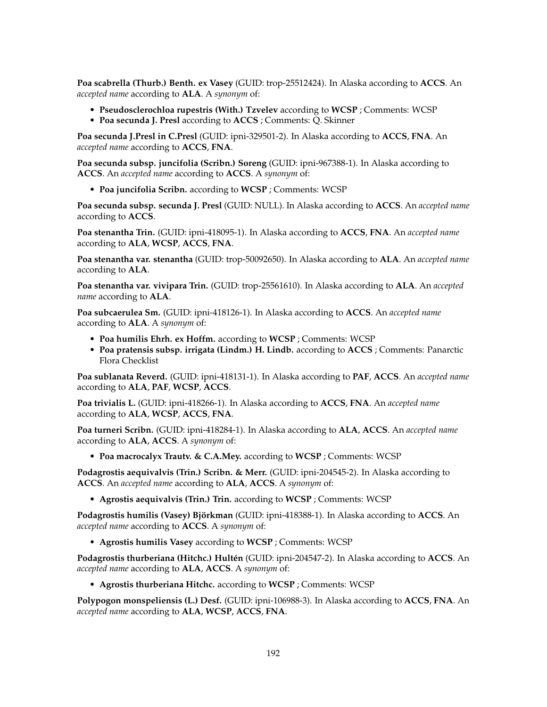**Poa scabrella (Thurb.) Benth. ex Vasey** (GUID: trop-25512424). In Alaska according to **ACCS**. An *accepted name* according to **ALA**. A *synonym* of:

• **Pseudosclerochloa rupestris (With.) Tzvelev** according to **WCSP** ; Comments: WCSP • **Poa secunda J. Presl** according to **ACCS** ; Comments: Q. Skinner

**Poa secunda J.Presl in C.Presl** (GUID: ipni-329501-2). In Alaska according to **ACCS**, **FNA**. An *accepted name* according to **ACCS**, **FNA**.

**Poa secunda subsp. juncifolia (Scribn.) Soreng** (GUID: ipni-967388-1). In Alaska according to **ACCS**. An *accepted name* according to **ACCS**. A *synonym* of:

• **Poa juncifolia Scribn.** according to **WCSP** ; Comments: WCSP

**Poa secunda subsp. secunda J. Presl** (GUID: NULL). In Alaska according to **ACCS**. An *accepted name* according to **ACCS**.

**Poa stenantha Trin.** (GUID: ipni-418095-1). In Alaska according to **ACCS**, **FNA**. An *accepted name* according to **ALA**, **WCSP**, **ACCS**, **FNA**.

**Poa stenantha var. stenantha** (GUID: trop-50092650). In Alaska according to **ALA**. An *accepted name* according to **ALA**.

**Poa stenantha var. vivipara Trin.** (GUID: trop-25561610). In Alaska according to **ALA**. An *accepted name* according to **ALA**.

**Poa subcaerulea Sm.** (GUID: ipni-418126-1). In Alaska according to **ACCS**. An *accepted name* according to **ALA**. A *synonym* of:

- **Poa humilis Ehrh. ex Hoffm.** according to **WCSP** ; Comments: WCSP
- **Poa pratensis subsp. irrigata (Lindm.) H. Lindb.** according to **ACCS** ; Comments: Panarctic Flora Checklist

**Poa sublanata Reverd.** (GUID: ipni-418131-1). In Alaska according to **PAF**, **ACCS**. An *accepted name* according to **ALA**, **PAF**, **WCSP**, **ACCS**.

**Poa trivialis L.** (GUID: ipni-418266-1). In Alaska according to **ACCS**, **FNA**. An *accepted name* according to **ALA**, **WCSP**, **ACCS**, **FNA**.

**Poa turneri Scribn.** (GUID: ipni-418284-1). In Alaska according to **ALA**, **ACCS**. An *accepted name* according to **ALA**, **ACCS**. A *synonym* of:

• **Poa macrocalyx Trautv. & C.A.Mey.** according to **WCSP** ; Comments: WCSP

**Podagrostis aequivalvis (Trin.) Scribn. & Merr.** (GUID: ipni-204545-2). In Alaska according to **ACCS**. An *accepted name* according to **ALA**, **ACCS**. A *synonym* of:

• **Agrostis aequivalvis (Trin.) Trin.** according to **WCSP** ; Comments: WCSP

**Podagrostis humilis (Vasey) Björkman** (GUID: ipni-418388-1). In Alaska according to **ACCS**. An *accepted name* according to **ACCS**. A *synonym* of:

• **Agrostis humilis Vasey** according to **WCSP** ; Comments: WCSP

**Podagrostis thurberiana (Hitchc.) Hultén** (GUID: ipni-204547-2). In Alaska according to **ACCS**. An *accepted name* according to **ALA**, **ACCS**. A *synonym* of:

• **Agrostis thurberiana Hitchc.** according to **WCSP** ; Comments: WCSP

**Polypogon monspeliensis (L.) Desf.** (GUID: ipni-106988-3). In Alaska according to **ACCS**, **FNA**. An *accepted name* according to **ALA**, **WCSP**, **ACCS**, **FNA**.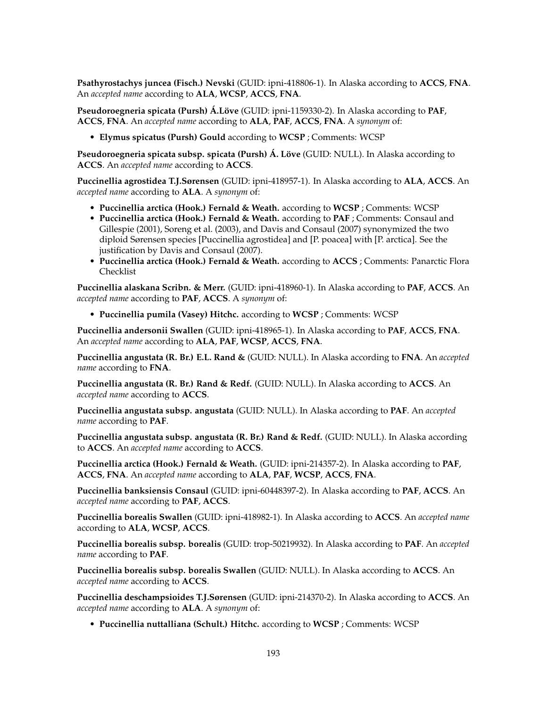**Psathyrostachys juncea (Fisch.) Nevski** (GUID: ipni-418806-1). In Alaska according to **ACCS**, **FNA**. An *accepted name* according to **ALA**, **WCSP**, **ACCS**, **FNA**.

**Pseudoroegneria spicata (Pursh) Á.Löve** (GUID: ipni-1159330-2). In Alaska according to **PAF**, **ACCS**, **FNA**. An *accepted name* according to **ALA**, **PAF**, **ACCS**, **FNA**. A *synonym* of:

• **Elymus spicatus (Pursh) Gould** according to **WCSP** ; Comments: WCSP

**Pseudoroegneria spicata subsp. spicata (Pursh) Á. Löve** (GUID: NULL). In Alaska according to **ACCS**. An *accepted name* according to **ACCS**.

**Puccinellia agrostidea T.J.Sørensen** (GUID: ipni-418957-1). In Alaska according to **ALA**, **ACCS**. An *accepted name* according to **ALA**. A *synonym* of:

- **Puccinellia arctica (Hook.) Fernald & Weath.** according to **WCSP** ; Comments: WCSP
- **Puccinellia arctica (Hook.) Fernald & Weath.** according to **PAF** ; Comments: Consaul and Gillespie (2001), Soreng et al. (2003), and Davis and Consaul (2007) synonymized the two diploid Sørensen species [Puccinellia agrostidea] and [P. poacea] with [P. arctica]. See the justification by Davis and Consaul (2007).
- **Puccinellia arctica (Hook.) Fernald & Weath.** according to **ACCS** ; Comments: Panarctic Flora Checklist

**Puccinellia alaskana Scribn. & Merr.** (GUID: ipni-418960-1). In Alaska according to **PAF**, **ACCS**. An *accepted name* according to **PAF**, **ACCS**. A *synonym* of:

• **Puccinellia pumila (Vasey) Hitchc.** according to **WCSP** ; Comments: WCSP

**Puccinellia andersonii Swallen** (GUID: ipni-418965-1). In Alaska according to **PAF**, **ACCS**, **FNA**. An *accepted name* according to **ALA**, **PAF**, **WCSP**, **ACCS**, **FNA**.

**Puccinellia angustata (R. Br.) E.L. Rand &** (GUID: NULL). In Alaska according to **FNA**. An *accepted name* according to **FNA**.

**Puccinellia angustata (R. Br.) Rand & Redf.** (GUID: NULL). In Alaska according to **ACCS**. An *accepted name* according to **ACCS**.

**Puccinellia angustata subsp. angustata** (GUID: NULL). In Alaska according to **PAF**. An *accepted name* according to **PAF**.

**Puccinellia angustata subsp. angustata (R. Br.) Rand & Redf.** (GUID: NULL). In Alaska according to **ACCS**. An *accepted name* according to **ACCS**.

**Puccinellia arctica (Hook.) Fernald & Weath.** (GUID: ipni-214357-2). In Alaska according to **PAF**, **ACCS**, **FNA**. An *accepted name* according to **ALA**, **PAF**, **WCSP**, **ACCS**, **FNA**.

**Puccinellia banksiensis Consaul** (GUID: ipni-60448397-2). In Alaska according to **PAF**, **ACCS**. An *accepted name* according to **PAF**, **ACCS**.

**Puccinellia borealis Swallen** (GUID: ipni-418982-1). In Alaska according to **ACCS**. An *accepted name* according to **ALA**, **WCSP**, **ACCS**.

**Puccinellia borealis subsp. borealis** (GUID: trop-50219932). In Alaska according to **PAF**. An *accepted name* according to **PAF**.

**Puccinellia borealis subsp. borealis Swallen** (GUID: NULL). In Alaska according to **ACCS**. An *accepted name* according to **ACCS**.

**Puccinellia deschampsioides T.J.Sørensen** (GUID: ipni-214370-2). In Alaska according to **ACCS**. An *accepted name* according to **ALA**. A *synonym* of:

• **Puccinellia nuttalliana (Schult.) Hitchc.** according to **WCSP** ; Comments: WCSP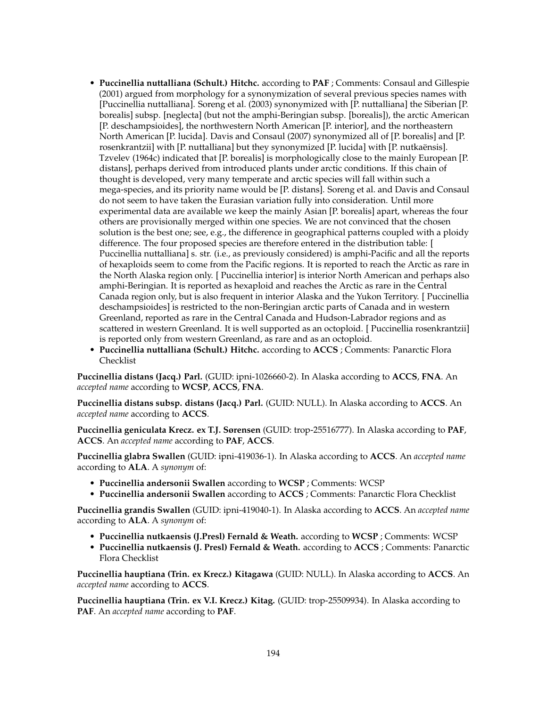- **Puccinellia nuttalliana (Schult.) Hitchc.** according to **PAF** ; Comments: Consaul and Gillespie (2001) argued from morphology for a synonymization of several previous species names with [Puccinellia nuttalliana]. Soreng et al. (2003) synonymized with [P. nuttalliana] the Siberian [P. borealis] subsp. [neglecta] (but not the amphi-Beringian subsp. [borealis]), the arctic American [P. deschampsioides], the northwestern North American [P. interior], and the northeastern North American [P. lucida]. Davis and Consaul (2007) synonymized all of [P. borealis] and [P. rosenkrantzii] with [P. nuttalliana] but they synonymized [P. lucida] with [P. nutkaënsis]. Tzvelev (1964c) indicated that [P. borealis] is morphologically close to the mainly European [P. distans], perhaps derived from introduced plants under arctic conditions. If this chain of thought is developed, very many temperate and arctic species will fall within such a mega-species, and its priority name would be [P. distans]. Soreng et al. and Davis and Consaul do not seem to have taken the Eurasian variation fully into consideration. Until more experimental data are available we keep the mainly Asian [P. borealis] apart, whereas the four others are provisionally merged within one species. We are not convinced that the chosen solution is the best one; see, e.g., the difference in geographical patterns coupled with a ploidy difference. The four proposed species are therefore entered in the distribution table: [ Puccinellia nuttalliana] s. str. (i.e., as previously considered) is amphi-Pacific and all the reports of hexaploids seem to come from the Pacific regions. It is reported to reach the Arctic as rare in the North Alaska region only. [ Puccinellia interior] is interior North American and perhaps also amphi-Beringian. It is reported as hexaploid and reaches the Arctic as rare in the Central Canada region only, but is also frequent in interior Alaska and the Yukon Territory. [ Puccinellia deschampsioides] is restricted to the non-Beringian arctic parts of Canada and in western Greenland, reported as rare in the Central Canada and Hudson-Labrador regions and as scattered in western Greenland. It is well supported as an octoploid. [ Puccinellia rosenkrantzii] is reported only from western Greenland, as rare and as an octoploid.
- **Puccinellia nuttalliana (Schult.) Hitchc.** according to **ACCS** ; Comments: Panarctic Flora Checklist

**Puccinellia distans (Jacq.) Parl.** (GUID: ipni-1026660-2). In Alaska according to **ACCS**, **FNA**. An *accepted name* according to **WCSP**, **ACCS**, **FNA**.

**Puccinellia distans subsp. distans (Jacq.) Parl.** (GUID: NULL). In Alaska according to **ACCS**. An *accepted name* according to **ACCS**.

**Puccinellia geniculata Krecz. ex T.J. Sørensen** (GUID: trop-25516777). In Alaska according to **PAF**, **ACCS**. An *accepted name* according to **PAF**, **ACCS**.

**Puccinellia glabra Swallen** (GUID: ipni-419036-1). In Alaska according to **ACCS**. An *accepted name* according to **ALA**. A *synonym* of:

- **Puccinellia andersonii Swallen** according to **WCSP** ; Comments: WCSP
- **Puccinellia andersonii Swallen** according to **ACCS** ; Comments: Panarctic Flora Checklist

**Puccinellia grandis Swallen** (GUID: ipni-419040-1). In Alaska according to **ACCS**. An *accepted name* according to **ALA**. A *synonym* of:

- **Puccinellia nutkaensis (J.Presl) Fernald & Weath.** according to **WCSP** ; Comments: WCSP
- **Puccinellia nutkaensis (J. Presl) Fernald & Weath.** according to **ACCS** ; Comments: Panarctic Flora Checklist

**Puccinellia hauptiana (Trin. ex Krecz.) Kitagawa** (GUID: NULL). In Alaska according to **ACCS**. An *accepted name* according to **ACCS**.

**Puccinellia hauptiana (Trin. ex V.I. Krecz.) Kitag.** (GUID: trop-25509934). In Alaska according to **PAF**. An *accepted name* according to **PAF**.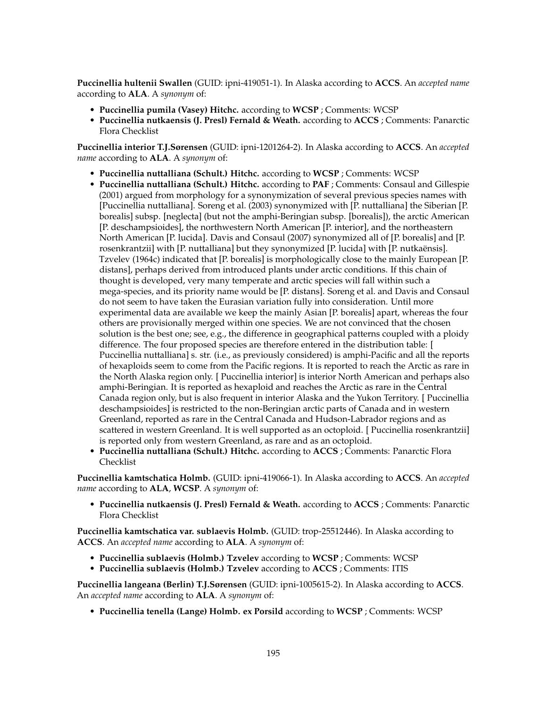**Puccinellia hultenii Swallen** (GUID: ipni-419051-1). In Alaska according to **ACCS**. An *accepted name* according to **ALA**. A *synonym* of:

- **Puccinellia pumila (Vasey) Hitchc.** according to **WCSP** ; Comments: WCSP
- **Puccinellia nutkaensis (J. Presl) Fernald & Weath.** according to **ACCS** ; Comments: Panarctic Flora Checklist

**Puccinellia interior T.J.Sørensen** (GUID: ipni-1201264-2). In Alaska according to **ACCS**. An *accepted name* according to **ALA**. A *synonym* of:

- **Puccinellia nuttalliana (Schult.) Hitchc.** according to **WCSP** ; Comments: WCSP
- **Puccinellia nuttalliana (Schult.) Hitchc.** according to **PAF** ; Comments: Consaul and Gillespie (2001) argued from morphology for a synonymization of several previous species names with [Puccinellia nuttalliana]. Soreng et al. (2003) synonymized with [P. nuttalliana] the Siberian [P. borealis] subsp. [neglecta] (but not the amphi-Beringian subsp. [borealis]), the arctic American [P. deschampsioides], the northwestern North American [P. interior], and the northeastern North American [P. lucida]. Davis and Consaul (2007) synonymized all of [P. borealis] and [P. rosenkrantzii] with [P. nuttalliana] but they synonymized [P. lucida] with [P. nutkaënsis]. Tzvelev (1964c) indicated that [P. borealis] is morphologically close to the mainly European [P. distans], perhaps derived from introduced plants under arctic conditions. If this chain of thought is developed, very many temperate and arctic species will fall within such a mega-species, and its priority name would be [P. distans]. Soreng et al. and Davis and Consaul do not seem to have taken the Eurasian variation fully into consideration. Until more experimental data are available we keep the mainly Asian [P. borealis] apart, whereas the four others are provisionally merged within one species. We are not convinced that the chosen solution is the best one; see, e.g., the difference in geographical patterns coupled with a ploidy difference. The four proposed species are therefore entered in the distribution table: [ Puccinellia nuttalliana] s. str. (i.e., as previously considered) is amphi-Pacific and all the reports of hexaploids seem to come from the Pacific regions. It is reported to reach the Arctic as rare in the North Alaska region only. [ Puccinellia interior] is interior North American and perhaps also amphi-Beringian. It is reported as hexaploid and reaches the Arctic as rare in the Central Canada region only, but is also frequent in interior Alaska and the Yukon Territory. [ Puccinellia deschampsioides] is restricted to the non-Beringian arctic parts of Canada and in western Greenland, reported as rare in the Central Canada and Hudson-Labrador regions and as scattered in western Greenland. It is well supported as an octoploid. [ Puccinellia rosenkrantzii] is reported only from western Greenland, as rare and as an octoploid.
- **Puccinellia nuttalliana (Schult.) Hitchc.** according to **ACCS** ; Comments: Panarctic Flora Checklist

**Puccinellia kamtschatica Holmb.** (GUID: ipni-419066-1). In Alaska according to **ACCS**. An *accepted name* according to **ALA**, **WCSP**. A *synonym* of:

• **Puccinellia nutkaensis (J. Presl) Fernald & Weath.** according to **ACCS** ; Comments: Panarctic Flora Checklist

**Puccinellia kamtschatica var. sublaevis Holmb.** (GUID: trop-25512446). In Alaska according to **ACCS**. An *accepted name* according to **ALA**. A *synonym* of:

- **Puccinellia sublaevis (Holmb.) Tzvelev** according to **WCSP** ; Comments: WCSP
- **Puccinellia sublaevis (Holmb.) Tzvelev** according to **ACCS** ; Comments: ITIS

**Puccinellia langeana (Berlin) T.J.Sørensen** (GUID: ipni-1005615-2). In Alaska according to **ACCS**. An *accepted name* according to **ALA**. A *synonym* of:

• **Puccinellia tenella (Lange) Holmb. ex Porsild** according to **WCSP** ; Comments: WCSP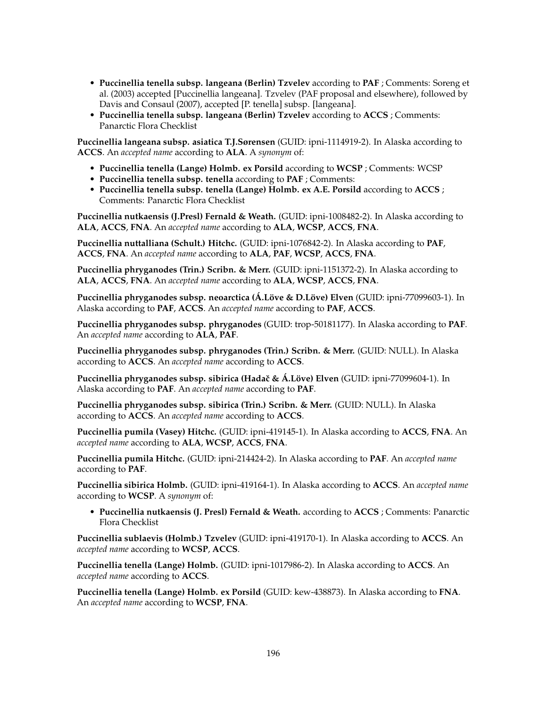- **Puccinellia tenella subsp. langeana (Berlin) Tzvelev** according to **PAF** ; Comments: Soreng et al. (2003) accepted [Puccinellia langeana]. Tzvelev (PAF proposal and elsewhere), followed by Davis and Consaul (2007), accepted [P. tenella] subsp. [langeana].
- **Puccinellia tenella subsp. langeana (Berlin) Tzvelev** according to **ACCS** ; Comments: Panarctic Flora Checklist

**Puccinellia langeana subsp. asiatica T.J.Sørensen** (GUID: ipni-1114919-2). In Alaska according to **ACCS**. An *accepted name* according to **ALA**. A *synonym* of:

- **Puccinellia tenella (Lange) Holmb. ex Porsild** according to **WCSP** ; Comments: WCSP
- **Puccinellia tenella subsp. tenella** according to **PAF** ; Comments:
- **Puccinellia tenella subsp. tenella (Lange) Holmb. ex A.E. Porsild** according to **ACCS** ; Comments: Panarctic Flora Checklist

**Puccinellia nutkaensis (J.Presl) Fernald & Weath.** (GUID: ipni-1008482-2). In Alaska according to **ALA**, **ACCS**, **FNA**. An *accepted name* according to **ALA**, **WCSP**, **ACCS**, **FNA**.

**Puccinellia nuttalliana (Schult.) Hitchc.** (GUID: ipni-1076842-2). In Alaska according to **PAF**, **ACCS**, **FNA**. An *accepted name* according to **ALA**, **PAF**, **WCSP**, **ACCS**, **FNA**.

**Puccinellia phryganodes (Trin.) Scribn. & Merr.** (GUID: ipni-1151372-2). In Alaska according to **ALA**, **ACCS**, **FNA**. An *accepted name* according to **ALA**, **WCSP**, **ACCS**, **FNA**.

**Puccinellia phryganodes subsp. neoarctica (Á.Löve & D.Löve) Elven** (GUID: ipni-77099603-1). In Alaska according to **PAF**, **ACCS**. An *accepted name* according to **PAF**, **ACCS**.

**Puccinellia phryganodes subsp. phryganodes** (GUID: trop-50181177). In Alaska according to **PAF**. An *accepted name* according to **ALA**, **PAF**.

**Puccinellia phryganodes subsp. phryganodes (Trin.) Scribn. & Merr.** (GUID: NULL). In Alaska according to **ACCS**. An *accepted name* according to **ACCS**.

**Puccinellia phryganodes subsp. sibirica (Hadaˇc & Á.Löve) Elven** (GUID: ipni-77099604-1). In Alaska according to **PAF**. An *accepted name* according to **PAF**.

**Puccinellia phryganodes subsp. sibirica (Trin.) Scribn. & Merr.** (GUID: NULL). In Alaska according to **ACCS**. An *accepted name* according to **ACCS**.

**Puccinellia pumila (Vasey) Hitchc.** (GUID: ipni-419145-1). In Alaska according to **ACCS**, **FNA**. An *accepted name* according to **ALA**, **WCSP**, **ACCS**, **FNA**.

**Puccinellia pumila Hitchc.** (GUID: ipni-214424-2). In Alaska according to **PAF**. An *accepted name* according to **PAF**.

**Puccinellia sibirica Holmb.** (GUID: ipni-419164-1). In Alaska according to **ACCS**. An *accepted name* according to **WCSP**. A *synonym* of:

• **Puccinellia nutkaensis (J. Presl) Fernald & Weath.** according to **ACCS** ; Comments: Panarctic Flora Checklist

**Puccinellia sublaevis (Holmb.) Tzvelev** (GUID: ipni-419170-1). In Alaska according to **ACCS**. An *accepted name* according to **WCSP**, **ACCS**.

**Puccinellia tenella (Lange) Holmb.** (GUID: ipni-1017986-2). In Alaska according to **ACCS**. An *accepted name* according to **ACCS**.

**Puccinellia tenella (Lange) Holmb. ex Porsild** (GUID: kew-438873). In Alaska according to **FNA**. An *accepted name* according to **WCSP**, **FNA**.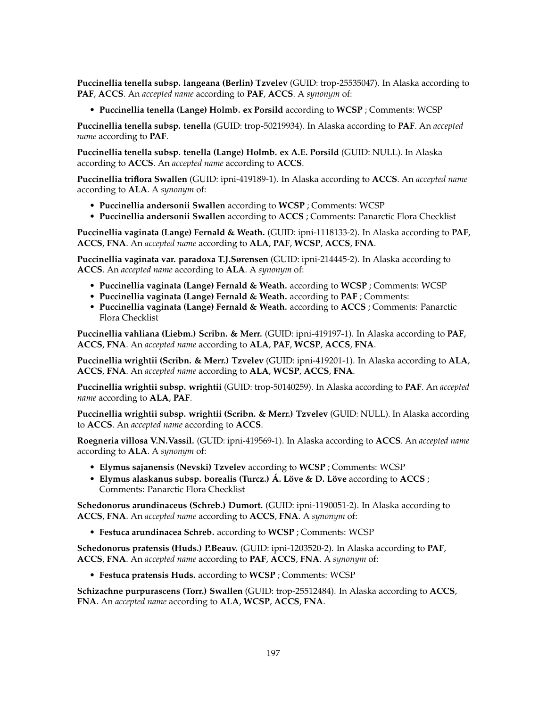**Puccinellia tenella subsp. langeana (Berlin) Tzvelev** (GUID: trop-25535047). In Alaska according to **PAF**, **ACCS**. An *accepted name* according to **PAF**, **ACCS**. A *synonym* of:

• **Puccinellia tenella (Lange) Holmb. ex Porsild** according to **WCSP** ; Comments: WCSP

**Puccinellia tenella subsp. tenella** (GUID: trop-50219934). In Alaska according to **PAF**. An *accepted name* according to **PAF**.

**Puccinellia tenella subsp. tenella (Lange) Holmb. ex A.E. Porsild** (GUID: NULL). In Alaska according to **ACCS**. An *accepted name* according to **ACCS**.

**Puccinellia triflora Swallen** (GUID: ipni-419189-1). In Alaska according to **ACCS**. An *accepted name* according to **ALA**. A *synonym* of:

- **Puccinellia andersonii Swallen** according to **WCSP** ; Comments: WCSP
- **Puccinellia andersonii Swallen** according to **ACCS** ; Comments: Panarctic Flora Checklist

**Puccinellia vaginata (Lange) Fernald & Weath.** (GUID: ipni-1118133-2). In Alaska according to **PAF**, **ACCS**, **FNA**. An *accepted name* according to **ALA**, **PAF**, **WCSP**, **ACCS**, **FNA**.

**Puccinellia vaginata var. paradoxa T.J.Sørensen** (GUID: ipni-214445-2). In Alaska according to **ACCS**. An *accepted name* according to **ALA**. A *synonym* of:

- **Puccinellia vaginata (Lange) Fernald & Weath.** according to **WCSP** ; Comments: WCSP
- **Puccinellia vaginata (Lange) Fernald & Weath.** according to **PAF** ; Comments:
- **Puccinellia vaginata (Lange) Fernald & Weath.** according to **ACCS** ; Comments: Panarctic Flora Checklist

**Puccinellia vahliana (Liebm.) Scribn. & Merr.** (GUID: ipni-419197-1). In Alaska according to **PAF**, **ACCS**, **FNA**. An *accepted name* according to **ALA**, **PAF**, **WCSP**, **ACCS**, **FNA**.

**Puccinellia wrightii (Scribn. & Merr.) Tzvelev** (GUID: ipni-419201-1). In Alaska according to **ALA**, **ACCS**, **FNA**. An *accepted name* according to **ALA**, **WCSP**, **ACCS**, **FNA**.

**Puccinellia wrightii subsp. wrightii** (GUID: trop-50140259). In Alaska according to **PAF**. An *accepted name* according to **ALA**, **PAF**.

**Puccinellia wrightii subsp. wrightii (Scribn. & Merr.) Tzvelev** (GUID: NULL). In Alaska according to **ACCS**. An *accepted name* according to **ACCS**.

**Roegneria villosa V.N.Vassil.** (GUID: ipni-419569-1). In Alaska according to **ACCS**. An *accepted name* according to **ALA**. A *synonym* of:

- **Elymus sajanensis (Nevski) Tzvelev** according to **WCSP** ; Comments: WCSP
- **Elymus alaskanus subsp. borealis (Turcz.) Á. Löve & D. Löve** according to **ACCS** ; Comments: Panarctic Flora Checklist

**Schedonorus arundinaceus (Schreb.) Dumort.** (GUID: ipni-1190051-2). In Alaska according to **ACCS**, **FNA**. An *accepted name* according to **ACCS**, **FNA**. A *synonym* of:

• **Festuca arundinacea Schreb.** according to **WCSP** ; Comments: WCSP

**Schedonorus pratensis (Huds.) P.Beauv.** (GUID: ipni-1203520-2). In Alaska according to **PAF**, **ACCS**, **FNA**. An *accepted name* according to **PAF**, **ACCS**, **FNA**. A *synonym* of:

• **Festuca pratensis Huds.** according to **WCSP** ; Comments: WCSP

**Schizachne purpurascens (Torr.) Swallen** (GUID: trop-25512484). In Alaska according to **ACCS**, **FNA**. An *accepted name* according to **ALA**, **WCSP**, **ACCS**, **FNA**.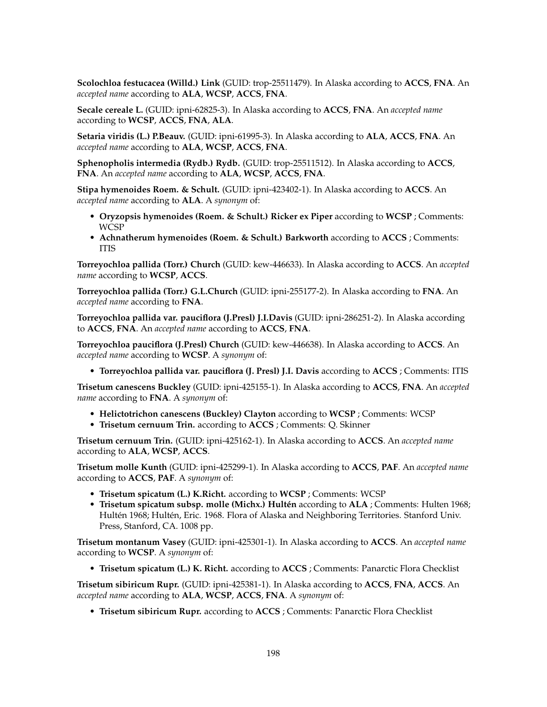**Scolochloa festucacea (Willd.) Link** (GUID: trop-25511479). In Alaska according to **ACCS**, **FNA**. An *accepted name* according to **ALA**, **WCSP**, **ACCS**, **FNA**.

**Secale cereale L.** (GUID: ipni-62825-3). In Alaska according to **ACCS**, **FNA**. An *accepted name* according to **WCSP**, **ACCS**, **FNA**, **ALA**.

**Setaria viridis (L.) P.Beauv.** (GUID: ipni-61995-3). In Alaska according to **ALA**, **ACCS**, **FNA**. An *accepted name* according to **ALA**, **WCSP**, **ACCS**, **FNA**.

**Sphenopholis intermedia (Rydb.) Rydb.** (GUID: trop-25511512). In Alaska according to **ACCS**, **FNA**. An *accepted name* according to **ALA**, **WCSP**, **ACCS**, **FNA**.

**Stipa hymenoides Roem. & Schult.** (GUID: ipni-423402-1). In Alaska according to **ACCS**. An *accepted name* according to **ALA**. A *synonym* of:

- **Oryzopsis hymenoides (Roem. & Schult.) Ricker ex Piper** according to **WCSP** ; Comments: WCSP
- **Achnatherum hymenoides (Roem. & Schult.) Barkworth** according to **ACCS** ; Comments: ITIS

**Torreyochloa pallida (Torr.) Church** (GUID: kew-446633). In Alaska according to **ACCS**. An *accepted name* according to **WCSP**, **ACCS**.

**Torreyochloa pallida (Torr.) G.L.Church** (GUID: ipni-255177-2). In Alaska according to **FNA**. An *accepted name* according to **FNA**.

**Torreyochloa pallida var. pauciflora (J.Presl) J.I.Davis** (GUID: ipni-286251-2). In Alaska according to **ACCS**, **FNA**. An *accepted name* according to **ACCS**, **FNA**.

**Torreyochloa pauciflora (J.Presl) Church** (GUID: kew-446638). In Alaska according to **ACCS**. An *accepted name* according to **WCSP**. A *synonym* of:

• **Torreyochloa pallida var. pauciflora (J. Presl) J.I. Davis** according to **ACCS** ; Comments: ITIS

**Trisetum canescens Buckley** (GUID: ipni-425155-1). In Alaska according to **ACCS**, **FNA**. An *accepted name* according to **FNA**. A *synonym* of:

- **Helictotrichon canescens (Buckley) Clayton** according to **WCSP** ; Comments: WCSP
- **Trisetum cernuum Trin.** according to **ACCS** ; Comments: Q. Skinner

**Trisetum cernuum Trin.** (GUID: ipni-425162-1). In Alaska according to **ACCS**. An *accepted name* according to **ALA**, **WCSP**, **ACCS**.

**Trisetum molle Kunth** (GUID: ipni-425299-1). In Alaska according to **ACCS**, **PAF**. An *accepted name* according to **ACCS**, **PAF**. A *synonym* of:

- **Trisetum spicatum (L.) K.Richt.** according to **WCSP** ; Comments: WCSP
- **Trisetum spicatum subsp. molle (Michx.) Hultén** according to **ALA** ; Comments: Hulten 1968; Hultén 1968; Hultén, Eric. 1968. Flora of Alaska and Neighboring Territories. Stanford Univ. Press, Stanford, CA. 1008 pp.

**Trisetum montanum Vasey** (GUID: ipni-425301-1). In Alaska according to **ACCS**. An *accepted name* according to **WCSP**. A *synonym* of:

• **Trisetum spicatum (L.) K. Richt.** according to **ACCS** ; Comments: Panarctic Flora Checklist

**Trisetum sibiricum Rupr.** (GUID: ipni-425381-1). In Alaska according to **ACCS**, **FNA**, **ACCS**. An *accepted name* according to **ALA**, **WCSP**, **ACCS**, **FNA**. A *synonym* of:

• **Trisetum sibiricum Rupr.** according to **ACCS** ; Comments: Panarctic Flora Checklist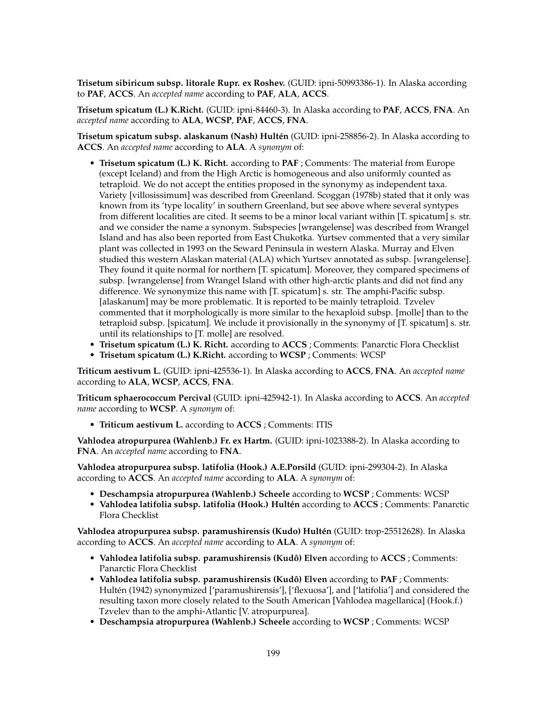**Trisetum sibiricum subsp. litorale Rupr. ex Roshev.** (GUID: ipni-50993386-1). In Alaska according to **PAF**, **ACCS**. An *accepted name* according to **PAF**, **ALA**, **ACCS**.

**Trisetum spicatum (L.) K.Richt.** (GUID: ipni-84460-3). In Alaska according to **PAF**, **ACCS**, **FNA**. An *accepted name* according to **ALA**, **WCSP**, **PAF**, **ACCS**, **FNA**.

**Trisetum spicatum subsp. alaskanum (Nash) Hultén** (GUID: ipni-258856-2). In Alaska according to **ACCS**. An *accepted name* according to **ALA**. A *synonym* of:

- **Trisetum spicatum (L.) K. Richt.** according to **PAF** ; Comments: The material from Europe (except Iceland) and from the High Arctic is homogeneous and also uniformly counted as tetraploid. We do not accept the entities proposed in the synonymy as independent taxa. Variety [villosissimum] was described from Greenland. Scoggan (1978b) stated that it only was known from its 'type locality' in southern Greenland, but see above where several syntypes from different localities are cited. It seems to be a minor local variant within [T. spicatum] s. str. and we consider the name a synonym. Subspecies [wrangelense] was described from Wrangel Island and has also been reported from East Chukotka. Yurtsev commented that a very similar plant was collected in 1993 on the Seward Peninsula in western Alaska. Murray and Elven studied this western Alaskan material (ALA) which Yurtsev annotated as subsp. [wrangelense]. They found it quite normal for northern [T. spicatum]. Moreover, they compared specimens of subsp. [wrangelense] from Wrangel Island with other high-arctic plants and did not find any difference. We synonymize this name with [T. spicatum] s. str. The amphi-Pacific subsp. [alaskanum] may be more problematic. It is reported to be mainly tetraploid. Tzvelev commented that it morphologically is more similar to the hexaploid subsp. [molle] than to the tetraploid subsp. [spicatum]. We include it provisionally in the synonymy of [T. spicatum] s. str. until its relationships to [T. molle] are resolved.
- **Trisetum spicatum (L.) K. Richt.** according to **ACCS** ; Comments: Panarctic Flora Checklist • **Trisetum spicatum (L.) K.Richt.** according to **WCSP** ; Comments: WCSP

**Triticum aestivum L.** (GUID: ipni-425536-1). In Alaska according to **ACCS**, **FNA**. An *accepted name* according to **ALA**, **WCSP**, **ACCS**, **FNA**.

**Triticum sphaerococcum Percival** (GUID: ipni-425942-1). In Alaska according to **ACCS**. An *accepted name* according to **WCSP**. A *synonym* of:

• **Triticum aestivum L.** according to **ACCS** ; Comments: ITIS

**Vahlodea atropurpurea (Wahlenb.) Fr. ex Hartm.** (GUID: ipni-1023388-2). In Alaska according to **FNA**. An *accepted name* according to **FNA**.

**Vahlodea atropurpurea subsp. latifolia (Hook.) A.E.Porsild** (GUID: ipni-299304-2). In Alaska according to **ACCS**. An *accepted name* according to **ALA**. A *synonym* of:

- **Deschampsia atropurpurea (Wahlenb.) Scheele** according to **WCSP** ; Comments: WCSP
- **Vahlodea latifolia subsp. latifolia (Hook.) Hultén** according to **ACCS** ; Comments: Panarctic Flora Checklist

**Vahlodea atropurpurea subsp. paramushirensis (Kudo) Hultén** (GUID: trop-25512628). In Alaska according to **ACCS**. An *accepted name* according to **ALA**. A *synonym* of:

- **Vahlodea latifolia subsp. paramushirensis (Kudô) Elven** according to **ACCS** ; Comments: Panarctic Flora Checklist
- **Vahlodea latifolia subsp. paramushirensis (Kudô) Elven** according to **PAF** ; Comments: Hultén (1942) synonymized ['paramushirensis'], ['flexuosa'], and ['latifolia'] and considered the resulting taxon more closely related to the South American [Vahlodea magellanica] (Hook.f.) Tzvelev than to the amphi-Atlantic [V. atropurpurea].
- **Deschampsia atropurpurea (Wahlenb.) Scheele** according to **WCSP** ; Comments: WCSP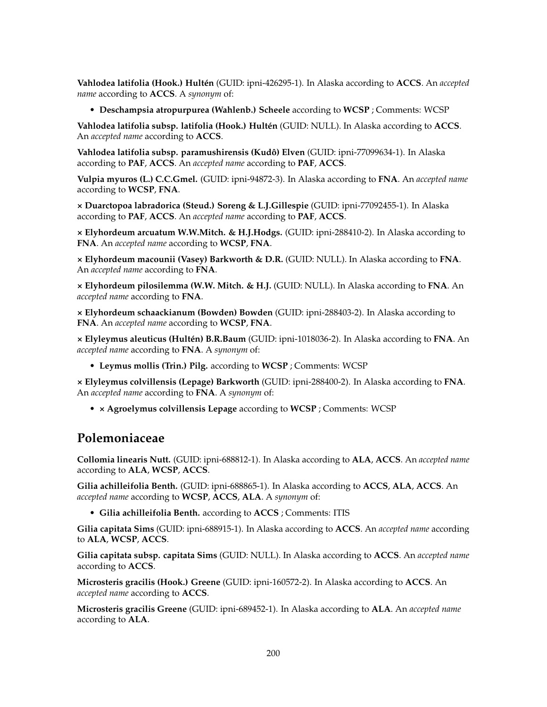**Vahlodea latifolia (Hook.) Hultén** (GUID: ipni-426295-1). In Alaska according to **ACCS**. An *accepted name* according to **ACCS**. A *synonym* of:

• **Deschampsia atropurpurea (Wahlenb.) Scheele** according to **WCSP** ; Comments: WCSP

**Vahlodea latifolia subsp. latifolia (Hook.) Hultén** (GUID: NULL). In Alaska according to **ACCS**. An *accepted name* according to **ACCS**.

**Vahlodea latifolia subsp. paramushirensis (Kudô) Elven** (GUID: ipni-77099634-1). In Alaska according to **PAF**, **ACCS**. An *accepted name* according to **PAF**, **ACCS**.

**Vulpia myuros (L.) C.C.Gmel.** (GUID: ipni-94872-3). In Alaska according to **FNA**. An *accepted name* according to **WCSP**, **FNA**.

**× Duarctopoa labradorica (Steud.) Soreng & L.J.Gillespie** (GUID: ipni-77092455-1). In Alaska according to **PAF**, **ACCS**. An *accepted name* according to **PAF**, **ACCS**.

**× Elyhordeum arcuatum W.W.Mitch. & H.J.Hodgs.** (GUID: ipni-288410-2). In Alaska according to **FNA**. An *accepted name* according to **WCSP**, **FNA**.

**× Elyhordeum macounii (Vasey) Barkworth & D.R.** (GUID: NULL). In Alaska according to **FNA**. An *accepted name* according to **FNA**.

**× Elyhordeum pilosilemma (W.W. Mitch. & H.J.** (GUID: NULL). In Alaska according to **FNA**. An *accepted name* according to **FNA**.

**× Elyhordeum schaackianum (Bowden) Bowden** (GUID: ipni-288403-2). In Alaska according to **FNA**. An *accepted name* according to **WCSP**, **FNA**.

**× Elyleymus aleuticus (Hultén) B.R.Baum** (GUID: ipni-1018036-2). In Alaska according to **FNA**. An *accepted name* according to **FNA**. A *synonym* of:

• **Leymus mollis (Trin.) Pilg.** according to **WCSP** ; Comments: WCSP

**× Elyleymus colvillensis (Lepage) Barkworth** (GUID: ipni-288400-2). In Alaska according to **FNA**. An *accepted name* according to **FNA**. A *synonym* of:

• **× Agroelymus colvillensis Lepage** according to **WCSP** ; Comments: WCSP

#### **Polemoniaceae**

**Collomia linearis Nutt.** (GUID: ipni-688812-1). In Alaska according to **ALA**, **ACCS**. An *accepted name* according to **ALA**, **WCSP**, **ACCS**.

**Gilia achilleifolia Benth.** (GUID: ipni-688865-1). In Alaska according to **ACCS**, **ALA**, **ACCS**. An *accepted name* according to **WCSP**, **ACCS**, **ALA**. A *synonym* of:

• **Gilia achilleifolia Benth.** according to **ACCS** ; Comments: ITIS

**Gilia capitata Sims** (GUID: ipni-688915-1). In Alaska according to **ACCS**. An *accepted name* according to **ALA**, **WCSP**, **ACCS**.

**Gilia capitata subsp. capitata Sims** (GUID: NULL). In Alaska according to **ACCS**. An *accepted name* according to **ACCS**.

**Microsteris gracilis (Hook.) Greene** (GUID: ipni-160572-2). In Alaska according to **ACCS**. An *accepted name* according to **ACCS**.

**Microsteris gracilis Greene** (GUID: ipni-689452-1). In Alaska according to **ALA**. An *accepted name* according to **ALA**.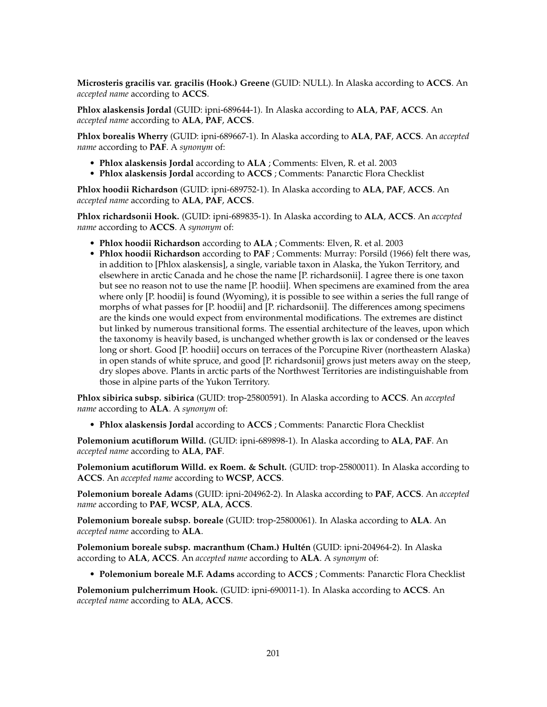**Microsteris gracilis var. gracilis (Hook.) Greene** (GUID: NULL). In Alaska according to **ACCS**. An *accepted name* according to **ACCS**.

**Phlox alaskensis Jordal** (GUID: ipni-689644-1). In Alaska according to **ALA**, **PAF**, **ACCS**. An *accepted name* according to **ALA**, **PAF**, **ACCS**.

**Phlox borealis Wherry** (GUID: ipni-689667-1). In Alaska according to **ALA**, **PAF**, **ACCS**. An *accepted name* according to **PAF**. A *synonym* of:

- **Phlox alaskensis Jordal** according to **ALA** ; Comments: Elven, R. et al. 2003
- **Phlox alaskensis Jordal** according to **ACCS** ; Comments: Panarctic Flora Checklist

**Phlox hoodii Richardson** (GUID: ipni-689752-1). In Alaska according to **ALA**, **PAF**, **ACCS**. An *accepted name* according to **ALA**, **PAF**, **ACCS**.

**Phlox richardsonii Hook.** (GUID: ipni-689835-1). In Alaska according to **ALA**, **ACCS**. An *accepted name* according to **ACCS**. A *synonym* of:

- **Phlox hoodii Richardson** according to **ALA** ; Comments: Elven, R. et al. 2003
- **Phlox hoodii Richardson** according to **PAF** ; Comments: Murray: Porsild (1966) felt there was, in addition to [Phlox alaskensis], a single, variable taxon in Alaska, the Yukon Territory, and elsewhere in arctic Canada and he chose the name [P. richardsonii]. I agree there is one taxon but see no reason not to use the name [P. hoodii]. When specimens are examined from the area where only [P. hoodii] is found (Wyoming), it is possible to see within a series the full range of morphs of what passes for [P. hoodii] and [P. richardsonii]. The differences among specimens are the kinds one would expect from environmental modifications. The extremes are distinct but linked by numerous transitional forms. The essential architecture of the leaves, upon which the taxonomy is heavily based, is unchanged whether growth is lax or condensed or the leaves long or short. Good [P. hoodii] occurs on terraces of the Porcupine River (northeastern Alaska) in open stands of white spruce, and good [P. richardsonii] grows just meters away on the steep, dry slopes above. Plants in arctic parts of the Northwest Territories are indistinguishable from those in alpine parts of the Yukon Territory.

**Phlox sibirica subsp. sibirica** (GUID: trop-25800591). In Alaska according to **ACCS**. An *accepted name* according to **ALA**. A *synonym* of:

• **Phlox alaskensis Jordal** according to **ACCS** ; Comments: Panarctic Flora Checklist

**Polemonium acutiflorum Willd.** (GUID: ipni-689898-1). In Alaska according to **ALA**, **PAF**. An *accepted name* according to **ALA**, **PAF**.

**Polemonium acutiflorum Willd. ex Roem. & Schult.** (GUID: trop-25800011). In Alaska according to **ACCS**. An *accepted name* according to **WCSP**, **ACCS**.

**Polemonium boreale Adams** (GUID: ipni-204962-2). In Alaska according to **PAF**, **ACCS**. An *accepted name* according to **PAF**, **WCSP**, **ALA**, **ACCS**.

**Polemonium boreale subsp. boreale** (GUID: trop-25800061). In Alaska according to **ALA**. An *accepted name* according to **ALA**.

**Polemonium boreale subsp. macranthum (Cham.) Hultén** (GUID: ipni-204964-2). In Alaska according to **ALA**, **ACCS**. An *accepted name* according to **ALA**. A *synonym* of:

• **Polemonium boreale M.F. Adams** according to **ACCS** ; Comments: Panarctic Flora Checklist

**Polemonium pulcherrimum Hook.** (GUID: ipni-690011-1). In Alaska according to **ACCS**. An *accepted name* according to **ALA**, **ACCS**.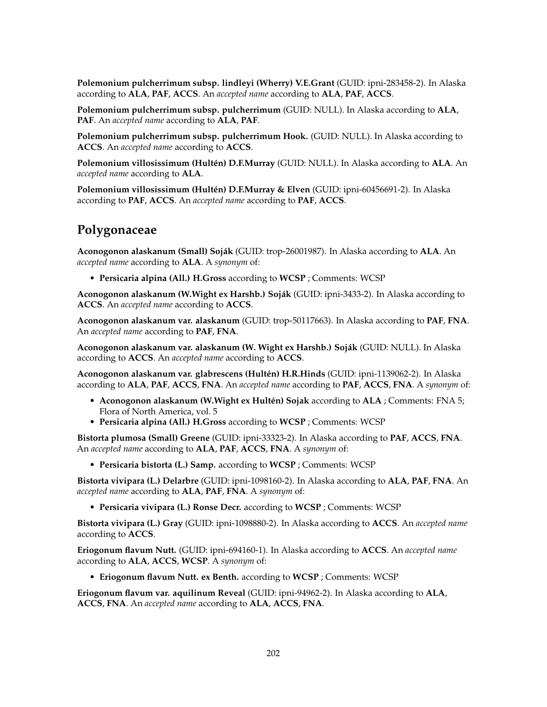**Polemonium pulcherrimum subsp. lindleyi (Wherry) V.E.Grant** (GUID: ipni-283458-2). In Alaska according to **ALA**, **PAF**, **ACCS**. An *accepted name* according to **ALA**, **PAF**, **ACCS**.

**Polemonium pulcherrimum subsp. pulcherrimum** (GUID: NULL). In Alaska according to **ALA**, **PAF**. An *accepted name* according to **ALA**, **PAF**.

**Polemonium pulcherrimum subsp. pulcherrimum Hook.** (GUID: NULL). In Alaska according to **ACCS**. An *accepted name* according to **ACCS**.

**Polemonium villosissimum (Hultén) D.F.Murray** (GUID: NULL). In Alaska according to **ALA**. An *accepted name* according to **ALA**.

**Polemonium villosissimum (Hultén) D.F.Murray & Elven** (GUID: ipni-60456691-2). In Alaska according to **PAF**, **ACCS**. An *accepted name* according to **PAF**, **ACCS**.

### **Polygonaceae**

**Aconogonon alaskanum (Small) Soják** (GUID: trop-26001987). In Alaska according to **ALA**. An *accepted name* according to **ALA**. A *synonym* of:

• **Persicaria alpina (All.) H.Gross** according to **WCSP** ; Comments: WCSP

**Aconogonon alaskanum (W.Wight ex Harshb.) Soják** (GUID: ipni-3433-2). In Alaska according to **ACCS**. An *accepted name* according to **ACCS**.

**Aconogonon alaskanum var. alaskanum** (GUID: trop-50117663). In Alaska according to **PAF**, **FNA**. An *accepted name* according to **PAF**, **FNA**.

**Aconogonon alaskanum var. alaskanum (W. Wight ex Harshb.) Soják** (GUID: NULL). In Alaska according to **ACCS**. An *accepted name* according to **ACCS**.

**Aconogonon alaskanum var. glabrescens (Hultén) H.R.Hinds** (GUID: ipni-1139062-2). In Alaska according to **ALA**, **PAF**, **ACCS**, **FNA**. An *accepted name* according to **PAF**, **ACCS**, **FNA**. A *synonym* of:

- **Aconogonon alaskanum (W.Wight ex Hultén) Sojak** according to **ALA** ; Comments: FNA 5; Flora of North America, vol. 5
- **Persicaria alpina (All.) H.Gross** according to **WCSP** ; Comments: WCSP

**Bistorta plumosa (Small) Greene** (GUID: ipni-33323-2). In Alaska according to **PAF**, **ACCS**, **FNA**. An *accepted name* according to **ALA**, **PAF**, **ACCS**, **FNA**. A *synonym* of:

• **Persicaria bistorta (L.) Samp.** according to **WCSP** ; Comments: WCSP

**Bistorta vivipara (L.) Delarbre** (GUID: ipni-1098160-2). In Alaska according to **ALA**, **PAF**, **FNA**. An *accepted name* according to **ALA**, **PAF**, **FNA**. A *synonym* of:

• **Persicaria vivipara (L.) Ronse Decr.** according to **WCSP** ; Comments: WCSP

**Bistorta vivipara (L.) Gray** (GUID: ipni-1098880-2). In Alaska according to **ACCS**. An *accepted name* according to **ACCS**.

**Eriogonum flavum Nutt.** (GUID: ipni-694160-1). In Alaska according to **ACCS**. An *accepted name* according to **ALA**, **ACCS**, **WCSP**. A *synonym* of:

• **Eriogonum flavum Nutt. ex Benth.** according to **WCSP** ; Comments: WCSP

**Eriogonum flavum var. aquilinum Reveal** (GUID: ipni-94962-2). In Alaska according to **ALA**, **ACCS**, **FNA**. An *accepted name* according to **ALA**, **ACCS**, **FNA**.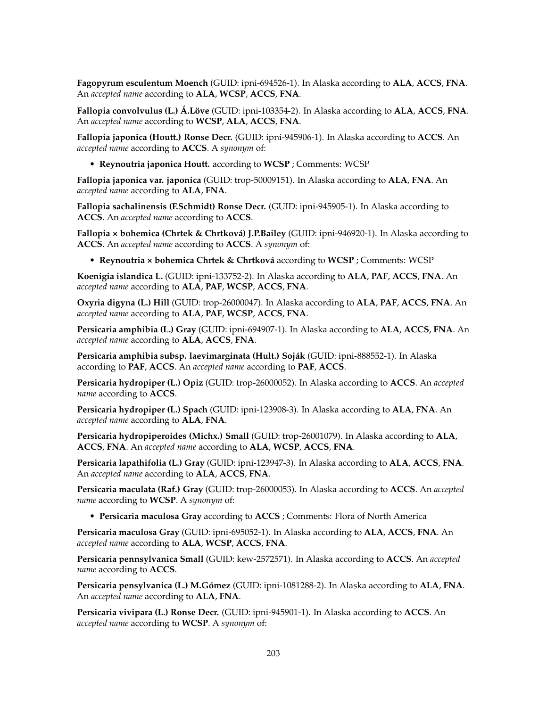**Fagopyrum esculentum Moench** (GUID: ipni-694526-1). In Alaska according to **ALA**, **ACCS**, **FNA**. An *accepted name* according to **ALA**, **WCSP**, **ACCS**, **FNA**.

**Fallopia convolvulus (L.) Á.Löve** (GUID: ipni-103354-2). In Alaska according to **ALA**, **ACCS**, **FNA**. An *accepted name* according to **WCSP**, **ALA**, **ACCS**, **FNA**.

**Fallopia japonica (Houtt.) Ronse Decr.** (GUID: ipni-945906-1). In Alaska according to **ACCS**. An *accepted name* according to **ACCS**. A *synonym* of:

• **Reynoutria japonica Houtt.** according to **WCSP** ; Comments: WCSP

**Fallopia japonica var. japonica** (GUID: trop-50009151). In Alaska according to **ALA**, **FNA**. An *accepted name* according to **ALA**, **FNA**.

**Fallopia sachalinensis (F.Schmidt) Ronse Decr.** (GUID: ipni-945905-1). In Alaska according to **ACCS**. An *accepted name* according to **ACCS**.

**Fallopia × bohemica (Chrtek & Chrtková) J.P.Bailey** (GUID: ipni-946920-1). In Alaska according to **ACCS**. An *accepted name* according to **ACCS**. A *synonym* of:

• **Reynoutria × bohemica Chrtek & Chrtková** according to **WCSP** ; Comments: WCSP

**Koenigia islandica L.** (GUID: ipni-133752-2). In Alaska according to **ALA**, **PAF**, **ACCS**, **FNA**. An *accepted name* according to **ALA**, **PAF**, **WCSP**, **ACCS**, **FNA**.

**Oxyria digyna (L.) Hill** (GUID: trop-26000047). In Alaska according to **ALA**, **PAF**, **ACCS**, **FNA**. An *accepted name* according to **ALA**, **PAF**, **WCSP**, **ACCS**, **FNA**.

**Persicaria amphibia (L.) Gray** (GUID: ipni-694907-1). In Alaska according to **ALA**, **ACCS**, **FNA**. An *accepted name* according to **ALA**, **ACCS**, **FNA**.

**Persicaria amphibia subsp. laevimarginata (Hult.) Soják** (GUID: ipni-888552-1). In Alaska according to **PAF**, **ACCS**. An *accepted name* according to **PAF**, **ACCS**.

**Persicaria hydropiper (L.) Opiz** (GUID: trop-26000052). In Alaska according to **ACCS**. An *accepted name* according to **ACCS**.

**Persicaria hydropiper (L.) Spach** (GUID: ipni-123908-3). In Alaska according to **ALA**, **FNA**. An *accepted name* according to **ALA**, **FNA**.

**Persicaria hydropiperoides (Michx.) Small** (GUID: trop-26001079). In Alaska according to **ALA**, **ACCS**, **FNA**. An *accepted name* according to **ALA**, **WCSP**, **ACCS**, **FNA**.

**Persicaria lapathifolia (L.) Gray** (GUID: ipni-123947-3). In Alaska according to **ALA**, **ACCS**, **FNA**. An *accepted name* according to **ALA**, **ACCS**, **FNA**.

**Persicaria maculata (Raf.) Gray** (GUID: trop-26000053). In Alaska according to **ACCS**. An *accepted name* according to **WCSP**. A *synonym* of:

• **Persicaria maculosa Gray** according to **ACCS** ; Comments: Flora of North America

**Persicaria maculosa Gray** (GUID: ipni-695052-1). In Alaska according to **ALA**, **ACCS**, **FNA**. An *accepted name* according to **ALA**, **WCSP**, **ACCS**, **FNA**.

**Persicaria pennsylvanica Small** (GUID: kew-2572571). In Alaska according to **ACCS**. An *accepted name* according to **ACCS**.

**Persicaria pensylvanica (L.) M.Gómez** (GUID: ipni-1081288-2). In Alaska according to **ALA**, **FNA**. An *accepted name* according to **ALA**, **FNA**.

**Persicaria vivipara (L.) Ronse Decr.** (GUID: ipni-945901-1). In Alaska according to **ACCS**. An *accepted name* according to **WCSP**. A *synonym* of: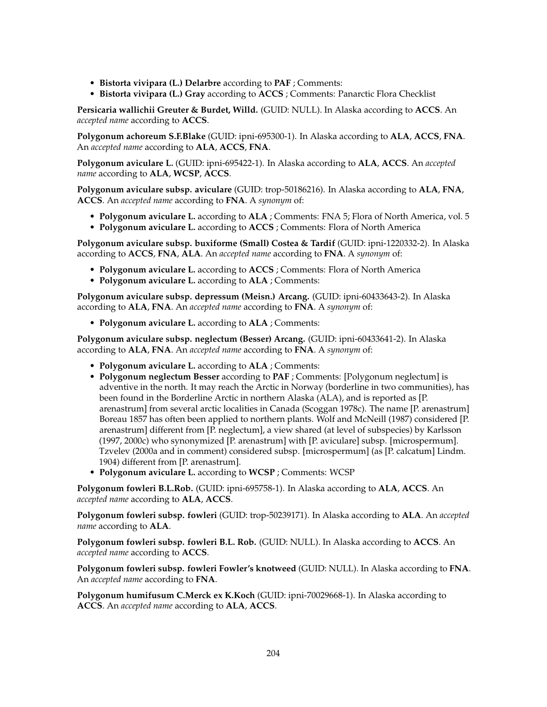- **Bistorta vivipara (L.) Delarbre** according to **PAF** ; Comments:
- **Bistorta vivipara (L.) Gray** according to **ACCS** ; Comments: Panarctic Flora Checklist

**Persicaria wallichii Greuter & Burdet, Willd.** (GUID: NULL). In Alaska according to **ACCS**. An *accepted name* according to **ACCS**.

**Polygonum achoreum S.F.Blake** (GUID: ipni-695300-1). In Alaska according to **ALA**, **ACCS**, **FNA**. An *accepted name* according to **ALA**, **ACCS**, **FNA**.

**Polygonum aviculare L.** (GUID: ipni-695422-1). In Alaska according to **ALA**, **ACCS**. An *accepted name* according to **ALA**, **WCSP**, **ACCS**.

**Polygonum aviculare subsp. aviculare** (GUID: trop-50186216). In Alaska according to **ALA**, **FNA**, **ACCS**. An *accepted name* according to **FNA**. A *synonym* of:

- **Polygonum aviculare L.** according to **ALA** ; Comments: FNA 5; Flora of North America, vol. 5
- **Polygonum aviculare L.** according to **ACCS** ; Comments: Flora of North America

**Polygonum aviculare subsp. buxiforme (Small) Costea & Tardif** (GUID: ipni-1220332-2). In Alaska according to **ACCS**, **FNA**, **ALA**. An *accepted name* according to **FNA**. A *synonym* of:

- **Polygonum aviculare L.** according to **ACCS** ; Comments: Flora of North America
- **Polygonum aviculare L.** according to **ALA** ; Comments:

**Polygonum aviculare subsp. depressum (Meisn.) Arcang.** (GUID: ipni-60433643-2). In Alaska according to **ALA**, **FNA**. An *accepted name* according to **FNA**. A *synonym* of:

• **Polygonum aviculare L.** according to **ALA** ; Comments:

**Polygonum aviculare subsp. neglectum (Besser) Arcang.** (GUID: ipni-60433641-2). In Alaska according to **ALA**, **FNA**. An *accepted name* according to **FNA**. A *synonym* of:

- **Polygonum aviculare L.** according to **ALA** ; Comments:
- **Polygonum neglectum Besser** according to **PAF** ; Comments: [Polygonum neglectum] is adventive in the north. It may reach the Arctic in Norway (borderline in two communities), has been found in the Borderline Arctic in northern Alaska (ALA), and is reported as [P. arenastrum] from several arctic localities in Canada (Scoggan 1978c). The name [P. arenastrum] Boreau 1857 has often been applied to northern plants. Wolf and McNeill (1987) considered [P. arenastrum] different from [P. neglectum], a view shared (at level of subspecies) by Karlsson (1997, 2000c) who synonymized [P. arenastrum] with [P. aviculare] subsp. [microspermum]. Tzvelev (2000a and in comment) considered subsp. [microspermum] (as [P. calcatum] Lindm. 1904) different from [P. arenastrum].
- **Polygonum aviculare L.** according to **WCSP** ; Comments: WCSP

**Polygonum fowleri B.L.Rob.** (GUID: ipni-695758-1). In Alaska according to **ALA**, **ACCS**. An *accepted name* according to **ALA**, **ACCS**.

**Polygonum fowleri subsp. fowleri** (GUID: trop-50239171). In Alaska according to **ALA**. An *accepted name* according to **ALA**.

**Polygonum fowleri subsp. fowleri B.L. Rob.** (GUID: NULL). In Alaska according to **ACCS**. An *accepted name* according to **ACCS**.

**Polygonum fowleri subsp. fowleri Fowler's knotweed** (GUID: NULL). In Alaska according to **FNA**. An *accepted name* according to **FNA**.

**Polygonum humifusum C.Merck ex K.Koch** (GUID: ipni-70029668-1). In Alaska according to **ACCS**. An *accepted name* according to **ALA**, **ACCS**.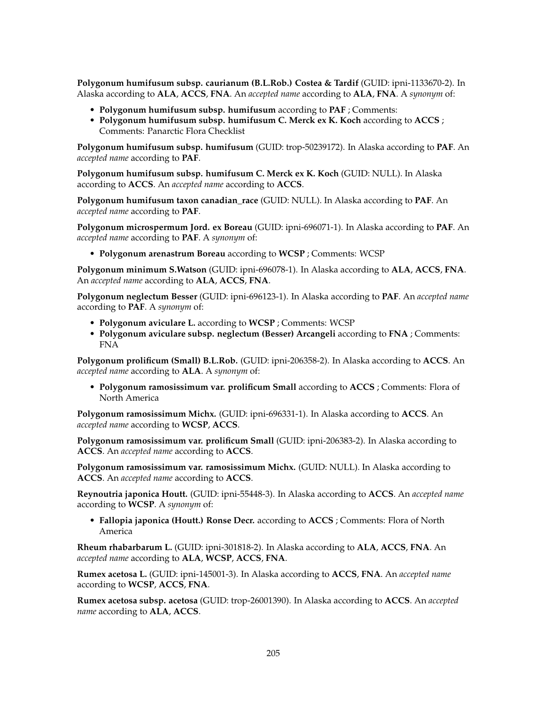**Polygonum humifusum subsp. caurianum (B.L.Rob.) Costea & Tardif** (GUID: ipni-1133670-2). In Alaska according to **ALA**, **ACCS**, **FNA**. An *accepted name* according to **ALA**, **FNA**. A *synonym* of:

- **Polygonum humifusum subsp. humifusum** according to **PAF** ; Comments:
- **Polygonum humifusum subsp. humifusum C. Merck ex K. Koch** according to **ACCS** ; Comments: Panarctic Flora Checklist

**Polygonum humifusum subsp. humifusum** (GUID: trop-50239172). In Alaska according to **PAF**. An *accepted name* according to **PAF**.

**Polygonum humifusum subsp. humifusum C. Merck ex K. Koch** (GUID: NULL). In Alaska according to **ACCS**. An *accepted name* according to **ACCS**.

**Polygonum humifusum taxon canadian\_race** (GUID: NULL). In Alaska according to **PAF**. An *accepted name* according to **PAF**.

**Polygonum microspermum Jord. ex Boreau** (GUID: ipni-696071-1). In Alaska according to **PAF**. An *accepted name* according to **PAF**. A *synonym* of:

• **Polygonum arenastrum Boreau** according to **WCSP** ; Comments: WCSP

**Polygonum minimum S.Watson** (GUID: ipni-696078-1). In Alaska according to **ALA**, **ACCS**, **FNA**. An *accepted name* according to **ALA**, **ACCS**, **FNA**.

**Polygonum neglectum Besser** (GUID: ipni-696123-1). In Alaska according to **PAF**. An *accepted name* according to **PAF**. A *synonym* of:

- **Polygonum aviculare L.** according to **WCSP** ; Comments: WCSP
- **Polygonum aviculare subsp. neglectum (Besser) Arcangeli** according to **FNA** ; Comments: FNA

**Polygonum prolificum (Small) B.L.Rob.** (GUID: ipni-206358-2). In Alaska according to **ACCS**. An *accepted name* according to **ALA**. A *synonym* of:

• **Polygonum ramosissimum var. prolificum Small** according to **ACCS** ; Comments: Flora of North America

**Polygonum ramosissimum Michx.** (GUID: ipni-696331-1). In Alaska according to **ACCS**. An *accepted name* according to **WCSP**, **ACCS**.

**Polygonum ramosissimum var. prolificum Small** (GUID: ipni-206383-2). In Alaska according to **ACCS**. An *accepted name* according to **ACCS**.

**Polygonum ramosissimum var. ramosissimum Michx.** (GUID: NULL). In Alaska according to **ACCS**. An *accepted name* according to **ACCS**.

**Reynoutria japonica Houtt.** (GUID: ipni-55448-3). In Alaska according to **ACCS**. An *accepted name* according to **WCSP**. A *synonym* of:

• **Fallopia japonica (Houtt.) Ronse Decr.** according to **ACCS** ; Comments: Flora of North America

**Rheum rhabarbarum L.** (GUID: ipni-301818-2). In Alaska according to **ALA**, **ACCS**, **FNA**. An *accepted name* according to **ALA**, **WCSP**, **ACCS**, **FNA**.

**Rumex acetosa L.** (GUID: ipni-145001-3). In Alaska according to **ACCS**, **FNA**. An *accepted name* according to **WCSP**, **ACCS**, **FNA**.

**Rumex acetosa subsp. acetosa** (GUID: trop-26001390). In Alaska according to **ACCS**. An *accepted name* according to **ALA**, **ACCS**.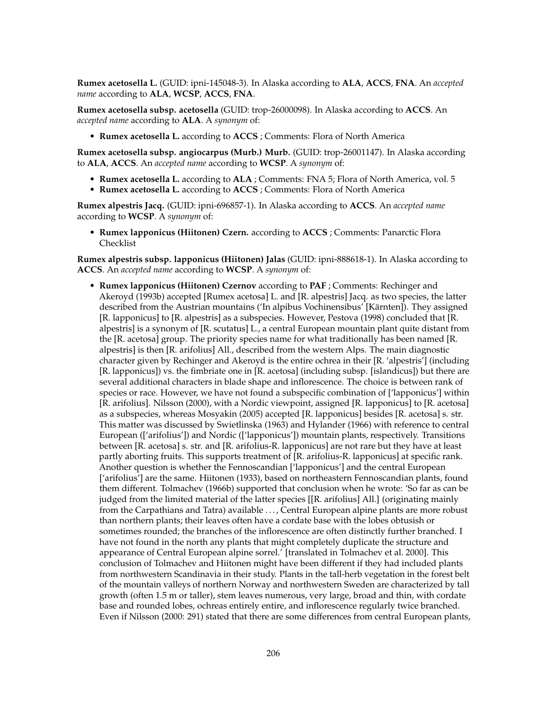**Rumex acetosella L.** (GUID: ipni-145048-3). In Alaska according to **ALA**, **ACCS**, **FNA**. An *accepted name* according to **ALA**, **WCSP**, **ACCS**, **FNA**.

**Rumex acetosella subsp. acetosella** (GUID: trop-26000098). In Alaska according to **ACCS**. An *accepted name* according to **ALA**. A *synonym* of:

• **Rumex acetosella L.** according to **ACCS** ; Comments: Flora of North America

**Rumex acetosella subsp. angiocarpus (Murb.) Murb.** (GUID: trop-26001147). In Alaska according to **ALA**, **ACCS**. An *accepted name* according to **WCSP**. A *synonym* of:

- **Rumex acetosella L.** according to **ALA** ; Comments: FNA 5; Flora of North America, vol. 5
- **Rumex acetosella L.** according to **ACCS** ; Comments: Flora of North America

**Rumex alpestris Jacq.** (GUID: ipni-696857-1). In Alaska according to **ACCS**. An *accepted name* according to **WCSP**. A *synonym* of:

• **Rumex lapponicus (Hiitonen) Czern.** according to **ACCS** ; Comments: Panarctic Flora Checklist

**Rumex alpestris subsp. lapponicus (Hiitonen) Jalas** (GUID: ipni-888618-1). In Alaska according to **ACCS**. An *accepted name* according to **WCSP**. A *synonym* of:

• **Rumex lapponicus (Hiitonen) Czernov** according to **PAF** ; Comments: Rechinger and Akeroyd (1993b) accepted [Rumex acetosa] L. and [R. alpestris] Jacq. as two species, the latter described from the Austrian mountains ('In alpibus Vochinensibus' [Kärnten]). They assigned [R. lapponicus] to [R. alpestris] as a subspecies. However, Pestova (1998) concluded that [R. alpestris] is a synonym of [R. scutatus] L., a central European mountain plant quite distant from the [R. acetosa] group. The priority species name for what traditionally has been named [R. alpestris] is then [R. arifolius] All., described from the western Alps. The main diagnostic character given by Rechinger and Akeroyd is the entire ochrea in their [R. 'alpestris'] (including [R. lapponicus]) vs. the fimbriate one in [R. acetosa] (including subsp. [islandicus]) but there are several additional characters in blade shape and inflorescence. The choice is between rank of species or race. However, we have not found a subspecific combination of ['lapponicus'] within [R. arifolius]. Nilsson (2000), with a Nordic viewpoint, assigned [R. lapponicus] to [R. acetosa] as a subspecies, whereas Mosyakin (2005) accepted [R. lapponicus] besides [R. acetosa] s. str. This matter was discussed by Swietlinska (1963) and Hylander (1966) with reference to central European (['arifolius']) and Nordic (['lapponicus']) mountain plants, respectively. Transitions between [R. acetosa] s. str. and [R. arifolius-R. lapponicus] are not rare but they have at least partly aborting fruits. This supports treatment of [R. arifolius-R. lapponicus] at specific rank. Another question is whether the Fennoscandian ['lapponicus'] and the central European ['arifolius'] are the same. Hiitonen (1933), based on northeastern Fennoscandian plants, found them different. Tolmachev (1966b) supported that conclusion when he wrote: 'So far as can be judged from the limited material of the latter species [[R. arifolius] All.] (originating mainly from the Carpathians and Tatra) available . . . , Central European alpine plants are more robust than northern plants; their leaves often have a cordate base with the lobes obtusish or sometimes rounded; the branches of the inflorescence are often distinctly further branched. I have not found in the north any plants that might completely duplicate the structure and appearance of Central European alpine sorrel.' [translated in Tolmachev et al. 2000]. This conclusion of Tolmachev and Hiitonen might have been different if they had included plants from northwestern Scandinavia in their study. Plants in the tall-herb vegetation in the forest belt of the mountain valleys of northern Norway and northwestern Sweden are characterized by tall growth (often 1.5 m or taller), stem leaves numerous, very large, broad and thin, with cordate base and rounded lobes, ochreas entirely entire, and inflorescence regularly twice branched. Even if Nilsson (2000: 291) stated that there are some differences from central European plants,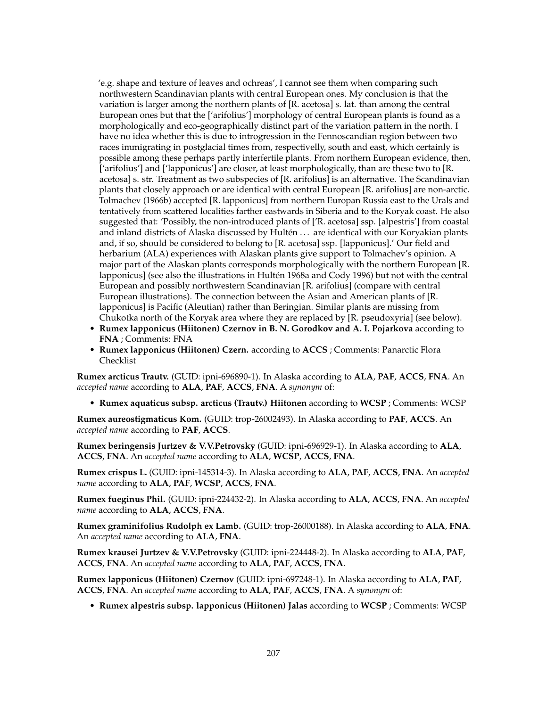'e.g. shape and texture of leaves and ochreas', I cannot see them when comparing such northwestern Scandinavian plants with central European ones. My conclusion is that the variation is larger among the northern plants of [R. acetosa] s. lat. than among the central European ones but that the ['arifolius'] morphology of central European plants is found as a morphologically and eco-geographically distinct part of the variation pattern in the north. I have no idea whether this is due to introgression in the Fennoscandian region between two races immigrating in postglacial times from, respectivelly, south and east, which certainly is possible among these perhaps partly interfertile plants. From northern European evidence, then, ['arifolius'] and ['lapponicus'] are closer, at least morphologically, than are these two to [R. acetosa] s. str. Treatment as two subspecies of [R. arifolius] is an alternative. The Scandinavian plants that closely approach or are identical with central European [R. arifolius] are non-arctic. Tolmachev (1966b) accepted [R. lapponicus] from northern Europan Russia east to the Urals and tentatively from scattered localities farther eastwards in Siberia and to the Koryak coast. He also suggested that: 'Possibly, the non-introduced plants of ['R. acetosa] ssp. [alpestris'] from coastal and inland districts of Alaska discussed by Hultén . . . are identical with our Koryakian plants and, if so, should be considered to belong to [R. acetosa] ssp. [lapponicus].' Our field and herbarium (ALA) experiences with Alaskan plants give support to Tolmachev's opinion. A major part of the Alaskan plants corresponds morphologically with the northern European [R. lapponicus] (see also the illustrations in Hultén 1968a and Cody 1996) but not with the central European and possibly northwestern Scandinavian [R. arifolius] (compare with central European illustrations). The connection between the Asian and American plants of [R. lapponicus] is Pacific (Aleutian) rather than Beringian. Similar plants are missing from Chukotka north of the Koryak area where they are replaced by [R. pseudoxyria] (see below).

- **Rumex lapponicus (Hiitonen) Czernov in B. N. Gorodkov and A. I. Pojarkova** according to **FNA** ; Comments: FNA
- **Rumex lapponicus (Hiitonen) Czern.** according to **ACCS** ; Comments: Panarctic Flora Checklist

**Rumex arcticus Trautv.** (GUID: ipni-696890-1). In Alaska according to **ALA**, **PAF**, **ACCS**, **FNA**. An *accepted name* according to **ALA**, **PAF**, **ACCS**, **FNA**. A *synonym* of:

• **Rumex aquaticus subsp. arcticus (Trautv.) Hiitonen** according to **WCSP** ; Comments: WCSP

**Rumex aureostigmaticus Kom.** (GUID: trop-26002493). In Alaska according to **PAF**, **ACCS**. An *accepted name* according to **PAF**, **ACCS**.

**Rumex beringensis Jurtzev & V.V.Petrovsky** (GUID: ipni-696929-1). In Alaska according to **ALA**, **ACCS**, **FNA**. An *accepted name* according to **ALA**, **WCSP**, **ACCS**, **FNA**.

**Rumex crispus L.** (GUID: ipni-145314-3). In Alaska according to **ALA**, **PAF**, **ACCS**, **FNA**. An *accepted name* according to **ALA**, **PAF**, **WCSP**, **ACCS**, **FNA**.

**Rumex fueginus Phil.** (GUID: ipni-224432-2). In Alaska according to **ALA**, **ACCS**, **FNA**. An *accepted name* according to **ALA**, **ACCS**, **FNA**.

**Rumex graminifolius Rudolph ex Lamb.** (GUID: trop-26000188). In Alaska according to **ALA**, **FNA**. An *accepted name* according to **ALA**, **FNA**.

**Rumex krausei Jurtzev & V.V.Petrovsky** (GUID: ipni-224448-2). In Alaska according to **ALA**, **PAF**, **ACCS**, **FNA**. An *accepted name* according to **ALA**, **PAF**, **ACCS**, **FNA**.

**Rumex lapponicus (Hiitonen) Czernov** (GUID: ipni-697248-1). In Alaska according to **ALA**, **PAF**, **ACCS**, **FNA**. An *accepted name* according to **ALA**, **PAF**, **ACCS**, **FNA**. A *synonym* of:

• **Rumex alpestris subsp. lapponicus (Hiitonen) Jalas** according to **WCSP** ; Comments: WCSP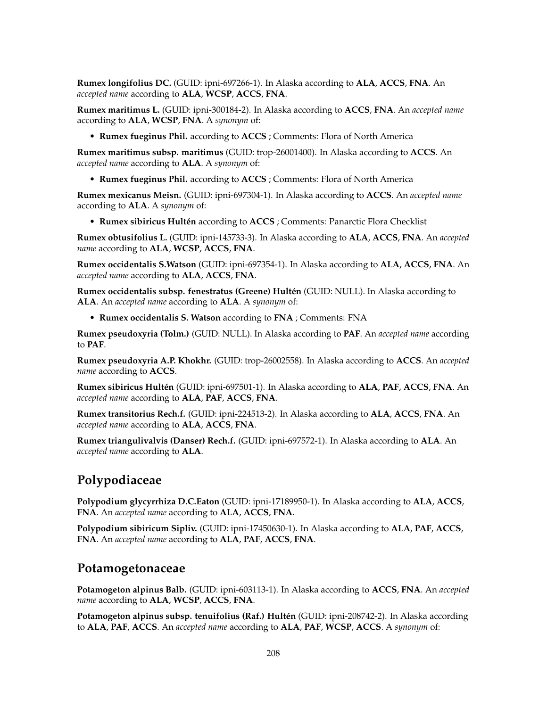**Rumex longifolius DC.** (GUID: ipni-697266-1). In Alaska according to **ALA**, **ACCS**, **FNA**. An *accepted name* according to **ALA**, **WCSP**, **ACCS**, **FNA**.

**Rumex maritimus L.** (GUID: ipni-300184-2). In Alaska according to **ACCS**, **FNA**. An *accepted name* according to **ALA**, **WCSP**, **FNA**. A *synonym* of:

• **Rumex fueginus Phil.** according to **ACCS** ; Comments: Flora of North America

**Rumex maritimus subsp. maritimus** (GUID: trop-26001400). In Alaska according to **ACCS**. An *accepted name* according to **ALA**. A *synonym* of:

• **Rumex fueginus Phil.** according to **ACCS** ; Comments: Flora of North America

**Rumex mexicanus Meisn.** (GUID: ipni-697304-1). In Alaska according to **ACCS**. An *accepted name* according to **ALA**. A *synonym* of:

• **Rumex sibiricus Hultén** according to **ACCS** ; Comments: Panarctic Flora Checklist

**Rumex obtusifolius L.** (GUID: ipni-145733-3). In Alaska according to **ALA**, **ACCS**, **FNA**. An *accepted name* according to **ALA**, **WCSP**, **ACCS**, **FNA**.

**Rumex occidentalis S.Watson** (GUID: ipni-697354-1). In Alaska according to **ALA**, **ACCS**, **FNA**. An *accepted name* according to **ALA**, **ACCS**, **FNA**.

**Rumex occidentalis subsp. fenestratus (Greene) Hultén** (GUID: NULL). In Alaska according to **ALA**. An *accepted name* according to **ALA**. A *synonym* of:

• **Rumex occidentalis S. Watson** according to **FNA** ; Comments: FNA

**Rumex pseudoxyria (Tolm.)** (GUID: NULL). In Alaska according to **PAF**. An *accepted name* according to **PAF**.

**Rumex pseudoxyria A.P. Khokhr.** (GUID: trop-26002558). In Alaska according to **ACCS**. An *accepted name* according to **ACCS**.

**Rumex sibiricus Hultén** (GUID: ipni-697501-1). In Alaska according to **ALA**, **PAF**, **ACCS**, **FNA**. An *accepted name* according to **ALA**, **PAF**, **ACCS**, **FNA**.

**Rumex transitorius Rech.f.** (GUID: ipni-224513-2). In Alaska according to **ALA**, **ACCS**, **FNA**. An *accepted name* according to **ALA**, **ACCS**, **FNA**.

**Rumex triangulivalvis (Danser) Rech.f.** (GUID: ipni-697572-1). In Alaska according to **ALA**. An *accepted name* according to **ALA**.

# **Polypodiaceae**

**Polypodium glycyrrhiza D.C.Eaton** (GUID: ipni-17189950-1). In Alaska according to **ALA**, **ACCS**, **FNA**. An *accepted name* according to **ALA**, **ACCS**, **FNA**.

**Polypodium sibiricum Sipliv.** (GUID: ipni-17450630-1). In Alaska according to **ALA**, **PAF**, **ACCS**, **FNA**. An *accepted name* according to **ALA**, **PAF**, **ACCS**, **FNA**.

#### **Potamogetonaceae**

**Potamogeton alpinus Balb.** (GUID: ipni-603113-1). In Alaska according to **ACCS**, **FNA**. An *accepted name* according to **ALA**, **WCSP**, **ACCS**, **FNA**.

**Potamogeton alpinus subsp. tenuifolius (Raf.) Hultén** (GUID: ipni-208742-2). In Alaska according to **ALA**, **PAF**, **ACCS**. An *accepted name* according to **ALA**, **PAF**, **WCSP**, **ACCS**. A *synonym* of: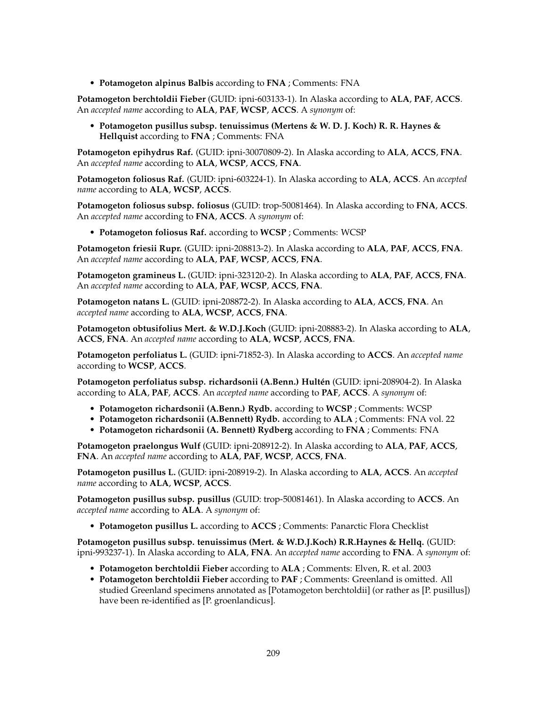• **Potamogeton alpinus Balbis** according to **FNA** ; Comments: FNA

**Potamogeton berchtoldii Fieber** (GUID: ipni-603133-1). In Alaska according to **ALA**, **PAF**, **ACCS**. An *accepted name* according to **ALA**, **PAF**, **WCSP**, **ACCS**. A *synonym* of:

• **Potamogeton pusillus subsp. tenuissimus (Mertens & W. D. J. Koch) R. R. Haynes & Hellquist** according to **FNA** ; Comments: FNA

**Potamogeton epihydrus Raf.** (GUID: ipni-30070809-2). In Alaska according to **ALA**, **ACCS**, **FNA**. An *accepted name* according to **ALA**, **WCSP**, **ACCS**, **FNA**.

**Potamogeton foliosus Raf.** (GUID: ipni-603224-1). In Alaska according to **ALA**, **ACCS**. An *accepted name* according to **ALA**, **WCSP**, **ACCS**.

**Potamogeton foliosus subsp. foliosus** (GUID: trop-50081464). In Alaska according to **FNA**, **ACCS**. An *accepted name* according to **FNA**, **ACCS**. A *synonym* of:

• **Potamogeton foliosus Raf.** according to **WCSP** ; Comments: WCSP

**Potamogeton friesii Rupr.** (GUID: ipni-208813-2). In Alaska according to **ALA**, **PAF**, **ACCS**, **FNA**. An *accepted name* according to **ALA**, **PAF**, **WCSP**, **ACCS**, **FNA**.

**Potamogeton gramineus L.** (GUID: ipni-323120-2). In Alaska according to **ALA**, **PAF**, **ACCS**, **FNA**. An *accepted name* according to **ALA**, **PAF**, **WCSP**, **ACCS**, **FNA**.

**Potamogeton natans L.** (GUID: ipni-208872-2). In Alaska according to **ALA**, **ACCS**, **FNA**. An *accepted name* according to **ALA**, **WCSP**, **ACCS**, **FNA**.

**Potamogeton obtusifolius Mert. & W.D.J.Koch** (GUID: ipni-208883-2). In Alaska according to **ALA**, **ACCS**, **FNA**. An *accepted name* according to **ALA**, **WCSP**, **ACCS**, **FNA**.

**Potamogeton perfoliatus L.** (GUID: ipni-71852-3). In Alaska according to **ACCS**. An *accepted name* according to **WCSP**, **ACCS**.

**Potamogeton perfoliatus subsp. richardsonii (A.Benn.) Hultén** (GUID: ipni-208904-2). In Alaska according to **ALA**, **PAF**, **ACCS**. An *accepted name* according to **PAF**, **ACCS**. A *synonym* of:

- **Potamogeton richardsonii (A.Benn.) Rydb.** according to **WCSP** ; Comments: WCSP
- **Potamogeton richardsonii (A.Bennett) Rydb.** according to **ALA** ; Comments: FNA vol. 22
- **Potamogeton richardsonii (A. Bennett) Rydberg** according to **FNA** ; Comments: FNA

**Potamogeton praelongus Wulf** (GUID: ipni-208912-2). In Alaska according to **ALA**, **PAF**, **ACCS**, **FNA**. An *accepted name* according to **ALA**, **PAF**, **WCSP**, **ACCS**, **FNA**.

**Potamogeton pusillus L.** (GUID: ipni-208919-2). In Alaska according to **ALA**, **ACCS**. An *accepted name* according to **ALA**, **WCSP**, **ACCS**.

**Potamogeton pusillus subsp. pusillus** (GUID: trop-50081461). In Alaska according to **ACCS**. An *accepted name* according to **ALA**. A *synonym* of:

• **Potamogeton pusillus L.** according to **ACCS** ; Comments: Panarctic Flora Checklist

**Potamogeton pusillus subsp. tenuissimus (Mert. & W.D.J.Koch) R.R.Haynes & Hellq.** (GUID: ipni-993237-1). In Alaska according to **ALA**, **FNA**. An *accepted name* according to **FNA**. A *synonym* of:

- **Potamogeton berchtoldii Fieber** according to **ALA** ; Comments: Elven, R. et al. 2003
- **Potamogeton berchtoldii Fieber** according to **PAF** ; Comments: Greenland is omitted. All studied Greenland specimens annotated as [Potamogeton berchtoldii] (or rather as [P. pusillus]) have been re-identified as [P. groenlandicus].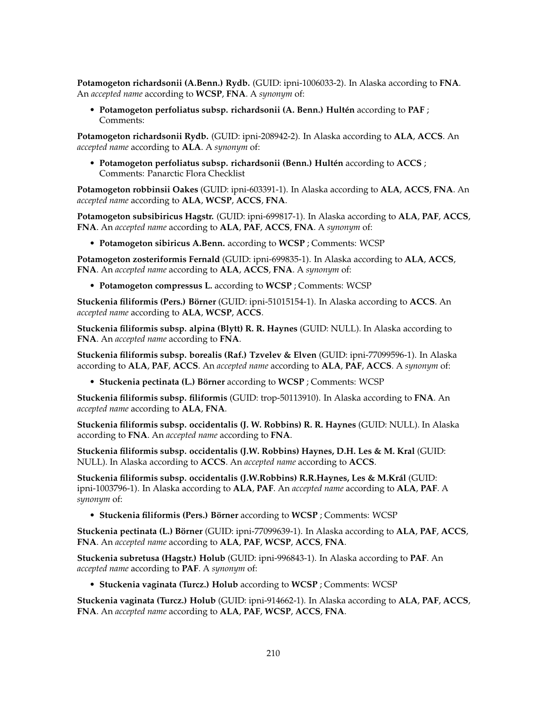**Potamogeton richardsonii (A.Benn.) Rydb.** (GUID: ipni-1006033-2). In Alaska according to **FNA**. An *accepted name* according to **WCSP**, **FNA**. A *synonym* of:

• **Potamogeton perfoliatus subsp. richardsonii (A. Benn.) Hultén** according to **PAF** ; Comments:

**Potamogeton richardsonii Rydb.** (GUID: ipni-208942-2). In Alaska according to **ALA**, **ACCS**. An *accepted name* according to **ALA**. A *synonym* of:

• **Potamogeton perfoliatus subsp. richardsonii (Benn.) Hultén** according to **ACCS** ; Comments: Panarctic Flora Checklist

**Potamogeton robbinsii Oakes** (GUID: ipni-603391-1). In Alaska according to **ALA**, **ACCS**, **FNA**. An *accepted name* according to **ALA**, **WCSP**, **ACCS**, **FNA**.

**Potamogeton subsibiricus Hagstr.** (GUID: ipni-699817-1). In Alaska according to **ALA**, **PAF**, **ACCS**, **FNA**. An *accepted name* according to **ALA**, **PAF**, **ACCS**, **FNA**. A *synonym* of:

• **Potamogeton sibiricus A.Benn.** according to **WCSP** ; Comments: WCSP

**Potamogeton zosteriformis Fernald** (GUID: ipni-699835-1). In Alaska according to **ALA**, **ACCS**, **FNA**. An *accepted name* according to **ALA**, **ACCS**, **FNA**. A *synonym* of:

• **Potamogeton compressus L.** according to **WCSP** ; Comments: WCSP

**Stuckenia filiformis (Pers.) Börner** (GUID: ipni-51015154-1). In Alaska according to **ACCS**. An *accepted name* according to **ALA**, **WCSP**, **ACCS**.

**Stuckenia filiformis subsp. alpina (Blytt) R. R. Haynes** (GUID: NULL). In Alaska according to **FNA**. An *accepted name* according to **FNA**.

**Stuckenia filiformis subsp. borealis (Raf.) Tzvelev & Elven** (GUID: ipni-77099596-1). In Alaska according to **ALA**, **PAF**, **ACCS**. An *accepted name* according to **ALA**, **PAF**, **ACCS**. A *synonym* of:

• **Stuckenia pectinata (L.) Börner** according to **WCSP** ; Comments: WCSP

**Stuckenia filiformis subsp. filiformis** (GUID: trop-50113910). In Alaska according to **FNA**. An *accepted name* according to **ALA**, **FNA**.

**Stuckenia filiformis subsp. occidentalis (J. W. Robbins) R. R. Haynes** (GUID: NULL). In Alaska according to **FNA**. An *accepted name* according to **FNA**.

**Stuckenia filiformis subsp. occidentalis (J.W. Robbins) Haynes, D.H. Les & M. Kral** (GUID: NULL). In Alaska according to **ACCS**. An *accepted name* according to **ACCS**.

**Stuckenia filiformis subsp. occidentalis (J.W.Robbins) R.R.Haynes, Les & M.Král** (GUID: ipni-1003796-1). In Alaska according to **ALA**, **PAF**. An *accepted name* according to **ALA**, **PAF**. A *synonym* of:

• **Stuckenia filiformis (Pers.) Börner** according to **WCSP** ; Comments: WCSP

**Stuckenia pectinata (L.) Börner** (GUID: ipni-77099639-1). In Alaska according to **ALA**, **PAF**, **ACCS**, **FNA**. An *accepted name* according to **ALA**, **PAF**, **WCSP**, **ACCS**, **FNA**.

**Stuckenia subretusa (Hagstr.) Holub** (GUID: ipni-996843-1). In Alaska according to **PAF**. An *accepted name* according to **PAF**. A *synonym* of:

• **Stuckenia vaginata (Turcz.) Holub** according to **WCSP** ; Comments: WCSP

**Stuckenia vaginata (Turcz.) Holub** (GUID: ipni-914662-1). In Alaska according to **ALA**, **PAF**, **ACCS**, **FNA**. An *accepted name* according to **ALA**, **PAF**, **WCSP**, **ACCS**, **FNA**.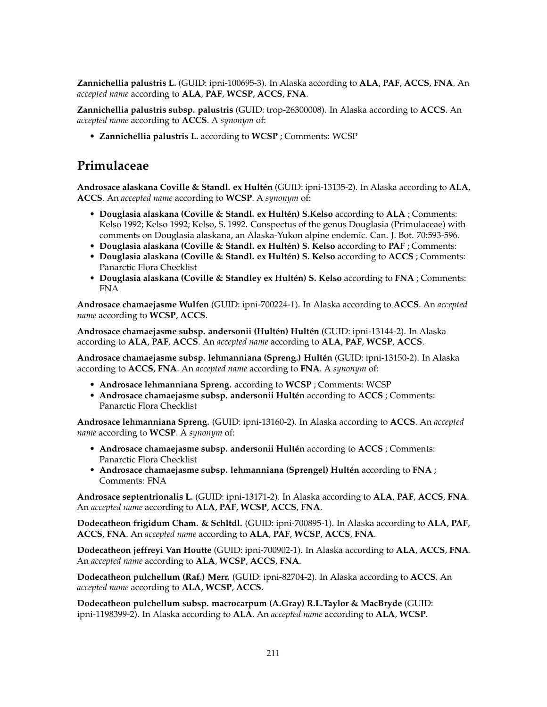**Zannichellia palustris L.** (GUID: ipni-100695-3). In Alaska according to **ALA**, **PAF**, **ACCS**, **FNA**. An *accepted name* according to **ALA**, **PAF**, **WCSP**, **ACCS**, **FNA**.

**Zannichellia palustris subsp. palustris** (GUID: trop-26300008). In Alaska according to **ACCS**. An *accepted name* according to **ACCS**. A *synonym* of:

• **Zannichellia palustris L.** according to **WCSP** ; Comments: WCSP

## **Primulaceae**

**Androsace alaskana Coville & Standl. ex Hultén** (GUID: ipni-13135-2). In Alaska according to **ALA**, **ACCS**. An *accepted name* according to **WCSP**. A *synonym* of:

- **Douglasia alaskana (Coville & Standl. ex Hultén) S.Kelso** according to **ALA** ; Comments: Kelso 1992; Kelso 1992; Kelso, S. 1992. Conspectus of the genus Douglasia (Primulaceae) with comments on Douglasia alaskana, an Alaska-Yukon alpine endemic. Can. J. Bot. 70:593-596.
- **Douglasia alaskana (Coville & Standl. ex Hultén) S. Kelso** according to **PAF** ; Comments:
- **Douglasia alaskana (Coville & Standl. ex Hultén) S. Kelso** according to **ACCS** ; Comments: Panarctic Flora Checklist
- **Douglasia alaskana (Coville & Standley ex Hultén) S. Kelso** according to **FNA** ; Comments: FNA

**Androsace chamaejasme Wulfen** (GUID: ipni-700224-1). In Alaska according to **ACCS**. An *accepted name* according to **WCSP**, **ACCS**.

**Androsace chamaejasme subsp. andersonii (Hultén) Hultén** (GUID: ipni-13144-2). In Alaska according to **ALA**, **PAF**, **ACCS**. An *accepted name* according to **ALA**, **PAF**, **WCSP**, **ACCS**.

**Androsace chamaejasme subsp. lehmanniana (Spreng.) Hultén** (GUID: ipni-13150-2). In Alaska according to **ACCS**, **FNA**. An *accepted name* according to **FNA**. A *synonym* of:

- **Androsace lehmanniana Spreng.** according to **WCSP** ; Comments: WCSP
- **Androsace chamaejasme subsp. andersonii Hultén** according to **ACCS** ; Comments: Panarctic Flora Checklist

**Androsace lehmanniana Spreng.** (GUID: ipni-13160-2). In Alaska according to **ACCS**. An *accepted name* according to **WCSP**. A *synonym* of:

- **Androsace chamaejasme subsp. andersonii Hultén** according to **ACCS** ; Comments: Panarctic Flora Checklist
- **Androsace chamaejasme subsp. lehmanniana (Sprengel) Hultén** according to **FNA** ; Comments: FNA

**Androsace septentrionalis L.** (GUID: ipni-13171-2). In Alaska according to **ALA**, **PAF**, **ACCS**, **FNA**. An *accepted name* according to **ALA**, **PAF**, **WCSP**, **ACCS**, **FNA**.

**Dodecatheon frigidum Cham. & Schltdl.** (GUID: ipni-700895-1). In Alaska according to **ALA**, **PAF**, **ACCS**, **FNA**. An *accepted name* according to **ALA**, **PAF**, **WCSP**, **ACCS**, **FNA**.

**Dodecatheon jeffreyi Van Houtte** (GUID: ipni-700902-1). In Alaska according to **ALA**, **ACCS**, **FNA**. An *accepted name* according to **ALA**, **WCSP**, **ACCS**, **FNA**.

**Dodecatheon pulchellum (Raf.) Merr.** (GUID: ipni-82704-2). In Alaska according to **ACCS**. An *accepted name* according to **ALA**, **WCSP**, **ACCS**.

**Dodecatheon pulchellum subsp. macrocarpum (A.Gray) R.L.Taylor & MacBryde** (GUID: ipni-1198399-2). In Alaska according to **ALA**. An *accepted name* according to **ALA**, **WCSP**.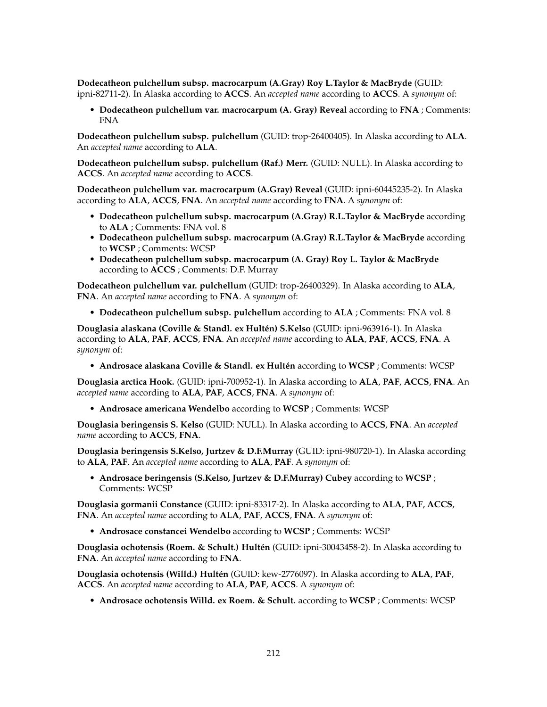**Dodecatheon pulchellum subsp. macrocarpum (A.Gray) Roy L.Taylor & MacBryde** (GUID: ipni-82711-2). In Alaska according to **ACCS**. An *accepted name* according to **ACCS**. A *synonym* of:

• **Dodecatheon pulchellum var. macrocarpum (A. Gray) Reveal** according to **FNA** ; Comments: FNA

**Dodecatheon pulchellum subsp. pulchellum** (GUID: trop-26400405). In Alaska according to **ALA**. An *accepted name* according to **ALA**.

**Dodecatheon pulchellum subsp. pulchellum (Raf.) Merr.** (GUID: NULL). In Alaska according to **ACCS**. An *accepted name* according to **ACCS**.

**Dodecatheon pulchellum var. macrocarpum (A.Gray) Reveal** (GUID: ipni-60445235-2). In Alaska according to **ALA**, **ACCS**, **FNA**. An *accepted name* according to **FNA**. A *synonym* of:

- **Dodecatheon pulchellum subsp. macrocarpum (A.Gray) R.L.Taylor & MacBryde** according to **ALA** ; Comments: FNA vol. 8
- **Dodecatheon pulchellum subsp. macrocarpum (A.Gray) R.L.Taylor & MacBryde** according to **WCSP** ; Comments: WCSP
- **Dodecatheon pulchellum subsp. macrocarpum (A. Gray) Roy L. Taylor & MacBryde** according to **ACCS** ; Comments: D.F. Murray

**Dodecatheon pulchellum var. pulchellum** (GUID: trop-26400329). In Alaska according to **ALA**, **FNA**. An *accepted name* according to **FNA**. A *synonym* of:

• **Dodecatheon pulchellum subsp. pulchellum** according to **ALA** ; Comments: FNA vol. 8

**Douglasia alaskana (Coville & Standl. ex Hultén) S.Kelso** (GUID: ipni-963916-1). In Alaska according to **ALA**, **PAF**, **ACCS**, **FNA**. An *accepted name* according to **ALA**, **PAF**, **ACCS**, **FNA**. A *synonym* of:

• **Androsace alaskana Coville & Standl. ex Hultén** according to **WCSP** ; Comments: WCSP

**Douglasia arctica Hook.** (GUID: ipni-700952-1). In Alaska according to **ALA**, **PAF**, **ACCS**, **FNA**. An *accepted name* according to **ALA**, **PAF**, **ACCS**, **FNA**. A *synonym* of:

• **Androsace americana Wendelbo** according to **WCSP** ; Comments: WCSP

**Douglasia beringensis S. Kelso** (GUID: NULL). In Alaska according to **ACCS**, **FNA**. An *accepted name* according to **ACCS**, **FNA**.

**Douglasia beringensis S.Kelso, Jurtzev & D.F.Murray** (GUID: ipni-980720-1). In Alaska according to **ALA**, **PAF**. An *accepted name* according to **ALA**, **PAF**. A *synonym* of:

• **Androsace beringensis (S.Kelso, Jurtzev & D.F.Murray) Cubey** according to **WCSP** ; Comments: WCSP

**Douglasia gormanii Constance** (GUID: ipni-83317-2). In Alaska according to **ALA**, **PAF**, **ACCS**, **FNA**. An *accepted name* according to **ALA**, **PAF**, **ACCS**, **FNA**. A *synonym* of:

• **Androsace constancei Wendelbo** according to **WCSP** ; Comments: WCSP

**Douglasia ochotensis (Roem. & Schult.) Hultén** (GUID: ipni-30043458-2). In Alaska according to **FNA**. An *accepted name* according to **FNA**.

**Douglasia ochotensis (Willd.) Hultén** (GUID: kew-2776097). In Alaska according to **ALA**, **PAF**, **ACCS**. An *accepted name* according to **ALA**, **PAF**, **ACCS**. A *synonym* of:

• **Androsace ochotensis Willd. ex Roem. & Schult.** according to **WCSP** ; Comments: WCSP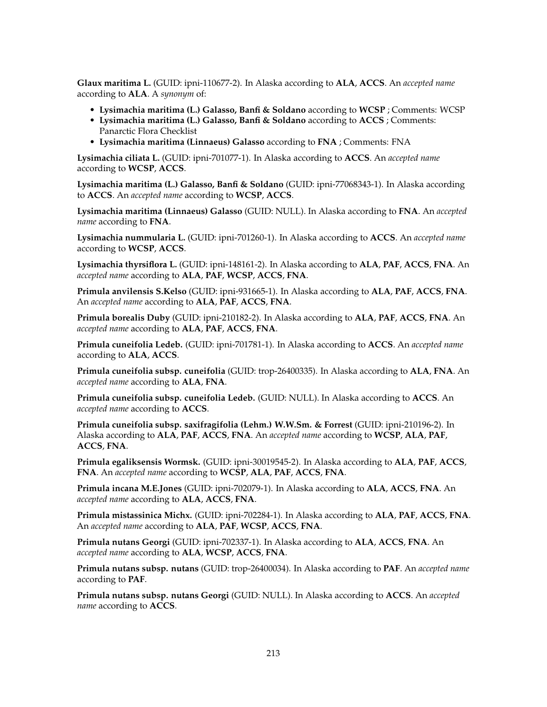**Glaux maritima L.** (GUID: ipni-110677-2). In Alaska according to **ALA**, **ACCS**. An *accepted name* according to **ALA**. A *synonym* of:

- **Lysimachia maritima (L.) Galasso, Banfi & Soldano** according to **WCSP** ; Comments: WCSP
- **Lysimachia maritima (L.) Galasso, Banfi & Soldano** according to **ACCS** ; Comments: Panarctic Flora Checklist
- **Lysimachia maritima (Linnaeus) Galasso** according to **FNA** ; Comments: FNA

**Lysimachia ciliata L.** (GUID: ipni-701077-1). In Alaska according to **ACCS**. An *accepted name* according to **WCSP**, **ACCS**.

**Lysimachia maritima (L.) Galasso, Banfi & Soldano** (GUID: ipni-77068343-1). In Alaska according to **ACCS**. An *accepted name* according to **WCSP**, **ACCS**.

**Lysimachia maritima (Linnaeus) Galasso** (GUID: NULL). In Alaska according to **FNA**. An *accepted name* according to **FNA**.

**Lysimachia nummularia L.** (GUID: ipni-701260-1). In Alaska according to **ACCS**. An *accepted name* according to **WCSP**, **ACCS**.

**Lysimachia thyrsiflora L.** (GUID: ipni-148161-2). In Alaska according to **ALA**, **PAF**, **ACCS**, **FNA**. An *accepted name* according to **ALA**, **PAF**, **WCSP**, **ACCS**, **FNA**.

**Primula anvilensis S.Kelso** (GUID: ipni-931665-1). In Alaska according to **ALA**, **PAF**, **ACCS**, **FNA**. An *accepted name* according to **ALA**, **PAF**, **ACCS**, **FNA**.

**Primula borealis Duby** (GUID: ipni-210182-2). In Alaska according to **ALA**, **PAF**, **ACCS**, **FNA**. An *accepted name* according to **ALA**, **PAF**, **ACCS**, **FNA**.

**Primula cuneifolia Ledeb.** (GUID: ipni-701781-1). In Alaska according to **ACCS**. An *accepted name* according to **ALA**, **ACCS**.

**Primula cuneifolia subsp. cuneifolia** (GUID: trop-26400335). In Alaska according to **ALA**, **FNA**. An *accepted name* according to **ALA**, **FNA**.

**Primula cuneifolia subsp. cuneifolia Ledeb.** (GUID: NULL). In Alaska according to **ACCS**. An *accepted name* according to **ACCS**.

**Primula cuneifolia subsp. saxifragifolia (Lehm.) W.W.Sm. & Forrest** (GUID: ipni-210196-2). In Alaska according to **ALA**, **PAF**, **ACCS**, **FNA**. An *accepted name* according to **WCSP**, **ALA**, **PAF**, **ACCS**, **FNA**.

**Primula egaliksensis Wormsk.** (GUID: ipni-30019545-2). In Alaska according to **ALA**, **PAF**, **ACCS**, **FNA**. An *accepted name* according to **WCSP**, **ALA**, **PAF**, **ACCS**, **FNA**.

**Primula incana M.E.Jones** (GUID: ipni-702079-1). In Alaska according to **ALA**, **ACCS**, **FNA**. An *accepted name* according to **ALA**, **ACCS**, **FNA**.

**Primula mistassinica Michx.** (GUID: ipni-702284-1). In Alaska according to **ALA**, **PAF**, **ACCS**, **FNA**. An *accepted name* according to **ALA**, **PAF**, **WCSP**, **ACCS**, **FNA**.

**Primula nutans Georgi** (GUID: ipni-702337-1). In Alaska according to **ALA**, **ACCS**, **FNA**. An *accepted name* according to **ALA**, **WCSP**, **ACCS**, **FNA**.

**Primula nutans subsp. nutans** (GUID: trop-26400034). In Alaska according to **PAF**. An *accepted name* according to **PAF**.

**Primula nutans subsp. nutans Georgi** (GUID: NULL). In Alaska according to **ACCS**. An *accepted name* according to **ACCS**.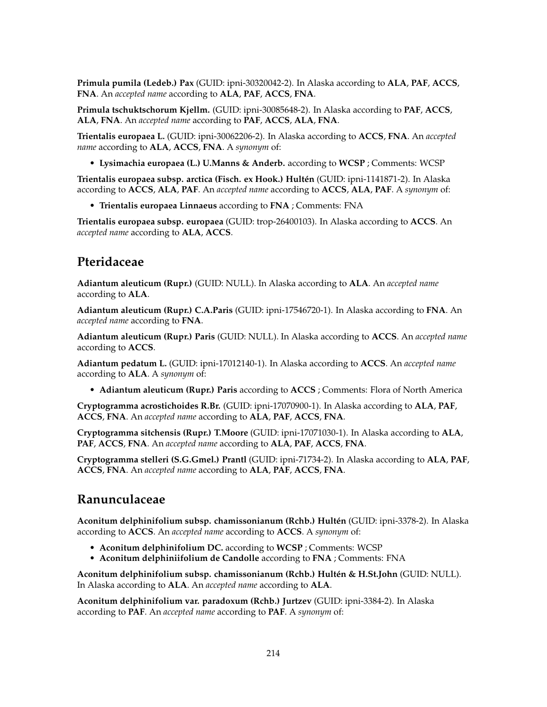**Primula pumila (Ledeb.) Pax** (GUID: ipni-30320042-2). In Alaska according to **ALA**, **PAF**, **ACCS**, **FNA**. An *accepted name* according to **ALA**, **PAF**, **ACCS**, **FNA**.

**Primula tschuktschorum Kjellm.** (GUID: ipni-30085648-2). In Alaska according to **PAF**, **ACCS**, **ALA**, **FNA**. An *accepted name* according to **PAF**, **ACCS**, **ALA**, **FNA**.

**Trientalis europaea L.** (GUID: ipni-30062206-2). In Alaska according to **ACCS**, **FNA**. An *accepted name* according to **ALA**, **ACCS**, **FNA**. A *synonym* of:

• **Lysimachia europaea (L.) U.Manns & Anderb.** according to **WCSP** ; Comments: WCSP

**Trientalis europaea subsp. arctica (Fisch. ex Hook.) Hultén** (GUID: ipni-1141871-2). In Alaska according to **ACCS**, **ALA**, **PAF**. An *accepted name* according to **ACCS**, **ALA**, **PAF**. A *synonym* of:

• **Trientalis europaea Linnaeus** according to **FNA** ; Comments: FNA

**Trientalis europaea subsp. europaea** (GUID: trop-26400103). In Alaska according to **ACCS**. An *accepted name* according to **ALA**, **ACCS**.

### **Pteridaceae**

**Adiantum aleuticum (Rupr.)** (GUID: NULL). In Alaska according to **ALA**. An *accepted name* according to **ALA**.

**Adiantum aleuticum (Rupr.) C.A.Paris** (GUID: ipni-17546720-1). In Alaska according to **FNA**. An *accepted name* according to **FNA**.

**Adiantum aleuticum (Rupr.) Paris** (GUID: NULL). In Alaska according to **ACCS**. An *accepted name* according to **ACCS**.

**Adiantum pedatum L.** (GUID: ipni-17012140-1). In Alaska according to **ACCS**. An *accepted name* according to **ALA**. A *synonym* of:

• **Adiantum aleuticum (Rupr.) Paris** according to **ACCS** ; Comments: Flora of North America

**Cryptogramma acrostichoides R.Br.** (GUID: ipni-17070900-1). In Alaska according to **ALA**, **PAF**, **ACCS**, **FNA**. An *accepted name* according to **ALA**, **PAF**, **ACCS**, **FNA**.

**Cryptogramma sitchensis (Rupr.) T.Moore** (GUID: ipni-17071030-1). In Alaska according to **ALA**, **PAF**, **ACCS**, **FNA**. An *accepted name* according to **ALA**, **PAF**, **ACCS**, **FNA**.

**Cryptogramma stelleri (S.G.Gmel.) Prantl** (GUID: ipni-71734-2). In Alaska according to **ALA**, **PAF**, **ACCS**, **FNA**. An *accepted name* according to **ALA**, **PAF**, **ACCS**, **FNA**.

### **Ranunculaceae**

**Aconitum delphinifolium subsp. chamissonianum (Rchb.) Hultén** (GUID: ipni-3378-2). In Alaska according to **ACCS**. An *accepted name* according to **ACCS**. A *synonym* of:

- **Aconitum delphinifolium DC.** according to **WCSP** ; Comments: WCSP
- **Aconitum delphiniifolium de Candolle** according to **FNA** ; Comments: FNA

**Aconitum delphinifolium subsp. chamissonianum (Rchb.) Hultén & H.St.John** (GUID: NULL). In Alaska according to **ALA**. An *accepted name* according to **ALA**.

**Aconitum delphinifolium var. paradoxum (Rchb.) Jurtzev** (GUID: ipni-3384-2). In Alaska according to **PAF**. An *accepted name* according to **PAF**. A *synonym* of: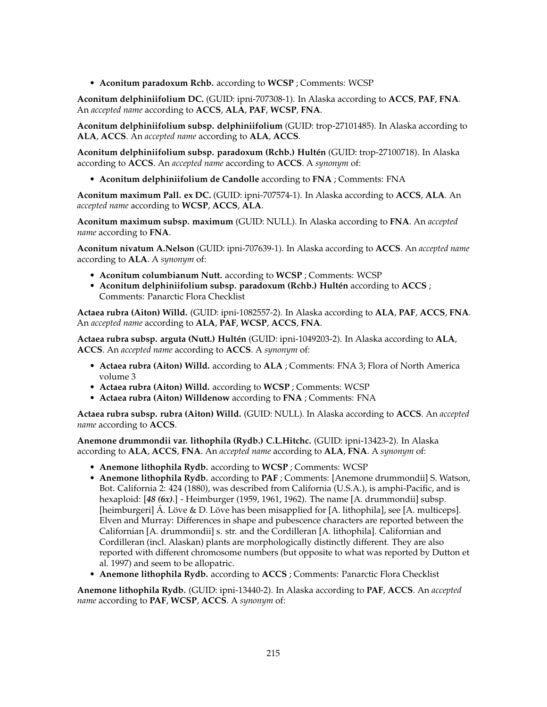• **Aconitum paradoxum Rchb.** according to **WCSP** ; Comments: WCSP

**Aconitum delphiniifolium DC.** (GUID: ipni-707308-1). In Alaska according to **ACCS**, **PAF**, **FNA**. An *accepted name* according to **ACCS**, **ALA**, **PAF**, **WCSP**, **FNA**.

**Aconitum delphiniifolium subsp. delphiniifolium** (GUID: trop-27101485). In Alaska according to **ALA**, **ACCS**. An *accepted name* according to **ALA**, **ACCS**.

**Aconitum delphiniifolium subsp. paradoxum (Rchb.) Hultén** (GUID: trop-27100718). In Alaska according to **ACCS**. An *accepted name* according to **ACCS**. A *synonym* of:

• **Aconitum delphiniifolium de Candolle** according to **FNA** ; Comments: FNA

**Aconitum maximum Pall. ex DC.** (GUID: ipni-707574-1). In Alaska according to **ACCS**, **ALA**. An *accepted name* according to **WCSP**, **ACCS**, **ALA**.

**Aconitum maximum subsp. maximum** (GUID: NULL). In Alaska according to **FNA**. An *accepted name* according to **FNA**.

**Aconitum nivatum A.Nelson** (GUID: ipni-707639-1). In Alaska according to **ACCS**. An *accepted name* according to **ALA**. A *synonym* of:

- **Aconitum columbianum Nutt.** according to **WCSP** ; Comments: WCSP
- **Aconitum delphiniifolium subsp. paradoxum (Rchb.) Hultén** according to **ACCS** ; Comments: Panarctic Flora Checklist

**Actaea rubra (Aiton) Willd.** (GUID: ipni-1082557-2). In Alaska according to **ALA**, **PAF**, **ACCS**, **FNA**. An *accepted name* according to **ALA**, **PAF**, **WCSP**, **ACCS**, **FNA**.

**Actaea rubra subsp. arguta (Nutt.) Hultén** (GUID: ipni-1049203-2). In Alaska according to **ALA**, **ACCS**. An *accepted name* according to **ACCS**. A *synonym* of:

- **Actaea rubra (Aiton) Willd.** according to **ALA** ; Comments: FNA 3; Flora of North America volume 3
- **Actaea rubra (Aiton) Willd.** according to **WCSP** ; Comments: WCSP
- **Actaea rubra (Aiton) Willdenow** according to **FNA** ; Comments: FNA

**Actaea rubra subsp. rubra (Aiton) Willd.** (GUID: NULL). In Alaska according to **ACCS**. An *accepted name* according to **ACCS**.

**Anemone drummondii var. lithophila (Rydb.) C.L.Hitchc.** (GUID: ipni-13423-2). In Alaska according to **ALA**, **ACCS**, **FNA**. An *accepted name* according to **ALA**, **FNA**. A *synonym* of:

- **Anemone lithophila Rydb.** according to **WCSP** ; Comments: WCSP
- **Anemone lithophila Rydb.** according to **PAF** ; Comments: [Anemone drummondii] S. Watson, Bot. California 2: 424 (1880), was described from California (U.S.A.), is amphi-Pacific, and is hexaploid: [*48 (6x)*.] - Heimburger (1959, 1961, 1962). The name [A. drummondii] subsp. [heimburgeri] Á. Löve & D. Löve has been misapplied for [A. lithophila], see [A. multiceps]. Elven and Murray: Differences in shape and pubescence characters are reported between the Californian [A. drummondii] s. str. and the Cordilleran [A. lithophila]. Californian and Cordilleran (incl. Alaskan) plants are morphologically distinctly different. They are also reported with different chromosome numbers (but opposite to what was reported by Dutton et al. 1997) and seem to be allopatric.
- **Anemone lithophila Rydb.** according to **ACCS** ; Comments: Panarctic Flora Checklist

**Anemone lithophila Rydb.** (GUID: ipni-13440-2). In Alaska according to **PAF**, **ACCS**. An *accepted name* according to **PAF**, **WCSP**, **ACCS**. A *synonym* of: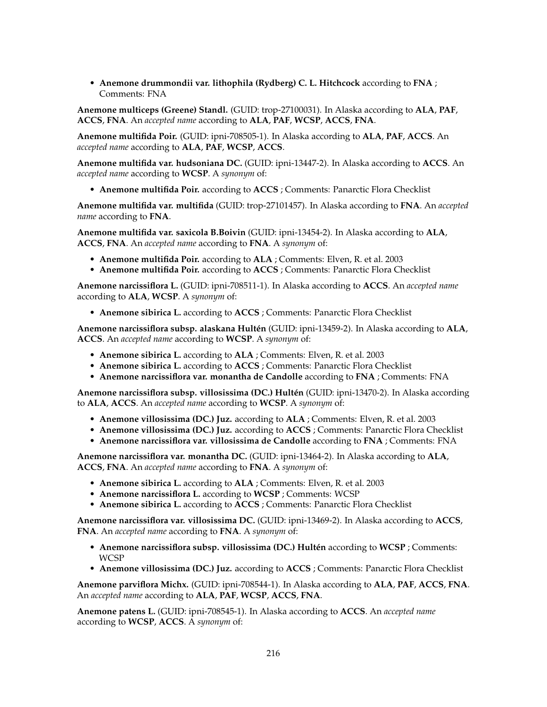• **Anemone drummondii var. lithophila (Rydberg) C. L. Hitchcock** according to **FNA** ; Comments: FNA

**Anemone multiceps (Greene) Standl.** (GUID: trop-27100031). In Alaska according to **ALA**, **PAF**, **ACCS**, **FNA**. An *accepted name* according to **ALA**, **PAF**, **WCSP**, **ACCS**, **FNA**.

**Anemone multifida Poir.** (GUID: ipni-708505-1). In Alaska according to **ALA**, **PAF**, **ACCS**. An *accepted name* according to **ALA**, **PAF**, **WCSP**, **ACCS**.

**Anemone multifida var. hudsoniana DC.** (GUID: ipni-13447-2). In Alaska according to **ACCS**. An *accepted name* according to **WCSP**. A *synonym* of:

• **Anemone multifida Poir.** according to **ACCS** ; Comments: Panarctic Flora Checklist

**Anemone multifida var. multifida** (GUID: trop-27101457). In Alaska according to **FNA**. An *accepted name* according to **FNA**.

**Anemone multifida var. saxicola B.Boivin** (GUID: ipni-13454-2). In Alaska according to **ALA**, **ACCS**, **FNA**. An *accepted name* according to **FNA**. A *synonym* of:

- **Anemone multifida Poir.** according to **ALA** ; Comments: Elven, R. et al. 2003
- **Anemone multifida Poir.** according to **ACCS** ; Comments: Panarctic Flora Checklist

**Anemone narcissiflora L.** (GUID: ipni-708511-1). In Alaska according to **ACCS**. An *accepted name* according to **ALA**, **WCSP**. A *synonym* of:

• **Anemone sibirica L.** according to **ACCS** ; Comments: Panarctic Flora Checklist

**Anemone narcissiflora subsp. alaskana Hultén** (GUID: ipni-13459-2). In Alaska according to **ALA**, **ACCS**. An *accepted name* according to **WCSP**. A *synonym* of:

- **Anemone sibirica L.** according to **ALA** ; Comments: Elven, R. et al. 2003
- **Anemone sibirica L.** according to **ACCS** ; Comments: Panarctic Flora Checklist
- **Anemone narcissiflora var. monantha de Candolle** according to **FNA** ; Comments: FNA

**Anemone narcissiflora subsp. villosissima (DC.) Hultén** (GUID: ipni-13470-2). In Alaska according to **ALA**, **ACCS**. An *accepted name* according to **WCSP**. A *synonym* of:

- **Anemone villosissima (DC.) Juz.** according to **ALA** ; Comments: Elven, R. et al. 2003
- **Anemone villosissima (DC.) Juz.** according to **ACCS** ; Comments: Panarctic Flora Checklist
- **Anemone narcissiflora var. villosissima de Candolle** according to **FNA** ; Comments: FNA

**Anemone narcissiflora var. monantha DC.** (GUID: ipni-13464-2). In Alaska according to **ALA**, **ACCS**, **FNA**. An *accepted name* according to **FNA**. A *synonym* of:

- **Anemone sibirica L.** according to **ALA** ; Comments: Elven, R. et al. 2003
- **Anemone narcissiflora L.** according to **WCSP** ; Comments: WCSP
- **Anemone sibirica L.** according to **ACCS** ; Comments: Panarctic Flora Checklist

**Anemone narcissiflora var. villosissima DC.** (GUID: ipni-13469-2). In Alaska according to **ACCS**, **FNA**. An *accepted name* according to **FNA**. A *synonym* of:

- **Anemone narcissiflora subsp. villosissima (DC.) Hultén** according to **WCSP** ; Comments: WCSP
- **Anemone villosissima (DC.) Juz.** according to **ACCS** ; Comments: Panarctic Flora Checklist

**Anemone parviflora Michx.** (GUID: ipni-708544-1). In Alaska according to **ALA**, **PAF**, **ACCS**, **FNA**. An *accepted name* according to **ALA**, **PAF**, **WCSP**, **ACCS**, **FNA**.

**Anemone patens L.** (GUID: ipni-708545-1). In Alaska according to **ACCS**. An *accepted name* according to **WCSP**, **ACCS**. A *synonym* of: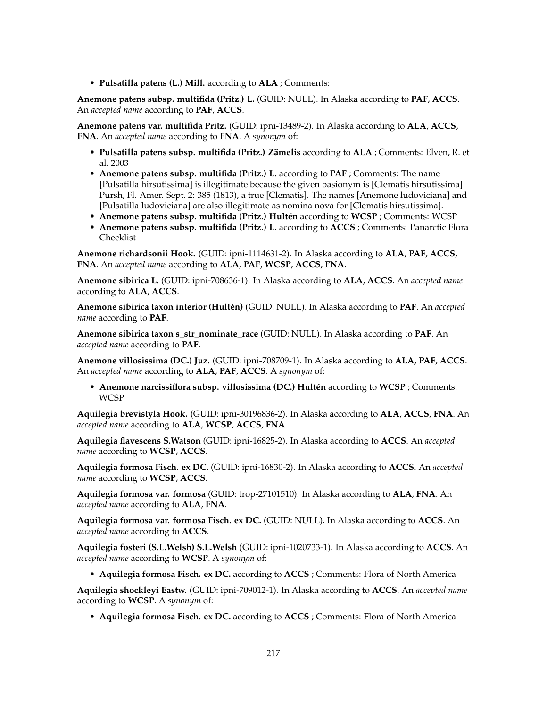• **Pulsatilla patens (L.) Mill.** according to **ALA** ; Comments:

**Anemone patens subsp. multifida (Pritz.) L.** (GUID: NULL). In Alaska according to **PAF**, **ACCS**. An *accepted name* according to **PAF**, **ACCS**.

**Anemone patens var. multifida Pritz.** (GUID: ipni-13489-2). In Alaska according to **ALA**, **ACCS**, **FNA**. An *accepted name* according to **FNA**. A *synonym* of:

- **Pulsatilla patens subsp. multifida (Pritz.) Zämelis** according to **ALA** ; Comments: Elven, R. et al. 2003
- **Anemone patens subsp. multifida (Pritz.) L.** according to **PAF** ; Comments: The name [Pulsatilla hirsutissima] is illegitimate because the given basionym is [Clematis hirsutissima] Pursh, Fl. Amer. Sept. 2: 385 (1813), a true [Clematis]. The names [Anemone ludoviciana] and [Pulsatilla ludoviciana] are also illegitimate as nomina nova for [Clematis hirsutissima].
- **Anemone patens subsp. multifida (Pritz.) Hultén** according to **WCSP** ; Comments: WCSP
- **Anemone patens subsp. multifida (Pritz.) L.** according to **ACCS** ; Comments: Panarctic Flora Checklist

**Anemone richardsonii Hook.** (GUID: ipni-1114631-2). In Alaska according to **ALA**, **PAF**, **ACCS**, **FNA**. An *accepted name* according to **ALA**, **PAF**, **WCSP**, **ACCS**, **FNA**.

**Anemone sibirica L.** (GUID: ipni-708636-1). In Alaska according to **ALA**, **ACCS**. An *accepted name* according to **ALA**, **ACCS**.

**Anemone sibirica taxon interior (Hultén)** (GUID: NULL). In Alaska according to **PAF**. An *accepted name* according to **PAF**.

**Anemone sibirica taxon s\_str\_nominate\_race** (GUID: NULL). In Alaska according to **PAF**. An *accepted name* according to **PAF**.

**Anemone villosissima (DC.) Juz.** (GUID: ipni-708709-1). In Alaska according to **ALA**, **PAF**, **ACCS**. An *accepted name* according to **ALA**, **PAF**, **ACCS**. A *synonym* of:

• **Anemone narcissiflora subsp. villosissima (DC.) Hultén** according to **WCSP** ; Comments: WCSP

**Aquilegia brevistyla Hook.** (GUID: ipni-30196836-2). In Alaska according to **ALA**, **ACCS**, **FNA**. An *accepted name* according to **ALA**, **WCSP**, **ACCS**, **FNA**.

**Aquilegia flavescens S.Watson** (GUID: ipni-16825-2). In Alaska according to **ACCS**. An *accepted name* according to **WCSP**, **ACCS**.

**Aquilegia formosa Fisch. ex DC.** (GUID: ipni-16830-2). In Alaska according to **ACCS**. An *accepted name* according to **WCSP**, **ACCS**.

**Aquilegia formosa var. formosa** (GUID: trop-27101510). In Alaska according to **ALA**, **FNA**. An *accepted name* according to **ALA**, **FNA**.

**Aquilegia formosa var. formosa Fisch. ex DC.** (GUID: NULL). In Alaska according to **ACCS**. An *accepted name* according to **ACCS**.

**Aquilegia fosteri (S.L.Welsh) S.L.Welsh** (GUID: ipni-1020733-1). In Alaska according to **ACCS**. An *accepted name* according to **WCSP**. A *synonym* of:

• **Aquilegia formosa Fisch. ex DC.** according to **ACCS** ; Comments: Flora of North America

**Aquilegia shockleyi Eastw.** (GUID: ipni-709012-1). In Alaska according to **ACCS**. An *accepted name* according to **WCSP**. A *synonym* of:

• **Aquilegia formosa Fisch. ex DC.** according to **ACCS** ; Comments: Flora of North America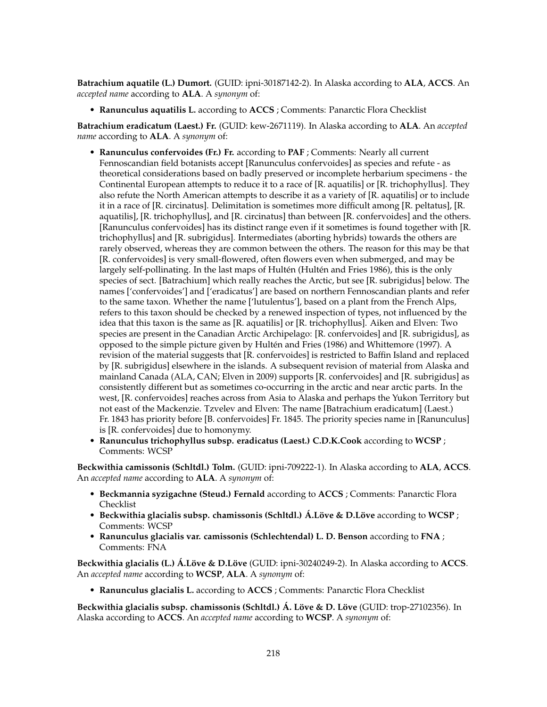**Batrachium aquatile (L.) Dumort.** (GUID: ipni-30187142-2). In Alaska according to **ALA**, **ACCS**. An *accepted name* according to **ALA**. A *synonym* of:

• **Ranunculus aquatilis L.** according to **ACCS** ; Comments: Panarctic Flora Checklist

**Batrachium eradicatum (Laest.) Fr.** (GUID: kew-2671119). In Alaska according to **ALA**. An *accepted name* according to **ALA**. A *synonym* of:

- **Ranunculus confervoides (Fr.) Fr.** according to **PAF** ; Comments: Nearly all current Fennoscandian field botanists accept [Ranunculus confervoides] as species and refute - as theoretical considerations based on badly preserved or incomplete herbarium specimens - the Continental European attempts to reduce it to a race of [R. aquatilis] or [R. trichophyllus]. They also refute the North American attempts to describe it as a variety of [R. aquatilis] or to include it in a race of [R. circinatus]. Delimitation is sometimes more difficult among [R. peltatus], [R. aquatilis], [R. trichophyllus], and [R. circinatus] than between [R. confervoides] and the others. [Ranunculus confervoides] has its distinct range even if it sometimes is found together with [R. trichophyllus] and [R. subrigidus]. Intermediates (aborting hybrids) towards the others are rarely observed, whereas they are common between the others. The reason for this may be that [R. confervoides] is very small-flowered, often flowers even when submerged, and may be largely self-pollinating. In the last maps of Hultén (Hultén and Fries 1986), this is the only species of sect. [Batrachium] which really reaches the Arctic, but see [R. subrigidus] below. The names ['confervoides'] and ['eradicatus'] are based on northern Fennoscandian plants and refer to the same taxon. Whether the name ['lutulentus'], based on a plant from the French Alps, refers to this taxon should be checked by a renewed inspection of types, not influenced by the idea that this taxon is the same as [R. aquatilis] or [R. trichophyllus]. Aiken and Elven: Two species are present in the Canadian Arctic Archipelago: [R. confervoides] and [R. subrigidus], as opposed to the simple picture given by Hultén and Fries (1986) and Whittemore (1997). A revision of the material suggests that [R. confervoides] is restricted to Baffin Island and replaced by [R. subrigidus] elsewhere in the islands. A subsequent revision of material from Alaska and mainland Canada (ALA, CAN; Elven in 2009) supports [R. confervoides] and [R. subrigidus] as consistently different but as sometimes co-occurring in the arctic and near arctic parts. In the west, [R. confervoides] reaches across from Asia to Alaska and perhaps the Yukon Territory but not east of the Mackenzie. Tzvelev and Elven: The name [Batrachium eradicatum] (Laest.) Fr. 1843 has priority before [B. confervoides] Fr. 1845. The priority species name in [Ranunculus] is [R. confervoides] due to homonymy.
- **Ranunculus trichophyllus subsp. eradicatus (Laest.) C.D.K.Cook** according to **WCSP** ; Comments: WCSP

**Beckwithia camissonis (Schltdl.) Tolm.** (GUID: ipni-709222-1). In Alaska according to **ALA**, **ACCS**. An *accepted name* according to **ALA**. A *synonym* of:

- **Beckmannia syzigachne (Steud.) Fernald** according to **ACCS** ; Comments: Panarctic Flora Checklist
- **Beckwithia glacialis subsp. chamissonis (Schltdl.) Á.Löve & D.Löve** according to **WCSP** ; Comments: WCSP
- **Ranunculus glacialis var. camissonis (Schlechtendal) L. D. Benson** according to **FNA** ; Comments: FNA

**Beckwithia glacialis (L.) Á.Löve & D.Löve** (GUID: ipni-30240249-2). In Alaska according to **ACCS**. An *accepted name* according to **WCSP**, **ALA**. A *synonym* of:

• **Ranunculus glacialis L.** according to **ACCS** ; Comments: Panarctic Flora Checklist

**Beckwithia glacialis subsp. chamissonis (Schltdl.) Á. Löve & D. Löve** (GUID: trop-27102356). In Alaska according to **ACCS**. An *accepted name* according to **WCSP**. A *synonym* of: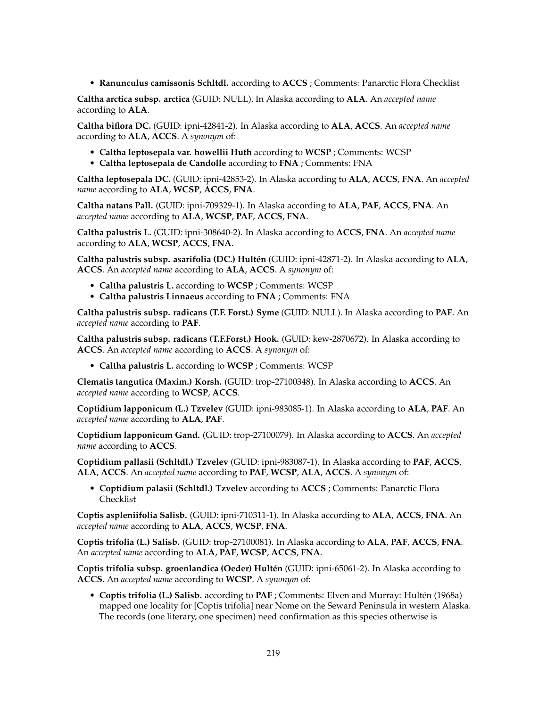• **Ranunculus camissonis Schltdl.** according to **ACCS** ; Comments: Panarctic Flora Checklist

**Caltha arctica subsp. arctica** (GUID: NULL). In Alaska according to **ALA**. An *accepted name* according to **ALA**.

**Caltha biflora DC.** (GUID: ipni-42841-2). In Alaska according to **ALA**, **ACCS**. An *accepted name* according to **ALA**, **ACCS**. A *synonym* of:

- **Caltha leptosepala var. howellii Huth** according to **WCSP** ; Comments: WCSP
- **Caltha leptosepala de Candolle** according to **FNA** ; Comments: FNA

**Caltha leptosepala DC.** (GUID: ipni-42853-2). In Alaska according to **ALA**, **ACCS**, **FNA**. An *accepted name* according to **ALA**, **WCSP**, **ACCS**, **FNA**.

**Caltha natans Pall.** (GUID: ipni-709329-1). In Alaska according to **ALA**, **PAF**, **ACCS**, **FNA**. An *accepted name* according to **ALA**, **WCSP**, **PAF**, **ACCS**, **FNA**.

**Caltha palustris L.** (GUID: ipni-308640-2). In Alaska according to **ACCS**, **FNA**. An *accepted name* according to **ALA**, **WCSP**, **ACCS**, **FNA**.

**Caltha palustris subsp. asarifolia (DC.) Hultén** (GUID: ipni-42871-2). In Alaska according to **ALA**, **ACCS**. An *accepted name* according to **ALA**, **ACCS**. A *synonym* of:

- **Caltha palustris L.** according to **WCSP** ; Comments: WCSP
- **Caltha palustris Linnaeus** according to **FNA** ; Comments: FNA

**Caltha palustris subsp. radicans (T.F. Forst.) Syme** (GUID: NULL). In Alaska according to **PAF**. An *accepted name* according to **PAF**.

**Caltha palustris subsp. radicans (T.F.Forst.) Hook.** (GUID: kew-2870672). In Alaska according to **ACCS**. An *accepted name* according to **ACCS**. A *synonym* of:

• **Caltha palustris L.** according to **WCSP** ; Comments: WCSP

**Clematis tangutica (Maxim.) Korsh.** (GUID: trop-27100348). In Alaska according to **ACCS**. An *accepted name* according to **WCSP**, **ACCS**.

**Coptidium lapponicum (L.) Tzvelev** (GUID: ipni-983085-1). In Alaska according to **ALA**, **PAF**. An *accepted name* according to **ALA**, **PAF**.

**Coptidium lapponicum Gand.** (GUID: trop-27100079). In Alaska according to **ACCS**. An *accepted name* according to **ACCS**.

**Coptidium pallasii (Schltdl.) Tzvelev** (GUID: ipni-983087-1). In Alaska according to **PAF**, **ACCS**, **ALA**, **ACCS**. An *accepted name* according to **PAF**, **WCSP**, **ALA**, **ACCS**. A *synonym* of:

• **Coptidium palasii (Schltdl.) Tzvelev** according to **ACCS** ; Comments: Panarctic Flora Checklist

**Coptis aspleniifolia Salisb.** (GUID: ipni-710311-1). In Alaska according to **ALA**, **ACCS**, **FNA**. An *accepted name* according to **ALA**, **ACCS**, **WCSP**, **FNA**.

**Coptis trifolia (L.) Salisb.** (GUID: trop-27100081). In Alaska according to **ALA**, **PAF**, **ACCS**, **FNA**. An *accepted name* according to **ALA**, **PAF**, **WCSP**, **ACCS**, **FNA**.

**Coptis trifolia subsp. groenlandica (Oeder) Hultén** (GUID: ipni-65061-2). In Alaska according to **ACCS**. An *accepted name* according to **WCSP**. A *synonym* of:

• **Coptis trifolia (L.) Salisb.** according to **PAF** ; Comments: Elven and Murray: Hultén (1968a) mapped one locality for [Coptis trifolia] near Nome on the Seward Peninsula in western Alaska. The records (one literary, one specimen) need confirmation as this species otherwise is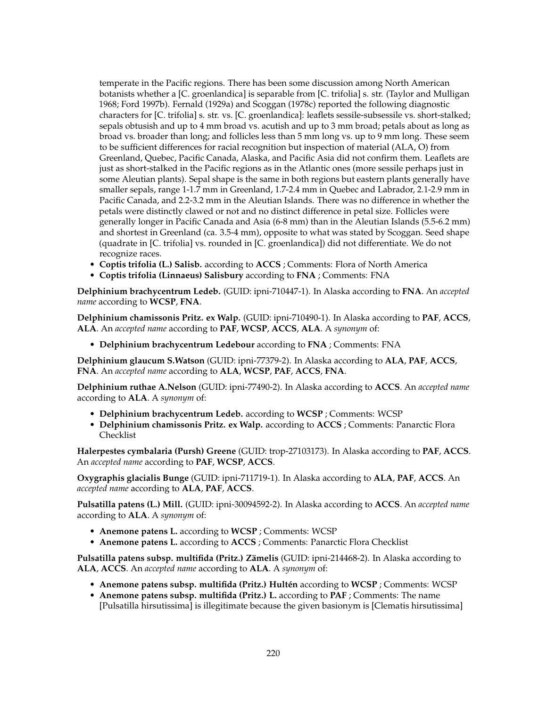temperate in the Pacific regions. There has been some discussion among North American botanists whether a [C. groenlandica] is separable from [C. trifolia] s. str. (Taylor and Mulligan 1968; Ford 1997b). Fernald (1929a) and Scoggan (1978c) reported the following diagnostic characters for [C. trifolia] s. str. vs. [C. groenlandica]: leaflets sessile-subsessile vs. short-stalked; sepals obtusish and up to 4 mm broad vs. acutish and up to 3 mm broad; petals about as long as broad vs. broader than long; and follicles less than 5 mm long vs. up to 9 mm long. These seem to be sufficient differences for racial recognition but inspection of material (ALA, O) from Greenland, Quebec, Pacific Canada, Alaska, and Pacific Asia did not confirm them. Leaflets are just as short-stalked in the Pacific regions as in the Atlantic ones (more sessile perhaps just in some Aleutian plants). Sepal shape is the same in both regions but eastern plants generally have smaller sepals, range 1-1.7 mm in Greenland, 1.7-2.4 mm in Quebec and Labrador, 2.1-2.9 mm in Pacific Canada, and 2.2-3.2 mm in the Aleutian Islands. There was no difference in whether the petals were distinctly clawed or not and no distinct difference in petal size. Follicles were generally longer in Pacific Canada and Asia (6-8 mm) than in the Aleutian Islands (5.5-6.2 mm) and shortest in Greenland (ca. 3.5-4 mm), opposite to what was stated by Scoggan. Seed shape (quadrate in [C. trifolia] vs. rounded in [C. groenlandica]) did not differentiate. We do not recognize races.

- **Coptis trifolia (L.) Salisb.** according to **ACCS** ; Comments: Flora of North America
- **Coptis trifolia (Linnaeus) Salisbury** according to **FNA** ; Comments: FNA

**Delphinium brachycentrum Ledeb.** (GUID: ipni-710447-1). In Alaska according to **FNA**. An *accepted name* according to **WCSP**, **FNA**.

**Delphinium chamissonis Pritz. ex Walp.** (GUID: ipni-710490-1). In Alaska according to **PAF**, **ACCS**, **ALA**. An *accepted name* according to **PAF**, **WCSP**, **ACCS**, **ALA**. A *synonym* of:

• **Delphinium brachycentrum Ledebour** according to **FNA** ; Comments: FNA

**Delphinium glaucum S.Watson** (GUID: ipni-77379-2). In Alaska according to **ALA**, **PAF**, **ACCS**, **FNA**. An *accepted name* according to **ALA**, **WCSP**, **PAF**, **ACCS**, **FNA**.

**Delphinium ruthae A.Nelson** (GUID: ipni-77490-2). In Alaska according to **ACCS**. An *accepted name* according to **ALA**. A *synonym* of:

- **Delphinium brachycentrum Ledeb.** according to **WCSP** ; Comments: WCSP
- **Delphinium chamissonis Pritz. ex Walp.** according to **ACCS** ; Comments: Panarctic Flora Checklist

**Halerpestes cymbalaria (Pursh) Greene** (GUID: trop-27103173). In Alaska according to **PAF**, **ACCS**. An *accepted name* according to **PAF**, **WCSP**, **ACCS**.

**Oxygraphis glacialis Bunge** (GUID: ipni-711719-1). In Alaska according to **ALA**, **PAF**, **ACCS**. An *accepted name* according to **ALA**, **PAF**, **ACCS**.

**Pulsatilla patens (L.) Mill.** (GUID: ipni-30094592-2). In Alaska according to **ACCS**. An *accepted name* according to **ALA**. A *synonym* of:

- **Anemone patens L.** according to **WCSP** ; Comments: WCSP
- **Anemone patens L.** according to **ACCS** ; Comments: Panarctic Flora Checklist

**Pulsatilla patens subsp. multifida (Pritz.) Zämelis** (GUID: ipni-214468-2). In Alaska according to **ALA**, **ACCS**. An *accepted name* according to **ALA**. A *synonym* of:

- **Anemone patens subsp. multifida (Pritz.) Hultén** according to **WCSP** ; Comments: WCSP
- **Anemone patens subsp. multifida (Pritz.) L.** according to **PAF** ; Comments: The name [Pulsatilla hirsutissima] is illegitimate because the given basionym is [Clematis hirsutissima]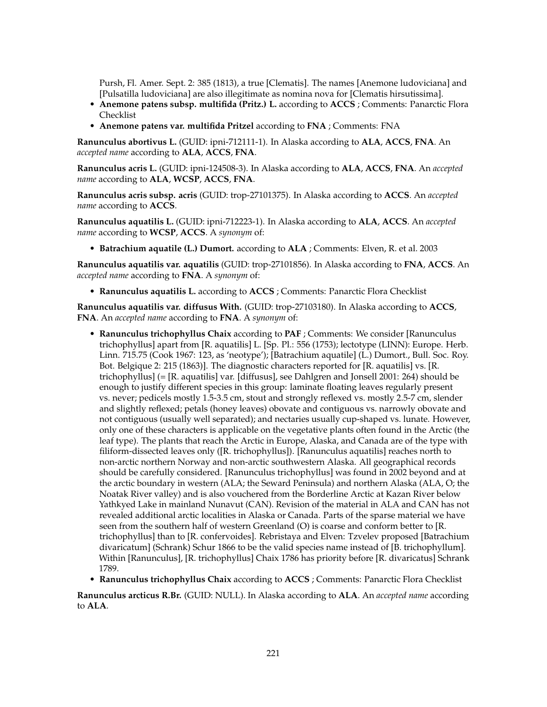Pursh, Fl. Amer. Sept. 2: 385 (1813), a true [Clematis]. The names [Anemone ludoviciana] and [Pulsatilla ludoviciana] are also illegitimate as nomina nova for [Clematis hirsutissima].

- **Anemone patens subsp. multifida (Pritz.) L.** according to **ACCS** ; Comments: Panarctic Flora Checklist
- **Anemone patens var. multifida Pritzel** according to **FNA** ; Comments: FNA

**Ranunculus abortivus L.** (GUID: ipni-712111-1). In Alaska according to **ALA**, **ACCS**, **FNA**. An *accepted name* according to **ALA**, **ACCS**, **FNA**.

**Ranunculus acris L.** (GUID: ipni-124508-3). In Alaska according to **ALA**, **ACCS**, **FNA**. An *accepted name* according to **ALA**, **WCSP**, **ACCS**, **FNA**.

**Ranunculus acris subsp. acris** (GUID: trop-27101375). In Alaska according to **ACCS**. An *accepted name* according to **ACCS**.

**Ranunculus aquatilis L.** (GUID: ipni-712223-1). In Alaska according to **ALA**, **ACCS**. An *accepted name* according to **WCSP**, **ACCS**. A *synonym* of:

• **Batrachium aquatile (L.) Dumort.** according to **ALA** ; Comments: Elven, R. et al. 2003

**Ranunculus aquatilis var. aquatilis** (GUID: trop-27101856). In Alaska according to **FNA**, **ACCS**. An *accepted name* according to **FNA**. A *synonym* of:

• **Ranunculus aquatilis L.** according to **ACCS** ; Comments: Panarctic Flora Checklist

**Ranunculus aquatilis var. diffusus With.** (GUID: trop-27103180). In Alaska according to **ACCS**, **FNA**. An *accepted name* according to **FNA**. A *synonym* of:

- **Ranunculus trichophyllus Chaix** according to **PAF** ; Comments: We consider [Ranunculus trichophyllus] apart from [R. aquatilis] L. [Sp. Pl.: 556 (1753); lectotype (LINN): Europe. Herb. Linn. 715.75 (Cook 1967: 123, as 'neotype'); [Batrachium aquatile] (L.) Dumort., Bull. Soc. Roy. Bot. Belgique 2: 215 (1863)]. The diagnostic characters reported for [R. aquatilis] vs. [R. trichophyllus] (= [R. aquatilis] var. [diffusus], see Dahlgren and Jonsell 2001: 264) should be enough to justify different species in this group: laminate floating leaves regularly present vs. never; pedicels mostly 1.5-3.5 cm, stout and strongly reflexed vs. mostly 2.5-7 cm, slender and slightly reflexed; petals (honey leaves) obovate and contiguous vs. narrowly obovate and not contiguous (usually well separated); and nectaries usually cup-shaped vs. lunate. However, only one of these characters is applicable on the vegetative plants often found in the Arctic (the leaf type). The plants that reach the Arctic in Europe, Alaska, and Canada are of the type with filiform-dissected leaves only ([R. trichophyllus]). [Ranunculus aquatilis] reaches north to non-arctic northern Norway and non-arctic southwestern Alaska. All geographical records should be carefully considered. [Ranunculus trichophyllus] was found in 2002 beyond and at the arctic boundary in western (ALA; the Seward Peninsula) and northern Alaska (ALA, O; the Noatak River valley) and is also vouchered from the Borderline Arctic at Kazan River below Yathkyed Lake in mainland Nunavut (CAN). Revision of the material in ALA and CAN has not revealed additional arctic localities in Alaska or Canada. Parts of the sparse material we have seen from the southern half of western Greenland (O) is coarse and conform better to [R. trichophyllus] than to [R. confervoides]. Rebristaya and Elven: Tzvelev proposed [Batrachium divaricatum] (Schrank) Schur 1866 to be the valid species name instead of [B. trichophyllum]. Within [Ranunculus], [R. trichophyllus] Chaix 1786 has priority before [R. divaricatus] Schrank 1789.
- **Ranunculus trichophyllus Chaix** according to **ACCS** ; Comments: Panarctic Flora Checklist

**Ranunculus arcticus R.Br.** (GUID: NULL). In Alaska according to **ALA**. An *accepted name* according to **ALA**.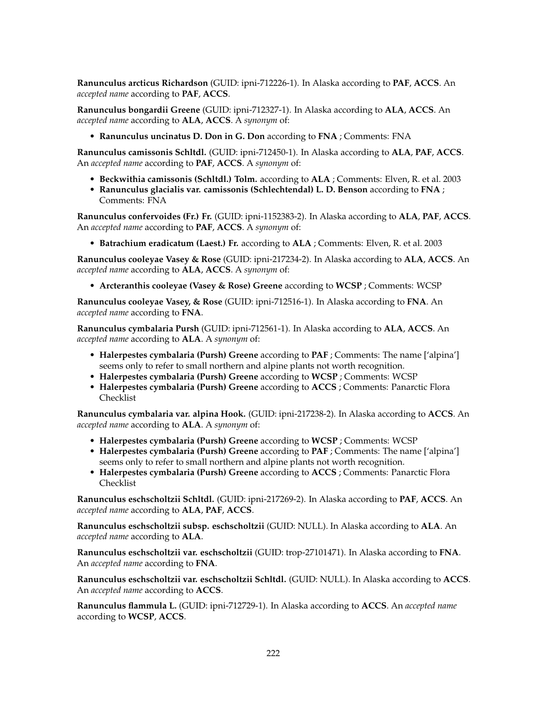**Ranunculus arcticus Richardson** (GUID: ipni-712226-1). In Alaska according to **PAF**, **ACCS**. An *accepted name* according to **PAF**, **ACCS**.

**Ranunculus bongardii Greene** (GUID: ipni-712327-1). In Alaska according to **ALA**, **ACCS**. An *accepted name* according to **ALA**, **ACCS**. A *synonym* of:

• **Ranunculus uncinatus D. Don in G. Don** according to **FNA** ; Comments: FNA

**Ranunculus camissonis Schltdl.** (GUID: ipni-712450-1). In Alaska according to **ALA**, **PAF**, **ACCS**. An *accepted name* according to **PAF**, **ACCS**. A *synonym* of:

- **Beckwithia camissonis (Schltdl.) Tolm.** according to **ALA** ; Comments: Elven, R. et al. 2003
- **Ranunculus glacialis var. camissonis (Schlechtendal) L. D. Benson** according to **FNA** ; Comments: FNA

**Ranunculus confervoides (Fr.) Fr.** (GUID: ipni-1152383-2). In Alaska according to **ALA**, **PAF**, **ACCS**. An *accepted name* according to **PAF**, **ACCS**. A *synonym* of:

• **Batrachium eradicatum (Laest.) Fr.** according to **ALA** ; Comments: Elven, R. et al. 2003

**Ranunculus cooleyae Vasey & Rose** (GUID: ipni-217234-2). In Alaska according to **ALA**, **ACCS**. An *accepted name* according to **ALA**, **ACCS**. A *synonym* of:

• **Arcteranthis cooleyae (Vasey & Rose) Greene** according to **WCSP** ; Comments: WCSP

**Ranunculus cooleyae Vasey, & Rose** (GUID: ipni-712516-1). In Alaska according to **FNA**. An *accepted name* according to **FNA**.

**Ranunculus cymbalaria Pursh** (GUID: ipni-712561-1). In Alaska according to **ALA**, **ACCS**. An *accepted name* according to **ALA**. A *synonym* of:

- **Halerpestes cymbalaria (Pursh) Greene** according to **PAF** ; Comments: The name ['alpina'] seems only to refer to small northern and alpine plants not worth recognition.
- **Halerpestes cymbalaria (Pursh) Greene** according to **WCSP** ; Comments: WCSP
- **Halerpestes cymbalaria (Pursh) Greene** according to **ACCS** ; Comments: Panarctic Flora Checklist

**Ranunculus cymbalaria var. alpina Hook.** (GUID: ipni-217238-2). In Alaska according to **ACCS**. An *accepted name* according to **ALA**. A *synonym* of:

- **Halerpestes cymbalaria (Pursh) Greene** according to **WCSP** ; Comments: WCSP
- **Halerpestes cymbalaria (Pursh) Greene** according to **PAF** ; Comments: The name ['alpina'] seems only to refer to small northern and alpine plants not worth recognition.
- **Halerpestes cymbalaria (Pursh) Greene** according to **ACCS** ; Comments: Panarctic Flora Checklist

**Ranunculus eschscholtzii Schltdl.** (GUID: ipni-217269-2). In Alaska according to **PAF**, **ACCS**. An *accepted name* according to **ALA**, **PAF**, **ACCS**.

**Ranunculus eschscholtzii subsp. eschscholtzii** (GUID: NULL). In Alaska according to **ALA**. An *accepted name* according to **ALA**.

**Ranunculus eschscholtzii var. eschscholtzii** (GUID: trop-27101471). In Alaska according to **FNA**. An *accepted name* according to **FNA**.

**Ranunculus eschscholtzii var. eschscholtzii Schltdl.** (GUID: NULL). In Alaska according to **ACCS**. An *accepted name* according to **ACCS**.

**Ranunculus flammula L.** (GUID: ipni-712729-1). In Alaska according to **ACCS**. An *accepted name* according to **WCSP**, **ACCS**.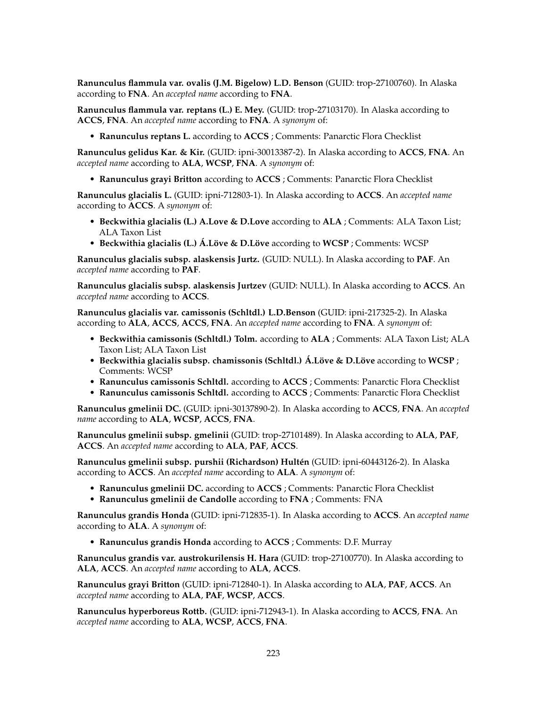**Ranunculus flammula var. ovalis (J.M. Bigelow) L.D. Benson** (GUID: trop-27100760). In Alaska according to **FNA**. An *accepted name* according to **FNA**.

**Ranunculus flammula var. reptans (L.) E. Mey.** (GUID: trop-27103170). In Alaska according to **ACCS**, **FNA**. An *accepted name* according to **FNA**. A *synonym* of:

• **Ranunculus reptans L.** according to **ACCS** ; Comments: Panarctic Flora Checklist

**Ranunculus gelidus Kar. & Kir.** (GUID: ipni-30013387-2). In Alaska according to **ACCS**, **FNA**. An *accepted name* according to **ALA**, **WCSP**, **FNA**. A *synonym* of:

• **Ranunculus grayi Britton** according to **ACCS** ; Comments: Panarctic Flora Checklist

**Ranunculus glacialis L.** (GUID: ipni-712803-1). In Alaska according to **ACCS**. An *accepted name* according to **ACCS**. A *synonym* of:

- **Beckwithia glacialis (L.) A.Love & D.Love** according to **ALA** ; Comments: ALA Taxon List; ALA Taxon List
- **Beckwithia glacialis (L.) Á.Löve & D.Löve** according to **WCSP** ; Comments: WCSP

**Ranunculus glacialis subsp. alaskensis Jurtz.** (GUID: NULL). In Alaska according to **PAF**. An *accepted name* according to **PAF**.

**Ranunculus glacialis subsp. alaskensis Jurtzev** (GUID: NULL). In Alaska according to **ACCS**. An *accepted name* according to **ACCS**.

**Ranunculus glacialis var. camissonis (Schltdl.) L.D.Benson** (GUID: ipni-217325-2). In Alaska according to **ALA**, **ACCS**, **ACCS**, **FNA**. An *accepted name* according to **FNA**. A *synonym* of:

- **Beckwithia camissonis (Schltdl.) Tolm.** according to **ALA** ; Comments: ALA Taxon List; ALA Taxon List; ALA Taxon List
- **Beckwithia glacialis subsp. chamissonis (Schltdl.) Á.Löve & D.Löve** according to **WCSP** ; Comments: WCSP
- **Ranunculus camissonis Schltdl.** according to **ACCS** ; Comments: Panarctic Flora Checklist
- **Ranunculus camissonis Schltdl.** according to **ACCS** ; Comments: Panarctic Flora Checklist

**Ranunculus gmelinii DC.** (GUID: ipni-30137890-2). In Alaska according to **ACCS**, **FNA**. An *accepted name* according to **ALA**, **WCSP**, **ACCS**, **FNA**.

**Ranunculus gmelinii subsp. gmelinii** (GUID: trop-27101489). In Alaska according to **ALA**, **PAF**, **ACCS**. An *accepted name* according to **ALA**, **PAF**, **ACCS**.

**Ranunculus gmelinii subsp. purshii (Richardson) Hultén** (GUID: ipni-60443126-2). In Alaska according to **ACCS**. An *accepted name* according to **ALA**. A *synonym* of:

- **Ranunculus gmelinii DC.** according to **ACCS** ; Comments: Panarctic Flora Checklist
- **Ranunculus gmelinii de Candolle** according to **FNA** ; Comments: FNA

**Ranunculus grandis Honda** (GUID: ipni-712835-1). In Alaska according to **ACCS**. An *accepted name* according to **ALA**. A *synonym* of:

• **Ranunculus grandis Honda** according to **ACCS** ; Comments: D.F. Murray

**Ranunculus grandis var. austrokurilensis H. Hara** (GUID: trop-27100770). In Alaska according to **ALA**, **ACCS**. An *accepted name* according to **ALA**, **ACCS**.

**Ranunculus grayi Britton** (GUID: ipni-712840-1). In Alaska according to **ALA**, **PAF**, **ACCS**. An *accepted name* according to **ALA**, **PAF**, **WCSP**, **ACCS**.

**Ranunculus hyperboreus Rottb.** (GUID: ipni-712943-1). In Alaska according to **ACCS**, **FNA**. An *accepted name* according to **ALA**, **WCSP**, **ACCS**, **FNA**.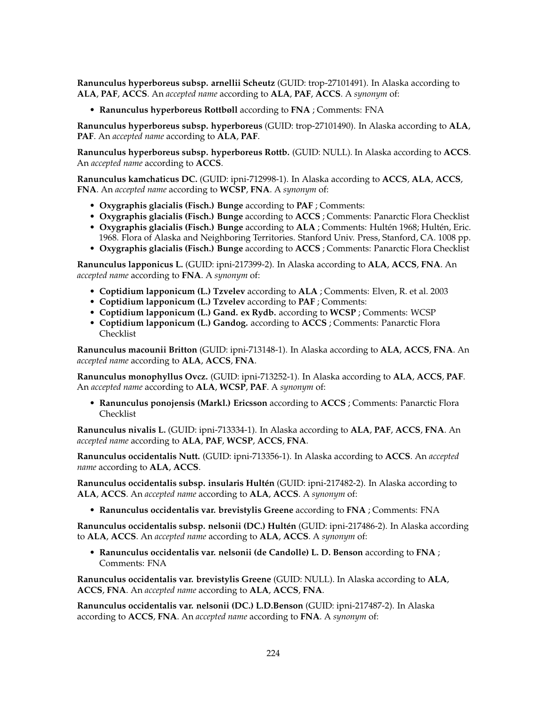**Ranunculus hyperboreus subsp. arnellii Scheutz** (GUID: trop-27101491). In Alaska according to **ALA**, **PAF**, **ACCS**. An *accepted name* according to **ALA**, **PAF**, **ACCS**. A *synonym* of:

• **Ranunculus hyperboreus Rottbøll** according to **FNA** ; Comments: FNA

**Ranunculus hyperboreus subsp. hyperboreus** (GUID: trop-27101490). In Alaska according to **ALA**, **PAF**. An *accepted name* according to **ALA**, **PAF**.

**Ranunculus hyperboreus subsp. hyperboreus Rottb.** (GUID: NULL). In Alaska according to **ACCS**. An *accepted name* according to **ACCS**.

**Ranunculus kamchaticus DC.** (GUID: ipni-712998-1). In Alaska according to **ACCS**, **ALA**, **ACCS**, **FNA**. An *accepted name* according to **WCSP**, **FNA**. A *synonym* of:

- **Oxygraphis glacialis (Fisch.) Bunge** according to **PAF** ; Comments:
- **Oxygraphis glacialis (Fisch.) Bunge** according to **ACCS** ; Comments: Panarctic Flora Checklist • **Oxygraphis glacialis (Fisch.) Bunge** according to **ALA** ; Comments: Hultén 1968; Hultén, Eric.
- 1968. Flora of Alaska and Neighboring Territories. Stanford Univ. Press, Stanford, CA. 1008 pp.
- **Oxygraphis glacialis (Fisch.) Bunge** according to **ACCS** ; Comments: Panarctic Flora Checklist

**Ranunculus lapponicus L.** (GUID: ipni-217399-2). In Alaska according to **ALA**, **ACCS**, **FNA**. An *accepted name* according to **FNA**. A *synonym* of:

- **Coptidium lapponicum (L.) Tzvelev** according to **ALA** ; Comments: Elven, R. et al. 2003
- **Coptidium lapponicum (L.) Tzvelev** according to **PAF** ; Comments:
- **Coptidium lapponicum (L.) Gand. ex Rydb.** according to **WCSP** ; Comments: WCSP
- **Coptidium lapponicum (L.) Gandog.** according to **ACCS** ; Comments: Panarctic Flora Checklist

**Ranunculus macounii Britton** (GUID: ipni-713148-1). In Alaska according to **ALA**, **ACCS**, **FNA**. An *accepted name* according to **ALA**, **ACCS**, **FNA**.

**Ranunculus monophyllus Ovcz.** (GUID: ipni-713252-1). In Alaska according to **ALA**, **ACCS**, **PAF**. An *accepted name* according to **ALA**, **WCSP**, **PAF**. A *synonym* of:

• **Ranunculus ponojensis (Markl.) Ericsson** according to **ACCS** ; Comments: Panarctic Flora Checklist

**Ranunculus nivalis L.** (GUID: ipni-713334-1). In Alaska according to **ALA**, **PAF**, **ACCS**, **FNA**. An *accepted name* according to **ALA**, **PAF**, **WCSP**, **ACCS**, **FNA**.

**Ranunculus occidentalis Nutt.** (GUID: ipni-713356-1). In Alaska according to **ACCS**. An *accepted name* according to **ALA**, **ACCS**.

**Ranunculus occidentalis subsp. insularis Hultén** (GUID: ipni-217482-2). In Alaska according to **ALA**, **ACCS**. An *accepted name* according to **ALA**, **ACCS**. A *synonym* of:

• **Ranunculus occidentalis var. brevistylis Greene** according to **FNA** ; Comments: FNA

**Ranunculus occidentalis subsp. nelsonii (DC.) Hultén** (GUID: ipni-217486-2). In Alaska according to **ALA**, **ACCS**. An *accepted name* according to **ALA**, **ACCS**. A *synonym* of:

• **Ranunculus occidentalis var. nelsonii (de Candolle) L. D. Benson** according to **FNA** ; Comments: FNA

**Ranunculus occidentalis var. brevistylis Greene** (GUID: NULL). In Alaska according to **ALA**, **ACCS**, **FNA**. An *accepted name* according to **ALA**, **ACCS**, **FNA**.

**Ranunculus occidentalis var. nelsonii (DC.) L.D.Benson** (GUID: ipni-217487-2). In Alaska according to **ACCS**, **FNA**. An *accepted name* according to **FNA**. A *synonym* of: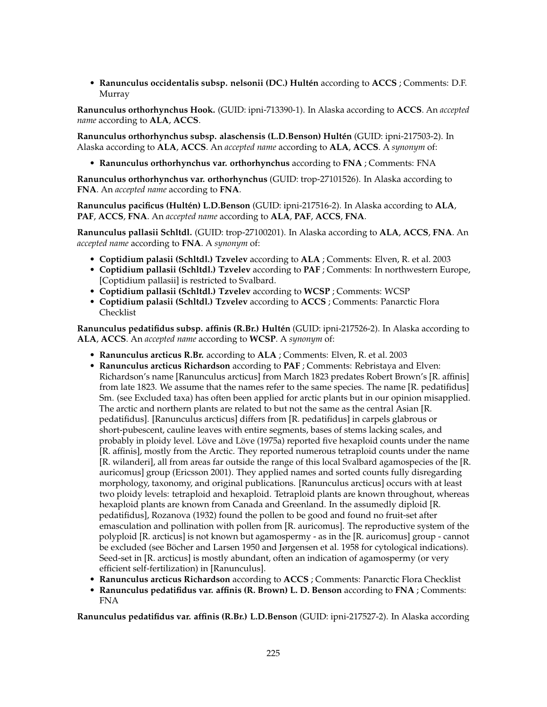• **Ranunculus occidentalis subsp. nelsonii (DC.) Hultén** according to **ACCS** ; Comments: D.F. Murray

**Ranunculus orthorhynchus Hook.** (GUID: ipni-713390-1). In Alaska according to **ACCS**. An *accepted name* according to **ALA**, **ACCS**.

**Ranunculus orthorhynchus subsp. alaschensis (L.D.Benson) Hultén** (GUID: ipni-217503-2). In Alaska according to **ALA**, **ACCS**. An *accepted name* according to **ALA**, **ACCS**. A *synonym* of:

• **Ranunculus orthorhynchus var. orthorhynchus** according to **FNA** ; Comments: FNA

**Ranunculus orthorhynchus var. orthorhynchus** (GUID: trop-27101526). In Alaska according to **FNA**. An *accepted name* according to **FNA**.

**Ranunculus pacificus (Hultén) L.D.Benson** (GUID: ipni-217516-2). In Alaska according to **ALA**, **PAF**, **ACCS**, **FNA**. An *accepted name* according to **ALA**, **PAF**, **ACCS**, **FNA**.

**Ranunculus pallasii Schltdl.** (GUID: trop-27100201). In Alaska according to **ALA**, **ACCS**, **FNA**. An *accepted name* according to **FNA**. A *synonym* of:

- **Coptidium palasii (Schltdl.) Tzvelev** according to **ALA** ; Comments: Elven, R. et al. 2003
- **Coptidium pallasii (Schltdl.) Tzvelev** according to **PAF** ; Comments: In northwestern Europe, [Coptidium pallasii] is restricted to Svalbard.
- **Coptidium pallasii (Schltdl.) Tzvelev** according to **WCSP** ; Comments: WCSP
- **Coptidium palasii (Schltdl.) Tzvelev** according to **ACCS** ; Comments: Panarctic Flora Checklist

**Ranunculus pedatifidus subsp. affinis (R.Br.) Hultén** (GUID: ipni-217526-2). In Alaska according to **ALA**, **ACCS**. An *accepted name* according to **WCSP**. A *synonym* of:

- **Ranunculus arcticus R.Br.** according to **ALA** ; Comments: Elven, R. et al. 2003
- **Ranunculus arcticus Richardson** according to **PAF** ; Comments: Rebristaya and Elven: Richardson's name [Ranunculus arcticus] from March 1823 predates Robert Brown's [R. affinis] from late 1823. We assume that the names refer to the same species. The name [R. pedatifidus] Sm. (see Excluded taxa) has often been applied for arctic plants but in our opinion misapplied. The arctic and northern plants are related to but not the same as the central Asian [R. pedatifidus]. [Ranunculus arcticus] differs from [R. pedatifidus] in carpels glabrous or short-pubescent, cauline leaves with entire segments, bases of stems lacking scales, and probably in ploidy level. Löve and Löve (1975a) reported five hexaploid counts under the name [R. affinis], mostly from the Arctic. They reported numerous tetraploid counts under the name [R. wilanderi], all from areas far outside the range of this local Svalbard agamospecies of the [R. auricomus] group (Ericsson 2001). They applied names and sorted counts fully disregarding morphology, taxonomy, and original publications. [Ranunculus arcticus] occurs with at least two ploidy levels: tetraploid and hexaploid. Tetraploid plants are known throughout, whereas hexaploid plants are known from Canada and Greenland. In the assumedly diploid [R. pedatifidus], Rozanova (1932) found the pollen to be good and found no fruit-set after emasculation and pollination with pollen from [R. auricomus]. The reproductive system of the polyploid [R. arcticus] is not known but agamospermy - as in the [R. auricomus] group - cannot be excluded (see Böcher and Larsen 1950 and Jørgensen et al. 1958 for cytological indications). Seed-set in [R. arcticus] is mostly abundant, often an indication of agamospermy (or very efficient self-fertilization) in [Ranunculus].
- **Ranunculus arcticus Richardson** according to **ACCS** ; Comments: Panarctic Flora Checklist
- **Ranunculus pedatifidus var. affinis (R. Brown) L. D. Benson** according to **FNA** ; Comments: FNA

**Ranunculus pedatifidus var. affinis (R.Br.) L.D.Benson** (GUID: ipni-217527-2). In Alaska according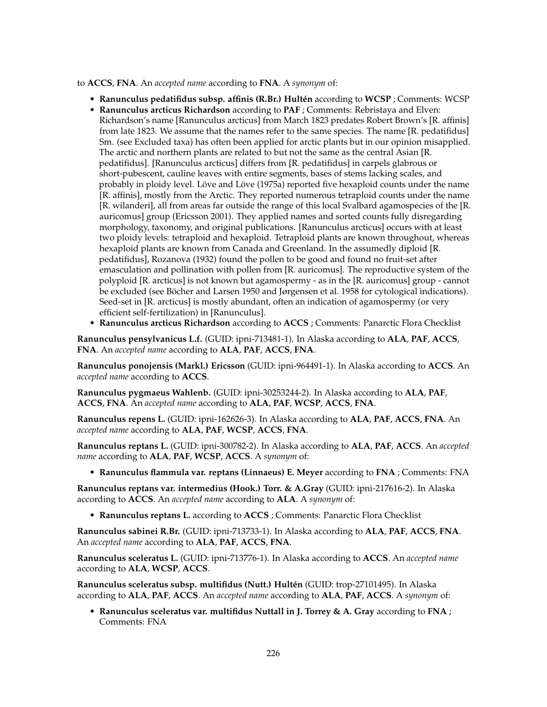to **ACCS**, **FNA**. An *accepted name* according to **FNA**. A *synonym* of:

- **Ranunculus pedatifidus subsp. affinis (R.Br.) Hultén** according to **WCSP** ; Comments: WCSP
- **Ranunculus arcticus Richardson** according to **PAF** ; Comments: Rebristaya and Elven: Richardson's name [Ranunculus arcticus] from March 1823 predates Robert Brown's [R. affinis] from late 1823. We assume that the names refer to the same species. The name [R. pedatifidus] Sm. (see Excluded taxa) has often been applied for arctic plants but in our opinion misapplied. The arctic and northern plants are related to but not the same as the central Asian [R. pedatifidus]. [Ranunculus arcticus] differs from [R. pedatifidus] in carpels glabrous or short-pubescent, cauline leaves with entire segments, bases of stems lacking scales, and probably in ploidy level. Löve and Löve (1975a) reported five hexaploid counts under the name [R. affinis], mostly from the Arctic. They reported numerous tetraploid counts under the name [R. wilanderi], all from areas far outside the range of this local Svalbard agamospecies of the [R. auricomus] group (Ericsson 2001). They applied names and sorted counts fully disregarding morphology, taxonomy, and original publications. [Ranunculus arcticus] occurs with at least two ploidy levels: tetraploid and hexaploid. Tetraploid plants are known throughout, whereas hexaploid plants are known from Canada and Greenland. In the assumedly diploid [R. pedatifidus], Rozanova (1932) found the pollen to be good and found no fruit-set after emasculation and pollination with pollen from [R. auricomus]. The reproductive system of the polyploid [R. arcticus] is not known but agamospermy - as in the [R. auricomus] group - cannot be excluded (see Böcher and Larsen 1950 and Jørgensen et al. 1958 for cytological indications). Seed-set in [R. arcticus] is mostly abundant, often an indication of agamospermy (or very efficient self-fertilization) in [Ranunculus].
- **Ranunculus arcticus Richardson** according to **ACCS** ; Comments: Panarctic Flora Checklist

**Ranunculus pensylvanicus L.f.** (GUID: ipni-713481-1). In Alaska according to **ALA**, **PAF**, **ACCS**, **FNA**. An *accepted name* according to **ALA**, **PAF**, **ACCS**, **FNA**.

**Ranunculus ponojensis (Markl.) Ericsson** (GUID: ipni-964491-1). In Alaska according to **ACCS**. An *accepted name* according to **ACCS**.

**Ranunculus pygmaeus Wahlenb.** (GUID: ipni-30253244-2). In Alaska according to **ALA**, **PAF**, **ACCS**, **FNA**. An *accepted name* according to **ALA**, **PAF**, **WCSP**, **ACCS**, **FNA**.

**Ranunculus repens L.** (GUID: ipni-162626-3). In Alaska according to **ALA**, **PAF**, **ACCS**, **FNA**. An *accepted name* according to **ALA**, **PAF**, **WCSP**, **ACCS**, **FNA**.

**Ranunculus reptans L.** (GUID: ipni-300782-2). In Alaska according to **ALA**, **PAF**, **ACCS**. An *accepted name* according to **ALA**, **PAF**, **WCSP**, **ACCS**. A *synonym* of:

• **Ranunculus flammula var. reptans (Linnaeus) E. Meyer** according to **FNA** ; Comments: FNA

**Ranunculus reptans var. intermedius (Hook.) Torr. & A.Gray** (GUID: ipni-217616-2). In Alaska according to **ACCS**. An *accepted name* according to **ALA**. A *synonym* of:

• **Ranunculus reptans L.** according to **ACCS** ; Comments: Panarctic Flora Checklist

**Ranunculus sabinei R.Br.** (GUID: ipni-713733-1). In Alaska according to **ALA**, **PAF**, **ACCS**, **FNA**. An *accepted name* according to **ALA**, **PAF**, **ACCS**, **FNA**.

**Ranunculus sceleratus L.** (GUID: ipni-713776-1). In Alaska according to **ACCS**. An *accepted name* according to **ALA**, **WCSP**, **ACCS**.

**Ranunculus sceleratus subsp. multifidus (Nutt.) Hultén** (GUID: trop-27101495). In Alaska according to **ALA**, **PAF**, **ACCS**. An *accepted name* according to **ALA**, **PAF**, **ACCS**. A *synonym* of:

• **Ranunculus sceleratus var. multifidus Nuttall in J. Torrey & A. Gray** according to **FNA** ; Comments: FNA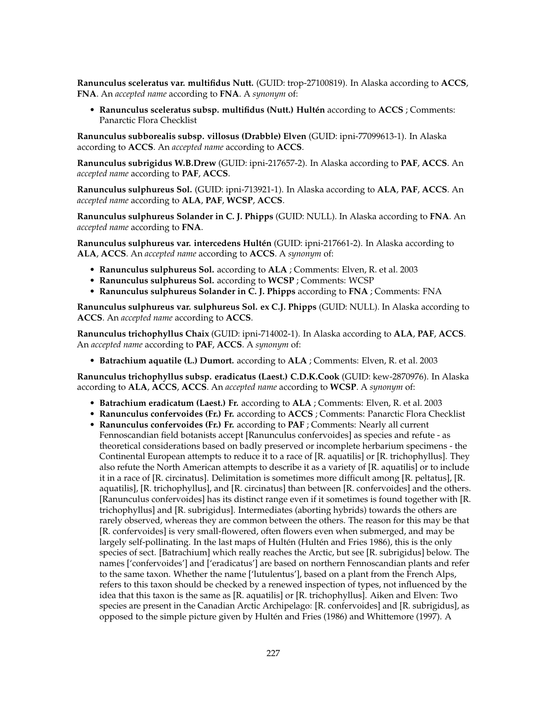**Ranunculus sceleratus var. multifidus Nutt.** (GUID: trop-27100819). In Alaska according to **ACCS**, **FNA**. An *accepted name* according to **FNA**. A *synonym* of:

• **Ranunculus sceleratus subsp. multifidus (Nutt.) Hultén** according to **ACCS** ; Comments: Panarctic Flora Checklist

**Ranunculus subborealis subsp. villosus (Drabble) Elven** (GUID: ipni-77099613-1). In Alaska according to **ACCS**. An *accepted name* according to **ACCS**.

**Ranunculus subrigidus W.B.Drew** (GUID: ipni-217657-2). In Alaska according to **PAF**, **ACCS**. An *accepted name* according to **PAF**, **ACCS**.

**Ranunculus sulphureus Sol.** (GUID: ipni-713921-1). In Alaska according to **ALA**, **PAF**, **ACCS**. An *accepted name* according to **ALA**, **PAF**, **WCSP**, **ACCS**.

**Ranunculus sulphureus Solander in C. J. Phipps** (GUID: NULL). In Alaska according to **FNA**. An *accepted name* according to **FNA**.

**Ranunculus sulphureus var. intercedens Hultén** (GUID: ipni-217661-2). In Alaska according to **ALA**, **ACCS**. An *accepted name* according to **ACCS**. A *synonym* of:

- **Ranunculus sulphureus Sol.** according to **ALA** ; Comments: Elven, R. et al. 2003
- **Ranunculus sulphureus Sol.** according to **WCSP** ; Comments: WCSP
- **Ranunculus sulphureus Solander in C. J. Phipps** according to **FNA** ; Comments: FNA

**Ranunculus sulphureus var. sulphureus Sol. ex C.J. Phipps** (GUID: NULL). In Alaska according to **ACCS**. An *accepted name* according to **ACCS**.

**Ranunculus trichophyllus Chaix** (GUID: ipni-714002-1). In Alaska according to **ALA**, **PAF**, **ACCS**. An *accepted name* according to **PAF**, **ACCS**. A *synonym* of:

• **Batrachium aquatile (L.) Dumort.** according to **ALA** ; Comments: Elven, R. et al. 2003

**Ranunculus trichophyllus subsp. eradicatus (Laest.) C.D.K.Cook** (GUID: kew-2870976). In Alaska according to **ALA**, **ACCS**, **ACCS**. An *accepted name* according to **WCSP**. A *synonym* of:

- **Batrachium eradicatum (Laest.) Fr.** according to **ALA** ; Comments: Elven, R. et al. 2003
- **Ranunculus confervoides (Fr.) Fr.** according to **ACCS** ; Comments: Panarctic Flora Checklist
- **Ranunculus confervoides (Fr.) Fr.** according to **PAF** ; Comments: Nearly all current Fennoscandian field botanists accept [Ranunculus confervoides] as species and refute - as theoretical considerations based on badly preserved or incomplete herbarium specimens - the Continental European attempts to reduce it to a race of [R. aquatilis] or [R. trichophyllus]. They also refute the North American attempts to describe it as a variety of [R. aquatilis] or to include it in a race of [R. circinatus]. Delimitation is sometimes more difficult among [R. peltatus], [R. aquatilis], [R. trichophyllus], and [R. circinatus] than between [R. confervoides] and the others. [Ranunculus confervoides] has its distinct range even if it sometimes is found together with [R. trichophyllus] and [R. subrigidus]. Intermediates (aborting hybrids) towards the others are rarely observed, whereas they are common between the others. The reason for this may be that [R. confervoides] is very small-flowered, often flowers even when submerged, and may be largely self-pollinating. In the last maps of Hultén (Hultén and Fries 1986), this is the only species of sect. [Batrachium] which really reaches the Arctic, but see [R. subrigidus] below. The names ['confervoides'] and ['eradicatus'] are based on northern Fennoscandian plants and refer to the same taxon. Whether the name ['lutulentus'], based on a plant from the French Alps, refers to this taxon should be checked by a renewed inspection of types, not influenced by the idea that this taxon is the same as [R. aquatilis] or [R. trichophyllus]. Aiken and Elven: Two species are present in the Canadian Arctic Archipelago: [R. confervoides] and [R. subrigidus], as opposed to the simple picture given by Hultén and Fries (1986) and Whittemore (1997). A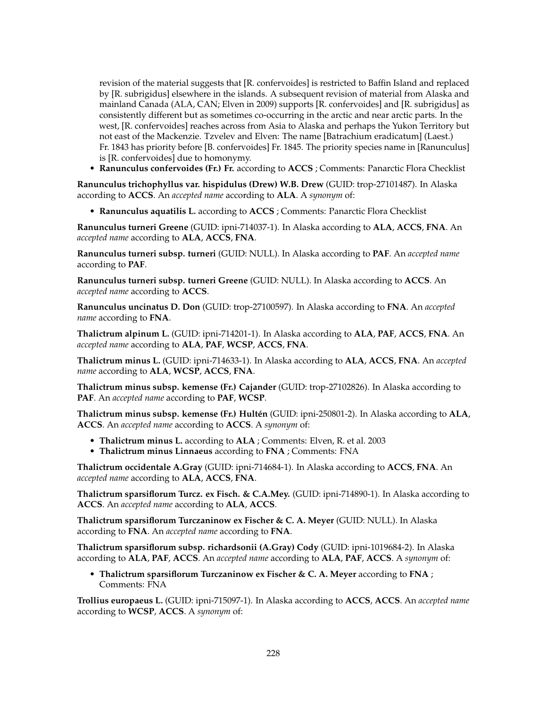revision of the material suggests that [R. confervoides] is restricted to Baffin Island and replaced by [R. subrigidus] elsewhere in the islands. A subsequent revision of material from Alaska and mainland Canada (ALA, CAN; Elven in 2009) supports [R. confervoides] and [R. subrigidus] as consistently different but as sometimes co-occurring in the arctic and near arctic parts. In the west, [R. confervoides] reaches across from Asia to Alaska and perhaps the Yukon Territory but not east of the Mackenzie. Tzvelev and Elven: The name [Batrachium eradicatum] (Laest.) Fr. 1843 has priority before [B. confervoides] Fr. 1845. The priority species name in [Ranunculus] is [R. confervoides] due to homonymy.

• **Ranunculus confervoides (Fr.) Fr.** according to **ACCS** ; Comments: Panarctic Flora Checklist

**Ranunculus trichophyllus var. hispidulus (Drew) W.B. Drew** (GUID: trop-27101487). In Alaska according to **ACCS**. An *accepted name* according to **ALA**. A *synonym* of:

• **Ranunculus aquatilis L.** according to **ACCS** ; Comments: Panarctic Flora Checklist

**Ranunculus turneri Greene** (GUID: ipni-714037-1). In Alaska according to **ALA**, **ACCS**, **FNA**. An *accepted name* according to **ALA**, **ACCS**, **FNA**.

**Ranunculus turneri subsp. turneri** (GUID: NULL). In Alaska according to **PAF**. An *accepted name* according to **PAF**.

**Ranunculus turneri subsp. turneri Greene** (GUID: NULL). In Alaska according to **ACCS**. An *accepted name* according to **ACCS**.

**Ranunculus uncinatus D. Don** (GUID: trop-27100597). In Alaska according to **FNA**. An *accepted name* according to **FNA**.

**Thalictrum alpinum L.** (GUID: ipni-714201-1). In Alaska according to **ALA**, **PAF**, **ACCS**, **FNA**. An *accepted name* according to **ALA**, **PAF**, **WCSP**, **ACCS**, **FNA**.

**Thalictrum minus L.** (GUID: ipni-714633-1). In Alaska according to **ALA**, **ACCS**, **FNA**. An *accepted name* according to **ALA**, **WCSP**, **ACCS**, **FNA**.

**Thalictrum minus subsp. kemense (Fr.) Cajander** (GUID: trop-27102826). In Alaska according to **PAF**. An *accepted name* according to **PAF**, **WCSP**.

**Thalictrum minus subsp. kemense (Fr.) Hultén** (GUID: ipni-250801-2). In Alaska according to **ALA**, **ACCS**. An *accepted name* according to **ACCS**. A *synonym* of:

- **Thalictrum minus L.** according to **ALA** ; Comments: Elven, R. et al. 2003
- **Thalictrum minus Linnaeus** according to **FNA** ; Comments: FNA

**Thalictrum occidentale A.Gray** (GUID: ipni-714684-1). In Alaska according to **ACCS**, **FNA**. An *accepted name* according to **ALA**, **ACCS**, **FNA**.

**Thalictrum sparsiflorum Turcz. ex Fisch. & C.A.Mey.** (GUID: ipni-714890-1). In Alaska according to **ACCS**. An *accepted name* according to **ALA**, **ACCS**.

**Thalictrum sparsiflorum Turczaninow ex Fischer & C. A. Meyer** (GUID: NULL). In Alaska according to **FNA**. An *accepted name* according to **FNA**.

**Thalictrum sparsiflorum subsp. richardsonii (A.Gray) Cody** (GUID: ipni-1019684-2). In Alaska according to **ALA**, **PAF**, **ACCS**. An *accepted name* according to **ALA**, **PAF**, **ACCS**. A *synonym* of:

• **Thalictrum sparsiflorum Turczaninow ex Fischer & C. A. Meyer** according to **FNA** ; Comments: FNA

**Trollius europaeus L.** (GUID: ipni-715097-1). In Alaska according to **ACCS**, **ACCS**. An *accepted name* according to **WCSP**, **ACCS**. A *synonym* of: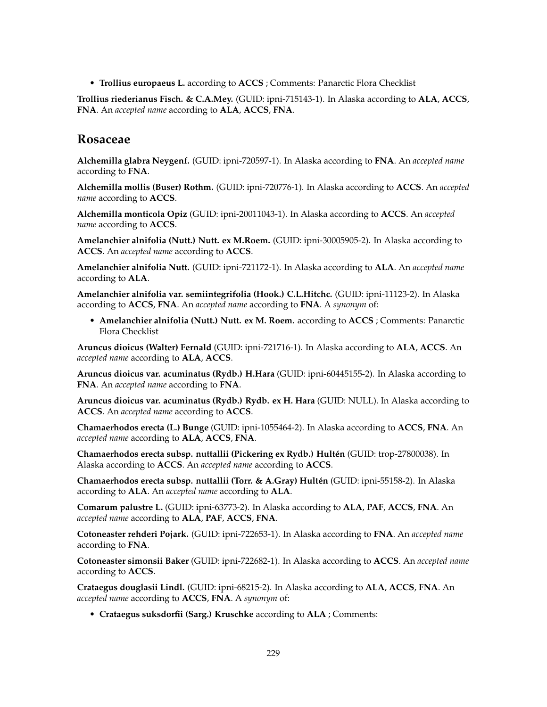• **Trollius europaeus L.** according to **ACCS** ; Comments: Panarctic Flora Checklist

**Trollius riederianus Fisch. & C.A.Mey.** (GUID: ipni-715143-1). In Alaska according to **ALA**, **ACCS**, **FNA**. An *accepted name* according to **ALA**, **ACCS**, **FNA**.

### **Rosaceae**

**Alchemilla glabra Neygenf.** (GUID: ipni-720597-1). In Alaska according to **FNA**. An *accepted name* according to **FNA**.

**Alchemilla mollis (Buser) Rothm.** (GUID: ipni-720776-1). In Alaska according to **ACCS**. An *accepted name* according to **ACCS**.

**Alchemilla monticola Opiz** (GUID: ipni-20011043-1). In Alaska according to **ACCS**. An *accepted name* according to **ACCS**.

**Amelanchier alnifolia (Nutt.) Nutt. ex M.Roem.** (GUID: ipni-30005905-2). In Alaska according to **ACCS**. An *accepted name* according to **ACCS**.

**Amelanchier alnifolia Nutt.** (GUID: ipni-721172-1). In Alaska according to **ALA**. An *accepted name* according to **ALA**.

**Amelanchier alnifolia var. semiintegrifolia (Hook.) C.L.Hitchc.** (GUID: ipni-11123-2). In Alaska according to **ACCS**, **FNA**. An *accepted name* according to **FNA**. A *synonym* of:

• **Amelanchier alnifolia (Nutt.) Nutt. ex M. Roem.** according to **ACCS** ; Comments: Panarctic Flora Checklist

**Aruncus dioicus (Walter) Fernald** (GUID: ipni-721716-1). In Alaska according to **ALA**, **ACCS**. An *accepted name* according to **ALA**, **ACCS**.

**Aruncus dioicus var. acuminatus (Rydb.) H.Hara** (GUID: ipni-60445155-2). In Alaska according to **FNA**. An *accepted name* according to **FNA**.

**Aruncus dioicus var. acuminatus (Rydb.) Rydb. ex H. Hara** (GUID: NULL). In Alaska according to **ACCS**. An *accepted name* according to **ACCS**.

**Chamaerhodos erecta (L.) Bunge** (GUID: ipni-1055464-2). In Alaska according to **ACCS**, **FNA**. An *accepted name* according to **ALA**, **ACCS**, **FNA**.

**Chamaerhodos erecta subsp. nuttallii (Pickering ex Rydb.) Hultén** (GUID: trop-27800038). In Alaska according to **ACCS**. An *accepted name* according to **ACCS**.

**Chamaerhodos erecta subsp. nuttallii (Torr. & A.Gray) Hultén** (GUID: ipni-55158-2). In Alaska according to **ALA**. An *accepted name* according to **ALA**.

**Comarum palustre L.** (GUID: ipni-63773-2). In Alaska according to **ALA**, **PAF**, **ACCS**, **FNA**. An *accepted name* according to **ALA**, **PAF**, **ACCS**, **FNA**.

**Cotoneaster rehderi Pojark.** (GUID: ipni-722653-1). In Alaska according to **FNA**. An *accepted name* according to **FNA**.

**Cotoneaster simonsii Baker** (GUID: ipni-722682-1). In Alaska according to **ACCS**. An *accepted name* according to **ACCS**.

**Crataegus douglasii Lindl.** (GUID: ipni-68215-2). In Alaska according to **ALA**, **ACCS**, **FNA**. An *accepted name* according to **ACCS**, **FNA**. A *synonym* of:

• **Crataegus suksdorfii (Sarg.) Kruschke** according to **ALA** ; Comments: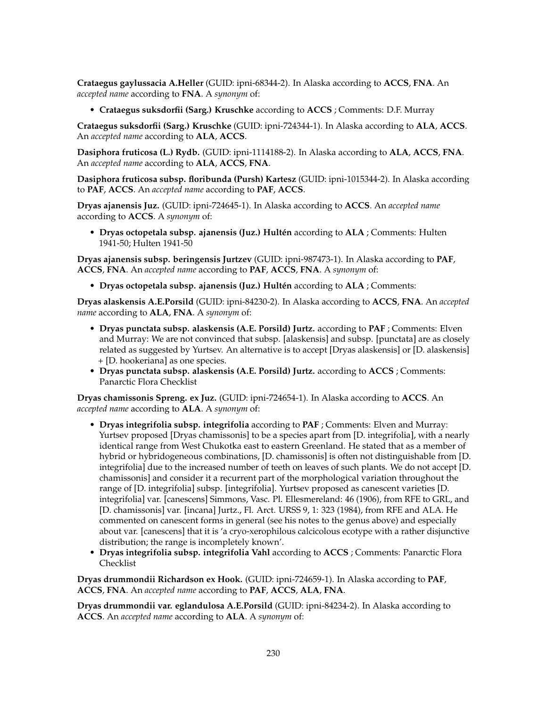**Crataegus gaylussacia A.Heller** (GUID: ipni-68344-2). In Alaska according to **ACCS**, **FNA**. An *accepted name* according to **FNA**. A *synonym* of:

• **Crataegus suksdorfii (Sarg.) Kruschke** according to **ACCS** ; Comments: D.F. Murray

**Crataegus suksdorfii (Sarg.) Kruschke** (GUID: ipni-724344-1). In Alaska according to **ALA**, **ACCS**. An *accepted name* according to **ALA**, **ACCS**.

**Dasiphora fruticosa (L.) Rydb.** (GUID: ipni-1114188-2). In Alaska according to **ALA**, **ACCS**, **FNA**. An *accepted name* according to **ALA**, **ACCS**, **FNA**.

**Dasiphora fruticosa subsp. floribunda (Pursh) Kartesz** (GUID: ipni-1015344-2). In Alaska according to **PAF**, **ACCS**. An *accepted name* according to **PAF**, **ACCS**.

**Dryas ajanensis Juz.** (GUID: ipni-724645-1). In Alaska according to **ACCS**. An *accepted name* according to **ACCS**. A *synonym* of:

• **Dryas octopetala subsp. ajanensis (Juz.) Hultén** according to **ALA** ; Comments: Hulten 1941-50; Hulten 1941-50

**Dryas ajanensis subsp. beringensis Jurtzev** (GUID: ipni-987473-1). In Alaska according to **PAF**, **ACCS**, **FNA**. An *accepted name* according to **PAF**, **ACCS**, **FNA**. A *synonym* of:

• **Dryas octopetala subsp. ajanensis (Juz.) Hultén** according to **ALA** ; Comments:

**Dryas alaskensis A.E.Porsild** (GUID: ipni-84230-2). In Alaska according to **ACCS**, **FNA**. An *accepted name* according to **ALA**, **FNA**. A *synonym* of:

- **Dryas punctata subsp. alaskensis (A.E. Porsild) Jurtz.** according to **PAF** ; Comments: Elven and Murray: We are not convinced that subsp. [alaskensis] and subsp. [punctata] are as closely related as suggested by Yurtsev. An alternative is to accept [Dryas alaskensis] or [D. alaskensis] + [D. hookeriana] as one species.
- **Dryas punctata subsp. alaskensis (A.E. Porsild) Jurtz.** according to **ACCS** ; Comments: Panarctic Flora Checklist

**Dryas chamissonis Spreng. ex Juz.** (GUID: ipni-724654-1). In Alaska according to **ACCS**. An *accepted name* according to **ALA**. A *synonym* of:

- **Dryas integrifolia subsp. integrifolia** according to **PAF** ; Comments: Elven and Murray: Yurtsev proposed [Dryas chamissonis] to be a species apart from [D. integrifolia], with a nearly identical range from West Chukotka east to eastern Greenland. He stated that as a member of hybrid or hybridogeneous combinations, [D. chamissonis] is often not distinguishable from [D. integrifolia] due to the increased number of teeth on leaves of such plants. We do not accept [D. chamissonis] and consider it a recurrent part of the morphological variation throughout the range of [D. integrifolia] subsp. [integrifolia]. Yurtsev proposed as canescent varieties [D. integrifolia] var. [canescens] Simmons, Vasc. Pl. Ellesmereland: 46 (1906), from RFE to GRL, and [D. chamissonis] var. [incana] Jurtz., Fl. Arct. URSS 9, 1: 323 (1984), from RFE and ALA. He commented on canescent forms in general (see his notes to the genus above) and especially about var. [canescens] that it is 'a cryo-xerophilous calcicolous ecotype with a rather disjunctive distribution; the range is incompletely known'.
- **Dryas integrifolia subsp. integrifolia Vahl** according to **ACCS** ; Comments: Panarctic Flora Checklist

**Dryas drummondii Richardson ex Hook.** (GUID: ipni-724659-1). In Alaska according to **PAF**, **ACCS**, **FNA**. An *accepted name* according to **PAF**, **ACCS**, **ALA**, **FNA**.

**Dryas drummondii var. eglandulosa A.E.Porsild** (GUID: ipni-84234-2). In Alaska according to **ACCS**. An *accepted name* according to **ALA**. A *synonym* of: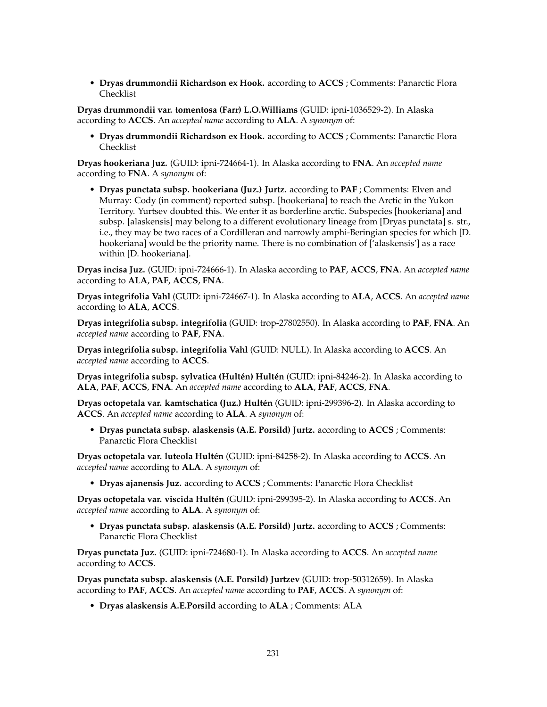• **Dryas drummondii Richardson ex Hook.** according to **ACCS** ; Comments: Panarctic Flora Checklist

**Dryas drummondii var. tomentosa (Farr) L.O.Williams** (GUID: ipni-1036529-2). In Alaska according to **ACCS**. An *accepted name* according to **ALA**. A *synonym* of:

• **Dryas drummondii Richardson ex Hook.** according to **ACCS** ; Comments: Panarctic Flora Checklist

**Dryas hookeriana Juz.** (GUID: ipni-724664-1). In Alaska according to **FNA**. An *accepted name* according to **FNA**. A *synonym* of:

• **Dryas punctata subsp. hookeriana (Juz.) Jurtz.** according to **PAF** ; Comments: Elven and Murray: Cody (in comment) reported subsp. [hookeriana] to reach the Arctic in the Yukon Territory. Yurtsev doubted this. We enter it as borderline arctic. Subspecies [hookeriana] and subsp. [alaskensis] may belong to a different evolutionary lineage from [Dryas punctata] s. str., i.e., they may be two races of a Cordilleran and narrowly amphi-Beringian species for which [D. hookeriana] would be the priority name. There is no combination of ['alaskensis'] as a race within [D. hookeriana].

**Dryas incisa Juz.** (GUID: ipni-724666-1). In Alaska according to **PAF**, **ACCS**, **FNA**. An *accepted name* according to **ALA**, **PAF**, **ACCS**, **FNA**.

**Dryas integrifolia Vahl** (GUID: ipni-724667-1). In Alaska according to **ALA**, **ACCS**. An *accepted name* according to **ALA**, **ACCS**.

**Dryas integrifolia subsp. integrifolia** (GUID: trop-27802550). In Alaska according to **PAF**, **FNA**. An *accepted name* according to **PAF**, **FNA**.

**Dryas integrifolia subsp. integrifolia Vahl** (GUID: NULL). In Alaska according to **ACCS**. An *accepted name* according to **ACCS**.

**Dryas integrifolia subsp. sylvatica (Hultén) Hultén** (GUID: ipni-84246-2). In Alaska according to **ALA**, **PAF**, **ACCS**, **FNA**. An *accepted name* according to **ALA**, **PAF**, **ACCS**, **FNA**.

**Dryas octopetala var. kamtschatica (Juz.) Hultén** (GUID: ipni-299396-2). In Alaska according to **ACCS**. An *accepted name* according to **ALA**. A *synonym* of:

• **Dryas punctata subsp. alaskensis (A.E. Porsild) Jurtz.** according to **ACCS** ; Comments: Panarctic Flora Checklist

**Dryas octopetala var. luteola Hultén** (GUID: ipni-84258-2). In Alaska according to **ACCS**. An *accepted name* according to **ALA**. A *synonym* of:

• **Dryas ajanensis Juz.** according to **ACCS** ; Comments: Panarctic Flora Checklist

**Dryas octopetala var. viscida Hultén** (GUID: ipni-299395-2). In Alaska according to **ACCS**. An *accepted name* according to **ALA**. A *synonym* of:

• **Dryas punctata subsp. alaskensis (A.E. Porsild) Jurtz.** according to **ACCS** ; Comments: Panarctic Flora Checklist

**Dryas punctata Juz.** (GUID: ipni-724680-1). In Alaska according to **ACCS**. An *accepted name* according to **ACCS**.

**Dryas punctata subsp. alaskensis (A.E. Porsild) Jurtzev** (GUID: trop-50312659). In Alaska according to **PAF**, **ACCS**. An *accepted name* according to **PAF**, **ACCS**. A *synonym* of:

• **Dryas alaskensis A.E.Porsild** according to **ALA** ; Comments: ALA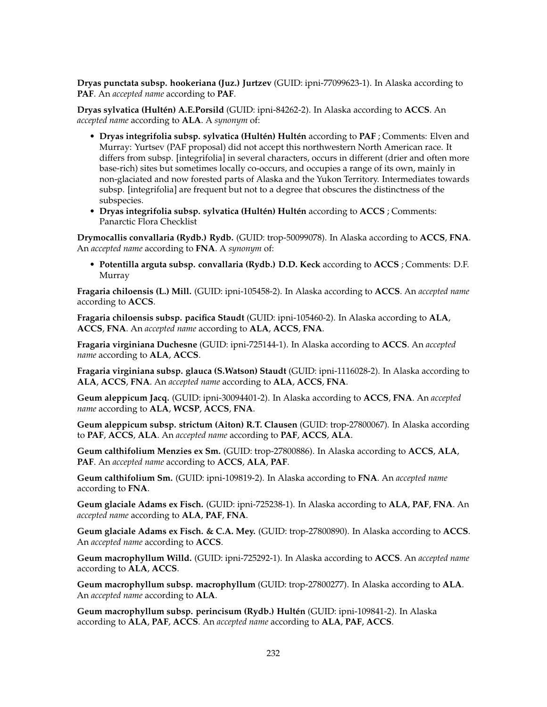**Dryas punctata subsp. hookeriana (Juz.) Jurtzev** (GUID: ipni-77099623-1). In Alaska according to **PAF**. An *accepted name* according to **PAF**.

**Dryas sylvatica (Hultén) A.E.Porsild** (GUID: ipni-84262-2). In Alaska according to **ACCS**. An *accepted name* according to **ALA**. A *synonym* of:

- **Dryas integrifolia subsp. sylvatica (Hultén) Hultén** according to **PAF** ; Comments: Elven and Murray: Yurtsev (PAF proposal) did not accept this northwestern North American race. It differs from subsp. [integrifolia] in several characters, occurs in different (drier and often more base-rich) sites but sometimes locally co-occurs, and occupies a range of its own, mainly in non-glaciated and now forested parts of Alaska and the Yukon Territory. Intermediates towards subsp. [integrifolia] are frequent but not to a degree that obscures the distinctness of the subspecies.
- **Dryas integrifolia subsp. sylvatica (Hultén) Hultén** according to **ACCS** ; Comments: Panarctic Flora Checklist

**Drymocallis convallaria (Rydb.) Rydb.** (GUID: trop-50099078). In Alaska according to **ACCS**, **FNA**. An *accepted name* according to **FNA**. A *synonym* of:

• **Potentilla arguta subsp. convallaria (Rydb.) D.D. Keck** according to **ACCS** ; Comments: D.F. Murray

**Fragaria chiloensis (L.) Mill.** (GUID: ipni-105458-2). In Alaska according to **ACCS**. An *accepted name* according to **ACCS**.

**Fragaria chiloensis subsp. pacifica Staudt** (GUID: ipni-105460-2). In Alaska according to **ALA**, **ACCS**, **FNA**. An *accepted name* according to **ALA**, **ACCS**, **FNA**.

**Fragaria virginiana Duchesne** (GUID: ipni-725144-1). In Alaska according to **ACCS**. An *accepted name* according to **ALA**, **ACCS**.

**Fragaria virginiana subsp. glauca (S.Watson) Staudt** (GUID: ipni-1116028-2). In Alaska according to **ALA**, **ACCS**, **FNA**. An *accepted name* according to **ALA**, **ACCS**, **FNA**.

**Geum aleppicum Jacq.** (GUID: ipni-30094401-2). In Alaska according to **ACCS**, **FNA**. An *accepted name* according to **ALA**, **WCSP**, **ACCS**, **FNA**.

**Geum aleppicum subsp. strictum (Aiton) R.T. Clausen** (GUID: trop-27800067). In Alaska according to **PAF**, **ACCS**, **ALA**. An *accepted name* according to **PAF**, **ACCS**, **ALA**.

**Geum calthifolium Menzies ex Sm.** (GUID: trop-27800886). In Alaska according to **ACCS**, **ALA**, **PAF**. An *accepted name* according to **ACCS**, **ALA**, **PAF**.

**Geum calthifolium Sm.** (GUID: ipni-109819-2). In Alaska according to **FNA**. An *accepted name* according to **FNA**.

**Geum glaciale Adams ex Fisch.** (GUID: ipni-725238-1). In Alaska according to **ALA**, **PAF**, **FNA**. An *accepted name* according to **ALA**, **PAF**, **FNA**.

**Geum glaciale Adams ex Fisch. & C.A. Mey.** (GUID: trop-27800890). In Alaska according to **ACCS**. An *accepted name* according to **ACCS**.

**Geum macrophyllum Willd.** (GUID: ipni-725292-1). In Alaska according to **ACCS**. An *accepted name* according to **ALA**, **ACCS**.

**Geum macrophyllum subsp. macrophyllum** (GUID: trop-27800277). In Alaska according to **ALA**. An *accepted name* according to **ALA**.

**Geum macrophyllum subsp. perincisum (Rydb.) Hultén** (GUID: ipni-109841-2). In Alaska according to **ALA**, **PAF**, **ACCS**. An *accepted name* according to **ALA**, **PAF**, **ACCS**.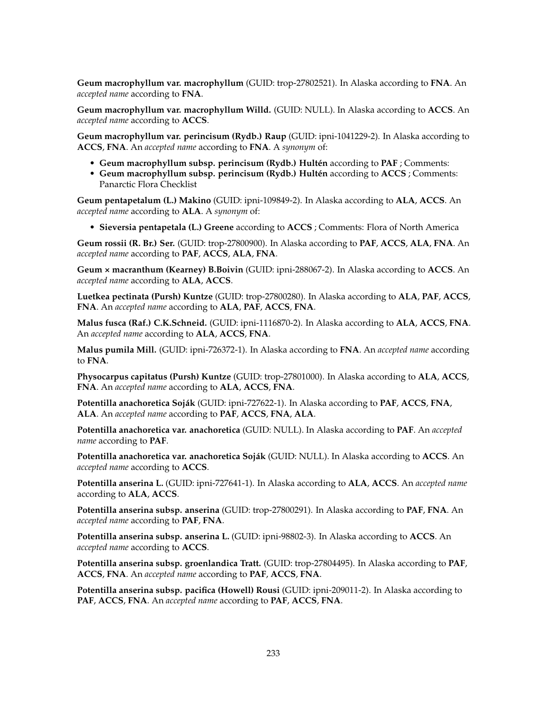**Geum macrophyllum var. macrophyllum** (GUID: trop-27802521). In Alaska according to **FNA**. An *accepted name* according to **FNA**.

**Geum macrophyllum var. macrophyllum Willd.** (GUID: NULL). In Alaska according to **ACCS**. An *accepted name* according to **ACCS**.

**Geum macrophyllum var. perincisum (Rydb.) Raup** (GUID: ipni-1041229-2). In Alaska according to **ACCS**, **FNA**. An *accepted name* according to **FNA**. A *synonym* of:

- **Geum macrophyllum subsp. perincisum (Rydb.) Hultén** according to **PAF** ; Comments:
- **Geum macrophyllum subsp. perincisum (Rydb.) Hultén** according to **ACCS** ; Comments: Panarctic Flora Checklist

**Geum pentapetalum (L.) Makino** (GUID: ipni-109849-2). In Alaska according to **ALA**, **ACCS**. An *accepted name* according to **ALA**. A *synonym* of:

• **Sieversia pentapetala (L.) Greene** according to **ACCS** ; Comments: Flora of North America

**Geum rossii (R. Br.) Ser.** (GUID: trop-27800900). In Alaska according to **PAF**, **ACCS**, **ALA**, **FNA**. An *accepted name* according to **PAF**, **ACCS**, **ALA**, **FNA**.

**Geum × macranthum (Kearney) B.Boivin** (GUID: ipni-288067-2). In Alaska according to **ACCS**. An *accepted name* according to **ALA**, **ACCS**.

**Luetkea pectinata (Pursh) Kuntze** (GUID: trop-27800280). In Alaska according to **ALA**, **PAF**, **ACCS**, **FNA**. An *accepted name* according to **ALA**, **PAF**, **ACCS**, **FNA**.

**Malus fusca (Raf.) C.K.Schneid.** (GUID: ipni-1116870-2). In Alaska according to **ALA**, **ACCS**, **FNA**. An *accepted name* according to **ALA**, **ACCS**, **FNA**.

**Malus pumila Mill.** (GUID: ipni-726372-1). In Alaska according to **FNA**. An *accepted name* according to **FNA**.

**Physocarpus capitatus (Pursh) Kuntze** (GUID: trop-27801000). In Alaska according to **ALA**, **ACCS**, **FNA**. An *accepted name* according to **ALA**, **ACCS**, **FNA**.

**Potentilla anachoretica Soják** (GUID: ipni-727622-1). In Alaska according to **PAF**, **ACCS**, **FNA**, **ALA**. An *accepted name* according to **PAF**, **ACCS**, **FNA**, **ALA**.

**Potentilla anachoretica var. anachoretica** (GUID: NULL). In Alaska according to **PAF**. An *accepted name* according to **PAF**.

**Potentilla anachoretica var. anachoretica Soják** (GUID: NULL). In Alaska according to **ACCS**. An *accepted name* according to **ACCS**.

**Potentilla anserina L.** (GUID: ipni-727641-1). In Alaska according to **ALA**, **ACCS**. An *accepted name* according to **ALA**, **ACCS**.

**Potentilla anserina subsp. anserina** (GUID: trop-27800291). In Alaska according to **PAF**, **FNA**. An *accepted name* according to **PAF**, **FNA**.

**Potentilla anserina subsp. anserina L.** (GUID: ipni-98802-3). In Alaska according to **ACCS**. An *accepted name* according to **ACCS**.

**Potentilla anserina subsp. groenlandica Tratt.** (GUID: trop-27804495). In Alaska according to **PAF**, **ACCS**, **FNA**. An *accepted name* according to **PAF**, **ACCS**, **FNA**.

**Potentilla anserina subsp. pacifica (Howell) Rousi** (GUID: ipni-209011-2). In Alaska according to **PAF**, **ACCS**, **FNA**. An *accepted name* according to **PAF**, **ACCS**, **FNA**.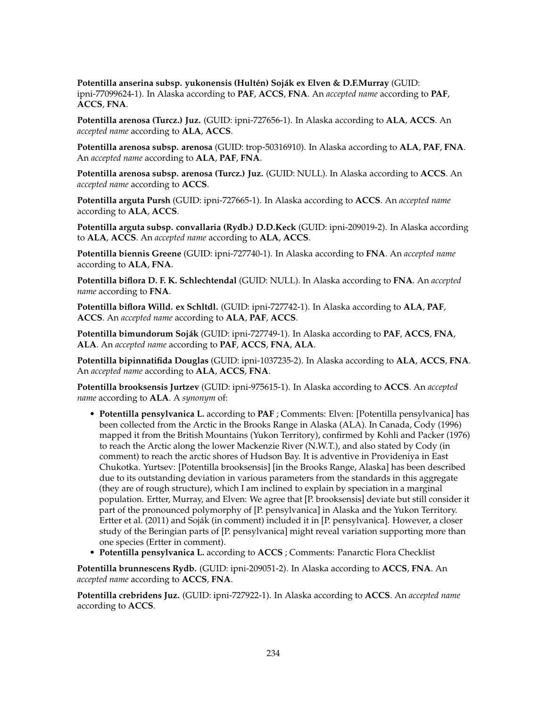**Potentilla anserina subsp. yukonensis (Hultén) Soják ex Elven & D.F.Murray** (GUID: ipni-77099624-1). In Alaska according to **PAF**, **ACCS**, **FNA**. An *accepted name* according to **PAF**, **ACCS**, **FNA**.

**Potentilla arenosa (Turcz.) Juz.** (GUID: ipni-727656-1). In Alaska according to **ALA**, **ACCS**. An *accepted name* according to **ALA**, **ACCS**.

**Potentilla arenosa subsp. arenosa** (GUID: trop-50316910). In Alaska according to **ALA**, **PAF**, **FNA**. An *accepted name* according to **ALA**, **PAF**, **FNA**.

**Potentilla arenosa subsp. arenosa (Turcz.) Juz.** (GUID: NULL). In Alaska according to **ACCS**. An *accepted name* according to **ACCS**.

**Potentilla arguta Pursh** (GUID: ipni-727665-1). In Alaska according to **ACCS**. An *accepted name* according to **ALA**, **ACCS**.

**Potentilla arguta subsp. convallaria (Rydb.) D.D.Keck** (GUID: ipni-209019-2). In Alaska according to **ALA**, **ACCS**. An *accepted name* according to **ALA**, **ACCS**.

**Potentilla biennis Greene** (GUID: ipni-727740-1). In Alaska according to **FNA**. An *accepted name* according to **ALA**, **FNA**.

**Potentilla biflora D. F. K. Schlechtendal** (GUID: NULL). In Alaska according to **FNA**. An *accepted name* according to **FNA**.

**Potentilla biflora Willd. ex Schltdl.** (GUID: ipni-727742-1). In Alaska according to **ALA**, **PAF**, **ACCS**. An *accepted name* according to **ALA**, **PAF**, **ACCS**.

**Potentilla bimundorum Soják** (GUID: ipni-727749-1). In Alaska according to **PAF**, **ACCS**, **FNA**, **ALA**. An *accepted name* according to **PAF**, **ACCS**, **FNA**, **ALA**.

**Potentilla bipinnatifida Douglas** (GUID: ipni-1037235-2). In Alaska according to **ALA**, **ACCS**, **FNA**. An *accepted name* according to **ALA**, **ACCS**, **FNA**.

**Potentilla brooksensis Jurtzev** (GUID: ipni-975615-1). In Alaska according to **ACCS**. An *accepted name* according to **ALA**. A *synonym* of:

- **Potentilla pensylvanica L.** according to **PAF** ; Comments: Elven: [Potentilla pensylvanica] has been collected from the Arctic in the Brooks Range in Alaska (ALA). In Canada, Cody (1996) mapped it from the British Mountains (Yukon Territory), confirmed by Kohli and Packer (1976) to reach the Arctic along the lower Mackenzie River (N.W.T.), and also stated by Cody (in comment) to reach the arctic shores of Hudson Bay. It is adventive in Provideniya in East Chukotka. Yurtsev: [Potentilla brooksensis] [in the Brooks Range, Alaska] has been described due to its outstanding deviation in various parameters from the standards in this aggregate (they are of rough structure), which I am inclined to explain by speciation in a marginal population. Ertter, Murray, and Elven: We agree that [P. brooksensis] deviate but still consider it part of the pronounced polymorphy of [P. pensylvanica] in Alaska and the Yukon Territory. Ertter et al. (2011) and Soják (in comment) included it in [P. pensylvanica]. However, a closer study of the Beringian parts of [P. pensylvanica] might reveal variation supporting more than one species (Ertter in comment).
- **Potentilla pensylvanica L.** according to **ACCS** ; Comments: Panarctic Flora Checklist

**Potentilla brunnescens Rydb.** (GUID: ipni-209051-2). In Alaska according to **ACCS**, **FNA**. An *accepted name* according to **ACCS**, **FNA**.

**Potentilla crebridens Juz.** (GUID: ipni-727922-1). In Alaska according to **ACCS**. An *accepted name* according to **ACCS**.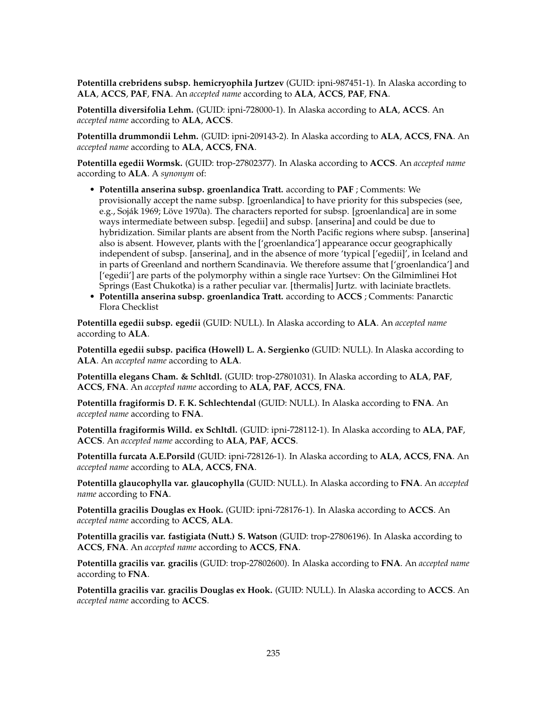**Potentilla crebridens subsp. hemicryophila Jurtzev** (GUID: ipni-987451-1). In Alaska according to **ALA**, **ACCS**, **PAF**, **FNA**. An *accepted name* according to **ALA**, **ACCS**, **PAF**, **FNA**.

**Potentilla diversifolia Lehm.** (GUID: ipni-728000-1). In Alaska according to **ALA**, **ACCS**. An *accepted name* according to **ALA**, **ACCS**.

**Potentilla drummondii Lehm.** (GUID: ipni-209143-2). In Alaska according to **ALA**, **ACCS**, **FNA**. An *accepted name* according to **ALA**, **ACCS**, **FNA**.

**Potentilla egedii Wormsk.** (GUID: trop-27802377). In Alaska according to **ACCS**. An *accepted name* according to **ALA**. A *synonym* of:

- **Potentilla anserina subsp. groenlandica Tratt.** according to **PAF** ; Comments: We provisionally accept the name subsp. [groenlandica] to have priority for this subspecies (see, e.g., Soják 1969; Löve 1970a). The characters reported for subsp. [groenlandica] are in some ways intermediate between subsp. [egedii] and subsp. [anserina] and could be due to hybridization. Similar plants are absent from the North Pacific regions where subsp. [anserina] also is absent. However, plants with the ['groenlandica'] appearance occur geographically independent of subsp. [anserina], and in the absence of more 'typical ['egedii]', in Iceland and in parts of Greenland and northern Scandinavia. We therefore assume that ['groenlandica'] and ['egedii'] are parts of the polymorphy within a single race Yurtsev: On the Gilmimlinei Hot Springs (East Chukotka) is a rather peculiar var. [thermalis] Jurtz. with laciniate bractlets.
- **Potentilla anserina subsp. groenlandica Tratt.** according to **ACCS** ; Comments: Panarctic Flora Checklist

**Potentilla egedii subsp. egedii** (GUID: NULL). In Alaska according to **ALA**. An *accepted name* according to **ALA**.

**Potentilla egedii subsp. pacifica (Howell) L. A. Sergienko** (GUID: NULL). In Alaska according to **ALA**. An *accepted name* according to **ALA**.

**Potentilla elegans Cham. & Schltdl.** (GUID: trop-27801031). In Alaska according to **ALA**, **PAF**, **ACCS**, **FNA**. An *accepted name* according to **ALA**, **PAF**, **ACCS**, **FNA**.

**Potentilla fragiformis D. F. K. Schlechtendal** (GUID: NULL). In Alaska according to **FNA**. An *accepted name* according to **FNA**.

**Potentilla fragiformis Willd. ex Schltdl.** (GUID: ipni-728112-1). In Alaska according to **ALA**, **PAF**, **ACCS**. An *accepted name* according to **ALA**, **PAF**, **ACCS**.

**Potentilla furcata A.E.Porsild** (GUID: ipni-728126-1). In Alaska according to **ALA**, **ACCS**, **FNA**. An *accepted name* according to **ALA**, **ACCS**, **FNA**.

**Potentilla glaucophylla var. glaucophylla** (GUID: NULL). In Alaska according to **FNA**. An *accepted name* according to **FNA**.

**Potentilla gracilis Douglas ex Hook.** (GUID: ipni-728176-1). In Alaska according to **ACCS**. An *accepted name* according to **ACCS**, **ALA**.

**Potentilla gracilis var. fastigiata (Nutt.) S. Watson** (GUID: trop-27806196). In Alaska according to **ACCS**, **FNA**. An *accepted name* according to **ACCS**, **FNA**.

**Potentilla gracilis var. gracilis** (GUID: trop-27802600). In Alaska according to **FNA**. An *accepted name* according to **FNA**.

**Potentilla gracilis var. gracilis Douglas ex Hook.** (GUID: NULL). In Alaska according to **ACCS**. An *accepted name* according to **ACCS**.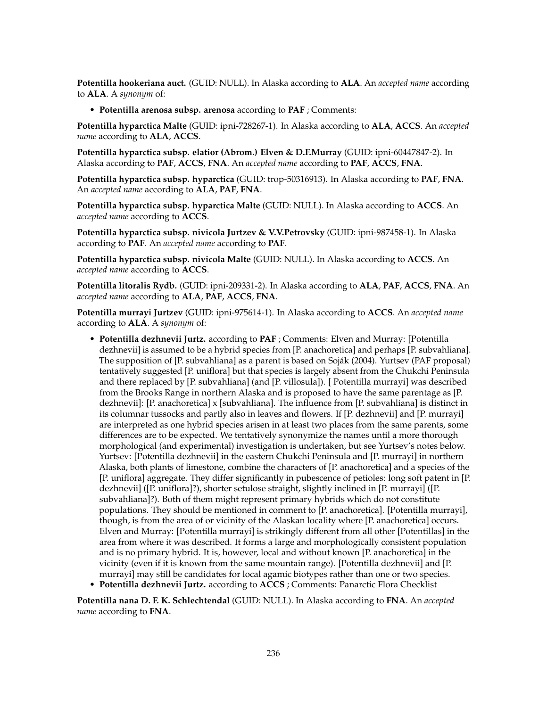**Potentilla hookeriana auct.** (GUID: NULL). In Alaska according to **ALA**. An *accepted name* according to **ALA**. A *synonym* of:

• **Potentilla arenosa subsp. arenosa** according to **PAF** ; Comments:

**Potentilla hyparctica Malte** (GUID: ipni-728267-1). In Alaska according to **ALA**, **ACCS**. An *accepted name* according to **ALA**, **ACCS**.

**Potentilla hyparctica subsp. elatior (Abrom.) Elven & D.F.Murray** (GUID: ipni-60447847-2). In Alaska according to **PAF**, **ACCS**, **FNA**. An *accepted name* according to **PAF**, **ACCS**, **FNA**.

**Potentilla hyparctica subsp. hyparctica** (GUID: trop-50316913). In Alaska according to **PAF**, **FNA**. An *accepted name* according to **ALA**, **PAF**, **FNA**.

**Potentilla hyparctica subsp. hyparctica Malte** (GUID: NULL). In Alaska according to **ACCS**. An *accepted name* according to **ACCS**.

**Potentilla hyparctica subsp. nivicola Jurtzev & V.V.Petrovsky** (GUID: ipni-987458-1). In Alaska according to **PAF**. An *accepted name* according to **PAF**.

**Potentilla hyparctica subsp. nivicola Malte** (GUID: NULL). In Alaska according to **ACCS**. An *accepted name* according to **ACCS**.

**Potentilla litoralis Rydb.** (GUID: ipni-209331-2). In Alaska according to **ALA**, **PAF**, **ACCS**, **FNA**. An *accepted name* according to **ALA**, **PAF**, **ACCS**, **FNA**.

**Potentilla murrayi Jurtzev** (GUID: ipni-975614-1). In Alaska according to **ACCS**. An *accepted name* according to **ALA**. A *synonym* of:

• **Potentilla dezhnevii Jurtz.** according to **PAF** ; Comments: Elven and Murray: [Potentilla dezhnevii] is assumed to be a hybrid species from [P. anachoretica] and perhaps [P. subvahliana]. The supposition of [P. subvahliana] as a parent is based on Soják (2004). Yurtsev (PAF proposal) tentatively suggested [P. uniflora] but that species is largely absent from the Chukchi Peninsula and there replaced by [P. subvahliana] (and [P. villosula]). [ Potentilla murrayi] was described from the Brooks Range in northern Alaska and is proposed to have the same parentage as [P. dezhnevii]: [P. anachoretica] x [subvahliana]. The influence from [P. subvahliana] is distinct in its columnar tussocks and partly also in leaves and flowers. If [P. dezhnevii] and [P. murrayi] are interpreted as one hybrid species arisen in at least two places from the same parents, some differences are to be expected. We tentatively synonymize the names until a more thorough morphological (and experimental) investigation is undertaken, but see Yurtsev's notes below. Yurtsev: [Potentilla dezhnevii] in the eastern Chukchi Peninsula and [P. murrayi] in northern Alaska, both plants of limestone, combine the characters of [P. anachoretica] and a species of the [P. uniflora] aggregate. They differ significantly in pubescence of petioles: long soft patent in [P. dezhnevii] ([P. uniflora]?), shorter setulose straight, slightly inclined in [P. murrayi] ([P. subvahliana]?). Both of them might represent primary hybrids which do not constitute populations. They should be mentioned in comment to [P. anachoretica]. [Potentilla murrayi], though, is from the area of or vicinity of the Alaskan locality where [P. anachoretica] occurs. Elven and Murray: [Potentilla murrayi] is strikingly different from all other [Potentillas] in the area from where it was described. It forms a large and morphologically consistent population and is no primary hybrid. It is, however, local and without known [P. anachoretica] in the vicinity (even if it is known from the same mountain range). [Potentilla dezhnevii] and [P. murrayi] may still be candidates for local agamic biotypes rather than one or two species. • **Potentilla dezhnevii Jurtz.** according to **ACCS** ; Comments: Panarctic Flora Checklist

**Potentilla nana D. F. K. Schlechtendal** (GUID: NULL). In Alaska according to **FNA**. An *accepted name* according to **FNA**.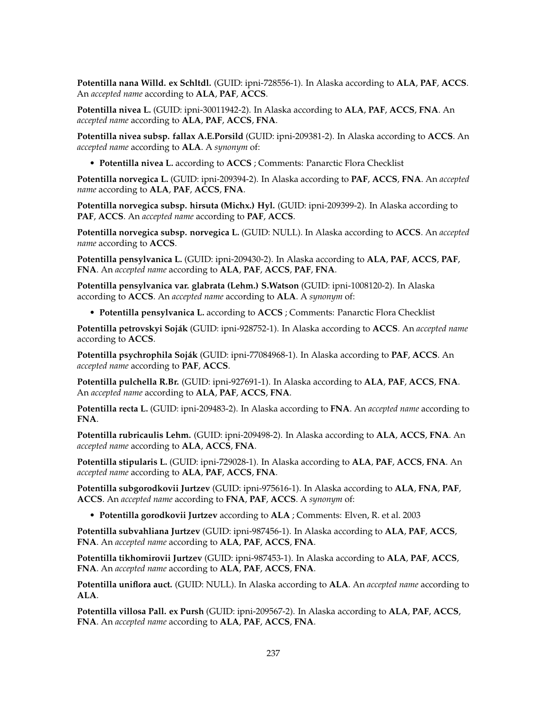**Potentilla nana Willd. ex Schltdl.** (GUID: ipni-728556-1). In Alaska according to **ALA**, **PAF**, **ACCS**. An *accepted name* according to **ALA**, **PAF**, **ACCS**.

**Potentilla nivea L.** (GUID: ipni-30011942-2). In Alaska according to **ALA**, **PAF**, **ACCS**, **FNA**. An *accepted name* according to **ALA**, **PAF**, **ACCS**, **FNA**.

**Potentilla nivea subsp. fallax A.E.Porsild** (GUID: ipni-209381-2). In Alaska according to **ACCS**. An *accepted name* according to **ALA**. A *synonym* of:

• **Potentilla nivea L.** according to **ACCS** ; Comments: Panarctic Flora Checklist

**Potentilla norvegica L.** (GUID: ipni-209394-2). In Alaska according to **PAF**, **ACCS**, **FNA**. An *accepted name* according to **ALA**, **PAF**, **ACCS**, **FNA**.

**Potentilla norvegica subsp. hirsuta (Michx.) Hyl.** (GUID: ipni-209399-2). In Alaska according to **PAF**, **ACCS**. An *accepted name* according to **PAF**, **ACCS**.

**Potentilla norvegica subsp. norvegica L.** (GUID: NULL). In Alaska according to **ACCS**. An *accepted name* according to **ACCS**.

**Potentilla pensylvanica L.** (GUID: ipni-209430-2). In Alaska according to **ALA**, **PAF**, **ACCS**, **PAF**, **FNA**. An *accepted name* according to **ALA**, **PAF**, **ACCS**, **PAF**, **FNA**.

**Potentilla pensylvanica var. glabrata (Lehm.) S.Watson** (GUID: ipni-1008120-2). In Alaska according to **ACCS**. An *accepted name* according to **ALA**. A *synonym* of:

• **Potentilla pensylvanica L.** according to **ACCS** ; Comments: Panarctic Flora Checklist

**Potentilla petrovskyi Soják** (GUID: ipni-928752-1). In Alaska according to **ACCS**. An *accepted name* according to **ACCS**.

**Potentilla psychrophila Soják** (GUID: ipni-77084968-1). In Alaska according to **PAF**, **ACCS**. An *accepted name* according to **PAF**, **ACCS**.

**Potentilla pulchella R.Br.** (GUID: ipni-927691-1). In Alaska according to **ALA**, **PAF**, **ACCS**, **FNA**. An *accepted name* according to **ALA**, **PAF**, **ACCS**, **FNA**.

**Potentilla recta L.** (GUID: ipni-209483-2). In Alaska according to **FNA**. An *accepted name* according to **FNA**.

**Potentilla rubricaulis Lehm.** (GUID: ipni-209498-2). In Alaska according to **ALA**, **ACCS**, **FNA**. An *accepted name* according to **ALA**, **ACCS**, **FNA**.

**Potentilla stipularis L.** (GUID: ipni-729028-1). In Alaska according to **ALA**, **PAF**, **ACCS**, **FNA**. An *accepted name* according to **ALA**, **PAF**, **ACCS**, **FNA**.

**Potentilla subgorodkovii Jurtzev** (GUID: ipni-975616-1). In Alaska according to **ALA**, **FNA**, **PAF**, **ACCS**. An *accepted name* according to **FNA**, **PAF**, **ACCS**. A *synonym* of:

• **Potentilla gorodkovii Jurtzev** according to **ALA** ; Comments: Elven, R. et al. 2003

**Potentilla subvahliana Jurtzev** (GUID: ipni-987456-1). In Alaska according to **ALA**, **PAF**, **ACCS**, **FNA**. An *accepted name* according to **ALA**, **PAF**, **ACCS**, **FNA**.

**Potentilla tikhomirovii Jurtzev** (GUID: ipni-987453-1). In Alaska according to **ALA**, **PAF**, **ACCS**, **FNA**. An *accepted name* according to **ALA**, **PAF**, **ACCS**, **FNA**.

**Potentilla uniflora auct.** (GUID: NULL). In Alaska according to **ALA**. An *accepted name* according to **ALA**.

**Potentilla villosa Pall. ex Pursh** (GUID: ipni-209567-2). In Alaska according to **ALA**, **PAF**, **ACCS**, **FNA**. An *accepted name* according to **ALA**, **PAF**, **ACCS**, **FNA**.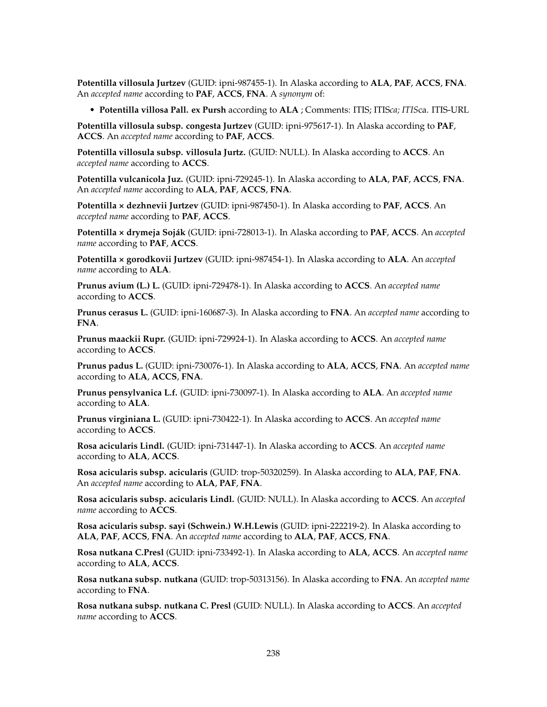**Potentilla villosula Jurtzev** (GUID: ipni-987455-1). In Alaska according to **ALA**, **PAF**, **ACCS**, **FNA**. An *accepted name* according to **PAF**, **ACCS**, **FNA**. A *synonym* of:

• **Potentilla villosa Pall. ex Pursh** according to **ALA** ; Comments: ITIS; ITIS*ca; ITIS*ca. ITIS-URL

**Potentilla villosula subsp. congesta Jurtzev** (GUID: ipni-975617-1). In Alaska according to **PAF**, **ACCS**. An *accepted name* according to **PAF**, **ACCS**.

**Potentilla villosula subsp. villosula Jurtz.** (GUID: NULL). In Alaska according to **ACCS**. An *accepted name* according to **ACCS**.

**Potentilla vulcanicola Juz.** (GUID: ipni-729245-1). In Alaska according to **ALA**, **PAF**, **ACCS**, **FNA**. An *accepted name* according to **ALA**, **PAF**, **ACCS**, **FNA**.

**Potentilla × dezhnevii Jurtzev** (GUID: ipni-987450-1). In Alaska according to **PAF**, **ACCS**. An *accepted name* according to **PAF**, **ACCS**.

**Potentilla × drymeja Soják** (GUID: ipni-728013-1). In Alaska according to **PAF**, **ACCS**. An *accepted name* according to **PAF**, **ACCS**.

**Potentilla × gorodkovii Jurtzev** (GUID: ipni-987454-1). In Alaska according to **ALA**. An *accepted name* according to **ALA**.

**Prunus avium (L.) L.** (GUID: ipni-729478-1). In Alaska according to **ACCS**. An *accepted name* according to **ACCS**.

**Prunus cerasus L.** (GUID: ipni-160687-3). In Alaska according to **FNA**. An *accepted name* according to **FNA**.

**Prunus maackii Rupr.** (GUID: ipni-729924-1). In Alaska according to **ACCS**. An *accepted name* according to **ACCS**.

**Prunus padus L.** (GUID: ipni-730076-1). In Alaska according to **ALA**, **ACCS**, **FNA**. An *accepted name* according to **ALA**, **ACCS**, **FNA**.

**Prunus pensylvanica L.f.** (GUID: ipni-730097-1). In Alaska according to **ALA**. An *accepted name* according to **ALA**.

**Prunus virginiana L.** (GUID: ipni-730422-1). In Alaska according to **ACCS**. An *accepted name* according to **ACCS**.

**Rosa acicularis Lindl.** (GUID: ipni-731447-1). In Alaska according to **ACCS**. An *accepted name* according to **ALA**, **ACCS**.

**Rosa acicularis subsp. acicularis** (GUID: trop-50320259). In Alaska according to **ALA**, **PAF**, **FNA**. An *accepted name* according to **ALA**, **PAF**, **FNA**.

**Rosa acicularis subsp. acicularis Lindl.** (GUID: NULL). In Alaska according to **ACCS**. An *accepted name* according to **ACCS**.

**Rosa acicularis subsp. sayi (Schwein.) W.H.Lewis** (GUID: ipni-222219-2). In Alaska according to **ALA**, **PAF**, **ACCS**, **FNA**. An *accepted name* according to **ALA**, **PAF**, **ACCS**, **FNA**.

**Rosa nutkana C.Presl** (GUID: ipni-733492-1). In Alaska according to **ALA**, **ACCS**. An *accepted name* according to **ALA**, **ACCS**.

**Rosa nutkana subsp. nutkana** (GUID: trop-50313156). In Alaska according to **FNA**. An *accepted name* according to **FNA**.

**Rosa nutkana subsp. nutkana C. Presl** (GUID: NULL). In Alaska according to **ACCS**. An *accepted name* according to **ACCS**.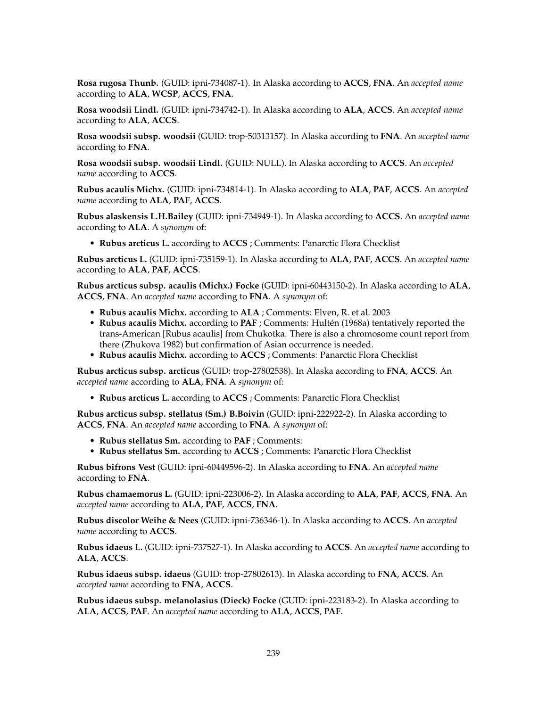**Rosa rugosa Thunb.** (GUID: ipni-734087-1). In Alaska according to **ACCS**, **FNA**. An *accepted name* according to **ALA**, **WCSP**, **ACCS**, **FNA**.

**Rosa woodsii Lindl.** (GUID: ipni-734742-1). In Alaska according to **ALA**, **ACCS**. An *accepted name* according to **ALA**, **ACCS**.

**Rosa woodsii subsp. woodsii** (GUID: trop-50313157). In Alaska according to **FNA**. An *accepted name* according to **FNA**.

**Rosa woodsii subsp. woodsii Lindl.** (GUID: NULL). In Alaska according to **ACCS**. An *accepted name* according to **ACCS**.

**Rubus acaulis Michx.** (GUID: ipni-734814-1). In Alaska according to **ALA**, **PAF**, **ACCS**. An *accepted name* according to **ALA**, **PAF**, **ACCS**.

**Rubus alaskensis L.H.Bailey** (GUID: ipni-734949-1). In Alaska according to **ACCS**. An *accepted name* according to **ALA**. A *synonym* of:

• **Rubus arcticus L.** according to **ACCS** ; Comments: Panarctic Flora Checklist

**Rubus arcticus L.** (GUID: ipni-735159-1). In Alaska according to **ALA**, **PAF**, **ACCS**. An *accepted name* according to **ALA**, **PAF**, **ACCS**.

**Rubus arcticus subsp. acaulis (Michx.) Focke** (GUID: ipni-60443150-2). In Alaska according to **ALA**, **ACCS**, **FNA**. An *accepted name* according to **FNA**. A *synonym* of:

- **Rubus acaulis Michx.** according to **ALA** ; Comments: Elven, R. et al. 2003
- **Rubus acaulis Michx.** according to **PAF** ; Comments: Hultén (1968a) tentatively reported the trans-American [Rubus acaulis] from Chukotka. There is also a chromosome count report from there (Zhukova 1982) but confirmation of Asian occurrence is needed.
- **Rubus acaulis Michx.** according to **ACCS** ; Comments: Panarctic Flora Checklist

**Rubus arcticus subsp. arcticus** (GUID: trop-27802538). In Alaska according to **FNA**, **ACCS**. An *accepted name* according to **ALA**, **FNA**. A *synonym* of:

• **Rubus arcticus L.** according to **ACCS** ; Comments: Panarctic Flora Checklist

**Rubus arcticus subsp. stellatus (Sm.) B.Boivin** (GUID: ipni-222922-2). In Alaska according to **ACCS**, **FNA**. An *accepted name* according to **FNA**. A *synonym* of:

- **Rubus stellatus Sm.** according to **PAF** ; Comments:
- **Rubus stellatus Sm.** according to **ACCS** ; Comments: Panarctic Flora Checklist

**Rubus bifrons Vest** (GUID: ipni-60449596-2). In Alaska according to **FNA**. An *accepted name* according to **FNA**.

**Rubus chamaemorus L.** (GUID: ipni-223006-2). In Alaska according to **ALA**, **PAF**, **ACCS**, **FNA**. An *accepted name* according to **ALA**, **PAF**, **ACCS**, **FNA**.

**Rubus discolor Weihe & Nees** (GUID: ipni-736346-1). In Alaska according to **ACCS**. An *accepted name* according to **ACCS**.

**Rubus idaeus L.** (GUID: ipni-737527-1). In Alaska according to **ACCS**. An *accepted name* according to **ALA**, **ACCS**.

**Rubus idaeus subsp. idaeus** (GUID: trop-27802613). In Alaska according to **FNA**, **ACCS**. An *accepted name* according to **FNA**, **ACCS**.

**Rubus idaeus subsp. melanolasius (Dieck) Focke** (GUID: ipni-223183-2). In Alaska according to **ALA**, **ACCS**, **PAF**. An *accepted name* according to **ALA**, **ACCS**, **PAF**.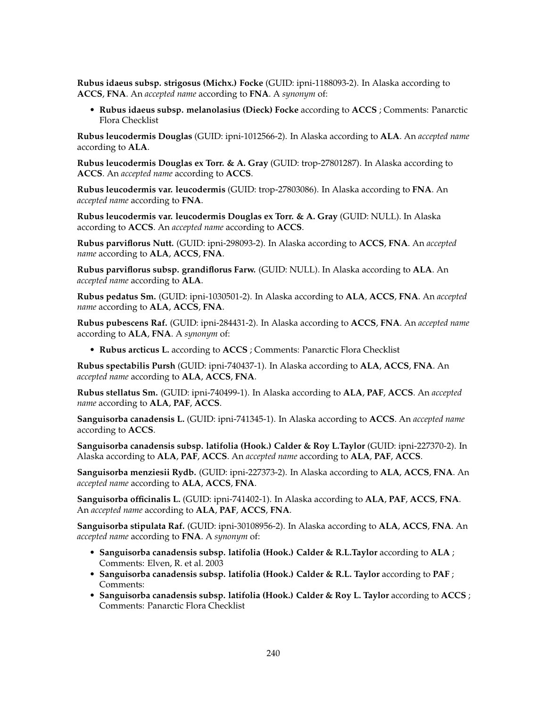**Rubus idaeus subsp. strigosus (Michx.) Focke** (GUID: ipni-1188093-2). In Alaska according to **ACCS**, **FNA**. An *accepted name* according to **FNA**. A *synonym* of:

• **Rubus idaeus subsp. melanolasius (Dieck) Focke** according to **ACCS** ; Comments: Panarctic Flora Checklist

**Rubus leucodermis Douglas** (GUID: ipni-1012566-2). In Alaska according to **ALA**. An *accepted name* according to **ALA**.

**Rubus leucodermis Douglas ex Torr. & A. Gray** (GUID: trop-27801287). In Alaska according to **ACCS**. An *accepted name* according to **ACCS**.

**Rubus leucodermis var. leucodermis** (GUID: trop-27803086). In Alaska according to **FNA**. An *accepted name* according to **FNA**.

**Rubus leucodermis var. leucodermis Douglas ex Torr. & A. Gray** (GUID: NULL). In Alaska according to **ACCS**. An *accepted name* according to **ACCS**.

**Rubus parviflorus Nutt.** (GUID: ipni-298093-2). In Alaska according to **ACCS**, **FNA**. An *accepted name* according to **ALA**, **ACCS**, **FNA**.

**Rubus parviflorus subsp. grandiflorus Farw.** (GUID: NULL). In Alaska according to **ALA**. An *accepted name* according to **ALA**.

**Rubus pedatus Sm.** (GUID: ipni-1030501-2). In Alaska according to **ALA**, **ACCS**, **FNA**. An *accepted name* according to **ALA**, **ACCS**, **FNA**.

**Rubus pubescens Raf.** (GUID: ipni-284431-2). In Alaska according to **ACCS**, **FNA**. An *accepted name* according to **ALA**, **FNA**. A *synonym* of:

• **Rubus arcticus L.** according to **ACCS** ; Comments: Panarctic Flora Checklist

**Rubus spectabilis Pursh** (GUID: ipni-740437-1). In Alaska according to **ALA**, **ACCS**, **FNA**. An *accepted name* according to **ALA**, **ACCS**, **FNA**.

**Rubus stellatus Sm.** (GUID: ipni-740499-1). In Alaska according to **ALA**, **PAF**, **ACCS**. An *accepted name* according to **ALA**, **PAF**, **ACCS**.

**Sanguisorba canadensis L.** (GUID: ipni-741345-1). In Alaska according to **ACCS**. An *accepted name* according to **ACCS**.

**Sanguisorba canadensis subsp. latifolia (Hook.) Calder & Roy L.Taylor** (GUID: ipni-227370-2). In Alaska according to **ALA**, **PAF**, **ACCS**. An *accepted name* according to **ALA**, **PAF**, **ACCS**.

**Sanguisorba menziesii Rydb.** (GUID: ipni-227373-2). In Alaska according to **ALA**, **ACCS**, **FNA**. An *accepted name* according to **ALA**, **ACCS**, **FNA**.

**Sanguisorba officinalis L.** (GUID: ipni-741402-1). In Alaska according to **ALA**, **PAF**, **ACCS**, **FNA**. An *accepted name* according to **ALA**, **PAF**, **ACCS**, **FNA**.

**Sanguisorba stipulata Raf.** (GUID: ipni-30108956-2). In Alaska according to **ALA**, **ACCS**, **FNA**. An *accepted name* according to **FNA**. A *synonym* of:

- **Sanguisorba canadensis subsp. latifolia (Hook.) Calder & R.L.Taylor** according to **ALA** ; Comments: Elven, R. et al. 2003
- **Sanguisorba canadensis subsp. latifolia (Hook.) Calder & R.L. Taylor** according to **PAF** ; Comments:
- **Sanguisorba canadensis subsp. latifolia (Hook.) Calder & Roy L. Taylor** according to **ACCS** ; Comments: Panarctic Flora Checklist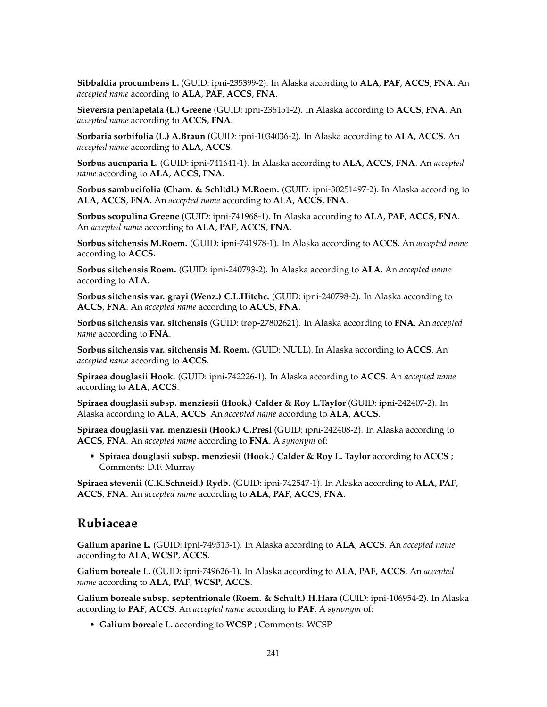**Sibbaldia procumbens L.** (GUID: ipni-235399-2). In Alaska according to **ALA**, **PAF**, **ACCS**, **FNA**. An *accepted name* according to **ALA**, **PAF**, **ACCS**, **FNA**.

**Sieversia pentapetala (L.) Greene** (GUID: ipni-236151-2). In Alaska according to **ACCS**, **FNA**. An *accepted name* according to **ACCS**, **FNA**.

**Sorbaria sorbifolia (L.) A.Braun** (GUID: ipni-1034036-2). In Alaska according to **ALA**, **ACCS**. An *accepted name* according to **ALA**, **ACCS**.

**Sorbus aucuparia L.** (GUID: ipni-741641-1). In Alaska according to **ALA**, **ACCS**, **FNA**. An *accepted name* according to **ALA**, **ACCS**, **FNA**.

**Sorbus sambucifolia (Cham. & Schltdl.) M.Roem.** (GUID: ipni-30251497-2). In Alaska according to **ALA**, **ACCS**, **FNA**. An *accepted name* according to **ALA**, **ACCS**, **FNA**.

**Sorbus scopulina Greene** (GUID: ipni-741968-1). In Alaska according to **ALA**, **PAF**, **ACCS**, **FNA**. An *accepted name* according to **ALA**, **PAF**, **ACCS**, **FNA**.

**Sorbus sitchensis M.Roem.** (GUID: ipni-741978-1). In Alaska according to **ACCS**. An *accepted name* according to **ACCS**.

**Sorbus sitchensis Roem.** (GUID: ipni-240793-2). In Alaska according to **ALA**. An *accepted name* according to **ALA**.

**Sorbus sitchensis var. grayi (Wenz.) C.L.Hitchc.** (GUID: ipni-240798-2). In Alaska according to **ACCS**, **FNA**. An *accepted name* according to **ACCS**, **FNA**.

**Sorbus sitchensis var. sitchensis** (GUID: trop-27802621). In Alaska according to **FNA**. An *accepted name* according to **FNA**.

**Sorbus sitchensis var. sitchensis M. Roem.** (GUID: NULL). In Alaska according to **ACCS**. An *accepted name* according to **ACCS**.

**Spiraea douglasii Hook.** (GUID: ipni-742226-1). In Alaska according to **ACCS**. An *accepted name* according to **ALA**, **ACCS**.

**Spiraea douglasii subsp. menziesii (Hook.) Calder & Roy L.Taylor** (GUID: ipni-242407-2). In Alaska according to **ALA**, **ACCS**. An *accepted name* according to **ALA**, **ACCS**.

**Spiraea douglasii var. menziesii (Hook.) C.Presl** (GUID: ipni-242408-2). In Alaska according to **ACCS**, **FNA**. An *accepted name* according to **FNA**. A *synonym* of:

• **Spiraea douglasii subsp. menziesii (Hook.) Calder & Roy L. Taylor** according to **ACCS** ; Comments: D.F. Murray

**Spiraea stevenii (C.K.Schneid.) Rydb.** (GUID: ipni-742547-1). In Alaska according to **ALA**, **PAF**, **ACCS**, **FNA**. An *accepted name* according to **ALA**, **PAF**, **ACCS**, **FNA**.

#### **Rubiaceae**

**Galium aparine L.** (GUID: ipni-749515-1). In Alaska according to **ALA**, **ACCS**. An *accepted name* according to **ALA**, **WCSP**, **ACCS**.

**Galium boreale L.** (GUID: ipni-749626-1). In Alaska according to **ALA**, **PAF**, **ACCS**. An *accepted name* according to **ALA**, **PAF**, **WCSP**, **ACCS**.

**Galium boreale subsp. septentrionale (Roem. & Schult.) H.Hara** (GUID: ipni-106954-2). In Alaska according to **PAF**, **ACCS**. An *accepted name* according to **PAF**. A *synonym* of:

• **Galium boreale L.** according to **WCSP** ; Comments: WCSP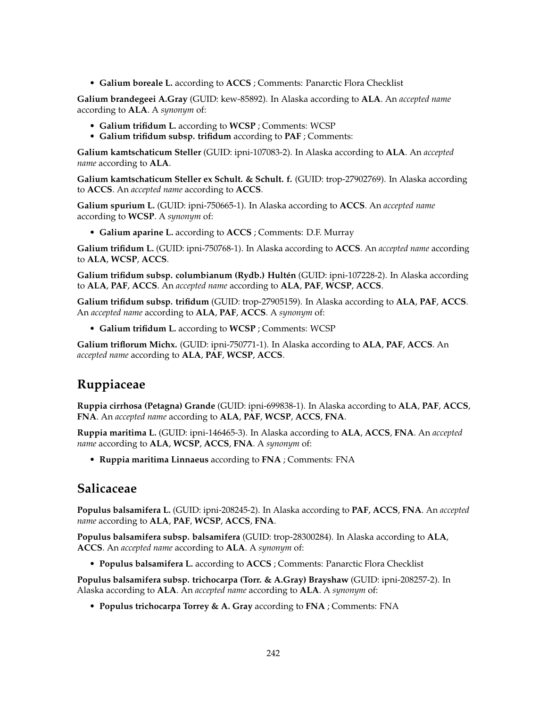• **Galium boreale L.** according to **ACCS** ; Comments: Panarctic Flora Checklist

**Galium brandegeei A.Gray** (GUID: kew-85892). In Alaska according to **ALA**. An *accepted name* according to **ALA**. A *synonym* of:

- **Galium trifidum L.** according to **WCSP** ; Comments: WCSP
- **Galium trifidum subsp. trifidum** according to **PAF** ; Comments:

**Galium kamtschaticum Steller** (GUID: ipni-107083-2). In Alaska according to **ALA**. An *accepted name* according to **ALA**.

**Galium kamtschaticum Steller ex Schult. & Schult. f.** (GUID: trop-27902769). In Alaska according to **ACCS**. An *accepted name* according to **ACCS**.

**Galium spurium L.** (GUID: ipni-750665-1). In Alaska according to **ACCS**. An *accepted name* according to **WCSP**. A *synonym* of:

• **Galium aparine L.** according to **ACCS** ; Comments: D.F. Murray

**Galium trifidum L.** (GUID: ipni-750768-1). In Alaska according to **ACCS**. An *accepted name* according to **ALA**, **WCSP**, **ACCS**.

**Galium trifidum subsp. columbianum (Rydb.) Hultén** (GUID: ipni-107228-2). In Alaska according to **ALA**, **PAF**, **ACCS**. An *accepted name* according to **ALA**, **PAF**, **WCSP**, **ACCS**.

**Galium trifidum subsp. trifidum** (GUID: trop-27905159). In Alaska according to **ALA**, **PAF**, **ACCS**. An *accepted name* according to **ALA**, **PAF**, **ACCS**. A *synonym* of:

• **Galium trifidum L.** according to **WCSP** ; Comments: WCSP

**Galium triflorum Michx.** (GUID: ipni-750771-1). In Alaska according to **ALA**, **PAF**, **ACCS**. An *accepted name* according to **ALA**, **PAF**, **WCSP**, **ACCS**.

# **Ruppiaceae**

**Ruppia cirrhosa (Petagna) Grande** (GUID: ipni-699838-1). In Alaska according to **ALA**, **PAF**, **ACCS**, **FNA**. An *accepted name* according to **ALA**, **PAF**, **WCSP**, **ACCS**, **FNA**.

**Ruppia maritima L.** (GUID: ipni-146465-3). In Alaska according to **ALA**, **ACCS**, **FNA**. An *accepted name* according to **ALA**, **WCSP**, **ACCS**, **FNA**. A *synonym* of:

• **Ruppia maritima Linnaeus** according to **FNA** ; Comments: FNA

### **Salicaceae**

**Populus balsamifera L.** (GUID: ipni-208245-2). In Alaska according to **PAF**, **ACCS**, **FNA**. An *accepted name* according to **ALA**, **PAF**, **WCSP**, **ACCS**, **FNA**.

**Populus balsamifera subsp. balsamifera** (GUID: trop-28300284). In Alaska according to **ALA**, **ACCS**. An *accepted name* according to **ALA**. A *synonym* of:

• **Populus balsamifera L.** according to **ACCS** ; Comments: Panarctic Flora Checklist

**Populus balsamifera subsp. trichocarpa (Torr. & A.Gray) Brayshaw** (GUID: ipni-208257-2). In Alaska according to **ALA**. An *accepted name* according to **ALA**. A *synonym* of:

• **Populus trichocarpa Torrey & A. Gray** according to **FNA** ; Comments: FNA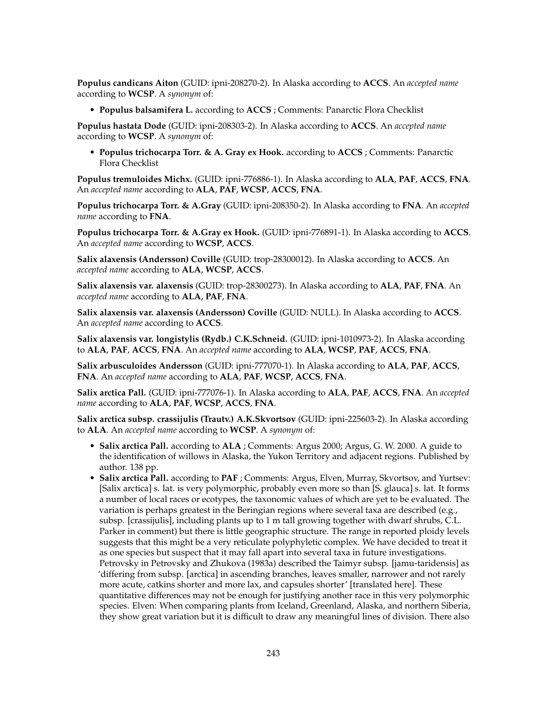**Populus candicans Aiton** (GUID: ipni-208270-2). In Alaska according to **ACCS**. An *accepted name* according to **WCSP**. A *synonym* of:

• **Populus balsamifera L.** according to **ACCS** ; Comments: Panarctic Flora Checklist

**Populus hastata Dode** (GUID: ipni-208303-2). In Alaska according to **ACCS**. An *accepted name* according to **WCSP**. A *synonym* of:

• **Populus trichocarpa Torr. & A. Gray ex Hook.** according to **ACCS** ; Comments: Panarctic Flora Checklist

**Populus tremuloides Michx.** (GUID: ipni-776886-1). In Alaska according to **ALA**, **PAF**, **ACCS**, **FNA**. An *accepted name* according to **ALA**, **PAF**, **WCSP**, **ACCS**, **FNA**.

**Populus trichocarpa Torr. & A.Gray** (GUID: ipni-208350-2). In Alaska according to **FNA**. An *accepted name* according to **FNA**.

**Populus trichocarpa Torr. & A.Gray ex Hook.** (GUID: ipni-776891-1). In Alaska according to **ACCS**. An *accepted name* according to **WCSP**, **ACCS**.

**Salix alaxensis (Andersson) Coville** (GUID: trop-28300012). In Alaska according to **ACCS**. An *accepted name* according to **ALA**, **WCSP**, **ACCS**.

**Salix alaxensis var. alaxensis** (GUID: trop-28300273). In Alaska according to **ALA**, **PAF**, **FNA**. An *accepted name* according to **ALA**, **PAF**, **FNA**.

**Salix alaxensis var. alaxensis (Andersson) Coville** (GUID: NULL). In Alaska according to **ACCS**. An *accepted name* according to **ACCS**.

**Salix alaxensis var. longistylis (Rydb.) C.K.Schneid.** (GUID: ipni-1010973-2). In Alaska according to **ALA**, **PAF**, **ACCS**, **FNA**. An *accepted name* according to **ALA**, **WCSP**, **PAF**, **ACCS**, **FNA**.

**Salix arbusculoides Andersson** (GUID: ipni-777070-1). In Alaska according to **ALA**, **PAF**, **ACCS**, **FNA**. An *accepted name* according to **ALA**, **PAF**, **WCSP**, **ACCS**, **FNA**.

**Salix arctica Pall.** (GUID: ipni-777076-1). In Alaska according to **ALA**, **PAF**, **ACCS**, **FNA**. An *accepted name* according to **ALA**, **PAF**, **WCSP**, **ACCS**, **FNA**.

**Salix arctica subsp. crassijulis (Trautv.) A.K.Skvortsov** (GUID: ipni-225603-2). In Alaska according to **ALA**. An *accepted name* according to **WCSP**. A *synonym* of:

- **Salix arctica Pall.** according to **ALA** ; Comments: Argus 2000; Argus, G. W. 2000. A guide to the identification of willows in Alaska, the Yukon Territory and adjacent regions. Published by author. 138 pp.
- **Salix arctica Pall.** according to **PAF** ; Comments: Argus, Elven, Murray, Skvortsov, and Yurtsev: [Salix arctica] s. lat. is very polymorphic, probably even more so than [S. glauca] s. lat. It forms a number of local races or ecotypes, the taxonomic values of which are yet to be evaluated. The variation is perhaps greatest in the Beringian regions where several taxa are described (e.g., subsp. [crassijulis], including plants up to 1 m tall growing together with dwarf shrubs, C.L. Parker in comment) but there is little geographic structure. The range in reported ploidy levels suggests that this might be a very reticulate polyphyletic complex. We have decided to treat it as one species but suspect that it may fall apart into several taxa in future investigations. Petrovsky in Petrovsky and Zhukova (1983a) described the Taimyr subsp. [jamu-taridensis] as 'differing from subsp. [arctica] in ascending branches, leaves smaller, narrower and not rarely more acute, catkins shorter and more lax, and capsules shorter' [translated here]. These quantitative differences may not be enough for justifying another race in this very polymorphic species. Elven: When comparing plants from Iceland, Greenland, Alaska, and northern Siberia, they show great variation but it is difficult to draw any meaningful lines of division. There also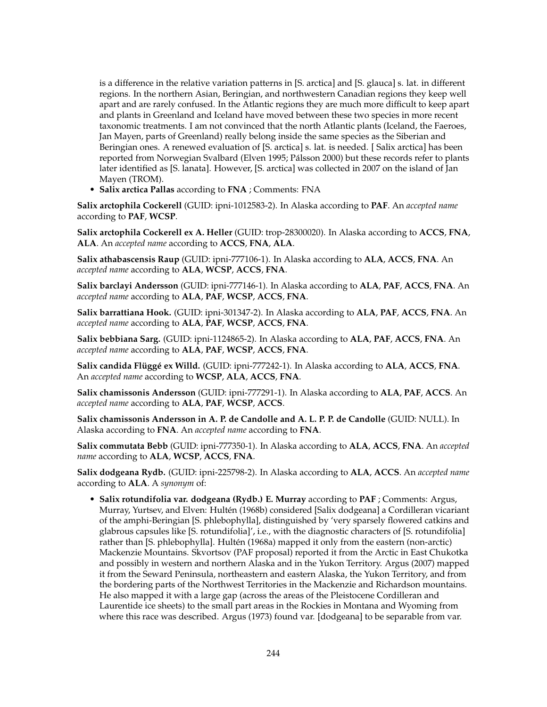is a difference in the relative variation patterns in [S. arctica] and [S. glauca] s. lat. in different regions. In the northern Asian, Beringian, and northwestern Canadian regions they keep well apart and are rarely confused. In the Atlantic regions they are much more difficult to keep apart and plants in Greenland and Iceland have moved between these two species in more recent taxonomic treatments. I am not convinced that the north Atlantic plants (Iceland, the Faeroes, Jan Mayen, parts of Greenland) really belong inside the same species as the Siberian and Beringian ones. A renewed evaluation of [S. arctica] s. lat. is needed. [ Salix arctica] has been reported from Norwegian Svalbard (Elven 1995; Pálsson 2000) but these records refer to plants later identified as [S. lanata]. However, [S. arctica] was collected in 2007 on the island of Jan Mayen (TROM).

• **Salix arctica Pallas** according to **FNA** ; Comments: FNA

**Salix arctophila Cockerell** (GUID: ipni-1012583-2). In Alaska according to **PAF**. An *accepted name* according to **PAF**, **WCSP**.

**Salix arctophila Cockerell ex A. Heller** (GUID: trop-28300020). In Alaska according to **ACCS**, **FNA**, **ALA**. An *accepted name* according to **ACCS**, **FNA**, **ALA**.

**Salix athabascensis Raup** (GUID: ipni-777106-1). In Alaska according to **ALA**, **ACCS**, **FNA**. An *accepted name* according to **ALA**, **WCSP**, **ACCS**, **FNA**.

**Salix barclayi Andersson** (GUID: ipni-777146-1). In Alaska according to **ALA**, **PAF**, **ACCS**, **FNA**. An *accepted name* according to **ALA**, **PAF**, **WCSP**, **ACCS**, **FNA**.

**Salix barrattiana Hook.** (GUID: ipni-301347-2). In Alaska according to **ALA**, **PAF**, **ACCS**, **FNA**. An *accepted name* according to **ALA**, **PAF**, **WCSP**, **ACCS**, **FNA**.

**Salix bebbiana Sarg.** (GUID: ipni-1124865-2). In Alaska according to **ALA**, **PAF**, **ACCS**, **FNA**. An *accepted name* according to **ALA**, **PAF**, **WCSP**, **ACCS**, **FNA**.

**Salix candida Flüggé ex Willd.** (GUID: ipni-777242-1). In Alaska according to **ALA**, **ACCS**, **FNA**. An *accepted name* according to **WCSP**, **ALA**, **ACCS**, **FNA**.

**Salix chamissonis Andersson** (GUID: ipni-777291-1). In Alaska according to **ALA**, **PAF**, **ACCS**. An *accepted name* according to **ALA**, **PAF**, **WCSP**, **ACCS**.

**Salix chamissonis Andersson in A. P. de Candolle and A. L. P. P. de Candolle** (GUID: NULL). In Alaska according to **FNA**. An *accepted name* according to **FNA**.

**Salix commutata Bebb** (GUID: ipni-777350-1). In Alaska according to **ALA**, **ACCS**, **FNA**. An *accepted name* according to **ALA**, **WCSP**, **ACCS**, **FNA**.

**Salix dodgeana Rydb.** (GUID: ipni-225798-2). In Alaska according to **ALA**, **ACCS**. An *accepted name* according to **ALA**. A *synonym* of:

• **Salix rotundifolia var. dodgeana (Rydb.) E. Murray** according to **PAF** ; Comments: Argus, Murray, Yurtsev, and Elven: Hultén (1968b) considered [Salix dodgeana] a Cordilleran vicariant of the amphi-Beringian [S. phlebophylla], distinguished by 'very sparsely flowered catkins and glabrous capsules like [S. rotundifolia]', i.e., with the diagnostic characters of [S. rotundifolia] rather than [S. phlebophylla]. Hultén (1968a) mapped it only from the eastern (non-arctic) Mackenzie Mountains. Skvortsov (PAF proposal) reported it from the Arctic in East Chukotka and possibly in western and northern Alaska and in the Yukon Territory. Argus (2007) mapped it from the Seward Peninsula, northeastern and eastern Alaska, the Yukon Territory, and from the bordering parts of the Northwest Territories in the Mackenzie and Richardson mountains. He also mapped it with a large gap (across the areas of the Pleistocene Cordilleran and Laurentide ice sheets) to the small part areas in the Rockies in Montana and Wyoming from where this race was described. Argus (1973) found var. [dodgeana] to be separable from var.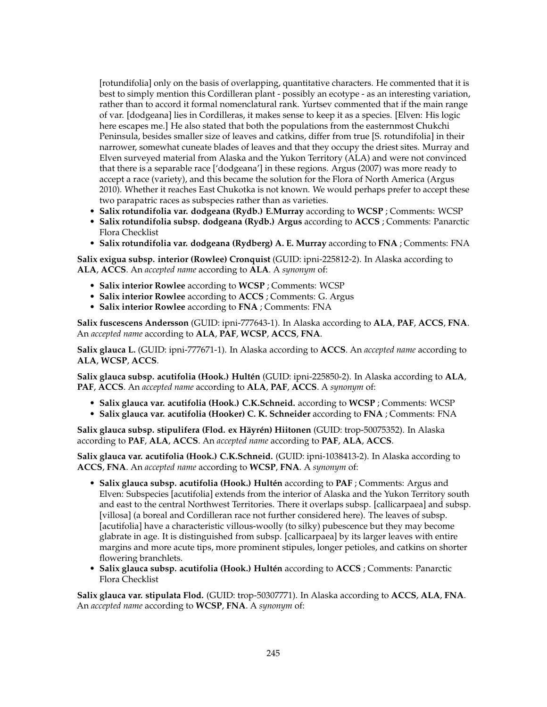[rotundifolia] only on the basis of overlapping, quantitative characters. He commented that it is best to simply mention this Cordilleran plant - possibly an ecotype - as an interesting variation, rather than to accord it formal nomenclatural rank. Yurtsev commented that if the main range of var. [dodgeana] lies in Cordilleras, it makes sense to keep it as a species. [Elven: His logic here escapes me.] He also stated that both the populations from the easternmost Chukchi Peninsula, besides smaller size of leaves and catkins, differ from true [S. rotundifolia] in their narrower, somewhat cuneate blades of leaves and that they occupy the driest sites. Murray and Elven surveyed material from Alaska and the Yukon Territory (ALA) and were not convinced that there is a separable race ['dodgeana'] in these regions. Argus (2007) was more ready to accept a race (variety), and this became the solution for the Flora of North America (Argus 2010). Whether it reaches East Chukotka is not known. We would perhaps prefer to accept these two parapatric races as subspecies rather than as varieties.

- **Salix rotundifolia var. dodgeana (Rydb.) E.Murray** according to **WCSP** ; Comments: WCSP
- **Salix rotundifolia subsp. dodgeana (Rydb.) Argus** according to **ACCS** ; Comments: Panarctic Flora Checklist
- **Salix rotundifolia var. dodgeana (Rydberg) A. E. Murray** according to **FNA** ; Comments: FNA

**Salix exigua subsp. interior (Rowlee) Cronquist** (GUID: ipni-225812-2). In Alaska according to **ALA**, **ACCS**. An *accepted name* according to **ALA**. A *synonym* of:

- **Salix interior Rowlee** according to **WCSP** ; Comments: WCSP
- **Salix interior Rowlee** according to **ACCS** ; Comments: G. Argus
- **Salix interior Rowlee** according to **FNA** ; Comments: FNA

**Salix fuscescens Andersson** (GUID: ipni-777643-1). In Alaska according to **ALA**, **PAF**, **ACCS**, **FNA**. An *accepted name* according to **ALA**, **PAF**, **WCSP**, **ACCS**, **FNA**.

**Salix glauca L.** (GUID: ipni-777671-1). In Alaska according to **ACCS**. An *accepted name* according to **ALA**, **WCSP**, **ACCS**.

**Salix glauca subsp. acutifolia (Hook.) Hultén** (GUID: ipni-225850-2). In Alaska according to **ALA**, **PAF**, **ACCS**. An *accepted name* according to **ALA**, **PAF**, **ACCS**. A *synonym* of:

- **Salix glauca var. acutifolia (Hook.) C.K.Schneid.** according to **WCSP** ; Comments: WCSP
- **Salix glauca var. acutifolia (Hooker) C. K. Schneider** according to **FNA** ; Comments: FNA

**Salix glauca subsp. stipulifera (Flod. ex Häyrén) Hiitonen** (GUID: trop-50075352). In Alaska according to **PAF**, **ALA**, **ACCS**. An *accepted name* according to **PAF**, **ALA**, **ACCS**.

**Salix glauca var. acutifolia (Hook.) C.K.Schneid.** (GUID: ipni-1038413-2). In Alaska according to **ACCS**, **FNA**. An *accepted name* according to **WCSP**, **FNA**. A *synonym* of:

- **Salix glauca subsp. acutifolia (Hook.) Hultén** according to **PAF** ; Comments: Argus and Elven: Subspecies [acutifolia] extends from the interior of Alaska and the Yukon Territory south and east to the central Northwest Territories. There it overlaps subsp. [callicarpaea] and subsp. [villosa] (a boreal and Cordilleran race not further considered here). The leaves of subsp. [acutifolia] have a characteristic villous-woolly (to silky) pubescence but they may become glabrate in age. It is distinguished from subsp. [callicarpaea] by its larger leaves with entire margins and more acute tips, more prominent stipules, longer petioles, and catkins on shorter flowering branchlets.
- **Salix glauca subsp. acutifolia (Hook.) Hultén** according to **ACCS** ; Comments: Panarctic Flora Checklist

**Salix glauca var. stipulata Flod.** (GUID: trop-50307771). In Alaska according to **ACCS**, **ALA**, **FNA**. An *accepted name* according to **WCSP**, **FNA**. A *synonym* of: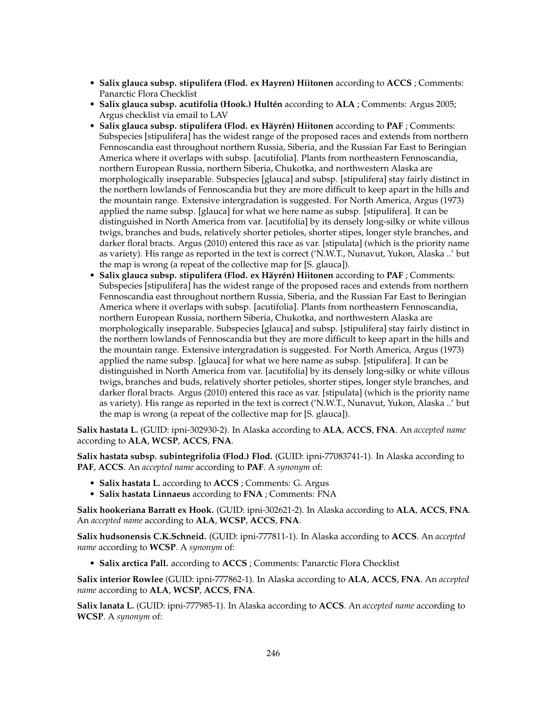- **Salix glauca subsp. stipulifera (Flod. ex Hayren) Hiitonen** according to **ACCS** ; Comments: Panarctic Flora Checklist
- **Salix glauca subsp. acutifolia (Hook.) Hultén** according to **ALA** ; Comments: Argus 2005; Argus checklist via email to LAV
- **Salix glauca subsp. stipulifera (Flod. ex Häyrén) Hiitonen** according to **PAF** ; Comments: Subspecies [stipulifera] has the widest range of the proposed races and extends from northern Fennoscandia east throughout northern Russia, Siberia, and the Russian Far East to Beringian America where it overlaps with subsp. [acutifolia]. Plants from northeastern Fennoscandia, northern European Russia, northern Siberia, Chukotka, and northwestern Alaska are morphologically inseparable. Subspecies [glauca] and subsp. [stipulifera] stay fairly distinct in the northern lowlands of Fennoscandia but they are more difficult to keep apart in the hills and the mountain range. Extensive intergradation is suggested. For North America, Argus (1973) applied the name subsp. [glauca] for what we here name as subsp. [stipulifera]. It can be distinguished in North America from var. [acutifolia] by its densely long-silky or white villous twigs, branches and buds, relatively shorter petioles, shorter stipes, longer style branches, and darker floral bracts. Argus (2010) entered this race as var. [stipulata] (which is the priority name as variety). His range as reported in the text is correct ('N.W.T., Nunavut, Yukon, Alaska ..' but the map is wrong (a repeat of the collective map for [S. glauca]).
- **Salix glauca subsp. stipulifera (Flod. ex Häyrén) Hiitonen** according to **PAF** ; Comments: Subspecies [stipulifera] has the widest range of the proposed races and extends from northern Fennoscandia east throughout northern Russia, Siberia, and the Russian Far East to Beringian America where it overlaps with subsp. [acutifolia]. Plants from northeastern Fennoscandia, northern European Russia, northern Siberia, Chukotka, and northwestern Alaska are morphologically inseparable. Subspecies [glauca] and subsp. [stipulifera] stay fairly distinct in the northern lowlands of Fennoscandia but they are more difficult to keep apart in the hills and the mountain range. Extensive intergradation is suggested. For North America, Argus (1973) applied the name subsp. [glauca] for what we here name as subsp. [stipulifera]. It can be distinguished in North America from var. [acutifolia] by its densely long-silky or white villous twigs, branches and buds, relatively shorter petioles, shorter stipes, longer style branches, and darker floral bracts. Argus (2010) entered this race as var. [stipulata] (which is the priority name as variety). His range as reported in the text is correct ('N.W.T., Nunavut, Yukon, Alaska ..' but the map is wrong (a repeat of the collective map for [S. glauca]).

**Salix hastata L.** (GUID: ipni-302930-2). In Alaska according to **ALA**, **ACCS**, **FNA**. An *accepted name* according to **ALA**, **WCSP**, **ACCS**, **FNA**.

**Salix hastata subsp. subintegrifolia (Flod.) Flod.** (GUID: ipni-77083741-1). In Alaska according to **PAF**, **ACCS**. An *accepted name* according to **PAF**. A *synonym* of:

- **Salix hastata L.** according to **ACCS** ; Comments: G. Argus
- **Salix hastata Linnaeus** according to **FNA** ; Comments: FNA

**Salix hookeriana Barratt ex Hook.** (GUID: ipni-302621-2). In Alaska according to **ALA**, **ACCS**, **FNA**. An *accepted name* according to **ALA**, **WCSP**, **ACCS**, **FNA**.

**Salix hudsonensis C.K.Schneid.** (GUID: ipni-777811-1). In Alaska according to **ACCS**. An *accepted name* according to **WCSP**. A *synonym* of:

• **Salix arctica Pall.** according to **ACCS** ; Comments: Panarctic Flora Checklist

**Salix interior Rowlee** (GUID: ipni-777862-1). In Alaska according to **ALA**, **ACCS**, **FNA**. An *accepted name* according to **ALA**, **WCSP**, **ACCS**, **FNA**.

**Salix lanata L.** (GUID: ipni-777985-1). In Alaska according to **ACCS**. An *accepted name* according to **WCSP**. A *synonym* of: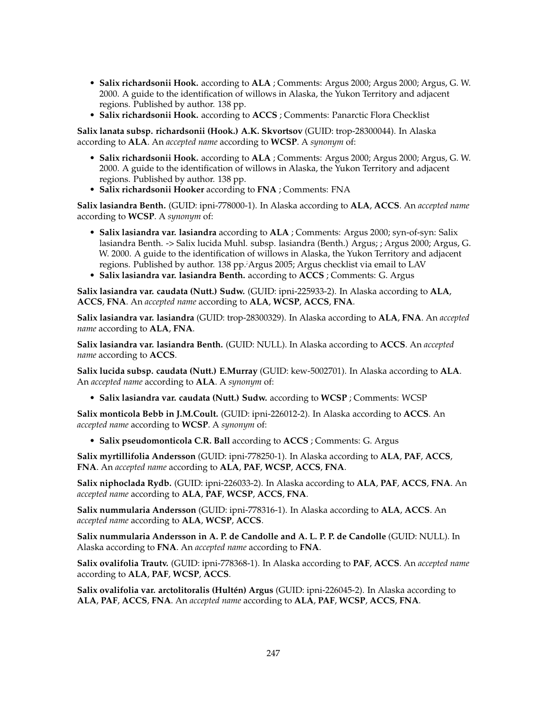- **Salix richardsonii Hook.** according to **ALA** ; Comments: Argus 2000; Argus 2000; Argus, G. W. 2000. A guide to the identification of willows in Alaska, the Yukon Territory and adjacent regions. Published by author. 138 pp.
- **Salix richardsonii Hook.** according to **ACCS** ; Comments: Panarctic Flora Checklist

**Salix lanata subsp. richardsonii (Hook.) A.K. Skvortsov** (GUID: trop-28300044). In Alaska according to **ALA**. An *accepted name* according to **WCSP**. A *synonym* of:

- **Salix richardsonii Hook.** according to **ALA** ; Comments: Argus 2000; Argus 2000; Argus, G. W. 2000. A guide to the identification of willows in Alaska, the Yukon Territory and adjacent regions. Published by author. 138 pp.
- **Salix richardsonii Hooker** according to **FNA** ; Comments: FNA

**Salix lasiandra Benth.** (GUID: ipni-778000-1). In Alaska according to **ALA**, **ACCS**. An *accepted name* according to **WCSP**. A *synonym* of:

- **Salix lasiandra var. lasiandra** according to **ALA** ; Comments: Argus 2000; syn-of-syn: Salix lasiandra Benth. -> Salix lucida Muhl. subsp. lasiandra (Benth.) Argus; ; Argus 2000; Argus, G. W. 2000. A guide to the identification of willows in Alaska, the Yukon Territory and adjacent regions. Published by author. 138 pp. Argus 2005; Argus checklist via email to LAV
- **Salix lasiandra var. lasiandra Benth.** according to **ACCS** ; Comments: G. Argus

**Salix lasiandra var. caudata (Nutt.) Sudw.** (GUID: ipni-225933-2). In Alaska according to **ALA**, **ACCS**, **FNA**. An *accepted name* according to **ALA**, **WCSP**, **ACCS**, **FNA**.

**Salix lasiandra var. lasiandra** (GUID: trop-28300329). In Alaska according to **ALA**, **FNA**. An *accepted name* according to **ALA**, **FNA**.

**Salix lasiandra var. lasiandra Benth.** (GUID: NULL). In Alaska according to **ACCS**. An *accepted name* according to **ACCS**.

**Salix lucida subsp. caudata (Nutt.) E.Murray** (GUID: kew-5002701). In Alaska according to **ALA**. An *accepted name* according to **ALA**. A *synonym* of:

• **Salix lasiandra var. caudata (Nutt.) Sudw.** according to **WCSP** ; Comments: WCSP

**Salix monticola Bebb in J.M.Coult.** (GUID: ipni-226012-2). In Alaska according to **ACCS**. An *accepted name* according to **WCSP**. A *synonym* of:

• **Salix pseudomonticola C.R. Ball** according to **ACCS** ; Comments: G. Argus

**Salix myrtillifolia Andersson** (GUID: ipni-778250-1). In Alaska according to **ALA**, **PAF**, **ACCS**, **FNA**. An *accepted name* according to **ALA**, **PAF**, **WCSP**, **ACCS**, **FNA**.

**Salix niphoclada Rydb.** (GUID: ipni-226033-2). In Alaska according to **ALA**, **PAF**, **ACCS**, **FNA**. An *accepted name* according to **ALA**, **PAF**, **WCSP**, **ACCS**, **FNA**.

**Salix nummularia Andersson** (GUID: ipni-778316-1). In Alaska according to **ALA**, **ACCS**. An *accepted name* according to **ALA**, **WCSP**, **ACCS**.

**Salix nummularia Andersson in A. P. de Candolle and A. L. P. P. de Candolle** (GUID: NULL). In Alaska according to **FNA**. An *accepted name* according to **FNA**.

**Salix ovalifolia Trautv.** (GUID: ipni-778368-1). In Alaska according to **PAF**, **ACCS**. An *accepted name* according to **ALA**, **PAF**, **WCSP**, **ACCS**.

**Salix ovalifolia var. arctolitoralis (Hultén) Argus** (GUID: ipni-226045-2). In Alaska according to **ALA**, **PAF**, **ACCS**, **FNA**. An *accepted name* according to **ALA**, **PAF**, **WCSP**, **ACCS**, **FNA**.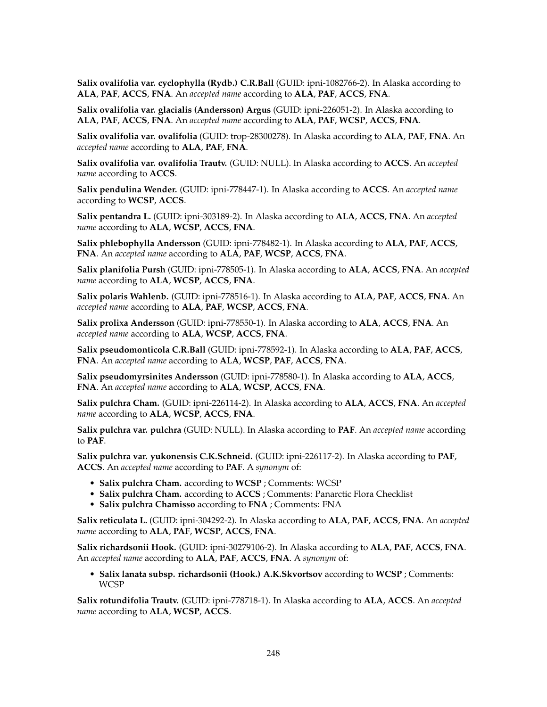**Salix ovalifolia var. cyclophylla (Rydb.) C.R.Ball** (GUID: ipni-1082766-2). In Alaska according to **ALA**, **PAF**, **ACCS**, **FNA**. An *accepted name* according to **ALA**, **PAF**, **ACCS**, **FNA**.

**Salix ovalifolia var. glacialis (Andersson) Argus** (GUID: ipni-226051-2). In Alaska according to **ALA**, **PAF**, **ACCS**, **FNA**. An *accepted name* according to **ALA**, **PAF**, **WCSP**, **ACCS**, **FNA**.

**Salix ovalifolia var. ovalifolia** (GUID: trop-28300278). In Alaska according to **ALA**, **PAF**, **FNA**. An *accepted name* according to **ALA**, **PAF**, **FNA**.

**Salix ovalifolia var. ovalifolia Trautv.** (GUID: NULL). In Alaska according to **ACCS**. An *accepted name* according to **ACCS**.

**Salix pendulina Wender.** (GUID: ipni-778447-1). In Alaska according to **ACCS**. An *accepted name* according to **WCSP**, **ACCS**.

**Salix pentandra L.** (GUID: ipni-303189-2). In Alaska according to **ALA**, **ACCS**, **FNA**. An *accepted name* according to **ALA**, **WCSP**, **ACCS**, **FNA**.

**Salix phlebophylla Andersson** (GUID: ipni-778482-1). In Alaska according to **ALA**, **PAF**, **ACCS**, **FNA**. An *accepted name* according to **ALA**, **PAF**, **WCSP**, **ACCS**, **FNA**.

**Salix planifolia Pursh** (GUID: ipni-778505-1). In Alaska according to **ALA**, **ACCS**, **FNA**. An *accepted name* according to **ALA**, **WCSP**, **ACCS**, **FNA**.

**Salix polaris Wahlenb.** (GUID: ipni-778516-1). In Alaska according to **ALA**, **PAF**, **ACCS**, **FNA**. An *accepted name* according to **ALA**, **PAF**, **WCSP**, **ACCS**, **FNA**.

**Salix prolixa Andersson** (GUID: ipni-778550-1). In Alaska according to **ALA**, **ACCS**, **FNA**. An *accepted name* according to **ALA**, **WCSP**, **ACCS**, **FNA**.

**Salix pseudomonticola C.R.Ball** (GUID: ipni-778592-1). In Alaska according to **ALA**, **PAF**, **ACCS**, **FNA**. An *accepted name* according to **ALA**, **WCSP**, **PAF**, **ACCS**, **FNA**.

**Salix pseudomyrsinites Andersson** (GUID: ipni-778580-1). In Alaska according to **ALA**, **ACCS**, **FNA**. An *accepted name* according to **ALA**, **WCSP**, **ACCS**, **FNA**.

**Salix pulchra Cham.** (GUID: ipni-226114-2). In Alaska according to **ALA**, **ACCS**, **FNA**. An *accepted name* according to **ALA**, **WCSP**, **ACCS**, **FNA**.

**Salix pulchra var. pulchra** (GUID: NULL). In Alaska according to **PAF**. An *accepted name* according to **PAF**.

**Salix pulchra var. yukonensis C.K.Schneid.** (GUID: ipni-226117-2). In Alaska according to **PAF**, **ACCS**. An *accepted name* according to **PAF**. A *synonym* of:

- **Salix pulchra Cham.** according to **WCSP** ; Comments: WCSP
- **Salix pulchra Cham.** according to **ACCS** ; Comments: Panarctic Flora Checklist
- **Salix pulchra Chamisso** according to **FNA** ; Comments: FNA

**Salix reticulata L.** (GUID: ipni-304292-2). In Alaska according to **ALA**, **PAF**, **ACCS**, **FNA**. An *accepted name* according to **ALA**, **PAF**, **WCSP**, **ACCS**, **FNA**.

**Salix richardsonii Hook.** (GUID: ipni-30279106-2). In Alaska according to **ALA**, **PAF**, **ACCS**, **FNA**. An *accepted name* according to **ALA**, **PAF**, **ACCS**, **FNA**. A *synonym* of:

• **Salix lanata subsp. richardsonii (Hook.) A.K.Skvortsov** according to **WCSP** ; Comments: WCSP

**Salix rotundifolia Trautv.** (GUID: ipni-778718-1). In Alaska according to **ALA**, **ACCS**. An *accepted name* according to **ALA**, **WCSP**, **ACCS**.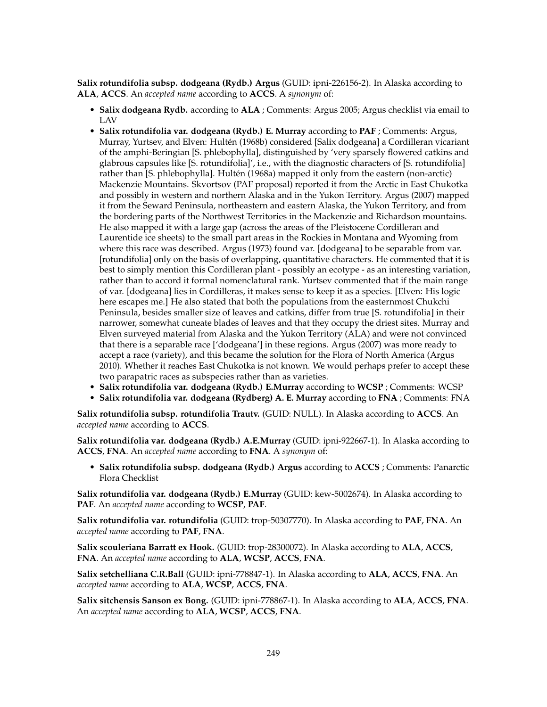**Salix rotundifolia subsp. dodgeana (Rydb.) Argus** (GUID: ipni-226156-2). In Alaska according to **ALA**, **ACCS**. An *accepted name* according to **ACCS**. A *synonym* of:

- **Salix dodgeana Rydb.** according to **ALA** ; Comments: Argus 2005; Argus checklist via email to LAV
- **Salix rotundifolia var. dodgeana (Rydb.) E. Murray** according to **PAF** ; Comments: Argus, Murray, Yurtsev, and Elven: Hultén (1968b) considered [Salix dodgeana] a Cordilleran vicariant of the amphi-Beringian [S. phlebophylla], distinguished by 'very sparsely flowered catkins and glabrous capsules like [S. rotundifolia]', i.e., with the diagnostic characters of [S. rotundifolia] rather than [S. phlebophylla]. Hultén (1968a) mapped it only from the eastern (non-arctic) Mackenzie Mountains. Skvortsov (PAF proposal) reported it from the Arctic in East Chukotka and possibly in western and northern Alaska and in the Yukon Territory. Argus (2007) mapped it from the Seward Peninsula, northeastern and eastern Alaska, the Yukon Territory, and from the bordering parts of the Northwest Territories in the Mackenzie and Richardson mountains. He also mapped it with a large gap (across the areas of the Pleistocene Cordilleran and Laurentide ice sheets) to the small part areas in the Rockies in Montana and Wyoming from where this race was described. Argus (1973) found var. [dodgeana] to be separable from var. [rotundifolia] only on the basis of overlapping, quantitative characters. He commented that it is best to simply mention this Cordilleran plant - possibly an ecotype - as an interesting variation, rather than to accord it formal nomenclatural rank. Yurtsev commented that if the main range of var. [dodgeana] lies in Cordilleras, it makes sense to keep it as a species. [Elven: His logic here escapes me.] He also stated that both the populations from the easternmost Chukchi Peninsula, besides smaller size of leaves and catkins, differ from true [S. rotundifolia] in their narrower, somewhat cuneate blades of leaves and that they occupy the driest sites. Murray and Elven surveyed material from Alaska and the Yukon Territory (ALA) and were not convinced that there is a separable race ['dodgeana'] in these regions. Argus (2007) was more ready to accept a race (variety), and this became the solution for the Flora of North America (Argus 2010). Whether it reaches East Chukotka is not known. We would perhaps prefer to accept these two parapatric races as subspecies rather than as varieties.
- **Salix rotundifolia var. dodgeana (Rydb.) E.Murray** according to **WCSP** ; Comments: WCSP
- **Salix rotundifolia var. dodgeana (Rydberg) A. E. Murray** according to **FNA** ; Comments: FNA

**Salix rotundifolia subsp. rotundifolia Trautv.** (GUID: NULL). In Alaska according to **ACCS**. An *accepted name* according to **ACCS**.

**Salix rotundifolia var. dodgeana (Rydb.) A.E.Murray** (GUID: ipni-922667-1). In Alaska according to **ACCS**, **FNA**. An *accepted name* according to **FNA**. A *synonym* of:

• **Salix rotundifolia subsp. dodgeana (Rydb.) Argus** according to **ACCS** ; Comments: Panarctic Flora Checklist

**Salix rotundifolia var. dodgeana (Rydb.) E.Murray** (GUID: kew-5002674). In Alaska according to **PAF**. An *accepted name* according to **WCSP**, **PAF**.

**Salix rotundifolia var. rotundifolia** (GUID: trop-50307770). In Alaska according to **PAF**, **FNA**. An *accepted name* according to **PAF**, **FNA**.

**Salix scouleriana Barratt ex Hook.** (GUID: trop-28300072). In Alaska according to **ALA**, **ACCS**, **FNA**. An *accepted name* according to **ALA**, **WCSP**, **ACCS**, **FNA**.

**Salix setchelliana C.R.Ball** (GUID: ipni-778847-1). In Alaska according to **ALA**, **ACCS**, **FNA**. An *accepted name* according to **ALA**, **WCSP**, **ACCS**, **FNA**.

**Salix sitchensis Sanson ex Bong.** (GUID: ipni-778867-1). In Alaska according to **ALA**, **ACCS**, **FNA**. An *accepted name* according to **ALA**, **WCSP**, **ACCS**, **FNA**.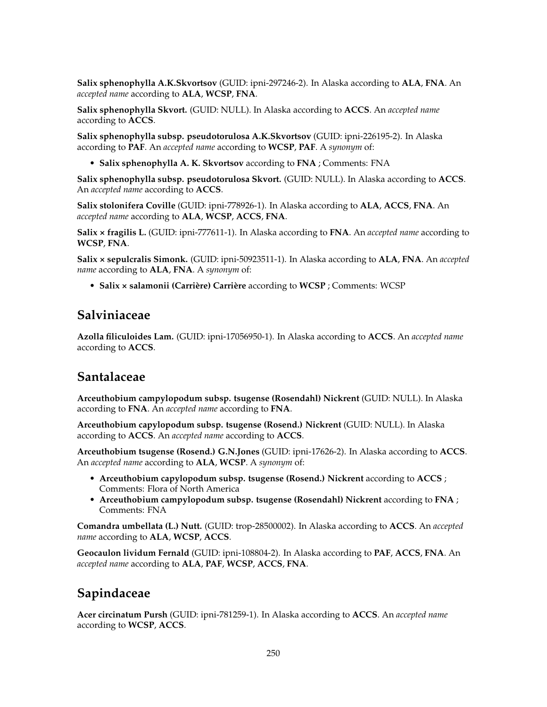**Salix sphenophylla A.K.Skvortsov** (GUID: ipni-297246-2). In Alaska according to **ALA**, **FNA**. An *accepted name* according to **ALA**, **WCSP**, **FNA**.

**Salix sphenophylla Skvort.** (GUID: NULL). In Alaska according to **ACCS**. An *accepted name* according to **ACCS**.

**Salix sphenophylla subsp. pseudotorulosa A.K.Skvortsov** (GUID: ipni-226195-2). In Alaska according to **PAF**. An *accepted name* according to **WCSP**, **PAF**. A *synonym* of:

• **Salix sphenophylla A. K. Skvortsov** according to **FNA** ; Comments: FNA

**Salix sphenophylla subsp. pseudotorulosa Skvort.** (GUID: NULL). In Alaska according to **ACCS**. An *accepted name* according to **ACCS**.

**Salix stolonifera Coville** (GUID: ipni-778926-1). In Alaska according to **ALA**, **ACCS**, **FNA**. An *accepted name* according to **ALA**, **WCSP**, **ACCS**, **FNA**.

**Salix × fragilis L.** (GUID: ipni-777611-1). In Alaska according to **FNA**. An *accepted name* according to **WCSP**, **FNA**.

**Salix × sepulcralis Simonk.** (GUID: ipni-50923511-1). In Alaska according to **ALA**, **FNA**. An *accepted name* according to **ALA**, **FNA**. A *synonym* of:

• **Salix × salamonii (Carrière) Carrière** according to **WCSP** ; Comments: WCSP

# **Salviniaceae**

**Azolla filiculoides Lam.** (GUID: ipni-17056950-1). In Alaska according to **ACCS**. An *accepted name* according to **ACCS**.

### **Santalaceae**

**Arceuthobium campylopodum subsp. tsugense (Rosendahl) Nickrent** (GUID: NULL). In Alaska according to **FNA**. An *accepted name* according to **FNA**.

**Arceuthobium capylopodum subsp. tsugense (Rosend.) Nickrent** (GUID: NULL). In Alaska according to **ACCS**. An *accepted name* according to **ACCS**.

**Arceuthobium tsugense (Rosend.) G.N.Jones** (GUID: ipni-17626-2). In Alaska according to **ACCS**. An *accepted name* according to **ALA**, **WCSP**. A *synonym* of:

- **Arceuthobium capylopodum subsp. tsugense (Rosend.) Nickrent** according to **ACCS** ; Comments: Flora of North America
- **Arceuthobium campylopodum subsp. tsugense (Rosendahl) Nickrent** according to **FNA** ; Comments: FNA

**Comandra umbellata (L.) Nutt.** (GUID: trop-28500002). In Alaska according to **ACCS**. An *accepted name* according to **ALA**, **WCSP**, **ACCS**.

**Geocaulon lividum Fernald** (GUID: ipni-108804-2). In Alaska according to **PAF**, **ACCS**, **FNA**. An *accepted name* according to **ALA**, **PAF**, **WCSP**, **ACCS**, **FNA**.

# **Sapindaceae**

**Acer circinatum Pursh** (GUID: ipni-781259-1). In Alaska according to **ACCS**. An *accepted name* according to **WCSP**, **ACCS**.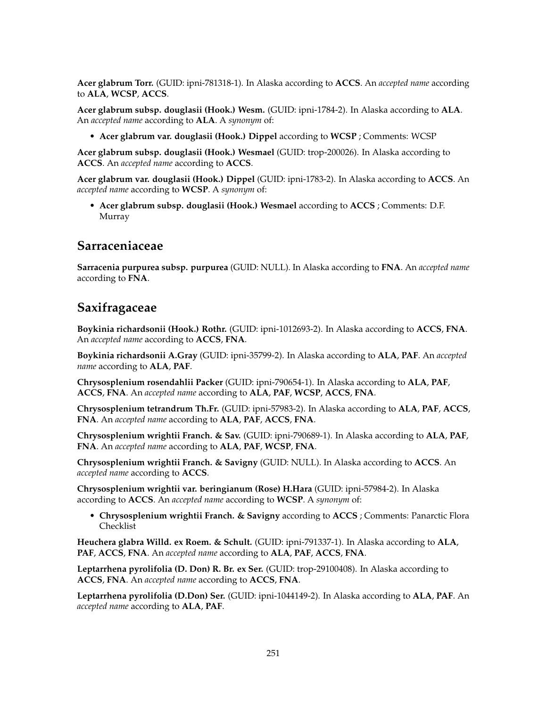**Acer glabrum Torr.** (GUID: ipni-781318-1). In Alaska according to **ACCS**. An *accepted name* according to **ALA**, **WCSP**, **ACCS**.

**Acer glabrum subsp. douglasii (Hook.) Wesm.** (GUID: ipni-1784-2). In Alaska according to **ALA**. An *accepted name* according to **ALA**. A *synonym* of:

• **Acer glabrum var. douglasii (Hook.) Dippel** according to **WCSP** ; Comments: WCSP

**Acer glabrum subsp. douglasii (Hook.) Wesmael** (GUID: trop-200026). In Alaska according to **ACCS**. An *accepted name* according to **ACCS**.

**Acer glabrum var. douglasii (Hook.) Dippel** (GUID: ipni-1783-2). In Alaska according to **ACCS**. An *accepted name* according to **WCSP**. A *synonym* of:

• **Acer glabrum subsp. douglasii (Hook.) Wesmael** according to **ACCS** ; Comments: D.F. Murray

#### **Sarraceniaceae**

**Sarracenia purpurea subsp. purpurea** (GUID: NULL). In Alaska according to **FNA**. An *accepted name* according to **FNA**.

### **Saxifragaceae**

**Boykinia richardsonii (Hook.) Rothr.** (GUID: ipni-1012693-2). In Alaska according to **ACCS**, **FNA**. An *accepted name* according to **ACCS**, **FNA**.

**Boykinia richardsonii A.Gray** (GUID: ipni-35799-2). In Alaska according to **ALA**, **PAF**. An *accepted name* according to **ALA**, **PAF**.

**Chrysosplenium rosendahlii Packer** (GUID: ipni-790654-1). In Alaska according to **ALA**, **PAF**, **ACCS**, **FNA**. An *accepted name* according to **ALA**, **PAF**, **WCSP**, **ACCS**, **FNA**.

**Chrysosplenium tetrandrum Th.Fr.** (GUID: ipni-57983-2). In Alaska according to **ALA**, **PAF**, **ACCS**, **FNA**. An *accepted name* according to **ALA**, **PAF**, **ACCS**, **FNA**.

**Chrysosplenium wrightii Franch. & Sav.** (GUID: ipni-790689-1). In Alaska according to **ALA**, **PAF**, **FNA**. An *accepted name* according to **ALA**, **PAF**, **WCSP**, **FNA**.

**Chrysosplenium wrightii Franch. & Savigny** (GUID: NULL). In Alaska according to **ACCS**. An *accepted name* according to **ACCS**.

**Chrysosplenium wrightii var. beringianum (Rose) H.Hara** (GUID: ipni-57984-2). In Alaska according to **ACCS**. An *accepted name* according to **WCSP**. A *synonym* of:

• **Chrysosplenium wrightii Franch. & Savigny** according to **ACCS** ; Comments: Panarctic Flora Checklist

**Heuchera glabra Willd. ex Roem. & Schult.** (GUID: ipni-791337-1). In Alaska according to **ALA**, **PAF**, **ACCS**, **FNA**. An *accepted name* according to **ALA**, **PAF**, **ACCS**, **FNA**.

**Leptarrhena pyrolifolia (D. Don) R. Br. ex Ser.** (GUID: trop-29100408). In Alaska according to **ACCS**, **FNA**. An *accepted name* according to **ACCS**, **FNA**.

**Leptarrhena pyrolifolia (D.Don) Ser.** (GUID: ipni-1044149-2). In Alaska according to **ALA**, **PAF**. An *accepted name* according to **ALA**, **PAF**.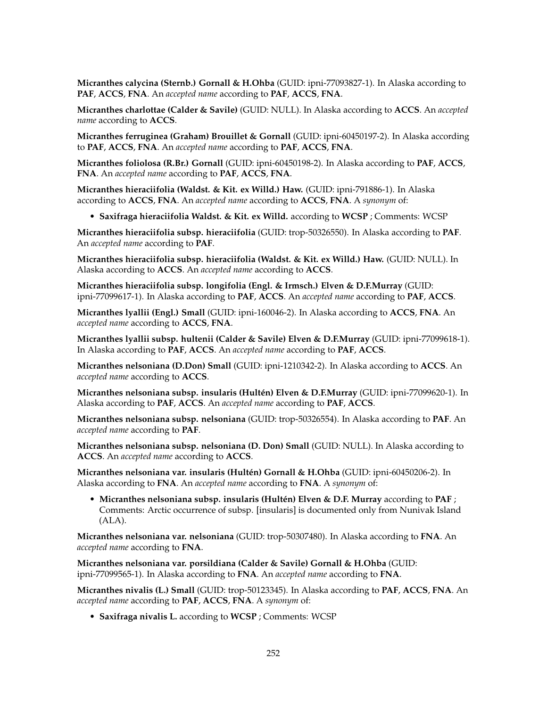**Micranthes calycina (Sternb.) Gornall & H.Ohba** (GUID: ipni-77093827-1). In Alaska according to **PAF**, **ACCS**, **FNA**. An *accepted name* according to **PAF**, **ACCS**, **FNA**.

**Micranthes charlottae (Calder & Savile)** (GUID: NULL). In Alaska according to **ACCS**. An *accepted name* according to **ACCS**.

**Micranthes ferruginea (Graham) Brouillet & Gornall** (GUID: ipni-60450197-2). In Alaska according to **PAF**, **ACCS**, **FNA**. An *accepted name* according to **PAF**, **ACCS**, **FNA**.

**Micranthes foliolosa (R.Br.) Gornall** (GUID: ipni-60450198-2). In Alaska according to **PAF**, **ACCS**, **FNA**. An *accepted name* according to **PAF**, **ACCS**, **FNA**.

**Micranthes hieraciifolia (Waldst. & Kit. ex Willd.) Haw.** (GUID: ipni-791886-1). In Alaska according to **ACCS**, **FNA**. An *accepted name* according to **ACCS**, **FNA**. A *synonym* of:

• **Saxifraga hieraciifolia Waldst. & Kit. ex Willd.** according to **WCSP** ; Comments: WCSP

**Micranthes hieraciifolia subsp. hieraciifolia** (GUID: trop-50326550). In Alaska according to **PAF**. An *accepted name* according to **PAF**.

**Micranthes hieraciifolia subsp. hieraciifolia (Waldst. & Kit. ex Willd.) Haw.** (GUID: NULL). In Alaska according to **ACCS**. An *accepted name* according to **ACCS**.

**Micranthes hieraciifolia subsp. longifolia (Engl. & Irmsch.) Elven & D.F.Murray** (GUID: ipni-77099617-1). In Alaska according to **PAF**, **ACCS**. An *accepted name* according to **PAF**, **ACCS**.

**Micranthes lyallii (Engl.) Small** (GUID: ipni-160046-2). In Alaska according to **ACCS**, **FNA**. An *accepted name* according to **ACCS**, **FNA**.

**Micranthes lyallii subsp. hultenii (Calder & Savile) Elven & D.F.Murray** (GUID: ipni-77099618-1). In Alaska according to **PAF**, **ACCS**. An *accepted name* according to **PAF**, **ACCS**.

**Micranthes nelsoniana (D.Don) Small** (GUID: ipni-1210342-2). In Alaska according to **ACCS**. An *accepted name* according to **ACCS**.

**Micranthes nelsoniana subsp. insularis (Hultén) Elven & D.F.Murray** (GUID: ipni-77099620-1). In Alaska according to **PAF**, **ACCS**. An *accepted name* according to **PAF**, **ACCS**.

**Micranthes nelsoniana subsp. nelsoniana** (GUID: trop-50326554). In Alaska according to **PAF**. An *accepted name* according to **PAF**.

**Micranthes nelsoniana subsp. nelsoniana (D. Don) Small** (GUID: NULL). In Alaska according to **ACCS**. An *accepted name* according to **ACCS**.

**Micranthes nelsoniana var. insularis (Hultén) Gornall & H.Ohba** (GUID: ipni-60450206-2). In Alaska according to **FNA**. An *accepted name* according to **FNA**. A *synonym* of:

• **Micranthes nelsoniana subsp. insularis (Hultén) Elven & D.F. Murray** according to **PAF** ; Comments: Arctic occurrence of subsp. [insularis] is documented only from Nunivak Island (ALA).

**Micranthes nelsoniana var. nelsoniana** (GUID: trop-50307480). In Alaska according to **FNA**. An *accepted name* according to **FNA**.

**Micranthes nelsoniana var. porsildiana (Calder & Savile) Gornall & H.Ohba** (GUID: ipni-77099565-1). In Alaska according to **FNA**. An *accepted name* according to **FNA**.

**Micranthes nivalis (L.) Small** (GUID: trop-50123345). In Alaska according to **PAF**, **ACCS**, **FNA**. An *accepted name* according to **PAF**, **ACCS**, **FNA**. A *synonym* of:

• **Saxifraga nivalis L.** according to **WCSP** ; Comments: WCSP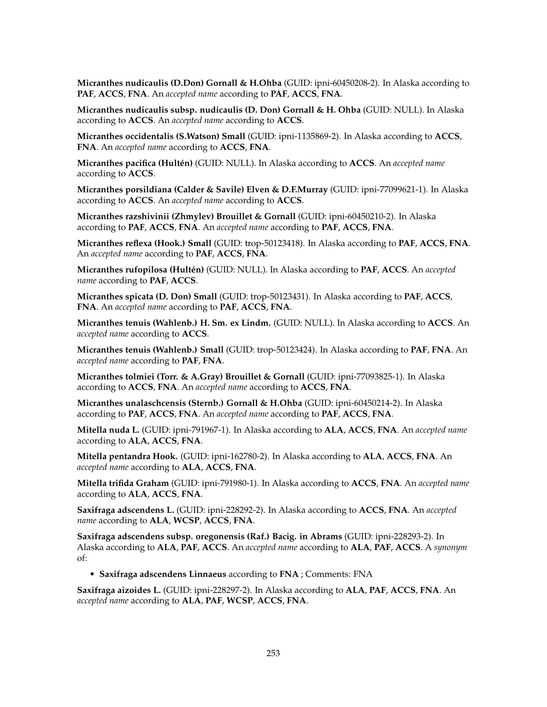**Micranthes nudicaulis (D.Don) Gornall & H.Ohba** (GUID: ipni-60450208-2). In Alaska according to **PAF**, **ACCS**, **FNA**. An *accepted name* according to **PAF**, **ACCS**, **FNA**.

**Micranthes nudicaulis subsp. nudicaulis (D. Don) Gornall & H. Ohba** (GUID: NULL). In Alaska according to **ACCS**. An *accepted name* according to **ACCS**.

**Micranthes occidentalis (S.Watson) Small** (GUID: ipni-1135869-2). In Alaska according to **ACCS**, **FNA**. An *accepted name* according to **ACCS**, **FNA**.

**Micranthes pacifica (Hultén)** (GUID: NULL). In Alaska according to **ACCS**. An *accepted name* according to **ACCS**.

**Micranthes porsildiana (Calder & Savile) Elven & D.F.Murray** (GUID: ipni-77099621-1). In Alaska according to **ACCS**. An *accepted name* according to **ACCS**.

**Micranthes razshivinii (Zhmylev) Brouillet & Gornall** (GUID: ipni-60450210-2). In Alaska according to **PAF**, **ACCS**, **FNA**. An *accepted name* according to **PAF**, **ACCS**, **FNA**.

**Micranthes reflexa (Hook.) Small** (GUID: trop-50123418). In Alaska according to **PAF**, **ACCS**, **FNA**. An *accepted name* according to **PAF**, **ACCS**, **FNA**.

**Micranthes rufopilosa (Hultén)** (GUID: NULL). In Alaska according to **PAF**, **ACCS**. An *accepted name* according to **PAF**, **ACCS**.

**Micranthes spicata (D. Don) Small** (GUID: trop-50123431). In Alaska according to **PAF**, **ACCS**, **FNA**. An *accepted name* according to **PAF**, **ACCS**, **FNA**.

**Micranthes tenuis (Wahlenb.) H. Sm. ex Lindm.** (GUID: NULL). In Alaska according to **ACCS**. An *accepted name* according to **ACCS**.

**Micranthes tenuis (Wahlenb.) Small** (GUID: trop-50123424). In Alaska according to **PAF**, **FNA**. An *accepted name* according to **PAF**, **FNA**.

**Micranthes tolmiei (Torr. & A.Gray) Brouillet & Gornall** (GUID: ipni-77093825-1). In Alaska according to **ACCS**, **FNA**. An *accepted name* according to **ACCS**, **FNA**.

**Micranthes unalaschcensis (Sternb.) Gornall & H.Ohba** (GUID: ipni-60450214-2). In Alaska according to **PAF**, **ACCS**, **FNA**. An *accepted name* according to **PAF**, **ACCS**, **FNA**.

**Mitella nuda L.** (GUID: ipni-791967-1). In Alaska according to **ALA**, **ACCS**, **FNA**. An *accepted name* according to **ALA**, **ACCS**, **FNA**.

**Mitella pentandra Hook.** (GUID: ipni-162780-2). In Alaska according to **ALA**, **ACCS**, **FNA**. An *accepted name* according to **ALA**, **ACCS**, **FNA**.

**Mitella trifida Graham** (GUID: ipni-791980-1). In Alaska according to **ACCS**, **FNA**. An *accepted name* according to **ALA**, **ACCS**, **FNA**.

**Saxifraga adscendens L.** (GUID: ipni-228292-2). In Alaska according to **ACCS**, **FNA**. An *accepted name* according to **ALA**, **WCSP**, **ACCS**, **FNA**.

**Saxifraga adscendens subsp. oregonensis (Raf.) Bacig. in Abrams** (GUID: ipni-228293-2). In Alaska according to **ALA**, **PAF**, **ACCS**. An *accepted name* according to **ALA**, **PAF**, **ACCS**. A *synonym* of:

• **Saxifraga adscendens Linnaeus** according to **FNA** ; Comments: FNA

**Saxifraga aizoides L.** (GUID: ipni-228297-2). In Alaska according to **ALA**, **PAF**, **ACCS**, **FNA**. An *accepted name* according to **ALA**, **PAF**, **WCSP**, **ACCS**, **FNA**.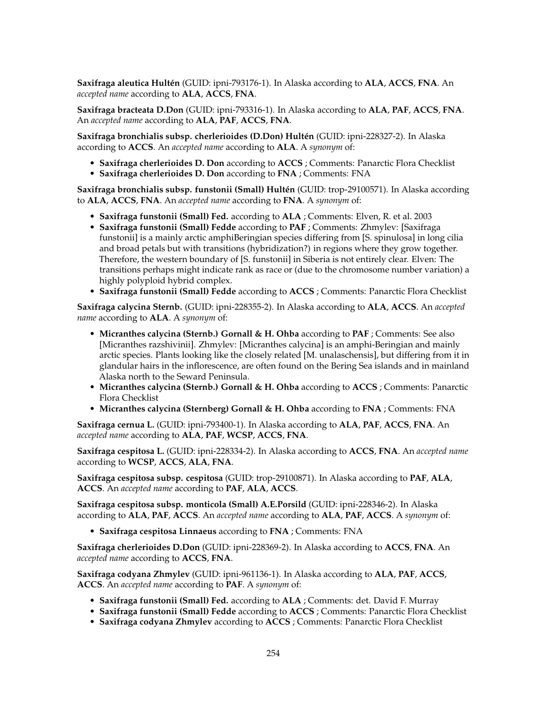**Saxifraga aleutica Hultén** (GUID: ipni-793176-1). In Alaska according to **ALA**, **ACCS**, **FNA**. An *accepted name* according to **ALA**, **ACCS**, **FNA**.

**Saxifraga bracteata D.Don** (GUID: ipni-793316-1). In Alaska according to **ALA**, **PAF**, **ACCS**, **FNA**. An *accepted name* according to **ALA**, **PAF**, **ACCS**, **FNA**.

**Saxifraga bronchialis subsp. cherlerioides (D.Don) Hultén** (GUID: ipni-228327-2). In Alaska according to **ACCS**. An *accepted name* according to **ALA**. A *synonym* of:

- **Saxifraga cherlerioides D. Don** according to **ACCS** ; Comments: Panarctic Flora Checklist
- **Saxifraga cherlerioides D. Don** according to **FNA** ; Comments: FNA

**Saxifraga bronchialis subsp. funstonii (Small) Hultén** (GUID: trop-29100571). In Alaska according to **ALA**, **ACCS**, **FNA**. An *accepted name* according to **FNA**. A *synonym* of:

- **Saxifraga funstonii (Small) Fed.** according to **ALA** ; Comments: Elven, R. et al. 2003
- **Saxifraga funstonii (Small) Fedde** according to **PAF** ; Comments: Zhmylev: [Saxifraga funstonii] is a mainly arctic amphiBeringian species differing from [S. spinulosa] in long cilia and broad petals but with transitions (hybridization?) in regions where they grow together. Therefore, the western boundary of [S. funstonii] in Siberia is not entirely clear. Elven: The transitions perhaps might indicate rank as race or (due to the chromosome number variation) a highly polyploid hybrid complex.
- **Saxifraga funstonii (Small) Fedde** according to **ACCS** ; Comments: Panarctic Flora Checklist

**Saxifraga calycina Sternb.** (GUID: ipni-228355-2). In Alaska according to **ALA**, **ACCS**. An *accepted name* according to **ALA**. A *synonym* of:

- **Micranthes calycina (Sternb.) Gornall & H. Ohba** according to **PAF** ; Comments: See also [Micranthes razshivinii]. Zhmylev: [Micranthes calycina] is an amphi-Beringian and mainly arctic species. Plants looking like the closely related [M. unalaschensis], but differing from it in glandular hairs in the inflorescence, are often found on the Bering Sea islands and in mainland Alaska north to the Seward Peninsula.
- **Micranthes calycina (Sternb.) Gornall & H. Ohba** according to **ACCS** ; Comments: Panarctic Flora Checklist
- **Micranthes calycina (Sternberg) Gornall & H. Ohba** according to **FNA** ; Comments: FNA

**Saxifraga cernua L.** (GUID: ipni-793400-1). In Alaska according to **ALA**, **PAF**, **ACCS**, **FNA**. An *accepted name* according to **ALA**, **PAF**, **WCSP**, **ACCS**, **FNA**.

**Saxifraga cespitosa L.** (GUID: ipni-228334-2). In Alaska according to **ACCS**, **FNA**. An *accepted name* according to **WCSP**, **ACCS**, **ALA**, **FNA**.

**Saxifraga cespitosa subsp. cespitosa** (GUID: trop-29100871). In Alaska according to **PAF**, **ALA**, **ACCS**. An *accepted name* according to **PAF**, **ALA**, **ACCS**.

**Saxifraga cespitosa subsp. monticola (Small) A.E.Porsild** (GUID: ipni-228346-2). In Alaska according to **ALA**, **PAF**, **ACCS**. An *accepted name* according to **ALA**, **PAF**, **ACCS**. A *synonym* of:

• **Saxifraga cespitosa Linnaeus** according to **FNA** ; Comments: FNA

**Saxifraga cherlerioides D.Don** (GUID: ipni-228369-2). In Alaska according to **ACCS**, **FNA**. An *accepted name* according to **ACCS**, **FNA**.

**Saxifraga codyana Zhmylev** (GUID: ipni-961136-1). In Alaska according to **ALA**, **PAF**, **ACCS**, **ACCS**. An *accepted name* according to **PAF**. A *synonym* of:

- **Saxifraga funstonii (Small) Fed.** according to **ALA** ; Comments: det. David F. Murray
- **Saxifraga funstonii (Small) Fedde** according to **ACCS** ; Comments: Panarctic Flora Checklist
- **Saxifraga codyana Zhmylev** according to **ACCS** ; Comments: Panarctic Flora Checklist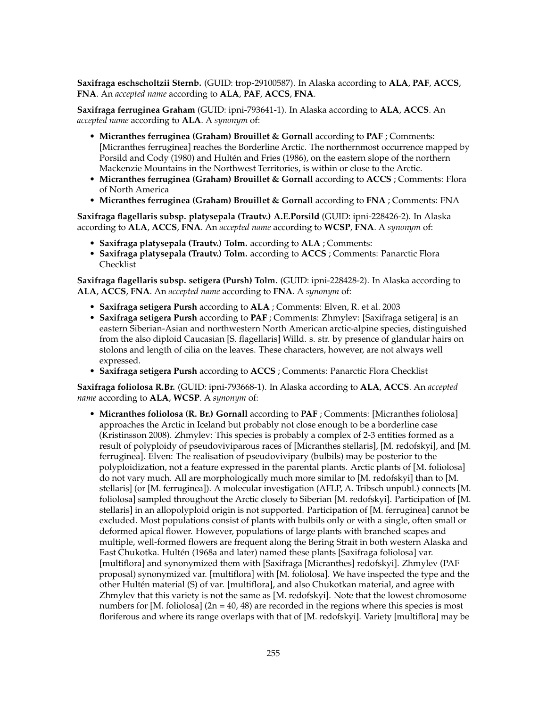**Saxifraga eschscholtzii Sternb.** (GUID: trop-29100587). In Alaska according to **ALA**, **PAF**, **ACCS**, **FNA**. An *accepted name* according to **ALA**, **PAF**, **ACCS**, **FNA**.

**Saxifraga ferruginea Graham** (GUID: ipni-793641-1). In Alaska according to **ALA**, **ACCS**. An *accepted name* according to **ALA**. A *synonym* of:

- **Micranthes ferruginea (Graham) Brouillet & Gornall** according to **PAF** ; Comments: [Micranthes ferruginea] reaches the Borderline Arctic. The northernmost occurrence mapped by Porsild and Cody (1980) and Hultén and Fries (1986), on the eastern slope of the northern Mackenzie Mountains in the Northwest Territories, is within or close to the Arctic.
- **Micranthes ferruginea (Graham) Brouillet & Gornall** according to **ACCS** ; Comments: Flora of North America
- **Micranthes ferruginea (Graham) Brouillet & Gornall** according to **FNA** ; Comments: FNA

**Saxifraga flagellaris subsp. platysepala (Trautv.) A.E.Porsild** (GUID: ipni-228426-2). In Alaska according to **ALA**, **ACCS**, **FNA**. An *accepted name* according to **WCSP**, **FNA**. A *synonym* of:

- **Saxifraga platysepala (Trautv.) Tolm.** according to **ALA** ; Comments:
- **Saxifraga platysepala (Trautv.) Tolm.** according to **ACCS** ; Comments: Panarctic Flora Checklist

**Saxifraga flagellaris subsp. setigera (Pursh) Tolm.** (GUID: ipni-228428-2). In Alaska according to **ALA**, **ACCS**, **FNA**. An *accepted name* according to **FNA**. A *synonym* of:

- **Saxifraga setigera Pursh** according to **ALA** ; Comments: Elven, R. et al. 2003
- **Saxifraga setigera Pursh** according to **PAF** ; Comments: Zhmylev: [Saxifraga setigera] is an eastern Siberian-Asian and northwestern North American arctic-alpine species, distinguished from the also diploid Caucasian [S. flagellaris] Willd. s. str. by presence of glandular hairs on stolons and length of cilia on the leaves. These characters, however, are not always well expressed.
- **Saxifraga setigera Pursh** according to **ACCS** ; Comments: Panarctic Flora Checklist

**Saxifraga foliolosa R.Br.** (GUID: ipni-793668-1). In Alaska according to **ALA**, **ACCS**. An *accepted name* according to **ALA**, **WCSP**. A *synonym* of:

• **Micranthes foliolosa (R. Br.) Gornall** according to **PAF** ; Comments: [Micranthes foliolosa] approaches the Arctic in Iceland but probably not close enough to be a borderline case (Kristinsson 2008). Zhmylev: This species is probably a complex of 2-3 entities formed as a result of polyploidy of pseudoviviparous races of [Micranthes stellaris], [M. redofskyi], and [M. ferruginea]. Elven: The realisation of pseudovivipary (bulbils) may be posterior to the polyploidization, not a feature expressed in the parental plants. Arctic plants of [M. foliolosa] do not vary much. All are morphologically much more similar to [M. redofskyi] than to [M. stellaris] (or [M. ferruginea]). A molecular investigation (AFLP, A. Tribsch unpubl.) connects [M. foliolosa] sampled throughout the Arctic closely to Siberian [M. redofskyi]. Participation of [M. stellaris] in an allopolyploid origin is not supported. Participation of [M. ferruginea] cannot be excluded. Most populations consist of plants with bulbils only or with a single, often small or deformed apical flower. However, populations of large plants with branched scapes and multiple, well-formed flowers are frequent along the Bering Strait in both western Alaska and East Chukotka. Hultén (1968a and later) named these plants [Saxifraga foliolosa] var. [multiflora] and synonymized them with [Saxifraga [Micranthes] redofskyi]. Zhmylev (PAF proposal) synonymized var. [multiflora] with [M. foliolosa]. We have inspected the type and the other Hultén material (S) of var. [multiflora], and also Chukotkan material, and agree with Zhmylev that this variety is not the same as [M. redofskyi]. Note that the lowest chromosome numbers for [M. foliolosa]  $(2n = 40, 48)$  are recorded in the regions where this species is most floriferous and where its range overlaps with that of [M. redofskyi]. Variety [multiflora] may be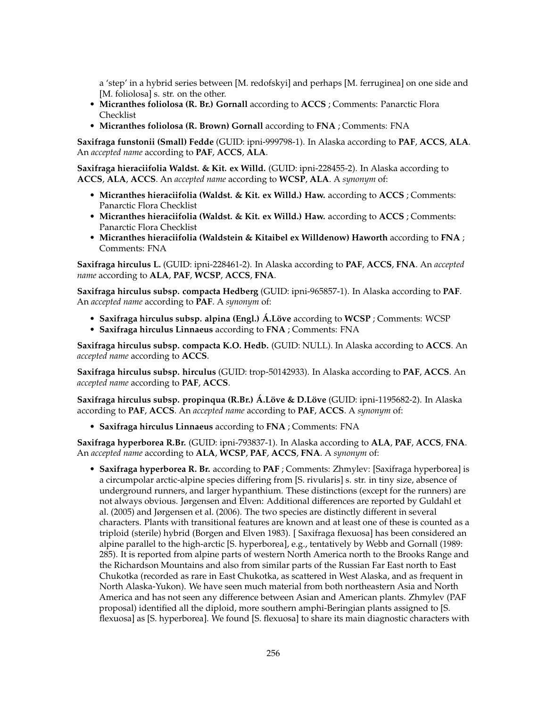a 'step' in a hybrid series between [M. redofskyi] and perhaps [M. ferruginea] on one side and [M. foliolosa] s. str. on the other.

- **Micranthes foliolosa (R. Br.) Gornall** according to **ACCS** ; Comments: Panarctic Flora Checklist
- **Micranthes foliolosa (R. Brown) Gornall** according to **FNA** ; Comments: FNA

**Saxifraga funstonii (Small) Fedde** (GUID: ipni-999798-1). In Alaska according to **PAF**, **ACCS**, **ALA**. An *accepted name* according to **PAF**, **ACCS**, **ALA**.

**Saxifraga hieraciifolia Waldst. & Kit. ex Willd.** (GUID: ipni-228455-2). In Alaska according to **ACCS**, **ALA**, **ACCS**. An *accepted name* according to **WCSP**, **ALA**. A *synonym* of:

- **Micranthes hieraciifolia (Waldst. & Kit. ex Willd.) Haw.** according to **ACCS** ; Comments: Panarctic Flora Checklist
- **Micranthes hieraciifolia (Waldst. & Kit. ex Willd.) Haw.** according to **ACCS** ; Comments: Panarctic Flora Checklist
- **Micranthes hieraciifolia (Waldstein & Kitaibel ex Willdenow) Haworth** according to **FNA** ; Comments: FNA

**Saxifraga hirculus L.** (GUID: ipni-228461-2). In Alaska according to **PAF**, **ACCS**, **FNA**. An *accepted name* according to **ALA**, **PAF**, **WCSP**, **ACCS**, **FNA**.

**Saxifraga hirculus subsp. compacta Hedberg** (GUID: ipni-965857-1). In Alaska according to **PAF**. An *accepted name* according to **PAF**. A *synonym* of:

- **Saxifraga hirculus subsp. alpina (Engl.) Á.Löve** according to **WCSP** ; Comments: WCSP
- **Saxifraga hirculus Linnaeus** according to **FNA** ; Comments: FNA

**Saxifraga hirculus subsp. compacta K.O. Hedb.** (GUID: NULL). In Alaska according to **ACCS**. An *accepted name* according to **ACCS**.

**Saxifraga hirculus subsp. hirculus** (GUID: trop-50142933). In Alaska according to **PAF**, **ACCS**. An *accepted name* according to **PAF**, **ACCS**.

**Saxifraga hirculus subsp. propinqua (R.Br.) Á.Löve & D.Löve** (GUID: ipni-1195682-2). In Alaska according to **PAF**, **ACCS**. An *accepted name* according to **PAF**, **ACCS**. A *synonym* of:

• **Saxifraga hirculus Linnaeus** according to **FNA** ; Comments: FNA

**Saxifraga hyperborea R.Br.** (GUID: ipni-793837-1). In Alaska according to **ALA**, **PAF**, **ACCS**, **FNA**. An *accepted name* according to **ALA**, **WCSP**, **PAF**, **ACCS**, **FNA**. A *synonym* of:

• **Saxifraga hyperborea R. Br.** according to **PAF** ; Comments: Zhmylev: [Saxifraga hyperborea] is a circumpolar arctic-alpine species differing from [S. rivularis] s. str. in tiny size, absence of underground runners, and larger hypanthium. These distinctions (except for the runners) are not always obvious. Jørgensen and Elven: Additional differences are reported by Guldahl et al. (2005) and Jørgensen et al. (2006). The two species are distinctly different in several characters. Plants with transitional features are known and at least one of these is counted as a triploid (sterile) hybrid (Borgen and Elven 1983). [ Saxifraga flexuosa] has been considered an alpine parallel to the high-arctic [S. hyperborea], e.g., tentatively by Webb and Gornall (1989: 285). It is reported from alpine parts of western North America north to the Brooks Range and the Richardson Mountains and also from similar parts of the Russian Far East north to East Chukotka (recorded as rare in East Chukotka, as scattered in West Alaska, and as frequent in North Alaska-Yukon). We have seen much material from both northeastern Asia and North America and has not seen any difference between Asian and American plants. Zhmylev (PAF proposal) identified all the diploid, more southern amphi-Beringian plants assigned to [S. flexuosa] as [S. hyperborea]. We found [S. flexuosa] to share its main diagnostic characters with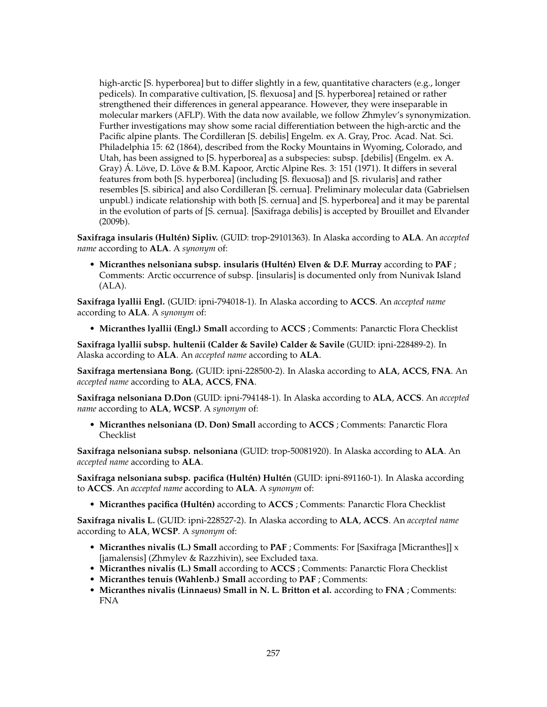high-arctic [S. hyperborea] but to differ slightly in a few, quantitative characters (e.g., longer pedicels). In comparative cultivation, [S. flexuosa] and [S. hyperborea] retained or rather strengthened their differences in general appearance. However, they were inseparable in molecular markers (AFLP). With the data now available, we follow Zhmylev's synonymization. Further investigations may show some racial differentiation between the high-arctic and the Pacific alpine plants. The Cordilleran [S. debilis] Engelm. ex A. Gray, Proc. Acad. Nat. Sci. Philadelphia 15: 62 (1864), described from the Rocky Mountains in Wyoming, Colorado, and Utah, has been assigned to [S. hyperborea] as a subspecies: subsp. [debilis] (Engelm. ex A. Gray) Á. Löve, D. Löve & B.M. Kapoor, Arctic Alpine Res. 3: 151 (1971). It differs in several features from both [S. hyperborea] (including [S. flexuosa]) and [S. rivularis] and rather resembles [S. sibirica] and also Cordilleran [S. cernua]. Preliminary molecular data (Gabrielsen unpubl.) indicate relationship with both [S. cernua] and [S. hyperborea] and it may be parental in the evolution of parts of [S. cernua]. [Saxifraga debilis] is accepted by Brouillet and Elvander (2009b).

**Saxifraga insularis (Hultén) Sipliv.** (GUID: trop-29101363). In Alaska according to **ALA**. An *accepted name* according to **ALA**. A *synonym* of:

• **Micranthes nelsoniana subsp. insularis (Hultén) Elven & D.F. Murray** according to **PAF** ; Comments: Arctic occurrence of subsp. [insularis] is documented only from Nunivak Island (ALA).

**Saxifraga lyallii Engl.** (GUID: ipni-794018-1). In Alaska according to **ACCS**. An *accepted name* according to **ALA**. A *synonym* of:

• **Micranthes lyallii (Engl.) Small** according to **ACCS** ; Comments: Panarctic Flora Checklist

**Saxifraga lyallii subsp. hultenii (Calder & Savile) Calder & Savile** (GUID: ipni-228489-2). In Alaska according to **ALA**. An *accepted name* according to **ALA**.

**Saxifraga mertensiana Bong.** (GUID: ipni-228500-2). In Alaska according to **ALA**, **ACCS**, **FNA**. An *accepted name* according to **ALA**, **ACCS**, **FNA**.

**Saxifraga nelsoniana D.Don** (GUID: ipni-794148-1). In Alaska according to **ALA**, **ACCS**. An *accepted name* according to **ALA**, **WCSP**. A *synonym* of:

• **Micranthes nelsoniana (D. Don) Small** according to **ACCS** ; Comments: Panarctic Flora Checklist

**Saxifraga nelsoniana subsp. nelsoniana** (GUID: trop-50081920). In Alaska according to **ALA**. An *accepted name* according to **ALA**.

**Saxifraga nelsoniana subsp. pacifica (Hultén) Hultén** (GUID: ipni-891160-1). In Alaska according to **ACCS**. An *accepted name* according to **ALA**. A *synonym* of:

• **Micranthes pacifica (Hultén)** according to **ACCS** ; Comments: Panarctic Flora Checklist

**Saxifraga nivalis L.** (GUID: ipni-228527-2). In Alaska according to **ALA**, **ACCS**. An *accepted name* according to **ALA**, **WCSP**. A *synonym* of:

- **Micranthes nivalis (L.) Small** according to **PAF** ; Comments: For [Saxifraga [Micranthes]] x [jamalensis] (Zhmylev & Razzhivin), see Excluded taxa.
- **Micranthes nivalis (L.) Small** according to **ACCS** ; Comments: Panarctic Flora Checklist
- **Micranthes tenuis (Wahlenb.) Small** according to **PAF** ; Comments:
- **Micranthes nivalis (Linnaeus) Small in N. L. Britton et al.** according to **FNA** ; Comments: FNA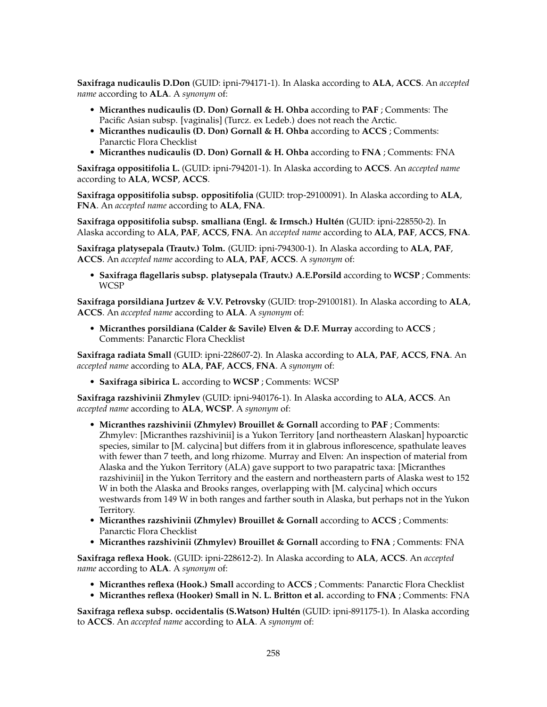**Saxifraga nudicaulis D.Don** (GUID: ipni-794171-1). In Alaska according to **ALA**, **ACCS**. An *accepted name* according to **ALA**. A *synonym* of:

- **Micranthes nudicaulis (D. Don) Gornall & H. Ohba** according to **PAF** ; Comments: The Pacific Asian subsp. [vaginalis] (Turcz. ex Ledeb.) does not reach the Arctic.
- **Micranthes nudicaulis (D. Don) Gornall & H. Ohba** according to **ACCS** ; Comments: Panarctic Flora Checklist
- **Micranthes nudicaulis (D. Don) Gornall & H. Ohba** according to **FNA** ; Comments: FNA

**Saxifraga oppositifolia L.** (GUID: ipni-794201-1). In Alaska according to **ACCS**. An *accepted name* according to **ALA**, **WCSP**, **ACCS**.

**Saxifraga oppositifolia subsp. oppositifolia** (GUID: trop-29100091). In Alaska according to **ALA**, **FNA**. An *accepted name* according to **ALA**, **FNA**.

**Saxifraga oppositifolia subsp. smalliana (Engl. & Irmsch.) Hultén** (GUID: ipni-228550-2). In Alaska according to **ALA**, **PAF**, **ACCS**, **FNA**. An *accepted name* according to **ALA**, **PAF**, **ACCS**, **FNA**.

**Saxifraga platysepala (Trautv.) Tolm.** (GUID: ipni-794300-1). In Alaska according to **ALA**, **PAF**, **ACCS**. An *accepted name* according to **ALA**, **PAF**, **ACCS**. A *synonym* of:

• **Saxifraga flagellaris subsp. platysepala (Trautv.) A.E.Porsild** according to **WCSP** ; Comments: **WCSP** 

**Saxifraga porsildiana Jurtzev & V.V. Petrovsky** (GUID: trop-29100181). In Alaska according to **ALA**, **ACCS**. An *accepted name* according to **ALA**. A *synonym* of:

• **Micranthes porsildiana (Calder & Savile) Elven & D.F. Murray** according to **ACCS** ; Comments: Panarctic Flora Checklist

**Saxifraga radiata Small** (GUID: ipni-228607-2). In Alaska according to **ALA**, **PAF**, **ACCS**, **FNA**. An *accepted name* according to **ALA**, **PAF**, **ACCS**, **FNA**. A *synonym* of:

• **Saxifraga sibirica L.** according to **WCSP** ; Comments: WCSP

**Saxifraga razshivinii Zhmylev** (GUID: ipni-940176-1). In Alaska according to **ALA**, **ACCS**. An *accepted name* according to **ALA**, **WCSP**. A *synonym* of:

- **Micranthes razshivinii (Zhmylev) Brouillet & Gornall** according to **PAF** ; Comments: Zhmylev: [Micranthes razshivinii] is a Yukon Territory [and northeastern Alaskan] hypoarctic species, similar to [M. calycina] but differs from it in glabrous inflorescence, spathulate leaves with fewer than 7 teeth, and long rhizome. Murray and Elven: An inspection of material from Alaska and the Yukon Territory (ALA) gave support to two parapatric taxa: [Micranthes razshivinii] in the Yukon Territory and the eastern and northeastern parts of Alaska west to 152 W in both the Alaska and Brooks ranges, overlapping with [M. calycina] which occurs westwards from 149 W in both ranges and farther south in Alaska, but perhaps not in the Yukon Territory.
- **Micranthes razshivinii (Zhmylev) Brouillet & Gornall** according to **ACCS** ; Comments: Panarctic Flora Checklist
- **Micranthes razshivinii (Zhmylev) Brouillet & Gornall** according to **FNA** ; Comments: FNA

**Saxifraga reflexa Hook.** (GUID: ipni-228612-2). In Alaska according to **ALA**, **ACCS**. An *accepted name* according to **ALA**. A *synonym* of:

- **Micranthes reflexa (Hook.) Small** according to **ACCS** ; Comments: Panarctic Flora Checklist
- **Micranthes reflexa (Hooker) Small in N. L. Britton et al.** according to **FNA** ; Comments: FNA

**Saxifraga reflexa subsp. occidentalis (S.Watson) Hultén** (GUID: ipni-891175-1). In Alaska according to **ACCS**. An *accepted name* according to **ALA**. A *synonym* of: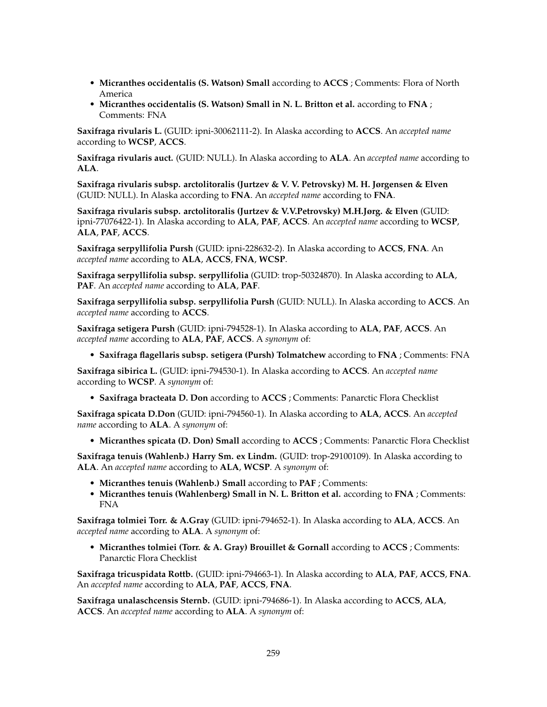- **Micranthes occidentalis (S. Watson) Small** according to **ACCS** ; Comments: Flora of North America
- **Micranthes occidentalis (S. Watson) Small in N. L. Britton et al.** according to **FNA** ; Comments: FNA

**Saxifraga rivularis L.** (GUID: ipni-30062111-2). In Alaska according to **ACCS**. An *accepted name* according to **WCSP**, **ACCS**.

**Saxifraga rivularis auct.** (GUID: NULL). In Alaska according to **ALA**. An *accepted name* according to **ALA**.

**Saxifraga rivularis subsp. arctolitoralis (Jurtzev & V. V. Petrovsky) M. H. Jørgensen & Elven** (GUID: NULL). In Alaska according to **FNA**. An *accepted name* according to **FNA**.

**Saxifraga rivularis subsp. arctolitoralis (Jurtzev & V.V.Petrovsky) M.H.Jørg. & Elven** (GUID: ipni-77076422-1). In Alaska according to **ALA**, **PAF**, **ACCS**. An *accepted name* according to **WCSP**, **ALA**, **PAF**, **ACCS**.

**Saxifraga serpyllifolia Pursh** (GUID: ipni-228632-2). In Alaska according to **ACCS**, **FNA**. An *accepted name* according to **ALA**, **ACCS**, **FNA**, **WCSP**.

**Saxifraga serpyllifolia subsp. serpyllifolia** (GUID: trop-50324870). In Alaska according to **ALA**, **PAF**. An *accepted name* according to **ALA**, **PAF**.

**Saxifraga serpyllifolia subsp. serpyllifolia Pursh** (GUID: NULL). In Alaska according to **ACCS**. An *accepted name* according to **ACCS**.

**Saxifraga setigera Pursh** (GUID: ipni-794528-1). In Alaska according to **ALA**, **PAF**, **ACCS**. An *accepted name* according to **ALA**, **PAF**, **ACCS**. A *synonym* of:

• **Saxifraga flagellaris subsp. setigera (Pursh) Tolmatchew** according to **FNA** ; Comments: FNA

**Saxifraga sibirica L.** (GUID: ipni-794530-1). In Alaska according to **ACCS**. An *accepted name* according to **WCSP**. A *synonym* of:

• **Saxifraga bracteata D. Don** according to **ACCS** ; Comments: Panarctic Flora Checklist

**Saxifraga spicata D.Don** (GUID: ipni-794560-1). In Alaska according to **ALA**, **ACCS**. An *accepted name* according to **ALA**. A *synonym* of:

• **Micranthes spicata (D. Don) Small** according to **ACCS** ; Comments: Panarctic Flora Checklist

**Saxifraga tenuis (Wahlenb.) Harry Sm. ex Lindm.** (GUID: trop-29100109). In Alaska according to **ALA**. An *accepted name* according to **ALA**, **WCSP**. A *synonym* of:

- **Micranthes tenuis (Wahlenb.) Small** according to **PAF** ; Comments:
- **Micranthes tenuis (Wahlenberg) Small in N. L. Britton et al.** according to **FNA** ; Comments: FNA

**Saxifraga tolmiei Torr. & A.Gray** (GUID: ipni-794652-1). In Alaska according to **ALA**, **ACCS**. An *accepted name* according to **ALA**. A *synonym* of:

• **Micranthes tolmiei (Torr. & A. Gray) Brouillet & Gornall** according to **ACCS** ; Comments: Panarctic Flora Checklist

**Saxifraga tricuspidata Rottb.** (GUID: ipni-794663-1). In Alaska according to **ALA**, **PAF**, **ACCS**, **FNA**. An *accepted name* according to **ALA**, **PAF**, **ACCS**, **FNA**.

**Saxifraga unalaschcensis Sternb.** (GUID: ipni-794686-1). In Alaska according to **ACCS**, **ALA**, **ACCS**. An *accepted name* according to **ALA**. A *synonym* of: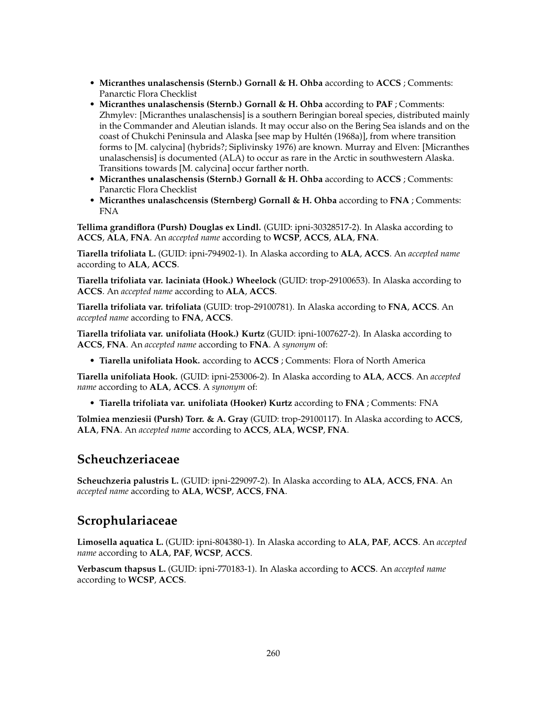- **Micranthes unalaschensis (Sternb.) Gornall & H. Ohba** according to **ACCS** ; Comments: Panarctic Flora Checklist
- **Micranthes unalaschensis (Sternb.) Gornall & H. Ohba** according to **PAF** ; Comments: Zhmylev: [Micranthes unalaschensis] is a southern Beringian boreal species, distributed mainly in the Commander and Aleutian islands. It may occur also on the Bering Sea islands and on the coast of Chukchi Peninsula and Alaska [see map by Hultén (1968a)], from where transition forms to [M. calycina] (hybrids?; Siplivinsky 1976) are known. Murray and Elven: [Micranthes unalaschensis] is documented (ALA) to occur as rare in the Arctic in southwestern Alaska. Transitions towards [M. calycina] occur farther north.
- **Micranthes unalaschensis (Sternb.) Gornall & H. Ohba** according to **ACCS** ; Comments: Panarctic Flora Checklist
- **Micranthes unalaschcensis (Sternberg) Gornall & H. Ohba** according to **FNA** ; Comments: FNA

**Tellima grandiflora (Pursh) Douglas ex Lindl.** (GUID: ipni-30328517-2). In Alaska according to **ACCS**, **ALA**, **FNA**. An *accepted name* according to **WCSP**, **ACCS**, **ALA**, **FNA**.

**Tiarella trifoliata L.** (GUID: ipni-794902-1). In Alaska according to **ALA**, **ACCS**. An *accepted name* according to **ALA**, **ACCS**.

**Tiarella trifoliata var. laciniata (Hook.) Wheelock** (GUID: trop-29100653). In Alaska according to **ACCS**. An *accepted name* according to **ALA**, **ACCS**.

**Tiarella trifoliata var. trifoliata** (GUID: trop-29100781). In Alaska according to **FNA**, **ACCS**. An *accepted name* according to **FNA**, **ACCS**.

**Tiarella trifoliata var. unifoliata (Hook.) Kurtz** (GUID: ipni-1007627-2). In Alaska according to **ACCS**, **FNA**. An *accepted name* according to **FNA**. A *synonym* of:

• **Tiarella unifoliata Hook.** according to **ACCS** ; Comments: Flora of North America

**Tiarella unifoliata Hook.** (GUID: ipni-253006-2). In Alaska according to **ALA**, **ACCS**. An *accepted name* according to **ALA**, **ACCS**. A *synonym* of:

• **Tiarella trifoliata var. unifoliata (Hooker) Kurtz** according to **FNA** ; Comments: FNA

**Tolmiea menziesii (Pursh) Torr. & A. Gray** (GUID: trop-29100117). In Alaska according to **ACCS**, **ALA**, **FNA**. An *accepted name* according to **ACCS**, **ALA**, **WCSP**, **FNA**.

#### **Scheuchzeriaceae**

**Scheuchzeria palustris L.** (GUID: ipni-229097-2). In Alaska according to **ALA**, **ACCS**, **FNA**. An *accepted name* according to **ALA**, **WCSP**, **ACCS**, **FNA**.

#### **Scrophulariaceae**

**Limosella aquatica L.** (GUID: ipni-804380-1). In Alaska according to **ALA**, **PAF**, **ACCS**. An *accepted name* according to **ALA**, **PAF**, **WCSP**, **ACCS**.

**Verbascum thapsus L.** (GUID: ipni-770183-1). In Alaska according to **ACCS**. An *accepted name* according to **WCSP**, **ACCS**.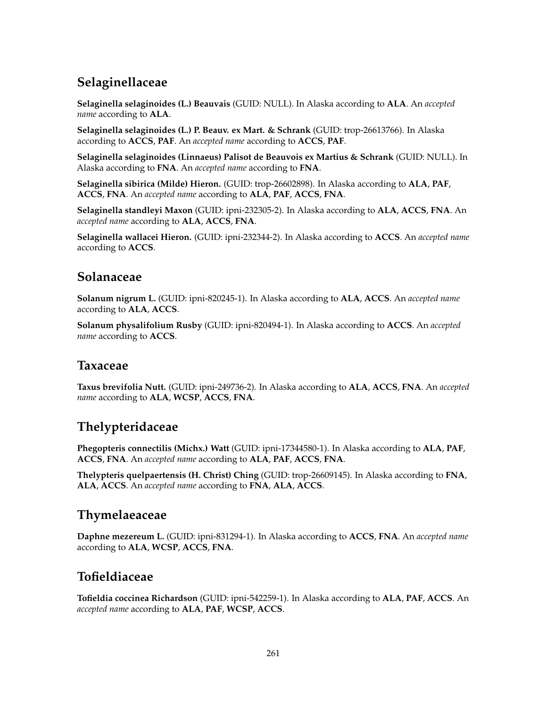# **Selaginellaceae**

**Selaginella selaginoides (L.) Beauvais** (GUID: NULL). In Alaska according to **ALA**. An *accepted name* according to **ALA**.

**Selaginella selaginoides (L.) P. Beauv. ex Mart. & Schrank** (GUID: trop-26613766). In Alaska according to **ACCS**, **PAF**. An *accepted name* according to **ACCS**, **PAF**.

**Selaginella selaginoides (Linnaeus) Palisot de Beauvois ex Martius & Schrank** (GUID: NULL). In Alaska according to **FNA**. An *accepted name* according to **FNA**.

**Selaginella sibirica (Milde) Hieron.** (GUID: trop-26602898). In Alaska according to **ALA**, **PAF**, **ACCS**, **FNA**. An *accepted name* according to **ALA**, **PAF**, **ACCS**, **FNA**.

**Selaginella standleyi Maxon** (GUID: ipni-232305-2). In Alaska according to **ALA**, **ACCS**, **FNA**. An *accepted name* according to **ALA**, **ACCS**, **FNA**.

**Selaginella wallacei Hieron.** (GUID: ipni-232344-2). In Alaska according to **ACCS**. An *accepted name* according to **ACCS**.

### **Solanaceae**

**Solanum nigrum L.** (GUID: ipni-820245-1). In Alaska according to **ALA**, **ACCS**. An *accepted name* according to **ALA**, **ACCS**.

**Solanum physalifolium Rusby** (GUID: ipni-820494-1). In Alaska according to **ACCS**. An *accepted name* according to **ACCS**.

### **Taxaceae**

**Taxus brevifolia Nutt.** (GUID: ipni-249736-2). In Alaska according to **ALA**, **ACCS**, **FNA**. An *accepted name* according to **ALA**, **WCSP**, **ACCS**, **FNA**.

## **Thelypteridaceae**

**Phegopteris connectilis (Michx.) Watt** (GUID: ipni-17344580-1). In Alaska according to **ALA**, **PAF**, **ACCS**, **FNA**. An *accepted name* according to **ALA**, **PAF**, **ACCS**, **FNA**.

**Thelypteris quelpaertensis (H. Christ) Ching** (GUID: trop-26609145). In Alaska according to **FNA**, **ALA**, **ACCS**. An *accepted name* according to **FNA**, **ALA**, **ACCS**.

## **Thymelaeaceae**

**Daphne mezereum L.** (GUID: ipni-831294-1). In Alaska according to **ACCS**, **FNA**. An *accepted name* according to **ALA**, **WCSP**, **ACCS**, **FNA**.

## **Tofieldiaceae**

**Tofieldia coccinea Richardson** (GUID: ipni-542259-1). In Alaska according to **ALA**, **PAF**, **ACCS**. An *accepted name* according to **ALA**, **PAF**, **WCSP**, **ACCS**.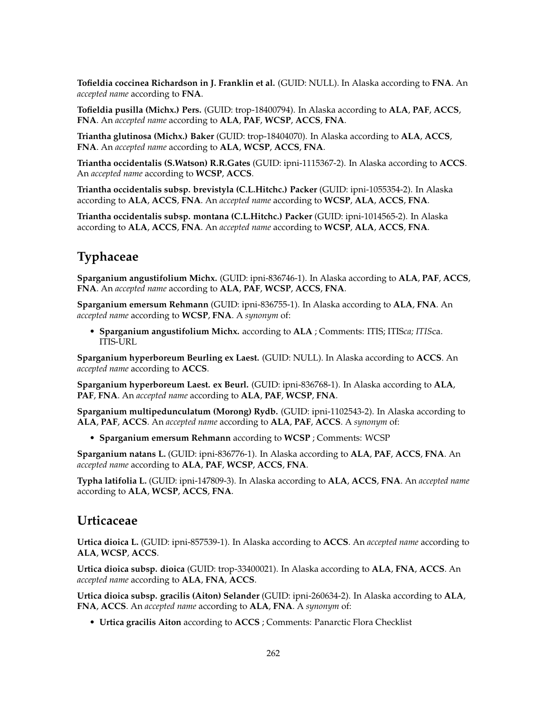**Tofieldia coccinea Richardson in J. Franklin et al.** (GUID: NULL). In Alaska according to **FNA**. An *accepted name* according to **FNA**.

**Tofieldia pusilla (Michx.) Pers.** (GUID: trop-18400794). In Alaska according to **ALA**, **PAF**, **ACCS**, **FNA**. An *accepted name* according to **ALA**, **PAF**, **WCSP**, **ACCS**, **FNA**.

**Triantha glutinosa (Michx.) Baker** (GUID: trop-18404070). In Alaska according to **ALA**, **ACCS**, **FNA**. An *accepted name* according to **ALA**, **WCSP**, **ACCS**, **FNA**.

**Triantha occidentalis (S.Watson) R.R.Gates** (GUID: ipni-1115367-2). In Alaska according to **ACCS**. An *accepted name* according to **WCSP**, **ACCS**.

**Triantha occidentalis subsp. brevistyla (C.L.Hitchc.) Packer** (GUID: ipni-1055354-2). In Alaska according to **ALA**, **ACCS**, **FNA**. An *accepted name* according to **WCSP**, **ALA**, **ACCS**, **FNA**.

**Triantha occidentalis subsp. montana (C.L.Hitchc.) Packer** (GUID: ipni-1014565-2). In Alaska according to **ALA**, **ACCS**, **FNA**. An *accepted name* according to **WCSP**, **ALA**, **ACCS**, **FNA**.

### **Typhaceae**

**Sparganium angustifolium Michx.** (GUID: ipni-836746-1). In Alaska according to **ALA**, **PAF**, **ACCS**, **FNA**. An *accepted name* according to **ALA**, **PAF**, **WCSP**, **ACCS**, **FNA**.

**Sparganium emersum Rehmann** (GUID: ipni-836755-1). In Alaska according to **ALA**, **FNA**. An *accepted name* according to **WCSP**, **FNA**. A *synonym* of:

• **Sparganium angustifolium Michx.** according to **ALA** ; Comments: ITIS; ITIS*ca; ITIS*ca. ITIS-URL

**Sparganium hyperboreum Beurling ex Laest.** (GUID: NULL). In Alaska according to **ACCS**. An *accepted name* according to **ACCS**.

**Sparganium hyperboreum Laest. ex Beurl.** (GUID: ipni-836768-1). In Alaska according to **ALA**, **PAF**, **FNA**. An *accepted name* according to **ALA**, **PAF**, **WCSP**, **FNA**.

**Sparganium multipedunculatum (Morong) Rydb.** (GUID: ipni-1102543-2). In Alaska according to **ALA**, **PAF**, **ACCS**. An *accepted name* according to **ALA**, **PAF**, **ACCS**. A *synonym* of:

• **Sparganium emersum Rehmann** according to **WCSP** ; Comments: WCSP

**Sparganium natans L.** (GUID: ipni-836776-1). In Alaska according to **ALA**, **PAF**, **ACCS**, **FNA**. An *accepted name* according to **ALA**, **PAF**, **WCSP**, **ACCS**, **FNA**.

**Typha latifolia L.** (GUID: ipni-147809-3). In Alaska according to **ALA**, **ACCS**, **FNA**. An *accepted name* according to **ALA**, **WCSP**, **ACCS**, **FNA**.

#### **Urticaceae**

**Urtica dioica L.** (GUID: ipni-857539-1). In Alaska according to **ACCS**. An *accepted name* according to **ALA**, **WCSP**, **ACCS**.

**Urtica dioica subsp. dioica** (GUID: trop-33400021). In Alaska according to **ALA**, **FNA**, **ACCS**. An *accepted name* according to **ALA**, **FNA**, **ACCS**.

**Urtica dioica subsp. gracilis (Aiton) Selander** (GUID: ipni-260634-2). In Alaska according to **ALA**, **FNA**, **ACCS**. An *accepted name* according to **ALA**, **FNA**. A *synonym* of:

• **Urtica gracilis Aiton** according to **ACCS** ; Comments: Panarctic Flora Checklist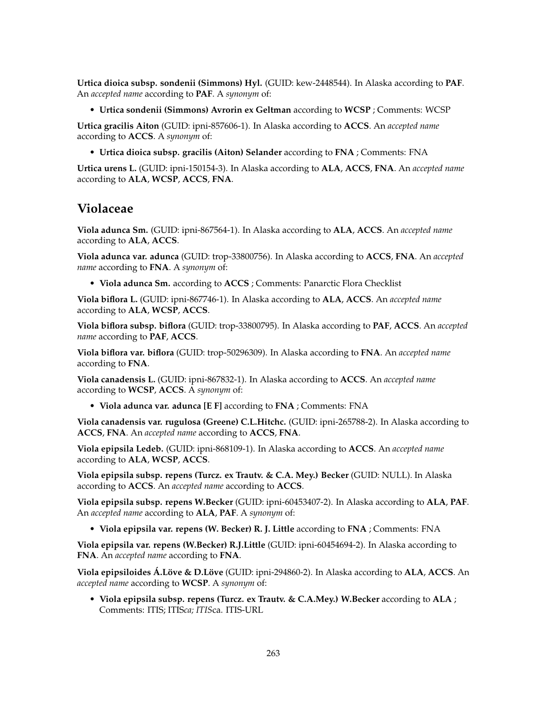**Urtica dioica subsp. sondenii (Simmons) Hyl.** (GUID: kew-2448544). In Alaska according to **PAF**. An *accepted name* according to **PAF**. A *synonym* of:

• **Urtica sondenii (Simmons) Avrorin ex Geltman** according to **WCSP** ; Comments: WCSP

**Urtica gracilis Aiton** (GUID: ipni-857606-1). In Alaska according to **ACCS**. An *accepted name* according to **ACCS**. A *synonym* of:

• **Urtica dioica subsp. gracilis (Aiton) Selander** according to **FNA** ; Comments: FNA

**Urtica urens L.** (GUID: ipni-150154-3). In Alaska according to **ALA**, **ACCS**, **FNA**. An *accepted name* according to **ALA**, **WCSP**, **ACCS**, **FNA**.

#### **Violaceae**

**Viola adunca Sm.** (GUID: ipni-867564-1). In Alaska according to **ALA**, **ACCS**. An *accepted name* according to **ALA**, **ACCS**.

**Viola adunca var. adunca** (GUID: trop-33800756). In Alaska according to **ACCS**, **FNA**. An *accepted name* according to **FNA**. A *synonym* of:

• **Viola adunca Sm.** according to **ACCS** ; Comments: Panarctic Flora Checklist

**Viola biflora L.** (GUID: ipni-867746-1). In Alaska according to **ALA**, **ACCS**. An *accepted name* according to **ALA**, **WCSP**, **ACCS**.

**Viola biflora subsp. biflora** (GUID: trop-33800795). In Alaska according to **PAF**, **ACCS**. An *accepted name* according to **PAF**, **ACCS**.

**Viola biflora var. biflora** (GUID: trop-50296309). In Alaska according to **FNA**. An *accepted name* according to **FNA**.

**Viola canadensis L.** (GUID: ipni-867832-1). In Alaska according to **ACCS**. An *accepted name* according to **WCSP**, **ACCS**. A *synonym* of:

• **Viola adunca var. adunca [E F]** according to **FNA** ; Comments: FNA

**Viola canadensis var. rugulosa (Greene) C.L.Hitchc.** (GUID: ipni-265788-2). In Alaska according to **ACCS**, **FNA**. An *accepted name* according to **ACCS**, **FNA**.

**Viola epipsila Ledeb.** (GUID: ipni-868109-1). In Alaska according to **ACCS**. An *accepted name* according to **ALA**, **WCSP**, **ACCS**.

**Viola epipsila subsp. repens (Turcz. ex Trautv. & C.A. Mey.) Becker** (GUID: NULL). In Alaska according to **ACCS**. An *accepted name* according to **ACCS**.

**Viola epipsila subsp. repens W.Becker** (GUID: ipni-60453407-2). In Alaska according to **ALA**, **PAF**. An *accepted name* according to **ALA**, **PAF**. A *synonym* of:

• **Viola epipsila var. repens (W. Becker) R. J. Little** according to **FNA** ; Comments: FNA

**Viola epipsila var. repens (W.Becker) R.J.Little** (GUID: ipni-60454694-2). In Alaska according to **FNA**. An *accepted name* according to **FNA**.

**Viola epipsiloides Á.Löve & D.Löve** (GUID: ipni-294860-2). In Alaska according to **ALA**, **ACCS**. An *accepted name* according to **WCSP**. A *synonym* of:

• **Viola epipsila subsp. repens (Turcz. ex Trautv. & C.A.Mey.) W.Becker** according to **ALA** ; Comments: ITIS; ITIS*ca; ITIS*ca. ITIS-URL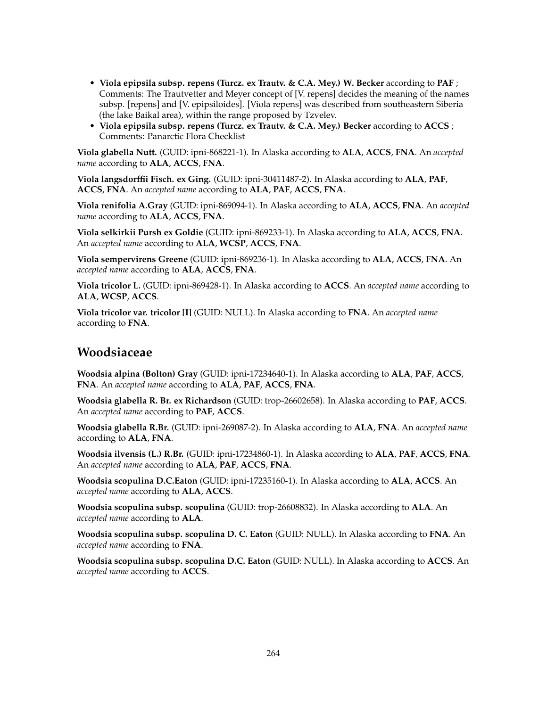- **Viola epipsila subsp. repens (Turcz. ex Trautv. & C.A. Mey.) W. Becker** according to **PAF** ; Comments: The Trautvetter and Meyer concept of [V. repens] decides the meaning of the names subsp. [repens] and [V. epipsiloides]. [Viola repens] was described from southeastern Siberia (the lake Baikal area), within the range proposed by Tzvelev.
- **Viola epipsila subsp. repens (Turcz. ex Trautv. & C.A. Mey.) Becker** according to **ACCS** ; Comments: Panarctic Flora Checklist

**Viola glabella Nutt.** (GUID: ipni-868221-1). In Alaska according to **ALA**, **ACCS**, **FNA**. An *accepted name* according to **ALA**, **ACCS**, **FNA**.

**Viola langsdorffii Fisch. ex Ging.** (GUID: ipni-30411487-2). In Alaska according to **ALA**, **PAF**, **ACCS**, **FNA**. An *accepted name* according to **ALA**, **PAF**, **ACCS**, **FNA**.

**Viola renifolia A.Gray** (GUID: ipni-869094-1). In Alaska according to **ALA**, **ACCS**, **FNA**. An *accepted name* according to **ALA**, **ACCS**, **FNA**.

**Viola selkirkii Pursh ex Goldie** (GUID: ipni-869233-1). In Alaska according to **ALA**, **ACCS**, **FNA**. An *accepted name* according to **ALA**, **WCSP**, **ACCS**, **FNA**.

**Viola sempervirens Greene** (GUID: ipni-869236-1). In Alaska according to **ALA**, **ACCS**, **FNA**. An *accepted name* according to **ALA**, **ACCS**, **FNA**.

**Viola tricolor L.** (GUID: ipni-869428-1). In Alaska according to **ACCS**. An *accepted name* according to **ALA**, **WCSP**, **ACCS**.

**Viola tricolor var. tricolor [I]** (GUID: NULL). In Alaska according to **FNA**. An *accepted name* according to **FNA**.

### **Woodsiaceae**

**Woodsia alpina (Bolton) Gray** (GUID: ipni-17234640-1). In Alaska according to **ALA**, **PAF**, **ACCS**, **FNA**. An *accepted name* according to **ALA**, **PAF**, **ACCS**, **FNA**.

**Woodsia glabella R. Br. ex Richardson** (GUID: trop-26602658). In Alaska according to **PAF**, **ACCS**. An *accepted name* according to **PAF**, **ACCS**.

**Woodsia glabella R.Br.** (GUID: ipni-269087-2). In Alaska according to **ALA**, **FNA**. An *accepted name* according to **ALA**, **FNA**.

**Woodsia ilvensis (L.) R.Br.** (GUID: ipni-17234860-1). In Alaska according to **ALA**, **PAF**, **ACCS**, **FNA**. An *accepted name* according to **ALA**, **PAF**, **ACCS**, **FNA**.

**Woodsia scopulina D.C.Eaton** (GUID: ipni-17235160-1). In Alaska according to **ALA**, **ACCS**. An *accepted name* according to **ALA**, **ACCS**.

**Woodsia scopulina subsp. scopulina** (GUID: trop-26608832). In Alaska according to **ALA**. An *accepted name* according to **ALA**.

**Woodsia scopulina subsp. scopulina D. C. Eaton** (GUID: NULL). In Alaska according to **FNA**. An *accepted name* according to **FNA**.

**Woodsia scopulina subsp. scopulina D.C. Eaton** (GUID: NULL). In Alaska according to **ACCS**. An *accepted name* according to **ACCS**.